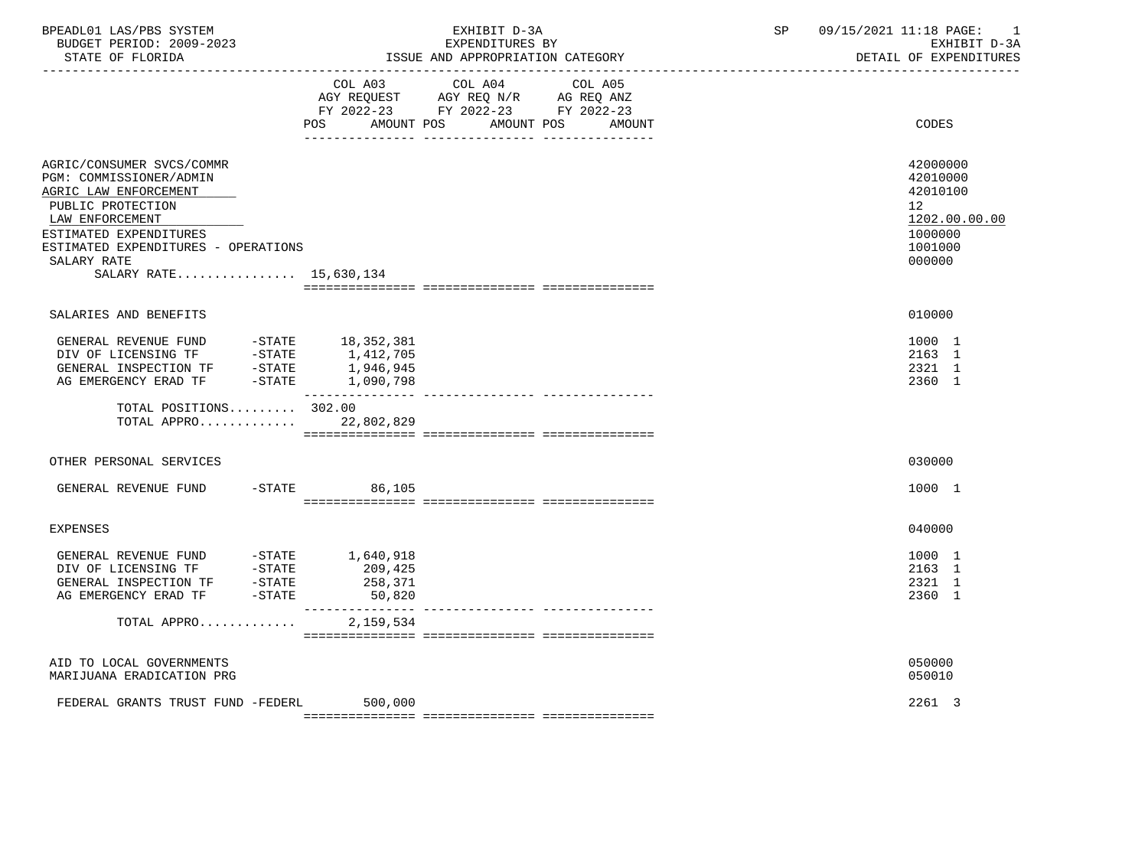| BPEADL01 LAS/PBS SYSTEM<br>BUDGET PERIOD: 2009-2023<br>STATE OF FLORIDA                                                                                                                                                                                                                                                                                                                                    |                              | EXHIBIT D-3A<br>EXPENDITURES BY<br>ISSUE AND APPROPRIATION CATEGORY                                               | SP | 09/15/2021 11:18 PAGE:<br>-1<br>EXHIBIT D-3A<br>DETAIL OF EXPENDITURES                               |
|------------------------------------------------------------------------------------------------------------------------------------------------------------------------------------------------------------------------------------------------------------------------------------------------------------------------------------------------------------------------------------------------------------|------------------------------|-------------------------------------------------------------------------------------------------------------------|----|------------------------------------------------------------------------------------------------------|
|                                                                                                                                                                                                                                                                                                                                                                                                            | COL A03<br>POS<br>AMOUNT POS | COL A04 COL A05<br>AGY REQUEST AGY REQ N/R AG REQ ANZ<br>FY 2022-23 FY 2022-23 FY 2022-23<br>AMOUNT POS<br>AMOUNT |    | CODES                                                                                                |
| AGRIC/CONSUMER SVCS/COMMR<br>PGM: COMMISSIONER/ADMIN<br>AGRIC LAW ENFORCEMENT<br>PUBLIC PROTECTION<br>LAW ENFORCEMENT<br>ESTIMATED EXPENDITURES<br>ESTIMATED EXPENDITURES - OPERATIONS<br>SALARY RATE<br>SALARY RATE 15,630,134                                                                                                                                                                            |                              |                                                                                                                   |    | 42000000<br>42010000<br>42010100<br>12 <sup>°</sup><br>1202.00.00.00<br>1000000<br>1001000<br>000000 |
| SALARIES AND BENEFITS                                                                                                                                                                                                                                                                                                                                                                                      |                              |                                                                                                                   |    | 010000                                                                                               |
| $\begin{tabular}{lcccc} \texttt{GENERAL} & \texttt{REVENUE} & \texttt{FUND} & - \texttt{STATE} & 18,352,381 \\ \texttt{DIV OF} & \texttt{LICENSING} & \texttt{TF} & - \texttt{STATE} & 1,412,705 \\ \texttt{GENERAL} & \texttt{INSPECTION} & \texttt{TF} & - \texttt{STATE} & 1,946,945 \\ \texttt{AG} & \texttt{EMERGENCY} & \texttt{ERAD} & \texttt{TF} & - \texttt{STATE} & 1,090,798 \\ \end{tabular}$ | _________________            | ---------------------------------                                                                                 |    | 1000 1<br>2163 1<br>2321 1<br>2360 1                                                                 |
| TOTAL POSITIONS 302.00<br>TOTAL APPRO 22,802,829                                                                                                                                                                                                                                                                                                                                                           |                              |                                                                                                                   |    |                                                                                                      |
| OTHER PERSONAL SERVICES                                                                                                                                                                                                                                                                                                                                                                                    |                              |                                                                                                                   |    | 030000                                                                                               |
| GENERAL REVENUE FUND                                                                                                                                                                                                                                                                                                                                                                                       | $-STATE$<br>86,105           |                                                                                                                   |    | 1000 1                                                                                               |
| <b>EXPENSES</b>                                                                                                                                                                                                                                                                                                                                                                                            |                              |                                                                                                                   |    | 040000                                                                                               |
| GENERAL REVENUE FUND $-$ STATE 1,640,918<br>DIV OF LICENSING TF $-$ STATE 209,425<br>GENERAL INSPECTION TF - STATE<br>AG EMERGENCY ERAD TF - STATE                                                                                                                                                                                                                                                         | 258,371<br>50,820            |                                                                                                                   |    | 1000 1<br>2163 1<br>2321 1<br>2360 1                                                                 |
| TOTAL APPRO                                                                                                                                                                                                                                                                                                                                                                                                | 2,159,534                    |                                                                                                                   |    |                                                                                                      |
| AID TO LOCAL GOVERNMENTS<br>MARIJUANA ERADICATION PRG                                                                                                                                                                                                                                                                                                                                                      |                              |                                                                                                                   |    | 050000<br>050010                                                                                     |
| FEDERAL GRANTS TRUST FUND -FEDERL                                                                                                                                                                                                                                                                                                                                                                          | 500,000                      |                                                                                                                   |    | 2261 3                                                                                               |

=============== =============== ===============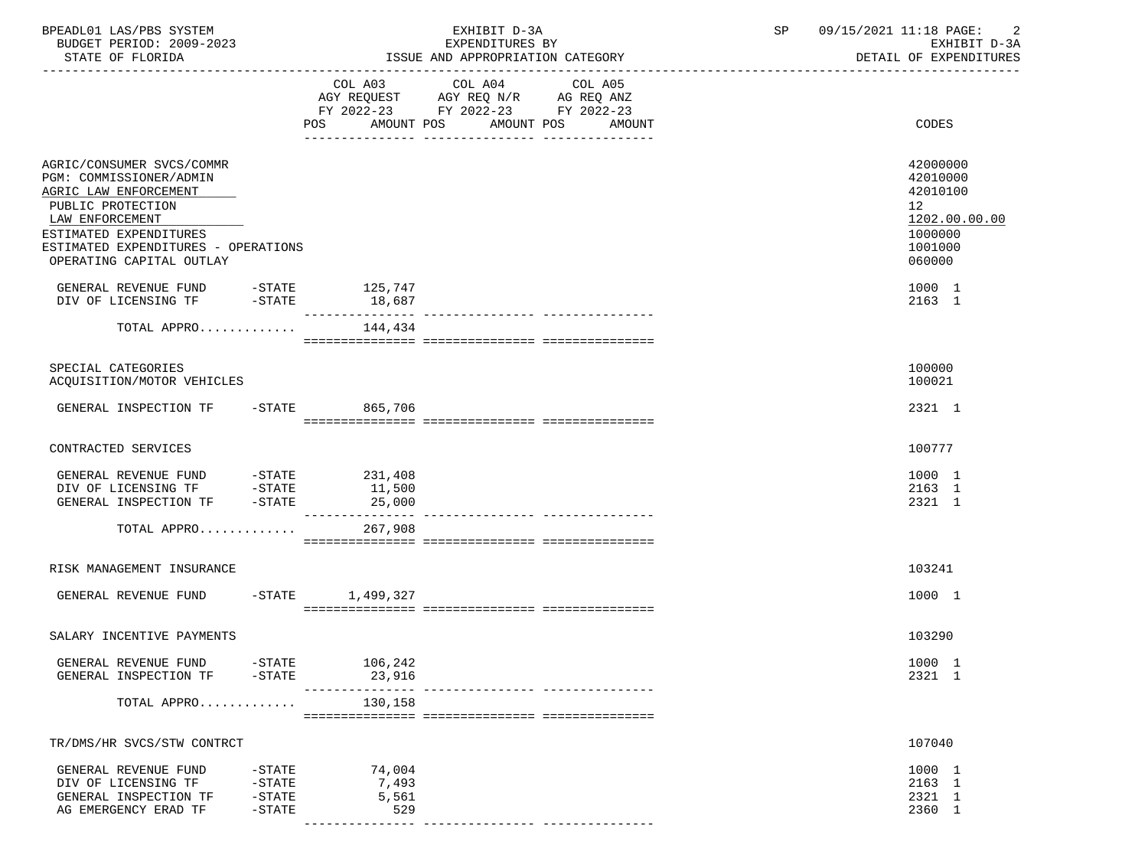| BPEADL01 LAS/PBS SYSTEM<br>BUDGET PERIOD: 2009-2023                                                                                                                                                                |                                                  |                                                                                                                | EXHIBIT D-3A<br>EXPENDITURES BY                                                                                    | SP                | 09/15/2021 11:18 PAGE:<br>$\overline{c}$<br>EXHIBIT D-3A |                                                                                         |
|--------------------------------------------------------------------------------------------------------------------------------------------------------------------------------------------------------------------|--------------------------------------------------|----------------------------------------------------------------------------------------------------------------|--------------------------------------------------------------------------------------------------------------------|-------------------|----------------------------------------------------------|-----------------------------------------------------------------------------------------|
| STATE OF FLORIDA                                                                                                                                                                                                   |                                                  |                                                                                                                | ISSUE AND APPROPRIATION CATEGORY                                                                                   |                   |                                                          | DETAIL OF EXPENDITURES                                                                  |
|                                                                                                                                                                                                                    |                                                  | POS FOR THE POST OF THE STATE STATE STATE STATE STATE STATE STATE STATE STATE STATE STATE STATE STATE STATE ST | COL A03 COL A04<br>AGY REQUEST AGY REQ N/R AG REQ ANZ<br>FY 2022-23 FY 2022-23 FY 2022-23<br>AMOUNT POS AMOUNT POS | COL A05<br>AMOUNT |                                                          | CODES                                                                                   |
| AGRIC/CONSUMER SVCS/COMMR<br>PGM: COMMISSIONER/ADMIN<br>AGRIC LAW ENFORCEMENT<br>PUBLIC PROTECTION<br>LAW ENFORCEMENT<br>ESTIMATED EXPENDITURES<br>ESTIMATED EXPENDITURES - OPERATIONS<br>OPERATING CAPITAL OUTLAY |                                                  |                                                                                                                |                                                                                                                    |                   |                                                          | 42000000<br>42010000<br>42010100<br>12<br>1202.00.00.00<br>1000000<br>1001000<br>060000 |
| GENERAL REVENUE FUND -STATE 125,747<br>DIV OF LICENSING TF -STATE                                                                                                                                                  |                                                  | 18,687                                                                                                         |                                                                                                                    |                   |                                                          | 1000 1<br>2163 1                                                                        |
| TOTAL APPRO $144,434$                                                                                                                                                                                              |                                                  |                                                                                                                |                                                                                                                    |                   |                                                          |                                                                                         |
| SPECIAL CATEGORIES<br>ACOUISITION/MOTOR VEHICLES                                                                                                                                                                   |                                                  |                                                                                                                |                                                                                                                    |                   |                                                          | 100000<br>100021                                                                        |
| GENERAL INSPECTION TF                                                                                                                                                                                              |                                                  | -STATE 865,706                                                                                                 |                                                                                                                    |                   |                                                          | 2321 1                                                                                  |
| CONTRACTED SERVICES                                                                                                                                                                                                |                                                  |                                                                                                                |                                                                                                                    |                   |                                                          | 100777                                                                                  |
| GENERAL REVENUE FUND -STATE 231,408<br>DIV OF LICENSING TF -STATE 11,500<br>GENERAL INSPECTION TF -STATE                                                                                                           |                                                  | 25,000                                                                                                         |                                                                                                                    |                   |                                                          | 1000 1<br>2163 1<br>2321 1                                                              |
| TOTAL APPRO                                                                                                                                                                                                        |                                                  | 267,908                                                                                                        |                                                                                                                    |                   |                                                          |                                                                                         |
| RISK MANAGEMENT INSURANCE                                                                                                                                                                                          |                                                  |                                                                                                                |                                                                                                                    |                   |                                                          | 103241                                                                                  |
| GENERAL REVENUE FUND -STATE 1,499,327                                                                                                                                                                              |                                                  |                                                                                                                |                                                                                                                    |                   |                                                          | 1000 1                                                                                  |
| SALARY INCENTIVE PAYMENTS                                                                                                                                                                                          |                                                  |                                                                                                                |                                                                                                                    |                   |                                                          | 103290                                                                                  |
| GENERAL REVENUE FUND<br>GENERAL INSPECTION TF                                                                                                                                                                      | $-\mathtt{STATE}$<br>-STATE                      | 106,242<br>23,916<br>------------                                                                              |                                                                                                                    |                   |                                                          | 1000 1<br>2321 1                                                                        |
| TOTAL APPRO                                                                                                                                                                                                        |                                                  | 130,158                                                                                                        |                                                                                                                    |                   |                                                          |                                                                                         |
| TR/DMS/HR SVCS/STW CONTRCT                                                                                                                                                                                         |                                                  |                                                                                                                |                                                                                                                    |                   |                                                          | 107040                                                                                  |
| GENERAL REVENUE FUND<br>DIV OF LICENSING TF<br>GENERAL INSPECTION TF<br>AG EMERGENCY ERAD TF                                                                                                                       | $-$ STATE<br>$-$ STATE<br>$-$ STATE<br>$-$ STATE | 74,004<br>7,493<br>5,561<br>529                                                                                |                                                                                                                    |                   |                                                          | 1000 1<br>2163 1<br>2321 1<br>2360 1                                                    |

--------------- --------------- ---------------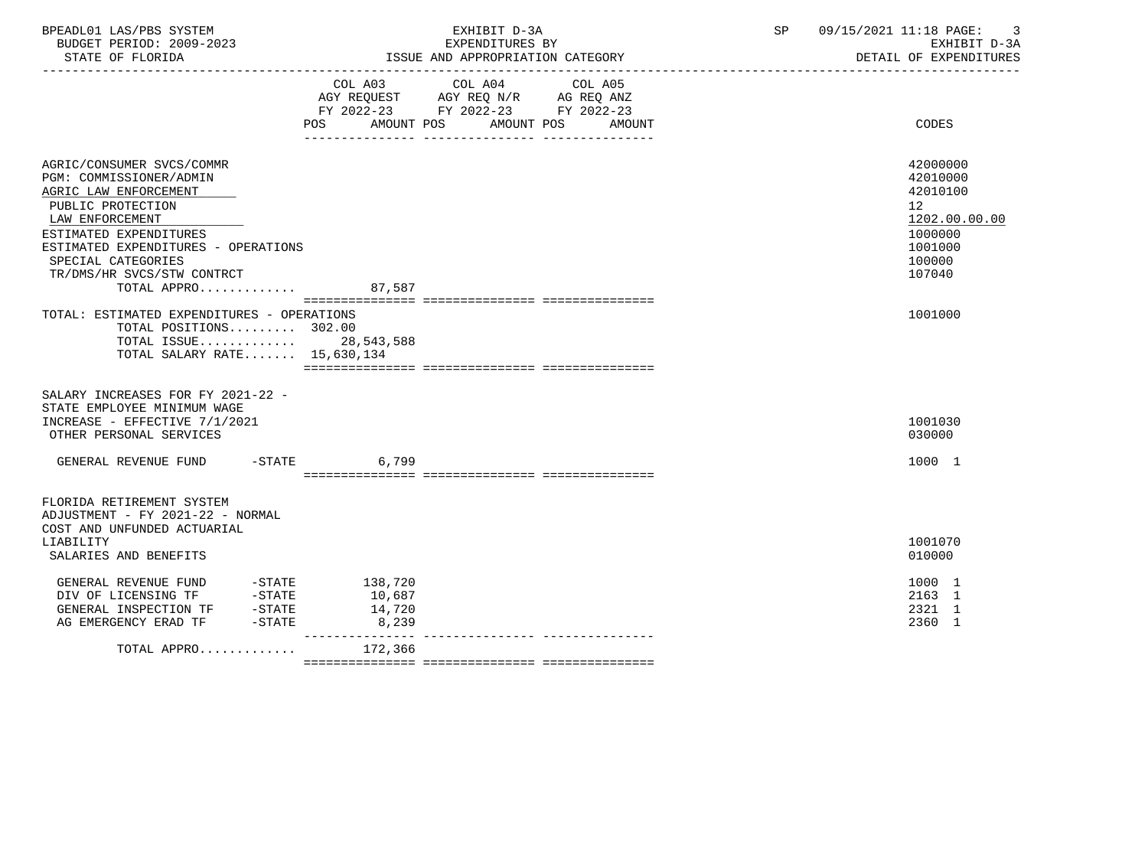| BPEADL01 LAS/PBS SYSTEM  | EXHIBIT D-3A                     | 09/15/2021 11:18 PAGE: |
|--------------------------|----------------------------------|------------------------|
| BUDGET PERIOD: 2009-2023 | EXPENDITURES BY                  | EXHIBIT D-3A           |
| STATE OF FLORIDA         | ISSUE AND APPROPRIATION CATEGORY | DETAIL OF EXPENDITURES |

|                                                                                                                                                                                                                                                           | POS AMOUNT POS                                                   | COL A03 COL A04 COL A05<br>AGY REQUEST AGY REQ N/R AG REQ ANZ<br>FY 2022-23 FY 2022-23 FY 2022-23<br>AMOUNT POS | AMOUNT | CODES                                                                                                          |
|-----------------------------------------------------------------------------------------------------------------------------------------------------------------------------------------------------------------------------------------------------------|------------------------------------------------------------------|-----------------------------------------------------------------------------------------------------------------|--------|----------------------------------------------------------------------------------------------------------------|
| AGRIC/CONSUMER SVCS/COMMR<br>PGM: COMMISSIONER/ADMIN<br>AGRIC LAW ENFORCEMENT<br>PUBLIC PROTECTION<br>LAW ENFORCEMENT<br>ESTIMATED EXPENDITURES<br>ESTIMATED EXPENDITURES - OPERATIONS<br>SPECIAL CATEGORIES<br>TR/DMS/HR SVCS/STW CONTRCT<br>TOTAL APPRO | 87,587                                                           |                                                                                                                 |        | 42000000<br>42010000<br>42010100<br>12 <sub>1</sub><br>1202.00.00.00<br>1000000<br>1001000<br>100000<br>107040 |
| TOTAL: ESTIMATED EXPENDITURES - OPERATIONS<br>TOTAL POSITIONS 302.00<br>TOTAL ISSUE 28,543,588<br>TOTAL SALARY RATE 15,630,134                                                                                                                            |                                                                  |                                                                                                                 |        | 1001000                                                                                                        |
| SALARY INCREASES FOR FY 2021-22 -<br>STATE EMPLOYEE MINIMUM WAGE<br>INCREASE - EFFECTIVE 7/1/2021<br>OTHER PERSONAL SERVICES                                                                                                                              |                                                                  |                                                                                                                 |        | 1001030<br>030000                                                                                              |
| GENERAL REVENUE FUND -STATE 6,799                                                                                                                                                                                                                         |                                                                  |                                                                                                                 |        | 1000 1                                                                                                         |
| FLORIDA RETIREMENT SYSTEM<br>ADJUSTMENT - FY 2021-22 - NORMAL<br>COST AND UNFUNDED ACTUARIAL<br>LIABILITY<br>SALARIES AND BENEFITS                                                                                                                        |                                                                  |                                                                                                                 |        | 1001070<br>010000                                                                                              |
| GENERAL REVENUE FUND<br>$-$ STATE<br>AG EMERGENCY ERAD TF                                                                                                                                                                                                 | $-STATE$ 138,720<br>10,687<br>14,720<br>8,239<br>--------------- |                                                                                                                 |        | 1000 1<br>2163 1<br>2321 1<br>2360 1                                                                           |
| TOTAL APPRO                                                                                                                                                                                                                                               | 172,366                                                          |                                                                                                                 |        |                                                                                                                |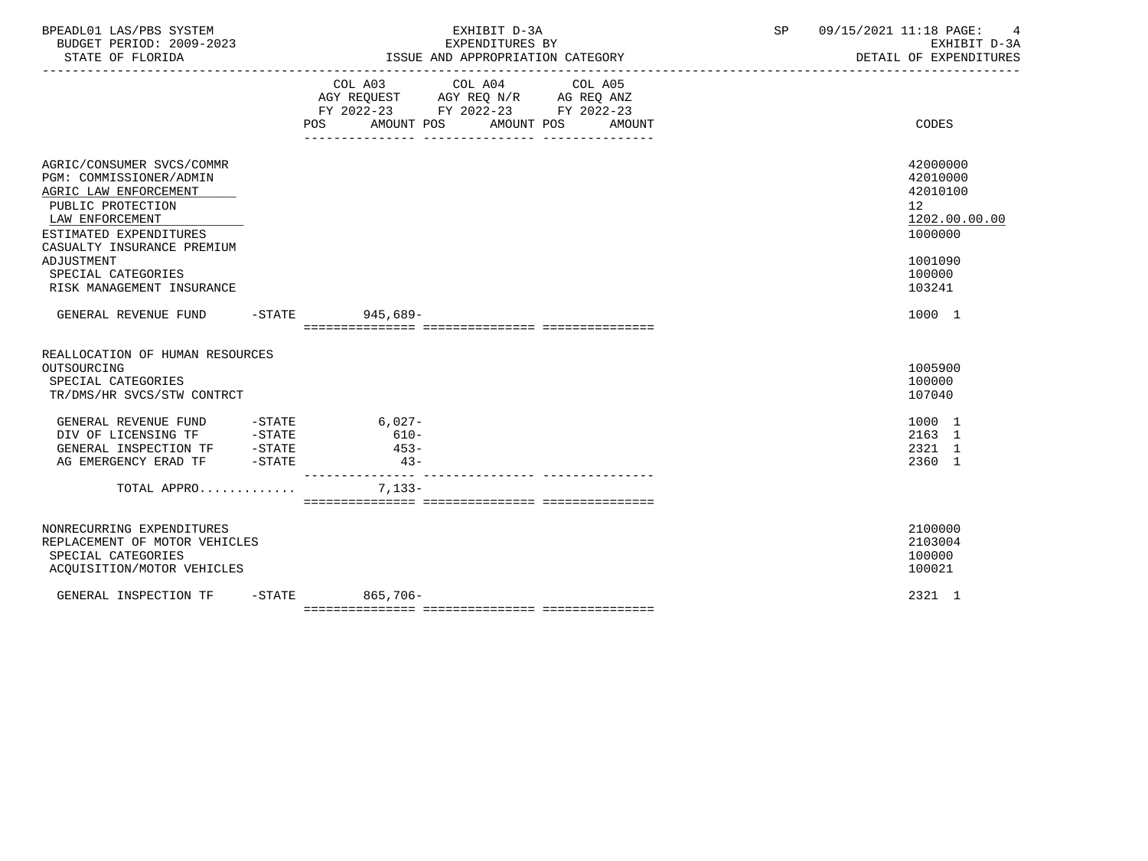| BPEADL01 LAS/PBS SYSTEM<br>BUDGET PERIOD: 2009-2023<br>STATE OF FLORIDA                                                                                                                                           | EXHIBIT D-3A<br>EXPENDITURES BY<br>ISSUE AND APPROPRIATION CATEGORY                                                                      | 09/15/2021 11:18 PAGE:<br>SP<br>$\overline{4}$<br>EXHIBIT D-3A<br>DETAIL OF EXPENDITURES             |
|-------------------------------------------------------------------------------------------------------------------------------------------------------------------------------------------------------------------|------------------------------------------------------------------------------------------------------------------------------------------|------------------------------------------------------------------------------------------------------|
|                                                                                                                                                                                                                   | COL A03 COL A04 COL A05<br>AGY REQUEST AGY REQ N/R AG REQ ANZ<br>FY 2022-23 FY 2022-23 FY 2022-23<br>POS AMOUNT POS AMOUNT POS<br>AMOUNT | CODES                                                                                                |
| AGRIC/CONSUMER SVCS/COMMR<br>PGM: COMMISSIONER/ADMIN<br>AGRIC LAW ENFORCEMENT<br>PUBLIC PROTECTION<br>LAW ENFORCEMENT<br>ESTIMATED EXPENDITURES<br>CASUALTY INSURANCE PREMIUM<br>ADJUSTMENT<br>SPECIAL CATEGORIES |                                                                                                                                          | 42000000<br>42010000<br>42010100<br>12 <sup>°</sup><br>1202.00.00.00<br>1000000<br>1001090<br>100000 |
| RISK MANAGEMENT INSURANCE<br>GENERAL REVENUE FUND                                                                                                                                                                 | -STATE 945,689-                                                                                                                          | 103241<br>1000 1                                                                                     |
| REALLOCATION OF HUMAN RESOURCES<br>OUTSOURCING<br>SPECIAL CATEGORIES<br>TR/DMS/HR SVCS/STW CONTRCT                                                                                                                |                                                                                                                                          | 1005900<br>100000<br>107040                                                                          |
| GENERAL REVENUE FUND -STATE<br>DIV OF LICENSING TF -STATE                                                                                                                                                         | $6,027-$<br>610-<br>$453-$<br>$43-$<br>----------------                                                                                  | 1000 1<br>2163 1<br>2321 1<br>2360 1                                                                 |
| TOTAL APPRO                                                                                                                                                                                                       | $7,133-$                                                                                                                                 |                                                                                                      |
| NONRECURRING EXPENDITURES<br>REPLACEMENT OF MOTOR VEHICLES<br>SPECIAL CATEGORIES<br>ACQUISITION/MOTOR VEHICLES                                                                                                    |                                                                                                                                          | 2100000<br>2103004<br>100000<br>100021                                                               |
| GENERAL INSPECTION TF                                                                                                                                                                                             | -STATE 865,706-                                                                                                                          | 2321 1                                                                                               |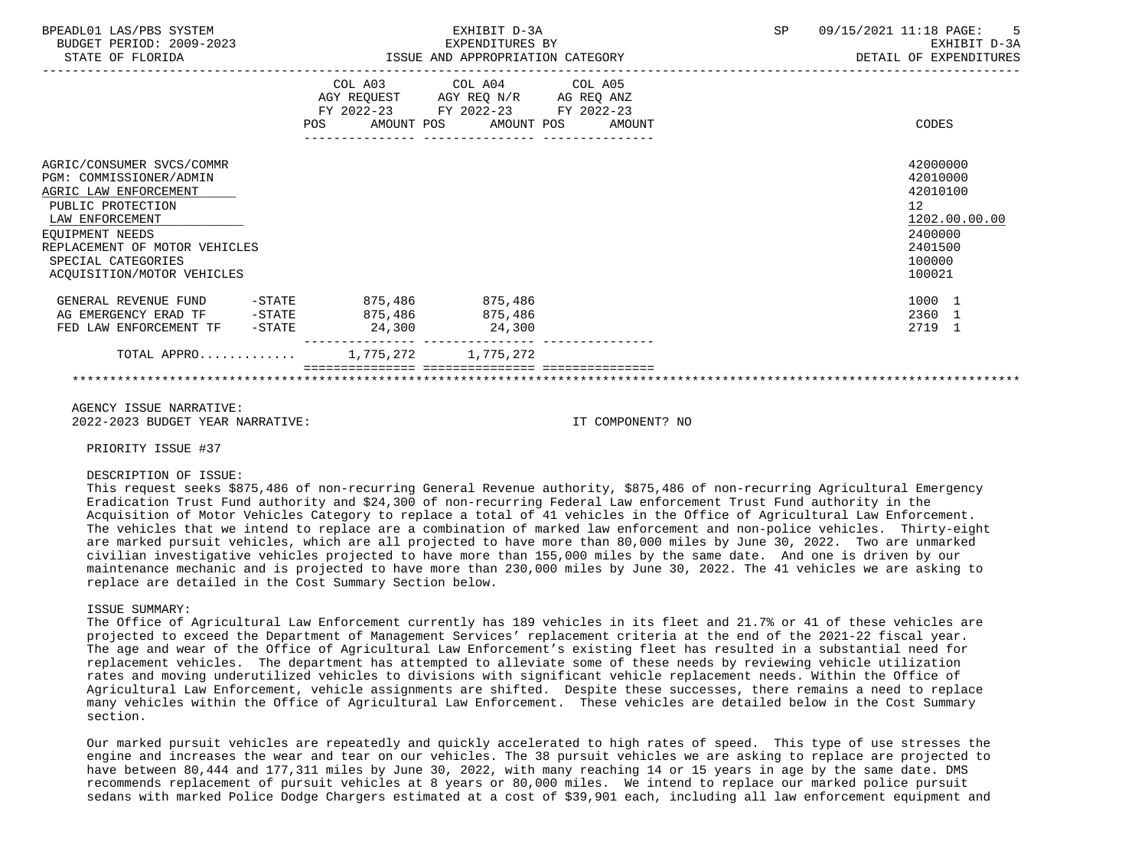| BPEADL01 LAS/PBS SYSTEM<br>BUDGET PERIOD: 2009-2023<br>STATE OF FLORIDA                                                                                                                                                              |        | EXHIBIT D-3A<br>EXPENDITURES BY                                                                                                       | ISSUE AND APPROPRIATION CATEGORY | SP<br>09/15/2021 11:18 PAGE: 5<br>EXHIBIT D-3A<br>DETAIL OF EXPENDITURES                          |  |
|--------------------------------------------------------------------------------------------------------------------------------------------------------------------------------------------------------------------------------------|--------|---------------------------------------------------------------------------------------------------------------------------------------|----------------------------------|---------------------------------------------------------------------------------------------------|--|
|                                                                                                                                                                                                                                      |        | COL A03 COL A04 COL A05<br>AGY REQUEST AGY REQ N/R AG REQ ANZ<br>FY 2022-23 FY 2022-23 FY 2022-23<br>POS AMOUNT POS AMOUNT POS AMOUNT |                                  | CODES                                                                                             |  |
| AGRIC/CONSUMER SVCS/COMMR<br>PGM: COMMISSIONER/ADMIN<br>AGRIC LAW ENFORCEMENT<br>PUBLIC PROTECTION<br>LAW ENFORCEMENT<br><b>EOUIPMENT NEEDS</b><br>REPLACEMENT OF MOTOR VEHICLES<br>SPECIAL CATEGORIES<br>ACOUISITION/MOTOR VEHICLES |        |                                                                                                                                       |                                  | 42000000<br>42010000<br>42010100<br>12<br>1202.00.00.00<br>2400000<br>2401500<br>100000<br>100021 |  |
| GENERAL REVENUE FUND -STATE 875,486 875,486<br>AG EMERGENCY ERAD TF -STATE 875,486 875,486<br>FED LAW ENFORCEMENT TF -STATE                                                                                                          | 24,300 | 24,300                                                                                                                                |                                  | 1000 1<br>2360 1<br>2719 1                                                                        |  |
| TOTAL APPRO 1,775,272 1,775,272                                                                                                                                                                                                      |        |                                                                                                                                       |                                  |                                                                                                   |  |

 AGENCY ISSUE NARRATIVE: 2022-2023 BUDGET YEAR NARRATIVE: IT COMPONENT? NO

PRIORITY ISSUE #37

#### DESCRIPTION OF ISSUE:

 This request seeks \$875,486 of non-recurring General Revenue authority, \$875,486 of non-recurring Agricultural Emergency Eradication Trust Fund authority and \$24,300 of non-recurring Federal Law enforcement Trust Fund authority in the Acquisition of Motor Vehicles Category to replace a total of 41 vehicles in the Office of Agricultural Law Enforcement. The vehicles that we intend to replace are a combination of marked law enforcement and non-police vehicles. Thirty-eight are marked pursuit vehicles, which are all projected to have more than 80,000 miles by June 30, 2022. Two are unmarked civilian investigative vehicles projected to have more than 155,000 miles by the same date. And one is driven by our maintenance mechanic and is projected to have more than 230,000 miles by June 30, 2022. The 41 vehicles we are asking to replace are detailed in the Cost Summary Section below.

#### ISSUE SUMMARY:

 The Office of Agricultural Law Enforcement currently has 189 vehicles in its fleet and 21.7% or 41 of these vehicles are projected to exceed the Department of Management Services' replacement criteria at the end of the 2021-22 fiscal year. The age and wear of the Office of Agricultural Law Enforcement's existing fleet has resulted in a substantial need for replacement vehicles. The department has attempted to alleviate some of these needs by reviewing vehicle utilization rates and moving underutilized vehicles to divisions with significant vehicle replacement needs. Within the Office of Agricultural Law Enforcement, vehicle assignments are shifted. Despite these successes, there remains a need to replace many vehicles within the Office of Agricultural Law Enforcement. These vehicles are detailed below in the Cost Summary section.

 Our marked pursuit vehicles are repeatedly and quickly accelerated to high rates of speed. This type of use stresses the engine and increases the wear and tear on our vehicles. The 38 pursuit vehicles we are asking to replace are projected to have between 80,444 and 177,311 miles by June 30, 2022, with many reaching 14 or 15 years in age by the same date. DMS recommends replacement of pursuit vehicles at 8 years or 80,000 miles. We intend to replace our marked police pursuit sedans with marked Police Dodge Chargers estimated at a cost of \$39,901 each, including all law enforcement equipment and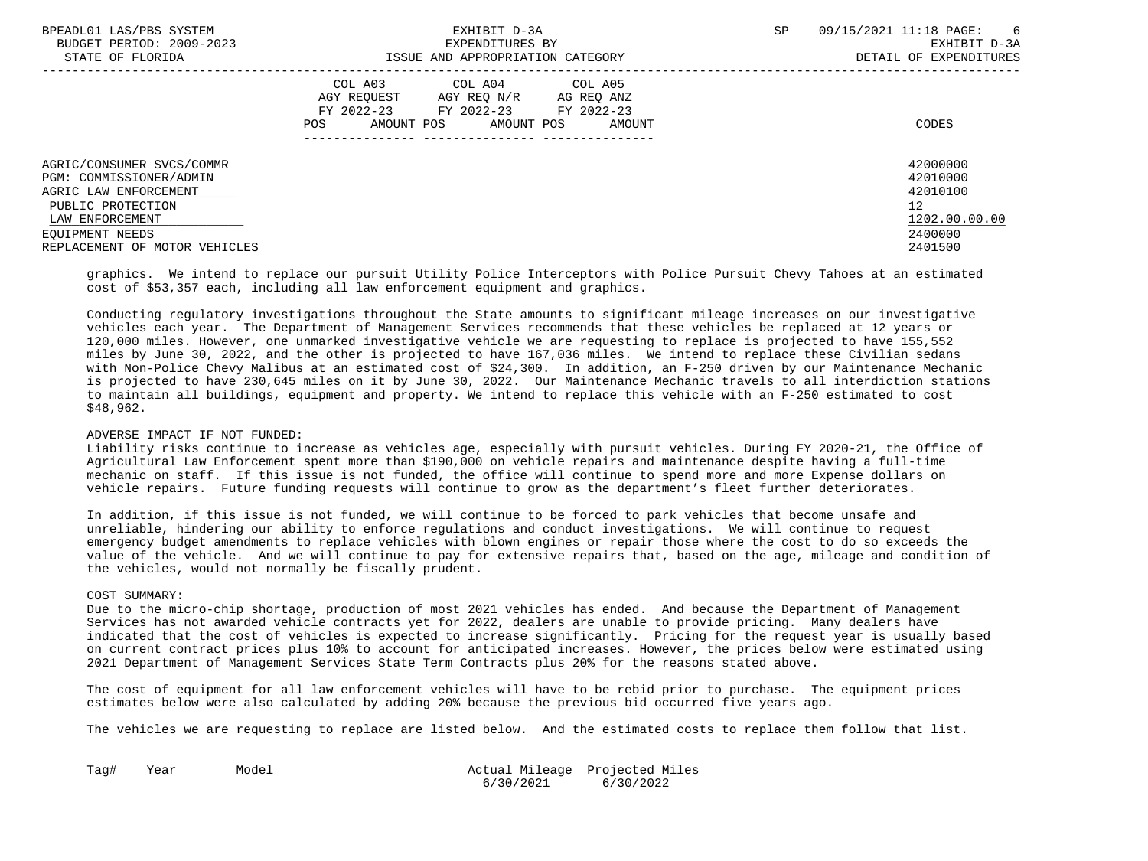| BPEADL01 LAS/PBS SYSTEM<br>BUDGET PERIOD: 2009-2023                                                                                      | EXHIBIT D-3A<br>EXPENDITURES BY                                                                                                                         | SP<br>09/15/2021 11:18 PAGE:<br>6<br>EXHIBIT D-3A                  |
|------------------------------------------------------------------------------------------------------------------------------------------|---------------------------------------------------------------------------------------------------------------------------------------------------------|--------------------------------------------------------------------|
| STATE OF FLORIDA                                                                                                                         | ISSUE AND APPROPRIATION CATEGORY                                                                                                                        | DETAIL OF EXPENDITURES                                             |
|                                                                                                                                          | COL A03<br>COL A04 COL A05<br>AGY REO N/R<br>AGY REOUEST<br>AG REO ANZ<br>FY 2022-23 FY 2022-23 FY 2022-23<br>AMOUNT POS<br>AMOUNT POS<br>POS<br>AMOUNT | CODES                                                              |
| AGRIC/CONSUMER SVCS/COMMR<br>PGM: COMMISSIONER/ADMIN<br>AGRIC LAW ENFORCEMENT<br>PUBLIC PROTECTION<br>LAW ENFORCEMENT<br>EOUIPMENT NEEDS |                                                                                                                                                         | 42000000<br>42010000<br>42010100<br>12<br>1202.00.00.00<br>2400000 |
| REPLACEMENT OF MOTOR VEHICLES                                                                                                            |                                                                                                                                                         | 2401500                                                            |

 graphics. We intend to replace our pursuit Utility Police Interceptors with Police Pursuit Chevy Tahoes at an estimated cost of \$53,357 each, including all law enforcement equipment and graphics.

 Conducting regulatory investigations throughout the State amounts to significant mileage increases on our investigative vehicles each year. The Department of Management Services recommends that these vehicles be replaced at 12 years or 120,000 miles. However, one unmarked investigative vehicle we are requesting to replace is projected to have 155,552 miles by June 30, 2022, and the other is projected to have 167,036 miles. We intend to replace these Civilian sedans with Non-Police Chevy Malibus at an estimated cost of \$24,300. In addition, an F-250 driven by our Maintenance Mechanic is projected to have 230,645 miles on it by June 30, 2022. Our Maintenance Mechanic travels to all interdiction stations to maintain all buildings, equipment and property. We intend to replace this vehicle with an F-250 estimated to cost \$48,962.

#### ADVERSE IMPACT IF NOT FUNDED:

 Liability risks continue to increase as vehicles age, especially with pursuit vehicles. During FY 2020-21, the Office of Agricultural Law Enforcement spent more than \$190,000 on vehicle repairs and maintenance despite having a full-time mechanic on staff. If this issue is not funded, the office will continue to spend more and more Expense dollars on vehicle repairs. Future funding requests will continue to grow as the department's fleet further deteriorates.

 In addition, if this issue is not funded, we will continue to be forced to park vehicles that become unsafe and unreliable, hindering our ability to enforce regulations and conduct investigations. We will continue to request emergency budget amendments to replace vehicles with blown engines or repair those where the cost to do so exceeds the value of the vehicle. And we will continue to pay for extensive repairs that, based on the age, mileage and condition of the vehicles, would not normally be fiscally prudent.

#### COST SUMMARY:

 Due to the micro-chip shortage, production of most 2021 vehicles has ended. And because the Department of Management Services has not awarded vehicle contracts yet for 2022, dealers are unable to provide pricing. Many dealers have indicated that the cost of vehicles is expected to increase significantly. Pricing for the request year is usually based on current contract prices plus 10% to account for anticipated increases. However, the prices below were estimated using 2021 Department of Management Services State Term Contracts plus 20% for the reasons stated above.

 The cost of equipment for all law enforcement vehicles will have to be rebid prior to purchase. The equipment prices estimates below were also calculated by adding 20% because the previous bid occurred five years ago.

The vehicles we are requesting to replace are listed below. And the estimated costs to replace them follow that list.

| Taq# | Year | Model |           | Actual Mileage Projected Miles |
|------|------|-------|-----------|--------------------------------|
|      |      |       | 6/30/2021 | 6/30/2022                      |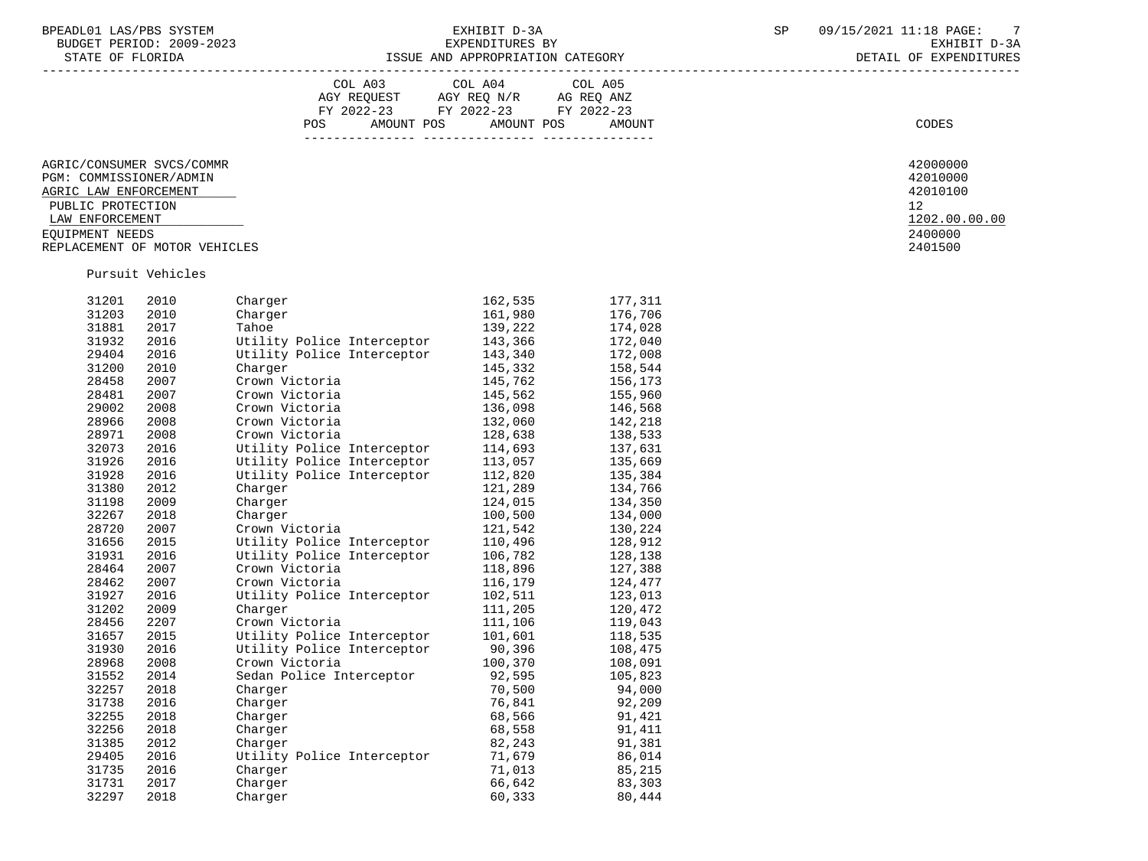BUDGET PERIOD: 2009-2023<br>STATE OF FLORIDA

# BPEADL01 LAS/PBS SYSTEM EXHIBIT D-3A SP 09/15/2021 11:18 PAGE: 7

#### ISSUE AND APPROPRIATION CATEGORY **Expenditures** of the set of the set of the set of the set of the set of the set of the set of the set of the set of the set of the set of the set of the set of the set of the set of the se -----------------------------------------------------------------------------------------------------------------------------------

| POS. | AMOUNT POS                | AMOUNT POS                           | AMOUNT     |  |
|------|---------------------------|--------------------------------------|------------|--|
|      | AGY REOUEST<br>FY 2022-23 | AGY REO N/R<br>FY 2022-23 FY 2022-23 | AG REO ANZ |  |
|      | COL A03                   | COL A04                              | COL A05    |  |

AGRIC/CONSUMER SVCS/COMMR<br>PGM: COMMISSIONER/ADMIN 42000000 42000000 42000000 42000000 42000000 4200000 42010000

## PGM: COMMISSIONER/ADMIN 42010000 42010000 42010000 42010000 42010000 42010000 42010000 4201000 42010100 420101

AGRIC LAW ENFORCEMENT 420<br>PUBLIC PROTECTION 42

 $\texttt{LAN ENFORCEMENT} \color{black} \textcolor{red}{1202.00.00.00}$ EQUIPMENT NEEDS 2400000 2200000 2200000 2200000 2200000 2200000 2200000 2300000 2300000 2300000 230000 230000 230000 23000 23000 2300 2300 2300 2300 2300 2300 2300 2300 2300 2300 2300 2300 2300 2300 2300 2300 2300 2300 230

REPLACEMENT OF MOTOR VEHICLES

Pursuit Vehicles

| 31201 | 2010 | Charger                    | 162,535 | 177,311 |
|-------|------|----------------------------|---------|---------|
| 31203 | 2010 | Charger                    | 161,980 | 176,706 |
| 31881 | 2017 | Tahoe                      | 139,222 | 174,028 |
| 31932 | 2016 | Utility Police Interceptor | 143,366 | 172,040 |
| 29404 | 2016 | Utility Police Interceptor | 143,340 | 172,008 |
| 31200 | 2010 | Charger                    | 145,332 | 158,544 |
| 28458 | 2007 | Crown Victoria             | 145,762 | 156,173 |
| 28481 | 2007 | Crown Victoria             | 145,562 | 155,960 |
| 29002 | 2008 | Crown Victoria             | 136,098 | 146,568 |
| 28966 | 2008 | Crown Victoria             | 132,060 | 142,218 |
| 28971 | 2008 | Crown Victoria             | 128,638 | 138,533 |
| 32073 | 2016 | Utility Police Interceptor | 114,693 | 137,631 |
| 31926 | 2016 | Utility Police Interceptor | 113,057 | 135,669 |
| 31928 | 2016 | Utility Police Interceptor | 112,820 | 135,384 |
| 31380 | 2012 | Charger                    | 121,289 | 134,766 |
| 31198 | 2009 | Charger                    | 124,015 | 134,350 |
| 32267 | 2018 | Charger                    | 100,500 | 134,000 |
| 28720 | 2007 | Crown Victoria             | 121,542 | 130,224 |
| 31656 | 2015 | Utility Police Interceptor | 110,496 | 128,912 |
| 31931 | 2016 | Utility Police Interceptor | 106,782 | 128,138 |
| 28464 | 2007 | Crown Victoria             | 118,896 | 127,388 |
| 28462 | 2007 | Crown Victoria             | 116,179 | 124,477 |
| 31927 | 2016 | Utility Police Interceptor | 102,511 | 123,013 |
| 31202 | 2009 | Charger                    | 111,205 | 120,472 |
| 28456 | 2207 | Crown Victoria             | 111,106 | 119,043 |
| 31657 | 2015 | Utility Police Interceptor | 101,601 | 118,535 |
| 31930 | 2016 | Utility Police Interceptor | 90,396  | 108,475 |
| 28968 | 2008 | Crown Victoria             | 100,370 | 108,091 |
| 31552 | 2014 | Sedan Police Interceptor   | 92,595  | 105,823 |
| 32257 | 2018 | Charger                    | 70,500  | 94,000  |
| 31738 | 2016 | Charger                    | 76,841  | 92,209  |
| 32255 | 2018 | Charger                    | 68,566  | 91,421  |
| 32256 | 2018 | Charger                    | 68,558  | 91,411  |
| 31385 | 2012 | Charger                    | 82,243  | 91,381  |
| 29405 | 2016 | Utility Police Interceptor | 71,679  | 86,014  |
| 31735 | 2016 | Charger                    | 71,013  | 85,215  |
| 31731 | 2017 | Charger                    | 66,642  | 83,303  |
| 32297 | 2018 | Charger                    | 60,333  | 80,444  |

PUBLIC PROTECTION 12<br>LAW ENFORCEMENT 1202.00.00.00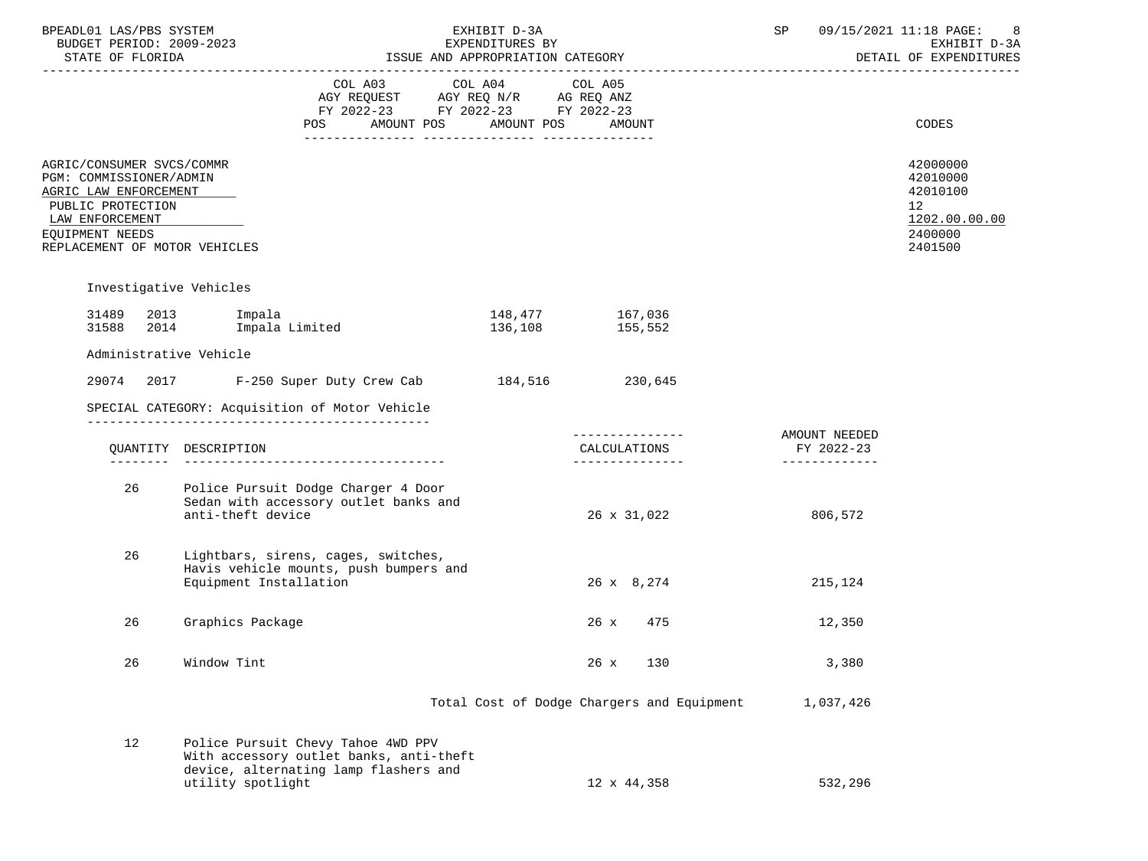| BPEADL01 LAS/PBS SYSTEM<br>BUDGET PERIOD: 2009-2023<br>STATE OF FLORIDA                                                                                                   |                                                                                                                                             | EXHIBIT D-3A<br>EXPENDITURES BY<br>ISSUE AND APPROPRIATION CATEGORY                                                                                                                                                                                                                   |                                            | SP                                           | 09/15/2021 11:18 PAGE:<br>8<br>EXHIBIT D-3A<br>DETAIL OF EXPENDITURES                      |
|---------------------------------------------------------------------------------------------------------------------------------------------------------------------------|---------------------------------------------------------------------------------------------------------------------------------------------|---------------------------------------------------------------------------------------------------------------------------------------------------------------------------------------------------------------------------------------------------------------------------------------|--------------------------------------------|----------------------------------------------|--------------------------------------------------------------------------------------------|
|                                                                                                                                                                           |                                                                                                                                             | $\begin{tabular}{lllllllllll} COL & A03 & \multicolumn{2}{l}COL & A04 & \multicolumn{2}{l}COL & A05 \\ AGY & REQUEST & \multicolumn{2}{l}AGY & REQ & N/R & \multicolumn{2}{l}AG & REQ & ANZ \\ \end{tabular}$<br>FY 2022-23 FY 2022-23 FY 2022-23<br>POS AMOUNT POS AMOUNT POS AMOUNT |                                            |                                              | CODES                                                                                      |
| AGRIC/CONSUMER SVCS/COMMR<br>PGM: COMMISSIONER/ADMIN<br>AGRIC LAW ENFORCEMENT<br>PUBLIC PROTECTION<br>LAW ENFORCEMENT<br>EQUIPMENT NEEDS<br>REPLACEMENT OF MOTOR VEHICLES |                                                                                                                                             |                                                                                                                                                                                                                                                                                       |                                            |                                              | 42000000<br>42010000<br>42010100<br>12 <sub>2</sub><br>1202.00.00.00<br>2400000<br>2401500 |
| Investigative Vehicles                                                                                                                                                    |                                                                                                                                             |                                                                                                                                                                                                                                                                                       |                                            |                                              |                                                                                            |
| 31489<br>2013<br>31588<br>2014                                                                                                                                            | Impala<br>Impala Limited                                                                                                                    | 148,477 167,036<br>136,108                                                                                                                                                                                                                                                            | 155,552                                    |                                              |                                                                                            |
| Administrative Vehicle                                                                                                                                                    |                                                                                                                                             |                                                                                                                                                                                                                                                                                       |                                            |                                              |                                                                                            |
|                                                                                                                                                                           | 29074 2017 F-250 Super Duty Crew Cab 184,516 230,645                                                                                        |                                                                                                                                                                                                                                                                                       |                                            |                                              |                                                                                            |
|                                                                                                                                                                           | SPECIAL CATEGORY: Acquisition of Motor Vehicle                                                                                              |                                                                                                                                                                                                                                                                                       |                                            |                                              |                                                                                            |
|                                                                                                                                                                           | QUANTITY DESCRIPTION                                                                                                                        |                                                                                                                                                                                                                                                                                       | CALCULATIONS<br>----------------           | AMOUNT NEEDED<br>FY 2022-23<br>_____________ |                                                                                            |
| 26                                                                                                                                                                        | Police Pursuit Dodge Charger 4 Door<br>Sedan with accessory outlet banks and<br>anti-theft device                                           |                                                                                                                                                                                                                                                                                       | 26 x 31,022                                | 806,572                                      |                                                                                            |
| 26                                                                                                                                                                        | Lightbars, sirens, cages, switches,<br>Havis vehicle mounts, push bumpers and<br>Equipment Installation                                     |                                                                                                                                                                                                                                                                                       | $26 \times 8,274$                          | 215,124                                      |                                                                                            |
| 26                                                                                                                                                                        | Graphics Package                                                                                                                            |                                                                                                                                                                                                                                                                                       | 26 x<br>475                                | 12,350                                       |                                                                                            |
| 26                                                                                                                                                                        | Window Tint                                                                                                                                 |                                                                                                                                                                                                                                                                                       | 26 x<br>130                                | 3,380                                        |                                                                                            |
|                                                                                                                                                                           |                                                                                                                                             |                                                                                                                                                                                                                                                                                       | Total Cost of Dodge Chargers and Equipment | 1,037,426                                    |                                                                                            |
| 12                                                                                                                                                                        | Police Pursuit Chevy Tahoe 4WD PPV<br>With accessory outlet banks, anti-theft<br>device, alternating lamp flashers and<br>utility spotlight |                                                                                                                                                                                                                                                                                       | 12 x 44,358                                | 532,296                                      |                                                                                            |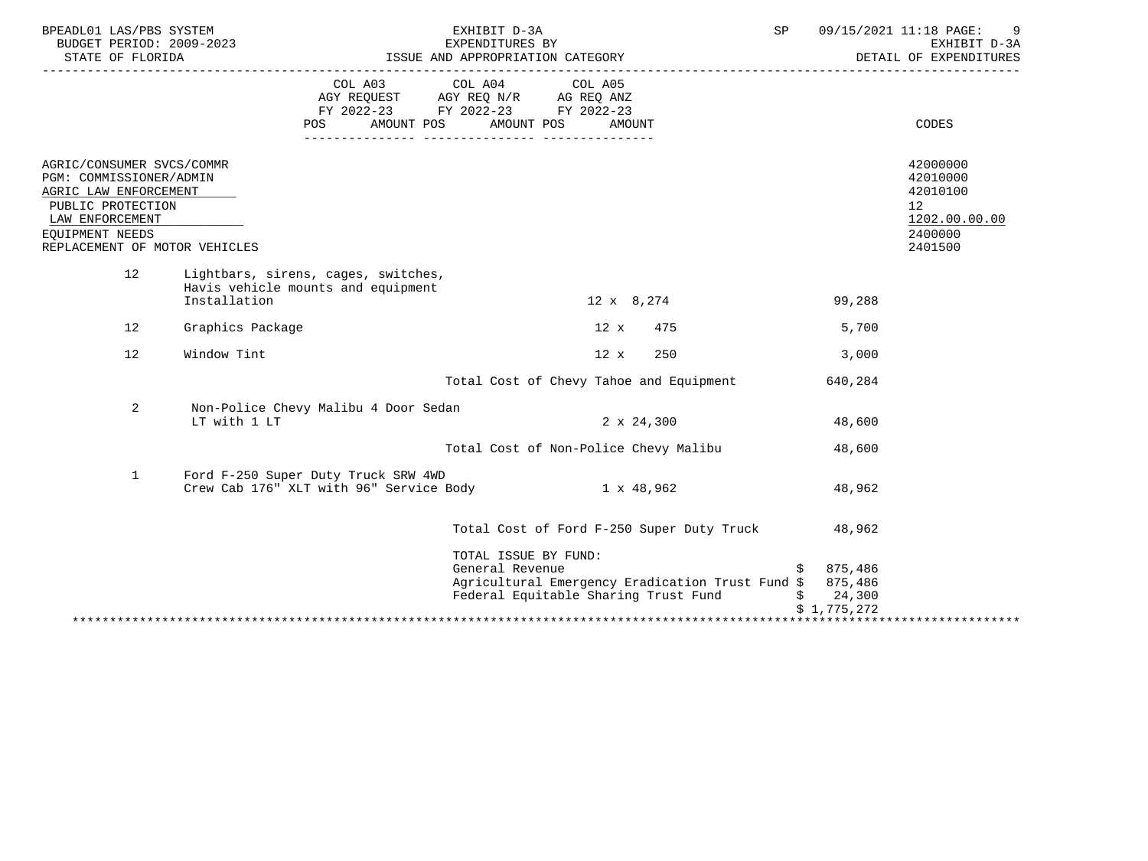| BPEADL01 LAS/PBS SYSTEM<br>BUDGET PERIOD: 2009-2023                                                                                                                       |                                                                                           | EXHIBIT D-3A<br>EXPENDITURES BY                                                                                                             | SP                                   | 09/15/2021 11:18 PAGE: 9<br>EXHIBIT D-3A<br>DETAIL OF EXPENDITURES                         |  |
|---------------------------------------------------------------------------------------------------------------------------------------------------------------------------|-------------------------------------------------------------------------------------------|---------------------------------------------------------------------------------------------------------------------------------------------|--------------------------------------|--------------------------------------------------------------------------------------------|--|
|                                                                                                                                                                           | AMOUNT POS<br>POS                                                                         | FY 2022-23 FY 2022-23 FY 2022-23<br>AMOUNT POS<br>AMOUNT                                                                                    |                                      | <b>CODES</b>                                                                               |  |
| AGRIC/CONSUMER SVCS/COMMR<br>PGM: COMMISSIONER/ADMIN<br>AGRIC LAW ENFORCEMENT<br>PUBLIC PROTECTION<br>LAW ENFORCEMENT<br>EQUIPMENT NEEDS<br>REPLACEMENT OF MOTOR VEHICLES |                                                                                           |                                                                                                                                             |                                      | 42000000<br>42010000<br>42010100<br>12 <sup>°</sup><br>1202.00.00.00<br>2400000<br>2401500 |  |
| 12                                                                                                                                                                        | Lightbars, sirens, cages, switches,<br>Havis vehicle mounts and equipment<br>Installation | $12 \times 8,274$                                                                                                                           | 99,288                               |                                                                                            |  |
| 12                                                                                                                                                                        | Graphics Package                                                                          | 475<br>12 x                                                                                                                                 | 5,700                                |                                                                                            |  |
| 12                                                                                                                                                                        | Window Tint                                                                               | 250<br>$12 \times$                                                                                                                          | 3,000                                |                                                                                            |  |
|                                                                                                                                                                           |                                                                                           | Total Cost of Chevy Tahoe and Equipment                                                                                                     | 640,284                              |                                                                                            |  |
| $\overline{a}$                                                                                                                                                            | Non-Police Chevy Malibu 4 Door Sedan<br>LT with 1 LT                                      | 2 x 24,300<br>Total Cost of Non-Police Chevy Malibu                                                                                         | 48,600<br>48,600                     |                                                                                            |  |
| $\mathbf{1}$                                                                                                                                                              | Ford F-250 Super Duty Truck SRW 4WD                                                       | Crew Cab 176" XLT with 96" Service Body $1 \times 48,962$                                                                                   | 48,962                               |                                                                                            |  |
|                                                                                                                                                                           |                                                                                           | Total Cost of Ford F-250 Super Duty Truck 48,962                                                                                            |                                      |                                                                                            |  |
|                                                                                                                                                                           |                                                                                           | TOTAL ISSUE BY FUND:<br>General Revenue<br>Agricultural Emergency Eradication Trust Fund \$ 875,486<br>Federal Equitable Sharing Trust Fund | \$875,486<br>\$24,300<br>\$1,775,272 |                                                                                            |  |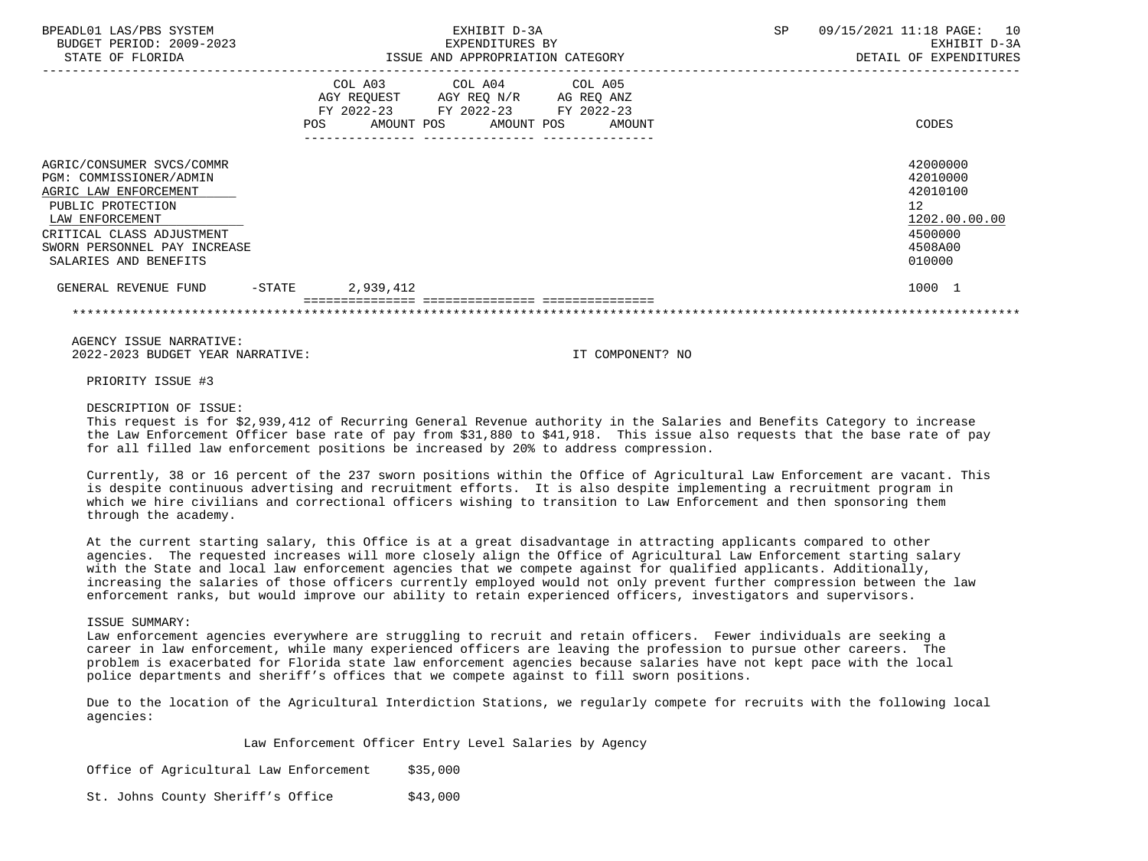| BPEADL01 LAS/PBS SYSTEM<br>BUDGET PERIOD: 2009-2023<br>STATE OF FLORIDA                                                                                                                                     |                        | EXHIBIT D-3A<br>EXPENDITURES BY<br>ISSUE AND APPROPRIATION CATEGORY                                                |                      | SP | 09/15/2021 11:18 PAGE: | 10<br>EXHIBIT D-3A<br>DETAIL OF EXPENDITURES                                                         |
|-------------------------------------------------------------------------------------------------------------------------------------------------------------------------------------------------------------|------------------------|--------------------------------------------------------------------------------------------------------------------|----------------------|----|------------------------|------------------------------------------------------------------------------------------------------|
|                                                                                                                                                                                                             | POS                    | COL A03 COL A04 COL A05<br>AGY REOUEST AGY REO N/R<br>FY 2022-23 FY 2022-23 FY 2022-23<br>AMOUNT POS<br>AMOUNT POS | AG REO ANZ<br>AMOUNT |    |                        | CODES                                                                                                |
| AGRIC/CONSUMER SVCS/COMMR<br>PGM: COMMISSIONER/ADMIN<br>AGRIC LAW ENFORCEMENT<br>PUBLIC PROTECTION<br>LAW ENFORCEMENT<br>CRITICAL CLASS ADJUSTMENT<br>SWORN PERSONNEL PAY INCREASE<br>SALARIES AND BENEFITS |                        |                                                                                                                    |                      |    |                        | 42000000<br>42010000<br>42010100<br>12 <sup>°</sup><br>1202.00.00.00<br>4500000<br>4508A00<br>010000 |
| GENERAL REVENUE FUND                                                                                                                                                                                        | 2,939,412<br>$-$ STATE |                                                                                                                    |                      |    |                        | 1000 1                                                                                               |
|                                                                                                                                                                                                             |                        | ---------------                                                                                                    |                      |    |                        |                                                                                                      |

 AGENCY ISSUE NARRATIVE: 2022-2023 BUDGET YEAR NARRATIVE: IT COMPONENT? NO

PRIORITY ISSUE #3

#### DESCRIPTION OF ISSUE:

 This request is for \$2,939,412 of Recurring General Revenue authority in the Salaries and Benefits Category to increase the Law Enforcement Officer base rate of pay from \$31,880 to \$41,918. This issue also requests that the base rate of pay for all filled law enforcement positions be increased by 20% to address compression.

 Currently, 38 or 16 percent of the 237 sworn positions within the Office of Agricultural Law Enforcement are vacant. This is despite continuous advertising and recruitment efforts. It is also despite implementing a recruitment program in which we hire civilians and correctional officers wishing to transition to Law Enforcement and then sponsoring them through the academy.

 At the current starting salary, this Office is at a great disadvantage in attracting applicants compared to other agencies. The requested increases will more closely align the Office of Agricultural Law Enforcement starting salary with the State and local law enforcement agencies that we compete against for qualified applicants. Additionally, increasing the salaries of those officers currently employed would not only prevent further compression between the law enforcement ranks, but would improve our ability to retain experienced officers, investigators and supervisors.

#### ISSUE SUMMARY:

 Law enforcement agencies everywhere are struggling to recruit and retain officers. Fewer individuals are seeking a career in law enforcement, while many experienced officers are leaving the profession to pursue other careers. The problem is exacerbated for Florida state law enforcement agencies because salaries have not kept pace with the local police departments and sheriff's offices that we compete against to fill sworn positions.

 Due to the location of the Agricultural Interdiction Stations, we regularly compete for recruits with the following local agencies:

Law Enforcement Officer Entry Level Salaries by Agency

Office of Agricultural Law Enforcement \$35,000

St. Johns County Sheriff's Office \$43,000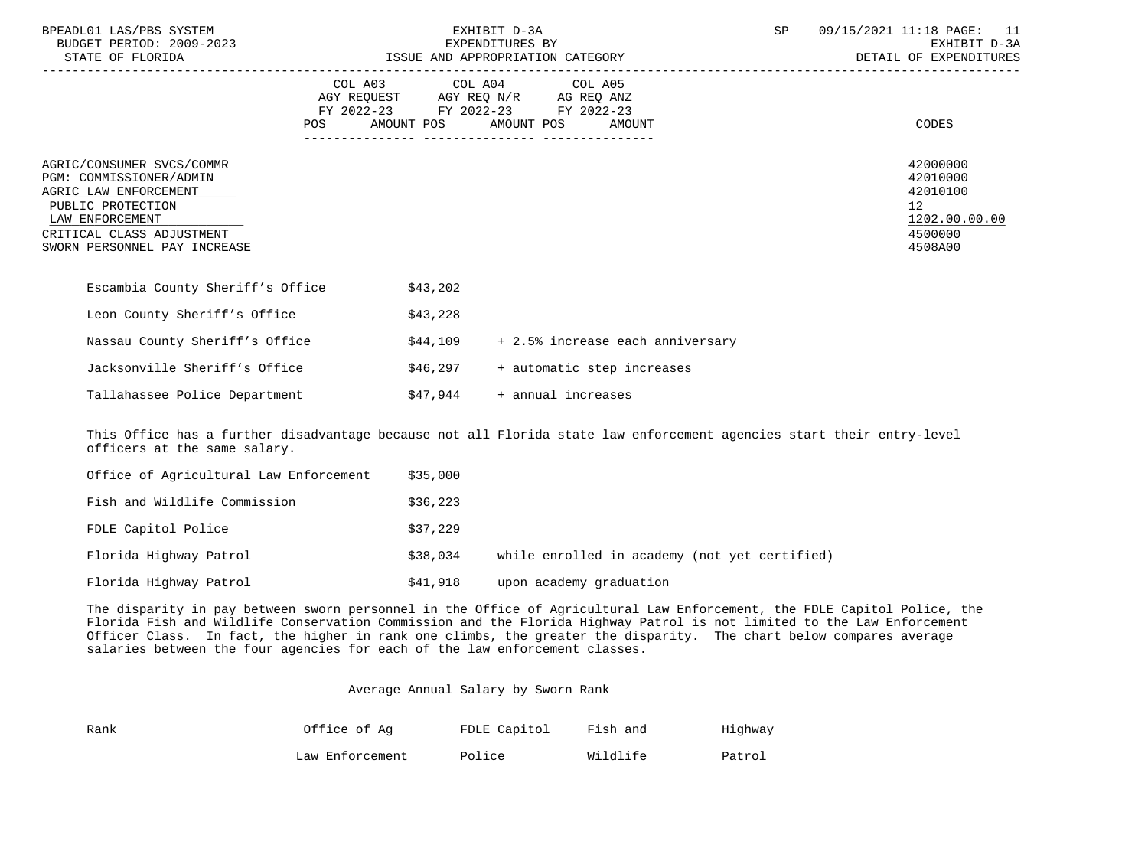| BPEADL01 LAS/PBS SYSTEM<br>BUDGET PERIOD: 2009-2023<br>STATE OF FLORIDA                                                                                                            |            | EXHIBIT D-3A<br>EXPENDITURES BY<br>ISSUE AND APPROPRIATION CATEGORY                                                                  | SP | 09/15/2021 11:18 PAGE: 11<br>EXHIBIT D-3A<br>DETAIL OF EXPENDITURES           |
|------------------------------------------------------------------------------------------------------------------------------------------------------------------------------------|------------|--------------------------------------------------------------------------------------------------------------------------------------|----|-------------------------------------------------------------------------------|
|                                                                                                                                                                                    | <b>POS</b> | COL A03 COL A04 COL A05<br>AGY REQUEST AGY REQ N/R AG REQ ANZ<br>FY 2022-23 FY 2022-23 FY 2022-23<br>AMOUNT POS AMOUNT POS<br>AMOUNT |    | CODES                                                                         |
| AGRIC/CONSUMER SVCS/COMMR<br>PGM: COMMISSIONER/ADMIN<br>AGRIC LAW ENFORCEMENT<br>PUBLIC PROTECTION<br>LAW ENFORCEMENT<br>CRITICAL CLASS ADJUSTMENT<br>SWORN PERSONNEL PAY INCREASE |            |                                                                                                                                      |    | 42000000<br>42010000<br>42010100<br>12<br>1202.00.00.00<br>4500000<br>4508A00 |
| Escambia County Sheriff's Office                                                                                                                                                   | \$43,202   |                                                                                                                                      |    |                                                                               |
| Leon County Sheriff's Office                                                                                                                                                       | \$43,228   |                                                                                                                                      |    |                                                                               |
| Nassau County Sheriff's Office                                                                                                                                                     | \$44,109   | + 2.5% increase each anniversary                                                                                                     |    |                                                                               |
| Jacksonville Sheriff's Office                                                                                                                                                      | \$46,297   | + automatic step increases                                                                                                           |    |                                                                               |
| Tallahassee Police Department                                                                                                                                                      | \$47,944   | + annual increases                                                                                                                   |    |                                                                               |

 This Office has a further disadvantage because not all Florida state law enforcement agencies start their entry-level officers at the same salary.

| Office of Agricultural Law Enforcement | \$35.000 |                                               |
|----------------------------------------|----------|-----------------------------------------------|
| Fish and Wildlife Commission           | \$36,223 |                                               |
| FDLE Capitol Police                    | \$37.229 |                                               |
| Florida Highway Patrol                 | \$38,034 | while enrolled in academy (not yet certified) |
| Florida Highway Patrol                 | \$41,918 | upon academy graduation                       |

 The disparity in pay between sworn personnel in the Office of Agricultural Law Enforcement, the FDLE Capitol Police, the Florida Fish and Wildlife Conservation Commission and the Florida Highway Patrol is not limited to the Law Enforcement Officer Class. In fact, the higher in rank one climbs, the greater the disparity. The chart below compares average salaries between the four agencies for each of the law enforcement classes.

#### Average Annual Salary by Sworn Rank

| Rank | Office of Aq    | FDLE Capitol | Fish and | Highway |
|------|-----------------|--------------|----------|---------|
|      | Law Enforcement | Police       | Wildlife | Patrol  |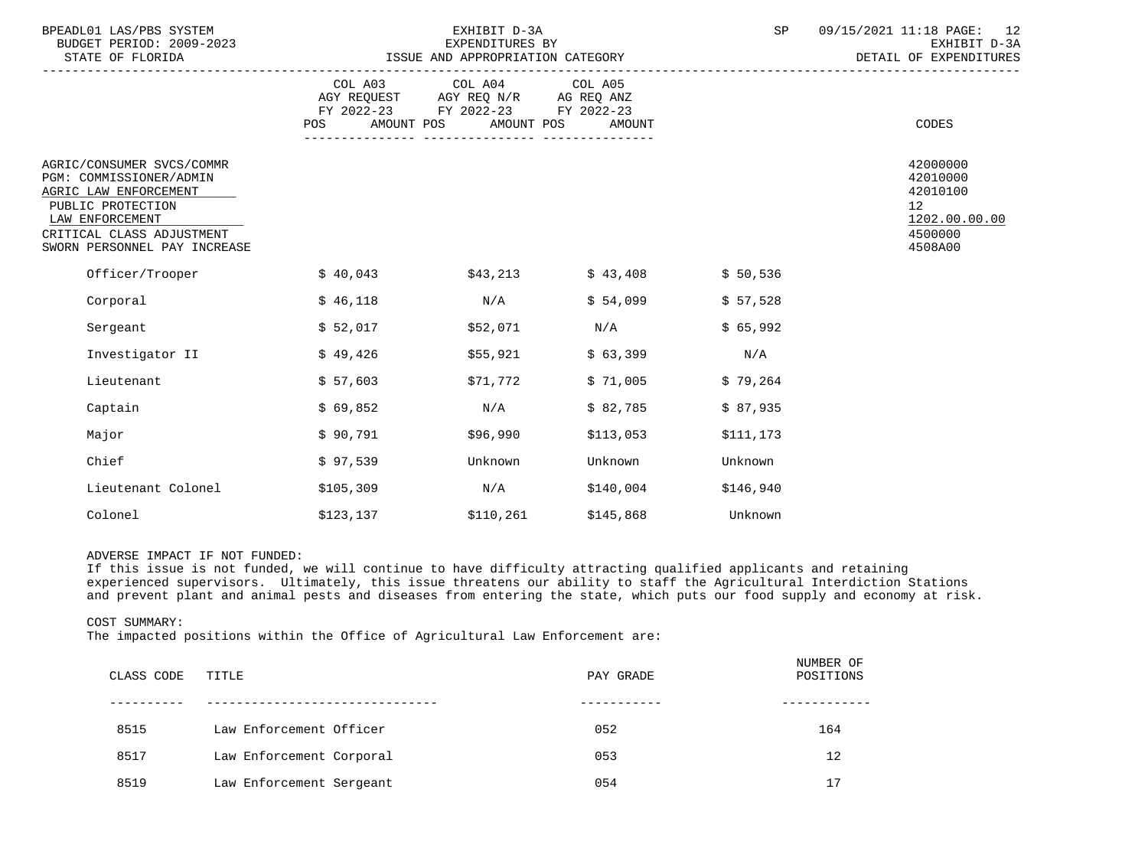| BPEADL01 LAS/PBS SYSTEM<br>BUDGET PERIOD: 2009-2023<br>STATE OF FLORIDA                                                                                                            |                              | EXHIBIT D-3A<br>EXPENDITURES BY<br>ISSUE AND APPROPRIATION CATEGORY                                     | SP        | 09/15/2021 11:18 PAGE: 12<br>EXHIBIT D-3A<br>DETAIL OF EXPENDITURES |                                                                               |
|------------------------------------------------------------------------------------------------------------------------------------------------------------------------------------|------------------------------|---------------------------------------------------------------------------------------------------------|-----------|---------------------------------------------------------------------|-------------------------------------------------------------------------------|
|                                                                                                                                                                                    | COL A03<br>POS<br>AMOUNT POS | COL A04 COL A05<br>AGY REQUEST AGY REQ N/R AG REQ ANZ<br>FY 2022-23 FY 2022-23 FY 2022-23<br>AMOUNT POS | AMOUNT    |                                                                     | CODES                                                                         |
| AGRIC/CONSUMER SVCS/COMMR<br>PGM: COMMISSIONER/ADMIN<br>AGRIC LAW ENFORCEMENT<br>PUBLIC PROTECTION<br>LAW ENFORCEMENT<br>CRITICAL CLASS ADJUSTMENT<br>SWORN PERSONNEL PAY INCREASE |                              |                                                                                                         |           |                                                                     | 42000000<br>42010000<br>42010100<br>12<br>1202.00.00.00<br>4500000<br>4508A00 |
| Officer/Trooper                                                                                                                                                                    | \$40,043                     | \$43,213                                                                                                | \$43,408  | \$50,536                                                            |                                                                               |
| Corporal                                                                                                                                                                           | \$46,118                     | N/A                                                                                                     | \$54,099  | \$57,528                                                            |                                                                               |
| Sergeant                                                                                                                                                                           | \$52,017                     | \$52,071                                                                                                | N/A       | \$65,992                                                            |                                                                               |
| Investigator II                                                                                                                                                                    | \$49,426                     | \$55,921                                                                                                | \$63,399  | N/A                                                                 |                                                                               |
| Lieutenant                                                                                                                                                                         | \$57,603                     | \$71,772                                                                                                | \$71,005  | \$79,264                                                            |                                                                               |
| Captain                                                                                                                                                                            | \$69,852                     | N/A                                                                                                     | \$82,785  | \$87,935                                                            |                                                                               |
| Major                                                                                                                                                                              | \$90,791                     | \$96,990                                                                                                | \$113,053 | \$111,173                                                           |                                                                               |
| Chief                                                                                                                                                                              | \$97,539                     | Unknown                                                                                                 | Unknown   | Unknown                                                             |                                                                               |
| Lieutenant Colonel                                                                                                                                                                 | \$105,309                    | $\mathrm{N}/\mathrm{A}$                                                                                 | \$140,004 | \$146,940                                                           |                                                                               |
| Colonel                                                                                                                                                                            | \$123,137                    | \$110,261                                                                                               | \$145,868 | Unknown                                                             |                                                                               |

ADVERSE IMPACT IF NOT FUNDED:

 If this issue is not funded, we will continue to have difficulty attracting qualified applicants and retaining experienced supervisors. Ultimately, this issue threatens our ability to staff the Agricultural Interdiction Stations and prevent plant and animal pests and diseases from entering the state, which puts our food supply and economy at risk.

#### COST SUMMARY:

The impacted positions within the Office of Agricultural Law Enforcement are:

| CLASS CODE | TITLE                    | PAY GRADE | NUMBER OF<br>POSITIONS |
|------------|--------------------------|-----------|------------------------|
|            |                          |           |                        |
| 8515       | Law Enforcement Officer  | 052       | 164                    |
| 8517       | Law Enforcement Corporal | 053       | 12                     |
| 8519       | Law Enforcement Sergeant | 054       | 17                     |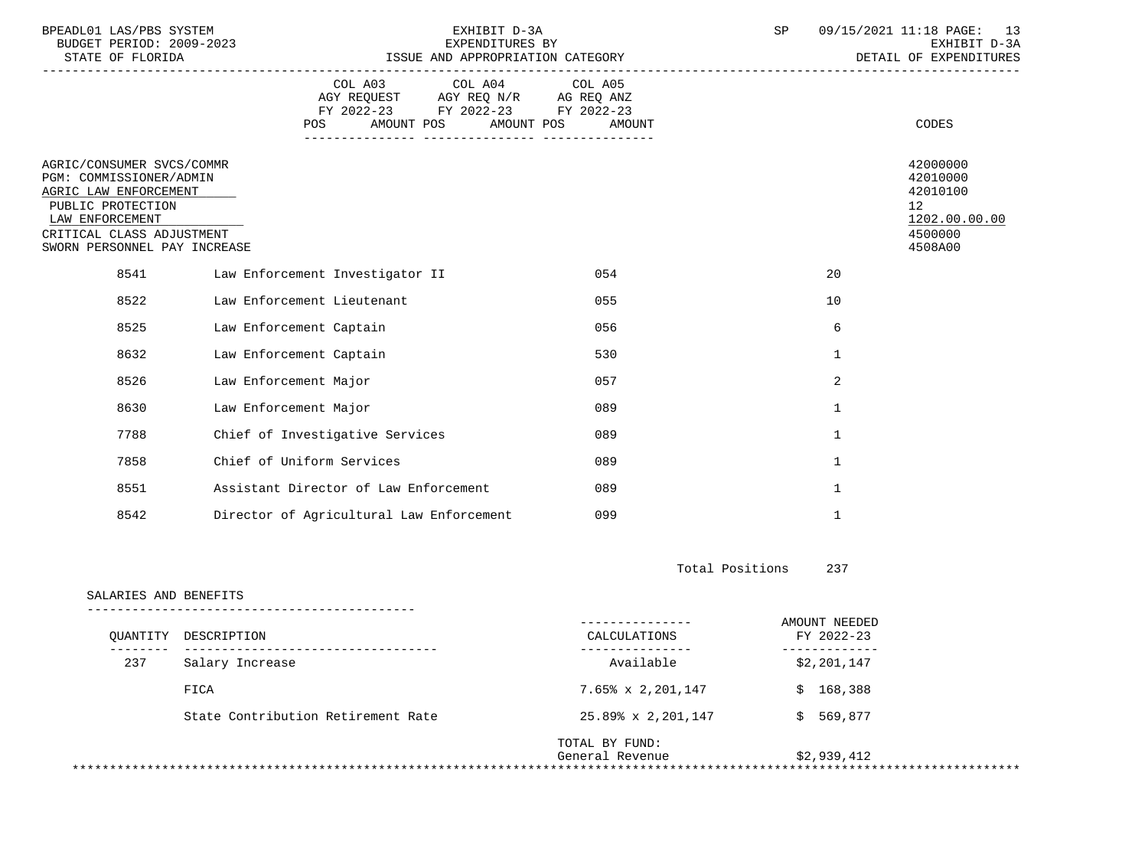| BPEADL01 LAS/PBS SYSTEM<br>BUDGET PERIOD: 2009-2023<br>STATE OF FLORIDA                                                                                                            |                       | EXHIBIT D-3A<br>EXPENDITURES BY<br>ISSUE AND APPROPRIATION CATEGORY |                                                                                                         |                                   |                        |                              | 09/15/2021 11:18 PAGE: 13<br>EXHIBIT D-3A<br>DETAIL OF EXPENDITURES           |
|------------------------------------------------------------------------------------------------------------------------------------------------------------------------------------|-----------------------|---------------------------------------------------------------------|---------------------------------------------------------------------------------------------------------|-----------------------------------|------------------------|------------------------------|-------------------------------------------------------------------------------|
|                                                                                                                                                                                    |                       | COL A03<br>AMOUNT POS<br>POS                                        | COL A04 COL A05<br>AGY REQUEST AGY REQ N/R AG REQ ANZ<br>FY 2022-23 FY 2022-23 FY 2022-23<br>AMOUNT POS | AMOUNT                            |                        |                              | CODES                                                                         |
| AGRIC/CONSUMER SVCS/COMMR<br>PGM: COMMISSIONER/ADMIN<br>AGRIC LAW ENFORCEMENT<br>PUBLIC PROTECTION<br>LAW ENFORCEMENT<br>CRITICAL CLASS ADJUSTMENT<br>SWORN PERSONNEL PAY INCREASE |                       |                                                                     |                                                                                                         |                                   |                        |                              | 42000000<br>42010000<br>42010100<br>12<br>1202.00.00.00<br>4500000<br>4508A00 |
| 8541                                                                                                                                                                               |                       | Law Enforcement Investigator II                                     |                                                                                                         | 054                               |                        | 20                           |                                                                               |
| 8522                                                                                                                                                                               |                       | Law Enforcement Lieutenant                                          |                                                                                                         | 055                               |                        | 10                           |                                                                               |
| 8525                                                                                                                                                                               |                       | Law Enforcement Captain                                             |                                                                                                         | 056                               |                        | 6                            |                                                                               |
| 8632                                                                                                                                                                               |                       | Law Enforcement Captain                                             |                                                                                                         | 530                               |                        | $\mathbf{1}$                 |                                                                               |
| 8526                                                                                                                                                                               | Law Enforcement Major |                                                                     |                                                                                                         | 057                               |                        | 2                            |                                                                               |
| 8630                                                                                                                                                                               | Law Enforcement Major |                                                                     |                                                                                                         | 089                               |                        | $\mathbf{1}$                 |                                                                               |
| 7788                                                                                                                                                                               |                       | Chief of Investigative Services                                     |                                                                                                         | 089                               |                        | $\mathbf{1}$                 |                                                                               |
| 7858                                                                                                                                                                               |                       | Chief of Uniform Services                                           |                                                                                                         | 089                               |                        | $\mathbf{1}$                 |                                                                               |
| 8551                                                                                                                                                                               |                       | Assistant Director of Law Enforcement                               |                                                                                                         | 089                               |                        | $\mathbf{1}$                 |                                                                               |
| 8542                                                                                                                                                                               |                       | Director of Agricultural Law Enforcement                            |                                                                                                         | 099                               |                        | $\mathbf{1}$                 |                                                                               |
|                                                                                                                                                                                    |                       |                                                                     |                                                                                                         |                                   | Total Positions        | 237                          |                                                                               |
| SALARIES AND BENEFITS                                                                                                                                                              |                       |                                                                     |                                                                                                         |                                   |                        |                              |                                                                               |
| OUANTITY DESCRIPTION                                                                                                                                                               |                       |                                                                     |                                                                                                         | ---------------<br>CALCULATIONS   |                        | AMOUNT NEEDED<br>FY 2022-23  |                                                                               |
| 237                                                                                                                                                                                | Salary Increase       | -----------------------------------                                 |                                                                                                         | ---------------<br>Available      |                        | -------------<br>\$2,201,147 |                                                                               |
|                                                                                                                                                                                    | FICA                  |                                                                     |                                                                                                         | 7.65% x 2,201,147                 |                        | \$168,388                    |                                                                               |
|                                                                                                                                                                                    |                       | State Contribution Retirement Rate                                  |                                                                                                         | 25.89% x 2,201,147                |                        | \$569,877                    |                                                                               |
|                                                                                                                                                                                    |                       |                                                                     |                                                                                                         | TOTAL BY FUND:<br>General Revenue | ********************** | \$2,939,412                  | ***************************                                                   |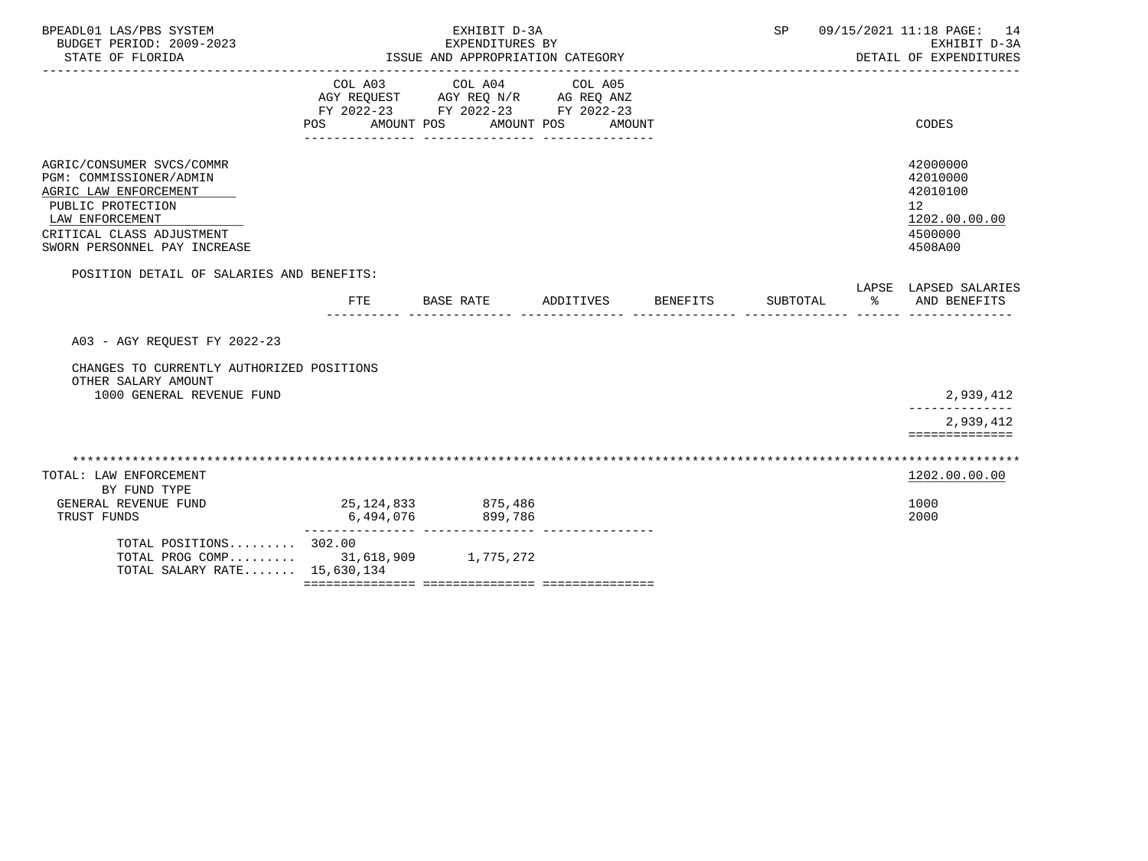| BPEADL01 LAS/PBS SYSTEM<br>BUDGET PERIOD: 2009-2023<br>STATE OF FLORIDA                                                                                                            |                           | EXHIBIT D-3A<br>EXPENDITURES BY<br>ISSUE AND APPROPRIATION CATEGORY               |                                 |          | <b>SP</b> |    | 09/15/2021 11:18 PAGE: 14<br>EXHIBIT D-3A<br>DETAIL OF EXPENDITURES           |
|------------------------------------------------------------------------------------------------------------------------------------------------------------------------------------|---------------------------|-----------------------------------------------------------------------------------|---------------------------------|----------|-----------|----|-------------------------------------------------------------------------------|
|                                                                                                                                                                                    | COL A03<br>POS AMOUNT POS | COL A04<br>AGY REQUEST AGY REQ N/R AG REQ ANZ<br>FY 2022-23 FY 2022-23 FY 2022-23 | COL A05<br>AMOUNT POS<br>AMOUNT |          |           |    | CODES                                                                         |
| AGRIC/CONSUMER SVCS/COMMR<br>PGM: COMMISSIONER/ADMIN<br>AGRIC LAW ENFORCEMENT<br>PUBLIC PROTECTION<br>LAW ENFORCEMENT<br>CRITICAL CLASS ADJUSTMENT<br>SWORN PERSONNEL PAY INCREASE |                           |                                                                                   |                                 |          |           |    | 42000000<br>42010000<br>42010100<br>12<br>1202.00.00.00<br>4500000<br>4508A00 |
| POSITION DETAIL OF SALARIES AND BENEFITS:                                                                                                                                          | FTE                       | BASE RATE                                                                         | ADDITIVES                       | BENEFITS | SUBTOTAL  | °≈ | LAPSE LAPSED SALARIES<br>AND BENEFITS                                         |
| A03 - AGY REQUEST FY 2022-23                                                                                                                                                       |                           |                                                                                   |                                 |          |           |    |                                                                               |
| CHANGES TO CURRENTLY AUTHORIZED POSITIONS<br>OTHER SALARY AMOUNT<br>1000 GENERAL REVENUE FUND                                                                                      |                           |                                                                                   |                                 |          |           |    | 2,939,412                                                                     |
|                                                                                                                                                                                    |                           |                                                                                   |                                 |          |           |    | 2,939,412<br>==============                                                   |
| TOTAL: LAW ENFORCEMENT<br>BY FUND TYPE                                                                                                                                             |                           |                                                                                   |                                 |          |           |    | 1202.00.00.00                                                                 |
| GENERAL REVENUE FUND<br>TRUST FUNDS                                                                                                                                                | 25,124,833<br>6,494,076   | 875,486<br>899,786                                                                |                                 |          |           |    | 1000<br>2000                                                                  |
| TOTAL POSITIONS 302.00<br>TOTAL PROG COMP 31,618,909<br>TOTAL SALARY RATE 15,630,134                                                                                               |                           | 1,775,272                                                                         |                                 |          |           |    |                                                                               |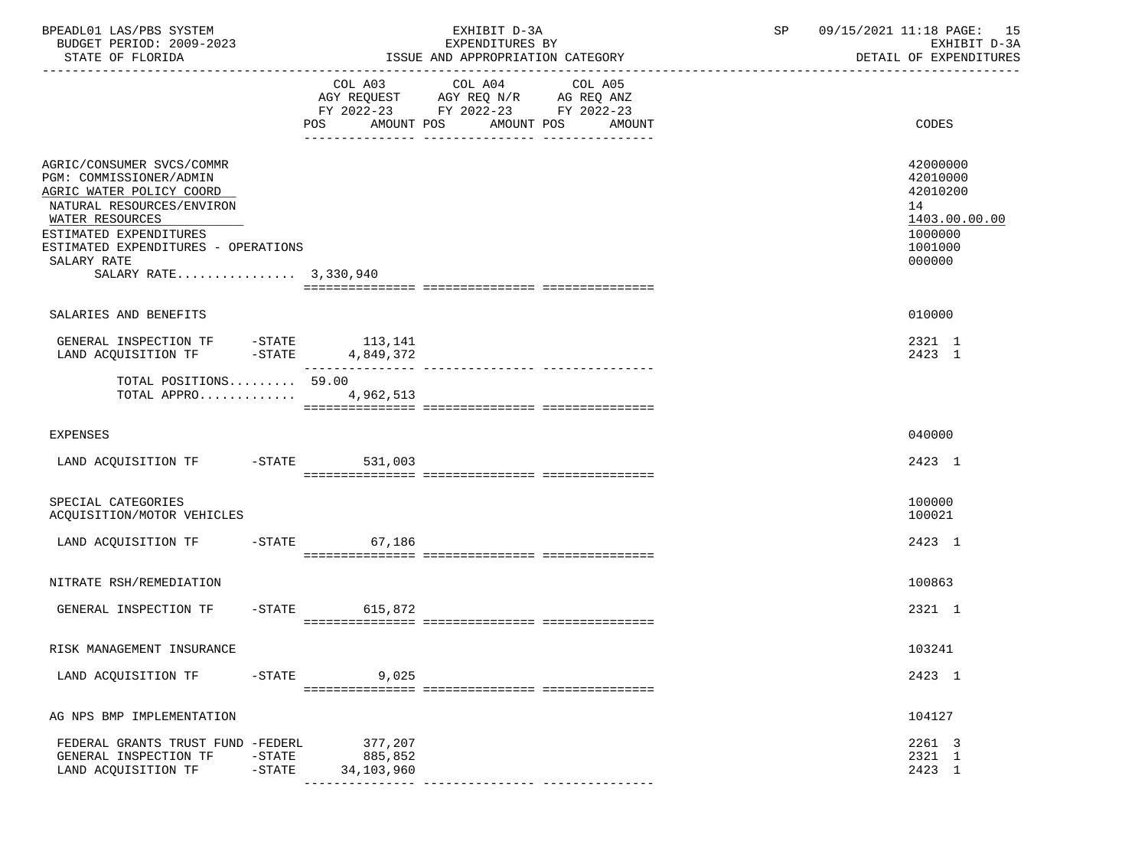| BPEADL01 LAS/PBS SYSTEM<br>BUDGET PERIOD: 2009-2023<br>STATE OF FLORIDA                                                                                                                                                                   |                      | EXHIBIT D-3A<br>EXPENDITURES BY<br>ISSUE AND APPROPRIATION CATEGORY |                                                                                           |                                         | SP | 09/15/2021 11:18 PAGE: 15<br>EXHIBIT D-3A<br>DETAIL OF EXPENDITURES                     |
|-------------------------------------------------------------------------------------------------------------------------------------------------------------------------------------------------------------------------------------------|----------------------|---------------------------------------------------------------------|-------------------------------------------------------------------------------------------|-----------------------------------------|----|-----------------------------------------------------------------------------------------|
|                                                                                                                                                                                                                                           |                      | <b>POS</b>                                                          | COL A03 COL A04<br>AGY REQUEST AGY REQ N/R AG REQ ANZ<br>FY 2022-23 FY 2022-23 FY 2022-23 | COL A05<br>AMOUNT POS AMOUNT POS AMOUNT |    | CODES                                                                                   |
| AGRIC/CONSUMER SVCS/COMMR<br>PGM: COMMISSIONER/ADMIN<br>AGRIC WATER POLICY COORD<br>NATURAL RESOURCES/ENVIRON<br>WATER RESOURCES<br>ESTIMATED EXPENDITURES<br>ESTIMATED EXPENDITURES - OPERATIONS<br>SALARY RATE<br>SALARY RATE 3,330,940 |                      |                                                                     |                                                                                           |                                         |    | 42000000<br>42010000<br>42010200<br>14<br>1403.00.00.00<br>1000000<br>1001000<br>000000 |
| SALARIES AND BENEFITS                                                                                                                                                                                                                     |                      |                                                                     |                                                                                           |                                         |    | 010000                                                                                  |
| GENERAL INSPECTION TF $-$ STATE 113,141<br>LAND ACQUISITION TF $-$ STATE 4,849,372                                                                                                                                                        |                      |                                                                     |                                                                                           |                                         |    | 2321 1<br>2423 1                                                                        |
| TOTAL POSITIONS 59.00<br>TOTAL APPRO                                                                                                                                                                                                      |                      | 4,962,513                                                           |                                                                                           |                                         |    |                                                                                         |
| <b>EXPENSES</b>                                                                                                                                                                                                                           |                      |                                                                     |                                                                                           |                                         |    | 040000                                                                                  |
| LAND ACQUISITION TF -STATE 531,003                                                                                                                                                                                                        |                      |                                                                     |                                                                                           |                                         |    | 2423 1                                                                                  |
| SPECIAL CATEGORIES<br>ACQUISITION/MOTOR VEHICLES                                                                                                                                                                                          |                      |                                                                     |                                                                                           |                                         |    | 100000<br>100021                                                                        |
| LAND ACQUISITION TF                                                                                                                                                                                                                       |                      | -STATE 67,186                                                       |                                                                                           |                                         |    | 2423 1                                                                                  |
| NITRATE RSH/REMEDIATION                                                                                                                                                                                                                   |                      |                                                                     |                                                                                           |                                         |    | 100863                                                                                  |
| GENERAL INSPECTION TF                                                                                                                                                                                                                     |                      | $-STATE$ 615,872                                                    |                                                                                           |                                         |    | 2321 1                                                                                  |
| RISK MANAGEMENT INSURANCE                                                                                                                                                                                                                 |                      |                                                                     |                                                                                           |                                         |    | 103241                                                                                  |
| LAND ACQUISITION TF                                                                                                                                                                                                                       | $-$ STATE            | 9,025                                                               |                                                                                           |                                         |    | 2423 1                                                                                  |
| AG NPS BMP IMPLEMENTATION                                                                                                                                                                                                                 |                      |                                                                     |                                                                                           |                                         |    | 104127                                                                                  |
| FEDERAL GRANTS TRUST FUND -FEDERL<br>GENERAL INSPECTION TF<br>LAND ACQUISITION TF                                                                                                                                                         | $-STATE$<br>$-STATE$ | 377,207<br>885,852<br>34,103,960                                    |                                                                                           |                                         |    | 2261 3<br>2321 1<br>2423 1                                                              |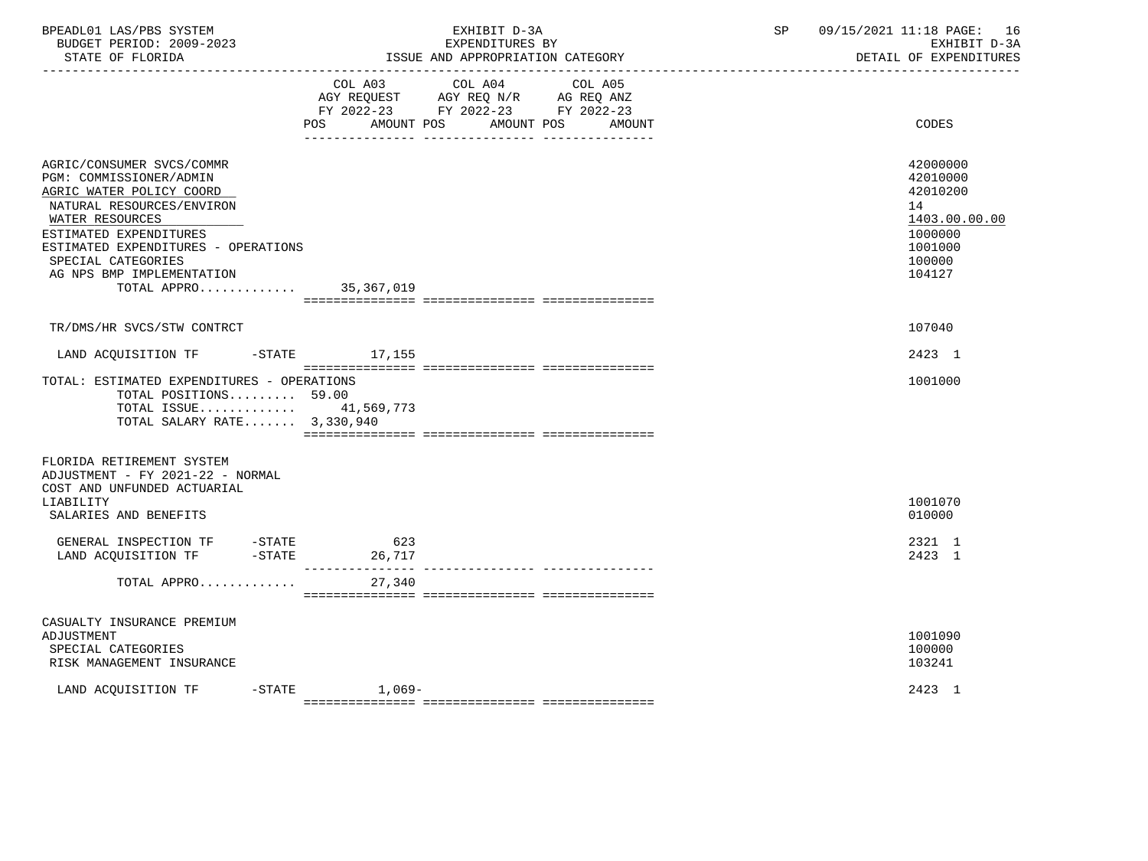| BPEADL01 LAS/PBS SYSTEM |                          |
|-------------------------|--------------------------|
|                         | BUDGET PERIOD: 2009-2023 |

|                                                                                                                                                                                                                                                                     | POS<br>AMOUNT POS | COL A03 COL A04 COL A05<br>AGY REQUEST AGY REQ N/R AG REQ ANZ<br>FY 2022-23 FY 2022-23 FY 2022-23<br>AMOUNT POS<br><u> Ludwala Ludwa L</u> | AMOUNT | CODES                                                                                             |
|---------------------------------------------------------------------------------------------------------------------------------------------------------------------------------------------------------------------------------------------------------------------|-------------------|--------------------------------------------------------------------------------------------------------------------------------------------|--------|---------------------------------------------------------------------------------------------------|
| AGRIC/CONSUMER SVCS/COMMR<br>PGM: COMMISSIONER/ADMIN<br>AGRIC WATER POLICY COORD<br>NATURAL RESOURCES/ENVIRON<br>WATER RESOURCES<br>ESTIMATED EXPENDITURES<br>ESTIMATED EXPENDITURES - OPERATIONS<br>SPECIAL CATEGORIES<br>AG NPS BMP IMPLEMENTATION<br>TOTAL APPRO | 35,367,019        |                                                                                                                                            |        | 42000000<br>42010000<br>42010200<br>14<br>1403.00.00.00<br>1000000<br>1001000<br>100000<br>104127 |
| TR/DMS/HR SVCS/STW CONTRCT                                                                                                                                                                                                                                          |                   |                                                                                                                                            |        | 107040                                                                                            |
| LAND ACQUISITION TF -STATE 17,155                                                                                                                                                                                                                                   |                   |                                                                                                                                            |        | 2423 1                                                                                            |
| TOTAL: ESTIMATED EXPENDITURES - OPERATIONS<br>TOTAL POSITIONS 59.00<br>TOTAL ISSUE 41,569,773<br>TOTAL SALARY RATE 3,330,940                                                                                                                                        |                   |                                                                                                                                            |        | 1001000                                                                                           |
| FLORIDA RETIREMENT SYSTEM<br>ADJUSTMENT - FY 2021-22 - NORMAL<br>COST AND UNFUNDED ACTUARIAL<br>LIABILITY<br>SALARIES AND BENEFITS                                                                                                                                  |                   |                                                                                                                                            |        | 1001070<br>010000                                                                                 |
| GENERAL INSPECTION TF -STATE<br>LAND ACQUISITION TF -STATE                                                                                                                                                                                                          | 623<br>26,717     |                                                                                                                                            |        | 2321 1<br>2423 1                                                                                  |
| TOTAL APPRO                                                                                                                                                                                                                                                         | 27,340            |                                                                                                                                            |        |                                                                                                   |
| CASUALTY INSURANCE PREMIUM<br>ADJUSTMENT<br>SPECIAL CATEGORIES<br>RISK MANAGEMENT INSURANCE                                                                                                                                                                         |                   |                                                                                                                                            |        | 1001090<br>100000<br>103241                                                                       |
| $-$ STATE<br>LAND ACOUISITION TF                                                                                                                                                                                                                                    | $1,069-$          |                                                                                                                                            |        | 2423 1                                                                                            |

ISSUE AND APPROPRIATION CATEGORY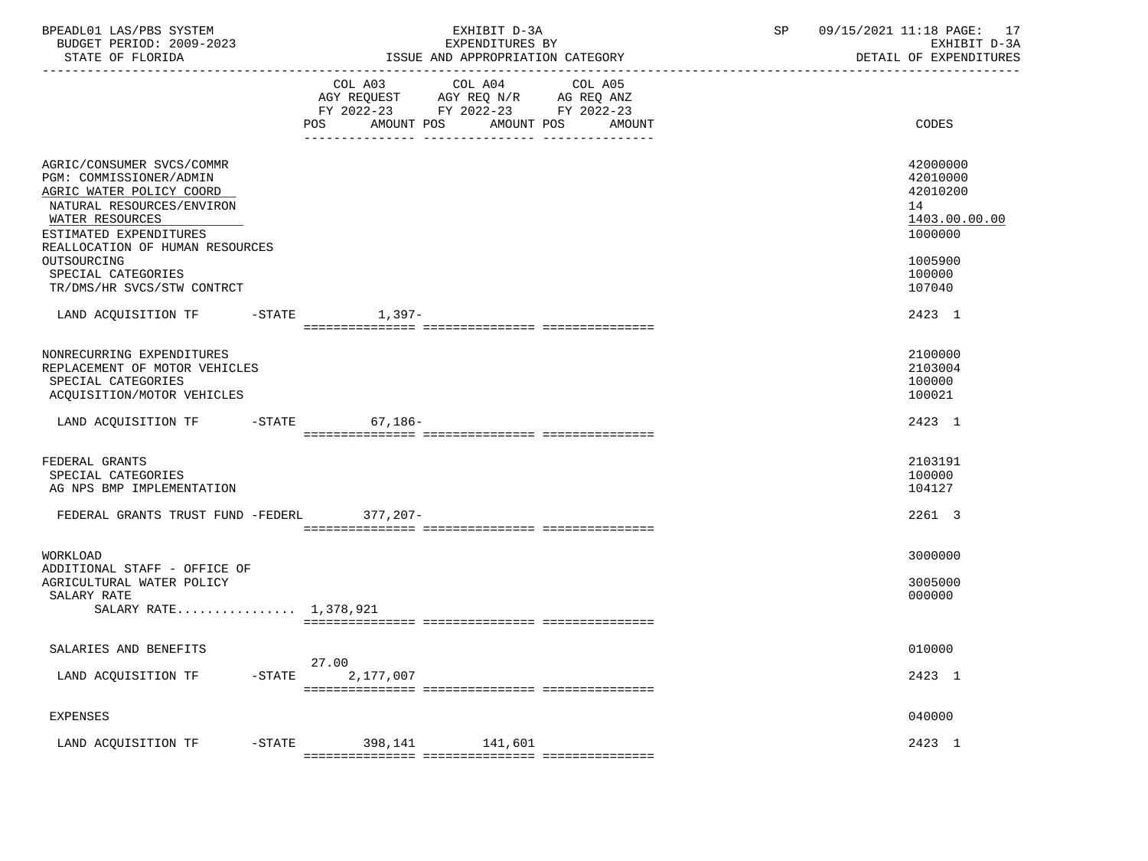| BPEADL01 LAS/PBS SYSTEM<br>BUDGET PERIOD: 2009-2023                                                                                                                                                                                                              |           |           | EXHIBIT D-3A<br>EXPENDITURES BY                                                                                                       | SP | 09/15/2021 11:18 PAGE: 17<br>EXHIBIT D-3A                                                         |
|------------------------------------------------------------------------------------------------------------------------------------------------------------------------------------------------------------------------------------------------------------------|-----------|-----------|---------------------------------------------------------------------------------------------------------------------------------------|----|---------------------------------------------------------------------------------------------------|
|                                                                                                                                                                                                                                                                  |           |           | COL A03 COL A04 COL A05<br>AGY REQUEST AGY REQ N/R AG REQ ANZ<br>FY 2022-23 FY 2022-23 FY 2022-23<br>POS AMOUNT POS AMOUNT POS AMOUNT |    | CODES                                                                                             |
| AGRIC/CONSUMER SVCS/COMMR<br>PGM: COMMISSIONER/ADMIN<br>AGRIC WATER POLICY COORD<br>NATURAL RESOURCES/ENVIRON<br>WATER RESOURCES<br>ESTIMATED EXPENDITURES<br>REALLOCATION OF HUMAN RESOURCES<br>OUTSOURCING<br>SPECIAL CATEGORIES<br>TR/DMS/HR SVCS/STW CONTRCT |           |           |                                                                                                                                       |    | 42000000<br>42010000<br>42010200<br>14<br>1403.00.00.00<br>1000000<br>1005900<br>100000<br>107040 |
| LAND ACQUISITION TF -STATE 1,397-                                                                                                                                                                                                                                |           |           |                                                                                                                                       |    | 2423 1                                                                                            |
| NONRECURRING EXPENDITURES<br>REPLACEMENT OF MOTOR VEHICLES<br>SPECIAL CATEGORIES<br>ACQUISITION/MOTOR VEHICLES                                                                                                                                                   |           |           |                                                                                                                                       |    | 2100000<br>2103004<br>100000<br>100021                                                            |
| LAND ACQUISITION TF -STATE                                                                                                                                                                                                                                       |           | 67,186-   |                                                                                                                                       |    | 2423 1                                                                                            |
| FEDERAL GRANTS<br>SPECIAL CATEGORIES<br>AG NPS BMP IMPLEMENTATION                                                                                                                                                                                                |           |           |                                                                                                                                       |    | 2103191<br>100000<br>104127                                                                       |
| FEDERAL GRANTS TRUST FUND -FEDERL 377,207-                                                                                                                                                                                                                       |           |           |                                                                                                                                       |    | 2261 3                                                                                            |
| WORKLOAD<br>ADDITIONAL STAFF - OFFICE OF                                                                                                                                                                                                                         |           |           |                                                                                                                                       |    | 3000000                                                                                           |
| AGRICULTURAL WATER POLICY<br>SALARY RATE<br>SALARY RATE 1,378,921                                                                                                                                                                                                |           |           |                                                                                                                                       |    | 3005000<br>000000                                                                                 |
| SALARIES AND BENEFITS                                                                                                                                                                                                                                            |           | 27.00     |                                                                                                                                       |    | 010000                                                                                            |
| LAND ACQUISITION TF                                                                                                                                                                                                                                              | $-$ STATE | 2,177,007 |                                                                                                                                       |    | 2423 1                                                                                            |
| <b>EXPENSES</b>                                                                                                                                                                                                                                                  |           |           |                                                                                                                                       |    | 040000                                                                                            |
| LAND ACQUISITION TF                                                                                                                                                                                                                                              | $-$ STATE | 398,141   | 141,601                                                                                                                               |    | 2423 1                                                                                            |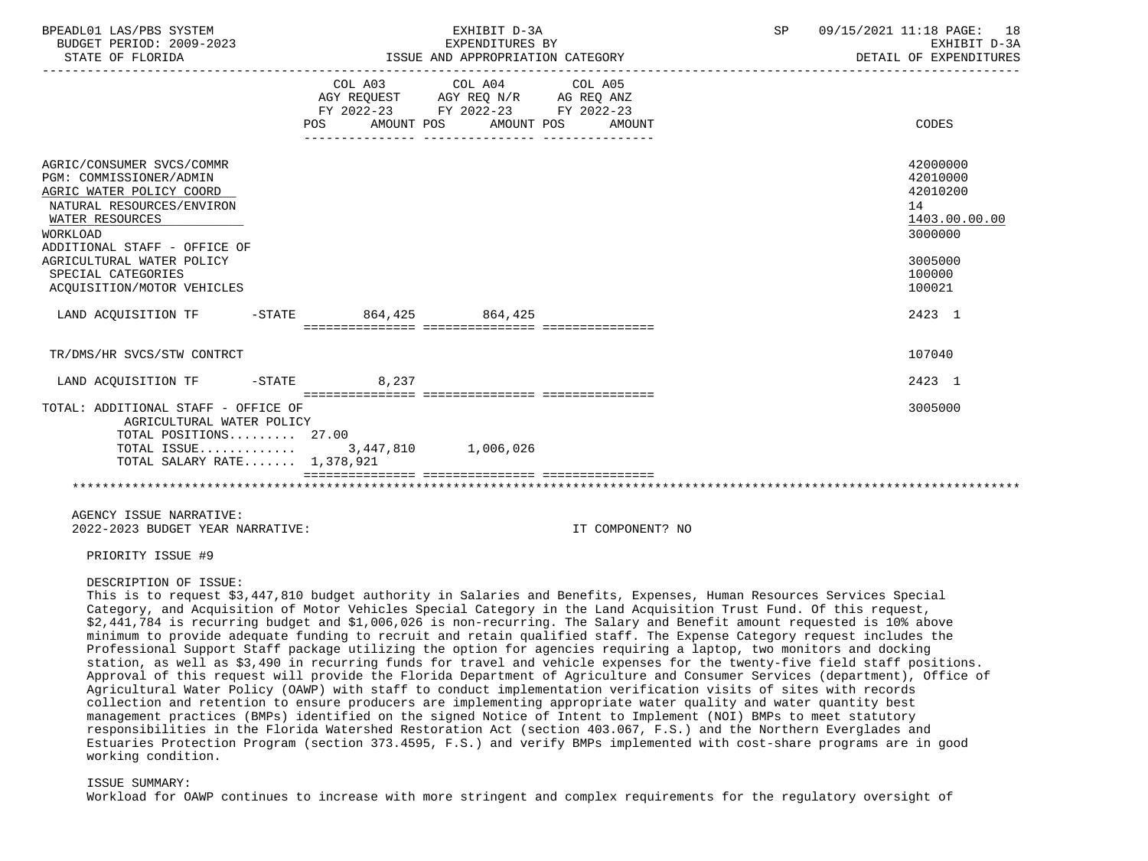| BPEADL01 LAS/PBS SYSTEM<br>BUDGET PERIOD: 2009-2023<br>STATE OF FLORIDA                                                                                                                                                                                                                                                                                                                                                                                                                                              |                                                      | EXHIBIT D-3A<br>EXPENDITURES BY<br>ISSUE AND APPROPRIATION CATEGORY                                        |                   | SP | 09/15/2021 11:18 PAGE: 18<br>EXHIBIT D-3A<br>DETAIL OF EXPENDITURES |
|----------------------------------------------------------------------------------------------------------------------------------------------------------------------------------------------------------------------------------------------------------------------------------------------------------------------------------------------------------------------------------------------------------------------------------------------------------------------------------------------------------------------|------------------------------------------------------|------------------------------------------------------------------------------------------------------------|-------------------|----|---------------------------------------------------------------------|
|                                                                                                                                                                                                                                                                                                                                                                                                                                                                                                                      | COL A03<br>POS                                       | COL A04<br>AGY REQUEST AGY REQ N/R AG REQ ANZ<br>FY 2022-23 FY 2022-23 FY 2022-23<br>AMOUNT POS AMOUNT POS | COL A05<br>AMOUNT |    | CODES                                                               |
| AGRIC/CONSUMER SVCS/COMMR<br>PGM: COMMISSIONER/ADMIN<br>AGRIC WATER POLICY COORD<br>NATURAL RESOURCES/ENVIRON<br>WATER RESOURCES<br>WORKLOAD<br>ADDITIONAL STAFF - OFFICE OF                                                                                                                                                                                                                                                                                                                                         |                                                      |                                                                                                            |                   |    | 42000000<br>42010000<br>42010200<br>14<br>1403.00.00.00<br>3000000  |
| AGRICULTURAL WATER POLICY<br>SPECIAL CATEGORIES<br>ACOUISITION/MOTOR VEHICLES                                                                                                                                                                                                                                                                                                                                                                                                                                        |                                                      |                                                                                                            |                   |    | 3005000<br>100000<br>100021                                         |
| LAND ACQUISITION TF                                                                                                                                                                                                                                                                                                                                                                                                                                                                                                  | -STATE 864,425 864,425                               |                                                                                                            |                   |    | 2423 1                                                              |
| TR/DMS/HR SVCS/STW CONTRCT                                                                                                                                                                                                                                                                                                                                                                                                                                                                                           |                                                      |                                                                                                            |                   |    | 107040                                                              |
| LAND ACQUISITION TF -STATE                                                                                                                                                                                                                                                                                                                                                                                                                                                                                           | 8,237                                                |                                                                                                            |                   |    | 2423 1                                                              |
| TOTAL: ADDITIONAL STAFF - OFFICE OF<br>AGRICULTURAL WATER POLICY<br>TOTAL POSITIONS $27.00$<br>TOTAL ISSUE<br>TOTAL SALARY RATE $1,378,921$                                                                                                                                                                                                                                                                                                                                                                          | - coopposobooboob coopposoboobooboo coopposobooboobo | 3,447,810 1,006,026                                                                                        |                   |    | 3005000                                                             |
|                                                                                                                                                                                                                                                                                                                                                                                                                                                                                                                      |                                                      |                                                                                                            |                   |    |                                                                     |
| AGENCY ISSUE NARRATIVE:<br>2022-2023 BUDGET YEAR NARRATIVE:                                                                                                                                                                                                                                                                                                                                                                                                                                                          |                                                      |                                                                                                            | IT COMPONENT? NO  |    |                                                                     |
| PRIORITY ISSUE #9                                                                                                                                                                                                                                                                                                                                                                                                                                                                                                    |                                                      |                                                                                                            |                   |    |                                                                     |
| DESCRIPTION OF ISSUE:<br>This is to request \$3,447,810 budget authority in Salaries and Benefits, Expenses, Human Resources Services Special<br>Category, and Acquisition of Motor Vehicles Special Category in the Land Acquisition Trust Fund. Of this request,<br>\$2,441,784 is recurring budget and \$1,006,026 is non-recurring. The Salary and Benefit amount requested is 10% above<br>minimum to provide adequate funding to recruit and retain qualified staff. The Expense Category request includes the |                                                      |                                                                                                            |                   |    |                                                                     |

 minimum to provide adequate funding to recruit and retain qualified staff. The Expense Category request includes the Professional Support Staff package utilizing the option for agencies requiring a laptop, two monitors and docking station, as well as \$3,490 in recurring funds for travel and vehicle expenses for the twenty-five field staff positions. Approval of this request will provide the Florida Department of Agriculture and Consumer Services (department), Office of Agricultural Water Policy (OAWP) with staff to conduct implementation verification visits of sites with records collection and retention to ensure producers are implementing appropriate water quality and water quantity best management practices (BMPs) identified on the signed Notice of Intent to Implement (NOI) BMPs to meet statutory responsibilities in the Florida Watershed Restoration Act (section 403.067, F.S.) and the Northern Everglades and Estuaries Protection Program (section 373.4595, F.S.) and verify BMPs implemented with cost-share programs are in good working condition.

#### ISSUE SUMMARY:

Workload for OAWP continues to increase with more stringent and complex requirements for the regulatory oversight of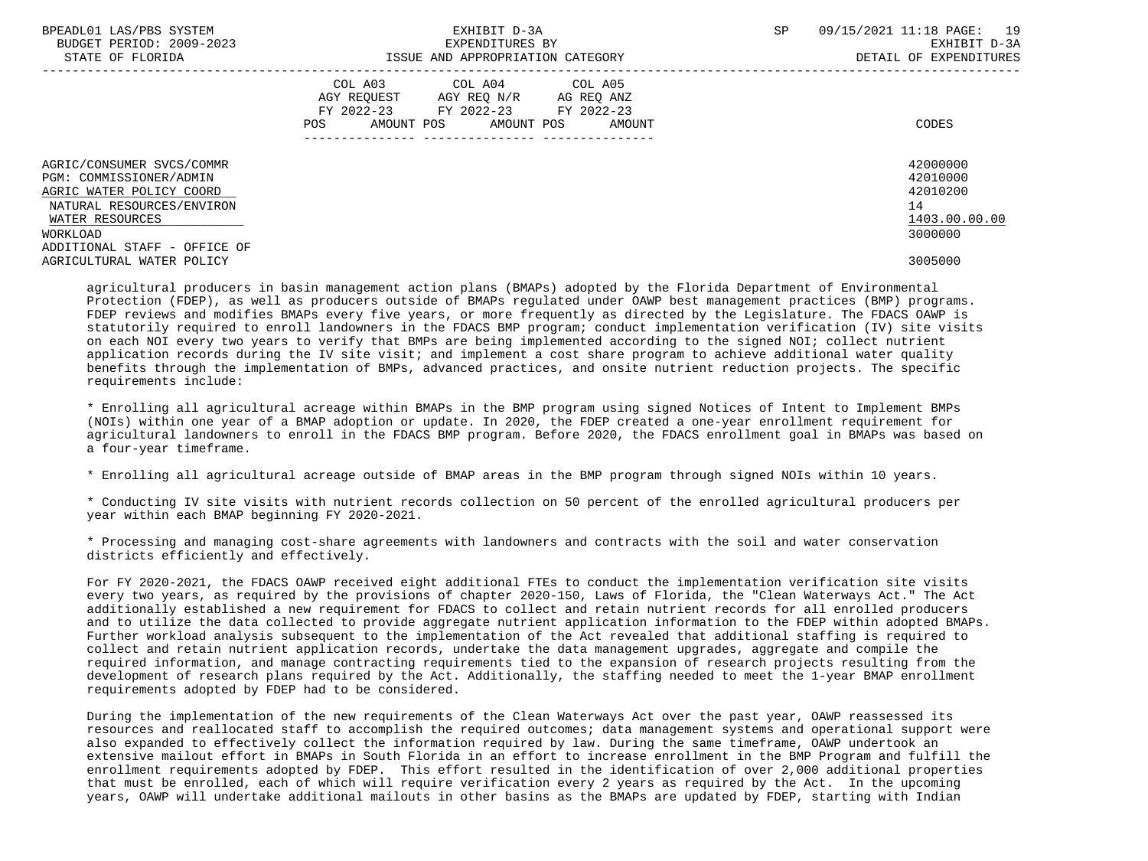| BPEADL01 LAS/PBS SYSTEM<br>BUDGET PERIOD: 2009-2023<br>STATE OF FLORIDA                                                                                                      | EXHIBIT D-3A<br>EXPENDITURES BY<br>ISSUE AND APPROPRIATION CATEGORY                                                                         | 19<br><b>SP</b><br>09/15/2021 11:18 PAGE:<br>EXHIBIT D-3A<br>DETAIL OF EXPENDITURES |
|------------------------------------------------------------------------------------------------------------------------------------------------------------------------------|---------------------------------------------------------------------------------------------------------------------------------------------|-------------------------------------------------------------------------------------|
|                                                                                                                                                                              | COL A03<br>COL A04 COL A05<br>AGY REQUEST AGY REQ N/R AG REQ ANZ<br>FY 2022-23 FY 2022-23 FY 2022-23<br>AMOUNT POS AMOUNT POS AMOUNT<br>POS | CODES                                                                               |
| AGRIC/CONSUMER SVCS/COMMR<br>PGM: COMMISSIONER/ADMIN<br>AGRIC WATER POLICY COORD<br>NATURAL RESOURCES/ENVIRON<br>WATER RESOURCES<br>WORKLOAD<br>ADDITIONAL STAFF - OFFICE OF |                                                                                                                                             | 42000000<br>42010000<br>42010200<br>14<br>1403.00.00.00<br>3000000                  |
| AGRICULTURAL WATER POLICY                                                                                                                                                    |                                                                                                                                             | 3005000                                                                             |

 agricultural producers in basin management action plans (BMAPs) adopted by the Florida Department of Environmental Protection (FDEP), as well as producers outside of BMAPs regulated under OAWP best management practices (BMP) programs. FDEP reviews and modifies BMAPs every five years, or more frequently as directed by the Legislature. The FDACS OAWP is statutorily required to enroll landowners in the FDACS BMP program; conduct implementation verification (IV) site visits on each NOI every two years to verify that BMPs are being implemented according to the signed NOI; collect nutrient application records during the IV site visit; and implement a cost share program to achieve additional water quality benefits through the implementation of BMPs, advanced practices, and onsite nutrient reduction projects. The specific requirements include:

 \* Enrolling all agricultural acreage within BMAPs in the BMP program using signed Notices of Intent to Implement BMPs (NOIs) within one year of a BMAP adoption or update. In 2020, the FDEP created a one-year enrollment requirement for agricultural landowners to enroll in the FDACS BMP program. Before 2020, the FDACS enrollment goal in BMAPs was based on a four-year timeframe.

\* Enrolling all agricultural acreage outside of BMAP areas in the BMP program through signed NOIs within 10 years.

 \* Conducting IV site visits with nutrient records collection on 50 percent of the enrolled agricultural producers per year within each BMAP beginning FY 2020-2021.

 \* Processing and managing cost-share agreements with landowners and contracts with the soil and water conservation districts efficiently and effectively.

 For FY 2020-2021, the FDACS OAWP received eight additional FTEs to conduct the implementation verification site visits every two years, as required by the provisions of chapter 2020-150, Laws of Florida, the "Clean Waterways Act." The Act additionally established a new requirement for FDACS to collect and retain nutrient records for all enrolled producers and to utilize the data collected to provide aggregate nutrient application information to the FDEP within adopted BMAPs. Further workload analysis subsequent to the implementation of the Act revealed that additional staffing is required to collect and retain nutrient application records, undertake the data management upgrades, aggregate and compile the required information, and manage contracting requirements tied to the expansion of research projects resulting from the development of research plans required by the Act. Additionally, the staffing needed to meet the 1-year BMAP enrollment requirements adopted by FDEP had to be considered.

 During the implementation of the new requirements of the Clean Waterways Act over the past year, OAWP reassessed its resources and reallocated staff to accomplish the required outcomes; data management systems and operational support were also expanded to effectively collect the information required by law. During the same timeframe, OAWP undertook an extensive mailout effort in BMAPs in South Florida in an effort to increase enrollment in the BMP Program and fulfill the enrollment requirements adopted by FDEP. This effort resulted in the identification of over 2,000 additional properties that must be enrolled, each of which will require verification every 2 years as required by the Act. In the upcoming years, OAWP will undertake additional mailouts in other basins as the BMAPs are updated by FDEP, starting with Indian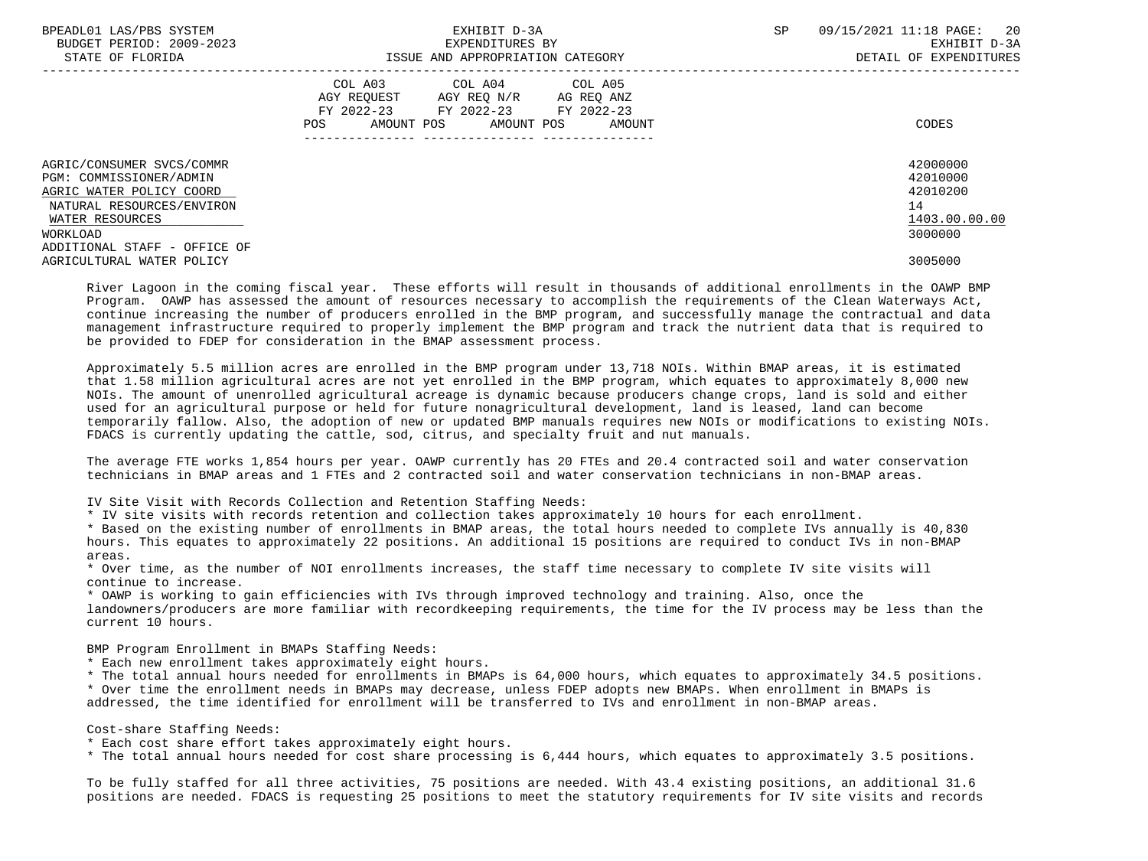| BPEADL01 LAS/PBS SYSTEM<br>BUDGET PERIOD: 2009-2023<br>STATE OF FLORIDA                                                                      | EXHIBIT D-3A<br>EXPENDITURES BY<br>ISSUE AND APPROPRIATION CATEGORY                                                                            | 20<br>SP<br>09/15/2021 11:18 PAGE:<br>EXHIBIT D-3A<br>DETAIL OF EXPENDITURES |
|----------------------------------------------------------------------------------------------------------------------------------------------|------------------------------------------------------------------------------------------------------------------------------------------------|------------------------------------------------------------------------------|
|                                                                                                                                              | COL A03<br>COL A04 COL A05<br>AGY REOUEST AGY REO N/R<br>AG REQ ANZ<br>FY 2022-23 FY 2022-23 FY 2022-23<br>POS<br>AMOUNT POS AMOUNT POS AMOUNT | CODES                                                                        |
| AGRIC/CONSUMER SVCS/COMMR<br>PGM: COMMISSIONER/ADMIN<br>AGRIC WATER POLICY COORD<br>NATURAL RESOURCES/ENVIRON<br>WATER RESOURCES<br>WORKLOAD |                                                                                                                                                | 42000000<br>42010000<br>42010200<br>14<br>1403.00.00.00<br>3000000           |
| ADDITIONAL STAFF - OFFICE OF<br>AGRICULTURAL WATER POLICY                                                                                    |                                                                                                                                                | 3005000                                                                      |

 River Lagoon in the coming fiscal year. These efforts will result in thousands of additional enrollments in the OAWP BMP Program. OAWP has assessed the amount of resources necessary to accomplish the requirements of the Clean Waterways Act, continue increasing the number of producers enrolled in the BMP program, and successfully manage the contractual and data management infrastructure required to properly implement the BMP program and track the nutrient data that is required to be provided to FDEP for consideration in the BMAP assessment process.

 Approximately 5.5 million acres are enrolled in the BMP program under 13,718 NOIs. Within BMAP areas, it is estimated that 1.58 million agricultural acres are not yet enrolled in the BMP program, which equates to approximately 8,000 new NOIs. The amount of unenrolled agricultural acreage is dynamic because producers change crops, land is sold and either used for an agricultural purpose or held for future nonagricultural development, land is leased, land can become temporarily fallow. Also, the adoption of new or updated BMP manuals requires new NOIs or modifications to existing NOIs. FDACS is currently updating the cattle, sod, citrus, and specialty fruit and nut manuals.

 The average FTE works 1,854 hours per year. OAWP currently has 20 FTEs and 20.4 contracted soil and water conservation technicians in BMAP areas and 1 FTEs and 2 contracted soil and water conservation technicians in non-BMAP areas.

IV Site Visit with Records Collection and Retention Staffing Needs:

\* IV site visits with records retention and collection takes approximately 10 hours for each enrollment.

 \* Based on the existing number of enrollments in BMAP areas, the total hours needed to complete IVs annually is 40,830 hours. This equates to approximately 22 positions. An additional 15 positions are required to conduct IVs in non-BMAP areas.

 \* Over time, as the number of NOI enrollments increases, the staff time necessary to complete IV site visits will continue to increase.

 \* OAWP is working to gain efficiencies with IVs through improved technology and training. Also, once the landowners/producers are more familiar with recordkeeping requirements, the time for the IV process may be less than the current 10 hours.

BMP Program Enrollment in BMAPs Staffing Needs:

\* Each new enrollment takes approximately eight hours.

 \* The total annual hours needed for enrollments in BMAPs is 64,000 hours, which equates to approximately 34.5 positions. \* Over time the enrollment needs in BMAPs may decrease, unless FDEP adopts new BMAPs. When enrollment in BMAPs is addressed, the time identified for enrollment will be transferred to IVs and enrollment in non-BMAP areas.

Cost-share Staffing Needs:

\* Each cost share effort takes approximately eight hours.

\* The total annual hours needed for cost share processing is 6,444 hours, which equates to approximately 3.5 positions.

 To be fully staffed for all three activities, 75 positions are needed. With 43.4 existing positions, an additional 31.6 positions are needed. FDACS is requesting 25 positions to meet the statutory requirements for IV site visits and records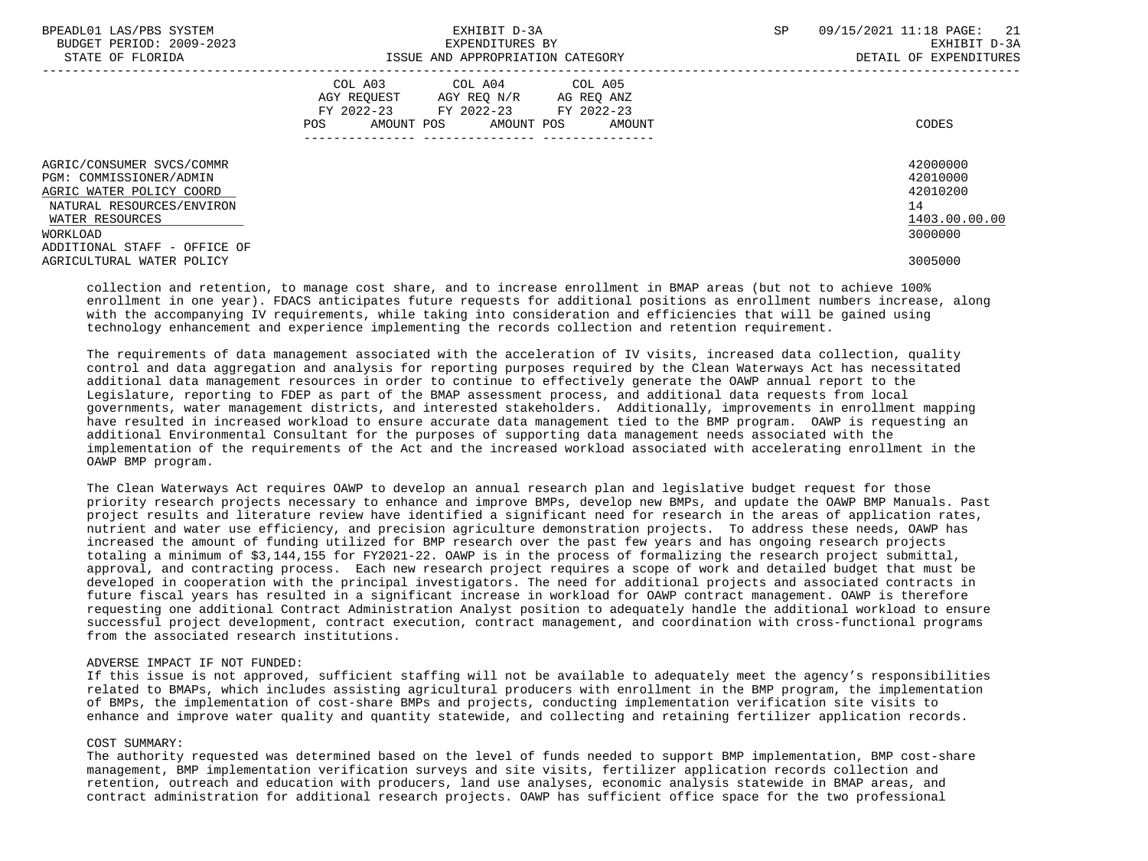| BPEADL01 LAS/PBS SYSTEM<br>BUDGET PERIOD: 2009-2023<br>STATE OF FLORIDA                  | EXHIBIT D-3A<br>EXPENDITURES BY<br>ISSUE AND APPROPRIATION CATEGORY                                                                                  | -21<br>SP<br>09/15/2021 11:18 PAGE:<br>EXHIBIT D-3A<br>DETAIL OF EXPENDITURES |
|------------------------------------------------------------------------------------------|------------------------------------------------------------------------------------------------------------------------------------------------------|-------------------------------------------------------------------------------|
|                                                                                          | COL A03<br>COL A04 COL A05<br>AGY REOUEST AGY REO N/R<br>AG REQ ANZ<br>FY 2022-23 FY 2022-23<br>FY 2022-23<br>POS<br>AMOUNT POS AMOUNT POS<br>AMOUNT | CODES                                                                         |
| AGRIC/CONSUMER SVCS/COMMR<br>PGM: COMMISSIONER/ADMIN<br>AGRIC WATER POLICY COORD         |                                                                                                                                                      | 42000000<br>42010000<br>42010200                                              |
| NATURAL RESOURCES/ENVIRON<br>WATER RESOURCES<br>WORKLOAD<br>ADDITIONAL STAFF - OFFICE OF |                                                                                                                                                      | 14<br>1403.00.00.00<br>3000000                                                |
| AGRICULTURAL WATER POLICY                                                                |                                                                                                                                                      | 3005000                                                                       |

 collection and retention, to manage cost share, and to increase enrollment in BMAP areas (but not to achieve 100% enrollment in one year). FDACS anticipates future requests for additional positions as enrollment numbers increase, along with the accompanying IV requirements, while taking into consideration and efficiencies that will be gained using technology enhancement and experience implementing the records collection and retention requirement.

 The requirements of data management associated with the acceleration of IV visits, increased data collection, quality control and data aggregation and analysis for reporting purposes required by the Clean Waterways Act has necessitated additional data management resources in order to continue to effectively generate the OAWP annual report to the Legislature, reporting to FDEP as part of the BMAP assessment process, and additional data requests from local governments, water management districts, and interested stakeholders. Additionally, improvements in enrollment mapping have resulted in increased workload to ensure accurate data management tied to the BMP program. OAWP is requesting an additional Environmental Consultant for the purposes of supporting data management needs associated with the implementation of the requirements of the Act and the increased workload associated with accelerating enrollment in the OAWP BMP program.

 The Clean Waterways Act requires OAWP to develop an annual research plan and legislative budget request for those priority research projects necessary to enhance and improve BMPs, develop new BMPs, and update the OAWP BMP Manuals. Past project results and literature review have identified a significant need for research in the areas of application rates, nutrient and water use efficiency, and precision agriculture demonstration projects. To address these needs, OAWP has increased the amount of funding utilized for BMP research over the past few years and has ongoing research projects totaling a minimum of \$3,144,155 for FY2021-22. OAWP is in the process of formalizing the research project submittal, approval, and contracting process. Each new research project requires a scope of work and detailed budget that must be developed in cooperation with the principal investigators. The need for additional projects and associated contracts in future fiscal years has resulted in a significant increase in workload for OAWP contract management. OAWP is therefore requesting one additional Contract Administration Analyst position to adequately handle the additional workload to ensure successful project development, contract execution, contract management, and coordination with cross-functional programs from the associated research institutions.

#### ADVERSE IMPACT IF NOT FUNDED:

 If this issue is not approved, sufficient staffing will not be available to adequately meet the agency's responsibilities related to BMAPs, which includes assisting agricultural producers with enrollment in the BMP program, the implementation of BMPs, the implementation of cost-share BMPs and projects, conducting implementation verification site visits to enhance and improve water quality and quantity statewide, and collecting and retaining fertilizer application records.

#### COST SUMMARY:

 The authority requested was determined based on the level of funds needed to support BMP implementation, BMP cost-share management, BMP implementation verification surveys and site visits, fertilizer application records collection and retention, outreach and education with producers, land use analyses, economic analysis statewide in BMAP areas, and contract administration for additional research projects. OAWP has sufficient office space for the two professional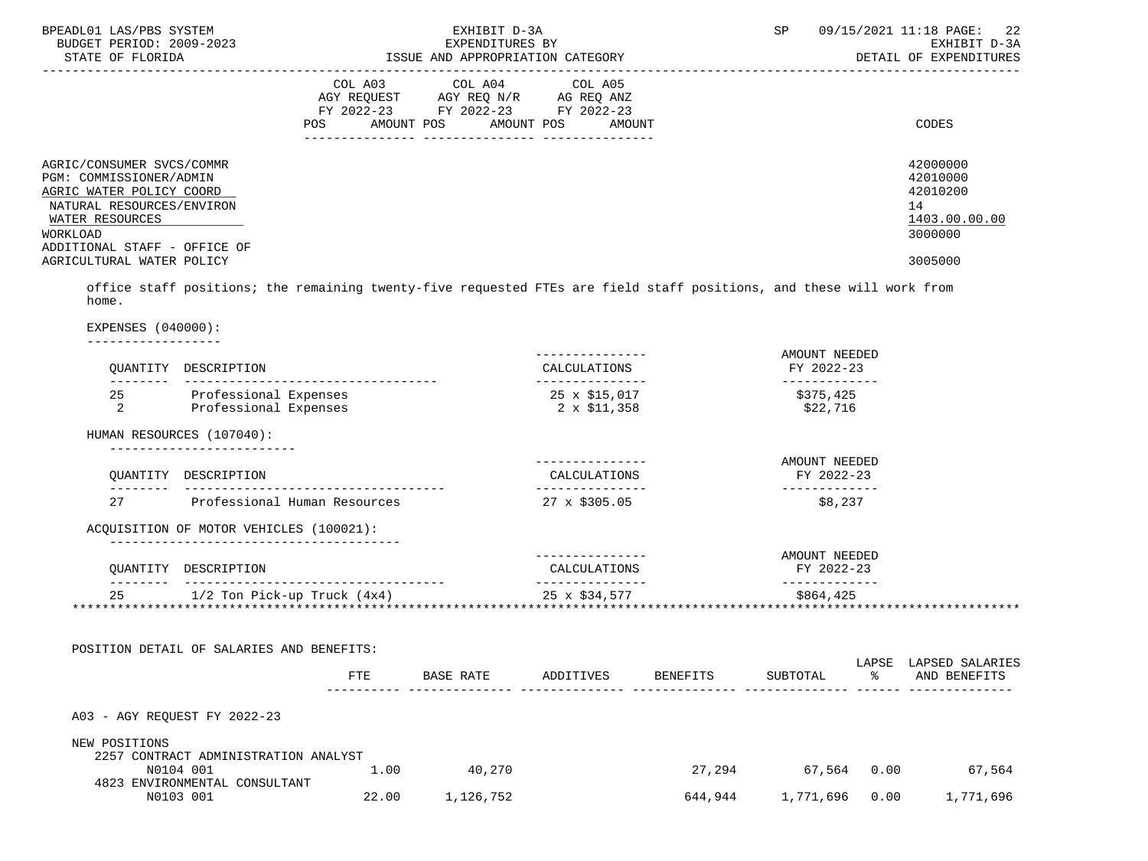| BPEADL01 LAS/PBS SYSTEM<br>BUDGET PERIOD: 2009-2023<br>STATE OF FLORIDA                                                                                                      | EXHIBIT D-3A<br>EXPENDITURES BY<br>ISSUE AND APPROPRIATION CATEGORY                                                                         | 09/15/2021 11:18 PAGE: 22<br>SP<br>EXHIBIT D-3A<br>DETAIL OF EXPENDITURES |
|------------------------------------------------------------------------------------------------------------------------------------------------------------------------------|---------------------------------------------------------------------------------------------------------------------------------------------|---------------------------------------------------------------------------|
|                                                                                                                                                                              | COL A03 COL A04 COL A05<br>AGY REQUEST AGY REQ N/R AG REQ ANZ<br>FY 2022-23 FY 2022-23 FY 2022-23<br>POS<br>AMOUNT POS AMOUNT POS<br>AMOUNT | CODES                                                                     |
| AGRIC/CONSUMER SVCS/COMMR<br>PGM: COMMISSIONER/ADMIN<br>AGRIC WATER POLICY COORD<br>NATURAL RESOURCES/ENVIRON<br>WATER RESOURCES<br>WORKLOAD<br>ADDITIONAL STAFF - OFFICE OF |                                                                                                                                             | 42000000<br>42010000<br>42010200<br>14<br>1403.00.00.00<br>3000000        |
| AGRICULTURAL WATER POLICY                                                                                                                                                    |                                                                                                                                             | 3005000                                                                   |

 office staff positions; the remaining twenty-five requested FTEs are field staff positions, and these will work from home.

EXPENSES (040000):

------------------

|               | OUANTITY DESCRIPTION                                                               |     |             | CALCULATIONS                                           | AMOUNT NEEDED<br>FY 2022-23            |                           |
|---------------|------------------------------------------------------------------------------------|-----|-------------|--------------------------------------------------------|----------------------------------------|---------------------------|
| 2             | -----------------------------<br>25 Professional Expenses<br>Professional Expenses |     |             | ---------------<br>25 x \$15,017<br>$2 \times $11,358$ | -------------<br>\$375,425<br>\$22,716 |                           |
|               | HUMAN RESOURCES (107040):                                                          |     |             |                                                        |                                        |                           |
|               | OUANTITY DESCRIPTION                                                               |     |             | CALCULATIONS                                           | AMOUNT NEEDED<br>FY 2022-23            |                           |
|               | 27 Professional Human Resources                                                    |     |             | 27 x \$305.05                                          | \$8,237                                |                           |
|               | ACQUISITION OF MOTOR VEHICLES (100021):                                            |     |             |                                                        |                                        |                           |
|               | QUANTITY DESCRIPTION                                                               |     |             | CALCULATIONS                                           | AMOUNT NEEDED<br>FY 2022-23            |                           |
|               | -------------------------------------                                              |     |             |                                                        |                                        |                           |
|               | 25 $1/2$ Ton Pick-up Truck $(4x4)$ 25 x $\frac{534}{577}$                          |     |             |                                                        | \$864,425                              |                           |
|               | POSITION DETAIL OF SALARIES AND BENEFITS:                                          | FTE |             | BASE RATE ADDITIVES BENEFITS SUBTOTAL % AND BENEFITS   |                                        | LAPSE LAPSED SALARIES     |
|               | A03 - AGY REQUEST FY 2022-23                                                       |     |             |                                                        |                                        |                           |
| NEW POSITIONS | 2257 CONTRACT ADMINISTRATION ANALYST<br>N0104 001<br>4823 ENVIRONMENTAL CONSULTANT |     | 1.00 40,270 |                                                        |                                        | 27,294 67,564 0.00 67,564 |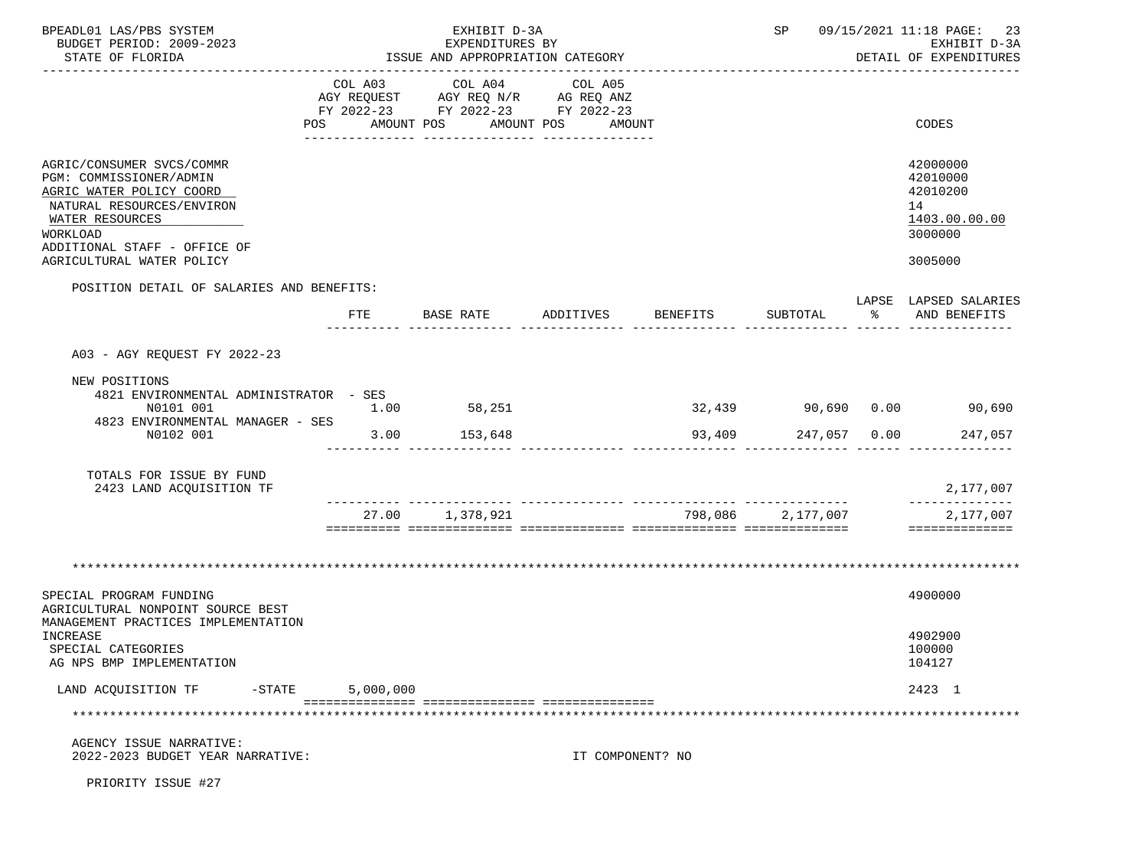| BPEADL01 LAS/PBS SYSTEM<br>BUDGET PERIOD: 2009-2023<br>STATE OF FLORIDA                                                                                                      | EXHIBIT D-3A<br>EXPENDITURES BY<br>ISSUE AND APPROPRIATION CATEGORY |                                                                                                 |                              |                  |                     | SP 09/15/2021 11:18 PAGE: 23<br>EXHIBIT D-3A<br>DETAIL OF EXPENDITURES |                                                                    |  |
|------------------------------------------------------------------------------------------------------------------------------------------------------------------------------|---------------------------------------------------------------------|-------------------------------------------------------------------------------------------------|------------------------------|------------------|---------------------|------------------------------------------------------------------------|--------------------------------------------------------------------|--|
| POS                                                                                                                                                                          | COL A03                                                             | COL A04<br>AGY REQUEST AGY REQ N/R AG REQ ANZ<br>FY 2022-23 FY 2022-23 FY 2022-23<br>AMOUNT POS | COL A05<br>AMOUNT POS AMOUNT |                  |                     |                                                                        | CODES                                                              |  |
|                                                                                                                                                                              |                                                                     |                                                                                                 |                              |                  |                     |                                                                        |                                                                    |  |
| AGRIC/CONSUMER SVCS/COMMR<br>PGM: COMMISSIONER/ADMIN<br>AGRIC WATER POLICY COORD<br>NATURAL RESOURCES/ENVIRON<br>WATER RESOURCES<br>WORKLOAD<br>ADDITIONAL STAFF - OFFICE OF |                                                                     |                                                                                                 |                              |                  |                     |                                                                        | 42000000<br>42010000<br>42010200<br>14<br>1403.00.00.00<br>3000000 |  |
| AGRICULTURAL WATER POLICY                                                                                                                                                    |                                                                     |                                                                                                 |                              |                  |                     |                                                                        | 3005000                                                            |  |
| POSITION DETAIL OF SALARIES AND BENEFITS:                                                                                                                                    |                                                                     |                                                                                                 |                              |                  |                     |                                                                        |                                                                    |  |
|                                                                                                                                                                              | FTE                                                                 | BASE RATE                                                                                       | ADDITIVES                    | BENEFITS         | SUBTOTAL            | ာ အေ                                                                   | LAPSE LAPSED SALARIES<br>AND BENEFITS                              |  |
| A03 - AGY REOUEST FY 2022-23                                                                                                                                                 |                                                                     |                                                                                                 |                              |                  |                     |                                                                        |                                                                    |  |
| NEW POSITIONS<br>4821 ENVIRONMENTAL ADMINISTRATOR - SES<br>N0101 001<br>1.00                                                                                                 |                                                                     | 58,251                                                                                          |                              |                  |                     |                                                                        | $32,439$ $90,690$ $0.00$ $90,690$                                  |  |
| 4823 ENVIRONMENTAL MANAGER - SES<br>N0102 001                                                                                                                                | 3.00                                                                | 153,648                                                                                         |                              | 93,409           | 247,057 0.00        |                                                                        | 247,057                                                            |  |
| TOTALS FOR ISSUE BY FUND<br>2423 LAND ACQUISITION TF                                                                                                                         |                                                                     |                                                                                                 |                              |                  |                     |                                                                        | 2,177,007<br>--------------                                        |  |
|                                                                                                                                                                              |                                                                     | 27.00 1,378,921                                                                                 |                              |                  | 798,086   2,177,007 |                                                                        | 2,177,007<br>==============                                        |  |
|                                                                                                                                                                              |                                                                     |                                                                                                 |                              |                  |                     |                                                                        |                                                                    |  |
| SPECIAL PROGRAM FUNDING<br>AGRICULTURAL NONPOINT SOURCE BEST                                                                                                                 |                                                                     |                                                                                                 |                              |                  |                     |                                                                        | 4900000                                                            |  |
| MANAGEMENT PRACTICES IMPLEMENTATION<br>INCREASE<br>SPECIAL CATEGORIES<br>AG NPS BMP IMPLEMENTATION                                                                           |                                                                     |                                                                                                 |                              |                  |                     |                                                                        | 4902900<br>100000<br>104127                                        |  |
| $-$ STATE<br>LAND ACQUISITION TF                                                                                                                                             | 5,000,000                                                           |                                                                                                 |                              |                  |                     |                                                                        | 2423 1                                                             |  |
|                                                                                                                                                                              |                                                                     |                                                                                                 |                              |                  |                     |                                                                        |                                                                    |  |
|                                                                                                                                                                              |                                                                     |                                                                                                 |                              |                  |                     |                                                                        |                                                                    |  |
| AGENCY ISSUE NARRATIVE:<br>2022-2023 BUDGET YEAR NARRATIVE:                                                                                                                  |                                                                     |                                                                                                 |                              | IT COMPONENT? NO |                     |                                                                        |                                                                    |  |
| PRIORITY ISSUE #27                                                                                                                                                           |                                                                     |                                                                                                 |                              |                  |                     |                                                                        |                                                                    |  |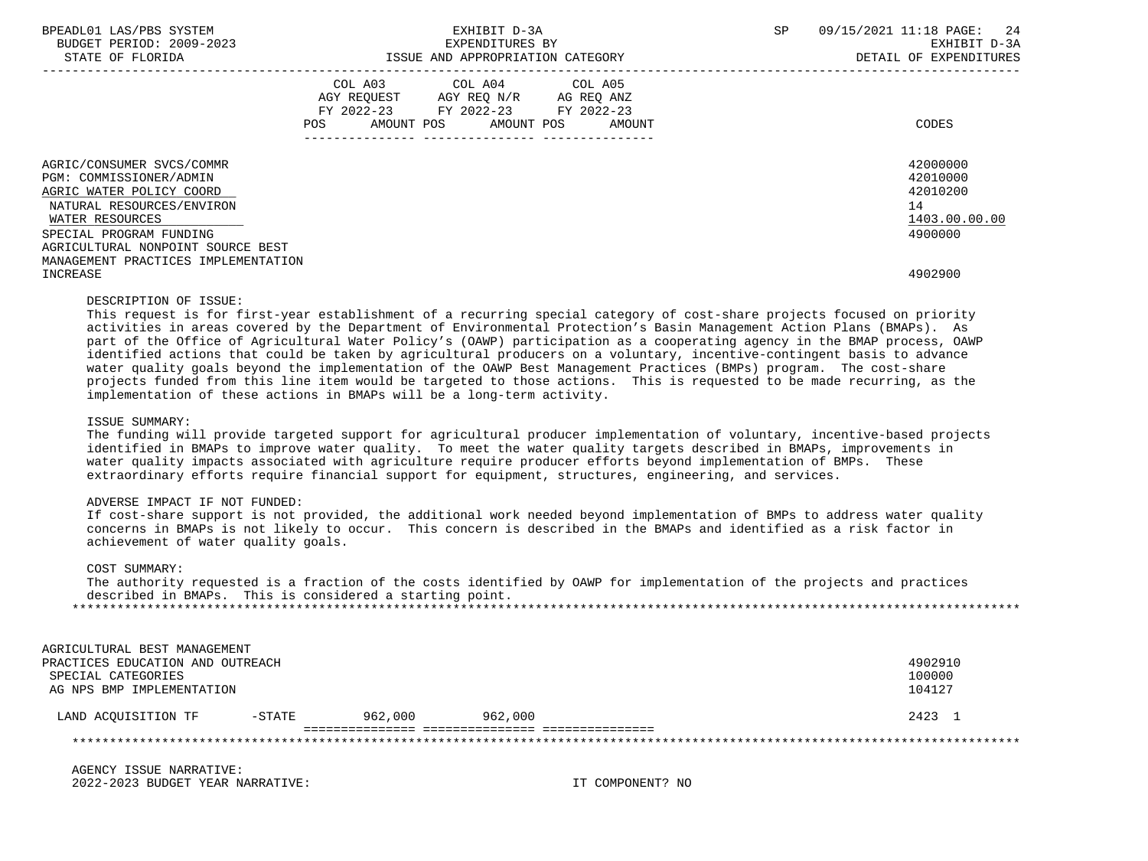| BPEADL01 LAS/PBS SYSTEM |                     |                          |
|-------------------------|---------------------|--------------------------|
|                         |                     | BUDGET PERIOD: 2009-2023 |
|                         | גחדסת זה הם הידידים |                          |

|                                                                                                                                                                                                  | COL A03<br>AGY REQUEST<br>FY 2022-23<br>POS.<br>AMOUNT POS | COL A04<br>AGY REQ N/R<br>FY 2022-23<br>AMOUNT POS | COL A05<br>AG REQ ANZ<br>FY 2022-23<br>AMOUNT | CODES                                                              |
|--------------------------------------------------------------------------------------------------------------------------------------------------------------------------------------------------|------------------------------------------------------------|----------------------------------------------------|-----------------------------------------------|--------------------------------------------------------------------|
| AGRIC/CONSUMER SVCS/COMMR<br>PGM: COMMISSIONER/ADMIN<br>AGRIC WATER POLICY COORD<br>NATURAL RESOURCES/ENVIRON<br>WATER RESOURCES<br>SPECIAL PROGRAM FUNDING<br>AGRICULTURAL NONPOINT SOURCE BEST |                                                            |                                                    |                                               | 42000000<br>42010000<br>42010200<br>14<br>1403.00.00.00<br>4900000 |
| MANAGEMENT PRACTICES IMPLEMENTATION<br>INCREASE                                                                                                                                                  |                                                            |                                                    |                                               | 4902900                                                            |

#### DESCRIPTION OF ISSUE:

 This request is for first-year establishment of a recurring special category of cost-share projects focused on priority activities in areas covered by the Department of Environmental Protection's Basin Management Action Plans (BMAPs). As part of the Office of Agricultural Water Policy's (OAWP) participation as a cooperating agency in the BMAP process, OAWP identified actions that could be taken by agricultural producers on a voluntary, incentive-contingent basis to advance water quality goals beyond the implementation of the OAWP Best Management Practices (BMPs) program. The cost-share projects funded from this line item would be targeted to those actions. This is requested to be made recurring, as the implementation of these actions in BMAPs will be a long-term activity.

#### ISSUE SUMMARY:

 The funding will provide targeted support for agricultural producer implementation of voluntary, incentive-based projects identified in BMAPs to improve water quality. To meet the water quality targets described in BMAPs, improvements in water quality impacts associated with agriculture require producer efforts beyond implementation of BMPs. These extraordinary efforts require financial support for equipment, structures, engineering, and services.

#### ADVERSE IMPACT IF NOT FUNDED:

 If cost-share support is not provided, the additional work needed beyond implementation of BMPs to address water quality concerns in BMAPs is not likely to occur. This concern is described in the BMAPs and identified as a risk factor in achievement of water quality goals.

COST SUMMARY:

 The authority requested is a fraction of the costs identified by OAWP for implementation of the projects and practices described in BMAPs. This is considered a starting point. \*\*\*\*\*\*\*\*\*\*\*\*\*\*\*\*\*\*\*\*\*\*\*\*\*\*\*\*\*\*\*\*\*\*\*\*\*\*\*\*\*\*\*\*\*\*\*\*\*\*\*\*\*\*\*\*\*\*\*\*\*\*\*\*\*\*\*\*\*\*\*\*\*\*\*\*\*\*\*\*\*\*\*\*\*\*\*\*\*\*\*\*\*\*\*\*\*\*\*\*\*\*\*\*\*\*\*\*\*\*\*\*\*\*\*\*\*\*\*\*\*\*\*\*\*\*\*

| AGRICULTURAL BEST MANAGEMENT     |           |         |         |         |
|----------------------------------|-----------|---------|---------|---------|
| PRACTICES EDUCATION AND OUTREACH |           |         |         | 4902910 |
| SPECIAL CATEGORIES               |           |         |         | 100000  |
| AG NPS BMP IMPLEMENTATION        |           |         |         | 104127  |
|                                  |           |         |         |         |
| LAND ACOUISITION TF              | $-$ STATE | 962,000 | 962,000 | 2423 1  |
|                                  |           |         |         |         |
|                                  |           |         |         |         |

 AGENCY ISSUE NARRATIVE: 2022-2023 BUDGET YEAR NARRATIVE: IT COMPONENT? NO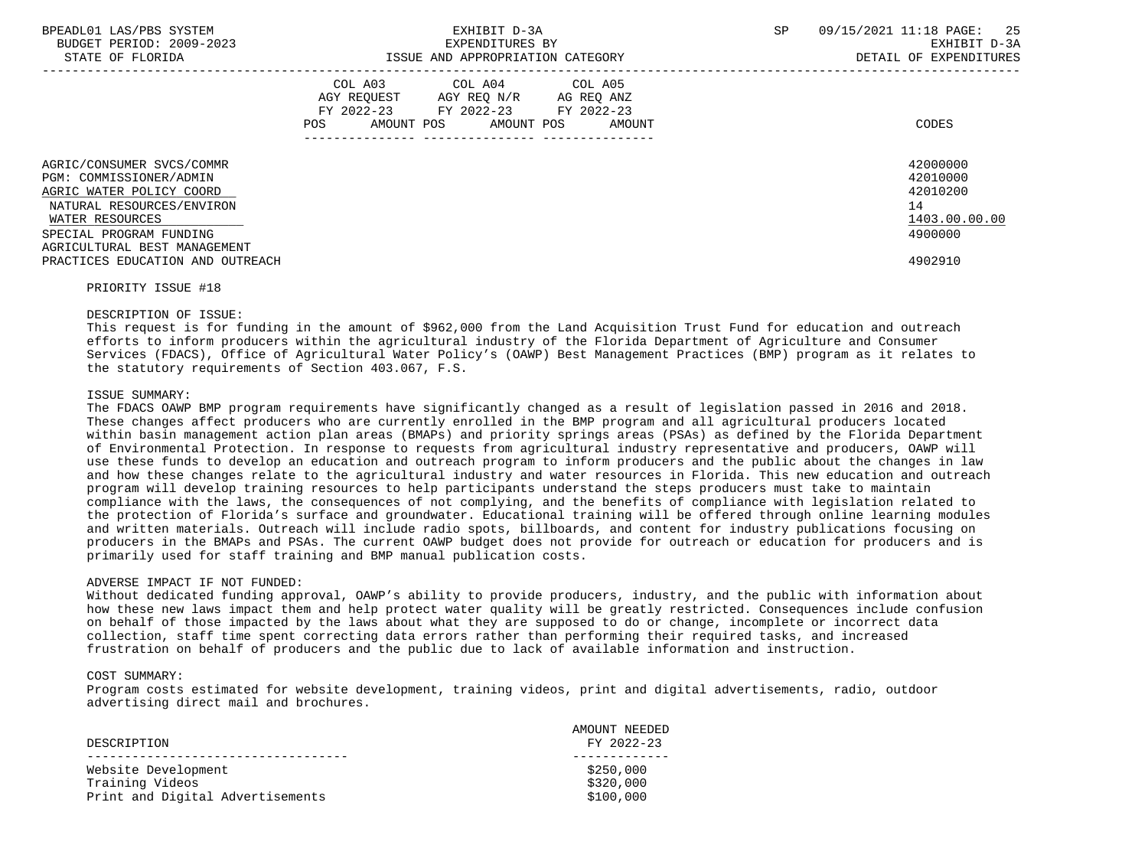BUDGET PERIOD: 2009-2023 EXPENDITURES BY EXHIBIT D-3A

|                                                                                                                                                                                                                                 | COL A03<br>AGY REOUEST<br>FY 2022-23<br>POS.<br>AMOUNT POS | COL A04<br>AGY REO N/R<br>FY 2022-23<br>AMOUNT POS | COL A05<br>AG REQ ANZ<br>FY 2022-23<br>AMOUNT | CODES                                                                         |
|---------------------------------------------------------------------------------------------------------------------------------------------------------------------------------------------------------------------------------|------------------------------------------------------------|----------------------------------------------------|-----------------------------------------------|-------------------------------------------------------------------------------|
| AGRIC/CONSUMER SVCS/COMMR<br>PGM: COMMISSIONER/ADMIN<br>AGRIC WATER POLICY COORD<br>NATURAL RESOURCES/ENVIRON<br>WATER RESOURCES<br>SPECIAL PROGRAM FUNDING<br>AGRICULTURAL BEST MANAGEMENT<br>PRACTICES EDUCATION AND OUTREACH |                                                            |                                                    |                                               | 42000000<br>42010000<br>42010200<br>14<br>1403.00.00.00<br>4900000<br>4902910 |

#### PRIORITY ISSUE #18

### DESCRIPTION OF ISSUE:

 This request is for funding in the amount of \$962,000 from the Land Acquisition Trust Fund for education and outreach efforts to inform producers within the agricultural industry of the Florida Department of Agriculture and Consumer Services (FDACS), Office of Agricultural Water Policy's (OAWP) Best Management Practices (BMP) program as it relates to the statutory requirements of Section 403.067, F.S.

#### ISSUE SUMMARY:

 The FDACS OAWP BMP program requirements have significantly changed as a result of legislation passed in 2016 and 2018. These changes affect producers who are currently enrolled in the BMP program and all agricultural producers located within basin management action plan areas (BMAPs) and priority springs areas (PSAs) as defined by the Florida Department of Environmental Protection. In response to requests from agricultural industry representative and producers, OAWP will use these funds to develop an education and outreach program to inform producers and the public about the changes in law and how these changes relate to the agricultural industry and water resources in Florida. This new education and outreach program will develop training resources to help participants understand the steps producers must take to maintain compliance with the laws, the consequences of not complying, and the benefits of compliance with legislation related to the protection of Florida's surface and groundwater. Educational training will be offered through online learning modules and written materials. Outreach will include radio spots, billboards, and content for industry publications focusing on producers in the BMAPs and PSAs. The current OAWP budget does not provide for outreach or education for producers and is primarily used for staff training and BMP manual publication costs.

#### ADVERSE IMPACT IF NOT FUNDED:

 Without dedicated funding approval, OAWP's ability to provide producers, industry, and the public with information about how these new laws impact them and help protect water quality will be greatly restricted. Consequences include confusion on behalf of those impacted by the laws about what they are supposed to do or change, incomplete or incorrect data collection, staff time spent correcting data errors rather than performing their required tasks, and increased frustration on behalf of producers and the public due to lack of available information and instruction.

#### COST SUMMARY:

 Program costs estimated for website development, training videos, print and digital advertisements, radio, outdoor advertising direct mail and brochures.

| DESCRIPTION                      | AMOUNT NEEDED<br>FY 2022-23 |
|----------------------------------|-----------------------------|
|                                  |                             |
| Website Development              | \$250,000                   |
| Training Videos                  | \$320,000                   |
| Print and Digital Advertisements | \$100,000                   |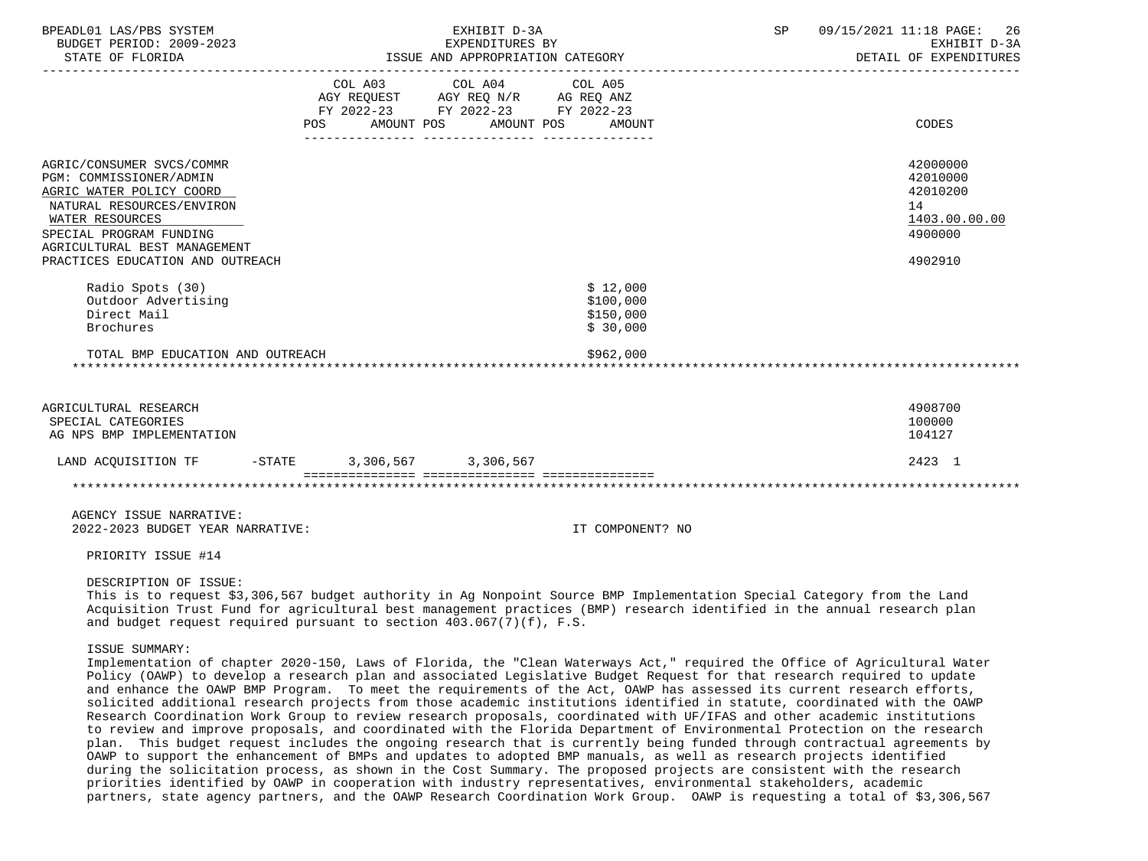| BPEADL01 LAS/PBS SYSTEM<br>BUDGET PERIOD: 2009-2023<br>STATE OF FLORIDA                                                                                                                                                         |     |                                                                                           |            | EXHIBIT D-3A<br>EXPENDITURES BY<br>ISSUE AND APPROPRIATION CATEGORY |                                                | <b>SP</b> | 09/15/2021 11:18 PAGE: 26<br>EXHIBIT D-3A<br>DETAIL OF EXPENDITURES |                                                                               |
|---------------------------------------------------------------------------------------------------------------------------------------------------------------------------------------------------------------------------------|-----|-------------------------------------------------------------------------------------------|------------|---------------------------------------------------------------------|------------------------------------------------|-----------|---------------------------------------------------------------------|-------------------------------------------------------------------------------|
|                                                                                                                                                                                                                                 | POS | COL A03 COL A04<br>AGY REQUEST AGY REQ N/R AG REQ ANZ<br>FY 2022-23 FY 2022-23 FY 2022-23 | AMOUNT POS | AMOUNT POS                                                          | COL A05<br>AMOUNT                              |           |                                                                     | CODES                                                                         |
| AGRIC/CONSUMER SVCS/COMMR<br>PGM: COMMISSIONER/ADMIN<br>AGRIC WATER POLICY COORD<br>NATURAL RESOURCES/ENVIRON<br>WATER RESOURCES<br>SPECIAL PROGRAM FUNDING<br>AGRICULTURAL BEST MANAGEMENT<br>PRACTICES EDUCATION AND OUTREACH |     |                                                                                           |            |                                                                     |                                                |           |                                                                     | 42000000<br>42010000<br>42010200<br>14<br>1403.00.00.00<br>4900000<br>4902910 |
| Radio Spots (30)<br>Outdoor Advertising<br>Direct Mail<br>Brochures                                                                                                                                                             |     |                                                                                           |            |                                                                     | \$12,000<br>\$100,000<br>\$150,000<br>\$30,000 |           |                                                                     |                                                                               |
| TOTAL BMP EDUCATION AND OUTREACH                                                                                                                                                                                                |     |                                                                                           |            |                                                                     | \$962,000                                      |           |                                                                     |                                                                               |
| AGRICULTURAL RESEARCH<br>SPECIAL CATEGORIES<br>AG NPS BMP IMPLEMENTATION                                                                                                                                                        |     |                                                                                           |            |                                                                     |                                                |           |                                                                     | 4908700<br>100000<br>104127                                                   |
| $-$ STATE 3,306,567 3,306,567<br>LAND ACOUISITION TF                                                                                                                                                                            |     |                                                                                           |            |                                                                     |                                                |           |                                                                     | 2423 1                                                                        |
|                                                                                                                                                                                                                                 |     |                                                                                           |            |                                                                     |                                                |           |                                                                     |                                                                               |
| AGENCY ISSUE NARRATIVE:<br>2022-2023 BUDGET YEAR NARRATIVE:                                                                                                                                                                     |     |                                                                                           |            |                                                                     | IT COMPONENT? NO                               |           |                                                                     |                                                                               |

PRIORITY ISSUE #14

#### DESCRIPTION OF ISSUE:

 This is to request \$3,306,567 budget authority in Ag Nonpoint Source BMP Implementation Special Category from the Land Acquisition Trust Fund for agricultural best management practices (BMP) research identified in the annual research plan and budget request required pursuant to section  $403.067(7)(f)$ , F.S.

#### ISSUE SUMMARY:

 Implementation of chapter 2020-150, Laws of Florida, the "Clean Waterways Act," required the Office of Agricultural Water Policy (OAWP) to develop a research plan and associated Legislative Budget Request for that research required to update and enhance the OAWP BMP Program. To meet the requirements of the Act, OAWP has assessed its current research efforts, solicited additional research projects from those academic institutions identified in statute, coordinated with the OAWP Research Coordination Work Group to review research proposals, coordinated with UF/IFAS and other academic institutions to review and improve proposals, and coordinated with the Florida Department of Environmental Protection on the research plan. This budget request includes the ongoing research that is currently being funded through contractual agreements by OAWP to support the enhancement of BMPs and updates to adopted BMP manuals, as well as research projects identified during the solicitation process, as shown in the Cost Summary. The proposed projects are consistent with the research priorities identified by OAWP in cooperation with industry representatives, environmental stakeholders, academic partners, state agency partners, and the OAWP Research Coordination Work Group. OAWP is requesting a total of \$3,306,567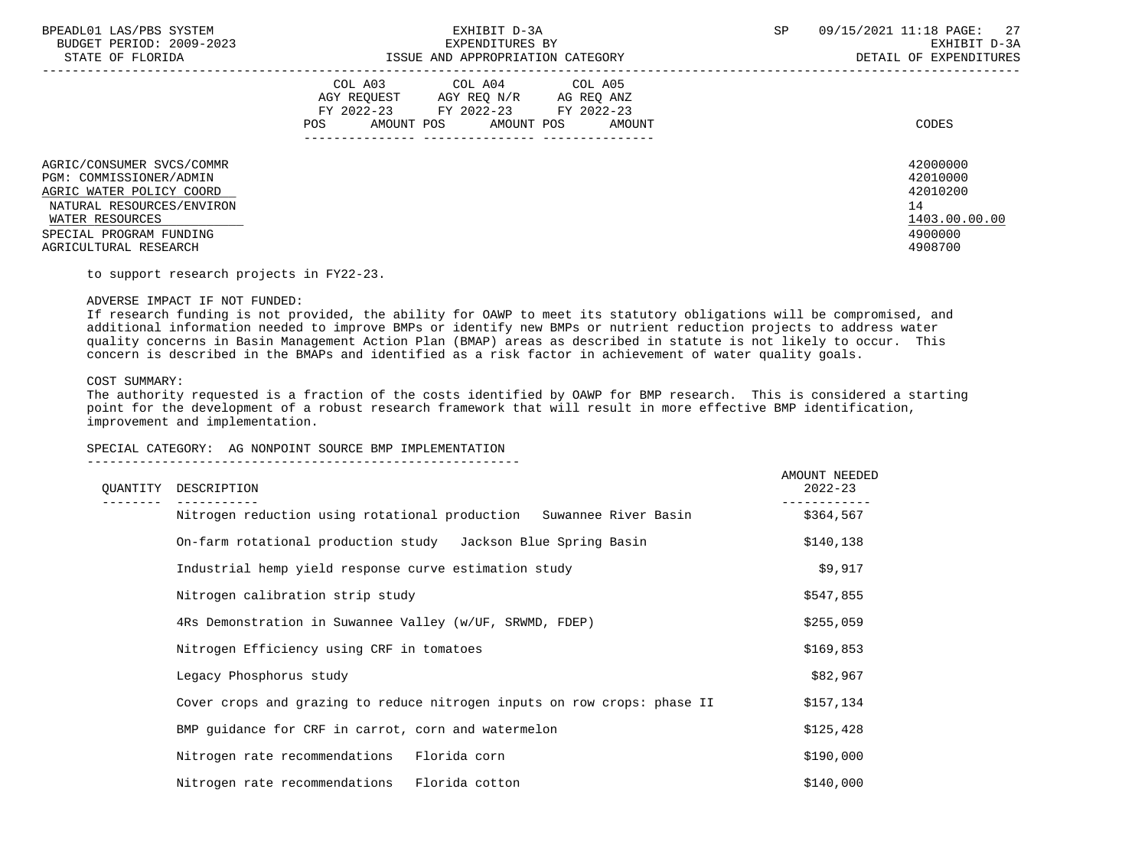| BPEADL01 LAS/PBS SYSTEM |                  |                          |
|-------------------------|------------------|--------------------------|
|                         |                  | BUDGET PERIOD: 2009-2023 |
|                         | גתדת הה הה החגדה |                          |

|                                                                                  | COL A05<br>COL A03<br>COL A04<br>AGY REOUEST<br>AGY REO N/R<br>AG REO ANZ<br>FY 2022-23<br>FY 2022-23<br>FY 2022-23<br>AMOUNT POS<br>AMOUNT POS<br>AMOUNT<br>POS. | CODES                            |
|----------------------------------------------------------------------------------|-------------------------------------------------------------------------------------------------------------------------------------------------------------------|----------------------------------|
| AGRIC/CONSUMER SVCS/COMMR<br>PGM: COMMISSIONER/ADMIN<br>AGRIC WATER POLICY COORD |                                                                                                                                                                   | 42000000<br>42010000<br>42010200 |
| NATURAL RESOURCES/ENVIRON<br>WATER RESOURCES                                     |                                                                                                                                                                   | 14<br>1403.00.00.00              |
| SPECIAL PROGRAM FUNDING<br>AGRICULTURAL RESEARCH                                 |                                                                                                                                                                   | 4900000<br>4908700               |

to support research projects in FY22-23.

#### ADVERSE IMPACT IF NOT FUNDED:

 If research funding is not provided, the ability for OAWP to meet its statutory obligations will be compromised, and additional information needed to improve BMPs or identify new BMPs or nutrient reduction projects to address water quality concerns in Basin Management Action Plan (BMAP) areas as described in statute is not likely to occur. This concern is described in the BMAPs and identified as a risk factor in achievement of water quality goals.

#### COST SUMMARY:

 The authority requested is a fraction of the costs identified by OAWP for BMP research. This is considered a starting point for the development of a robust research framework that will result in more effective BMP identification, improvement and implementation.

#### SPECIAL CATEGORY: AG NONPOINT SOURCE BMP IMPLEMENTATION

----------------------------------------------------------

| OUANTITY | DESCRIPTION                                                              | AMOUNT NEEDED<br>$2022 - 23$ |
|----------|--------------------------------------------------------------------------|------------------------------|
|          | Nitrogen reduction using rotational production Suwannee River Basin      | \$364,567                    |
|          | On-farm rotational production study Jackson Blue Spring Basin            | \$140,138                    |
|          | Industrial hemp yield response curve estimation study                    | \$9,917                      |
|          | Nitrogen calibration strip study                                         | \$547,855                    |
|          | 4Rs Demonstration in Suwannee Valley (w/UF, SRWMD, FDEP)                 | \$255,059                    |
|          | Nitrogen Efficiency using CRF in tomatoes                                | \$169,853                    |
|          | Legacy Phosphorus study                                                  | \$82,967                     |
|          | Cover crops and grazing to reduce nitrogen inputs on row crops: phase II | \$157,134                    |
|          | BMP quidance for CRF in carrot, corn and watermelon                      | \$125,428                    |
|          | Nitrogen rate recommendations Florida corn                               | \$190,000                    |
|          | Nitrogen rate recommendations<br>Florida cotton                          | \$140,000                    |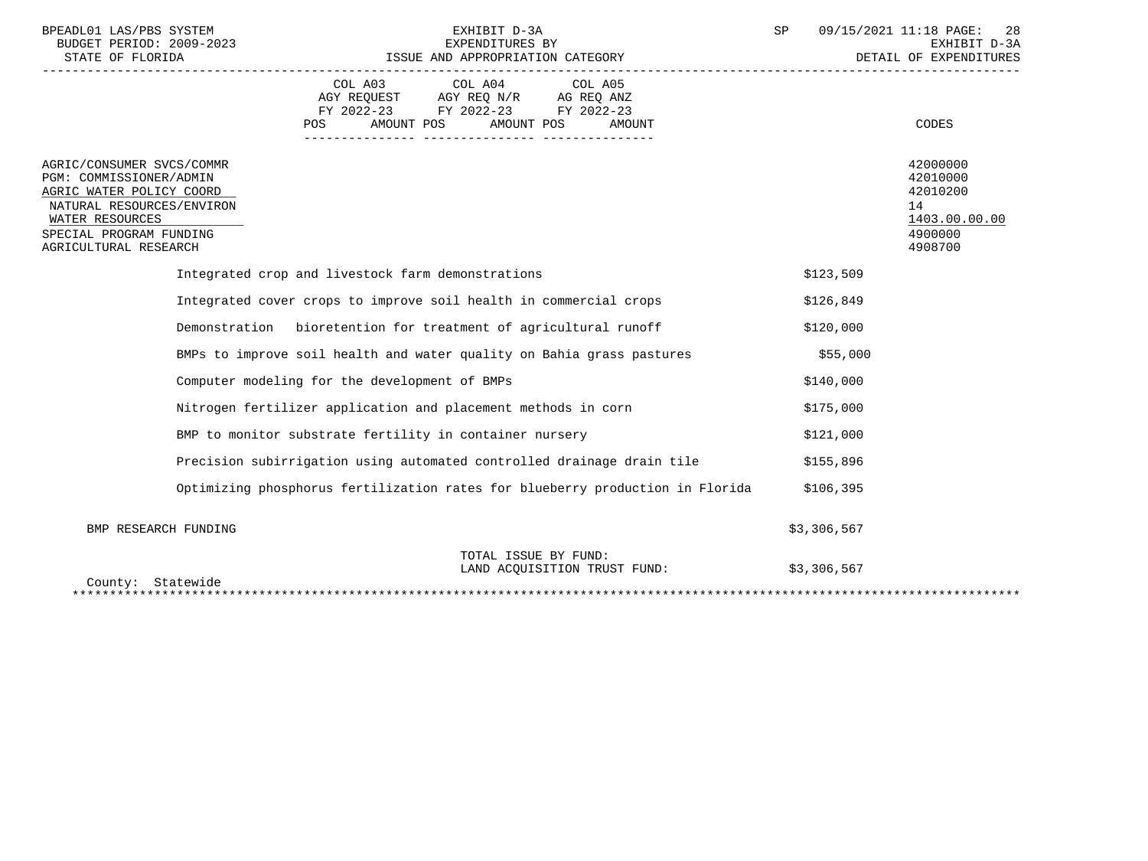| BPEADL01 LAS/PBS SYSTEM<br>BUDGET PERIOD: 2009-2023<br>STATE OF FLORIDA                                                                                                              | EXHIBIT D-3A<br>EXPENDITURES BY<br>ISSUE AND APPROPRIATION CATEGORY                                                                                  | SP          | 09/15/2021 11:18 PAGE: 28<br>EXHIBIT D-3A<br>DETAIL OF EXPENDITURES           |
|--------------------------------------------------------------------------------------------------------------------------------------------------------------------------------------|------------------------------------------------------------------------------------------------------------------------------------------------------|-------------|-------------------------------------------------------------------------------|
|                                                                                                                                                                                      | COL A03<br>COL A04<br>COL A05<br>AGY REQUEST AGY REQ N/R AG REQ ANZ<br>FY 2022-23 FY 2022-23 FY 2022-23<br>AMOUNT POS<br>POS<br>AMOUNT POS<br>AMOUNT |             | CODES                                                                         |
| AGRIC/CONSUMER SVCS/COMMR<br>PGM: COMMISSIONER/ADMIN<br>AGRIC WATER POLICY COORD<br>NATURAL RESOURCES/ENVIRON<br>WATER RESOURCES<br>SPECIAL PROGRAM FUNDING<br>AGRICULTURAL RESEARCH |                                                                                                                                                      |             | 42000000<br>42010000<br>42010200<br>14<br>1403.00.00.00<br>4900000<br>4908700 |
|                                                                                                                                                                                      | Integrated crop and livestock farm demonstrations                                                                                                    | \$123,509   |                                                                               |
|                                                                                                                                                                                      | Integrated cover crops to improve soil health in commercial crops                                                                                    | \$126,849   |                                                                               |
|                                                                                                                                                                                      | Demonstration bioretention for treatment of agricultural runoff                                                                                      | \$120,000   |                                                                               |
|                                                                                                                                                                                      | BMPs to improve soil health and water quality on Bahia grass pastures                                                                                | \$55,000    |                                                                               |
|                                                                                                                                                                                      | Computer modeling for the development of BMPs                                                                                                        | \$140,000   |                                                                               |
|                                                                                                                                                                                      | Nitrogen fertilizer application and placement methods in corn                                                                                        | \$175,000   |                                                                               |
|                                                                                                                                                                                      | BMP to monitor substrate fertility in container nursery                                                                                              | \$121,000   |                                                                               |
|                                                                                                                                                                                      | Precision subirrigation using automated controlled drainage drain tile                                                                               | \$155,896   |                                                                               |
|                                                                                                                                                                                      | Optimizing phosphorus fertilization rates for blueberry production in Florida                                                                        | \$106,395   |                                                                               |
| BMP RESEARCH FUNDING                                                                                                                                                                 |                                                                                                                                                      | \$3,306,567 |                                                                               |
| County: Statewide                                                                                                                                                                    | TOTAL ISSUE BY FUND:<br>LAND ACQUISITION TRUST FUND:                                                                                                 | \$3,306,567 |                                                                               |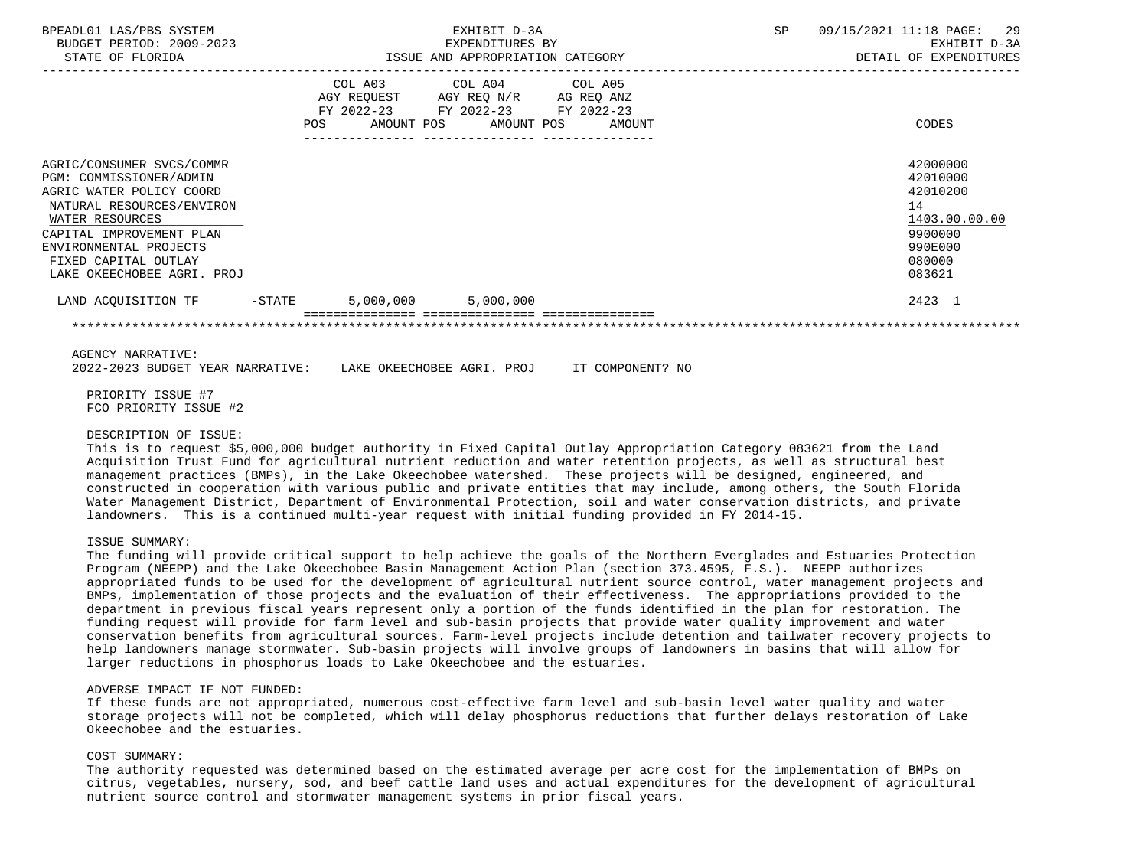| BPEADL01 LAS/PBS SYSTEM<br>BUDGET PERIOD: 2009-2023<br>ISSUE AND APPROPRIATION CATEGORY<br>STATE OF FLORIDA                                                                                                                                  |     |                                                                                                   | EXHIBIT D-3A<br>EXPENDITURES BY | <b>SP</b><br>09/15/2021 11:18 PAGE:<br>29<br>EXHIBIT D-3A<br>DETAIL OF EXPENDITURES |                                                                                                   |
|----------------------------------------------------------------------------------------------------------------------------------------------------------------------------------------------------------------------------------------------|-----|---------------------------------------------------------------------------------------------------|---------------------------------|-------------------------------------------------------------------------------------|---------------------------------------------------------------------------------------------------|
|                                                                                                                                                                                                                                              | POS | COL A03 COL A04 COL A05<br>AGY REQUEST AGY REQ N/R AG REQ ANZ<br>FY 2022-23 FY 2022-23 FY 2022-23 | AMOUNT POS AMOUNT POS           | AMOUNT                                                                              | CODES                                                                                             |
| AGRIC/CONSUMER SVCS/COMMR<br>PGM: COMMISSIONER/ADMIN<br>AGRIC WATER POLICY COORD<br>NATURAL RESOURCES/ENVIRON<br>WATER RESOURCES<br>CAPITAL IMPROVEMENT PLAN<br>ENVIRONMENTAL PROJECTS<br>FIXED CAPITAL OUTLAY<br>LAKE OKEECHOBEE AGRI. PROJ |     |                                                                                                   |                                 |                                                                                     | 42000000<br>42010000<br>42010200<br>14<br>1403.00.00.00<br>9900000<br>990E000<br>080000<br>083621 |
| LAND ACQUISITION TF -STATE 5,000,000 5,000,000                                                                                                                                                                                               |     |                                                                                                   |                                 |                                                                                     | 2423 1                                                                                            |
| AGENCY NARRATIVE:<br>2022-2023 BUDGET YEAR NARRATIVE: LAKE OKEECHOBEE AGRI. PROJ TT COMPONENT? NO<br>PRIORITY ISSUE #7                                                                                                                       |     |                                                                                                   |                                 |                                                                                     |                                                                                                   |

FCO PRIORITY ISSUE #2

#### DESCRIPTION OF ISSUE:

 This is to request \$5,000,000 budget authority in Fixed Capital Outlay Appropriation Category 083621 from the Land Acquisition Trust Fund for agricultural nutrient reduction and water retention projects, as well as structural best management practices (BMPs), in the Lake Okeechobee watershed. These projects will be designed, engineered, and constructed in cooperation with various public and private entities that may include, among others, the South Florida Water Management District, Department of Environmental Protection, soil and water conservation districts, and private landowners. This is a continued multi-year request with initial funding provided in FY 2014-15.

#### ISSUE SUMMARY:

 The funding will provide critical support to help achieve the goals of the Northern Everglades and Estuaries Protection Program (NEEPP) and the Lake Okeechobee Basin Management Action Plan (section 373.4595, F.S.). NEEPP authorizes appropriated funds to be used for the development of agricultural nutrient source control, water management projects and BMPs, implementation of those projects and the evaluation of their effectiveness. The appropriations provided to the department in previous fiscal years represent only a portion of the funds identified in the plan for restoration. The funding request will provide for farm level and sub-basin projects that provide water quality improvement and water conservation benefits from agricultural sources. Farm-level projects include detention and tailwater recovery projects to help landowners manage stormwater. Sub-basin projects will involve groups of landowners in basins that will allow for larger reductions in phosphorus loads to Lake Okeechobee and the estuaries.

#### ADVERSE IMPACT IF NOT FUNDED:

 If these funds are not appropriated, numerous cost-effective farm level and sub-basin level water quality and water storage projects will not be completed, which will delay phosphorus reductions that further delays restoration of Lake Okeechobee and the estuaries.

#### COST SUMMARY:

 The authority requested was determined based on the estimated average per acre cost for the implementation of BMPs on citrus, vegetables, nursery, sod, and beef cattle land uses and actual expenditures for the development of agricultural nutrient source control and stormwater management systems in prior fiscal years.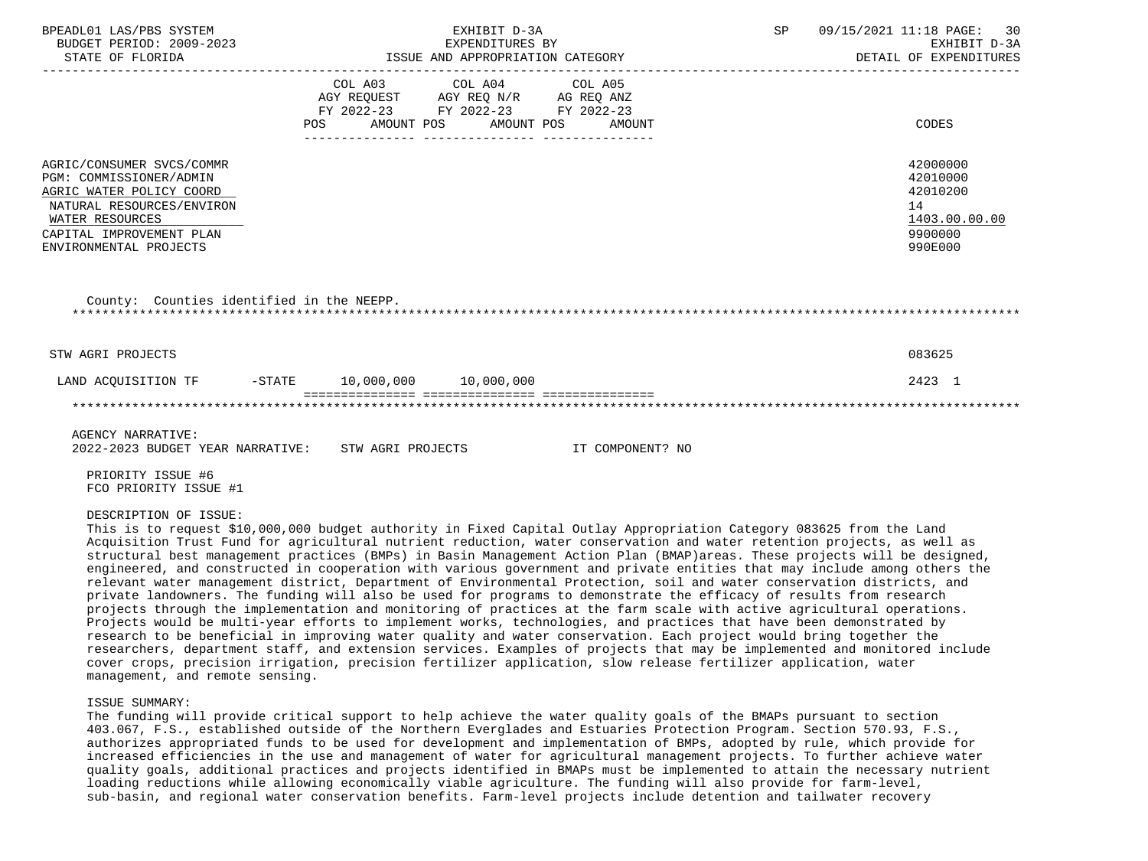| BPEADL01 LAS/PBS SYSTEM<br>$\begin{array}{ll}\n\text{BUDGET} & \text{PERIOD: } 2009-2023 \\ \hline\n\end{array}$<br>STATE OF FLORIDA                                                                                                                                                                                                                                                                                                                                                                                                                                                                                                                                                                                                                                                                                                                                                                                                                                                                                                                                                                                                                                                                                                                                                                                                                                                                                                          |         | EXHIBIT D-3A<br>EXPENDITURES BY<br>EAPENDITURES BI<br>ISSUE AND APPROPRIATION CATEGORY                                        | SP | 09/15/2021 11:18 PAGE:<br>30<br>EXHIBIT D-3A<br>DETAIL OF EXPENDITURES |                                                                               |
|-----------------------------------------------------------------------------------------------------------------------------------------------------------------------------------------------------------------------------------------------------------------------------------------------------------------------------------------------------------------------------------------------------------------------------------------------------------------------------------------------------------------------------------------------------------------------------------------------------------------------------------------------------------------------------------------------------------------------------------------------------------------------------------------------------------------------------------------------------------------------------------------------------------------------------------------------------------------------------------------------------------------------------------------------------------------------------------------------------------------------------------------------------------------------------------------------------------------------------------------------------------------------------------------------------------------------------------------------------------------------------------------------------------------------------------------------|---------|-------------------------------------------------------------------------------------------------------------------------------|----|------------------------------------------------------------------------|-------------------------------------------------------------------------------|
|                                                                                                                                                                                                                                                                                                                                                                                                                                                                                                                                                                                                                                                                                                                                                                                                                                                                                                                                                                                                                                                                                                                                                                                                                                                                                                                                                                                                                                               | COL A03 | COL A04 COL A05<br>AGY REQUEST AGY REQ N/R AG REQ ANZ<br>FY 2022-23 FY 2022-23 FY 2022-23<br>POS AMOUNT POS AMOUNT POS AMOUNT |    |                                                                        | CODES                                                                         |
| AGRIC/CONSUMER SVCS/COMMR<br>PGM: COMMISSIONER/ADMIN<br>AGRIC WATER POLICY COORD<br>NATURAL RESOURCES/ENVIRON<br>WATER RESOURCES<br>CAPITAL IMPROVEMENT PLAN<br>ENVIRONMENTAL PROJECTS                                                                                                                                                                                                                                                                                                                                                                                                                                                                                                                                                                                                                                                                                                                                                                                                                                                                                                                                                                                                                                                                                                                                                                                                                                                        |         |                                                                                                                               |    |                                                                        | 42000000<br>42010000<br>42010200<br>14<br>1403.00.00.00<br>9900000<br>990E000 |
| County: Counties identified in the NEEPP.                                                                                                                                                                                                                                                                                                                                                                                                                                                                                                                                                                                                                                                                                                                                                                                                                                                                                                                                                                                                                                                                                                                                                                                                                                                                                                                                                                                                     |         |                                                                                                                               |    |                                                                        |                                                                               |
| STW AGRI PROJECTS                                                                                                                                                                                                                                                                                                                                                                                                                                                                                                                                                                                                                                                                                                                                                                                                                                                                                                                                                                                                                                                                                                                                                                                                                                                                                                                                                                                                                             |         |                                                                                                                               |    |                                                                        | 083625                                                                        |
| LAND ACQUISITION TF -STATE 10,000,000 10,000,000                                                                                                                                                                                                                                                                                                                                                                                                                                                                                                                                                                                                                                                                                                                                                                                                                                                                                                                                                                                                                                                                                                                                                                                                                                                                                                                                                                                              |         |                                                                                                                               |    |                                                                        | 2423 1                                                                        |
|                                                                                                                                                                                                                                                                                                                                                                                                                                                                                                                                                                                                                                                                                                                                                                                                                                                                                                                                                                                                                                                                                                                                                                                                                                                                                                                                                                                                                                               |         |                                                                                                                               |    |                                                                        |                                                                               |
| AGENCY NARRATIVE:<br>2022-2023 BUDGET YEAR NARRATIVE: STW AGRI PROJECTS THE COMPONENT? NO                                                                                                                                                                                                                                                                                                                                                                                                                                                                                                                                                                                                                                                                                                                                                                                                                                                                                                                                                                                                                                                                                                                                                                                                                                                                                                                                                     |         |                                                                                                                               |    |                                                                        |                                                                               |
| PRIORITY ISSUE #6<br>FCO PRIORITY ISSUE #1                                                                                                                                                                                                                                                                                                                                                                                                                                                                                                                                                                                                                                                                                                                                                                                                                                                                                                                                                                                                                                                                                                                                                                                                                                                                                                                                                                                                    |         |                                                                                                                               |    |                                                                        |                                                                               |
| DESCRIPTION OF ISSUE:<br>This is to request \$10,000,000 budget authority in Fixed Capital Outlay Appropriation Category 083625 from the Land<br>Acquisition Trust Fund for agricultural nutrient reduction, water conservation and water retention projects, as well as<br>structural best management practices (BMPs) in Basin Management Action Plan (BMAP)areas. These projects will be designed,<br>engineered, and constructed in cooperation with various government and private entities that may include among others the<br>relevant water management district, Department of Environmental Protection, soil and water conservation districts, and<br>private landowners. The funding will also be used for programs to demonstrate the efficacy of results from research<br>projects through the implementation and monitoring of practices at the farm scale with active agricultural operations.<br>Projects would be multi-year efforts to implement works, technologies, and practices that have been demonstrated by<br>research to be beneficial in improving water quality and water conservation. Each project would bring together the<br>researchers, department staff, and extension services. Examples of projects that may be implemented and monitored include<br>cover crops, precision irrigation, precision fertilizer application, slow release fertilizer application, water<br>management, and remote sensing. |         |                                                                                                                               |    |                                                                        |                                                                               |

#### ISSUE SUMMARY:

 The funding will provide critical support to help achieve the water quality goals of the BMAPs pursuant to section 403.067, F.S., established outside of the Northern Everglades and Estuaries Protection Program. Section 570.93, F.S., authorizes appropriated funds to be used for development and implementation of BMPs, adopted by rule, which provide for increased efficiencies in the use and management of water for agricultural management projects. To further achieve water quality goals, additional practices and projects identified in BMAPs must be implemented to attain the necessary nutrient loading reductions while allowing economically viable agriculture. The funding will also provide for farm-level, sub-basin, and regional water conservation benefits. Farm-level projects include detention and tailwater recovery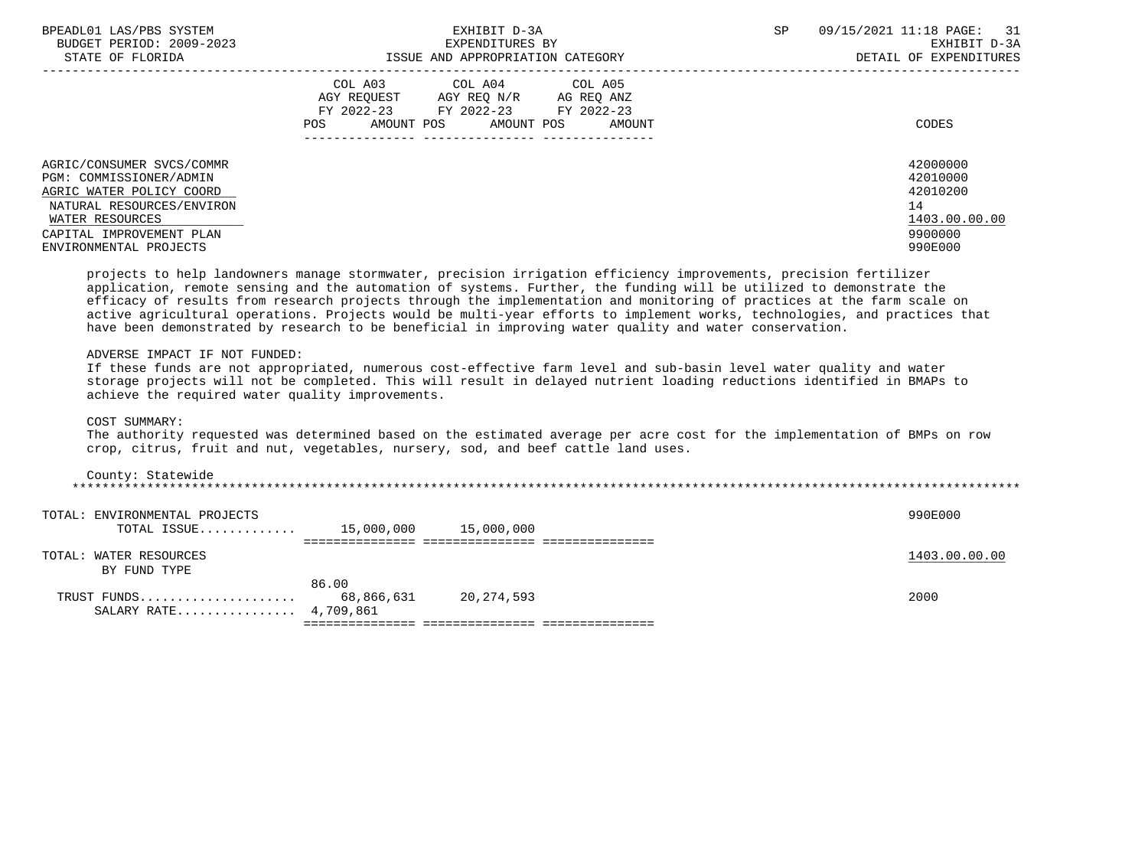| BPEADL01 LAS/PBS SYSTEM   | EXHIBIT D-3A                              | SP<br>09/15/2021 11:18 PAGE: 31 |
|---------------------------|-------------------------------------------|---------------------------------|
| BUDGET PERIOD: 2009-2023  | EXPENDITURES BY                           | EXHIBIT D-3A                    |
| STATE OF FLORIDA          | ISSUE AND APPROPRIATION CATEGORY          | DETAIL OF EXPENDITURES          |
|                           | COL A03 COL A04 COL A05                   |                                 |
|                           | AGY REOUEST<br>AGY REO N/R<br>AG REO ANZ  |                                 |
|                           | FY 2022-23<br>FY 2022-23<br>FY 2022-23    |                                 |
|                           | AMOUNT POS<br>POS<br>AMOUNT POS<br>AMOUNT | CODES                           |
|                           |                                           |                                 |
| AGRIC/CONSUMER SVCS/COMMR |                                           | 42000000                        |
| PGM: COMMISSIONER/ADMIN   |                                           | 42010000                        |
| AGRIC WATER POLICY COORD  |                                           | 42010200                        |
| NATURAL RESOURCES/ENVIRON |                                           | 14                              |
| WATER RESOURCES           |                                           | 1403.00.00.00                   |
| CAPITAL IMPROVEMENT PLAN  |                                           | 9900000                         |
| ENVIRONMENTAL PROJECTS    |                                           | 990E000                         |
|                           |                                           |                                 |

 projects to help landowners manage stormwater, precision irrigation efficiency improvements, precision fertilizer application, remote sensing and the automation of systems. Further, the funding will be utilized to demonstrate the efficacy of results from research projects through the implementation and monitoring of practices at the farm scale on active agricultural operations. Projects would be multi-year efforts to implement works, technologies, and practices that have been demonstrated by research to be beneficial in improving water quality and water conservation.

#### ADVERSE IMPACT IF NOT FUNDED:

 If these funds are not appropriated, numerous cost-effective farm level and sub-basin level water quality and water storage projects will not be completed. This will result in delayed nutrient loading reductions identified in BMAPs to achieve the required water quality improvements.

#### COST SUMMARY:

 The authority requested was determined based on the estimated average per acre cost for the implementation of BMPs on row crop, citrus, fruit and nut, vegetables, nursery, sod, and beef cattle land uses.

#### County: Statewide \*\*\*\*\*\*\*\*\*\*\*\*\*\*\*\*\*\*\*\*\*\*\*\*\*\*\*\*\*\*\*\*\*\*\*\*\*\*\*\*\*\*\*\*\*\*\*\*\*\*\*\*\*\*\*\*\*\*\*\*\*\*\*\*\*\*\*\*\*\*\*\*\*\*\*\*\*\*\*\*\*\*\*\*\*\*\*\*\*\*\*\*\*\*\*\*\*\*\*\*\*\*\*\*\*\*\*\*\*\*\*\*\*\*\*\*\*\*\*\*\*\*\*\*\*\*\*

| TOTAL: ENVIRONMENTAL PROJECTS<br>TOTAL ISSUE | 15,000,000 | 15,000,000 | 990E000       |
|----------------------------------------------|------------|------------|---------------|
|                                              |            |            |               |
| TOTAL: WATER RESOURCES                       |            |            | 1403.00.00.00 |
| BY FUND TYPE                                 |            |            |               |
|                                              | 86.00      |            |               |
| TRUST FUNDS                                  | 68,866,631 | 20,274,593 | 2000          |
| SALARY RATE 4,709,861                        |            |            |               |
|                                              |            |            |               |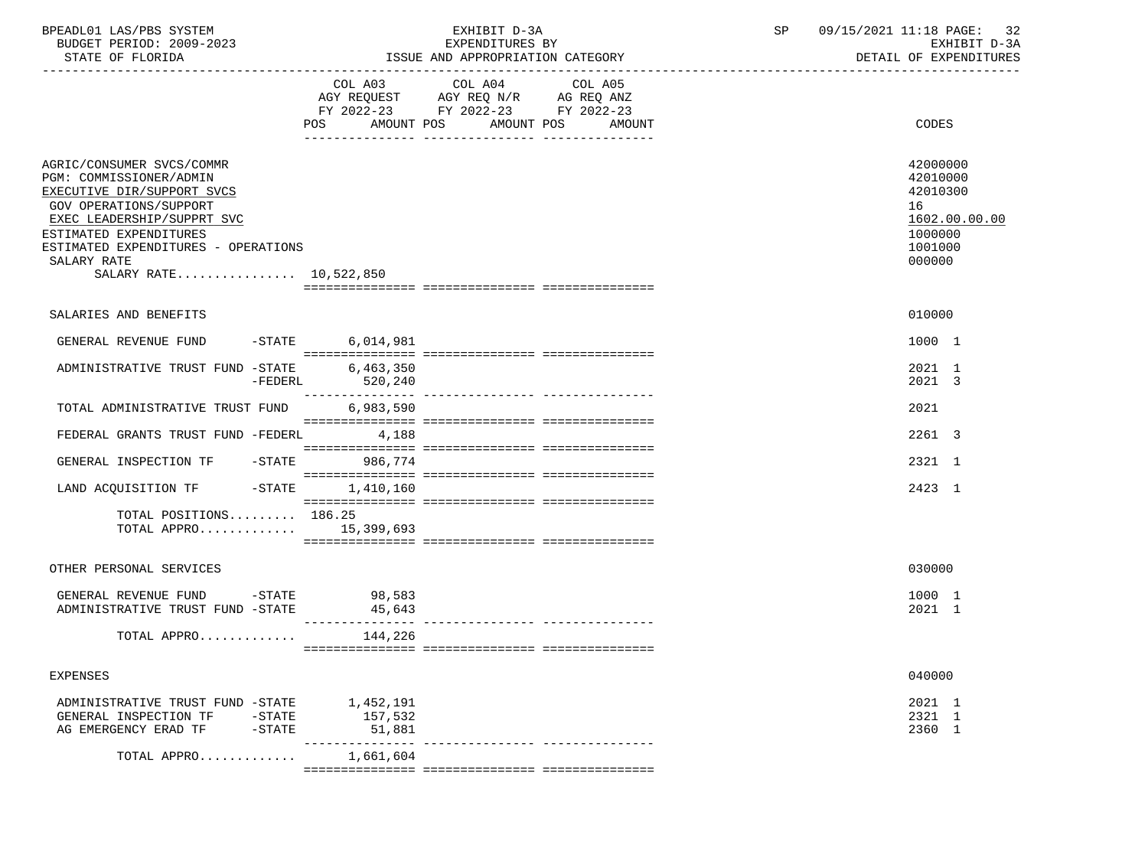| BPEADL01 LAS/PBS SYSTEM  | EXHIBIT D-3A                     | 09/15/2021 11:18 PAGE:<br>32 |
|--------------------------|----------------------------------|------------------------------|
| BUDGET PERIOD: 2009-2023 | EXPENDITURES BY                  | EXHIBIT D-3A                 |
| STATE OF FLORIDA         | ISSUE AND APPROPRIATION CATEGORY | DETAIL OF EXPENDITURES       |

|                                                                                                                                                                                                                                                      | COL A03<br>AMOUNT POS<br>POS       | COL A04<br>FY 2022-23 FY 2022-23 FY 2022-23 | COL A05<br>AMOUNT POS AMOUNT | CODES                                                                                   |
|------------------------------------------------------------------------------------------------------------------------------------------------------------------------------------------------------------------------------------------------------|------------------------------------|---------------------------------------------|------------------------------|-----------------------------------------------------------------------------------------|
|                                                                                                                                                                                                                                                      |                                    |                                             |                              |                                                                                         |
| AGRIC/CONSUMER SVCS/COMMR<br>PGM: COMMISSIONER/ADMIN<br>EXECUTIVE DIR/SUPPORT SVCS<br>GOV OPERATIONS/SUPPORT<br>EXEC LEADERSHIP/SUPPRT SVC<br>ESTIMATED EXPENDITURES<br>ESTIMATED EXPENDITURES - OPERATIONS<br>SALARY RATE<br>SALARY RATE 10,522,850 |                                    |                                             |                              | 42000000<br>42010000<br>42010300<br>16<br>1602.00.00.00<br>1000000<br>1001000<br>000000 |
|                                                                                                                                                                                                                                                      |                                    |                                             |                              |                                                                                         |
| SALARIES AND BENEFITS                                                                                                                                                                                                                                |                                    |                                             |                              | 010000                                                                                  |
| GENERAL REVENUE FUND<br>$-$ STATE                                                                                                                                                                                                                    | 6,014,981                          |                                             |                              | 1000 1                                                                                  |
| ADMINISTRATIVE TRUST FUND -STATE<br>-FEDERL                                                                                                                                                                                                          | 6,463,350<br>520,240               |                                             |                              | 2021 1<br>2021 3                                                                        |
| TOTAL ADMINISTRATIVE TRUST FUND                                                                                                                                                                                                                      | 6,983,590                          |                                             |                              | 2021                                                                                    |
| FEDERAL GRANTS TRUST FUND -FEDERL                                                                                                                                                                                                                    | 4,188                              |                                             |                              | 2261 3                                                                                  |
| GENERAL INSPECTION TF -STATE 986,774                                                                                                                                                                                                                 |                                    |                                             |                              | 2321 1                                                                                  |
| LAND ACQUISITION TF -STATE 1,410,160                                                                                                                                                                                                                 |                                    |                                             |                              | 2423 1                                                                                  |
| TOTAL POSITIONS 186.25<br>TOTAL APPRO 15,399,693                                                                                                                                                                                                     |                                    |                                             |                              |                                                                                         |
| OTHER PERSONAL SERVICES                                                                                                                                                                                                                              |                                    |                                             |                              | 030000                                                                                  |
| GENERAL REVENUE FUND -STATE<br>ADMINISTRATIVE TRUST FUND -STATE                                                                                                                                                                                      | 98,583<br>45,643                   |                                             |                              | 1000 1<br>2021 1                                                                        |
| TOTAL APPRO                                                                                                                                                                                                                                          | 144,226                            |                                             |                              |                                                                                         |
| <b>EXPENSES</b>                                                                                                                                                                                                                                      |                                    |                                             |                              | 040000                                                                                  |
|                                                                                                                                                                                                                                                      |                                    |                                             |                              |                                                                                         |
| ADMINISTRATIVE TRUST FUND -STATE 1,452,191                                                                                                                                                                                                           |                                    |                                             |                              | 2021 1                                                                                  |
| GENERAL INSPECTION TF -STATE                                                                                                                                                                                                                         | 157,532<br>51,881<br>_____________ |                                             |                              | 2321 1<br>2360 1                                                                        |
| TOTAL APPRO                                                                                                                                                                                                                                          | 1,661,604                          |                                             |                              |                                                                                         |
|                                                                                                                                                                                                                                                      |                                    |                                             |                              |                                                                                         |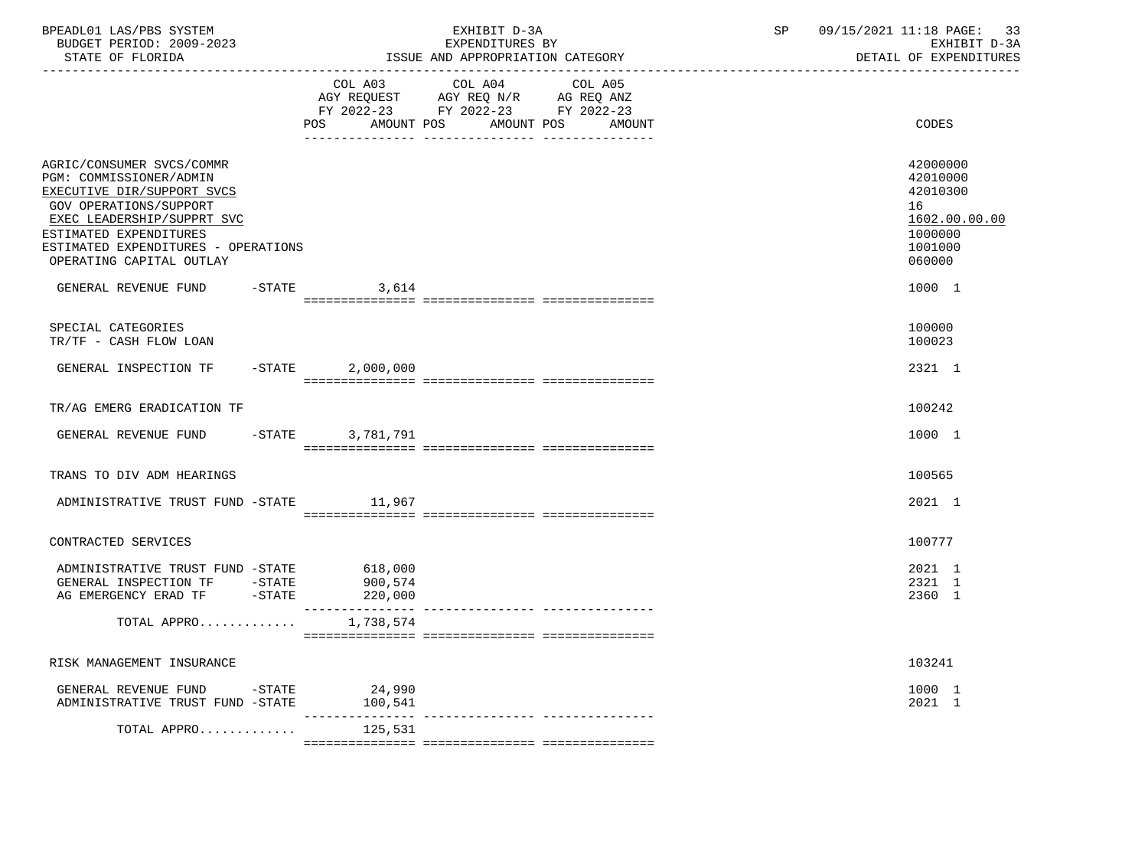| BPEADL01 LAS/PBS SYSTEM<br>BUDGET PERIOD: 2009-2023<br>STATE OF FLORIDA                                                                                                                                                                        |                    | EXHIBIT D-3A<br>EXPENDITURES BY<br>ISSUE AND APPROPRIATION CATEGORY                                                       | SP | 09/15/2021 11:18 PAGE:<br>33<br>EXHIBIT D-3A<br>DETAIL OF EXPENDITURES                  |  |
|------------------------------------------------------------------------------------------------------------------------------------------------------------------------------------------------------------------------------------------------|--------------------|---------------------------------------------------------------------------------------------------------------------------|----|-----------------------------------------------------------------------------------------|--|
|                                                                                                                                                                                                                                                | COL A03<br>POS     | COL A04 COL A05<br>AGY REQUEST AGY REQ N/R AG REQ ANZ<br>FY 2022-23 FY 2022-23 FY 2022-23<br>AMOUNT POS AMOUNT POS AMOUNT |    | CODES                                                                                   |  |
| AGRIC/CONSUMER SVCS/COMMR<br>PGM: COMMISSIONER/ADMIN<br>EXECUTIVE DIR/SUPPORT SVCS<br><b>GOV OPERATIONS/SUPPORT</b><br>EXEC LEADERSHIP/SUPPRT SVC<br>ESTIMATED EXPENDITURES<br>ESTIMATED EXPENDITURES - OPERATIONS<br>OPERATING CAPITAL OUTLAY |                    |                                                                                                                           |    | 42000000<br>42010000<br>42010300<br>16<br>1602.00.00.00<br>1000000<br>1001000<br>060000 |  |
| GENERAL REVENUE FUND                                                                                                                                                                                                                           | $-$ STATE 3,614    |                                                                                                                           |    | 1000 1                                                                                  |  |
| SPECIAL CATEGORIES<br>TR/TF - CASH FLOW LOAN                                                                                                                                                                                                   |                    |                                                                                                                           |    | 100000<br>100023                                                                        |  |
| GENERAL INSPECTION TF                                                                                                                                                                                                                          | $-STATE$ 2,000,000 |                                                                                                                           |    | 2321 1                                                                                  |  |
| TR/AG EMERG ERADICATION TF                                                                                                                                                                                                                     |                    |                                                                                                                           |    | 100242                                                                                  |  |
| GENERAL REVENUE FUND -STATE 3,781,791                                                                                                                                                                                                          |                    |                                                                                                                           |    | 1000 1                                                                                  |  |
| TRANS TO DIV ADM HEARINGS                                                                                                                                                                                                                      |                    |                                                                                                                           |    | 100565                                                                                  |  |
| ADMINISTRATIVE TRUST FUND -STATE 11,967                                                                                                                                                                                                        |                    |                                                                                                                           |    | 2021 1                                                                                  |  |
| CONTRACTED SERVICES                                                                                                                                                                                                                            |                    |                                                                                                                           |    | 100777                                                                                  |  |
| ADMINISTRATIVE TRUST FUND -STATE 618,000<br>GENERAL INSPECTION TF -STATE<br>AG EMERGENCY ERAD TF -STATE 220,000                                                                                                                                | 900,574            |                                                                                                                           |    | 2021 1<br>2321 1<br>2360 1                                                              |  |
| TOTAL APPRO $1,738,574$                                                                                                                                                                                                                        |                    |                                                                                                                           |    |                                                                                         |  |
| RISK MANAGEMENT INSURANCE                                                                                                                                                                                                                      |                    |                                                                                                                           |    | 103241                                                                                  |  |
| GENERAL REVENUE FUND -STATE<br>ADMINISTRATIVE TRUST FUND -STATE 100,541                                                                                                                                                                        | 24,990             |                                                                                                                           |    | 1000 1<br>2021 1                                                                        |  |
| TOTAL APPRO $125,531$                                                                                                                                                                                                                          |                    |                                                                                                                           |    |                                                                                         |  |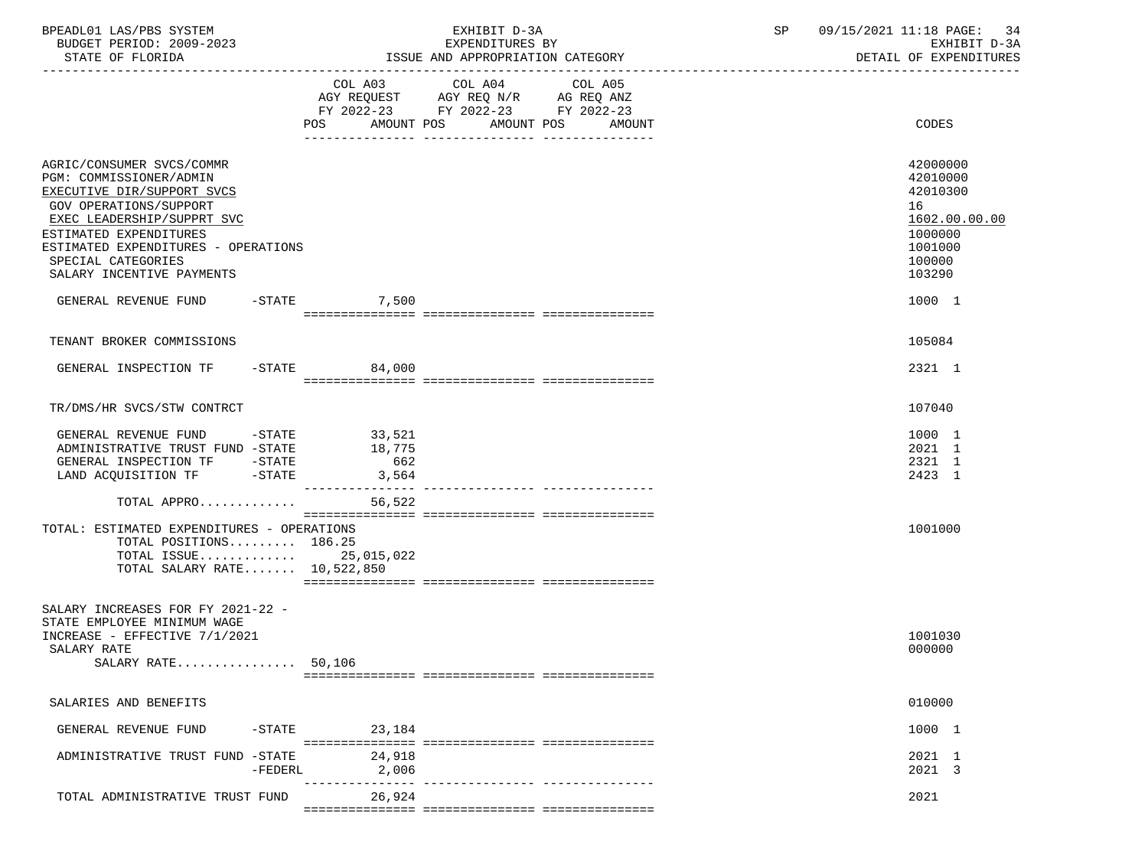| BPEADL01 LAS/PBS SYSTEM<br>BUDGET PERIOD: 2009-2023<br>STATE OF FLORIDA                                                                                                                                                                                        |                                  | EXHIBIT D-3A<br>EXPENDITURES BY<br>ISSUE AND APPROPRIATION CATEGORY                                                   | 09/15/2021 11:18 PAGE: 34<br>SP<br>EXHIBIT D-3A<br>DETAIL OF EXPENDITURES                         |  |
|----------------------------------------------------------------------------------------------------------------------------------------------------------------------------------------------------------------------------------------------------------------|----------------------------------|-----------------------------------------------------------------------------------------------------------------------|---------------------------------------------------------------------------------------------------|--|
|                                                                                                                                                                                                                                                                | COL A03 COL A04                  | COL A05<br>AGY REQUEST AGY REQ N/R AG REQ ANZ<br>FY 2022-23 FY 2022-23 FY 2022-23<br>POS AMOUNT POS AMOUNT POS AMOUNT | CODES                                                                                             |  |
| AGRIC/CONSUMER SVCS/COMMR<br>PGM: COMMISSIONER/ADMIN<br>EXECUTIVE DIR/SUPPORT SVCS<br>GOV OPERATIONS/SUPPORT<br>EXEC LEADERSHIP/SUPPRT SVC<br>ESTIMATED EXPENDITURES<br>ESTIMATED EXPENDITURES - OPERATIONS<br>SPECIAL CATEGORIES<br>SALARY INCENTIVE PAYMENTS |                                  |                                                                                                                       | 42000000<br>42010000<br>42010300<br>16<br>1602.00.00.00<br>1000000<br>1001000<br>100000<br>103290 |  |
| GENERAL REVENUE FUND -STATE 7,500                                                                                                                                                                                                                              |                                  |                                                                                                                       | 1000 1                                                                                            |  |
| TENANT BROKER COMMISSIONS                                                                                                                                                                                                                                      |                                  |                                                                                                                       | 105084                                                                                            |  |
| GENERAL INSPECTION TF -STATE 64,000                                                                                                                                                                                                                            |                                  |                                                                                                                       | 2321 1                                                                                            |  |
| TR/DMS/HR SVCS/STW CONTRCT                                                                                                                                                                                                                                     |                                  |                                                                                                                       | 107040                                                                                            |  |
| GENERAL REVENUE FUND -STATE 33,521<br>ADMINISTRATIVE TRUST FUND -STATE<br>GENERAL INSPECTION TF -STATE<br>LAND ACQUISITION TF -STATE<br>TOTAL APPRO                                                                                                            | 18,775<br>662<br>3,564<br>56,522 |                                                                                                                       | 1000 1<br>2021 1<br>2321 1<br>2423 1                                                              |  |
| TOTAL: ESTIMATED EXPENDITURES - OPERATIONS<br>TOTAL POSITIONS 186.25<br>TOTAL ISSUE 25,015,022<br>TOTAL SALARY RATE 10,522,850                                                                                                                                 |                                  |                                                                                                                       | 1001000                                                                                           |  |
| SALARY INCREASES FOR FY 2021-22 -<br>STATE EMPLOYEE MINIMUM WAGE<br>INCREASE - EFFECTIVE 7/1/2021<br>SALARY RATE<br>SALARY RATE 50,106                                                                                                                         |                                  |                                                                                                                       | 1001030<br>000000                                                                                 |  |
| SALARIES AND BENEFITS                                                                                                                                                                                                                                          |                                  |                                                                                                                       | 010000                                                                                            |  |
| GENERAL REVENUE FUND<br>-STATE                                                                                                                                                                                                                                 | 23,184                           |                                                                                                                       | 1000 1                                                                                            |  |
| ADMINISTRATIVE TRUST FUND -STATE<br>$-FEDERL$                                                                                                                                                                                                                  | 24,918<br>2,006                  |                                                                                                                       | 2021 1<br>2021 3                                                                                  |  |
| TOTAL ADMINISTRATIVE TRUST FUND                                                                                                                                                                                                                                | 26,924                           |                                                                                                                       | 2021                                                                                              |  |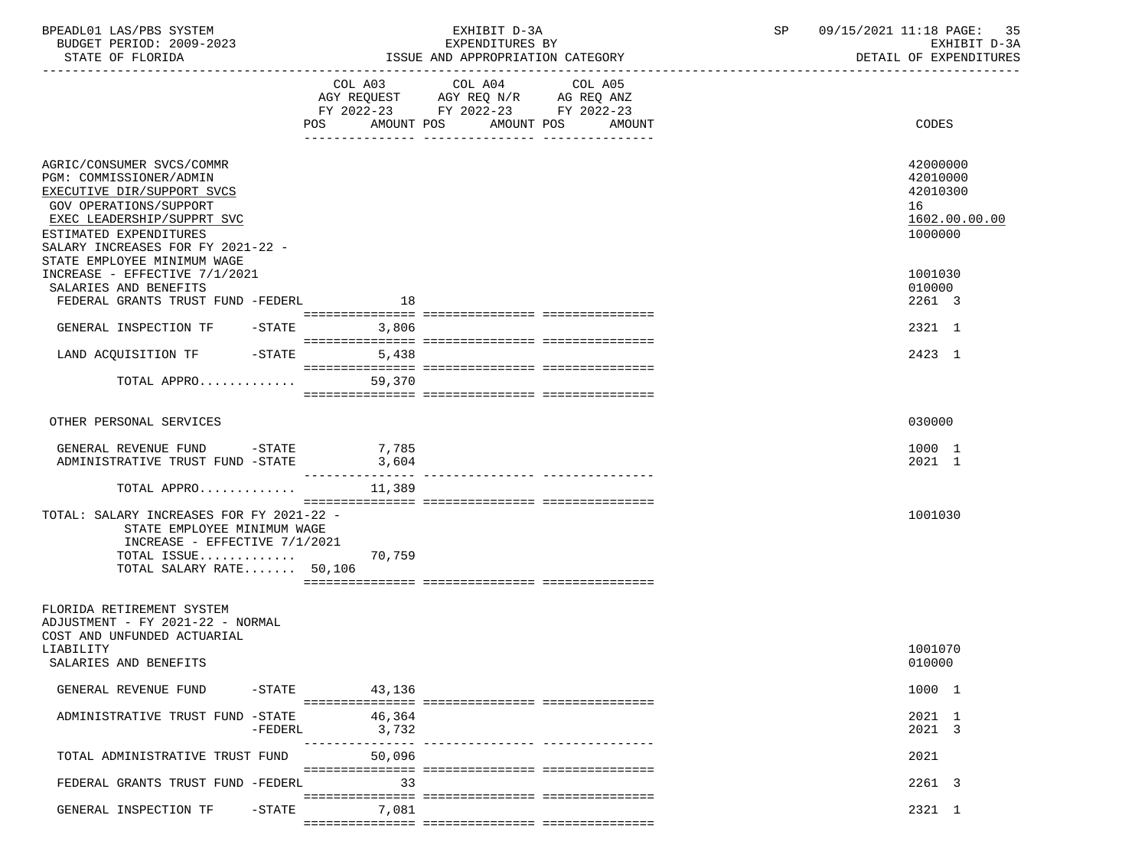| BPEADL01 LAS/PBS SYSTEM<br>BUDGET PERIOD: 2009-2023<br>STATE OF FLORIDA                                                                                                                                                                  |                                    | EXHIBIT D-3A<br>EXPENDITURES BY<br>ISSUE AND APPROPRIATION CATEGORY                                                                      | 09/15/2021 11:18 PAGE: 35<br>SP<br>EXHIBIT D-3A<br>DETAIL OF EXPENDITURES |  |
|------------------------------------------------------------------------------------------------------------------------------------------------------------------------------------------------------------------------------------------|------------------------------------|------------------------------------------------------------------------------------------------------------------------------------------|---------------------------------------------------------------------------|--|
|                                                                                                                                                                                                                                          |                                    | COL A03 COL A04<br>COL A05<br>AGY REQUEST AGY REQ N/R AG REQ ANZ<br>FY 2022-23 FY 2022-23 FY 2022-23<br>POS AMOUNT POS AMOUNT POS AMOUNT | CODES                                                                     |  |
| AGRIC/CONSUMER SVCS/COMMR<br>PGM: COMMISSIONER/ADMIN<br>EXECUTIVE DIR/SUPPORT SVCS<br>GOV OPERATIONS/SUPPORT<br>EXEC LEADERSHIP/SUPPRT SVC<br>ESTIMATED EXPENDITURES<br>SALARY INCREASES FOR FY 2021-22 -<br>STATE EMPLOYEE MINIMUM WAGE |                                    |                                                                                                                                          | 42000000<br>42010000<br>42010300<br>16<br>1602.00.00.00<br>1000000        |  |
| INCREASE - EFFECTIVE 7/1/2021                                                                                                                                                                                                            |                                    |                                                                                                                                          | 1001030                                                                   |  |
| SALARIES AND BENEFITS<br>FEDERAL GRANTS TRUST FUND -FEDERL                                                                                                                                                                               | $\sim$ 18                          |                                                                                                                                          | 010000<br>2261 3                                                          |  |
| GENERAL INSPECTION TF -STATE                                                                                                                                                                                                             | 3,806                              |                                                                                                                                          | 2321 1                                                                    |  |
| LAND ACQUISITION TF -STATE 5,438                                                                                                                                                                                                         |                                    |                                                                                                                                          | 2423 1                                                                    |  |
| TOTAL APPRO                                                                                                                                                                                                                              | 59,370                             |                                                                                                                                          |                                                                           |  |
| OTHER PERSONAL SERVICES                                                                                                                                                                                                                  |                                    |                                                                                                                                          | 030000                                                                    |  |
| GENERAL REVENUE FUND -STATE 7,785<br>ADMINISTRATIVE TRUST FUND -STATE                                                                                                                                                                    | 3,604                              |                                                                                                                                          | 1000 1<br>2021 1                                                          |  |
| TOTAL APPRO                                                                                                                                                                                                                              | 11,389                             |                                                                                                                                          |                                                                           |  |
| TOTAL: SALARY INCREASES FOR FY 2021-22 -<br>STATE EMPLOYEE MINIMUM WAGE<br>INCREASE - EFFECTIVE 7/1/2021                                                                                                                                 |                                    |                                                                                                                                          | 1001030                                                                   |  |
| TOTAL ISSUE<br>TOTAL SALARY RATE 50,106                                                                                                                                                                                                  | 70,759                             |                                                                                                                                          |                                                                           |  |
|                                                                                                                                                                                                                                          |                                    |                                                                                                                                          |                                                                           |  |
| FLORIDA RETIREMENT SYSTEM<br>ADJUSTMENT - FY 2021-22 - NORMAL<br>COST AND UNFUNDED ACTUARIAL<br>LIABILITY                                                                                                                                |                                    |                                                                                                                                          | 1001070                                                                   |  |
| SALARIES AND BENEFITS                                                                                                                                                                                                                    |                                    |                                                                                                                                          | 010000                                                                    |  |
| GENERAL REVENUE FUND -STATE 43,136                                                                                                                                                                                                       |                                    |                                                                                                                                          | 1000 1                                                                    |  |
| ADMINISTRATIVE TRUST FUND -STATE<br>-FEDERL                                                                                                                                                                                              | 46,364<br>3,732<br>_______________ | _______________________________                                                                                                          | 2021 1<br>2021 3                                                          |  |
| TOTAL ADMINISTRATIVE TRUST FUND                                                                                                                                                                                                          | 50,096                             |                                                                                                                                          | 2021                                                                      |  |
| FEDERAL GRANTS TRUST FUND -FEDERL                                                                                                                                                                                                        | 33                                 |                                                                                                                                          | 2261 3                                                                    |  |
| GENERAL INSPECTION TF<br>$-$ STATE                                                                                                                                                                                                       | 7,081                              |                                                                                                                                          | 2321 1                                                                    |  |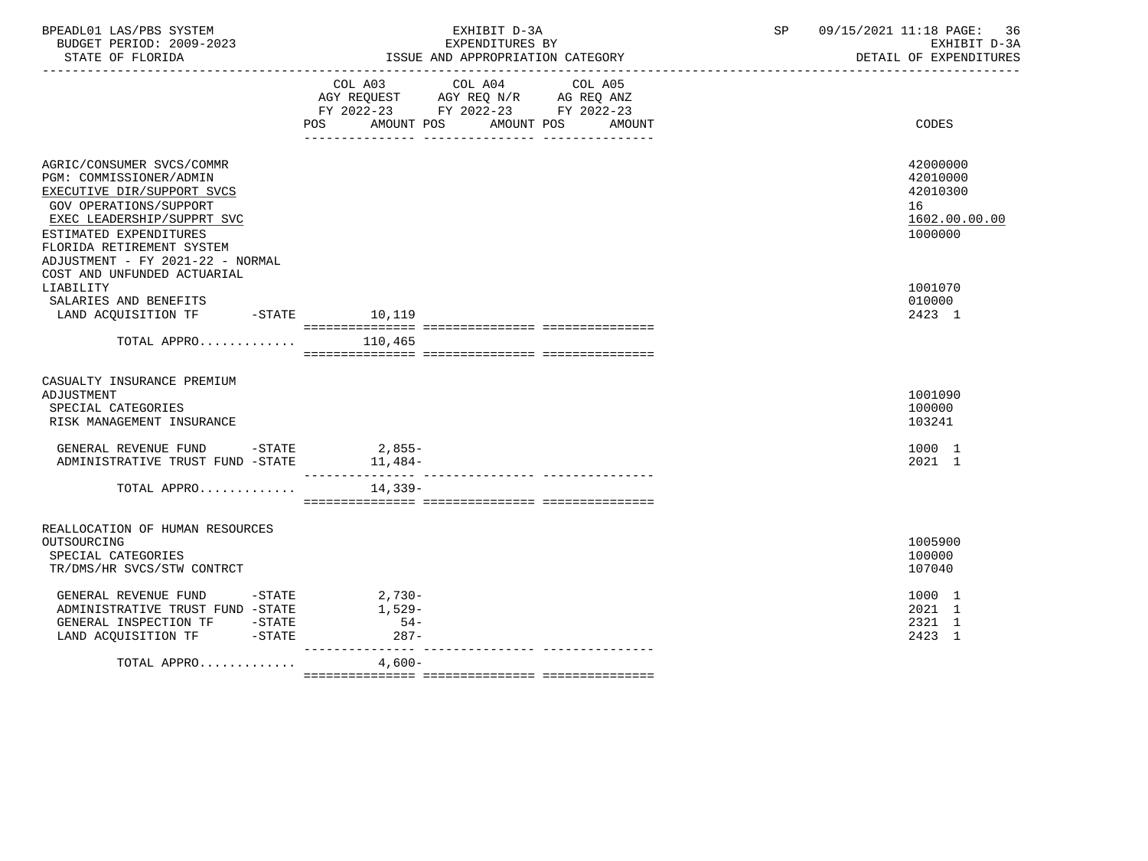| BPEADL01 LAS/PBS SYSTEM<br>BUDGET PERIOD: 2009-2023<br>STATE OF FLORIDA                                                                                                                                                               | EXHIBIT D-3A<br>EXPENDITURES BY<br>ISSUE AND APPROPRIATION CATEGORY                                                                      | 09/15/2021 11:18 PAGE: 36<br>SP and the set of the set of the set of the set of the set of the set of the set of the set of the set of the set of the set of the set of the set of the set of the set of the set of the set of the set of the set of the se<br>EXHIBIT D-3A<br>DETAIL OF EXPENDITURES |
|---------------------------------------------------------------------------------------------------------------------------------------------------------------------------------------------------------------------------------------|------------------------------------------------------------------------------------------------------------------------------------------|-------------------------------------------------------------------------------------------------------------------------------------------------------------------------------------------------------------------------------------------------------------------------------------------------------|
|                                                                                                                                                                                                                                       | COL A03 COL A04 COL A05<br>AGY REQUEST AGY REQ N/R AG REQ ANZ<br>FY 2022-23 FY 2022-23 FY 2022-23<br>POS AMOUNT POS AMOUNT POS<br>AMOUNT | CODES                                                                                                                                                                                                                                                                                                 |
| AGRIC/CONSUMER SVCS/COMMR<br>PGM: COMMISSIONER/ADMIN<br>EXECUTIVE DIR/SUPPORT SVCS<br>GOV OPERATIONS/SUPPORT<br>EXEC LEADERSHIP/SUPPRT SVC<br>ESTIMATED EXPENDITURES<br>FLORIDA RETIREMENT SYSTEM<br>ADJUSTMENT - FY 2021-22 - NORMAL |                                                                                                                                          | 42000000<br>42010000<br>42010300<br>16<br>1602.00.00.00<br>1000000                                                                                                                                                                                                                                    |
| COST AND UNFUNDED ACTUARIAL<br>LIABILITY<br>SALARIES AND BENEFITS<br>LAND ACQUISITION TF -STATE 10,119                                                                                                                                |                                                                                                                                          | 1001070<br>010000<br>2423 1                                                                                                                                                                                                                                                                           |
| TOTAL APPRO $110,465$                                                                                                                                                                                                                 |                                                                                                                                          |                                                                                                                                                                                                                                                                                                       |
| CASUALTY INSURANCE PREMIUM<br>ADJUSTMENT<br>SPECIAL CATEGORIES<br>RISK MANAGEMENT INSURANCE                                                                                                                                           |                                                                                                                                          | 1001090<br>100000<br>103241                                                                                                                                                                                                                                                                           |
| GENERAL REVENUE FUND -STATE 2,855-<br>ADMINISTRATIVE TRUST FUND -STATE                                                                                                                                                                | $11,484-$                                                                                                                                | 1000 1<br>2021 1                                                                                                                                                                                                                                                                                      |
| TOTAL APPRO                                                                                                                                                                                                                           | 14,339-                                                                                                                                  |                                                                                                                                                                                                                                                                                                       |
| REALLOCATION OF HUMAN RESOURCES<br>OUTSOURCING<br>SPECIAL CATEGORIES<br>TR/DMS/HR SVCS/STW CONTRCT                                                                                                                                    |                                                                                                                                          | 1005900<br>100000<br>107040                                                                                                                                                                                                                                                                           |
| GENERAL REVENUE FUND -STATE<br>ADMINISTRATIVE TRUST FUND -STATE<br>GENERAL INSPECTION TF -STATE<br>LAND ACQUISITION TF -STATE                                                                                                         | $2,730-$<br>$1,529-$<br>$54-$<br>$287 -$                                                                                                 | 1000 1<br>2021 1<br>2321 1<br>2423 1                                                                                                                                                                                                                                                                  |
| TOTAL APPRO $4,600-$                                                                                                                                                                                                                  |                                                                                                                                          |                                                                                                                                                                                                                                                                                                       |

=============== =============== ===============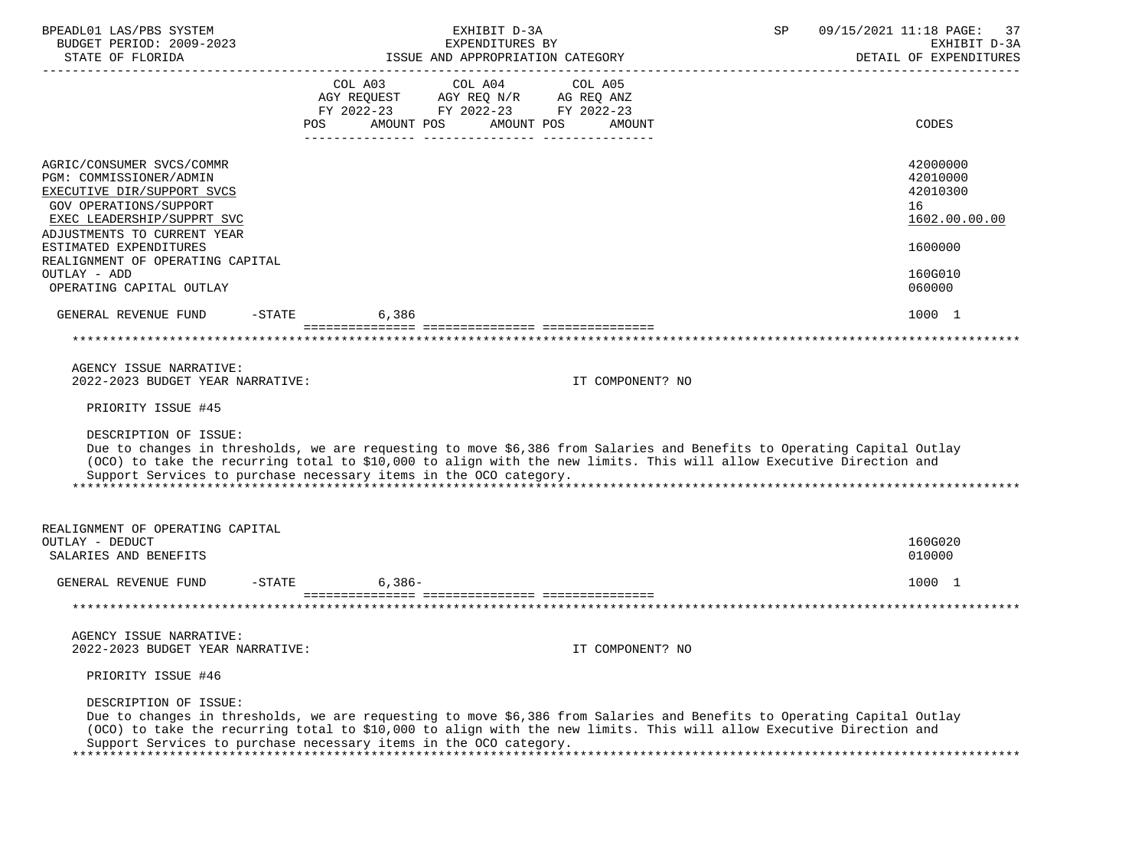| BPEADL01 LAS/PBS SYSTEM<br>BUDGET PERIOD: 2009-2023                                                                                               | EXHIBIT D-3A<br>EXPENDITURES BY                                                                                                                                                                                                                                                                                    | 09/15/2021 11:18 PAGE:<br>SP<br>37<br>EXHIBIT D-3A      |
|---------------------------------------------------------------------------------------------------------------------------------------------------|--------------------------------------------------------------------------------------------------------------------------------------------------------------------------------------------------------------------------------------------------------------------------------------------------------------------|---------------------------------------------------------|
| STATE OF FLORIDA                                                                                                                                  | ISSUE AND APPROPRIATION CATEGORY                                                                                                                                                                                                                                                                                   | DETAIL OF EXPENDITURES                                  |
|                                                                                                                                                   | COL A03<br>COL A04<br>COL A05<br>AGY REQUEST AGY REQ N/R AG REQ ANZ<br>FY 2022-23 FY 2022-23 FY 2022-23<br>AMOUNT POS<br>AMOUNT POS<br>POS<br>AMOUNT                                                                                                                                                               | CODES                                                   |
|                                                                                                                                                   |                                                                                                                                                                                                                                                                                                                    |                                                         |
| AGRIC/CONSUMER SVCS/COMMR<br>PGM: COMMISSIONER/ADMIN<br>EXECUTIVE DIR/SUPPORT SVCS<br><b>GOV OPERATIONS/SUPPORT</b><br>EXEC LEADERSHIP/SUPPRT SVC |                                                                                                                                                                                                                                                                                                                    | 42000000<br>42010000<br>42010300<br>16<br>1602.00.00.00 |
| ADJUSTMENTS TO CURRENT YEAR<br>ESTIMATED EXPENDITURES                                                                                             |                                                                                                                                                                                                                                                                                                                    | 1600000                                                 |
| REALIGNMENT OF OPERATING CAPITAL                                                                                                                  |                                                                                                                                                                                                                                                                                                                    |                                                         |
| OUTLAY - ADD<br>OPERATING CAPITAL OUTLAY                                                                                                          |                                                                                                                                                                                                                                                                                                                    | 160G010<br>060000                                       |
| GENERAL REVENUE FUND                                                                                                                              | $-STATE$<br>6,386                                                                                                                                                                                                                                                                                                  | 1000 1                                                  |
|                                                                                                                                                   |                                                                                                                                                                                                                                                                                                                    |                                                         |
|                                                                                                                                                   |                                                                                                                                                                                                                                                                                                                    |                                                         |
| AGENCY ISSUE NARRATIVE:<br>2022-2023 BUDGET YEAR NARRATIVE:                                                                                       | IT COMPONENT? NO                                                                                                                                                                                                                                                                                                   |                                                         |
| PRIORITY ISSUE #45                                                                                                                                |                                                                                                                                                                                                                                                                                                                    |                                                         |
| DESCRIPTION OF ISSUE:                                                                                                                             | Due to changes in thresholds, we are requesting to move \$6,386 from Salaries and Benefits to Operating Capital Outlay<br>(OCO) to take the recurring total to \$10,000 to align with the new limits. This will allow Executive Direction and<br>Support Services to purchase necessary items in the OCO category. |                                                         |
| REALIGNMENT OF OPERATING CAPITAL                                                                                                                  |                                                                                                                                                                                                                                                                                                                    |                                                         |
| OUTLAY - DEDUCT<br>SALARIES AND BENEFITS                                                                                                          |                                                                                                                                                                                                                                                                                                                    | 160G020<br>010000                                       |
| GENERAL REVENUE FUND                                                                                                                              | $6,386-$<br>$-STATE$                                                                                                                                                                                                                                                                                               | 1000 1                                                  |
|                                                                                                                                                   |                                                                                                                                                                                                                                                                                                                    |                                                         |
| AGENCY ISSUE NARRATIVE:                                                                                                                           |                                                                                                                                                                                                                                                                                                                    |                                                         |
| 2022-2023 BUDGET YEAR NARRATIVE:                                                                                                                  | IT COMPONENT? NO                                                                                                                                                                                                                                                                                                   |                                                         |
| PRIORITY ISSUE #46                                                                                                                                |                                                                                                                                                                                                                                                                                                                    |                                                         |
| DESCRIPTION OF ISSUE:                                                                                                                             | Due to changes in thresholds, we are requesting to move \$6,386 from Salaries and Benefits to Operating Capital Outlay<br>(OCO) to take the recurring total to \$10,000 to align with the new limits. This will allow Executive Direction and<br>Support Services to purchase necessary items in the OCO category. |                                                         |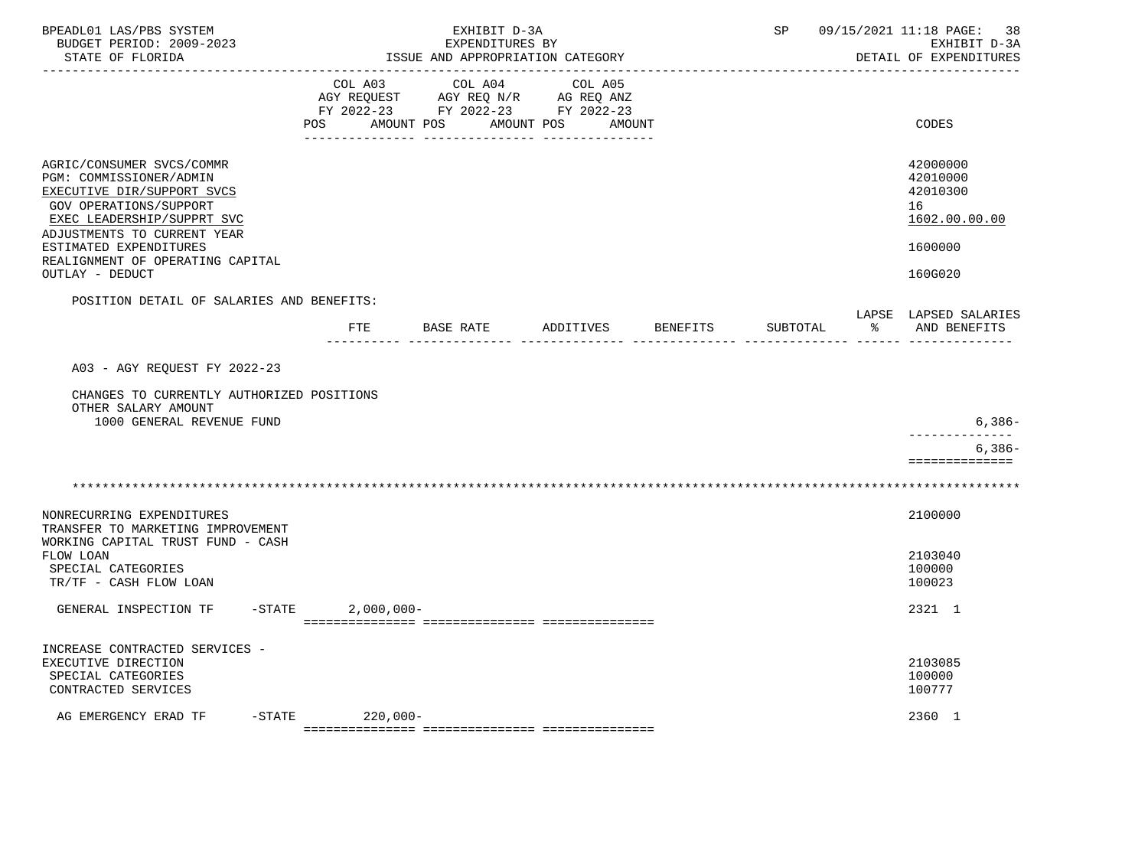| BPEADL01 LAS/PBS SYSTEM<br>BUDGET PERIOD: 2009-2023<br>STATE OF FLORIDA<br>------------------                                                                             | EXHIBIT D-3A<br>EXPENDITURES BY<br>ISSUE AND APPROPRIATION CATEGORY |                                                                                   |                                 |          | SP       |       | 09/15/2021 11:18 PAGE: 38<br>EXHIBIT D-3A<br>DETAIL OF EXPENDITURES |
|---------------------------------------------------------------------------------------------------------------------------------------------------------------------------|---------------------------------------------------------------------|-----------------------------------------------------------------------------------|---------------------------------|----------|----------|-------|---------------------------------------------------------------------|
|                                                                                                                                                                           | COL A03<br>POS AMOUNT POS                                           | COL A04<br>AGY REQUEST AGY REQ N/R AG REQ ANZ<br>FY 2022-23 FY 2022-23 FY 2022-23 | COL A05<br>AMOUNT POS<br>AMOUNT |          |          |       | CODES                                                               |
| AGRIC/CONSUMER SVCS/COMMR<br>PGM: COMMISSIONER/ADMIN<br>EXECUTIVE DIR/SUPPORT SVCS<br>GOV OPERATIONS/SUPPORT<br>EXEC LEADERSHIP/SUPPRT SVC<br>ADJUSTMENTS TO CURRENT YEAR |                                                                     |                                                                                   |                                 |          |          |       | 42000000<br>42010000<br>42010300<br>16<br>1602.00.00.00             |
| ESTIMATED EXPENDITURES<br>REALIGNMENT OF OPERATING CAPITAL<br>OUTLAY - DEDUCT                                                                                             |                                                                     |                                                                                   |                                 |          |          |       | 1600000<br>160G020                                                  |
| POSITION DETAIL OF SALARIES AND BENEFITS:                                                                                                                                 |                                                                     |                                                                                   |                                 |          |          |       |                                                                     |
|                                                                                                                                                                           | FTE                                                                 | BASE RATE ADDITIVES                                                               |                                 | BENEFITS | SUBTOTAL | ော အေ | LAPSE LAPSED SALARIES<br>AND BENEFITS                               |
| CHANGES TO CURRENTLY AUTHORIZED POSITIONS<br>OTHER SALARY AMOUNT<br>1000 GENERAL REVENUE FUND                                                                             |                                                                     |                                                                                   |                                 |          |          |       | 6,386-<br>$6,386-$<br>==============                                |
|                                                                                                                                                                           |                                                                     |                                                                                   |                                 |          |          |       |                                                                     |
| NONRECURRING EXPENDITURES<br>TRANSFER TO MARKETING IMPROVEMENT                                                                                                            |                                                                     |                                                                                   |                                 |          |          |       | 2100000                                                             |
| WORKING CAPITAL TRUST FUND - CASH<br>FLOW LOAN<br>SPECIAL CATEGORIES<br>TR/TF - CASH FLOW LOAN                                                                            |                                                                     |                                                                                   |                                 |          |          |       | 2103040<br>100000<br>100023                                         |
| $-STATE$<br>GENERAL INSPECTION TF                                                                                                                                         | $2,000,000 -$                                                       |                                                                                   |                                 |          |          |       | 2321 1                                                              |
| INCREASE CONTRACTED SERVICES -<br>EXECUTIVE DIRECTION<br>SPECIAL CATEGORIES<br>CONTRACTED SERVICES                                                                        |                                                                     |                                                                                   |                                 |          |          |       | 2103085<br>100000<br>100777                                         |
| AG EMERGENCY ERAD TF                                                                                                                                                      | $-STATE$ 220,000-                                                   |                                                                                   |                                 |          |          |       | 2360 1                                                              |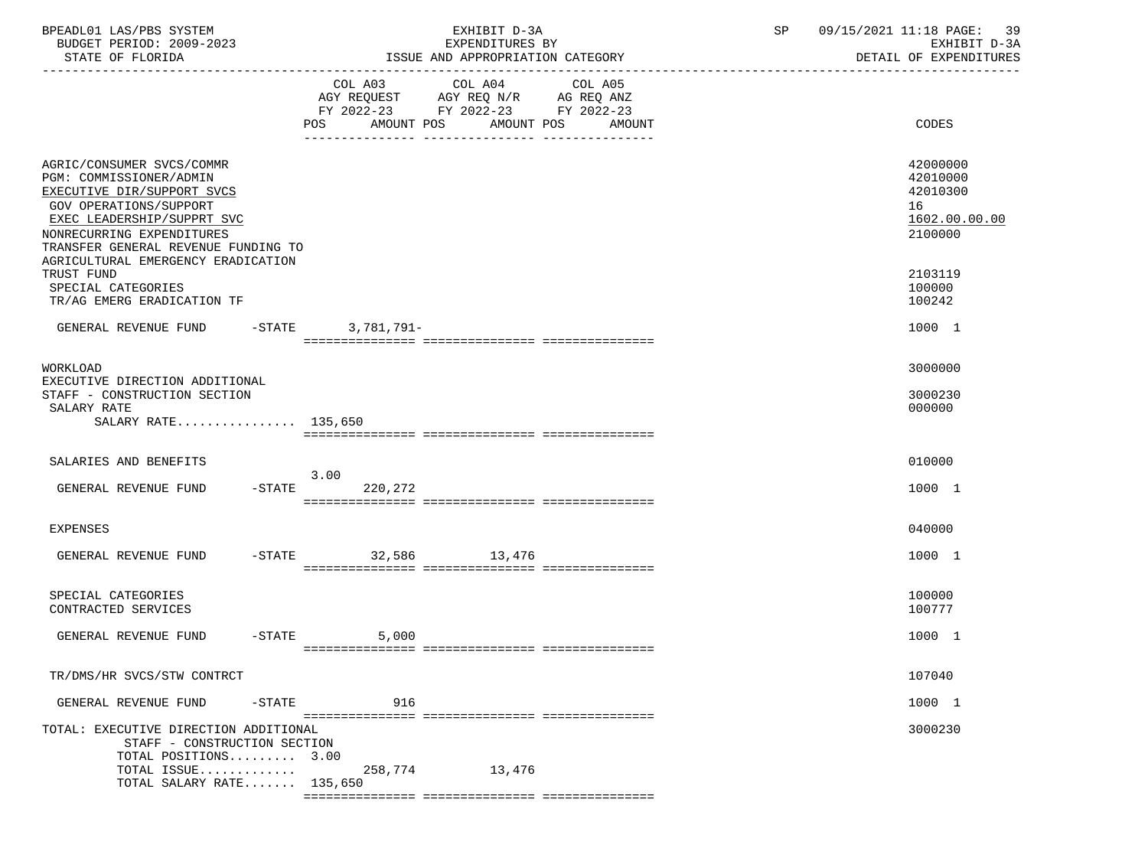| BPEADL01 LAS/PBS SYSTEM<br>BUDGET PERIOD: 2009-2023<br>STATE OF FLORIDA                                                                                                                                        | EXHIBIT D-3A<br>EXPENDITURES BY<br>ISSUE AND APPROPRIATION CATEGORY                                                                         | 09/15/2021 11:18 PAGE: 39<br>SP<br>EXHIBIT D-3A<br>DETAIL OF EXPENDITURES |
|----------------------------------------------------------------------------------------------------------------------------------------------------------------------------------------------------------------|---------------------------------------------------------------------------------------------------------------------------------------------|---------------------------------------------------------------------------|
|                                                                                                                                                                                                                | COL A03 COL A04 COL A05<br>AGY REQUEST AGY REQ N/R AG REQ ANZ<br>FY 2022-23 FY 2022-23 FY 2022-23<br>POS<br>AMOUNT POS AMOUNT POS<br>AMOUNT | CODES                                                                     |
| AGRIC/CONSUMER SVCS/COMMR<br>PGM: COMMISSIONER/ADMIN<br>EXECUTIVE DIR/SUPPORT SVCS<br>GOV OPERATIONS/SUPPORT<br>EXEC LEADERSHIP/SUPPRT SVC<br>NONRECURRING EXPENDITURES<br>TRANSFER GENERAL REVENUE FUNDING TO |                                                                                                                                             | 42000000<br>42010000<br>42010300<br>16<br>1602.00.00.00<br>2100000        |
| AGRICULTURAL EMERGENCY ERADICATION<br>TRUST FUND<br>SPECIAL CATEGORIES<br>TR/AG EMERG ERADICATION TF                                                                                                           |                                                                                                                                             | 2103119<br>100000<br>100242                                               |
| GENERAL REVENUE FUND -STATE 3,781,791-                                                                                                                                                                         |                                                                                                                                             | 1000 1                                                                    |
| WORKLOAD                                                                                                                                                                                                       |                                                                                                                                             | 3000000                                                                   |
| EXECUTIVE DIRECTION ADDITIONAL<br>STAFF - CONSTRUCTION SECTION<br>SALARY RATE<br>SALARY RATE 135,650                                                                                                           |                                                                                                                                             | 3000230<br>000000                                                         |
|                                                                                                                                                                                                                |                                                                                                                                             |                                                                           |
| SALARIES AND BENEFITS                                                                                                                                                                                          | 3.00                                                                                                                                        | 010000                                                                    |
| GENERAL REVENUE FUND                                                                                                                                                                                           | $-STATE$ 220, 272                                                                                                                           | 1000 1                                                                    |
| <b>EXPENSES</b>                                                                                                                                                                                                |                                                                                                                                             | 040000                                                                    |
| GENERAL REVENUE FUND                                                                                                                                                                                           | 32,586 13,476<br>$-$ STATE                                                                                                                  | 1000 1                                                                    |
| SPECIAL CATEGORIES<br>CONTRACTED SERVICES                                                                                                                                                                      |                                                                                                                                             | 100000<br>100777                                                          |
| GENERAL REVENUE FUND                                                                                                                                                                                           | $-STATE$<br>5,000                                                                                                                           | 1000 1                                                                    |
| TR/DMS/HR SVCS/STW CONTRCT                                                                                                                                                                                     |                                                                                                                                             | 107040                                                                    |
| GENERAL REVENUE FUND<br>$-$ STATE                                                                                                                                                                              | 916                                                                                                                                         | 1000 1                                                                    |
| TOTAL: EXECUTIVE DIRECTION ADDITIONAL<br>STAFF - CONSTRUCTION SECTION<br>TOTAL POSITIONS 3.00                                                                                                                  |                                                                                                                                             | 3000230                                                                   |
| TOTAL ISSUE<br>TOTAL SALARY RATE 135,650                                                                                                                                                                       | 258,774<br>13,476                                                                                                                           |                                                                           |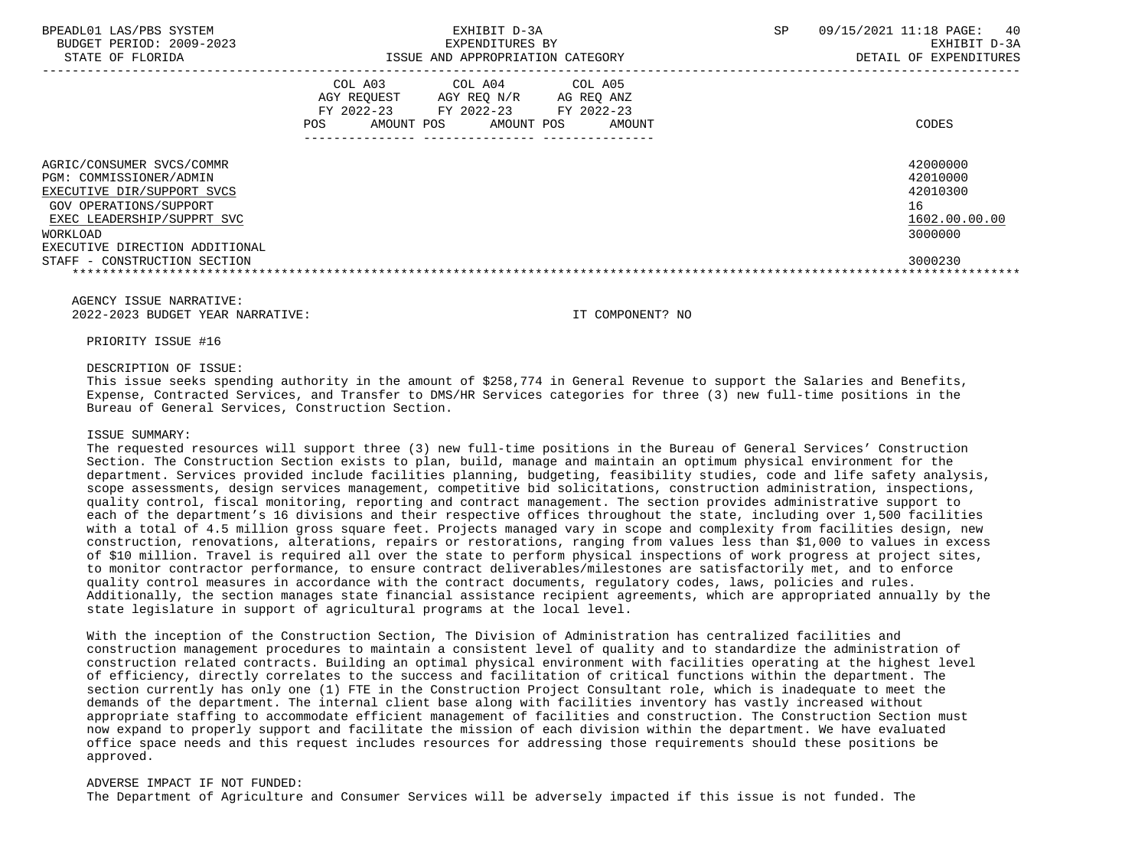| BPEADL01 LAS/PBS SYSTEM<br>BUDGET PERIOD: 2009-2023<br>STATE OF FLORIDA                                                                                                                  | EXHIBIT D-3A<br>EXPENDITURES BY<br>ISSUE AND APPROPRIATION CATEGORY                                                                                        | SP.<br>09/15/2021 11:18 PAGE:<br>40<br>EXHIBIT D-3A<br>DETAIL OF EXPENDITURES |
|------------------------------------------------------------------------------------------------------------------------------------------------------------------------------------------|------------------------------------------------------------------------------------------------------------------------------------------------------------|-------------------------------------------------------------------------------|
|                                                                                                                                                                                          | COL A05<br>COL A03<br>COL A04<br>AGY REOUEST<br>AGY REQ N/R<br>AG REQ ANZ<br>FY 2022-23 FY 2022-23 FY 2022-23<br>POS<br>AMOUNT POS<br>AMOUNT POS<br>AMOUNT | CODES                                                                         |
| AGRIC/CONSUMER SVCS/COMMR<br>PGM: COMMISSIONER/ADMIN<br>EXECUTIVE DIR/SUPPORT SVCS<br>GOV OPERATIONS/SUPPORT<br>EXEC LEADERSHIP/SUPPRT SVC<br>WORKLOAD<br>EXECUTIVE DIRECTION ADDITIONAL |                                                                                                                                                            | 42000000<br>42010000<br>42010300<br>16<br>1602.00.00.00<br>3000000            |
| STAFF - CONSTRUCTION SECTION                                                                                                                                                             |                                                                                                                                                            | 3000230                                                                       |

 AGENCY ISSUE NARRATIVE: 2022-2023 BUDGET YEAR NARRATIVE: IT COMPONENT? NO

PRIORITY ISSUE #16

### DESCRIPTION OF ISSUE:

 This issue seeks spending authority in the amount of \$258,774 in General Revenue to support the Salaries and Benefits, Expense, Contracted Services, and Transfer to DMS/HR Services categories for three (3) new full-time positions in the Bureau of General Services, Construction Section.

#### ISSUE SUMMARY:

 The requested resources will support three (3) new full-time positions in the Bureau of General Services' Construction Section. The Construction Section exists to plan, build, manage and maintain an optimum physical environment for the department. Services provided include facilities planning, budgeting, feasibility studies, code and life safety analysis, scope assessments, design services management, competitive bid solicitations, construction administration, inspections, quality control, fiscal monitoring, reporting and contract management. The section provides administrative support to each of the department's 16 divisions and their respective offices throughout the state, including over 1,500 facilities with a total of 4.5 million gross square feet. Projects managed vary in scope and complexity from facilities design, new construction, renovations, alterations, repairs or restorations, ranging from values less than \$1,000 to values in excess of \$10 million. Travel is required all over the state to perform physical inspections of work progress at project sites, to monitor contractor performance, to ensure contract deliverables/milestones are satisfactorily met, and to enforce quality control measures in accordance with the contract documents, regulatory codes, laws, policies and rules. Additionally, the section manages state financial assistance recipient agreements, which are appropriated annually by the state legislature in support of agricultural programs at the local level.

 With the inception of the Construction Section, The Division of Administration has centralized facilities and construction management procedures to maintain a consistent level of quality and to standardize the administration of construction related contracts. Building an optimal physical environment with facilities operating at the highest level of efficiency, directly correlates to the success and facilitation of critical functions within the department. The section currently has only one (1) FTE in the Construction Project Consultant role, which is inadequate to meet the demands of the department. The internal client base along with facilities inventory has vastly increased without appropriate staffing to accommodate efficient management of facilities and construction. The Construction Section must now expand to properly support and facilitate the mission of each division within the department. We have evaluated office space needs and this request includes resources for addressing those requirements should these positions be approved.

#### ADVERSE IMPACT IF NOT FUNDED:

The Department of Agriculture and Consumer Services will be adversely impacted if this issue is not funded. The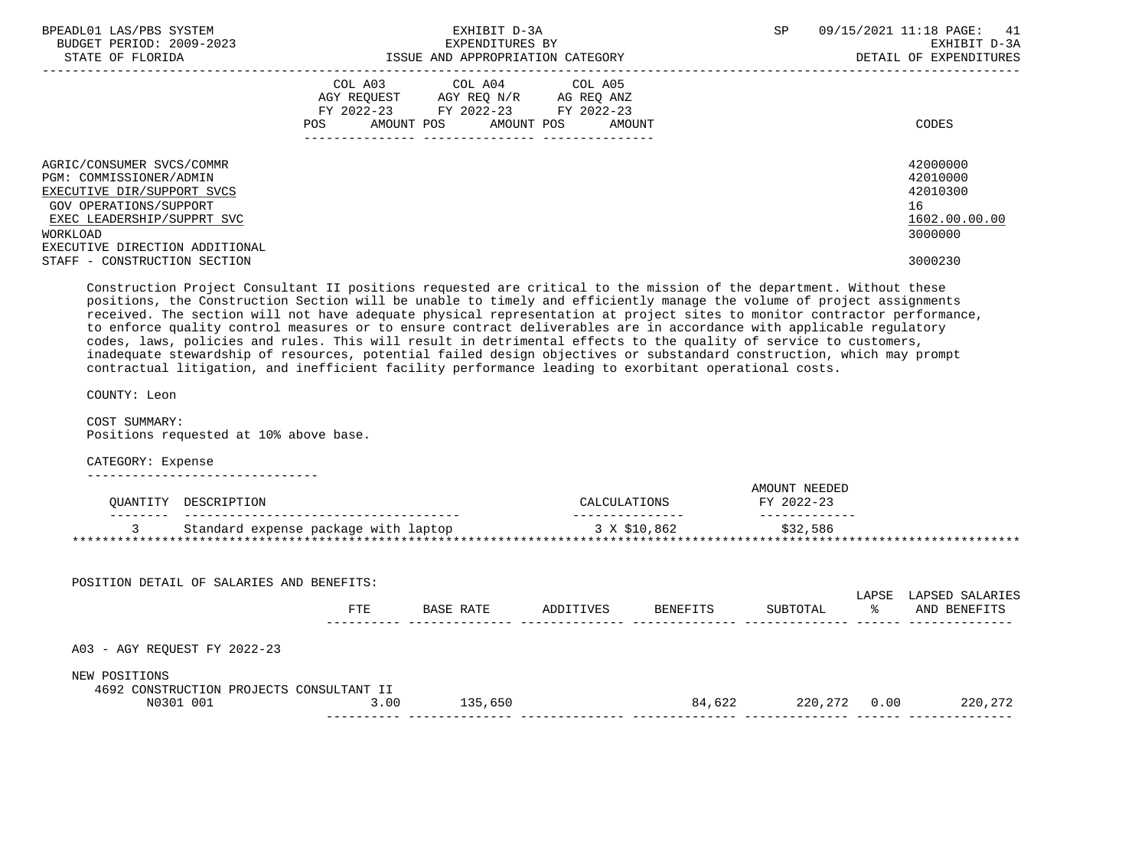| BPEADL01 LAS/PBS SYSTEM<br>BUDGET PERIOD: 2009-2023<br>STATE OF FLORIDA                                                                                                                         | EXHIBIT D-3A<br>EXPENDITURES BY<br>ISSUE AND APPROPRIATION CATEGORY                                                                            | 09/15/2021 11:18 PAGE:<br>41<br><b>SP</b><br>EXHIBIT D-3A<br>DETAIL OF EXPENDITURES |
|-------------------------------------------------------------------------------------------------------------------------------------------------------------------------------------------------|------------------------------------------------------------------------------------------------------------------------------------------------|-------------------------------------------------------------------------------------|
|                                                                                                                                                                                                 | COL A03 COL A04 COL A05<br>AGY REOUEST AGY REO N/R<br>AG REQ ANZ<br>FY 2022-23 FY 2022-23 FY 2022-23<br>AMOUNT POS AMOUNT POS<br>POS<br>AMOUNT | CODES                                                                               |
| AGRIC/CONSUMER SVCS/COMMR<br>PGM: COMMISSIONER/ADMIN<br>EXECUTIVE DIR/SUPPORT SVCS<br>GOV OPERATIONS/SUPPORT<br>EXEC LEADERSHIP/SUPPRT SVC<br><b>WORKLOAD</b><br>EXECUTIVE DIRECTION ADDITIONAL |                                                                                                                                                | 42000000<br>42010000<br>42010300<br>16<br>1602.00.00.00<br>3000000                  |
| STAFF - CONSTRUCTION SECTION                                                                                                                                                                    |                                                                                                                                                | 3000230                                                                             |

 Construction Project Consultant II positions requested are critical to the mission of the department. Without these positions, the Construction Section will be unable to timely and efficiently manage the volume of project assignments received. The section will not have adequate physical representation at project sites to monitor contractor performance, to enforce quality control measures or to ensure contract deliverables are in accordance with applicable regulatory codes, laws, policies and rules. This will result in detrimental effects to the quality of service to customers, inadequate stewardship of resources, potential failed design objectives or substandard construction, which may prompt contractual litigation, and inefficient facility performance leading to exorbitant operational costs.

COUNTY: Leon

 COST SUMMARY: Positions requested at 10% above base.

#### CATEGORY: Expense

-------------------------------

|                                      | AMOUNT NEEDED |            |  |  |
|--------------------------------------|---------------|------------|--|--|
| OUANTITY DESCRIPTION                 | CALCULATIONS  | FY 2022-23 |  |  |
|                                      |               |            |  |  |
| Standard expense package with laptop | 3 X \$10,862  | \$32,586   |  |  |
|                                      |               |            |  |  |

| POSITION DETAIL OF SALARIES AND BENEFITS:                 |      |           |           |          |          |             |                                 |
|-----------------------------------------------------------|------|-----------|-----------|----------|----------|-------------|---------------------------------|
|                                                           | FTE  | BASE RATE | ADDITIVES | BENEFITS | SUBTOTAL | LAPSE<br>ႜႜ | LAPSED SALARIES<br>AND BENEFITS |
| A03 - AGY REQUEST FY 2022-23                              |      |           |           |          |          |             |                                 |
| NEW POSITIONS<br>4692 CONSTRUCTION PROJECTS CONSULTANT II |      |           |           |          |          |             |                                 |
| N0301 001                                                 | 3.00 | 135,650   |           | 84,622   | 220,272  | 0.00        | 220,272                         |
|                                                           |      |           |           |          |          |             |                                 |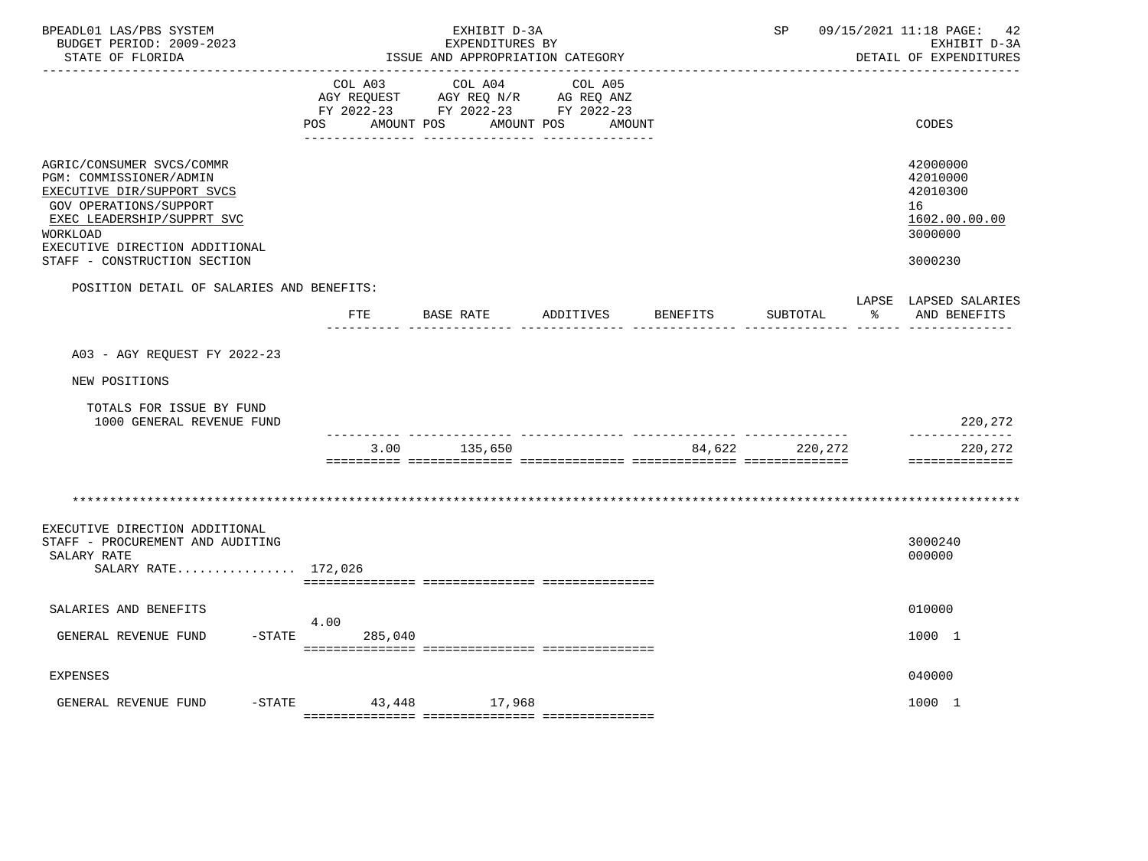| BPEADL01 LAS/PBS SYSTEM<br>BUDGET PERIOD: 2009-2023<br>STATE OF FLORIDA                                                                                                                         |                     | EXHIBIT D-3A<br>EXPENDITURES BY<br>ISSUE AND APPROPRIATION CATEGORY                                                                                                                                                                    |                   |          | SP                           |               | 09/15/2021 11:18 PAGE:<br>42<br>EXHIBIT D-3A<br>DETAIL OF EXPENDITURES |
|-------------------------------------------------------------------------------------------------------------------------------------------------------------------------------------------------|---------------------|----------------------------------------------------------------------------------------------------------------------------------------------------------------------------------------------------------------------------------------|-------------------|----------|------------------------------|---------------|------------------------------------------------------------------------|
|                                                                                                                                                                                                 | COL A03<br>POS      | COL A04<br>$\begin{tabular}{lllllll} \bf AGY & \bf REQUEST & \bf AGY & \bf REQ & \tt N/R & \tt AG & \tt REQ & \tt ANZ \\ \bf FY & \tt 2022-23 & \tt FY & \tt 2022-23 & \tt FY & \tt 2022-23 \\ \end{tabular}$<br>AMOUNT POS AMOUNT POS | COL A05<br>AMOUNT |          |                              |               | CODES                                                                  |
|                                                                                                                                                                                                 |                     | ____ _______________ ___________                                                                                                                                                                                                       |                   |          |                              |               |                                                                        |
| AGRIC/CONSUMER SVCS/COMMR<br>PGM: COMMISSIONER/ADMIN<br>EXECUTIVE DIR/SUPPORT SVCS<br><b>GOV OPERATIONS/SUPPORT</b><br>EXEC LEADERSHIP/SUPPRT SVC<br>WORKLOAD<br>EXECUTIVE DIRECTION ADDITIONAL |                     |                                                                                                                                                                                                                                        |                   |          |                              |               | 42000000<br>42010000<br>42010300<br>16<br>1602.00.00.00<br>3000000     |
| STAFF - CONSTRUCTION SECTION                                                                                                                                                                    |                     |                                                                                                                                                                                                                                        |                   |          |                              |               | 3000230                                                                |
| POSITION DETAIL OF SALARIES AND BENEFITS:                                                                                                                                                       |                     |                                                                                                                                                                                                                                        |                   |          |                              |               | LAPSE LAPSED SALARIES                                                  |
|                                                                                                                                                                                                 |                     | FTE BASE RATE                                                                                                                                                                                                                          | ADDITIVES         | BENEFITS | SUBTOTAL                     | $\frac{1}{6}$ | AND BENEFITS                                                           |
|                                                                                                                                                                                                 |                     |                                                                                                                                                                                                                                        |                   |          |                              |               |                                                                        |
| A03 - AGY REOUEST FY 2022-23                                                                                                                                                                    |                     |                                                                                                                                                                                                                                        |                   |          |                              |               |                                                                        |
| NEW POSITIONS                                                                                                                                                                                   |                     |                                                                                                                                                                                                                                        |                   |          |                              |               |                                                                        |
| TOTALS FOR ISSUE BY FUND<br>1000 GENERAL REVENUE FUND                                                                                                                                           |                     | --- --------------                                                                                                                                                                                                                     |                   |          | ____________ _______________ |               | 220,272                                                                |
|                                                                                                                                                                                                 |                     | 3.00 135,650                                                                                                                                                                                                                           |                   |          | 84,622 220,272               |               | 220,272                                                                |
|                                                                                                                                                                                                 |                     |                                                                                                                                                                                                                                        |                   |          |                              |               | ==============                                                         |
| EXECUTIVE DIRECTION ADDITIONAL<br>STAFF - PROCUREMENT AND AUDITING<br>SALARY RATE<br>SALARY RATE 172,026                                                                                        |                     |                                                                                                                                                                                                                                        |                   |          |                              |               | 3000240<br>000000                                                      |
|                                                                                                                                                                                                 |                     |                                                                                                                                                                                                                                        |                   |          |                              |               |                                                                        |
| SALARIES AND BENEFITS                                                                                                                                                                           | 4.00                |                                                                                                                                                                                                                                        |                   |          |                              |               | 010000                                                                 |
| GENERAL REVENUE FUND                                                                                                                                                                            | $-STATE$<br>285,040 |                                                                                                                                                                                                                                        |                   |          |                              |               | 1000 1                                                                 |
|                                                                                                                                                                                                 |                     |                                                                                                                                                                                                                                        |                   |          |                              |               |                                                                        |
| <b>EXPENSES</b>                                                                                                                                                                                 |                     |                                                                                                                                                                                                                                        |                   |          |                              |               | 040000                                                                 |

=============== =============== ===============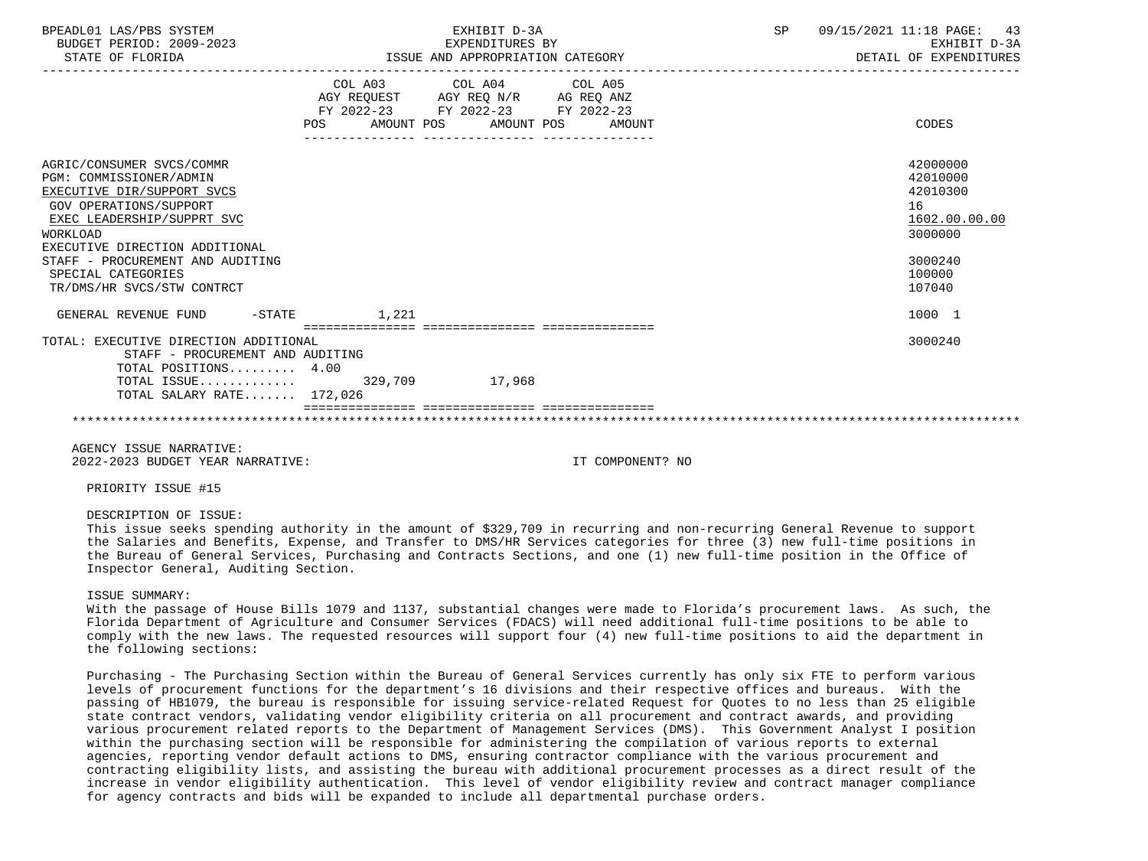| BPEADL01 LAS/PBS SYSTEM<br>BUDGET PERIOD: 2009-2023<br>STATE OF FLORIDA |                            | EXHIBIT D-3A<br>EXPENDITURES BY<br>ISSUE AND APPROPRIATION CATEGORY                                                                                     | SP | 09/15/2021 11:18 PAGE: 43<br>EXHIBIT D-3A<br>DETAIL OF EXPENDITURES |
|-------------------------------------------------------------------------|----------------------------|---------------------------------------------------------------------------------------------------------------------------------------------------------|----|---------------------------------------------------------------------|
|                                                                         |                            | COL A03 COL A04 COL A05<br>$\begin{tabular}{lllllll} \bf AGY & \bf REQUEST & \bf AGY & \bf REQ & \bf N/R & \bf AG & \bf REQ & \bf ANZ \\ \end{tabular}$ |    |                                                                     |
|                                                                         |                            | FY 2022-23 FY 2022-23 FY 2022-23<br>POS AMOUNT POS AMOUNT POS AMOUNT                                                                                    |    | CODES                                                               |
| AGRIC/CONSUMER SVCS/COMMR                                               |                            |                                                                                                                                                         |    | 42000000                                                            |
| PGM: COMMISSIONER/ADMIN                                                 |                            |                                                                                                                                                         |    | 42010000                                                            |
| EXECUTIVE DIR/SUPPORT SVCS                                              |                            |                                                                                                                                                         |    | 42010300                                                            |
| GOV OPERATIONS/SUPPORT                                                  |                            |                                                                                                                                                         |    | 16                                                                  |
| EXEC LEADERSHIP/SUPPRT SVC                                              |                            |                                                                                                                                                         |    | 1602.00.00.00                                                       |
| <b>WORKLOAD</b><br>EXECUTIVE DIRECTION ADDITIONAL                       |                            |                                                                                                                                                         |    | 3000000                                                             |
| STAFF - PROCUREMENT AND AUDITING                                        |                            |                                                                                                                                                         |    | 3000240                                                             |
| SPECIAL CATEGORIES                                                      |                            |                                                                                                                                                         |    | 100000                                                              |
| TR/DMS/HR SVCS/STW CONTRCT                                              |                            |                                                                                                                                                         |    | 107040                                                              |
|                                                                         |                            |                                                                                                                                                         |    |                                                                     |
| GENERAL REVENUE FUND -STATE 1,221                                       |                            |                                                                                                                                                         |    | 1000 1                                                              |
|                                                                         | ========================== |                                                                                                                                                         |    |                                                                     |
| TOTAL: EXECUTIVE DIRECTION ADDITIONAL                                   |                            |                                                                                                                                                         |    | 3000240                                                             |
| STAFF - PROCUREMENT AND AUDITING                                        |                            |                                                                                                                                                         |    |                                                                     |
| TOTAL POSITIONS 4.00                                                    |                            |                                                                                                                                                         |    |                                                                     |
| TOTAL ISSUE 329,709 17,968                                              |                            |                                                                                                                                                         |    |                                                                     |
| TOTAL SALARY RATE 172,026                                               |                            |                                                                                                                                                         |    |                                                                     |
|                                                                         |                            |                                                                                                                                                         |    |                                                                     |
|                                                                         |                            |                                                                                                                                                         |    |                                                                     |

AGENCY ISSUE NARRATIVE: 2022-2023 BUDGET YEAR NARRATIVE: IT COMPONENT? NO

PRIORITY ISSUE #15

DESCRIPTION OF ISSUE:

 This issue seeks spending authority in the amount of \$329,709 in recurring and non-recurring General Revenue to support the Salaries and Benefits, Expense, and Transfer to DMS/HR Services categories for three (3) new full-time positions in the Bureau of General Services, Purchasing and Contracts Sections, and one (1) new full-time position in the Office of Inspector General, Auditing Section.

## ISSUE SUMMARY:

 With the passage of House Bills 1079 and 1137, substantial changes were made to Florida's procurement laws. As such, the Florida Department of Agriculture and Consumer Services (FDACS) will need additional full-time positions to be able to comply with the new laws. The requested resources will support four (4) new full-time positions to aid the department in the following sections:

 Purchasing - The Purchasing Section within the Bureau of General Services currently has only six FTE to perform various levels of procurement functions for the department's 16 divisions and their respective offices and bureaus. With the passing of HB1079, the bureau is responsible for issuing service-related Request for Quotes to no less than 25 eligible state contract vendors, validating vendor eligibility criteria on all procurement and contract awards, and providing various procurement related reports to the Department of Management Services (DMS). This Government Analyst I position within the purchasing section will be responsible for administering the compilation of various reports to external agencies, reporting vendor default actions to DMS, ensuring contractor compliance with the various procurement and contracting eligibility lists, and assisting the bureau with additional procurement processes as a direct result of the increase in vendor eligibility authentication. This level of vendor eligibility review and contract manager compliance for agency contracts and bids will be expanded to include all departmental purchase orders.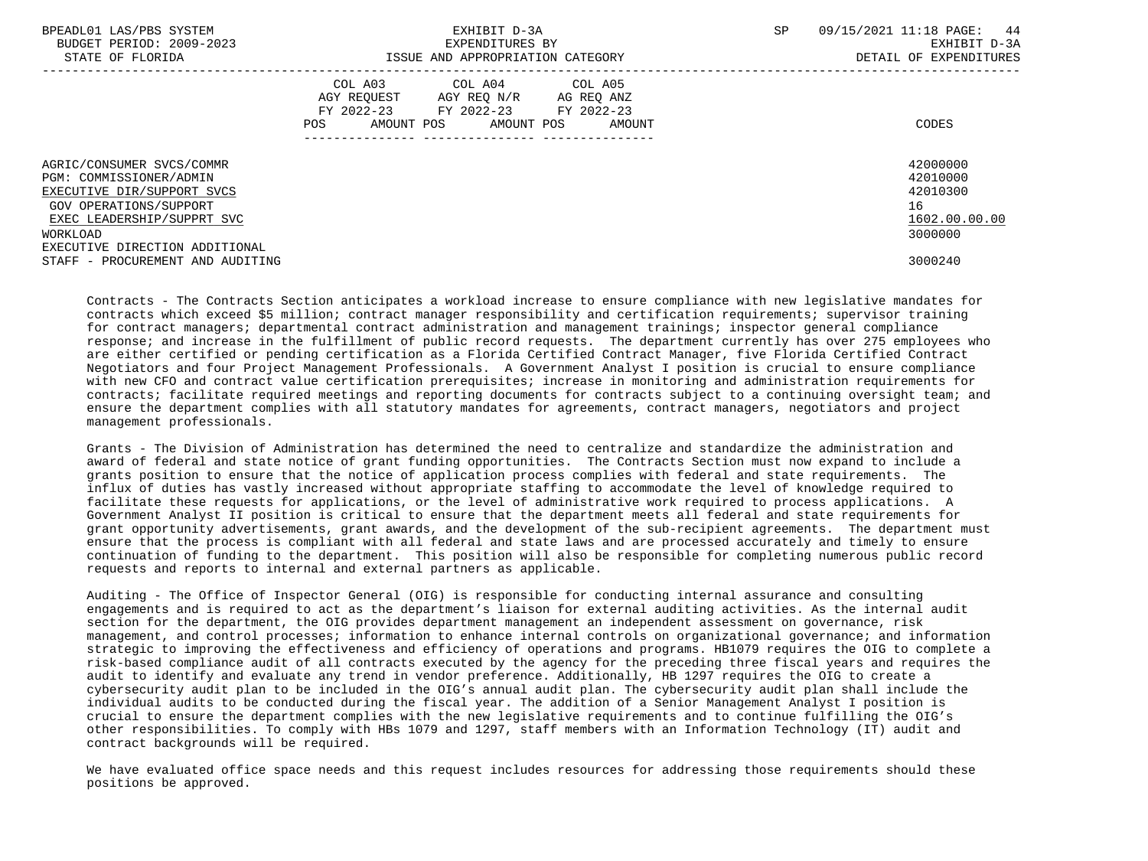| BPEADL01 LAS/PBS SYSTEM<br>BUDGET PERIOD: 2009-2023<br>STATE OF FLORIDA                                                                                                                  | EXHIBIT D-3A<br>EXPENDITURES BY<br>ISSUE AND APPROPRIATION CATEGORY                                                                               | 44<br>09/15/2021 11:18 PAGE:<br>SP<br>EXHIBIT D-3A<br>DETAIL OF EXPENDITURES |
|------------------------------------------------------------------------------------------------------------------------------------------------------------------------------------------|---------------------------------------------------------------------------------------------------------------------------------------------------|------------------------------------------------------------------------------|
|                                                                                                                                                                                          | COL A05<br>COL A03 COL A04<br>AGY REQUEST AGY REQ N/R AG REQ ANZ<br>FY 2022-23 FY 2022-23 FY 2022-23<br>AMOUNT POS<br>AMOUNT POS<br>POS<br>AMOUNT | CODES                                                                        |
| AGRIC/CONSUMER SVCS/COMMR<br>PGM: COMMISSIONER/ADMIN<br>EXECUTIVE DIR/SUPPORT SVCS<br>GOV OPERATIONS/SUPPORT<br>EXEC LEADERSHIP/SUPPRT SVC<br>WORKLOAD<br>EXECUTIVE DIRECTION ADDITIONAL |                                                                                                                                                   | 42000000<br>42010000<br>42010300<br>16<br>1602.00.00.00<br>3000000           |
| STAFF - PROCUREMENT AND AUDITING                                                                                                                                                         |                                                                                                                                                   | 3000240                                                                      |

 Contracts - The Contracts Section anticipates a workload increase to ensure compliance with new legislative mandates for contracts which exceed \$5 million; contract manager responsibility and certification requirements; supervisor training for contract managers; departmental contract administration and management trainings; inspector general compliance response; and increase in the fulfillment of public record requests. The department currently has over 275 employees who are either certified or pending certification as a Florida Certified Contract Manager, five Florida Certified Contract Negotiators and four Project Management Professionals. A Government Analyst I position is crucial to ensure compliance with new CFO and contract value certification prerequisites; increase in monitoring and administration requirements for contracts; facilitate required meetings and reporting documents for contracts subject to a continuing oversight team; and ensure the department complies with all statutory mandates for agreements, contract managers, negotiators and project management professionals.

 Grants - The Division of Administration has determined the need to centralize and standardize the administration and award of federal and state notice of grant funding opportunities. The Contracts Section must now expand to include a grants position to ensure that the notice of application process complies with federal and state requirements. The influx of duties has vastly increased without appropriate staffing to accommodate the level of knowledge required to facilitate these requests for applications, or the level of administrative work required to process applications. A Government Analyst II position is critical to ensure that the department meets all federal and state requirements for grant opportunity advertisements, grant awards, and the development of the sub-recipient agreements. The department must ensure that the process is compliant with all federal and state laws and are processed accurately and timely to ensure continuation of funding to the department. This position will also be responsible for completing numerous public record requests and reports to internal and external partners as applicable.

 Auditing - The Office of Inspector General (OIG) is responsible for conducting internal assurance and consulting engagements and is required to act as the department's liaison for external auditing activities. As the internal audit section for the department, the OIG provides department management an independent assessment on governance, risk management, and control processes; information to enhance internal controls on organizational governance; and information strategic to improving the effectiveness and efficiency of operations and programs. HB1079 requires the OIG to complete a risk-based compliance audit of all contracts executed by the agency for the preceding three fiscal years and requires the audit to identify and evaluate any trend in vendor preference. Additionally, HB 1297 requires the OIG to create a cybersecurity audit plan to be included in the OIG's annual audit plan. The cybersecurity audit plan shall include the individual audits to be conducted during the fiscal year. The addition of a Senior Management Analyst I position is crucial to ensure the department complies with the new legislative requirements and to continue fulfilling the OIG's other responsibilities. To comply with HBs 1079 and 1297, staff members with an Information Technology (IT) audit and contract backgrounds will be required.

 We have evaluated office space needs and this request includes resources for addressing those requirements should these positions be approved.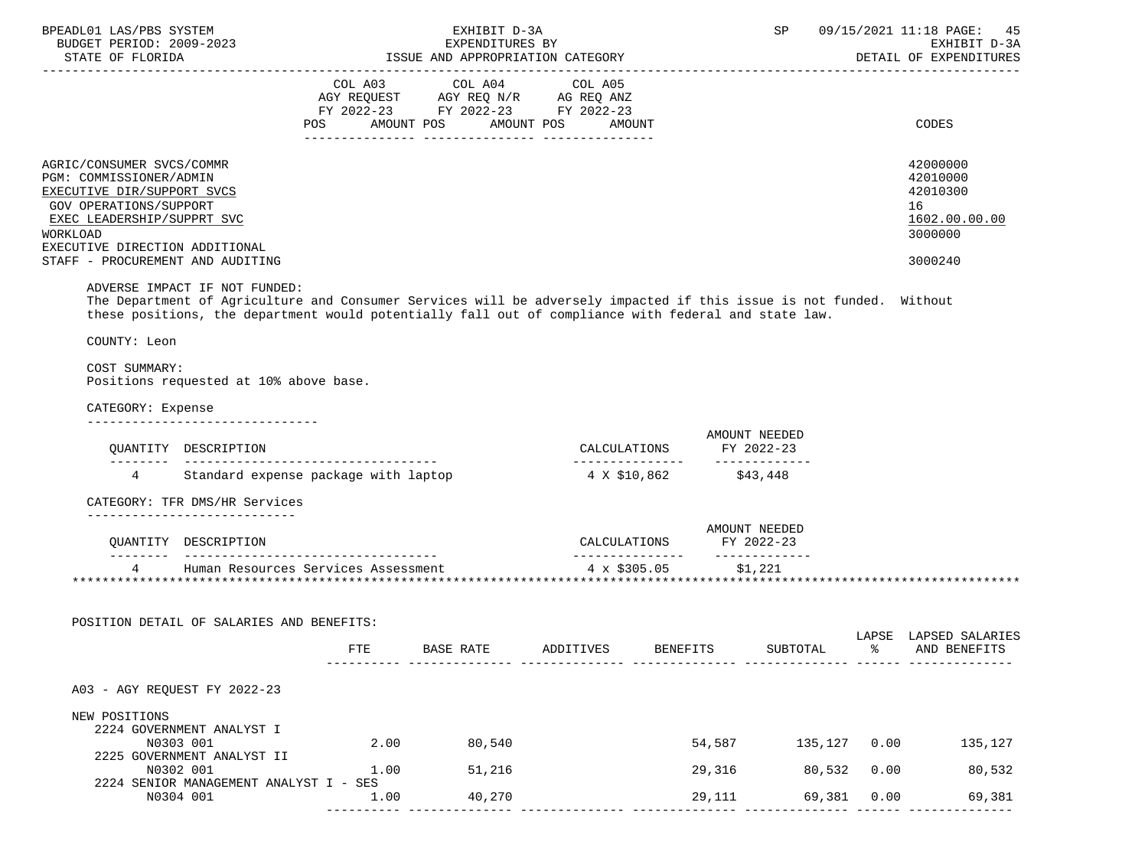| BUDGET PERIOD: 2009-2023                             |                                                                                                                     |      |                                    |                         |                             |             |                        |
|------------------------------------------------------|---------------------------------------------------------------------------------------------------------------------|------|------------------------------------|-------------------------|-----------------------------|-------------|------------------------|
|                                                      |                                                                                                                     |      | EXPENDITURES BY                    |                         |                             |             | EXHIBIT D-3A           |
| STATE OF FLORIDA                                     |                                                                                                                     |      | ISSUE AND APPROPRIATION CATEGORY   |                         |                             |             | DETAIL OF EXPENDITURES |
|                                                      |                                                                                                                     |      | COL A03 COL A04 COL A05            |                         |                             |             |                        |
|                                                      |                                                                                                                     |      | AGY REQUEST AGY REQ N/R AG REQ ANZ |                         |                             |             |                        |
|                                                      |                                                                                                                     |      | FY 2022-23 FY 2022-23 FY 2022-23   |                         |                             |             |                        |
|                                                      |                                                                                                                     |      | POS AMOUNT POS AMOUNT POS AMOUNT   |                         |                             |             | CODES                  |
|                                                      |                                                                                                                     |      |                                    |                         |                             |             |                        |
|                                                      |                                                                                                                     |      |                                    |                         |                             |             |                        |
| AGRIC/CONSUMER SVCS/COMMR                            |                                                                                                                     |      |                                    |                         |                             |             | 42000000               |
| PGM: COMMISSIONER/ADMIN                              |                                                                                                                     |      |                                    |                         |                             |             | 42010000<br>42010300   |
| EXECUTIVE DIR/SUPPORT SVCS<br>GOV OPERATIONS/SUPPORT |                                                                                                                     |      |                                    |                         |                             |             | 16                     |
| EXEC LEADERSHIP/SUPPRT SVC                           |                                                                                                                     |      |                                    |                         |                             |             | 1602.00.00.00          |
| WORKLOAD                                             |                                                                                                                     |      |                                    |                         |                             |             | 3000000                |
| EXECUTIVE DIRECTION ADDITIONAL                       |                                                                                                                     |      |                                    |                         |                             |             |                        |
| STAFF - PROCUREMENT AND AUDITING                     |                                                                                                                     |      |                                    |                         |                             |             | 3000240                |
|                                                      |                                                                                                                     |      |                                    |                         |                             |             |                        |
|                                                      | ADVERSE IMPACT IF NOT FUNDED:                                                                                       |      |                                    |                         |                             |             |                        |
|                                                      | The Department of Agriculture and Consumer Services will be adversely impacted if this issue is not funded. Without |      |                                    |                         |                             |             |                        |
|                                                      | these positions, the department would potentially fall out of compliance with federal and state law.                |      |                                    |                         |                             |             |                        |
|                                                      |                                                                                                                     |      |                                    |                         |                             |             |                        |
| COUNTY: Leon                                         |                                                                                                                     |      |                                    |                         |                             |             |                        |
| COST SUMMARY:                                        |                                                                                                                     |      |                                    |                         |                             |             |                        |
|                                                      | Positions requested at 10% above base.                                                                              |      |                                    |                         |                             |             |                        |
|                                                      |                                                                                                                     |      |                                    |                         |                             |             |                        |
|                                                      |                                                                                                                     |      |                                    |                         |                             |             |                        |
| CATEGORY: Expense                                    |                                                                                                                     |      |                                    |                         |                             |             |                        |
|                                                      | ________________________________                                                                                    |      |                                    |                         |                             |             |                        |
|                                                      |                                                                                                                     |      |                                    |                         | AMOUNT NEEDED               |             |                        |
|                                                      | QUANTITY DESCRIPTION                                                                                                |      |                                    | CALCULATIONS FY 2022-23 |                             |             |                        |
|                                                      |                                                                                                                     |      |                                    |                         |                             |             |                        |
|                                                      | 4 Standard expense package with laptop                                                                              |      |                                    | 4 X \$10,862 \$43,448   |                             |             |                        |
|                                                      |                                                                                                                     |      |                                    |                         |                             |             |                        |
|                                                      | CATEGORY: TFR DMS/HR Services<br>------------------------------                                                     |      |                                    |                         |                             |             |                        |
|                                                      |                                                                                                                     |      |                                    |                         | AMOUNT NEEDED               |             |                        |
|                                                      | QUANTITY DESCRIPTION                                                                                                |      |                                    |                         |                             |             |                        |
|                                                      |                                                                                                                     |      |                                    | CALCULATIONS FY 2022-23 |                             |             |                        |
|                                                      |                                                                                                                     |      |                                    |                         |                             |             |                        |
|                                                      |                                                                                                                     |      |                                    |                         |                             |             |                        |
|                                                      |                                                                                                                     |      |                                    |                         |                             |             |                        |
|                                                      |                                                                                                                     |      |                                    |                         |                             |             |                        |
|                                                      | POSITION DETAIL OF SALARIES AND BENEFITS:                                                                           |      |                                    |                         |                             |             |                        |
|                                                      |                                                                                                                     | FTE  |                                    |                         |                             |             | LAPSE LAPSED SALARIES  |
|                                                      |                                                                                                                     |      | BASE RATE ADDITIVES BENEFITS       |                         | SUBTOTAL                    |             | AND BENEFITS           |
|                                                      |                                                                                                                     |      |                                    |                         |                             |             |                        |
| A03 - AGY REQUEST FY 2022-23                         |                                                                                                                     |      |                                    |                         |                             |             |                        |
|                                                      |                                                                                                                     |      |                                    |                         |                             |             |                        |
| NEW POSITIONS                                        |                                                                                                                     |      |                                    |                         |                             |             |                        |
|                                                      | 2224 GOVERNMENT ANALYST I                                                                                           |      |                                    |                         |                             |             |                        |
| N0303 001                                            |                                                                                                                     |      | 2.00 80,540                        |                         | 54,587 135,127 0.00 135,127 |             |                        |
|                                                      | 2225 GOVERNMENT ANALYST II                                                                                          |      |                                    |                         |                             |             |                        |
| N0302 001                                            |                                                                                                                     | 1.00 | 51,216                             |                         | 29,316 80,532 0.00 80,532   |             |                        |
| N0304 001                                            | 2224 SENIOR MANAGEMENT ANALYST I - SES                                                                              | 1.00 | 40,270                             | 29,111                  |                             | 69,381 0.00 | 69,381                 |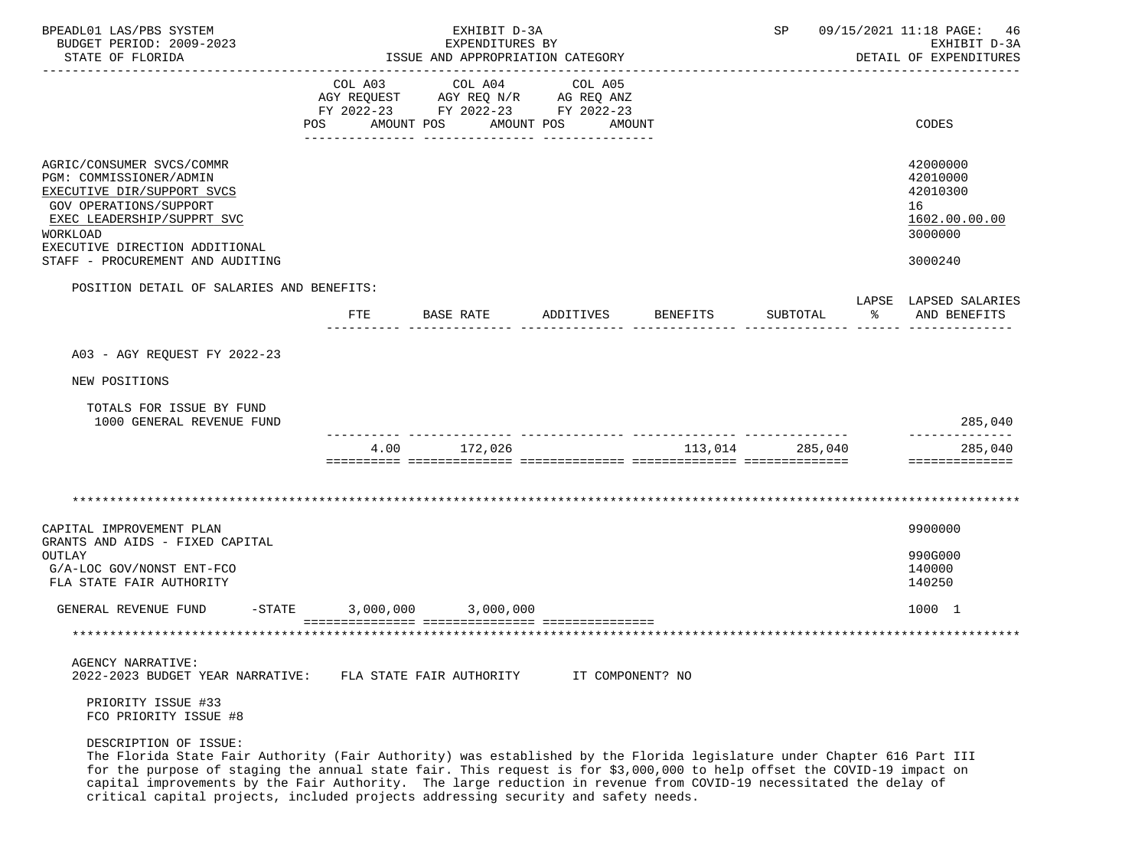| BPEADL01 LAS/PBS SYSTEM<br>BUDGET PERIOD: 2009-2023<br>STATE OF FLORIDA                                                                                                                         | ISSUE AND APPROPRIATION CATEGORY |                                                                                           | SP                              | 09/15/2021 11:18 PAGE:<br>46<br>EXHIBIT D-3A<br>DETAIL OF EXPENDITURES |          |    |                                                                    |
|-------------------------------------------------------------------------------------------------------------------------------------------------------------------------------------------------|----------------------------------|-------------------------------------------------------------------------------------------|---------------------------------|------------------------------------------------------------------------|----------|----|--------------------------------------------------------------------|
|                                                                                                                                                                                                 | POS AMOUNT POS                   | COL A03 COL A04<br>AGY REQUEST AGY REQ N/R AG REQ ANZ<br>FY 2022-23 FY 2022-23 FY 2022-23 | COL A05<br>AMOUNT POS<br>AMOUNT |                                                                        |          |    | CODES                                                              |
| AGRIC/CONSUMER SVCS/COMMR<br>PGM: COMMISSIONER/ADMIN<br>EXECUTIVE DIR/SUPPORT SVCS<br><b>GOV OPERATIONS/SUPPORT</b><br>EXEC LEADERSHIP/SUPPRT SVC<br>WORKLOAD<br>EXECUTIVE DIRECTION ADDITIONAL |                                  |                                                                                           |                                 |                                                                        |          |    | 42000000<br>42010000<br>42010300<br>16<br>1602.00.00.00<br>3000000 |
| STAFF - PROCUREMENT AND AUDITING                                                                                                                                                                |                                  |                                                                                           |                                 |                                                                        |          |    | 3000240                                                            |
| POSITION DETAIL OF SALARIES AND BENEFITS:                                                                                                                                                       |                                  | FTE BASE RATE ADDITIVES                                                                   |                                 | BENEFITS                                                               | SUBTOTAL | ႜၟ | LAPSE LAPSED SALARIES<br>AND BENEFITS                              |
| A03 - AGY REQUEST FY 2022-23                                                                                                                                                                    |                                  |                                                                                           |                                 |                                                                        |          |    |                                                                    |
| NEW POSITIONS                                                                                                                                                                                   |                                  |                                                                                           |                                 |                                                                        |          |    |                                                                    |
| TOTALS FOR ISSUE BY FUND<br>1000 GENERAL REVENUE FUND                                                                                                                                           |                                  |                                                                                           |                                 |                                                                        |          |    | 285,040                                                            |
|                                                                                                                                                                                                 |                                  | 4.00 172,026                                                                              |                                 | 113,014                                                                | 285,040  |    | --------------<br>285,040<br>==============                        |
|                                                                                                                                                                                                 |                                  |                                                                                           |                                 |                                                                        |          |    |                                                                    |
| CAPITAL IMPROVEMENT PLAN<br>GRANTS AND AIDS - FIXED CAPITAL                                                                                                                                     |                                  |                                                                                           |                                 |                                                                        |          |    | 9900000                                                            |
| OUTLAY<br>G/A-LOC GOV/NONST ENT-FCO<br>FLA STATE FAIR AUTHORITY                                                                                                                                 |                                  |                                                                                           |                                 |                                                                        |          |    | 990G000<br>140000<br>140250                                        |
| GENERAL REVENUE FUND                                                                                                                                                                            |                                  | $-STATE$ 3,000,000 3,000,000                                                              |                                 |                                                                        |          |    | 1000 1                                                             |
|                                                                                                                                                                                                 |                                  |                                                                                           |                                 |                                                                        |          |    |                                                                    |
| AGENCY NARRATIVE:<br>2022-2023 BUDGET YEAR NARRATIVE: FLA STATE FAIR AUTHORITY IT COMPONENT? NO<br>PRIORITY ISSUE #33<br>FCO PRIORITY ISSUE #8                                                  |                                  |                                                                                           |                                 |                                                                        |          |    |                                                                    |
|                                                                                                                                                                                                 |                                  |                                                                                           |                                 |                                                                        |          |    |                                                                    |

DESCRIPTION OF ISSUE:

 The Florida State Fair Authority (Fair Authority) was established by the Florida legislature under Chapter 616 Part III for the purpose of staging the annual state fair. This request is for \$3,000,000 to help offset the COVID-19 impact on capital improvements by the Fair Authority. The large reduction in revenue from COVID-19 necessitated the delay of critical capital projects, included projects addressing security and safety needs.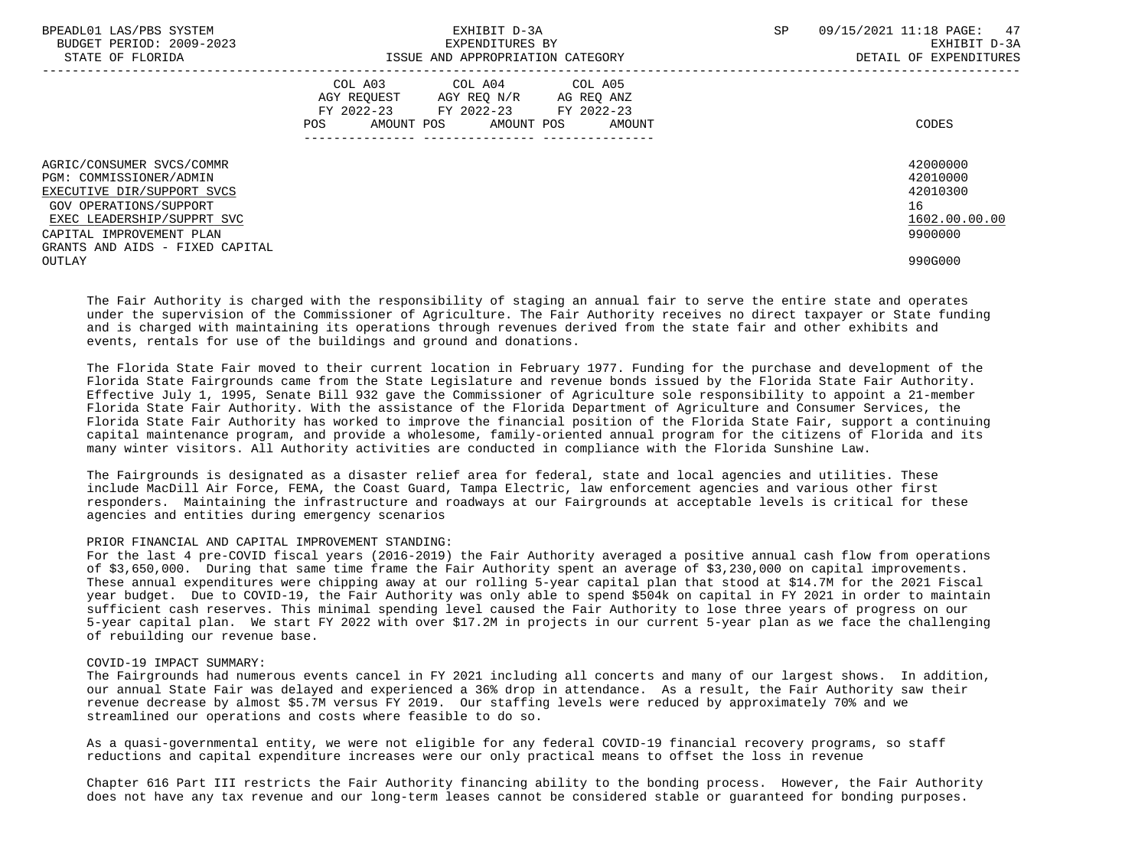| BPEADL01 LAS/PBS SYSTEM<br>BUDGET PERIOD: 2009-2023<br>STATE OF FLORIDA | EXHIBIT D-3A<br>EXPENDITURES BY<br>ISSUE AND APPROPRIATION CATEGORY                                                                            | SP | 09/15/2021 11:18 PAGE:<br>47<br>EXHIBIT D-3A<br>DETAIL OF EXPENDITURES |
|-------------------------------------------------------------------------|------------------------------------------------------------------------------------------------------------------------------------------------|----|------------------------------------------------------------------------|
|                                                                         | COL A03<br>COL A04 COL A05<br>AGY REQUEST AGY REQ N/R AG REQ ANZ<br>FY 2022-23 FY 2022-23 FY 2022-23<br>POS<br>AMOUNT POS AMOUNT POS<br>AMOUNT |    | CODES                                                                  |
| AGRIC/CONSUMER SVCS/COMMR<br>PGM: COMMISSIONER/ADMIN                    |                                                                                                                                                |    | 42000000<br>42010000                                                   |
| EXECUTIVE DIR/SUPPORT SVCS<br>GOV OPERATIONS/SUPPORT                    |                                                                                                                                                |    | 42010300<br>16                                                         |
| EXEC LEADERSHIP/SUPPRT SVC                                              |                                                                                                                                                |    | 1602.00.00.00                                                          |
| CAPITAL IMPROVEMENT PLAN                                                |                                                                                                                                                |    | 9900000                                                                |
| GRANTS AND AIDS - FIXED CAPITAL<br>OUTLAY                               |                                                                                                                                                |    | 990G000                                                                |

 The Fair Authority is charged with the responsibility of staging an annual fair to serve the entire state and operates under the supervision of the Commissioner of Agriculture. The Fair Authority receives no direct taxpayer or State funding and is charged with maintaining its operations through revenues derived from the state fair and other exhibits and events, rentals for use of the buildings and ground and donations.

 The Florida State Fair moved to their current location in February 1977. Funding for the purchase and development of the Florida State Fairgrounds came from the State Legislature and revenue bonds issued by the Florida State Fair Authority. Effective July 1, 1995, Senate Bill 932 gave the Commissioner of Agriculture sole responsibility to appoint a 21-member Florida State Fair Authority. With the assistance of the Florida Department of Agriculture and Consumer Services, the Florida State Fair Authority has worked to improve the financial position of the Florida State Fair, support a continuing capital maintenance program, and provide a wholesome, family-oriented annual program for the citizens of Florida and its many winter visitors. All Authority activities are conducted in compliance with the Florida Sunshine Law.

 The Fairgrounds is designated as a disaster relief area for federal, state and local agencies and utilities. These include MacDill Air Force, FEMA, the Coast Guard, Tampa Electric, law enforcement agencies and various other first responders. Maintaining the infrastructure and roadways at our Fairgrounds at acceptable levels is critical for these agencies and entities during emergency scenarios

### PRIOR FINANCIAL AND CAPITAL IMPROVEMENT STANDING:

 For the last 4 pre-COVID fiscal years (2016-2019) the Fair Authority averaged a positive annual cash flow from operations of \$3,650,000. During that same time frame the Fair Authority spent an average of \$3,230,000 on capital improvements. These annual expenditures were chipping away at our rolling 5-year capital plan that stood at \$14.7M for the 2021 Fiscal year budget. Due to COVID-19, the Fair Authority was only able to spend \$504k on capital in FY 2021 in order to maintain sufficient cash reserves. This minimal spending level caused the Fair Authority to lose three years of progress on our 5-year capital plan. We start FY 2022 with over \$17.2M in projects in our current 5-year plan as we face the challenging of rebuilding our revenue base.

#### COVID-19 IMPACT SUMMARY:

 The Fairgrounds had numerous events cancel in FY 2021 including all concerts and many of our largest shows. In addition, our annual State Fair was delayed and experienced a 36% drop in attendance. As a result, the Fair Authority saw their revenue decrease by almost \$5.7M versus FY 2019. Our staffing levels were reduced by approximately 70% and we streamlined our operations and costs where feasible to do so.

 As a quasi-governmental entity, we were not eligible for any federal COVID-19 financial recovery programs, so staff reductions and capital expenditure increases were our only practical means to offset the loss in revenue

 Chapter 616 Part III restricts the Fair Authority financing ability to the bonding process. However, the Fair Authority does not have any tax revenue and our long-term leases cannot be considered stable or guaranteed for bonding purposes.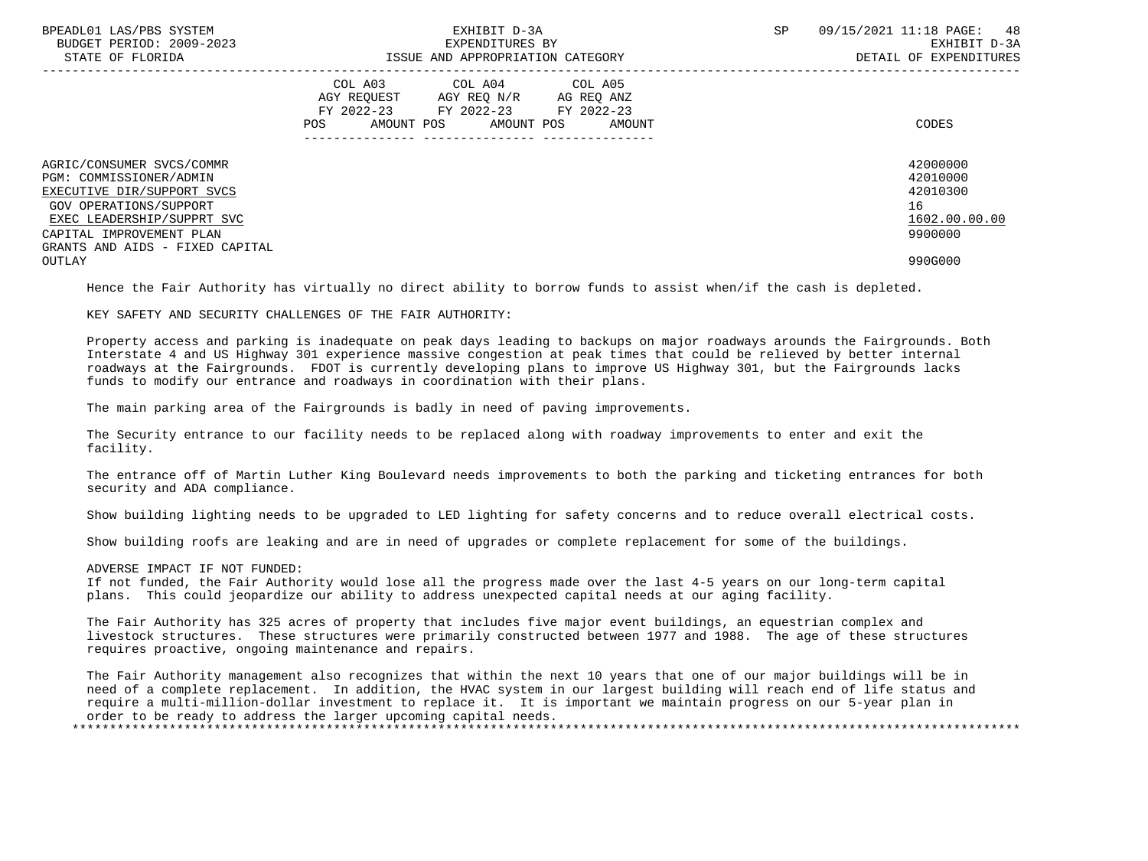| BPEADL01 LAS/PBS SYSTEM<br>BUDGET PERIOD: 2009-2023<br>STATE OF FLORIDA | EXHIBIT D-3A<br>EXPENDITURES BY<br>ISSUE AND APPROPRIATION CATEGORY                                                                      | SP | 09/15/2021 11:18 PAGE: 48<br>EXHIBIT D-3A<br>DETAIL OF EXPENDITURES |
|-------------------------------------------------------------------------|------------------------------------------------------------------------------------------------------------------------------------------|----|---------------------------------------------------------------------|
|                                                                         | COL A03 COL A04 COL A05<br>AGY REQUEST AGY REQ N/R AG REQ ANZ<br>FY 2022-23 FY 2022-23 FY 2022-23<br>AMOUNT POS AMOUNT POS AMOUNT<br>POS |    | CODES                                                               |
| AGRIC/CONSUMER SVCS/COMMR<br>PGM: COMMISSIONER/ADMIN                    |                                                                                                                                          |    | 42000000<br>42010000                                                |
| EXECUTIVE DIR/SUPPORT SVCS                                              |                                                                                                                                          |    | 42010300                                                            |
| GOV OPERATIONS/SUPPORT                                                  |                                                                                                                                          |    | 16                                                                  |
| EXEC LEADERSHIP/SUPPRT SVC                                              |                                                                                                                                          |    | 1602.00.00.00                                                       |
| CAPITAL IMPROVEMENT PLAN                                                |                                                                                                                                          |    | 9900000                                                             |
| GRANTS AND AIDS - FIXED CAPITAL                                         |                                                                                                                                          |    |                                                                     |
| OUTLAY                                                                  |                                                                                                                                          |    | 990G000                                                             |

Hence the Fair Authority has virtually no direct ability to borrow funds to assist when/if the cash is depleted.

KEY SAFETY AND SECURITY CHALLENGES OF THE FAIR AUTHORITY:

 Property access and parking is inadequate on peak days leading to backups on major roadways arounds the Fairgrounds. Both Interstate 4 and US Highway 301 experience massive congestion at peak times that could be relieved by better internal roadways at the Fairgrounds. FDOT is currently developing plans to improve US Highway 301, but the Fairgrounds lacks funds to modify our entrance and roadways in coordination with their plans.

The main parking area of the Fairgrounds is badly in need of paving improvements.

 The Security entrance to our facility needs to be replaced along with roadway improvements to enter and exit the facility.

 The entrance off of Martin Luther King Boulevard needs improvements to both the parking and ticketing entrances for both security and ADA compliance.

Show building lighting needs to be upgraded to LED lighting for safety concerns and to reduce overall electrical costs.

Show building roofs are leaking and are in need of upgrades or complete replacement for some of the buildings.

ADVERSE IMPACT IF NOT FUNDED:

 If not funded, the Fair Authority would lose all the progress made over the last 4-5 years on our long-term capital plans. This could jeopardize our ability to address unexpected capital needs at our aging facility.

 The Fair Authority has 325 acres of property that includes five major event buildings, an equestrian complex and livestock structures. These structures were primarily constructed between 1977 and 1988. The age of these structures requires proactive, ongoing maintenance and repairs.

 The Fair Authority management also recognizes that within the next 10 years that one of our major buildings will be in need of a complete replacement. In addition, the HVAC system in our largest building will reach end of life status and require a multi-million-dollar investment to replace it. It is important we maintain progress on our 5-year plan in order to be ready to address the larger upcoming capital needs. \*\*\*\*\*\*\*\*\*\*\*\*\*\*\*\*\*\*\*\*\*\*\*\*\*\*\*\*\*\*\*\*\*\*\*\*\*\*\*\*\*\*\*\*\*\*\*\*\*\*\*\*\*\*\*\*\*\*\*\*\*\*\*\*\*\*\*\*\*\*\*\*\*\*\*\*\*\*\*\*\*\*\*\*\*\*\*\*\*\*\*\*\*\*\*\*\*\*\*\*\*\*\*\*\*\*\*\*\*\*\*\*\*\*\*\*\*\*\*\*\*\*\*\*\*\*\*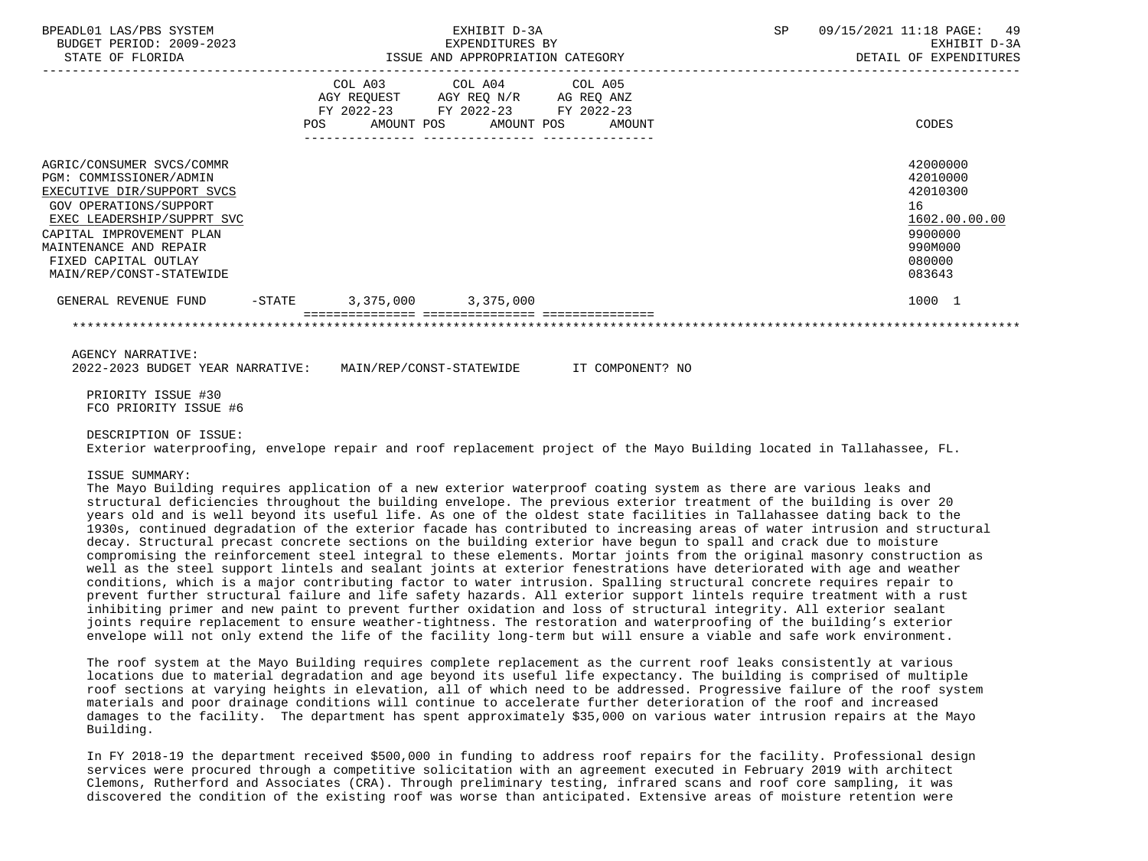| BPEADL01 LAS/PBS SYSTEM<br>BUDGET PERIOD: 2009-2023<br>STATE OF FLORIDA                                                                                                                                                                                     |                                                                                                            | EXHIBIT D-3A            | EXPENDITURES BY<br>ISSUE AND APPROPRIATION CATEGORY | SP | 49<br>09/15/2021 11:18 PAGE:<br>EXHIBIT D-3A<br>DETAIL OF EXPENDITURES                            |
|-------------------------------------------------------------------------------------------------------------------------------------------------------------------------------------------------------------------------------------------------------------|------------------------------------------------------------------------------------------------------------|-------------------------|-----------------------------------------------------|----|---------------------------------------------------------------------------------------------------|
|                                                                                                                                                                                                                                                             | AGY REQUEST AGY REQ N/R AG REQ ANZ<br>FY 2022-23 FY 2022-23 FY 2022-23<br>POS AMOUNT POS AMOUNT POS AMOUNT | COL A03 COL A04 COL A05 |                                                     |    | CODES                                                                                             |
| AGRIC/CONSUMER SVCS/COMMR<br>PGM: COMMISSIONER/ADMIN<br>EXECUTIVE DIR/SUPPORT SVCS<br><b>GOV OPERATIONS/SUPPORT</b><br>EXEC LEADERSHIP/SUPPRT SVC<br>CAPITAL IMPROVEMENT PLAN<br>MAINTENANCE AND REPAIR<br>FIXED CAPITAL OUTLAY<br>MAIN/REP/CONST-STATEWIDE |                                                                                                            |                         |                                                     |    | 42000000<br>42010000<br>42010300<br>16<br>1602.00.00.00<br>9900000<br>990M000<br>080000<br>083643 |
| GENERAL REVENUE FUND                                                                                                                                                                                                                                        | $-STATE$ 3, 375, 000 3, 375, 000                                                                           |                         |                                                     |    | 1000 1                                                                                            |
|                                                                                                                                                                                                                                                             |                                                                                                            |                         |                                                     |    |                                                                                                   |
| AGENCY NARRATIVE:<br>2022-2023 BUDGET YEAR NARRATIVE: MAIN/REP/CONST-STATEWIDE TT COMPONENT? NO                                                                                                                                                             |                                                                                                            |                         |                                                     |    |                                                                                                   |
| PRIORITY ISSUE #30<br>FCO PRIORITY ISSUE #6                                                                                                                                                                                                                 |                                                                                                            |                         |                                                     |    |                                                                                                   |

# DESCRIPTION OF ISSUE:

Exterior waterproofing, envelope repair and roof replacement project of the Mayo Building located in Tallahassee, FL.

# ISSUE SUMMARY:

 The Mayo Building requires application of a new exterior waterproof coating system as there are various leaks and structural deficiencies throughout the building envelope. The previous exterior treatment of the building is over 20 years old and is well beyond its useful life. As one of the oldest state facilities in Tallahassee dating back to the 1930s, continued degradation of the exterior facade has contributed to increasing areas of water intrusion and structural decay. Structural precast concrete sections on the building exterior have begun to spall and crack due to moisture compromising the reinforcement steel integral to these elements. Mortar joints from the original masonry construction as well as the steel support lintels and sealant joints at exterior fenestrations have deteriorated with age and weather conditions, which is a major contributing factor to water intrusion. Spalling structural concrete requires repair to prevent further structural failure and life safety hazards. All exterior support lintels require treatment with a rust inhibiting primer and new paint to prevent further oxidation and loss of structural integrity. All exterior sealant joints require replacement to ensure weather-tightness. The restoration and waterproofing of the building's exterior envelope will not only extend the life of the facility long-term but will ensure a viable and safe work environment.

 The roof system at the Mayo Building requires complete replacement as the current roof leaks consistently at various locations due to material degradation and age beyond its useful life expectancy. The building is comprised of multiple roof sections at varying heights in elevation, all of which need to be addressed. Progressive failure of the roof system materials and poor drainage conditions will continue to accelerate further deterioration of the roof and increased damages to the facility. The department has spent approximately \$35,000 on various water intrusion repairs at the Mayo Building.

 In FY 2018-19 the department received \$500,000 in funding to address roof repairs for the facility. Professional design services were procured through a competitive solicitation with an agreement executed in February 2019 with architect Clemons, Rutherford and Associates (CRA). Through preliminary testing, infrared scans and roof core sampling, it was discovered the condition of the existing roof was worse than anticipated. Extensive areas of moisture retention were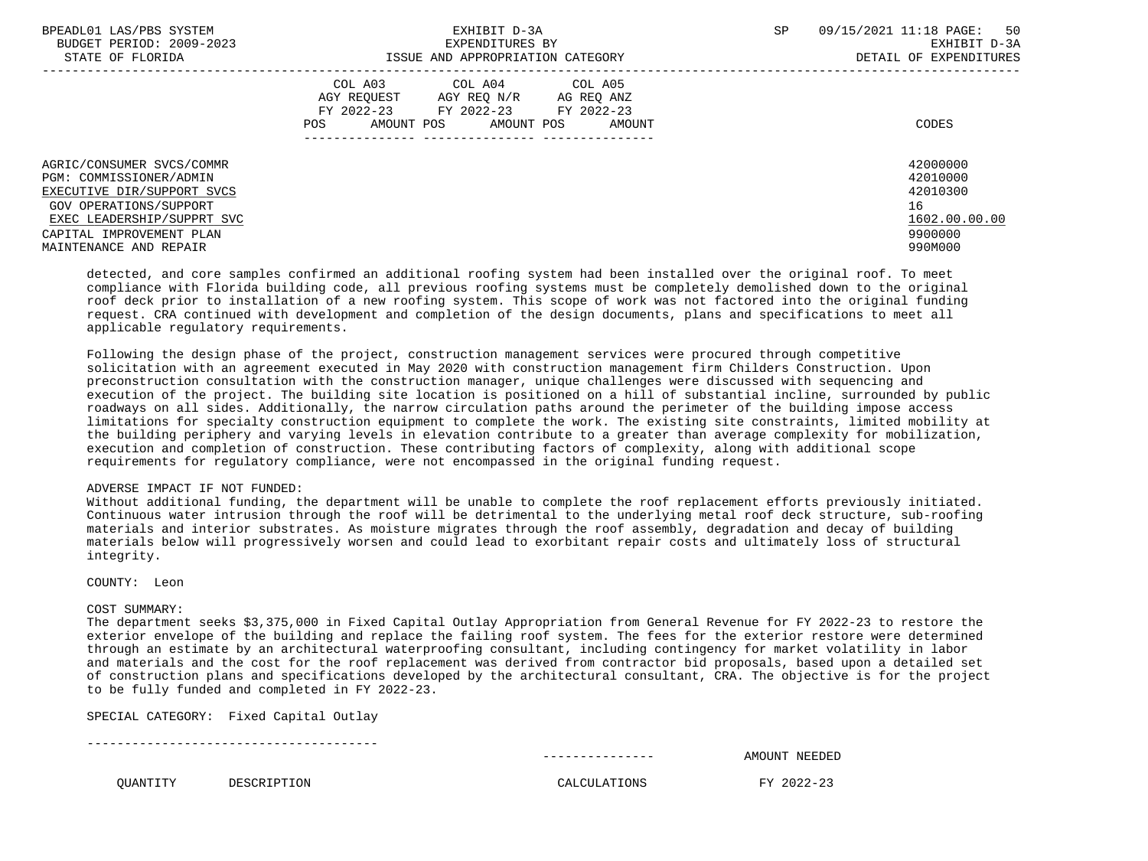| BPEADL01 LAS/PBS SYSTEM<br>BUDGET PERIOD: 2009-2023<br>STATE OF FLORIDA                                                                         | EXHIBIT D-3A<br>EXPENDITURES BY<br>ISSUE AND APPROPRIATION CATEGORY                                                                                      | SP<br>09/15/2021 11:18 PAGE:<br>50<br>EXHIBIT D-3A<br>DETAIL OF EXPENDITURES |
|-------------------------------------------------------------------------------------------------------------------------------------------------|----------------------------------------------------------------------------------------------------------------------------------------------------------|------------------------------------------------------------------------------|
| AGRIC/CONSUMER SVCS/COMMR<br>PGM: COMMISSIONER/ADMIN                                                                                            | COL A04 COL A05<br>COL A03<br>AGY REQUEST<br>AGY REO N/R AG REO ANZ<br>FY 2022-23 FY 2022-23 FY 2022-23<br><b>POS</b><br>AMOUNT POS AMOUNT POS<br>AMOUNT | CODES<br>42000000<br>42010000                                                |
| EXECUTIVE DIR/SUPPORT SVCS<br><b>GOV OPERATIONS/SUPPORT</b><br>EXEC LEADERSHIP/SUPPRT SVC<br>CAPITAL IMPROVEMENT PLAN<br>MAINTENANCE AND REPAIR |                                                                                                                                                          | 42010300<br>16<br>1602.00.00.00<br>9900000<br>990M000                        |

 detected, and core samples confirmed an additional roofing system had been installed over the original roof. To meet compliance with Florida building code, all previous roofing systems must be completely demolished down to the original roof deck prior to installation of a new roofing system. This scope of work was not factored into the original funding request. CRA continued with development and completion of the design documents, plans and specifications to meet all applicable regulatory requirements.

 Following the design phase of the project, construction management services were procured through competitive solicitation with an agreement executed in May 2020 with construction management firm Childers Construction. Upon preconstruction consultation with the construction manager, unique challenges were discussed with sequencing and execution of the project. The building site location is positioned on a hill of substantial incline, surrounded by public roadways on all sides. Additionally, the narrow circulation paths around the perimeter of the building impose access limitations for specialty construction equipment to complete the work. The existing site constraints, limited mobility at the building periphery and varying levels in elevation contribute to a greater than average complexity for mobilization, execution and completion of construction. These contributing factors of complexity, along with additional scope requirements for regulatory compliance, were not encompassed in the original funding request.

## ADVERSE IMPACT IF NOT FUNDED:

 Without additional funding, the department will be unable to complete the roof replacement efforts previously initiated. Continuous water intrusion through the roof will be detrimental to the underlying metal roof deck structure, sub-roofing materials and interior substrates. As moisture migrates through the roof assembly, degradation and decay of building materials below will progressively worsen and could lead to exorbitant repair costs and ultimately loss of structural integrity.

COUNTY: Leon

### COST SUMMARY:

 The department seeks \$3,375,000 in Fixed Capital Outlay Appropriation from General Revenue for FY 2022-23 to restore the exterior envelope of the building and replace the failing roof system. The fees for the exterior restore were determined through an estimate by an architectural waterproofing consultant, including contingency for market volatility in labor and materials and the cost for the roof replacement was derived from contractor bid proposals, based upon a detailed set of construction plans and specifications developed by the architectural consultant, CRA. The objective is for the project to be fully funded and completed in FY 2022-23.

SPECIAL CATEGORY: Fixed Capital Outlay

---------------------------------------

--------------- AMOUNT NEEDED

QUANTITY DESCRIPTION CALCULATIONS FY 2022-23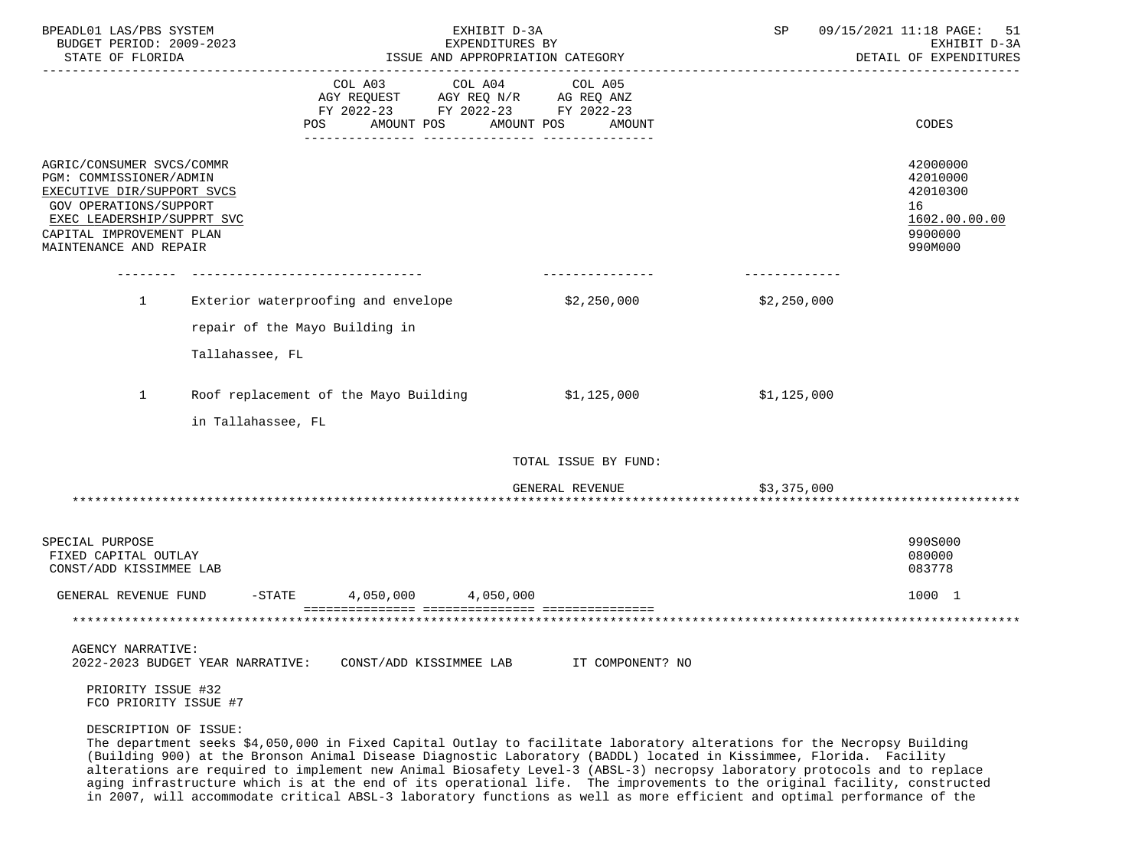| BPEADL01 LAS/PBS SYSTEM<br>BUDGET PERIOD: 2009-2023<br>STATE OF FLORIDA                                                                                                                          |                                                                                                                         | EXHIBIT D-3A<br>EXPENDITURES BY<br>ISSUE AND APPROPRIATION CATEGORY | SP          | 09/15/2021 11:18 PAGE:<br>-51<br>EXHIBIT D-3A<br>DETAIL OF EXPENDITURES       |
|--------------------------------------------------------------------------------------------------------------------------------------------------------------------------------------------------|-------------------------------------------------------------------------------------------------------------------------|---------------------------------------------------------------------|-------------|-------------------------------------------------------------------------------|
|                                                                                                                                                                                                  | COL A03 COL A04 COL A05<br>AGY REQUEST AGY REQ N/R AG REQ ANZ<br>FY 2022-23 FY 2022-23 FY 2022-23<br>POS                | AMOUNT POS AMOUNT POS AMOUNT                                        |             | CODES                                                                         |
| AGRIC/CONSUMER SVCS/COMMR<br>PGM: COMMISSIONER/ADMIN<br>EXECUTIVE DIR/SUPPORT SVCS<br>GOV OPERATIONS/SUPPORT<br>EXEC LEADERSHIP/SUPPRT SVC<br>CAPITAL IMPROVEMENT PLAN<br>MAINTENANCE AND REPAIR |                                                                                                                         |                                                                     |             | 42000000<br>42010000<br>42010300<br>16<br>1602.00.00.00<br>9900000<br>990M000 |
| $\mathbf{1}$                                                                                                                                                                                     | Exterior waterproofing and envelope                                                                                     | \$2,250,000                                                         | \$2,250,000 |                                                                               |
|                                                                                                                                                                                                  | repair of the Mayo Building in                                                                                          |                                                                     |             |                                                                               |
|                                                                                                                                                                                                  | Tallahassee, FL                                                                                                         |                                                                     |             |                                                                               |
| $\mathbf{1}$                                                                                                                                                                                     | Roof replacement of the Mayo Building $$1,125,000$ $$1,125,000$                                                         |                                                                     |             |                                                                               |
|                                                                                                                                                                                                  | in Tallahassee, FL                                                                                                      |                                                                     |             |                                                                               |
|                                                                                                                                                                                                  |                                                                                                                         | TOTAL ISSUE BY FUND:                                                |             |                                                                               |
|                                                                                                                                                                                                  |                                                                                                                         | GENERAL REVENUE                                                     | \$3,375,000 |                                                                               |
| SPECIAL PURPOSE<br>FIXED CAPITAL OUTLAY<br>CONST/ADD KISSIMMEE LAB                                                                                                                               |                                                                                                                         |                                                                     |             | 990S000<br>080000<br>083778                                                   |
| GENERAL REVENUE FUND                                                                                                                                                                             | $-$ STATE 4,050,000 4,050,000                                                                                           |                                                                     |             | 1000 1                                                                        |
|                                                                                                                                                                                                  |                                                                                                                         |                                                                     |             |                                                                               |
| AGENCY NARRATIVE:<br>2022-2023 BUDGET YEAR NARRATIVE:                                                                                                                                            | CONST/ADD KISSIMMEE LAB                                                                                                 | IT COMPONENT? NO                                                    |             |                                                                               |
| PRIORITY ISSUE #32<br>FCO PRIORITY ISSUE #7                                                                                                                                                      |                                                                                                                         |                                                                     |             |                                                                               |
| DESCRIPTION OF ISSUE:                                                                                                                                                                            | The department seeks \$4,050,000 in Fixed Capital Outlay to facilitate laboratory alterations for the Necropsy Building |                                                                     |             |                                                                               |

 (Building 900) at the Bronson Animal Disease Diagnostic Laboratory (BADDL) located in Kissimmee, Florida. Facility alterations are required to implement new Animal Biosafety Level-3 (ABSL-3) necropsy laboratory protocols and to replace aging infrastructure which is at the end of its operational life. The improvements to the original facility, constructed in 2007, will accommodate critical ABSL-3 laboratory functions as well as more efficient and optimal performance of the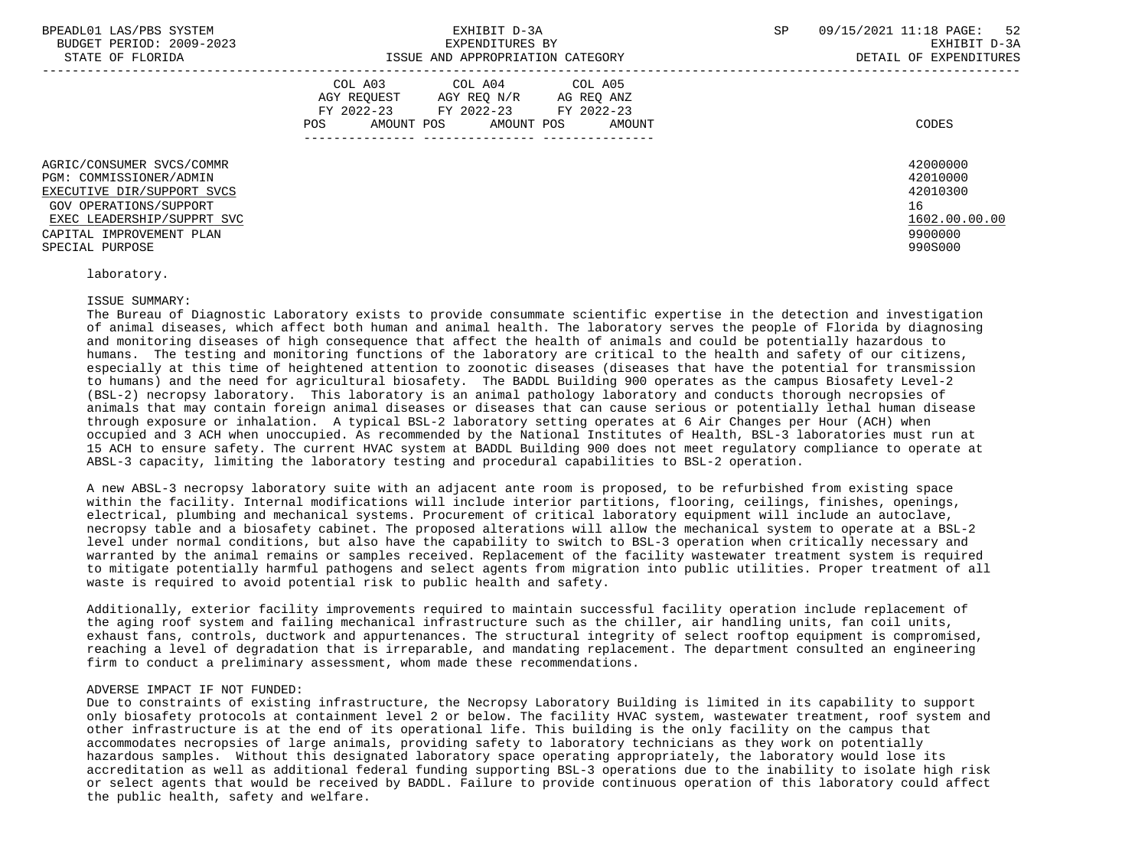|                                                                                                                                                                                           | COL A03<br>AGY REOUEST<br>FY 2022-23<br>AMOUNT POS<br>POS. | COL A04<br>AGY REQ N/R<br>FY 2022-23<br>AMOUNT POS | COL A05<br>AG REQ ANZ<br>FY 2022-23<br>AMOUNT | CODES                                                                         |
|-------------------------------------------------------------------------------------------------------------------------------------------------------------------------------------------|------------------------------------------------------------|----------------------------------------------------|-----------------------------------------------|-------------------------------------------------------------------------------|
| AGRIC/CONSUMER SVCS/COMMR<br>PGM: COMMISSIONER/ADMIN<br>EXECUTIVE DIR/SUPPORT SVCS<br>GOV OPERATIONS/SUPPORT<br>EXEC LEADERSHIP/SUPPRT SVC<br>CAPITAL IMPROVEMENT PLAN<br>SPECIAL PURPOSE |                                                            |                                                    |                                               | 42000000<br>42010000<br>42010300<br>16<br>1602.00.00.00<br>9900000<br>990S000 |

laboratory.

ISSUE SUMMARY:

 The Bureau of Diagnostic Laboratory exists to provide consummate scientific expertise in the detection and investigation of animal diseases, which affect both human and animal health. The laboratory serves the people of Florida by diagnosing and monitoring diseases of high consequence that affect the health of animals and could be potentially hazardous to humans. The testing and monitoring functions of the laboratory are critical to the health and safety of our citizens, especially at this time of heightened attention to zoonotic diseases (diseases that have the potential for transmission to humans) and the need for agricultural biosafety. The BADDL Building 900 operates as the campus Biosafety Level-2 (BSL-2) necropsy laboratory. This laboratory is an animal pathology laboratory and conducts thorough necropsies of animals that may contain foreign animal diseases or diseases that can cause serious or potentially lethal human disease through exposure or inhalation. A typical BSL-2 laboratory setting operates at 6 Air Changes per Hour (ACH) when occupied and 3 ACH when unoccupied. As recommended by the National Institutes of Health, BSL-3 laboratories must run at 15 ACH to ensure safety. The current HVAC system at BADDL Building 900 does not meet regulatory compliance to operate at ABSL-3 capacity, limiting the laboratory testing and procedural capabilities to BSL-2 operation.

 A new ABSL-3 necropsy laboratory suite with an adjacent ante room is proposed, to be refurbished from existing space within the facility. Internal modifications will include interior partitions, flooring, ceilings, finishes, openings, electrical, plumbing and mechanical systems. Procurement of critical laboratory equipment will include an autoclave, necropsy table and a biosafety cabinet. The proposed alterations will allow the mechanical system to operate at a BSL-2 level under normal conditions, but also have the capability to switch to BSL-3 operation when critically necessary and warranted by the animal remains or samples received. Replacement of the facility wastewater treatment system is required to mitigate potentially harmful pathogens and select agents from migration into public utilities. Proper treatment of all waste is required to avoid potential risk to public health and safety.

 Additionally, exterior facility improvements required to maintain successful facility operation include replacement of the aging roof system and failing mechanical infrastructure such as the chiller, air handling units, fan coil units, exhaust fans, controls, ductwork and appurtenances. The structural integrity of select rooftop equipment is compromised, reaching a level of degradation that is irreparable, and mandating replacement. The department consulted an engineering firm to conduct a preliminary assessment, whom made these recommendations.

### ADVERSE IMPACT IF NOT FUNDED:

 Due to constraints of existing infrastructure, the Necropsy Laboratory Building is limited in its capability to support only biosafety protocols at containment level 2 or below. The facility HVAC system, wastewater treatment, roof system and other infrastructure is at the end of its operational life. This building is the only facility on the campus that accommodates necropsies of large animals, providing safety to laboratory technicians as they work on potentially hazardous samples. Without this designated laboratory space operating appropriately, the laboratory would lose its accreditation as well as additional federal funding supporting BSL-3 operations due to the inability to isolate high risk or select agents that would be received by BADDL. Failure to provide continuous operation of this laboratory could affect the public health, safety and welfare.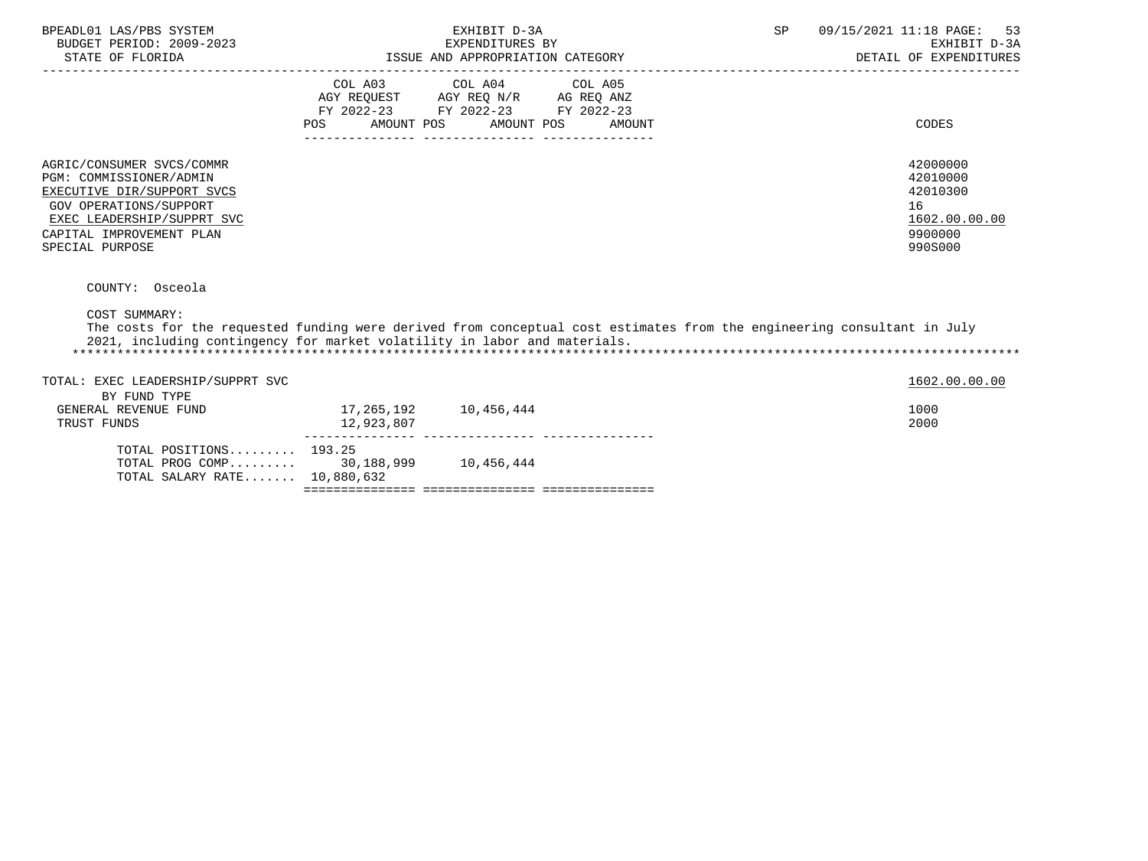| BPEADL01 LAS/PBS SYSTEM<br>BUDGET PERIOD: 2009-2023<br>STATE OF FLORIDA                                                                                                                                                                  |                                                                                                                 | EXHIBIT D-3A<br>EXPENDITURES BY<br>ISSUE AND APPROPRIATION CATEGORY |        | SP | 09/15/2021 11:18 PAGE:<br>53<br>EXHIBIT D-3A<br>DETAIL OF EXPENDITURES        |
|------------------------------------------------------------------------------------------------------------------------------------------------------------------------------------------------------------------------------------------|-----------------------------------------------------------------------------------------------------------------|---------------------------------------------------------------------|--------|----|-------------------------------------------------------------------------------|
|                                                                                                                                                                                                                                          | COL A03 COL A04 COL A05<br>AGY REQUEST AGY REQ N/R AG REQ ANZ<br>FY 2022-23 FY 2022-23 FY 2022-23<br><b>POS</b> | AMOUNT POS AMOUNT POS                                               | AMOUNT |    | CODES                                                                         |
| AGRIC/CONSUMER SVCS/COMMR<br>PGM: COMMISSIONER/ADMIN<br>EXECUTIVE DIR/SUPPORT SVCS<br>GOV OPERATIONS/SUPPORT<br>EXEC LEADERSHIP/SUPPRT SVC<br>CAPITAL IMPROVEMENT PLAN<br>SPECIAL PURPOSE                                                |                                                                                                                 |                                                                     |        |    | 42000000<br>42010000<br>42010300<br>16<br>1602.00.00.00<br>9900000<br>990S000 |
| COUNTY: Osceola<br>COST SUMMARY:<br>The costs for the requested funding were derived from conceptual cost estimates from the engineering consultant in July<br>2021, including contingency for market volatility in labor and materials. |                                                                                                                 |                                                                     |        |    |                                                                               |
| TOTAL: EXEC LEADERSHIP/SUPPRT SVC<br>BY FUND TYPE<br>GENERAL REVENUE FUND<br>TRUST FUNDS                                                                                                                                                 | $17,265,192$ $10,456,444$<br>12,923,807                                                                         |                                                                     |        |    | 1602.00.00.00<br>1000<br>2000                                                 |
|                                                                                                                                                                                                                                          |                                                                                                                 |                                                                     |        |    |                                                                               |

 TOTAL POSITIONS......... 193.25 TOTAL PROG COMP......... 30,188,999 10,456,444 TOTAL SALARY RATE....... 10,880,632 =============== =============== ===============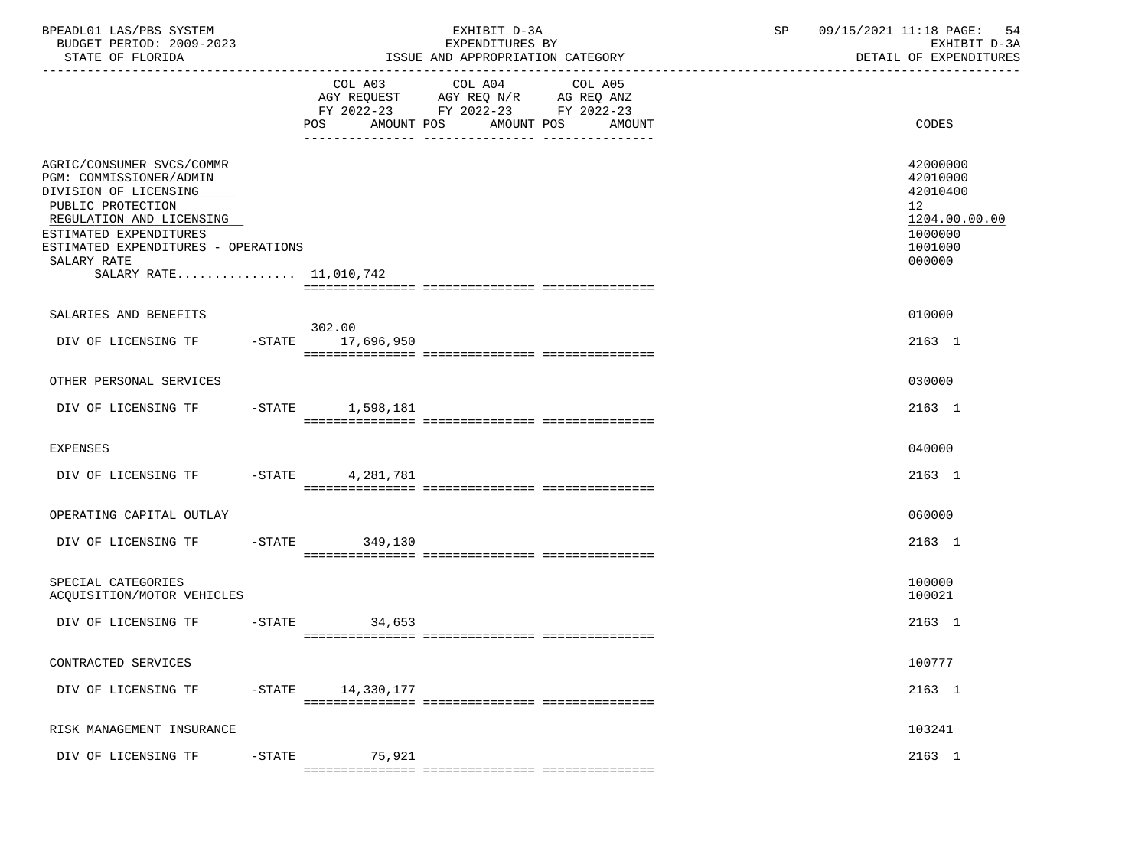| BPEADL01 LAS/PBS SYSTEM<br>BUDGET PERIOD: 2009-2023<br>STATE OF FLORIDA                                                                                                                                                                  |           |                             | EXHIBIT D-3A<br>EXPENDITURES BY<br>ISSUE AND APPROPRIATION CATEGORY                                                          | SP | 09/15/2021 11:18 PAGE: 54<br>EXHIBIT D-3A<br>DETAIL OF EXPENDITURES                     |
|------------------------------------------------------------------------------------------------------------------------------------------------------------------------------------------------------------------------------------------|-----------|-----------------------------|------------------------------------------------------------------------------------------------------------------------------|----|-----------------------------------------------------------------------------------------|
|                                                                                                                                                                                                                                          |           | POS<br>AMOUNT POS           | COL A03 COL A04<br>COL A05<br>AGY REQUEST AGY REQ N/R AG REQ ANZ<br>FY 2022-23 FY 2022-23 FY 2022-23<br>AMOUNT POS<br>AMOUNT |    | <b>CODES</b>                                                                            |
| AGRIC/CONSUMER SVCS/COMMR<br>PGM: COMMISSIONER/ADMIN<br>DIVISION OF LICENSING<br>PUBLIC PROTECTION<br>REGULATION AND LICENSING<br>ESTIMATED EXPENDITURES<br>ESTIMATED EXPENDITURES - OPERATIONS<br>SALARY RATE<br>SALARY RATE 11,010,742 |           |                             |                                                                                                                              |    | 42000000<br>42010000<br>42010400<br>12<br>1204.00.00.00<br>1000000<br>1001000<br>000000 |
| SALARIES AND BENEFITS                                                                                                                                                                                                                    |           |                             |                                                                                                                              |    | 010000                                                                                  |
| DIV OF LICENSING TF                                                                                                                                                                                                                      |           | 302.00<br>-STATE 17,696,950 |                                                                                                                              |    | 2163 1                                                                                  |
| OTHER PERSONAL SERVICES                                                                                                                                                                                                                  |           |                             |                                                                                                                              |    | 030000                                                                                  |
| DIV OF LICENSING TF                                                                                                                                                                                                                      |           | -STATE 1,598,181            |                                                                                                                              |    | 2163 1                                                                                  |
| EXPENSES                                                                                                                                                                                                                                 |           |                             |                                                                                                                              |    | 040000                                                                                  |
| DIV OF LICENSING TF -STATE 4,281,781                                                                                                                                                                                                     |           |                             |                                                                                                                              |    | 2163 1                                                                                  |
| OPERATING CAPITAL OUTLAY                                                                                                                                                                                                                 |           |                             |                                                                                                                              |    | 060000                                                                                  |
| DIV OF LICENSING TF                                                                                                                                                                                                                      |           | -STATE 349,130              |                                                                                                                              |    | 2163 1                                                                                  |
| SPECIAL CATEGORIES<br>ACQUISITION/MOTOR VEHICLES                                                                                                                                                                                         |           |                             |                                                                                                                              |    | 100000<br>100021                                                                        |
| DIV OF LICENSING TF                                                                                                                                                                                                                      |           | $-STATE$ 34,653             |                                                                                                                              |    | 2163 1                                                                                  |
| CONTRACTED SERVICES                                                                                                                                                                                                                      |           |                             |                                                                                                                              |    | 100777                                                                                  |
| DIV OF LICENSING TF                                                                                                                                                                                                                      | $-$ STATE | 14,330,177                  |                                                                                                                              |    | 2163 1                                                                                  |
| RISK MANAGEMENT INSURANCE                                                                                                                                                                                                                |           |                             |                                                                                                                              |    | 103241                                                                                  |
| DIV OF LICENSING TF                                                                                                                                                                                                                      | $-$ STATE | 75,921                      |                                                                                                                              |    | 2163 1                                                                                  |
|                                                                                                                                                                                                                                          |           |                             |                                                                                                                              |    |                                                                                         |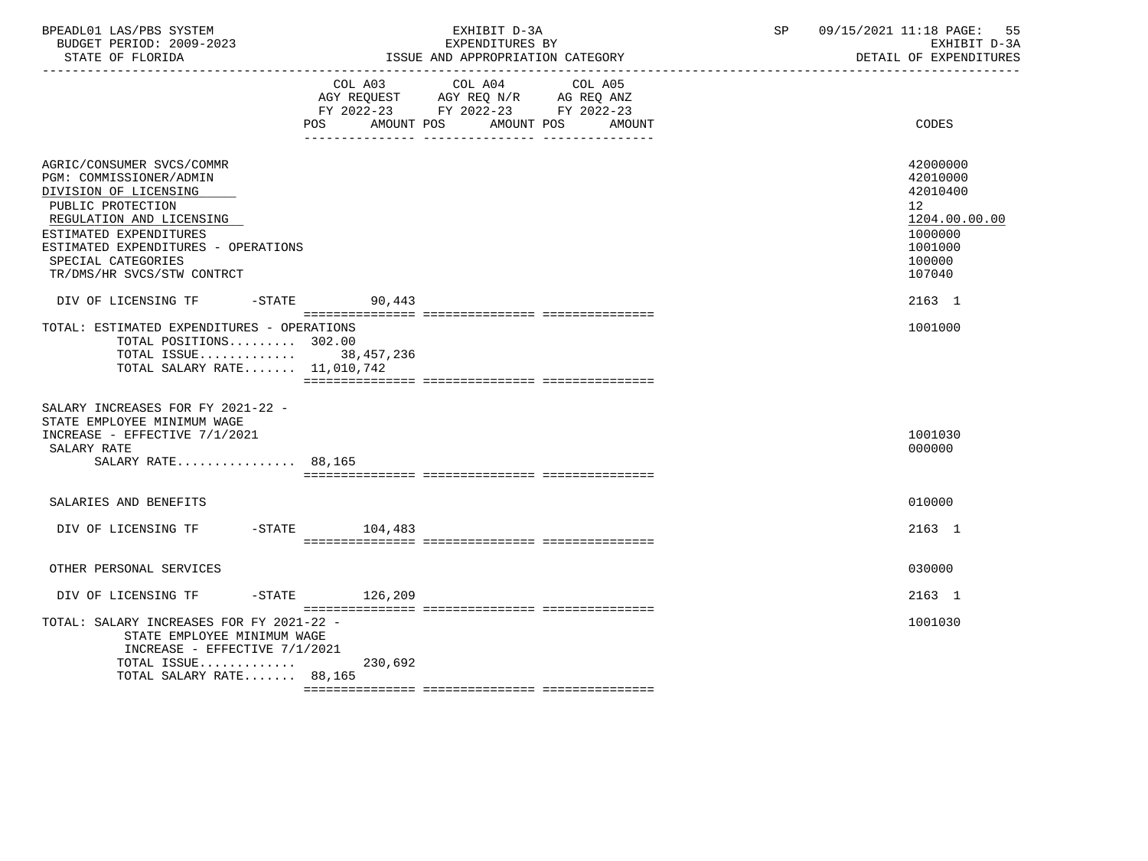| BPEADL01 LAS/PBS SYSTEM |                          |
|-------------------------|--------------------------|
|                         | BUDGET PERIOD: 2009-2023 |

 ----------------------------------------------------------------------------------------------------------------------------------- COL A03 COL A04 AGY REQUEST AGY REQ N/R AG REQ ANZ FY 2022-23 FY 2022-23 FY 2022-23 POS AMOUNT POS AMOUNT POS AMOUNT CODES --------------- --------------- --------------- AGRIC/CONSUMER SVCS/COMMR<br>PGM: COMMISSIONER/ADMIN 42000000 42000000 42000000 42000000 42000000 4200000 4200000 420000 420000 420000 420 PGM: COMMISSIONER/ADMIN 42010000 42010000 42010000 42010000 42010000 42010000 42010000 4201000 42010 42010 420<br>PIVISION OF LICENSING DIVISION OF LICENSING PUBLIC PROTECTION 12 REGULATION AND LICENSING 1204.00 and the set of the set of the set of the set of the set of the set of the set of the set of the set of the set of the set of the set of the set of the set of the set of the set of the set o ESTIMATED EXPENDITURES ESTIMATED EXPENDITURES - OPERATIONS<br>SPECIAL CATEGORIES 100000 SPECIAL CATEGORIES 100000 TR/DMS/HR SVCS/STW CONTRCT DIV OF LICENSING TF  $-$  -STATE 90,443 2163 1 =============== =============== =============== TOTAL: ESTIMATED EXPENDITURES - OPERATIONS 1001000 TOTAL POSITIONS......... 302.00 TOTAL ISSUE............. 38,457,236 TOTAL SALARY RATE....... 11,010,742 =============== =============== =============== SALARY INCREASES FOR FY 2021-22 - STATE EMPLOYEE MINIMUM WAGE INCREASE – EFFECTIVE 7/1/2021<br>SALARY RATE – 1001030  $\texttt{SALARY RATE}$  . The contract of the contract of the contract of the contract of the contract of the contract of the contract of the contract of the contract of the contract of the contract of the contract of the contract o SALARY RATE................ 88,165 =============== =============== =============== SALARIES AND BENEFITS ON A SALARIES AND SALARIES AND SALARIES AND SALARIES AND SALARIES AND SALARIES AND SALARIES AND SALARIES AND SALARIES AND SALARIES AND SALARIES AND SALARIES AND SALARIES AND SALARIES AND SALARIES AND DIV OF LICENSING TF  $-$  -STATE 104,483 2163 1 =============== =============== =============== OTHER PERSONAL SERVICES 030000 DIV OF LICENSING TF  $-$  -STATE 126.209 =============== =============== =============== TOTAL: SALARY INCREASES FOR FY 2021-22 - 1001030 STATE EMPLOYEE MINIMUM WAGE INCREASE - EFFECTIVE 7/1/2021 TOTAL ISSUE............. 230,692 TOTAL SALARY RATE....... 88,165

=============== =============== ===============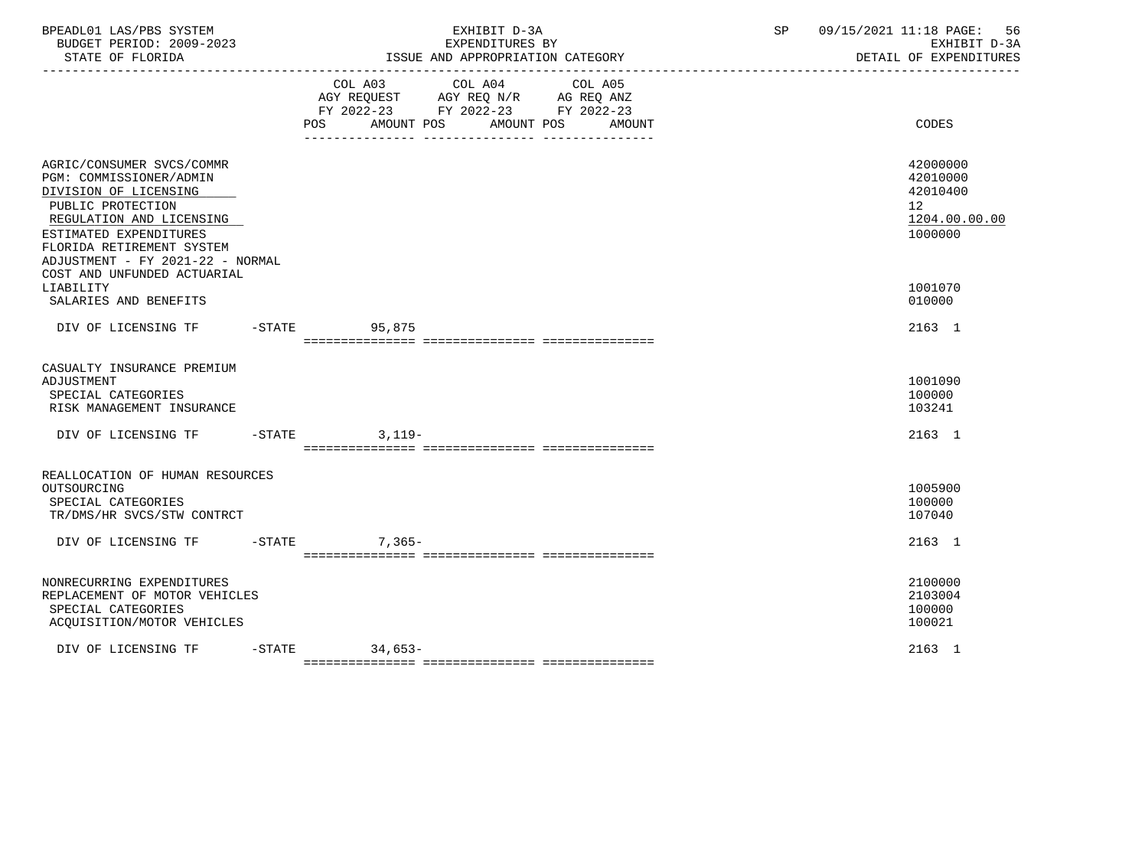| BPEADL01 LAS/PBS SYSTEM<br>BUDGET PERIOD: 2009-2023<br>STATE OF FLORIDA                                                                                                                                                                                               |                           | EXHIBIT D-3A<br>EXPENDITURES BY<br>ISSUE AND APPROPRIATION CATEGORY                       |                   | SP | 09/15/2021 11:18 PAGE:<br>DETAIL OF EXPENDITURES                                           | 56<br>EXHIBIT D-3A |
|-----------------------------------------------------------------------------------------------------------------------------------------------------------------------------------------------------------------------------------------------------------------------|---------------------------|-------------------------------------------------------------------------------------------|-------------------|----|--------------------------------------------------------------------------------------------|--------------------|
|                                                                                                                                                                                                                                                                       | POS AMOUNT POS AMOUNT POS | COL A03 COL A04<br>AGY REQUEST AGY REQ N/R AG REQ ANZ<br>FY 2022-23 FY 2022-23 FY 2022-23 | COL A05<br>AMOUNT |    | CODES                                                                                      |                    |
| AGRIC/CONSUMER SVCS/COMMR<br>PGM: COMMISSIONER/ADMIN<br>DIVISION OF LICENSING<br>PUBLIC PROTECTION<br>REGULATION AND LICENSING<br>ESTIMATED EXPENDITURES<br>FLORIDA RETIREMENT SYSTEM<br>ADJUSTMENT - FY 2021-22 - NORMAL<br>COST AND UNFUNDED ACTUARIAL<br>LIABILITY |                           |                                                                                           |                   |    | 42000000<br>42010000<br>42010400<br>12 <sup>°</sup><br>1204.00.00.00<br>1000000<br>1001070 |                    |
| SALARIES AND BENEFITS                                                                                                                                                                                                                                                 |                           |                                                                                           |                   |    | 010000                                                                                     |                    |
| DIV OF LICENSING TF -STATE                                                                                                                                                                                                                                            | 95,875                    |                                                                                           |                   |    | 2163 1                                                                                     |                    |
| CASUALTY INSURANCE PREMIUM<br>ADJUSTMENT<br>SPECIAL CATEGORIES<br>RISK MANAGEMENT INSURANCE                                                                                                                                                                           |                           |                                                                                           |                   |    | 1001090<br>100000<br>103241                                                                |                    |
| DIV OF LICENSING TF                                                                                                                                                                                                                                                   | $-STATE$ 3.119-           |                                                                                           |                   |    | 2163 1                                                                                     |                    |
| REALLOCATION OF HUMAN RESOURCES<br>OUTSOURCING<br>SPECIAL CATEGORIES<br>TR/DMS/HR SVCS/STW CONTRCT                                                                                                                                                                    |                           |                                                                                           |                   |    | 1005900<br>100000<br>107040                                                                |                    |
| DIV OF LICENSING TF                                                                                                                                                                                                                                                   | $-STATE$ 7.365-           |                                                                                           |                   |    | 2163 1                                                                                     |                    |
| NONRECURRING EXPENDITURES<br>REPLACEMENT OF MOTOR VEHICLES<br>SPECIAL CATEGORIES<br>ACOUISITION/MOTOR VEHICLES                                                                                                                                                        |                           |                                                                                           |                   |    | 2100000<br>2103004<br>100000<br>100021                                                     |                    |
| DIV OF LICENSING TF                                                                                                                                                                                                                                                   | $-STATE$ 34,653-          |                                                                                           |                   |    | 2163 1                                                                                     |                    |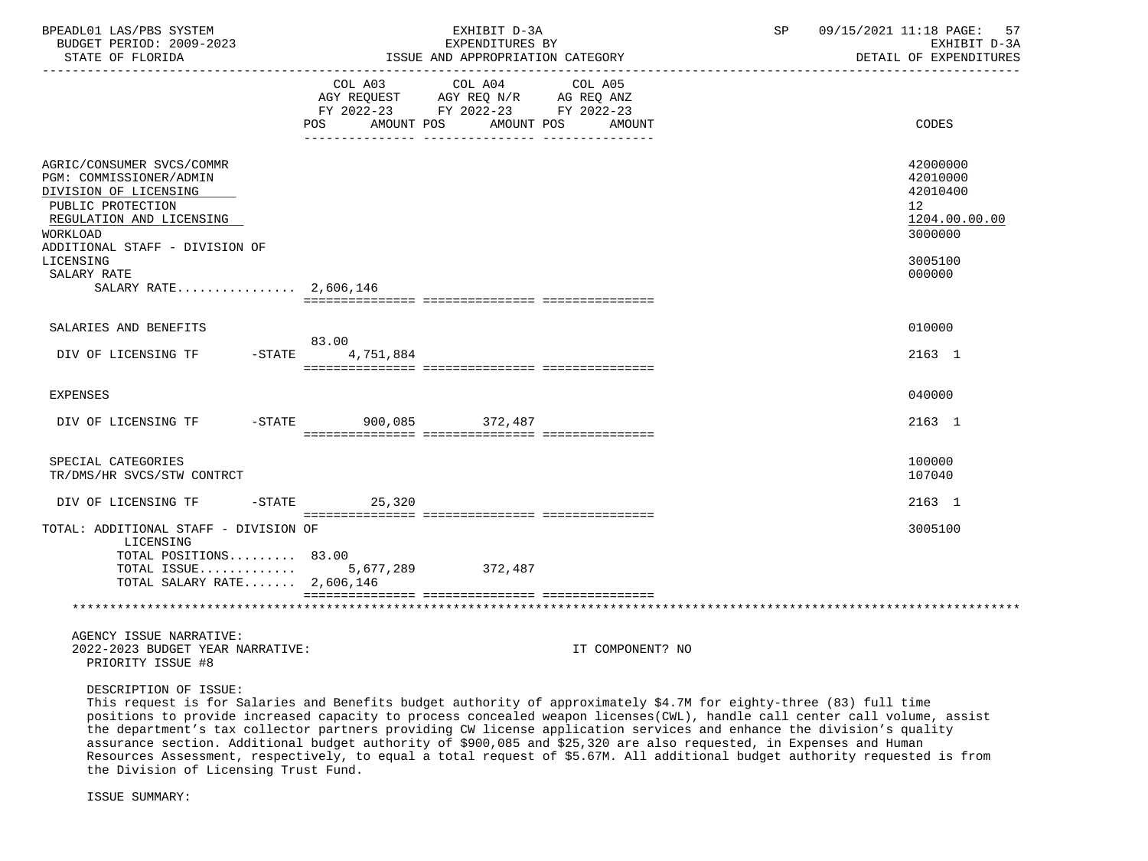| BPEADL01 LAS/PBS SYSTEM<br>BUDGET PERIOD: 2009-2023<br>STATE OF FLORIDA                                                                                                      |                        | EXHIBIT D-3A<br>EXPENDITURES BY<br>ISSUE AND APPROPRIATION CATEGORY                                             | SP               | 09/15/2021 11:18 PAGE:<br>57<br>EXHIBIT D-3A<br>DETAIL OF EXPENDITURES |
|------------------------------------------------------------------------------------------------------------------------------------------------------------------------------|------------------------|-----------------------------------------------------------------------------------------------------------------|------------------|------------------------------------------------------------------------|
|                                                                                                                                                                              | AMOUNT POS<br>POS.     | COL A03 COL A04 COL A05<br>AGY REQUEST AGY REQ N/R AG REQ ANZ<br>FY 2022-23 FY 2022-23 FY 2022-23<br>AMOUNT POS | AMOUNT           | CODES                                                                  |
| AGRIC/CONSUMER SVCS/COMMR<br>PGM: COMMISSIONER/ADMIN<br>DIVISION OF LICENSING<br>PUBLIC PROTECTION<br>REGULATION AND LICENSING<br>WORKLOAD<br>ADDITIONAL STAFF - DIVISION OF |                        |                                                                                                                 |                  | 42000000<br>42010000<br>42010400<br>12<br>1204.00.00.00<br>3000000     |
| LICENSING<br>SALARY RATE<br>SALARY RATE 2,606,146                                                                                                                            |                        |                                                                                                                 |                  | 3005100<br>000000                                                      |
| SALARIES AND BENEFITS                                                                                                                                                        | 83.00                  |                                                                                                                 |                  | 010000                                                                 |
| DIV OF LICENSING TF -STATE                                                                                                                                                   | 4,751,884              |                                                                                                                 |                  | 2163 1                                                                 |
| <b>EXPENSES</b>                                                                                                                                                              |                        |                                                                                                                 |                  | 040000                                                                 |
| DIV OF LICENSING TF                                                                                                                                                          | -STATE 900,085 372,487 |                                                                                                                 |                  | 2163 1                                                                 |
| SPECIAL CATEGORIES<br>TR/DMS/HR SVCS/STW CONTRCT                                                                                                                             |                        |                                                                                                                 |                  | 100000<br>107040                                                       |
| DIV OF LICENSING TF                                                                                                                                                          | $-STATE$<br>25,320     |                                                                                                                 |                  | $2163 \quad 1$                                                         |
| TOTAL: ADDITIONAL STAFF - DIVISION OF<br>LICENSING<br>TOTAL POSITIONS 83.00<br>TOTAL ISSUE $5,677,289$                                                                       |                        | 372,487                                                                                                         |                  | 3005100                                                                |
| TOTAL SALARY RATE $2,606,146$                                                                                                                                                |                        |                                                                                                                 |                  |                                                                        |
|                                                                                                                                                                              |                        |                                                                                                                 |                  |                                                                        |
| AGENCY ISSUE NARRATIVE:<br>2022-2023 BUDGET YEAR NARRATIVE:<br>PRIORITY ISSUE #8                                                                                             |                        |                                                                                                                 | IT COMPONENT? NO |                                                                        |
| DESCRIPTION OF ISSUE:<br>This request is far Calerias and Penefits budget authority of approximately \$4.7M for eighty three (92) full time                                  |                        |                                                                                                                 |                  |                                                                        |

 This request is for Salaries and Benefits budget authority of approximately \$4.7M for eighty-three (83) full time positions to provide increased capacity to process concealed weapon licenses(CWL), handle call center call volume, assist the department's tax collector partners providing CW license application services and enhance the division's quality assurance section. Additional budget authority of \$900,085 and \$25,320 are also requested, in Expenses and Human Resources Assessment, respectively, to equal a total request of \$5.67M. All additional budget authority requested is from the Division of Licensing Trust Fund.

ISSUE SUMMARY: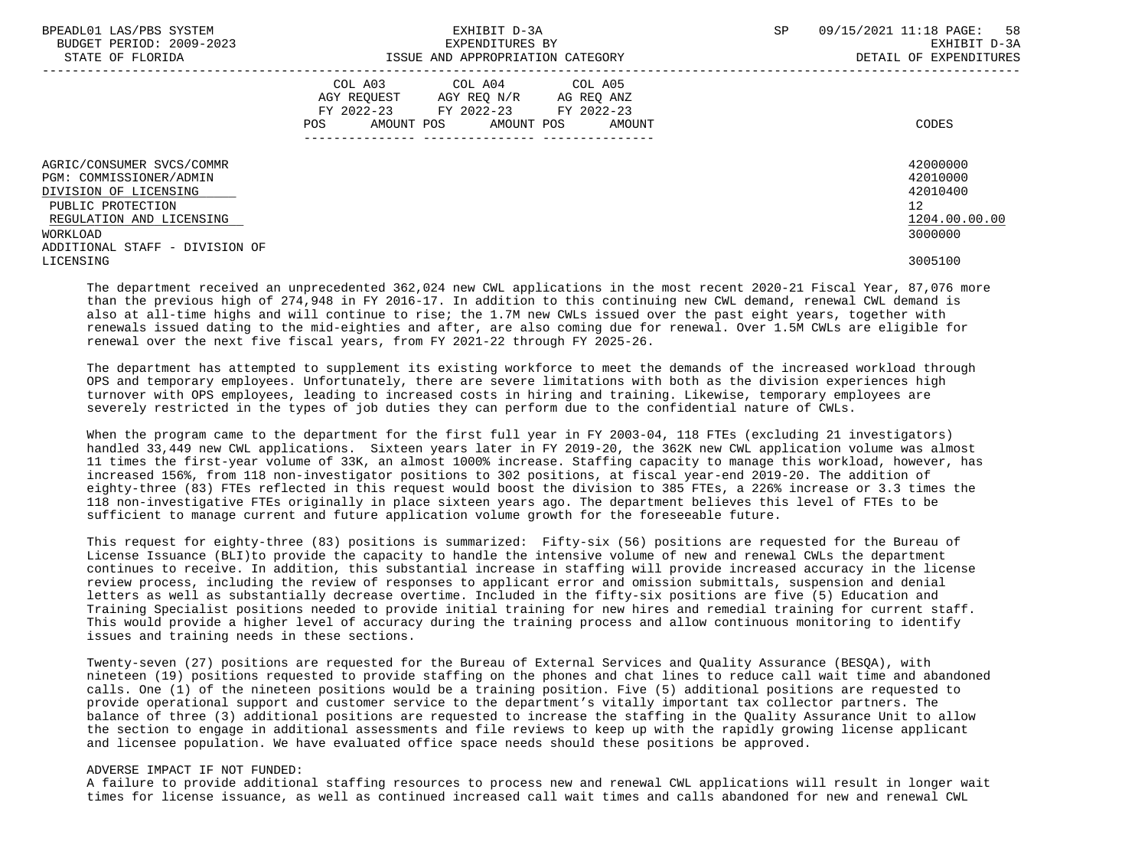| BPEADL01 LAS/PBS SYSTEM<br>BUDGET PERIOD: 2009-2023<br>STATE OF FLORIDA                            | EXHIBIT D-3A<br>EXPENDITURES BY<br>ISSUE AND APPROPRIATION CATEGORY                                                                            | 58<br>SP<br>09/15/2021 11:18 PAGE:<br>EXHIBIT D-3A<br>DETAIL OF EXPENDITURES |
|----------------------------------------------------------------------------------------------------|------------------------------------------------------------------------------------------------------------------------------------------------|------------------------------------------------------------------------------|
|                                                                                                    | COL A03 COL A04 COL A05<br>AGY REOUEST AGY REO N/R<br>AG REQ ANZ<br>FY 2022-23 FY 2022-23 FY 2022-23<br>POS<br>AMOUNT POS AMOUNT POS<br>AMOUNT | CODES                                                                        |
| AGRIC/CONSUMER SVCS/COMMR<br>PGM: COMMISSIONER/ADMIN<br>DIVISION OF LICENSING<br>PUBLIC PROTECTION |                                                                                                                                                | 42000000<br>42010000<br>42010400<br>12 <sup>°</sup>                          |
| REGULATION AND LICENSING<br>WORKLOAD<br>ADDITIONAL STAFF - DIVISION OF                             |                                                                                                                                                | 1204.00.00.00<br>3000000                                                     |
| LICENSING                                                                                          |                                                                                                                                                | 3005100                                                                      |

 The department received an unprecedented 362,024 new CWL applications in the most recent 2020-21 Fiscal Year, 87,076 more than the previous high of 274,948 in FY 2016-17. In addition to this continuing new CWL demand, renewal CWL demand is also at all-time highs and will continue to rise; the 1.7M new CWLs issued over the past eight years, together with renewals issued dating to the mid-eighties and after, are also coming due for renewal. Over 1.5M CWLs are eligible for renewal over the next five fiscal years, from FY 2021-22 through FY 2025-26.

 The department has attempted to supplement its existing workforce to meet the demands of the increased workload through OPS and temporary employees. Unfortunately, there are severe limitations with both as the division experiences high turnover with OPS employees, leading to increased costs in hiring and training. Likewise, temporary employees are severely restricted in the types of job duties they can perform due to the confidential nature of CWLs.

When the program came to the department for the first full year in FY 2003-04, 118 FTEs (excluding 21 investigators) handled 33,449 new CWL applications. Sixteen years later in FY 2019-20, the 362K new CWL application volume was almost 11 times the first-year volume of 33K, an almost 1000% increase. Staffing capacity to manage this workload, however, has increased 156%, from 118 non-investigator positions to 302 positions, at fiscal year-end 2019-20. The addition of eighty-three (83) FTEs reflected in this request would boost the division to 385 FTEs, a 226% increase or 3.3 times the 118 non-investigative FTEs originally in place sixteen years ago. The department believes this level of FTEs to be sufficient to manage current and future application volume growth for the foreseeable future.

 This request for eighty-three (83) positions is summarized: Fifty-six (56) positions are requested for the Bureau of License Issuance (BLI)to provide the capacity to handle the intensive volume of new and renewal CWLs the department continues to receive. In addition, this substantial increase in staffing will provide increased accuracy in the license review process, including the review of responses to applicant error and omission submittals, suspension and denial letters as well as substantially decrease overtime. Included in the fifty-six positions are five (5) Education and Training Specialist positions needed to provide initial training for new hires and remedial training for current staff. This would provide a higher level of accuracy during the training process and allow continuous monitoring to identify issues and training needs in these sections.

 Twenty-seven (27) positions are requested for the Bureau of External Services and Quality Assurance (BESQA), with nineteen (19) positions requested to provide staffing on the phones and chat lines to reduce call wait time and abandoned calls. One (1) of the nineteen positions would be a training position. Five (5) additional positions are requested to provide operational support and customer service to the department's vitally important tax collector partners. The balance of three (3) additional positions are requested to increase the staffing in the Quality Assurance Unit to allow the section to engage in additional assessments and file reviews to keep up with the rapidly growing license applicant and licensee population. We have evaluated office space needs should these positions be approved.

# ADVERSE IMPACT IF NOT FUNDED:

 A failure to provide additional staffing resources to process new and renewal CWL applications will result in longer wait times for license issuance, as well as continued increased call wait times and calls abandoned for new and renewal CWL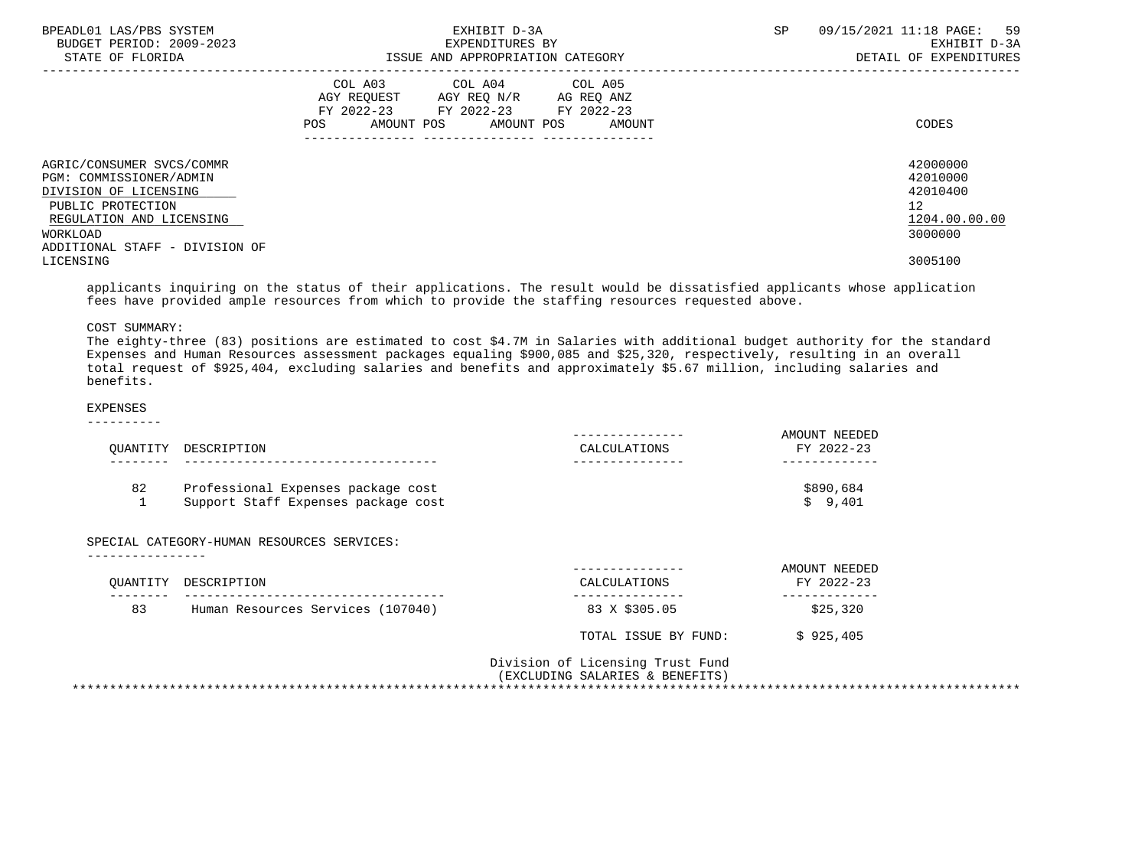| BPEADL01 LAS/PBS SYSTEM<br>BUDGET PERIOD: 2009-2023<br>STATE OF FLORIDA                                                                                                      | EXHIBIT D-3A<br>EXPENDITURES BY<br>ISSUE AND APPROPRIATION CATEGORY                                                                               | <b>SP</b> | 59<br>09/15/2021 11:18 PAGE:<br>EXHIBIT D-3A<br>DETAIL OF EXPENDITURES |
|------------------------------------------------------------------------------------------------------------------------------------------------------------------------------|---------------------------------------------------------------------------------------------------------------------------------------------------|-----------|------------------------------------------------------------------------|
|                                                                                                                                                                              | COL A04 COL A05<br>COL A03<br>AGY REQUEST AGY REQ N/R<br>AG REQ ANZ<br>FY 2022-23 FY 2022-23 FY 2022-23<br>AMOUNT POS AMOUNT POS<br>POS<br>AMOUNT |           | CODES                                                                  |
| AGRIC/CONSUMER SVCS/COMMR<br>PGM: COMMISSIONER/ADMIN<br>DIVISION OF LICENSING<br>PUBLIC PROTECTION<br>REGULATION AND LICENSING<br>WORKLOAD<br>ADDITIONAL STAFF - DIVISION OF |                                                                                                                                                   |           | 42000000<br>42010000<br>42010400<br>12<br>1204.00.00.00<br>3000000     |
| LICENSING                                                                                                                                                                    |                                                                                                                                                   |           | 3005100                                                                |

 applicants inquiring on the status of their applications. The result would be dissatisfied applicants whose application fees have provided ample resources from which to provide the staffing resources requested above.

COST SUMMARY:

 The eighty-three (83) positions are estimated to cost \$4.7M in Salaries with additional budget authority for the standard Expenses and Human Resources assessment packages equaling \$900,085 and \$25,320, respectively, resulting in an overall total request of \$925,404, excluding salaries and benefits and approximately \$5.67 million, including salaries and benefits.

#### EXPENSES

----------

|    | OUANTITY DESCRIPTION                | CALCULATIONS | AMOUNT NEEDED<br>FY 2022-23 |
|----|-------------------------------------|--------------|-----------------------------|
|    |                                     |              |                             |
| 82 | Professional Expenses package cost  |              | \$890,684                   |
|    | Support Staff Expenses package cost |              | \$9.401                     |

SPECIAL CATEGORY-HUMAN RESOURCES SERVICES:

----------------

| OUANTITY | DESCRIPTION                       | CALCULATIONS                                                        | AMOUNT NEEDED<br>FY 2022-23 |
|----------|-----------------------------------|---------------------------------------------------------------------|-----------------------------|
| 83       | Human Resources Services (107040) | 83 X \$305.05                                                       | \$25,320                    |
|          |                                   | TOTAL ISSUE BY FUND:                                                | \$925.405                   |
|          |                                   | Division of Licensing Trust Fund<br>(EXCLUDING SALARIES & BENEFITS) |                             |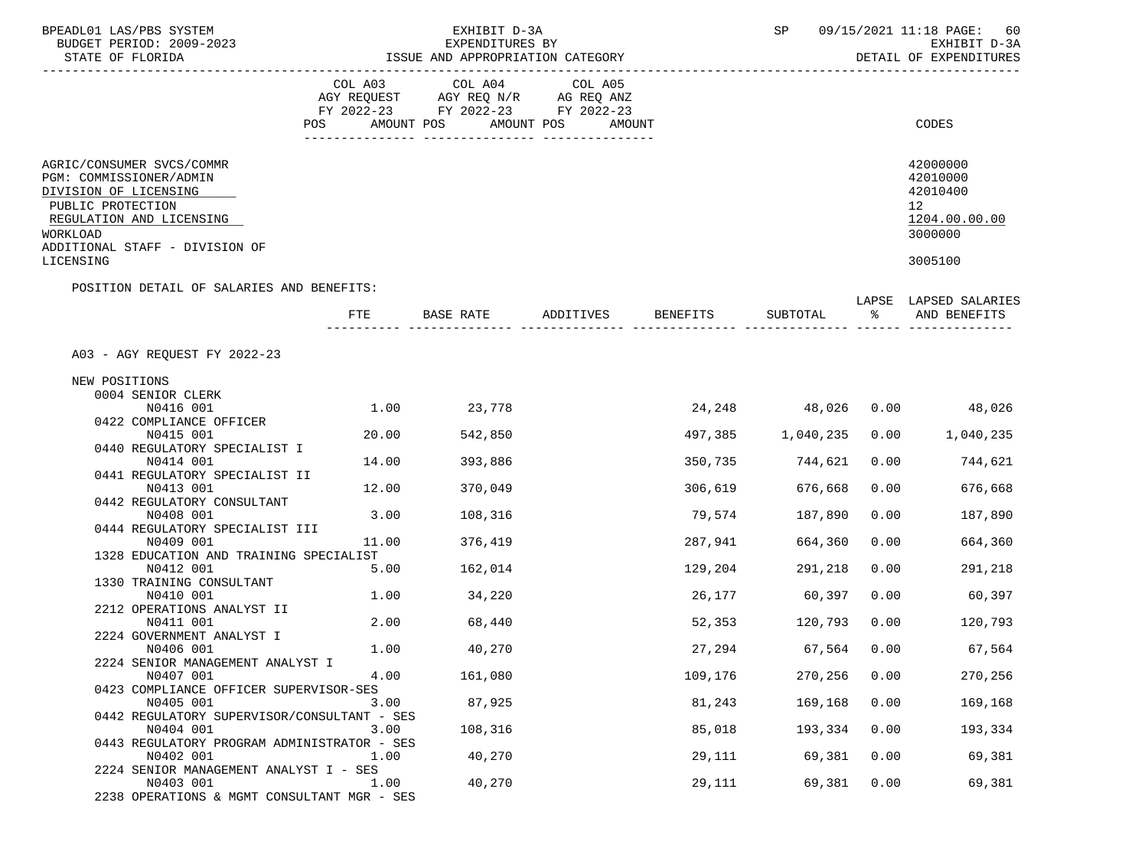| BPEADL01 LAS/PBS SYSTEM                                                                                                                                                                   |         | EXHIBIT D-3A                                        |                      |         | SP                 |      | 09/15/2021 11:18 PAGE: 60                                                     |
|-------------------------------------------------------------------------------------------------------------------------------------------------------------------------------------------|---------|-----------------------------------------------------|----------------------|---------|--------------------|------|-------------------------------------------------------------------------------|
| BUDGET PERIOD: 2009-2023<br>STATE OF FLORIDA                                                                                                                                              |         | EXPENDITURES BY<br>ISSUE AND APPROPRIATION CATEGORY |                      |         |                    |      | EXHIBIT D-3A<br>DETAIL OF EXPENDITURES                                        |
|                                                                                                                                                                                           | COL A03 | COL A04                                             | COL A05              |         |                    |      |                                                                               |
|                                                                                                                                                                                           |         | AGY REQUEST AGY REQ N/R AG REQ ANZ                  |                      |         |                    |      |                                                                               |
|                                                                                                                                                                                           |         | FY 2022-23 FY 2022-23 FY 2022-23                    |                      |         |                    |      |                                                                               |
|                                                                                                                                                                                           | POS     | AMOUNT POS                                          | AMOUNT POS<br>AMOUNT |         |                    |      | CODES                                                                         |
| AGRIC/CONSUMER SVCS/COMMR<br>PGM: COMMISSIONER/ADMIN<br>DIVISION OF LICENSING<br>PUBLIC PROTECTION<br>REGULATION AND LICENSING<br>WORKLOAD<br>ADDITIONAL STAFF - DIVISION OF<br>LICENSING |         |                                                     |                      |         |                    |      | 42000000<br>42010000<br>42010400<br>12<br>1204.00.00.00<br>3000000<br>3005100 |
|                                                                                                                                                                                           |         |                                                     |                      |         |                    |      |                                                                               |
| POSITION DETAIL OF SALARIES AND BENEFITS:                                                                                                                                                 | FTE     | BASE RATE                                           | ADDITIVES BENEFITS   |         | SUBTOTAL           | ႜ    | LAPSE LAPSED SALARIES<br>AND BENEFITS                                         |
|                                                                                                                                                                                           |         |                                                     |                      |         |                    |      |                                                                               |
| A03 - AGY REQUEST FY 2022-23                                                                                                                                                              |         |                                                     |                      |         |                    |      |                                                                               |
| NEW POSITIONS                                                                                                                                                                             |         |                                                     |                      |         |                    |      |                                                                               |
| 0004 SENIOR CLERK                                                                                                                                                                         |         |                                                     |                      |         |                    |      |                                                                               |
| N0416 001                                                                                                                                                                                 | 1.00    | 23,778                                              |                      |         | 24,248 48,026 0.00 |      | 48,026                                                                        |
| 0422 COMPLIANCE OFFICER<br>N0415 001                                                                                                                                                      | 20.00   | 542,850                                             |                      |         | 497,385 1,040,235  | 0.00 | 1,040,235                                                                     |
| 0440 REGULATORY SPECIALIST I                                                                                                                                                              |         |                                                     |                      |         |                    |      |                                                                               |
| N0414 001                                                                                                                                                                                 | 14.00   | 393,886                                             |                      | 350,735 | 744,621            | 0.00 | 744,621                                                                       |
| 0441 REGULATORY SPECIALIST II                                                                                                                                                             |         |                                                     |                      |         |                    |      |                                                                               |
| N0413 001                                                                                                                                                                                 | 12.00   | 370,049                                             |                      | 306,619 | 676,668            | 0.00 | 676,668                                                                       |
| 0442 REGULATORY CONSULTANT                                                                                                                                                                |         |                                                     |                      |         |                    |      |                                                                               |
| N0408 001                                                                                                                                                                                 | 3.00    | 108,316                                             |                      | 79,574  | 187,890            | 0.00 | 187,890                                                                       |
| 0444 REGULATORY SPECIALIST III<br>N0409 001                                                                                                                                               | 11.00   | 376,419                                             |                      |         | 664,360            | 0.00 |                                                                               |
| 1328 EDUCATION AND TRAINING SPECIALIST                                                                                                                                                    |         |                                                     |                      | 287,941 |                    |      | 664,360                                                                       |
| N0412 001                                                                                                                                                                                 | 5.00    | 162,014                                             |                      | 129,204 | 291,218            | 0.00 | 291,218                                                                       |
| 1330 TRAINING CONSULTANT                                                                                                                                                                  |         |                                                     |                      |         |                    |      |                                                                               |
| N0410 001                                                                                                                                                                                 | 1.00    | 34,220                                              |                      | 26,177  | 60,397             | 0.00 | 60,397                                                                        |
| 2212 OPERATIONS ANALYST II                                                                                                                                                                |         |                                                     |                      |         |                    |      |                                                                               |
| N0411 001                                                                                                                                                                                 | 2.00    | 68,440                                              |                      | 52,353  | 120,793 0.00       |      | 120,793                                                                       |
| 2224 GOVERNMENT ANALYST I<br>N0406 001                                                                                                                                                    | 1.00    | 40,270                                              |                      | 27,294  | 67,564 0.00        |      | 67,564                                                                        |
| 2224 SENIOR MANAGEMENT ANALYST I                                                                                                                                                          |         |                                                     |                      |         |                    |      |                                                                               |
| N0407 001                                                                                                                                                                                 | 4.00    | 161,080                                             |                      | 109,176 | 270,256            | 0.00 | 270,256                                                                       |
| 0423 COMPLIANCE OFFICER SUPERVISOR-SES                                                                                                                                                    |         |                                                     |                      |         |                    |      |                                                                               |
| N0405 001                                                                                                                                                                                 | 3.00    | 87,925                                              |                      | 81,243  | 169,168            | 0.00 | 169,168                                                                       |
| 0442 REGULATORY SUPERVISOR/CONSULTANT - SES                                                                                                                                               |         |                                                     |                      |         |                    |      |                                                                               |
| N0404 001<br>0443 REGULATORY PROGRAM ADMINISTRATOR - SES                                                                                                                                  | 3.00    | 108,316                                             |                      | 85,018  | 193,334            | 0.00 | 193,334                                                                       |
| N0402 001                                                                                                                                                                                 | 1.00    | 40,270                                              |                      | 29,111  | 69,381             | 0.00 | 69,381                                                                        |
| 2224 SENIOR MANAGEMENT ANALYST I - SES                                                                                                                                                    |         |                                                     |                      |         |                    |      |                                                                               |
| N0403 001                                                                                                                                                                                 | 1.00    | 40,270                                              |                      | 29,111  | 69,381             | 0.00 | 69,381                                                                        |
| 2238 OPERATIONS & MGMT CONSULTANT MGR - SES                                                                                                                                               |         |                                                     |                      |         |                    |      |                                                                               |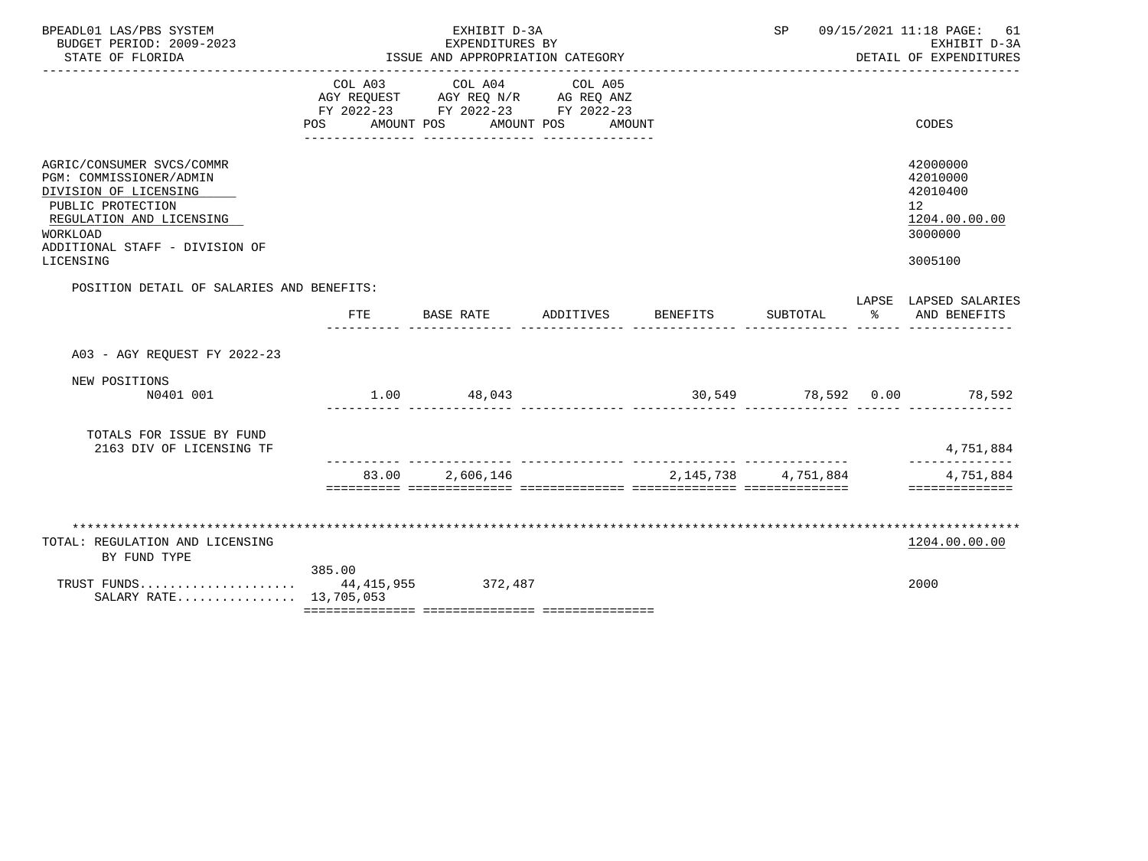| BPEADL01 LAS/PBS SYSTEM<br>BUDGET PERIOD: 2009-2023<br>STATE OF FLORIDA                                                                                                                   | EXHIBIT D-3A<br>EXPENDITURES BY<br>ISSUE AND APPROPRIATION CATEGORY |                                                                                                                                   |                                       |           |           |   | 09/15/2021 11:18 PAGE:<br>61<br>EXHIBIT D-3A<br>DETAIL OF EXPENDITURES                     |
|-------------------------------------------------------------------------------------------------------------------------------------------------------------------------------------------|---------------------------------------------------------------------|-----------------------------------------------------------------------------------------------------------------------------------|---------------------------------------|-----------|-----------|---|--------------------------------------------------------------------------------------------|
|                                                                                                                                                                                           | COL A03<br>POS                                                      | COL A04<br>AGY REQUEST AGY REQ N/R AG REQ ANZ<br>FY 2022-23 FY 2022-23 FY 2022-23<br>AMOUNT POS<br>AMOUNT POS<br>---------------- | COL A05<br>AMOUNT<br>________________ |           |           |   | CODES                                                                                      |
| AGRIC/CONSUMER SVCS/COMMR<br>PGM: COMMISSIONER/ADMIN<br>DIVISION OF LICENSING<br>PUBLIC PROTECTION<br>REGULATION AND LICENSING<br>WORKLOAD<br>ADDITIONAL STAFF - DIVISION OF<br>LICENSING |                                                                     |                                                                                                                                   |                                       |           |           |   | 42000000<br>42010000<br>42010400<br>12 <sup>°</sup><br>1204.00.00.00<br>3000000<br>3005100 |
| POSITION DETAIL OF SALARIES AND BENEFITS:                                                                                                                                                 | FTE                                                                 | BASE RATE                                                                                                                         | ADDITIVES                             | BENEFITS  | SUBTOTAL  | ႜ | LAPSE LAPSED SALARIES<br>AND BENEFITS                                                      |
| A03 - AGY REOUEST FY 2022-23                                                                                                                                                              |                                                                     |                                                                                                                                   |                                       |           |           |   |                                                                                            |
| NEW POSITIONS<br>N0401 001                                                                                                                                                                |                                                                     | 1.00 48,043                                                                                                                       |                                       |           |           |   | 30,549 78,592 0.00 78,592                                                                  |
| TOTALS FOR ISSUE BY FUND<br>2163 DIV OF LICENSING TF                                                                                                                                      |                                                                     |                                                                                                                                   |                                       |           |           |   | 4,751,884                                                                                  |
|                                                                                                                                                                                           | 83.00                                                               | 2,606,146                                                                                                                         |                                       | 2,145,738 | 4,751,884 |   | 4,751,884<br>==============                                                                |
| TOTAL: REGULATION AND LICENSING<br>BY FUND TYPE                                                                                                                                           |                                                                     |                                                                                                                                   |                                       |           |           |   | 1204.00.00.00                                                                              |
| TRUST FUNDS 44,415,955 372,487<br>SALARY RATE 13,705,053                                                                                                                                  | 385.00                                                              |                                                                                                                                   |                                       |           |           |   | 2000                                                                                       |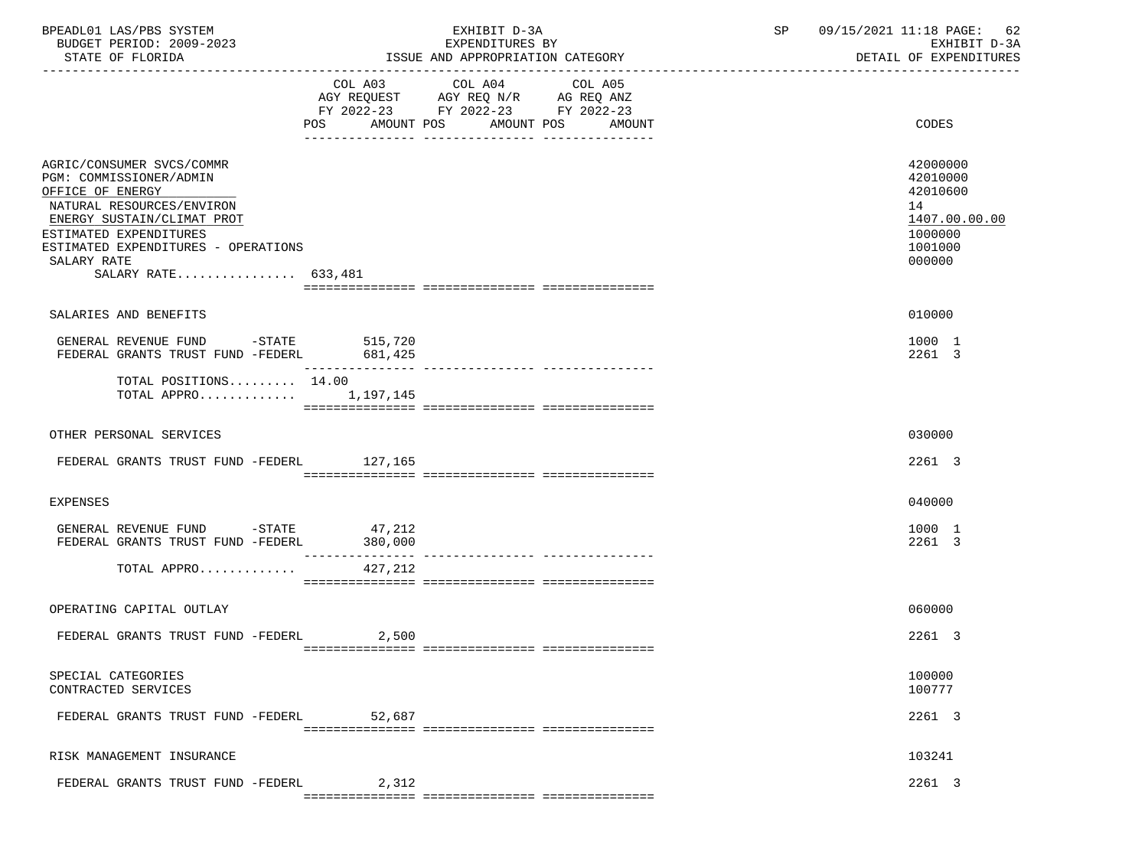| COL A03 COL A04<br>COL A05<br>AGY REQUEST AGY REQ N/R AG REQ ANZ<br>FY 2022-23 FY 2022-23 FY 2022-23<br>POS<br>AMOUNT POS AMOUNT POS<br>AMOUNT<br>AGRIC/CONSUMER SVCS/COMMR<br>PGM: COMMISSIONER/ADMIN<br>OFFICE OF ENERGY<br>NATURAL RESOURCES/ENVIRON<br>14<br>ENERGY SUSTAIN/CLIMAT PROT<br>ESTIMATED EXPENDITURES<br>ESTIMATED EXPENDITURES - OPERATIONS<br>SALARY RATE<br>SALARY RATE 633,481<br>SALARIES AND BENEFITS<br>GENERAL REVENUE FUND -STATE 515,720<br>FEDERAL GRANTS TRUST FUND -FEDERL 681,425<br>----------------<br>TOTAL POSITIONS 14.00<br>TOTAL APPRO $1,197,145$<br>OTHER PERSONAL SERVICES<br>FEDERAL GRANTS TRUST FUND -FEDERL 127,165<br>EXPENSES<br>GENERAL REVENUE FUND -STATE 47,212<br>FEDERAL GRANTS TRUST FUND -FEDERL<br>380,000<br>TOTAL APPRO $427,212$<br>OPERATING CAPITAL OUTLAY<br>2,500<br>FEDERAL GRANTS TRUST FUND -FEDERL<br>SPECIAL CATEGORIES<br>CONTRACTED SERVICES | EXHIBIT D-3A | 09/15/2021 11:18 PAGE: 62<br>DETAIL OF EXPENDITURES                               | SP | EXHIBIT D-3A<br>EXPENDITURES BY<br>ISSUE AND APPROPRIATION CATEGORY |  |  |  |        | BPEADL01 LAS/PBS SYSTEM<br>BUDGET PERIOD: 2009-2023<br>STATE OF FLORIDA |  |
|-------------------------------------------------------------------------------------------------------------------------------------------------------------------------------------------------------------------------------------------------------------------------------------------------------------------------------------------------------------------------------------------------------------------------------------------------------------------------------------------------------------------------------------------------------------------------------------------------------------------------------------------------------------------------------------------------------------------------------------------------------------------------------------------------------------------------------------------------------------------------------------------------------------------|--------------|-----------------------------------------------------------------------------------|----|---------------------------------------------------------------------|--|--|--|--------|-------------------------------------------------------------------------|--|
|                                                                                                                                                                                                                                                                                                                                                                                                                                                                                                                                                                                                                                                                                                                                                                                                                                                                                                                   |              | CODES                                                                             |    |                                                                     |  |  |  |        |                                                                         |  |
|                                                                                                                                                                                                                                                                                                                                                                                                                                                                                                                                                                                                                                                                                                                                                                                                                                                                                                                   |              | 42000000<br>42010000<br>42010600<br>1407.00.00.00<br>1000000<br>1001000<br>000000 |    |                                                                     |  |  |  |        |                                                                         |  |
|                                                                                                                                                                                                                                                                                                                                                                                                                                                                                                                                                                                                                                                                                                                                                                                                                                                                                                                   |              | 010000                                                                            |    |                                                                     |  |  |  |        |                                                                         |  |
|                                                                                                                                                                                                                                                                                                                                                                                                                                                                                                                                                                                                                                                                                                                                                                                                                                                                                                                   |              | 1000 1<br>2261 3                                                                  |    |                                                                     |  |  |  |        |                                                                         |  |
|                                                                                                                                                                                                                                                                                                                                                                                                                                                                                                                                                                                                                                                                                                                                                                                                                                                                                                                   |              |                                                                                   |    |                                                                     |  |  |  |        |                                                                         |  |
|                                                                                                                                                                                                                                                                                                                                                                                                                                                                                                                                                                                                                                                                                                                                                                                                                                                                                                                   |              | 030000                                                                            |    |                                                                     |  |  |  |        |                                                                         |  |
|                                                                                                                                                                                                                                                                                                                                                                                                                                                                                                                                                                                                                                                                                                                                                                                                                                                                                                                   |              | 2261 3                                                                            |    |                                                                     |  |  |  |        |                                                                         |  |
|                                                                                                                                                                                                                                                                                                                                                                                                                                                                                                                                                                                                                                                                                                                                                                                                                                                                                                                   |              | 040000                                                                            |    |                                                                     |  |  |  |        |                                                                         |  |
|                                                                                                                                                                                                                                                                                                                                                                                                                                                                                                                                                                                                                                                                                                                                                                                                                                                                                                                   |              | 1000 1<br>2261 3                                                                  |    |                                                                     |  |  |  |        |                                                                         |  |
|                                                                                                                                                                                                                                                                                                                                                                                                                                                                                                                                                                                                                                                                                                                                                                                                                                                                                                                   |              |                                                                                   |    |                                                                     |  |  |  |        |                                                                         |  |
|                                                                                                                                                                                                                                                                                                                                                                                                                                                                                                                                                                                                                                                                                                                                                                                                                                                                                                                   |              | 060000                                                                            |    |                                                                     |  |  |  |        |                                                                         |  |
|                                                                                                                                                                                                                                                                                                                                                                                                                                                                                                                                                                                                                                                                                                                                                                                                                                                                                                                   |              | 2261 3                                                                            |    |                                                                     |  |  |  |        |                                                                         |  |
|                                                                                                                                                                                                                                                                                                                                                                                                                                                                                                                                                                                                                                                                                                                                                                                                                                                                                                                   |              | 100000<br>100777                                                                  |    |                                                                     |  |  |  |        |                                                                         |  |
|                                                                                                                                                                                                                                                                                                                                                                                                                                                                                                                                                                                                                                                                                                                                                                                                                                                                                                                   |              | 2261 3                                                                            |    |                                                                     |  |  |  | 52,687 | FEDERAL GRANTS TRUST FUND -FEDERL                                       |  |
| RISK MANAGEMENT INSURANCE                                                                                                                                                                                                                                                                                                                                                                                                                                                                                                                                                                                                                                                                                                                                                                                                                                                                                         |              | 103241                                                                            |    |                                                                     |  |  |  |        |                                                                         |  |
| FEDERAL GRANTS TRUST FUND -FEDERL<br>2,312                                                                                                                                                                                                                                                                                                                                                                                                                                                                                                                                                                                                                                                                                                                                                                                                                                                                        |              | 2261 3                                                                            |    |                                                                     |  |  |  |        |                                                                         |  |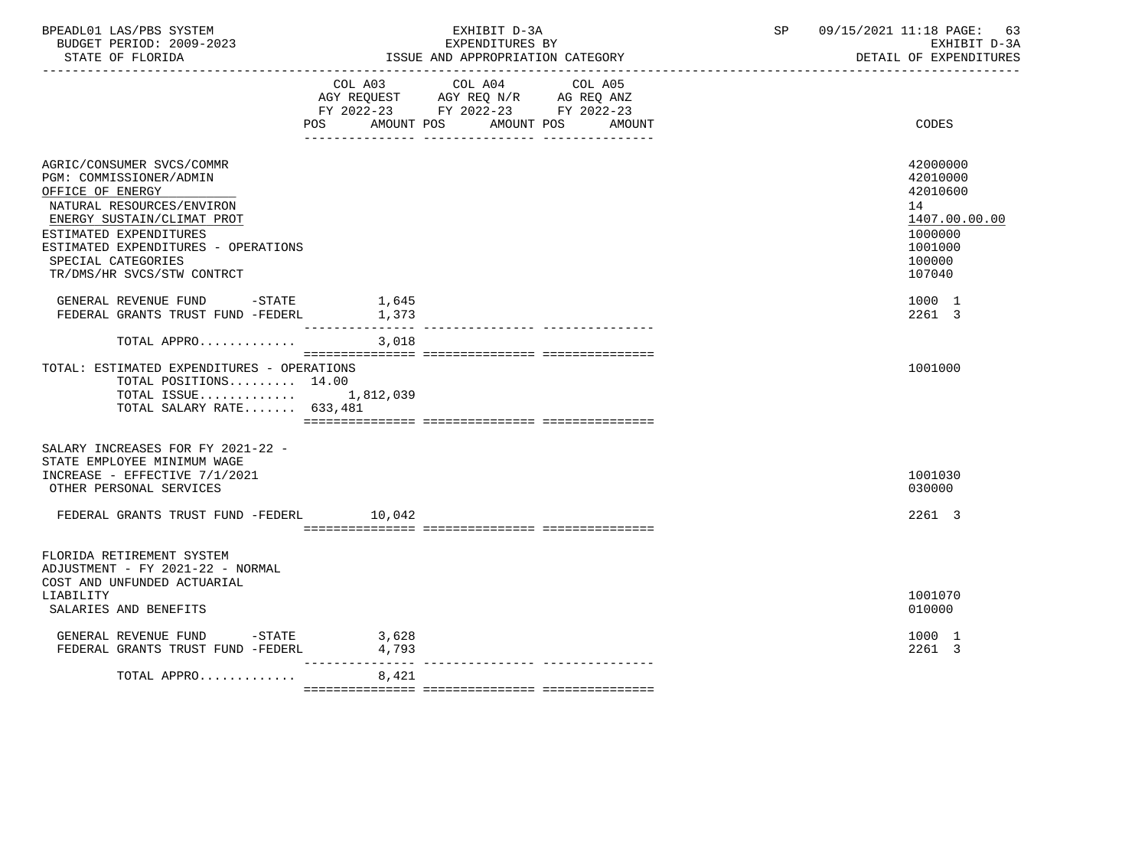| BPEADL01 LAS/PBS SYSTEM  | EXHIBIT D-3A                     | 09/15/2021 11:18 PAGE:<br>63 |
|--------------------------|----------------------------------|------------------------------|
| BUDGET PERIOD: 2009-2023 | EXPENDITURES BY                  | EXHIBIT D-3A                 |
| STATE OF FLORIDA         | ISSUE AND APPROPRIATION CATEGORY | DETAIL OF EXPENDITURES       |

|                                            |                   | COL A03 COL A04 COL A05<br>AGY REQUEST AGY REQ N/R AG REQ ANZ |            |        |               |
|--------------------------------------------|-------------------|---------------------------------------------------------------|------------|--------|---------------|
|                                            |                   |                                                               |            |        |               |
|                                            |                   | FY 2022-23 FY 2022-23 FY 2022-23                              |            |        |               |
|                                            | POS<br>AMOUNT POS |                                                               | AMOUNT POS | AMOUNT | CODES         |
|                                            |                   |                                                               |            |        |               |
| AGRIC/CONSUMER SVCS/COMMR                  |                   |                                                               |            |        | 42000000      |
| PGM: COMMISSIONER/ADMIN                    |                   |                                                               |            |        | 42010000      |
| OFFICE OF ENERGY                           |                   |                                                               |            |        | 42010600      |
| NATURAL RESOURCES/ENVIRON                  |                   |                                                               |            |        | 14            |
| ENERGY SUSTAIN/CLIMAT PROT                 |                   |                                                               |            |        | 1407.00.00.00 |
| ESTIMATED EXPENDITURES                     |                   |                                                               |            |        | 1000000       |
| ESTIMATED EXPENDITURES - OPERATIONS        |                   |                                                               |            |        | 1001000       |
|                                            |                   |                                                               |            |        |               |
| SPECIAL CATEGORIES                         |                   |                                                               |            |        | 100000        |
| TR/DMS/HR SVCS/STW CONTRCT                 |                   |                                                               |            |        | 107040        |
| GENERAL REVENUE FUND -STATE                | 1,645             |                                                               |            |        | 1000 1        |
| FEDERAL GRANTS TRUST FUND -FEDERL          | 1,373             |                                                               |            |        | 2261 3        |
|                                            |                   |                                                               |            |        |               |
| TOTAL APPRO                                | 3,018             |                                                               |            |        |               |
|                                            |                   |                                                               |            |        |               |
| TOTAL: ESTIMATED EXPENDITURES - OPERATIONS |                   |                                                               |            |        | 1001000       |
| TOTAL POSITIONS 14.00                      |                   |                                                               |            |        |               |
| TOTAL ISSUE $1,812,039$                    |                   |                                                               |            |        |               |
| TOTAL SALARY RATE 633,481                  |                   |                                                               |            |        |               |
|                                            |                   |                                                               |            |        |               |
| SALARY INCREASES FOR FY 2021-22 -          |                   |                                                               |            |        |               |
| STATE EMPLOYEE MINIMUM WAGE                |                   |                                                               |            |        |               |
| INCREASE - EFFECTIVE 7/1/2021              |                   |                                                               |            |        | 1001030       |
| OTHER PERSONAL SERVICES                    |                   |                                                               |            |        | 030000        |
|                                            |                   |                                                               |            |        |               |
| FEDERAL GRANTS TRUST FUND -FEDERL 10,042   |                   |                                                               |            |        | 2261 3        |
|                                            |                   |                                                               |            |        |               |
|                                            |                   |                                                               |            |        |               |
| FLORIDA RETIREMENT SYSTEM                  |                   |                                                               |            |        |               |
| ADJUSTMENT - FY 2021-22 - NORMAL           |                   |                                                               |            |        |               |
| COST AND UNFUNDED ACTUARIAL                |                   |                                                               |            |        |               |
| LIABILITY                                  |                   |                                                               |            |        | 1001070       |
| SALARIES AND BENEFITS                      |                   |                                                               |            |        | 010000        |
|                                            |                   |                                                               |            |        |               |
| GENERAL REVENUE FUND -STATE                | 3,628             |                                                               |            |        | 1000 1        |
| FEDERAL GRANTS TRUST FUND -FEDERL          | 4,793             |                                                               |            |        | 2261 3        |
| TOTAL APPRO                                | 8,421             |                                                               |            |        |               |
|                                            |                   |                                                               |            |        |               |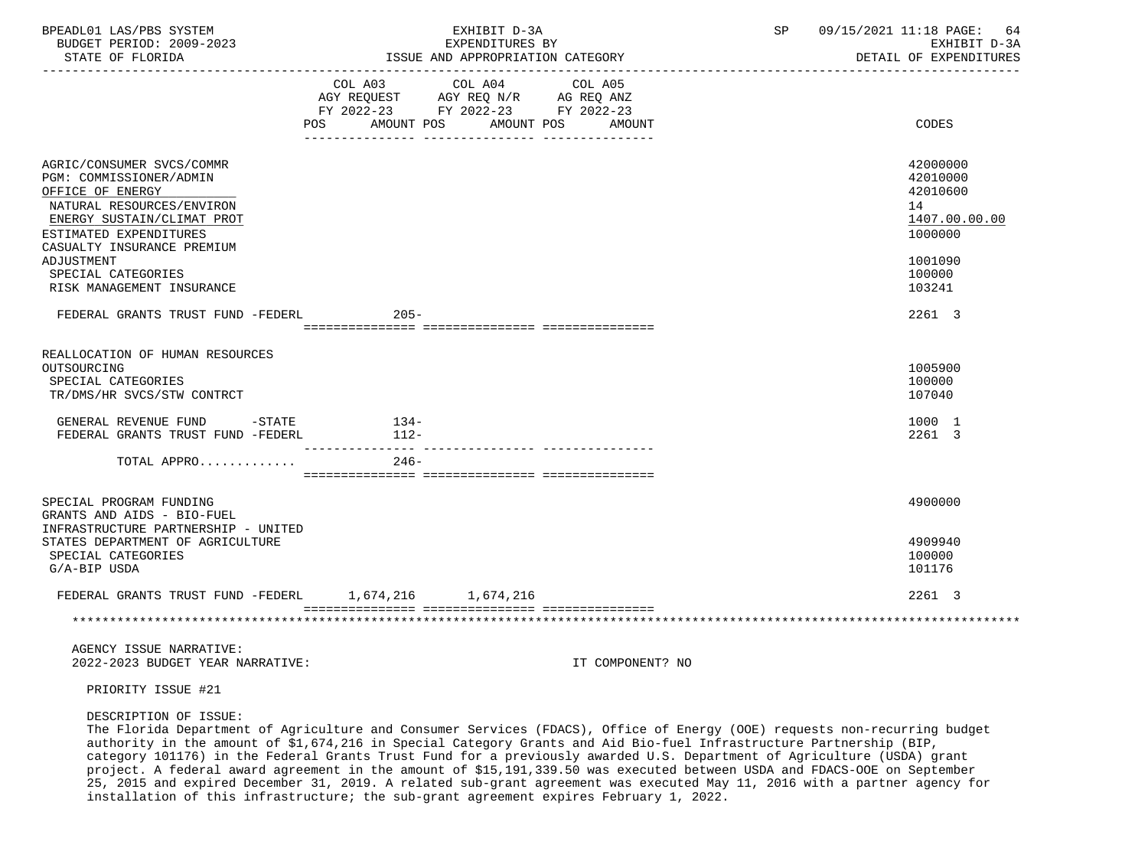| BPEADL01 LAS/PBS SYSTEM |                          |
|-------------------------|--------------------------|
|                         | BUDGET PERIOD: 2009-2023 |

STATE OF FLORIDA **ISSUE AND APPROPRIATION CATEGORY Intervention of the STATE OF EXPENDITURES** 

| COL A03 COL A04 COL A05<br>AGY REQUEST AGY REQ N/R AG REQ ANZ<br>FY 2022-23 FY 2022-23 FY 2022-23<br>POS AMOUNT POS<br><b>CODES</b><br>AMOUNT POS<br>AMOUNT<br>42000000<br>AGRIC/CONSUMER SVCS/COMMR<br>42010000<br>PGM: COMMISSIONER/ADMIN<br>42010600<br>OFFICE OF ENERGY<br>14<br>NATURAL RESOURCES/ENVIRON<br>1407.00.00.00<br>ENERGY SUSTAIN/CLIMAT PROT<br>ESTIMATED EXPENDITURES<br>1000000<br>CASUALTY INSURANCE PREMIUM<br>ADJUSTMENT<br>1001090<br>SPECIAL CATEGORIES<br>100000<br>RISK MANAGEMENT INSURANCE<br>103241<br>$205 -$<br>2261 3<br>FEDERAL GRANTS TRUST FUND -FEDERL<br>REALLOCATION OF HUMAN RESOURCES<br>1005900<br>OUTSOURCING<br>100000<br>SPECIAL CATEGORIES<br>TR/DMS/HR SVCS/STW CONTRCT<br>107040<br>GENERAL REVENUE FUND -STATE<br>$134-$<br>1000 1<br>FEDERAL GRANTS TRUST FUND -FEDERL<br>2261 3<br>112-<br>TOTAL APPRO<br>$246-$<br>4900000<br>SPECIAL PROGRAM FUNDING<br>GRANTS AND AIDS - BIO-FUEL<br>INFRASTRUCTURE PARTNERSHIP - UNITED<br>STATES DEPARTMENT OF AGRICULTURE<br>4909940<br>100000<br>SPECIAL CATEGORIES<br>G/A-BIP USDA<br>101176<br>FEDERAL GRANTS TRUST FUND -FEDERL<br>1,674,216 1,674,216<br>2261 3<br>AGENCY ISSUE NARRATIVE: |  |  |  |
|-----------------------------------------------------------------------------------------------------------------------------------------------------------------------------------------------------------------------------------------------------------------------------------------------------------------------------------------------------------------------------------------------------------------------------------------------------------------------------------------------------------------------------------------------------------------------------------------------------------------------------------------------------------------------------------------------------------------------------------------------------------------------------------------------------------------------------------------------------------------------------------------------------------------------------------------------------------------------------------------------------------------------------------------------------------------------------------------------------------------------------------------------------------------------------------------|--|--|--|
|                                                                                                                                                                                                                                                                                                                                                                                                                                                                                                                                                                                                                                                                                                                                                                                                                                                                                                                                                                                                                                                                                                                                                                                         |  |  |  |
|                                                                                                                                                                                                                                                                                                                                                                                                                                                                                                                                                                                                                                                                                                                                                                                                                                                                                                                                                                                                                                                                                                                                                                                         |  |  |  |
|                                                                                                                                                                                                                                                                                                                                                                                                                                                                                                                                                                                                                                                                                                                                                                                                                                                                                                                                                                                                                                                                                                                                                                                         |  |  |  |
|                                                                                                                                                                                                                                                                                                                                                                                                                                                                                                                                                                                                                                                                                                                                                                                                                                                                                                                                                                                                                                                                                                                                                                                         |  |  |  |
|                                                                                                                                                                                                                                                                                                                                                                                                                                                                                                                                                                                                                                                                                                                                                                                                                                                                                                                                                                                                                                                                                                                                                                                         |  |  |  |
|                                                                                                                                                                                                                                                                                                                                                                                                                                                                                                                                                                                                                                                                                                                                                                                                                                                                                                                                                                                                                                                                                                                                                                                         |  |  |  |
|                                                                                                                                                                                                                                                                                                                                                                                                                                                                                                                                                                                                                                                                                                                                                                                                                                                                                                                                                                                                                                                                                                                                                                                         |  |  |  |
|                                                                                                                                                                                                                                                                                                                                                                                                                                                                                                                                                                                                                                                                                                                                                                                                                                                                                                                                                                                                                                                                                                                                                                                         |  |  |  |
|                                                                                                                                                                                                                                                                                                                                                                                                                                                                                                                                                                                                                                                                                                                                                                                                                                                                                                                                                                                                                                                                                                                                                                                         |  |  |  |
|                                                                                                                                                                                                                                                                                                                                                                                                                                                                                                                                                                                                                                                                                                                                                                                                                                                                                                                                                                                                                                                                                                                                                                                         |  |  |  |
|                                                                                                                                                                                                                                                                                                                                                                                                                                                                                                                                                                                                                                                                                                                                                                                                                                                                                                                                                                                                                                                                                                                                                                                         |  |  |  |
|                                                                                                                                                                                                                                                                                                                                                                                                                                                                                                                                                                                                                                                                                                                                                                                                                                                                                                                                                                                                                                                                                                                                                                                         |  |  |  |
|                                                                                                                                                                                                                                                                                                                                                                                                                                                                                                                                                                                                                                                                                                                                                                                                                                                                                                                                                                                                                                                                                                                                                                                         |  |  |  |
|                                                                                                                                                                                                                                                                                                                                                                                                                                                                                                                                                                                                                                                                                                                                                                                                                                                                                                                                                                                                                                                                                                                                                                                         |  |  |  |
|                                                                                                                                                                                                                                                                                                                                                                                                                                                                                                                                                                                                                                                                                                                                                                                                                                                                                                                                                                                                                                                                                                                                                                                         |  |  |  |
|                                                                                                                                                                                                                                                                                                                                                                                                                                                                                                                                                                                                                                                                                                                                                                                                                                                                                                                                                                                                                                                                                                                                                                                         |  |  |  |
|                                                                                                                                                                                                                                                                                                                                                                                                                                                                                                                                                                                                                                                                                                                                                                                                                                                                                                                                                                                                                                                                                                                                                                                         |  |  |  |
|                                                                                                                                                                                                                                                                                                                                                                                                                                                                                                                                                                                                                                                                                                                                                                                                                                                                                                                                                                                                                                                                                                                                                                                         |  |  |  |
|                                                                                                                                                                                                                                                                                                                                                                                                                                                                                                                                                                                                                                                                                                                                                                                                                                                                                                                                                                                                                                                                                                                                                                                         |  |  |  |
|                                                                                                                                                                                                                                                                                                                                                                                                                                                                                                                                                                                                                                                                                                                                                                                                                                                                                                                                                                                                                                                                                                                                                                                         |  |  |  |
|                                                                                                                                                                                                                                                                                                                                                                                                                                                                                                                                                                                                                                                                                                                                                                                                                                                                                                                                                                                                                                                                                                                                                                                         |  |  |  |

2022-2023 BUDGET YEAR NARRATIVE: IT COMPONENT? NO

PRIORITY ISSUE #21

#### DESCRIPTION OF ISSUE:

 The Florida Department of Agriculture and Consumer Services (FDACS), Office of Energy (OOE) requests non-recurring budget authority in the amount of \$1,674,216 in Special Category Grants and Aid Bio-fuel Infrastructure Partnership (BIP, category 101176) in the Federal Grants Trust Fund for a previously awarded U.S. Department of Agriculture (USDA) grant project. A federal award agreement in the amount of \$15,191,339.50 was executed between USDA and FDACS-OOE on September 25, 2015 and expired December 31, 2019. A related sub-grant agreement was executed May 11, 2016 with a partner agency for installation of this infrastructure; the sub-grant agreement expires February 1, 2022.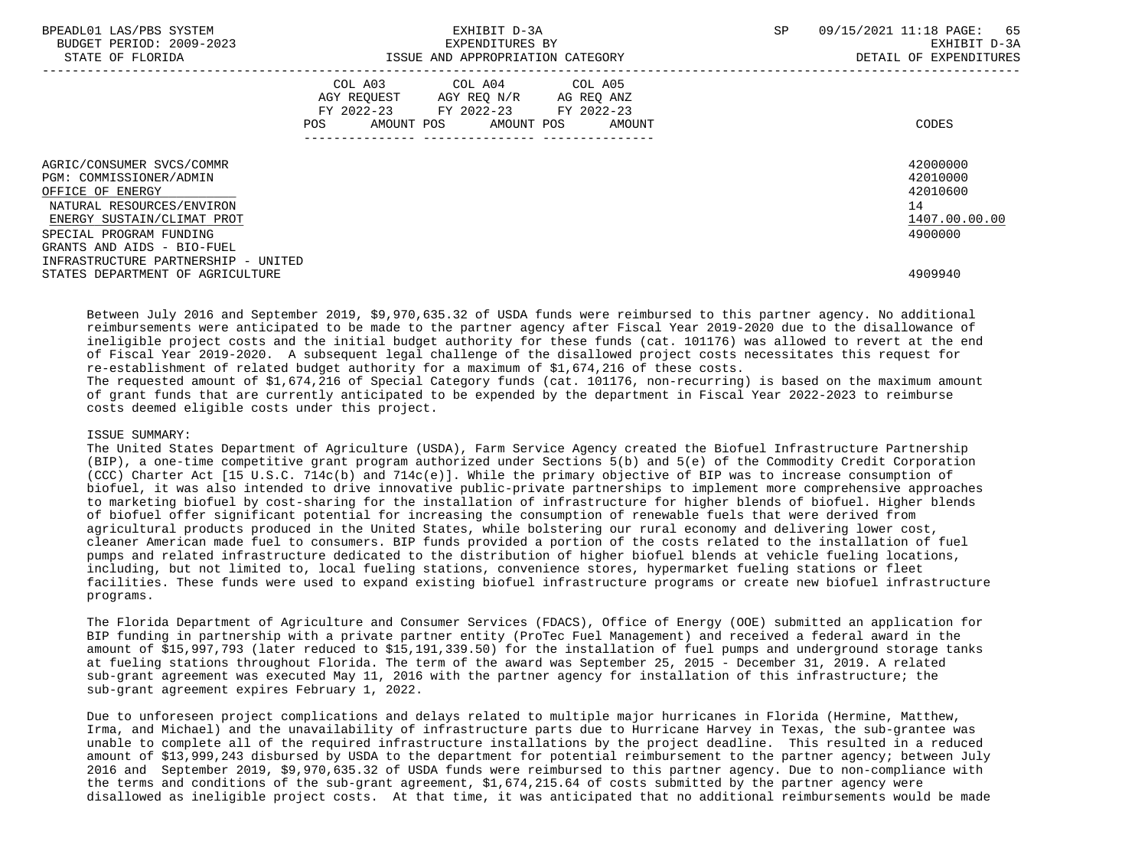| BPEADL01 LAS/PBS SYSTEM<br>BUDGET PERIOD: 2009-2023<br>STATE OF FLORIDA |                | EXHIBIT D-3A<br>EXPENDITURES BY<br>ISSUE AND APPROPRIATION CATEGORY                       | SP                           | 09/15/2021 11:18 PAGE: 65<br>EXHIBIT D-3A<br>DETAIL OF EXPENDITURES |                      |
|-------------------------------------------------------------------------|----------------|-------------------------------------------------------------------------------------------|------------------------------|---------------------------------------------------------------------|----------------------|
|                                                                         | COL A03<br>POS | COL A04 COL A05<br>AGY REQUEST AGY REO N/R AG REO ANZ<br>FY 2022-23 FY 2022-23 FY 2022-23 | AMOUNT POS AMOUNT POS AMOUNT |                                                                     | CODES                |
| AGRIC/CONSUMER SVCS/COMMR<br>PGM: COMMISSIONER/ADMIN                    |                |                                                                                           |                              |                                                                     | 42000000<br>42010000 |
| OFFICE OF ENERGY                                                        |                |                                                                                           |                              |                                                                     | 42010600             |
| NATURAL RESOURCES/ENVIRON                                               |                |                                                                                           |                              |                                                                     | 14                   |
| ENERGY SUSTAIN/CLIMAT PROT                                              |                |                                                                                           |                              |                                                                     | 1407.00.00.00        |
| SPECIAL PROGRAM FUNDING                                                 |                |                                                                                           |                              |                                                                     | 4900000              |
| GRANTS AND AIDS - BIO-FUEL                                              |                |                                                                                           |                              |                                                                     |                      |
| INFRASTRUCTURE PARTNERSHIP - UNITED                                     |                |                                                                                           |                              |                                                                     |                      |
| STATES DEPARTMENT OF AGRICULTURE                                        |                |                                                                                           |                              |                                                                     | 4909940              |

 Between July 2016 and September 2019, \$9,970,635.32 of USDA funds were reimbursed to this partner agency. No additional reimbursements were anticipated to be made to the partner agency after Fiscal Year 2019-2020 due to the disallowance of ineligible project costs and the initial budget authority for these funds (cat. 101176) was allowed to revert at the end of Fiscal Year 2019-2020. A subsequent legal challenge of the disallowed project costs necessitates this request for re-establishment of related budget authority for a maximum of \$1,674,216 of these costs.

 The requested amount of \$1,674,216 of Special Category funds (cat. 101176, non-recurring) is based on the maximum amount of grant funds that are currently anticipated to be expended by the department in Fiscal Year 2022-2023 to reimburse costs deemed eligible costs under this project.

# ISSUE SUMMARY:

 The United States Department of Agriculture (USDA), Farm Service Agency created the Biofuel Infrastructure Partnership (BIP), a one-time competitive grant program authorized under Sections 5(b) and 5(e) of the Commodity Credit Corporation (CCC) Charter Act [15 U.S.C. 714c(b) and 714c(e)]. While the primary objective of BIP was to increase consumption of biofuel, it was also intended to drive innovative public-private partnerships to implement more comprehensive approaches to marketing biofuel by cost-sharing for the installation of infrastructure for higher blends of biofuel. Higher blends of biofuel offer significant potential for increasing the consumption of renewable fuels that were derived from agricultural products produced in the United States, while bolstering our rural economy and delivering lower cost, cleaner American made fuel to consumers. BIP funds provided a portion of the costs related to the installation of fuel pumps and related infrastructure dedicated to the distribution of higher biofuel blends at vehicle fueling locations, including, but not limited to, local fueling stations, convenience stores, hypermarket fueling stations or fleet facilities. These funds were used to expand existing biofuel infrastructure programs or create new biofuel infrastructure programs.

 The Florida Department of Agriculture and Consumer Services (FDACS), Office of Energy (OOE) submitted an application for BIP funding in partnership with a private partner entity (ProTec Fuel Management) and received a federal award in the amount of \$15,997,793 (later reduced to \$15,191,339.50) for the installation of fuel pumps and underground storage tanks at fueling stations throughout Florida. The term of the award was September 25, 2015 - December 31, 2019. A related sub-grant agreement was executed May 11, 2016 with the partner agency for installation of this infrastructure; the sub-grant agreement expires February 1, 2022.

 Due to unforeseen project complications and delays related to multiple major hurricanes in Florida (Hermine, Matthew, Irma, and Michael) and the unavailability of infrastructure parts due to Hurricane Harvey in Texas, the sub-grantee was unable to complete all of the required infrastructure installations by the project deadline. This resulted in a reduced amount of \$13,999,243 disbursed by USDA to the department for potential reimbursement to the partner agency; between July 2016 and September 2019, \$9,970,635.32 of USDA funds were reimbursed to this partner agency. Due to non-compliance with the terms and conditions of the sub-grant agreement, \$1,674,215.64 of costs submitted by the partner agency were disallowed as ineligible project costs. At that time, it was anticipated that no additional reimbursements would be made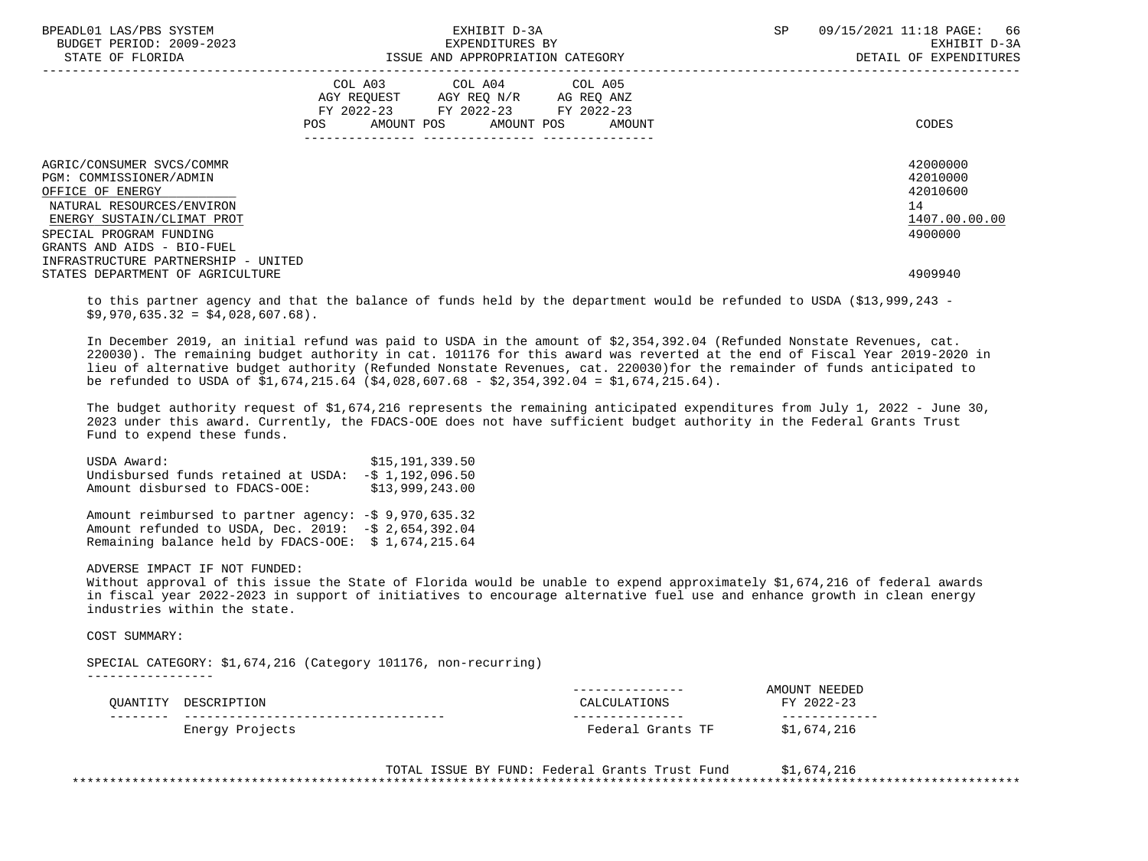| BPEADL01 LAS/PBS SYSTEM<br>BUDGET PERIOD: 2009-2023<br>STATE OF FLORIDA                                                                                                                      |                   | EXHIBIT D-3A<br>EXPENDITURES BY<br>ISSUE AND APPROPRIATION CATEGORY                                                    | <b>SP</b> | 09/15/2021 11:18 PAGE: 66<br>EXHIBIT D-3A<br>DETAIL OF EXPENDITURES |
|----------------------------------------------------------------------------------------------------------------------------------------------------------------------------------------------|-------------------|------------------------------------------------------------------------------------------------------------------------|-----------|---------------------------------------------------------------------|
|                                                                                                                                                                                              | POS<br>AMOUNT POS | COL A03 COL A04 COL A05<br>AGY REQUEST AGY REQ N/R AG REQ ANZ<br>FY 2022-23 FY 2022-23 FY 2022-23<br>AMOUNT POS AMOUNT |           | CODES                                                               |
| AGRIC/CONSUMER SVCS/COMMR<br>PGM: COMMISSIONER/ADMIN<br>OFFICE OF ENERGY<br>NATURAL RESOURCES/ENVIRON<br>ENERGY SUSTAIN/CLIMAT PROT<br>SPECIAL PROGRAM FUNDING<br>GRANTS AND AIDS - BIO-FUEL |                   |                                                                                                                        |           | 42000000<br>42010000<br>42010600<br>14<br>1407.00.00.00<br>4900000  |
| INFRASTRUCTURE PARTNERSHIP - UNITED<br>STATES DEPARTMENT OF AGRICULTURE                                                                                                                      |                   |                                                                                                                        |           | 4909940                                                             |

 to this partner agency and that the balance of funds held by the department would be refunded to USDA (\$13,999,243 -  $$9,970,635.32 = $4,028,607.68$ .

 In December 2019, an initial refund was paid to USDA in the amount of \$2,354,392.04 (Refunded Nonstate Revenues, cat. 220030). The remaining budget authority in cat. 101176 for this award was reverted at the end of Fiscal Year 2019-2020 in lieu of alternative budget authority (Refunded Nonstate Revenues, cat. 220030)for the remainder of funds anticipated to be refunded to USDA of \$1,674,215.64 (\$4,028,607.68 - \$2,354,392.04 = \$1,674,215.64).

 The budget authority request of \$1,674,216 represents the remaining anticipated expenditures from July 1, 2022 - June 30, 2023 under this award. Currently, the FDACS-OOE does not have sufficient budget authority in the Federal Grants Trust Fund to expend these funds.

USDA Award:  $$15,191,339.50$ Undisbursed funds retained at USDA:  $-5$  1, 192, 096.50<br>Amount disbursed to FDACS-OOE:  $513.999.243.00$ Amount disbursed to FDACS-OOE:

 Amount reimbursed to partner agency: -\$ 9,970,635.32 Amount refunded to USDA, Dec. 2019: -\$ 2,654,392.04 Remaining balance held by FDACS-OOE: \$ 1,674,215.64

### ADVERSE IMPACT IF NOT FUNDED:

 Without approval of this issue the State of Florida would be unable to expend approximately \$1,674,216 of federal awards in fiscal year 2022-2023 in support of initiatives to encourage alternative fuel use and enhance growth in clean energy industries within the state.

COST SUMMARY:

 SPECIAL CATEGORY: \$1,674,216 (Category 101176, non-recurring) -----------------

|          |                 |                   | AMOUNT NEEDED |
|----------|-----------------|-------------------|---------------|
| OUANTITY | DESCRIPTION     | CALCULATIONS      | FY 2022-23    |
| -------- |                 | _______________   |               |
|          | Energy Projects | Federal Grants TF | \$1,674,216   |

 TOTAL ISSUE BY FUND: Federal Grants Trust Fund \$1,674,216 \*\*\*\*\*\*\*\*\*\*\*\*\*\*\*\*\*\*\*\*\*\*\*\*\*\*\*\*\*\*\*\*\*\*\*\*\*\*\*\*\*\*\*\*\*\*\*\*\*\*\*\*\*\*\*\*\*\*\*\*\*\*\*\*\*\*\*\*\*\*\*\*\*\*\*\*\*\*\*\*\*\*\*\*\*\*\*\*\*\*\*\*\*\*\*\*\*\*\*\*\*\*\*\*\*\*\*\*\*\*\*\*\*\*\*\*\*\*\*\*\*\*\*\*\*\*\*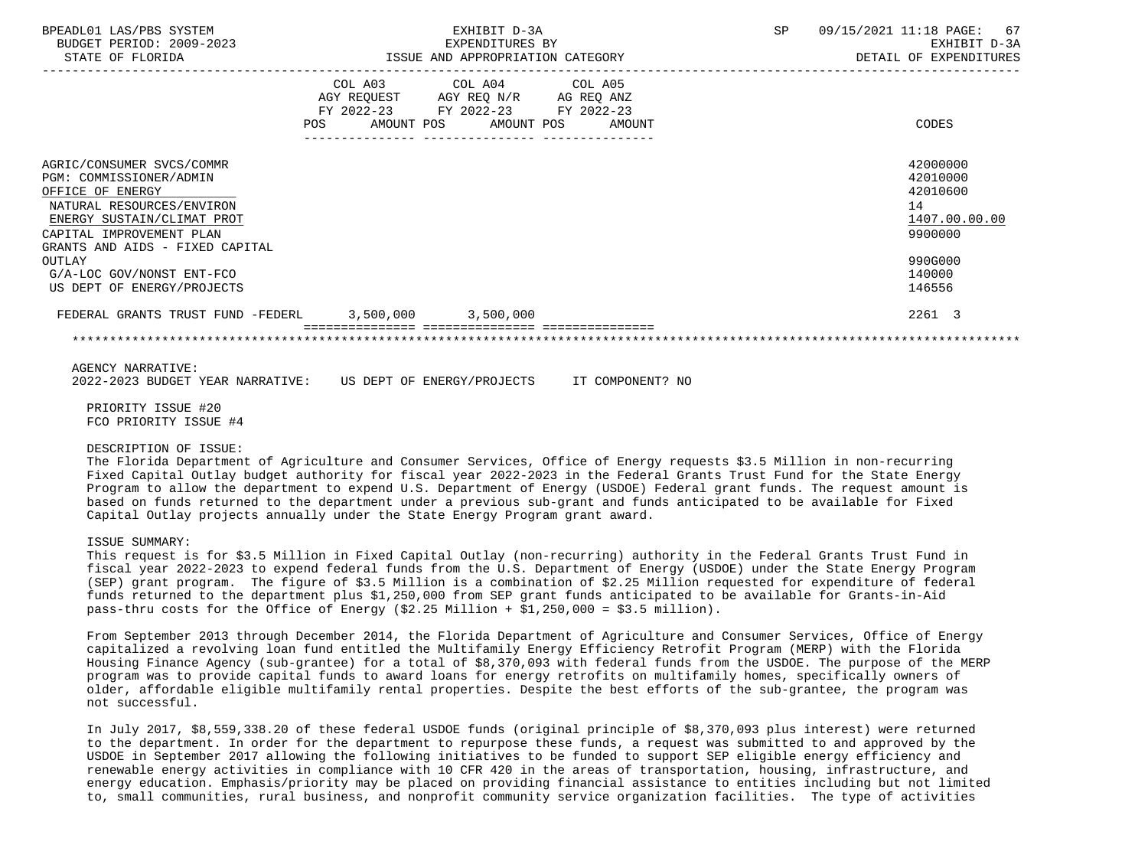| EXHIBIT D-3A<br>BPEADL01 LAS/PBS SYSTEM<br>BUDGET PERIOD: 2009-2023<br>EXPENDITURES BY                                                                                                             |            |                                                                                                                                   | 67<br>SP<br>09/15/2021 11:18 PAGE:<br>EXHIBIT D-3A                 |
|----------------------------------------------------------------------------------------------------------------------------------------------------------------------------------------------------|------------|-----------------------------------------------------------------------------------------------------------------------------------|--------------------------------------------------------------------|
| STATE OF FLORIDA                                                                                                                                                                                   |            | ISSUE AND APPROPRIATION CATEGORY                                                                                                  | DETAIL OF EXPENDITURES                                             |
|                                                                                                                                                                                                    | <b>POS</b> | COL A03 COL A04 COL A05<br>AGY REQUEST AGY REQ N/R AG REQ ANZ<br>FY 2022-23 FY 2022-23 FY 2022-23<br>AMOUNT POS AMOUNT POS AMOUNT | CODES                                                              |
| AGRIC/CONSUMER SVCS/COMMR<br>PGM: COMMISSIONER/ADMIN<br>OFFICE OF ENERGY<br>NATURAL RESOURCES/ENVIRON<br>ENERGY SUSTAIN/CLIMAT PROT<br>CAPITAL IMPROVEMENT PLAN<br>GRANTS AND AIDS - FIXED CAPITAL |            |                                                                                                                                   | 42000000<br>42010000<br>42010600<br>14<br>1407.00.00.00<br>9900000 |
| OUTLAY<br>G/A-LOC GOV/NONST ENT-FCO<br>US DEPT OF ENERGY/PROJECTS                                                                                                                                  |            |                                                                                                                                   | 990G000<br>140000<br>146556                                        |
| FEDERAL GRANTS TRUST FUND -FEDERL 3,500,000 3,500,000                                                                                                                                              |            |                                                                                                                                   | 2261 3                                                             |
|                                                                                                                                                                                                    |            |                                                                                                                                   |                                                                    |

AGENCY NARRATIVE:

2022-2023 BUDGET YEAR NARRATIVE: US DEPT OF ENERGY/PROJECTS IT COMPONENT? NO

 PRIORITY ISSUE #20 FCO PRIORITY ISSUE #4

### DESCRIPTION OF ISSUE:

 The Florida Department of Agriculture and Consumer Services, Office of Energy requests \$3.5 Million in non-recurring Fixed Capital Outlay budget authority for fiscal year 2022-2023 in the Federal Grants Trust Fund for the State Energy Program to allow the department to expend U.S. Department of Energy (USDOE) Federal grant funds. The request amount is based on funds returned to the department under a previous sub-grant and funds anticipated to be available for Fixed Capital Outlay projects annually under the State Energy Program grant award.

### ISSUE SUMMARY:

 This request is for \$3.5 Million in Fixed Capital Outlay (non-recurring) authority in the Federal Grants Trust Fund in fiscal year 2022-2023 to expend federal funds from the U.S. Department of Energy (USDOE) under the State Energy Program (SEP) grant program. The figure of \$3.5 Million is a combination of \$2.25 Million requested for expenditure of federal funds returned to the department plus \$1,250,000 from SEP grant funds anticipated to be available for Grants-in-Aid pass-thru costs for the Office of Energy  $(52.25 \text{ million} + 51.250.000 = 53.5 \text{ million}).$ 

 From September 2013 through December 2014, the Florida Department of Agriculture and Consumer Services, Office of Energy capitalized a revolving loan fund entitled the Multifamily Energy Efficiency Retrofit Program (MERP) with the Florida Housing Finance Agency (sub-grantee) for a total of \$8,370,093 with federal funds from the USDOE. The purpose of the MERP program was to provide capital funds to award loans for energy retrofits on multifamily homes, specifically owners of older, affordable eligible multifamily rental properties. Despite the best efforts of the sub-grantee, the program was not successful.

 In July 2017, \$8,559,338.20 of these federal USDOE funds (original principle of \$8,370,093 plus interest) were returned to the department. In order for the department to repurpose these funds, a request was submitted to and approved by the USDOE in September 2017 allowing the following initiatives to be funded to support SEP eligible energy efficiency and renewable energy activities in compliance with 10 CFR 420 in the areas of transportation, housing, infrastructure, and energy education. Emphasis/priority may be placed on providing financial assistance to entities including but not limited to, small communities, rural business, and nonprofit community service organization facilities. The type of activities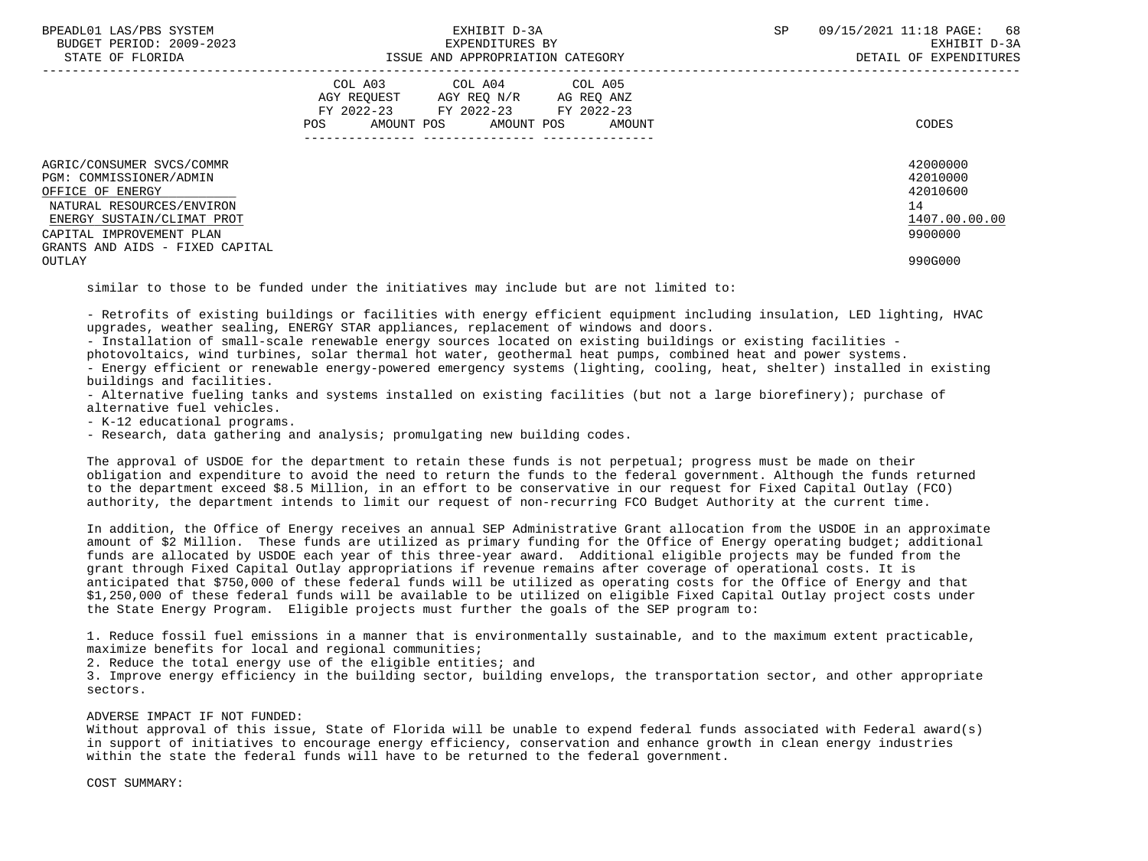| BPEADL01 LAS/PBS SYSTEM |                  |                          |
|-------------------------|------------------|--------------------------|
|                         |                  | BUDGET PERIOD: 2009-2023 |
|                         | CEARE OR RIODIDA |                          |

| COL A05<br>COL A04<br>AGY REQ N/R<br>AG REQ ANZ<br>FY 2022-23<br>FY 2022-23<br>AMOUNT POS<br>CODES<br>AMOUNT |         |
|--------------------------------------------------------------------------------------------------------------|---------|
|                                                                                                              |         |
| 42000000<br>42010000<br>42010600<br>14<br>1407.00.00.00<br>9900000                                           |         |
|                                                                                                              | 990G000 |

similar to those to be funded under the initiatives may include but are not limited to:

 - Retrofits of existing buildings or facilities with energy efficient equipment including insulation, LED lighting, HVAC upgrades, weather sealing, ENERGY STAR appliances, replacement of windows and doors.

- Installation of small-scale renewable energy sources located on existing buildings or existing facilities -

photovoltaics, wind turbines, solar thermal hot water, geothermal heat pumps, combined heat and power systems.

 - Energy efficient or renewable energy-powered emergency systems (lighting, cooling, heat, shelter) installed in existing buildings and facilities.

 - Alternative fueling tanks and systems installed on existing facilities (but not a large biorefinery); purchase of alternative fuel vehicles.

- K-12 educational programs.

- Research, data gathering and analysis; promulgating new building codes.

 The approval of USDOE for the department to retain these funds is not perpetual; progress must be made on their obligation and expenditure to avoid the need to return the funds to the federal government. Although the funds returned to the department exceed \$8.5 Million, in an effort to be conservative in our request for Fixed Capital Outlay (FCO) authority, the department intends to limit our request of non-recurring FCO Budget Authority at the current time.

 In addition, the Office of Energy receives an annual SEP Administrative Grant allocation from the USDOE in an approximate amount of \$2 Million. These funds are utilized as primary funding for the Office of Energy operating budget; additional funds are allocated by USDOE each year of this three-year award. Additional eligible projects may be funded from the grant through Fixed Capital Outlay appropriations if revenue remains after coverage of operational costs. It is anticipated that \$750,000 of these federal funds will be utilized as operating costs for the Office of Energy and that \$1,250,000 of these federal funds will be available to be utilized on eligible Fixed Capital Outlay project costs under the State Energy Program. Eligible projects must further the goals of the SEP program to:

 1. Reduce fossil fuel emissions in a manner that is environmentally sustainable, and to the maximum extent practicable, maximize benefits for local and regional communities;

2. Reduce the total energy use of the eligible entities; and

 3. Improve energy efficiency in the building sector, building envelops, the transportation sector, and other appropriate sectors.

# ADVERSE IMPACT IF NOT FUNDED:

 Without approval of this issue, State of Florida will be unable to expend federal funds associated with Federal award(s) in support of initiatives to encourage energy efficiency, conservation and enhance growth in clean energy industries within the state the federal funds will have to be returned to the federal government.

COST SUMMARY: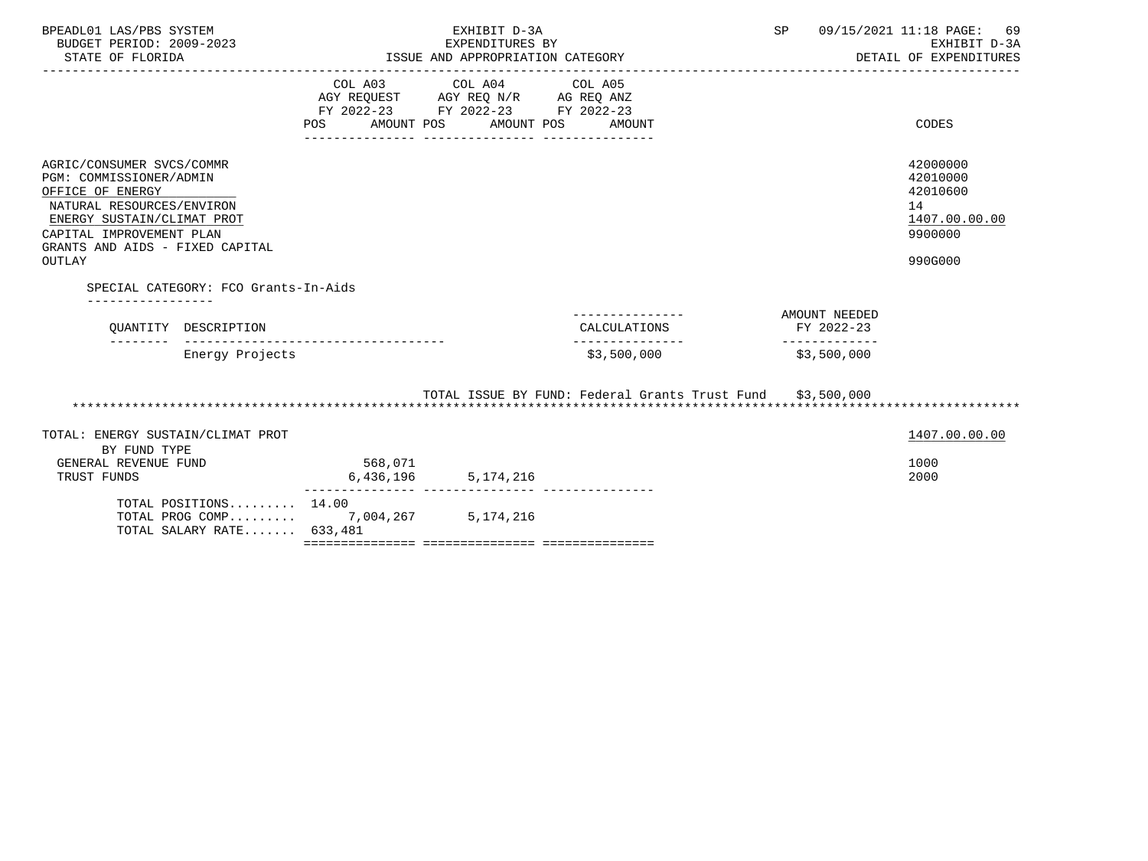| BPEADL01 LAS/PBS SYSTEM<br>BUDGET PERIOD: 2009-2023<br>STATE OF FLORIDA                                                                                                                                                                                                   |            | EXHIBIT D-3A<br>EXPENDITURES BY<br>EXPENDITURES BY<br>ISSUE AND APPROPRIATION CATEGORY                                        | SP           | 09/15/2021 11:18 PAGE:<br>69<br>EXHIBIT D-3A<br>DETAIL OF EXPENDITURES |                                                                               |
|---------------------------------------------------------------------------------------------------------------------------------------------------------------------------------------------------------------------------------------------------------------------------|------------|-------------------------------------------------------------------------------------------------------------------------------|--------------|------------------------------------------------------------------------|-------------------------------------------------------------------------------|
|                                                                                                                                                                                                                                                                           | <b>POS</b> | COL A03 COL A04 COL A05<br>AGY REQUEST AGY REQ N/R AG REQ ANZ<br>FY 2022-23 FY 2022-23 FY 2022-23<br>AMOUNT POS<br>AMOUNT POS | AMOUNT       |                                                                        | CODES                                                                         |
| AGRIC/CONSUMER SVCS/COMMR<br>PGM: COMMISSIONER/ADMIN<br>OFFICE OF ENERGY<br>NATURAL RESOURCES/ENVIRON<br>ENERGY SUSTAIN/CLIMAT PROT<br>CAPITAL IMPROVEMENT PLAN<br>GRANTS AND AIDS - FIXED CAPITAL<br>OUTLAY<br>SPECIAL CATEGORY: FCO Grants-In-Aids<br>----------------- |            |                                                                                                                               |              |                                                                        | 42000000<br>42010000<br>42010600<br>14<br>1407.00.00.00<br>9900000<br>990G000 |
| OUANTITY DESCRIPTION                                                                                                                                                                                                                                                      |            |                                                                                                                               | CALCULATIONS | AMOUNT NEEDED<br>FY 2022-23                                            |                                                                               |
| Energy Projects                                                                                                                                                                                                                                                           |            |                                                                                                                               | \$3,500,000  | -------------<br>\$3,500,000                                           |                                                                               |
|                                                                                                                                                                                                                                                                           |            |                                                                                                                               |              | TOTAL ISSUE BY FUND: Federal Grants Trust Fund \$3,500,000             |                                                                               |
| TOTAL: ENERGY SUSTAIN/CLIMAT PROT<br>BY FUND TYPE<br>GENERAL REVENUE FUND<br>TRUST FUNDS                                                                                                                                                                                  | 568,071    | 6, 436, 196 5, 174, 216                                                                                                       |              |                                                                        | 1407.00.00.00<br>1000<br>2000                                                 |
| TOTAL POSITIONS 14.00<br>TOTAL PROG COMP 7,004,267 5,174,216<br>TOTAL SALARY RATE 633,481                                                                                                                                                                                 |            |                                                                                                                               |              |                                                                        |                                                                               |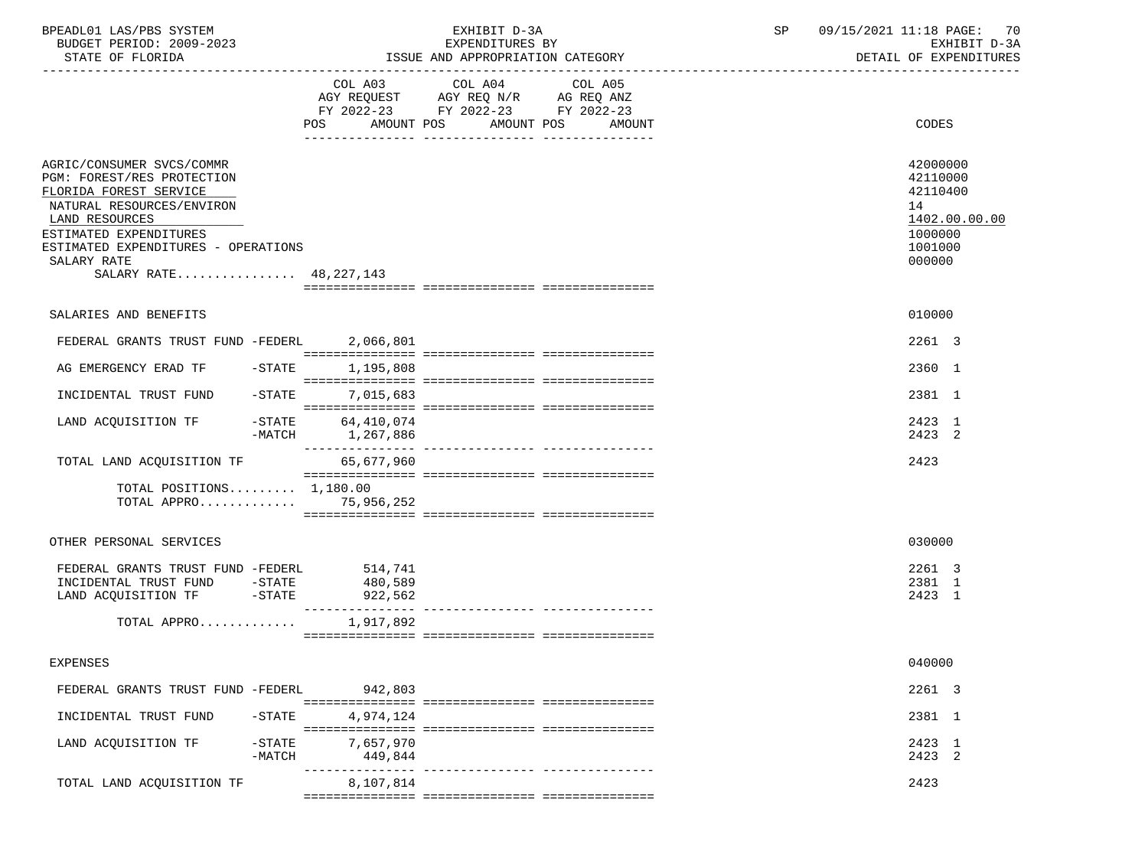| BPEADL01 LAS/PBS SYSTEM  | EXHIBIT D-3A                     | 09/15/2021 11:18 PAGE: 7<br>70 |
|--------------------------|----------------------------------|--------------------------------|
| BUDGET PERIOD: 2009-2023 | EXPENDITURES BY                  | EXHIBIT D-3A                   |
| STATE OF FLORIDA         | ISSUE AND APPROPRIATION CATEGORY | DETAIL OF EXPENDITURES         |

|                                                                                                                                                                                                                                              | AGY REQUEST AGY REQ N/R AG REQ ANZ<br>FY 2022-23 FY 2022-23 FY 2022-23<br>POS AMOUNT POS | COL A03 COL A04 COL A05 | AMOUNT POS<br>AMOUNT           | CODES                                                                                   |
|----------------------------------------------------------------------------------------------------------------------------------------------------------------------------------------------------------------------------------------------|------------------------------------------------------------------------------------------|-------------------------|--------------------------------|-----------------------------------------------------------------------------------------|
| AGRIC/CONSUMER SVCS/COMMR<br>PGM: FOREST/RES PROTECTION<br>FLORIDA FOREST SERVICE<br>NATURAL RESOURCES/ENVIRON<br>LAND RESOURCES<br>ESTIMATED EXPENDITURES<br>ESTIMATED EXPENDITURES - OPERATIONS<br>SALARY RATE<br>SALARY RATE 48, 227, 143 |                                                                                          |                         |                                | 42000000<br>42110000<br>42110400<br>14<br>1402.00.00.00<br>1000000<br>1001000<br>000000 |
| SALARIES AND BENEFITS                                                                                                                                                                                                                        |                                                                                          |                         |                                | 010000                                                                                  |
| FEDERAL GRANTS TRUST FUND -FEDERL                                                                                                                                                                                                            | 2,066,801                                                                                |                         |                                | 2261 3                                                                                  |
| AG EMERGENCY ERAD TF<br>$-$ STATE                                                                                                                                                                                                            | 1,195,808                                                                                |                         |                                | 2360 1                                                                                  |
| INCIDENTAL TRUST FUND<br>$-$ STATE                                                                                                                                                                                                           | 7,015,683                                                                                |                         |                                | 2381 1                                                                                  |
| LAND ACQUISITION TF<br>$-$ STATE<br>$-MATCH$                                                                                                                                                                                                 | 64,410,074<br>1,267,886                                                                  |                         |                                | 2423 1<br>2423 2                                                                        |
| TOTAL LAND ACQUISITION TF                                                                                                                                                                                                                    | 65,677,960                                                                               |                         |                                | 2423                                                                                    |
| TOTAL POSITIONS $1,180.00$<br>TOTAL APPRO 75,956,252                                                                                                                                                                                         |                                                                                          |                         |                                |                                                                                         |
| OTHER PERSONAL SERVICES                                                                                                                                                                                                                      |                                                                                          |                         |                                | 030000                                                                                  |
| FEDERAL GRANTS TRUST FUND -FEDERL<br>INCIDENTAL TRUST FUND -STATE<br>LAND ACQUISITION TF -STATE 922,562                                                                                                                                      | 514,741<br>480,589                                                                       |                         |                                | 2261 3<br>2381 1<br>2423 1                                                              |
| TOTAL APPRO                                                                                                                                                                                                                                  | 1,917,892                                                                                |                         |                                |                                                                                         |
| <b>EXPENSES</b>                                                                                                                                                                                                                              |                                                                                          |                         |                                | 040000                                                                                  |
| FEDERAL GRANTS TRUST FUND -FEDERL                                                                                                                                                                                                            | 942,803                                                                                  |                         |                                | 2261 3                                                                                  |
| INCIDENTAL TRUST FUND<br>$-$ STATE                                                                                                                                                                                                           | 4,974,124                                                                                |                         |                                | 2381 1                                                                                  |
| LAND ACQUISITION TF<br>$-$ STATE<br>$-MATCH$                                                                                                                                                                                                 | 7.657.970<br>449,844                                                                     |                         |                                | 2423 1<br>2423 2                                                                        |
| TOTAL LAND ACQUISITION TF                                                                                                                                                                                                                    | 8,107,814                                                                                |                         | ------------- ---------------- | 2423                                                                                    |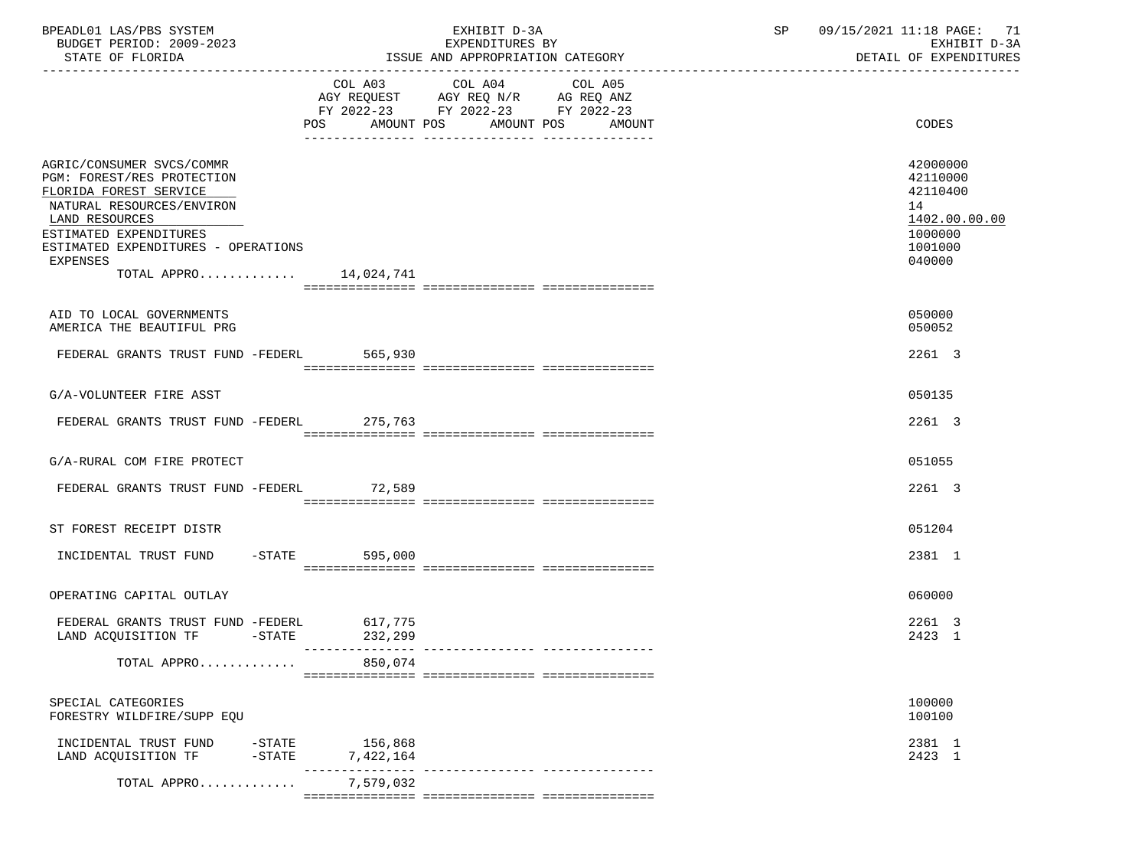| BPEADL01 LAS/PBS SYSTEM<br>BUDGET PERIOD: 2009-2023                                                                                                                                                                                     |                      | EXHIBIT D-3A<br>EXPENDITURES BY                                                                                                          | 09/15/2021 11:18 PAGE: 71<br>SP<br>EXHIBIT D-3A                                         |
|-----------------------------------------------------------------------------------------------------------------------------------------------------------------------------------------------------------------------------------------|----------------------|------------------------------------------------------------------------------------------------------------------------------------------|-----------------------------------------------------------------------------------------|
| STATE OF FLORIDA                                                                                                                                                                                                                        |                      | ISSUE AND APPROPRIATION CATEGORY                                                                                                         | DETAIL OF EXPENDITURES                                                                  |
|                                                                                                                                                                                                                                         |                      | COL A03 COL A04<br>COL A05<br>AGY REQUEST AGY REQ N/R AG REQ ANZ<br>FY 2022-23 FY 2022-23 FY 2022-23<br>POS AMOUNT POS AMOUNT POS AMOUNT | CODES                                                                                   |
|                                                                                                                                                                                                                                         |                      |                                                                                                                                          |                                                                                         |
| AGRIC/CONSUMER SVCS/COMMR<br>PGM: FOREST/RES PROTECTION<br>FLORIDA FOREST SERVICE<br>NATURAL RESOURCES/ENVIRON<br>LAND RESOURCES<br>ESTIMATED EXPENDITURES<br>ESTIMATED EXPENDITURES - OPERATIONS<br>EXPENSES<br>TOTAL APPRO 14,024,741 |                      |                                                                                                                                          | 42000000<br>42110000<br>42110400<br>14<br>1402.00.00.00<br>1000000<br>1001000<br>040000 |
|                                                                                                                                                                                                                                         |                      |                                                                                                                                          |                                                                                         |
| AID TO LOCAL GOVERNMENTS<br>AMERICA THE BEAUTIFUL PRG                                                                                                                                                                                   |                      |                                                                                                                                          | 050000<br>050052                                                                        |
| FEDERAL GRANTS TRUST FUND -FEDERL 565,930                                                                                                                                                                                               |                      |                                                                                                                                          | 2261 3                                                                                  |
| G/A-VOLUNTEER FIRE ASST                                                                                                                                                                                                                 |                      |                                                                                                                                          | 050135                                                                                  |
| FEDERAL GRANTS TRUST FUND -FEDERL 275,763                                                                                                                                                                                               |                      |                                                                                                                                          | 2261 3                                                                                  |
| G/A-RURAL COM FIRE PROTECT                                                                                                                                                                                                              |                      |                                                                                                                                          | 051055                                                                                  |
| FEDERAL GRANTS TRUST FUND -FEDERL 72,589                                                                                                                                                                                                |                      |                                                                                                                                          | 2261 3                                                                                  |
| ST FOREST RECEIPT DISTR                                                                                                                                                                                                                 |                      |                                                                                                                                          | 051204                                                                                  |
| INCIDENTAL TRUST FUND -STATE                                                                                                                                                                                                            | 595,000              |                                                                                                                                          | 2381 1                                                                                  |
| OPERATING CAPITAL OUTLAY                                                                                                                                                                                                                |                      |                                                                                                                                          | 060000                                                                                  |
| FEDERAL GRANTS TRUST FUND -FEDERL 617,775<br>LAND ACQUISITION TF -STATE 232,299                                                                                                                                                         |                      |                                                                                                                                          | 2261 3<br>2423 1                                                                        |
| TOTAL APPRO                                                                                                                                                                                                                             | 850,074              |                                                                                                                                          |                                                                                         |
| SPECIAL CATEGORIES<br>FORESTRY WILDFIRE/SUPP EQU                                                                                                                                                                                        |                      |                                                                                                                                          | 100000<br>100100                                                                        |
| INCIDENTAL TRUST FUND<br>-STATE<br>LAND ACQUISITION TF<br>$-$ STATE                                                                                                                                                                     | 156,868<br>7,422,164 |                                                                                                                                          | 2381 1<br>2423 1                                                                        |
| TOTAL APPRO                                                                                                                                                                                                                             | 7,579,032            |                                                                                                                                          |                                                                                         |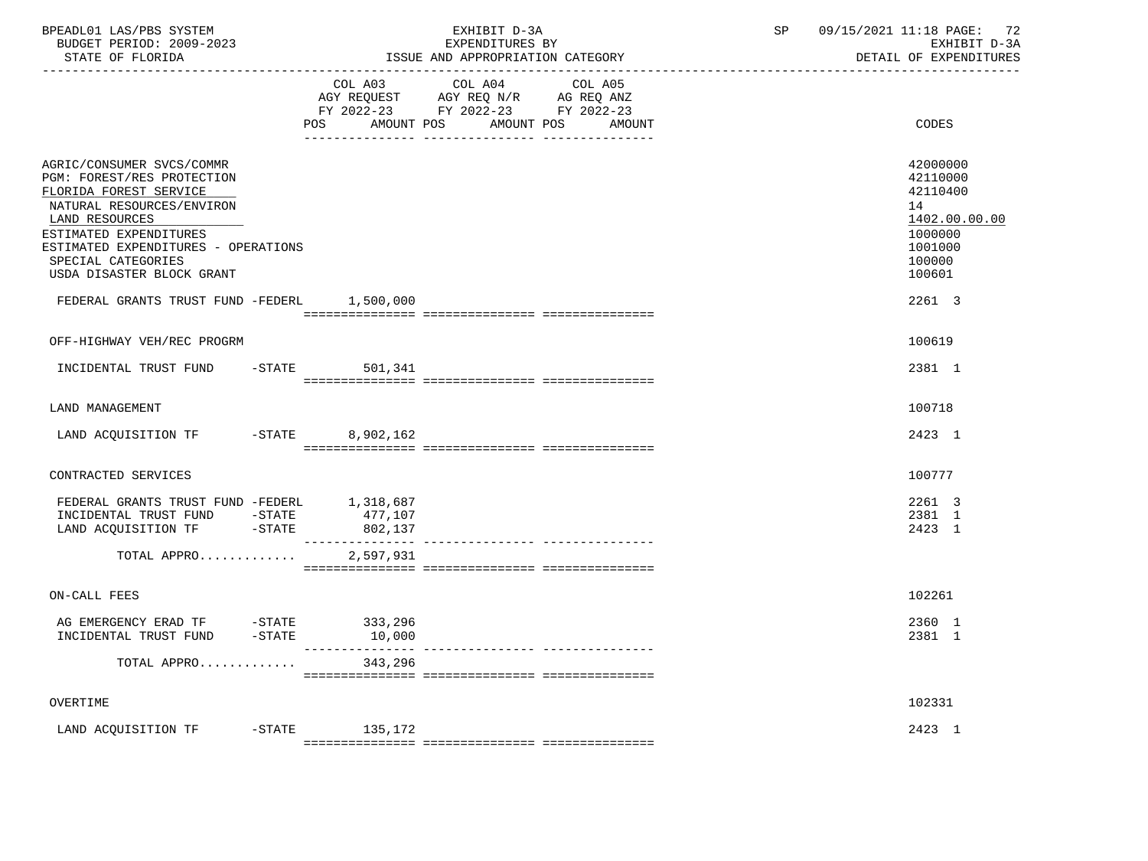| BPEADL01 LAS/PBS SYSTEM<br>BUDGET PERIOD: 2009-2023<br>STATE OF FLORIDA                                                                                                                                                                                                                             |                              | EXHIBIT D-3A<br>EXPENDITURES BY<br>ISSUE AND APPROPRIATION CATEGORY                                            |  | SP | 09/15/2021 11:18 PAGE: 72<br>EXHIBIT D-3A<br>DETAIL OF EXPENDITURES                                         |
|-----------------------------------------------------------------------------------------------------------------------------------------------------------------------------------------------------------------------------------------------------------------------------------------------------|------------------------------|----------------------------------------------------------------------------------------------------------------|--|----|-------------------------------------------------------------------------------------------------------------|
|                                                                                                                                                                                                                                                                                                     | COL A03<br>AMOUNT POS<br>POS | COL A04 COL A05<br>AGY REQUEST AGY REQ N/R AG REQ ANZ<br>FY 2022-23 FY 2022-23 FY 2022-23<br>AMOUNT POS AMOUNT |  |    | CODES                                                                                                       |
| AGRIC/CONSUMER SVCS/COMMR<br>PGM: FOREST/RES PROTECTION<br>FLORIDA FOREST SERVICE<br>NATURAL RESOURCES/ENVIRON<br>LAND RESOURCES<br>ESTIMATED EXPENDITURES<br>ESTIMATED EXPENDITURES - OPERATIONS<br>SPECIAL CATEGORIES<br>USDA DISASTER BLOCK GRANT<br>FEDERAL GRANTS TRUST FUND -FEDERL 1,500,000 |                              |                                                                                                                |  |    | 42000000<br>42110000<br>42110400<br>14<br>1402.00.00.00<br>1000000<br>1001000<br>100000<br>100601<br>2261 3 |
|                                                                                                                                                                                                                                                                                                     |                              |                                                                                                                |  |    |                                                                                                             |
| OFF-HIGHWAY VEH/REC PROGRM                                                                                                                                                                                                                                                                          |                              |                                                                                                                |  |    | 100619                                                                                                      |
| INCIDENTAL TRUST FUND -STATE 501,341                                                                                                                                                                                                                                                                |                              |                                                                                                                |  |    | 2381 1                                                                                                      |
| LAND MANAGEMENT                                                                                                                                                                                                                                                                                     |                              |                                                                                                                |  |    | 100718                                                                                                      |
| LAND ACQUISITION TF -STATE 8,902,162                                                                                                                                                                                                                                                                |                              |                                                                                                                |  |    | 2423 1                                                                                                      |
| CONTRACTED SERVICES                                                                                                                                                                                                                                                                                 |                              |                                                                                                                |  |    | 100777                                                                                                      |
| FEDERAL GRANTS TRUST FUND -FEDERL 1,318,687<br>INCIDENTAL TRUST FUND -STATE<br>LAND ACQUISITION TF -STATE                                                                                                                                                                                           | 477,107<br>802,137           |                                                                                                                |  |    | 2261 3<br>2381 1<br>2423 1                                                                                  |
| TOTAL APPRO                                                                                                                                                                                                                                                                                         | 2,597,931                    |                                                                                                                |  |    |                                                                                                             |
| ON-CALL FEES                                                                                                                                                                                                                                                                                        |                              |                                                                                                                |  |    | 102261                                                                                                      |
| AG EMERGENCY ERAD TF -STATE 333,296<br>INCIDENTAL TRUST FUND -STATE                                                                                                                                                                                                                                 | 10,000                       |                                                                                                                |  |    | 2360 1<br>2381 1                                                                                            |
| TOTAL APPRO                                                                                                                                                                                                                                                                                         | 343,296                      |                                                                                                                |  |    |                                                                                                             |
| OVERTIME                                                                                                                                                                                                                                                                                            |                              |                                                                                                                |  |    | 102331                                                                                                      |
| LAND ACQUISITION TF -STATE 135,172                                                                                                                                                                                                                                                                  |                              |                                                                                                                |  |    | 2423 1                                                                                                      |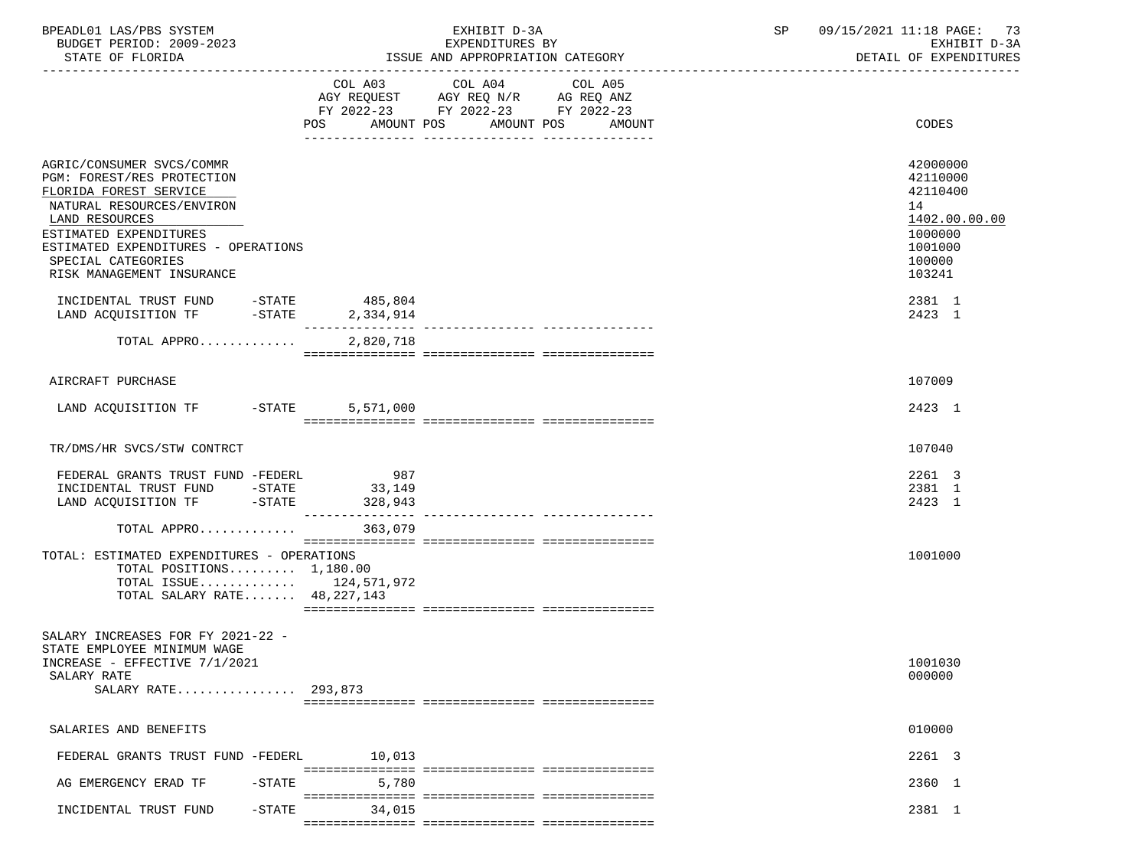| BPEADL01 LAS/PBS SYSTEM<br>BUDGET PERIOD: 2009-2023<br>STATE OF FLORIDA                                                                                                                                                                                                                                                                                                                                           |                           | EXHIBIT D-3A<br>EXPENDITURES BY<br>ISSUE AND APPROPRIATION CATEGORY                       | 09/15/2021 11:18 PAGE: 73<br>SP<br>EXHIBIT D-3A<br>DETAIL OF EXPENDITURES |  |                                                                                                                       |
|-------------------------------------------------------------------------------------------------------------------------------------------------------------------------------------------------------------------------------------------------------------------------------------------------------------------------------------------------------------------------------------------------------------------|---------------------------|-------------------------------------------------------------------------------------------|---------------------------------------------------------------------------|--|-----------------------------------------------------------------------------------------------------------------------|
|                                                                                                                                                                                                                                                                                                                                                                                                                   | POS AMOUNT POS AMOUNT POS | COL A03 COL A04<br>AGY REQUEST AGY REQ N/R AG REQ ANZ<br>FY 2022-23 FY 2022-23 FY 2022-23 | COL A05<br>AMOUNT                                                         |  | CODES                                                                                                                 |
| AGRIC/CONSUMER SVCS/COMMR<br>PGM: FOREST/RES PROTECTION<br>FLORIDA FOREST SERVICE<br>NATURAL RESOURCES/ENVIRON<br>LAND RESOURCES<br>ESTIMATED EXPENDITURES<br>ESTIMATED EXPENDITURES - OPERATIONS<br>SPECIAL CATEGORIES<br>RISK MANAGEMENT INSURANCE<br>$\begin{tabular}{llllll} INCIDENTIAL TRUST FUND & -STATE & 485,804 \\ LAND ACQUISITION TF & -STATE & 2,334,914 \\ \end{tabular}$<br>TOTAL APPRO 2,820,718 |                           |                                                                                           |                                                                           |  | 42000000<br>42110000<br>42110400<br>14<br>1402.00.00.00<br>1000000<br>1001000<br>100000<br>103241<br>2381 1<br>2423 1 |
| AIRCRAFT PURCHASE                                                                                                                                                                                                                                                                                                                                                                                                 |                           |                                                                                           |                                                                           |  | 107009                                                                                                                |
| LAND ACQUISITION TF -STATE 5,571,000                                                                                                                                                                                                                                                                                                                                                                              |                           |                                                                                           |                                                                           |  | 2423 1                                                                                                                |
| TR/DMS/HR SVCS/STW CONTRCT                                                                                                                                                                                                                                                                                                                                                                                        |                           |                                                                                           |                                                                           |  | 107040                                                                                                                |
| FEDERAL GRANTS TRUST FUND -FEDERL<br>INCIDENTAL TRUST FUND -STATE 33,149<br>LAND ACQUISITION TF -STATE 328,943                                                                                                                                                                                                                                                                                                    | 987                       |                                                                                           |                                                                           |  | 2261 3<br>2381 1<br>2423 1                                                                                            |
| TOTAL APPRO                                                                                                                                                                                                                                                                                                                                                                                                       | 363,079                   |                                                                                           |                                                                           |  |                                                                                                                       |
| TOTAL: ESTIMATED EXPENDITURES - OPERATIONS<br>TOTAL POSITIONS $1.180.00$<br>TOTAL ISSUE $124,571,972$<br>TOTAL SALARY RATE 48, 227, 143                                                                                                                                                                                                                                                                           |                           |                                                                                           |                                                                           |  | 1001000                                                                                                               |
| SALARY INCREASES FOR FY 2021-22 -<br>STATE EMPLOYEE MINIMUM WAGE<br>INCREASE - EFFECTIVE 7/1/2021<br>SALARY RATE<br>SALARY RATE 293,873                                                                                                                                                                                                                                                                           |                           |                                                                                           |                                                                           |  | 1001030<br>000000                                                                                                     |
| SALARIES AND BENEFITS                                                                                                                                                                                                                                                                                                                                                                                             |                           |                                                                                           |                                                                           |  | 010000                                                                                                                |
| FEDERAL GRANTS TRUST FUND -FEDERL                                                                                                                                                                                                                                                                                                                                                                                 | 10,013                    |                                                                                           |                                                                           |  | 2261 3                                                                                                                |
| AG EMERGENCY ERAD TF<br>$-$ STATE                                                                                                                                                                                                                                                                                                                                                                                 | 5,780                     |                                                                                           |                                                                           |  | 2360 1                                                                                                                |

INCIDENTAL TRUST FUND -STATE 34,015 2381 1

=============== =============== ===============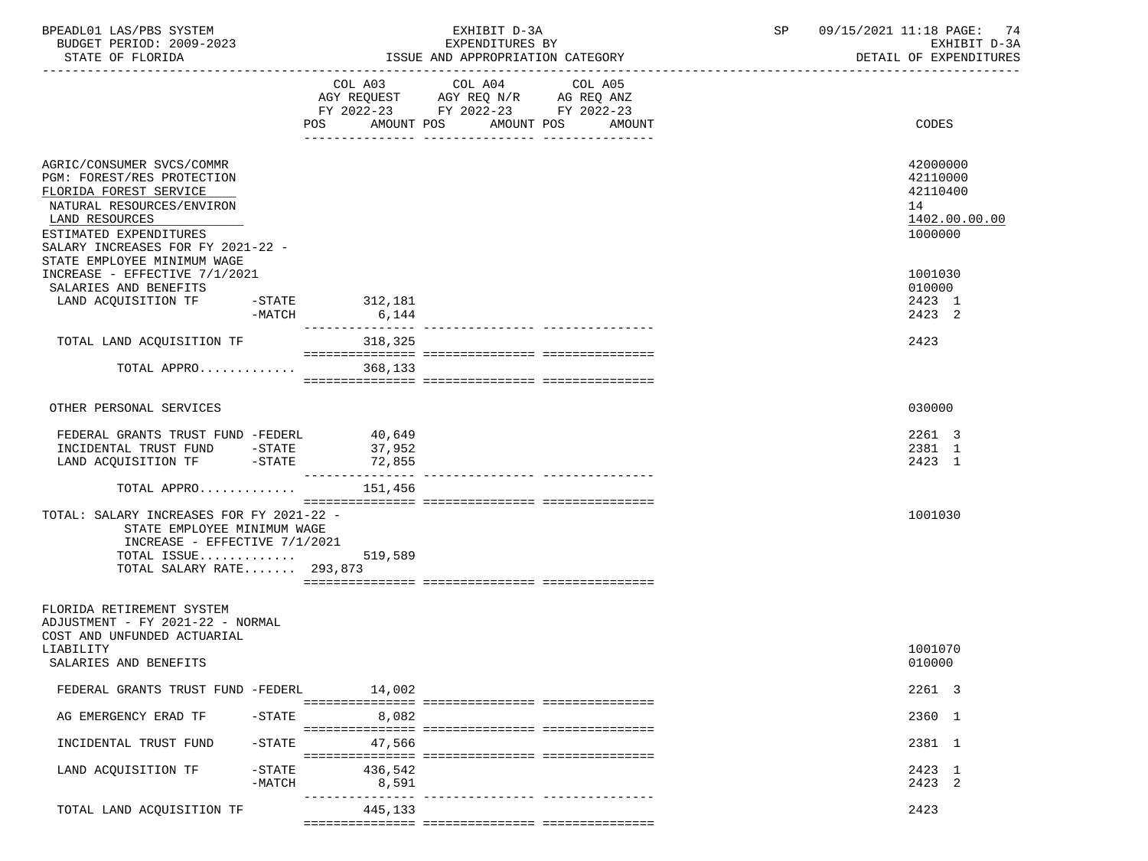| BPEADL01 LAS/PBS SYSTEM<br>BUDGET PERIOD: 2009-2023<br>STATE OF FLORIDA                                                                                                                                                        |                   | EXHIBIT D-3A<br>EXPENDITURES BY<br>ISSUE AND APPROPRIATION CATEGORY                                                                  | SP | 09/15/2021 11:18 PAGE: 74<br>EXHIBIT D-3A<br>DETAIL OF EXPENDITURES |
|--------------------------------------------------------------------------------------------------------------------------------------------------------------------------------------------------------------------------------|-------------------|--------------------------------------------------------------------------------------------------------------------------------------|----|---------------------------------------------------------------------|
|                                                                                                                                                                                                                                | POS               | COL A03 COL A04 COL A05<br>AGY REQUEST AGY REQ N/R AG REQ ANZ<br>FY 2022-23 FY 2022-23 FY 2022-23<br>AMOUNT POS AMOUNT POS<br>AMOUNT |    | CODES                                                               |
| AGRIC/CONSUMER SVCS/COMMR<br>PGM: FOREST/RES PROTECTION<br>FLORIDA FOREST SERVICE<br>NATURAL RESOURCES/ENVIRON<br>LAND RESOURCES<br>ESTIMATED EXPENDITURES<br>SALARY INCREASES FOR FY 2021-22 -<br>STATE EMPLOYEE MINIMUM WAGE |                   |                                                                                                                                      |    | 42000000<br>42110000<br>42110400<br>14<br>1402.00.00.00<br>1000000  |
| INCREASE - EFFECTIVE 7/1/2021                                                                                                                                                                                                  |                   |                                                                                                                                      |    | 1001030                                                             |
| SALARIES AND BENEFITS<br>LAND ACQUISITION TF                                                                                                                                                                                   | $-STATE$ 312, 181 |                                                                                                                                      |    | 010000<br>2423 1                                                    |
| -MATCH                                                                                                                                                                                                                         | 6,144             |                                                                                                                                      |    | 2423 2                                                              |
| TOTAL LAND ACQUISITION TF                                                                                                                                                                                                      | 318, 325          |                                                                                                                                      |    | 2423                                                                |
|                                                                                                                                                                                                                                |                   |                                                                                                                                      |    |                                                                     |
| TOTAL APPRO                                                                                                                                                                                                                    | 368,133           |                                                                                                                                      |    |                                                                     |
| OTHER PERSONAL SERVICES                                                                                                                                                                                                        |                   |                                                                                                                                      |    | 030000                                                              |
| FEDERAL GRANTS TRUST FUND -FEDERL 40,649<br>INCIDENTAL TRUST FUND -STATE<br>LAND ACQUISITION TF -STATE                                                                                                                         | 37,952<br>72,855  |                                                                                                                                      |    | 2261 3<br>2381 1<br>2423 1                                          |
| TOTAL APPRO                                                                                                                                                                                                                    | 151,456           |                                                                                                                                      |    |                                                                     |
| TOTAL: SALARY INCREASES FOR FY 2021-22 -<br>STATE EMPLOYEE MINIMUM WAGE<br>INCREASE - EFFECTIVE 7/1/2021<br>TOTAL ISSUE<br>TOTAL SALARY RATE 293,873                                                                           | 519,589           |                                                                                                                                      |    | 1001030                                                             |
| FLORIDA RETIREMENT SYSTEM<br>ADJUSTMENT - FY 2021-22 - NORMAL<br>COST AND UNFUNDED ACTUARIAL<br>LIABILITY<br>SALARIES AND BENEFITS                                                                                             |                   |                                                                                                                                      |    | 1001070<br>010000                                                   |
| FEDERAL GRANTS TRUST FUND -FEDERL                                                                                                                                                                                              | 14,002            |                                                                                                                                      |    | 2261 3                                                              |
|                                                                                                                                                                                                                                |                   |                                                                                                                                      |    |                                                                     |
| $-$ STATE<br>AG EMERGENCY ERAD TF                                                                                                                                                                                              | 8,082             |                                                                                                                                      |    | 2360 1                                                              |
| INCIDENTAL TRUST FUND<br>$-STATE$                                                                                                                                                                                              | 47,566            |                                                                                                                                      |    | 2381 1                                                              |
| LAND ACOUISITION TF<br>$-STATE$                                                                                                                                                                                                | 436,542           |                                                                                                                                      |    | 2423 1                                                              |
| $-MATCH$                                                                                                                                                                                                                       | 8,591             |                                                                                                                                      |    | 2423 2                                                              |
| TOTAL LAND ACQUISITION TF                                                                                                                                                                                                      | 445,133           | ------------ ----------------                                                                                                        |    | 2423                                                                |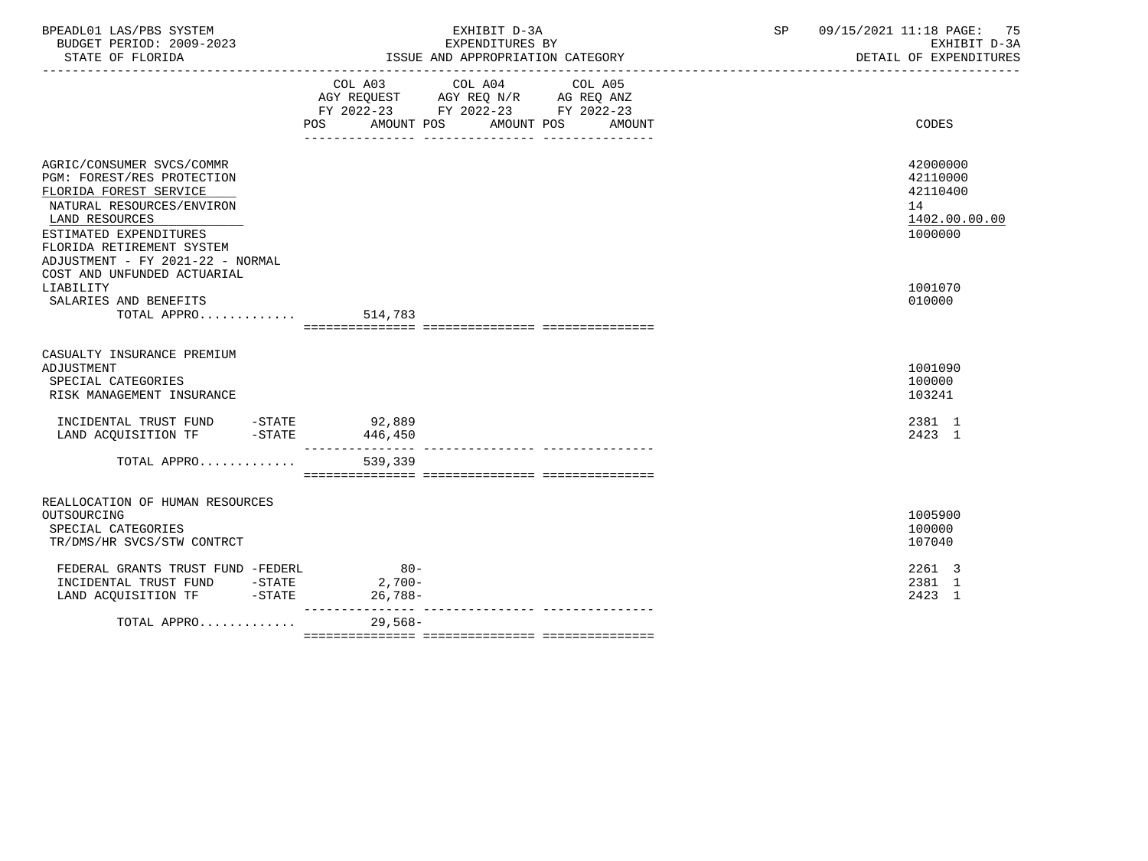| BPEADL01 LAS/PBS SYSTEM<br>BUDGET PERIOD: 2009-2023<br>STATE OF FLORIDA                                                                                                                                                                                    | EXHIBIT D-3A<br>EXPENDITURES BY<br>ISSUE AND APPROPRIATION CATEGORY                                                                                   | SP<br>09/15/2021 11:18 PAGE: 75<br>EXHIBIT D-3A<br>DETAIL OF EXPENDITURES |
|------------------------------------------------------------------------------------------------------------------------------------------------------------------------------------------------------------------------------------------------------------|-------------------------------------------------------------------------------------------------------------------------------------------------------|---------------------------------------------------------------------------|
|                                                                                                                                                                                                                                                            | COL A03 COL A04<br>COL A05<br>AGY REQUEST AGY REQ N/R AG REQ ANZ<br>FY 2022-23 FY 2022-23 FY 2022-23<br><b>POS</b><br>AMOUNT POS AMOUNT POS<br>AMOUNT | CODES                                                                     |
| AGRIC/CONSUMER SVCS/COMMR<br>PGM: FOREST/RES PROTECTION<br>FLORIDA FOREST SERVICE<br>NATURAL RESOURCES/ENVIRON<br>LAND RESOURCES<br>ESTIMATED EXPENDITURES<br>FLORIDA RETIREMENT SYSTEM<br>ADJUSTMENT - FY 2021-22 - NORMAL<br>COST AND UNFUNDED ACTUARIAL |                                                                                                                                                       | 42000000<br>42110000<br>42110400<br>14<br>1402.00.00.00<br>1000000        |
| LIABILITY<br>SALARIES AND BENEFITS<br>TOTAL APPRO                                                                                                                                                                                                          | 514,783                                                                                                                                               | 1001070<br>010000                                                         |
| CASUALTY INSURANCE PREMIUM<br>ADJUSTMENT<br>SPECIAL CATEGORIES<br>RISK MANAGEMENT INSURANCE                                                                                                                                                                |                                                                                                                                                       | 1001090<br>100000<br>103241                                               |
| INCIDENTAL TRUST FUND -STATE 92,889<br>LAND ACQUISITION TF -STATE 446,450                                                                                                                                                                                  |                                                                                                                                                       | 2381 1<br>2423 1                                                          |
| TOTAL APPRO                                                                                                                                                                                                                                                | ______________________________________<br>539,339                                                                                                     |                                                                           |
| REALLOCATION OF HUMAN RESOURCES<br>OUTSOURCING<br>SPECIAL CATEGORIES<br>TR/DMS/HR SVCS/STW CONTRCT                                                                                                                                                         |                                                                                                                                                       | 1005900<br>100000<br>107040                                               |
| FEDERAL GRANTS TRUST FUND -FEDERL<br>INCIDENTAL TRUST FUND -STATE<br>LAND ACQUISITION TF -STATE                                                                                                                                                            | $80 -$<br>$2,700-$<br>26,788-                                                                                                                         | 2261 3<br>2381 1<br>2423 1                                                |
| TOTAL APPRO                                                                                                                                                                                                                                                | ----------------<br>29,568-                                                                                                                           |                                                                           |

=============== =============== ===============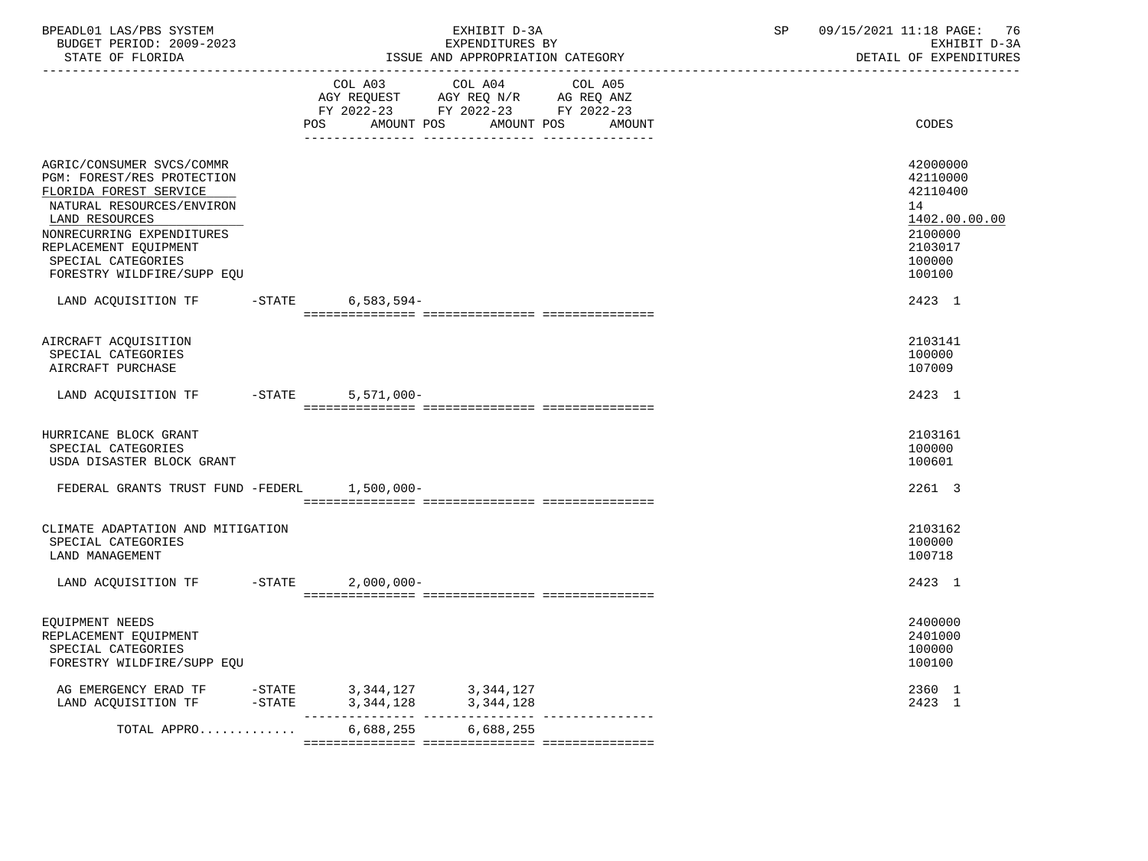| BPEADL01 LAS/PBS SYSTEM<br>BUDGET PERIOD: 2009-2023<br>STATE OF FLORIDA                                                                                                                                                                    | EXHIBIT D-3A<br>EXPENDITURES BY<br>ISSUE AND APPROPRIATION CATEGORY |              |                                                                                                                                     | 09/15/2021 11:18 PAGE:<br>SP<br>DETAIL OF EXPENDITURES                                            | 76<br>EXHIBIT D-3A |  |
|--------------------------------------------------------------------------------------------------------------------------------------------------------------------------------------------------------------------------------------------|---------------------------------------------------------------------|--------------|-------------------------------------------------------------------------------------------------------------------------------------|---------------------------------------------------------------------------------------------------|--------------------|--|
|                                                                                                                                                                                                                                            |                                                                     | COL A03      | COL A04<br>COL A05<br>AGY REQUEST AGY REQ N/R AG REQ ANZ<br>FY 2022-23 FY 2022-23 FY 2022-23<br>POS AMOUNT POS AMOUNT POS<br>AMOUNT | CODES                                                                                             |                    |  |
| AGRIC/CONSUMER SVCS/COMMR<br>PGM: FOREST/RES PROTECTION<br>FLORIDA FOREST SERVICE<br>NATURAL RESOURCES/ENVIRON<br>LAND RESOURCES<br>NONRECURRING EXPENDITURES<br>REPLACEMENT EQUIPMENT<br>SPECIAL CATEGORIES<br>FORESTRY WILDFIRE/SUPP EQU |                                                                     |              |                                                                                                                                     | 42000000<br>42110000<br>42110400<br>14<br>1402.00.00.00<br>2100000<br>2103017<br>100000<br>100100 |                    |  |
| LAND ACQUISITION TF -STATE 6,583,594-                                                                                                                                                                                                      |                                                                     |              |                                                                                                                                     | 2423 1                                                                                            |                    |  |
| AIRCRAFT ACQUISITION<br>SPECIAL CATEGORIES<br>AIRCRAFT PURCHASE                                                                                                                                                                            |                                                                     |              |                                                                                                                                     | 2103141<br>100000<br>107009                                                                       |                    |  |
| LAND ACQUISITION TF -STATE 5,571,000-                                                                                                                                                                                                      |                                                                     |              |                                                                                                                                     | 2423 1                                                                                            |                    |  |
| HURRICANE BLOCK GRANT<br>SPECIAL CATEGORIES<br>USDA DISASTER BLOCK GRANT                                                                                                                                                                   |                                                                     |              |                                                                                                                                     | 2103161<br>100000<br>100601                                                                       |                    |  |
| FEDERAL GRANTS TRUST FUND -FEDERL 1,500,000-                                                                                                                                                                                               |                                                                     |              |                                                                                                                                     | 2261 3                                                                                            |                    |  |
| CLIMATE ADAPTATION AND MITIGATION<br>SPECIAL CATEGORIES<br>LAND MANAGEMENT                                                                                                                                                                 |                                                                     |              |                                                                                                                                     | 2103162<br>100000<br>100718                                                                       |                    |  |
| LAND ACQUISITION TF -STATE                                                                                                                                                                                                                 |                                                                     | $2,000,000-$ |                                                                                                                                     | 2423 1                                                                                            |                    |  |
| EQUIPMENT NEEDS<br>REPLACEMENT EQUIPMENT<br>SPECIAL CATEGORIES<br>FORESTRY WILDFIRE/SUPP EQU                                                                                                                                               |                                                                     |              |                                                                                                                                     | 2400000<br>2401000<br>100000<br>100100                                                            |                    |  |
| AG EMERGENCY ERAD TF -STATE 3,344,127 3,344,127                                                                                                                                                                                            |                                                                     |              |                                                                                                                                     | 2360 1<br>2423 1                                                                                  |                    |  |
| TOTAL APPRO                                                                                                                                                                                                                                |                                                                     |              | 6,688,255 6,688,255                                                                                                                 |                                                                                                   |                    |  |
|                                                                                                                                                                                                                                            |                                                                     |              |                                                                                                                                     |                                                                                                   |                    |  |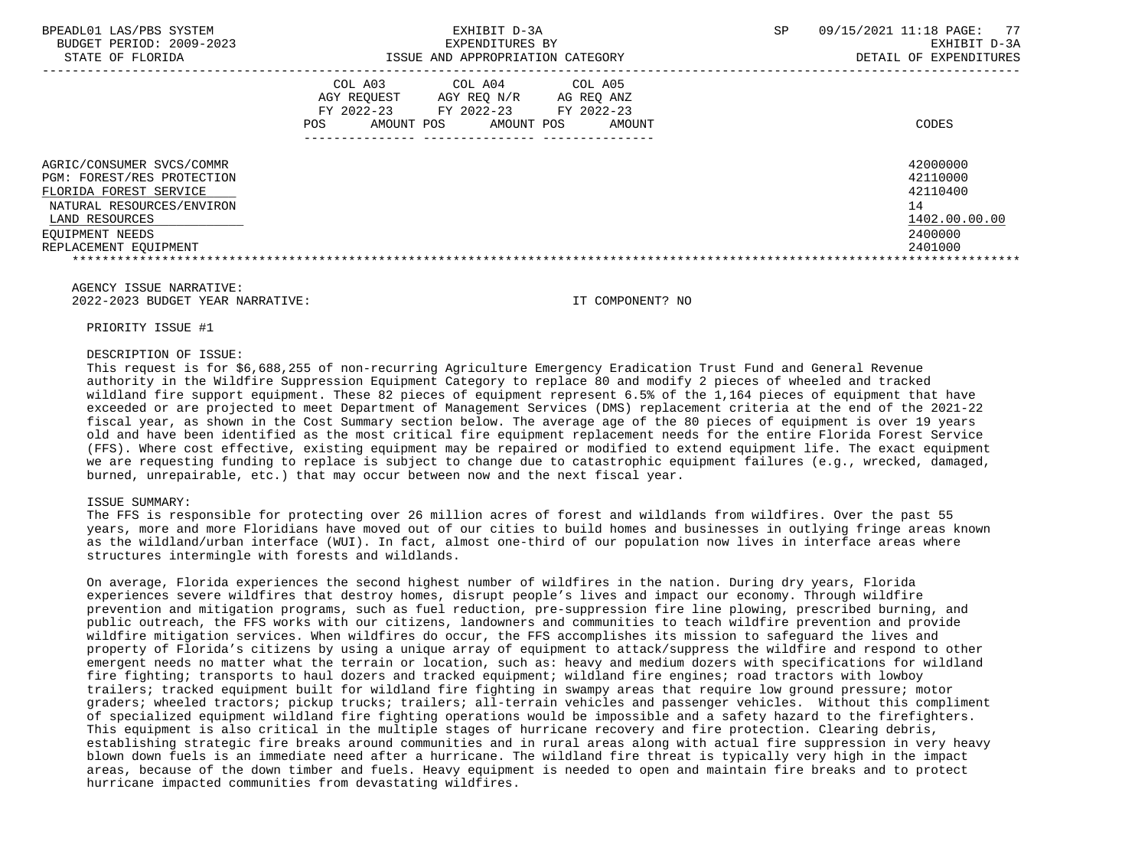| BPEADL01 LAS/PBS SYSTEM<br>BUDGET PERIOD: 2009-2023<br>STATE OF FLORIDA                                                                                                      | EXHIBIT D-3A<br>EXPENDITURES BY<br>ISSUE AND APPROPRIATION CATEGORY                                                                               | SP | 77<br>09/15/2021 11:18 PAGE:<br>EXHIBIT D-3A<br>DETAIL OF EXPENDITURES        |
|------------------------------------------------------------------------------------------------------------------------------------------------------------------------------|---------------------------------------------------------------------------------------------------------------------------------------------------|----|-------------------------------------------------------------------------------|
|                                                                                                                                                                              | COL A04 COL A05<br>COL A03<br>AGY REQUEST AGY REQ N/R AG REQ ANZ<br>FY 2022-23 FY 2022-23 FY 2022-23<br>AMOUNT POS<br>AMOUNT POS<br>AMOUNT<br>POS |    | CODES                                                                         |
| AGRIC/CONSUMER SVCS/COMMR<br>PGM: FOREST/RES PROTECTION<br>FLORIDA FOREST SERVICE<br>NATURAL RESOURCES/ENVIRON<br>LAND RESOURCES<br>EOUIPMENT NEEDS<br>REPLACEMENT EOUIPMENT |                                                                                                                                                   |    | 42000000<br>42110000<br>42110400<br>14<br>1402.00.00.00<br>2400000<br>2401000 |

### AGENCY ISSUE NARRATIVE: 2022-2023 BUDGET YEAR NARRATIVE: IT COMPONENT? NO

PRIORITY ISSUE #1

# DESCRIPTION OF ISSUE:

 This request is for \$6,688,255 of non-recurring Agriculture Emergency Eradication Trust Fund and General Revenue authority in the Wildfire Suppression Equipment Category to replace 80 and modify 2 pieces of wheeled and tracked wildland fire support equipment. These 82 pieces of equipment represent 6.5% of the 1,164 pieces of equipment that have exceeded or are projected to meet Department of Management Services (DMS) replacement criteria at the end of the 2021-22 fiscal year, as shown in the Cost Summary section below. The average age of the 80 pieces of equipment is over 19 years old and have been identified as the most critical fire equipment replacement needs for the entire Florida Forest Service (FFS). Where cost effective, existing equipment may be repaired or modified to extend equipment life. The exact equipment we are requesting funding to replace is subject to change due to catastrophic equipment failures (e.g., wrecked, damaged, burned, unrepairable, etc.) that may occur between now and the next fiscal year.

#### ISSUE SUMMARY:

 The FFS is responsible for protecting over 26 million acres of forest and wildlands from wildfires. Over the past 55 years, more and more Floridians have moved out of our cities to build homes and businesses in outlying fringe areas known as the wildland/urban interface (WUI). In fact, almost one-third of our population now lives in interface areas where structures intermingle with forests and wildlands.

 On average, Florida experiences the second highest number of wildfires in the nation. During dry years, Florida experiences severe wildfires that destroy homes, disrupt people's lives and impact our economy. Through wildfire prevention and mitigation programs, such as fuel reduction, pre-suppression fire line plowing, prescribed burning, and public outreach, the FFS works with our citizens, landowners and communities to teach wildfire prevention and provide wildfire mitigation services. When wildfires do occur, the FFS accomplishes its mission to safeguard the lives and property of Florida's citizens by using a unique array of equipment to attack/suppress the wildfire and respond to other emergent needs no matter what the terrain or location, such as: heavy and medium dozers with specifications for wildland fire fighting; transports to haul dozers and tracked equipment; wildland fire engines; road tractors with lowboy trailers; tracked equipment built for wildland fire fighting in swampy areas that require low ground pressure; motor graders; wheeled tractors; pickup trucks; trailers; all-terrain vehicles and passenger vehicles. Without this compliment of specialized equipment wildland fire fighting operations would be impossible and a safety hazard to the firefighters. This equipment is also critical in the multiple stages of hurricane recovery and fire protection. Clearing debris, establishing strategic fire breaks around communities and in rural areas along with actual fire suppression in very heavy blown down fuels is an immediate need after a hurricane. The wildland fire threat is typically very high in the impact areas, because of the down timber and fuels. Heavy equipment is needed to open and maintain fire breaks and to protect hurricane impacted communities from devastating wildfires.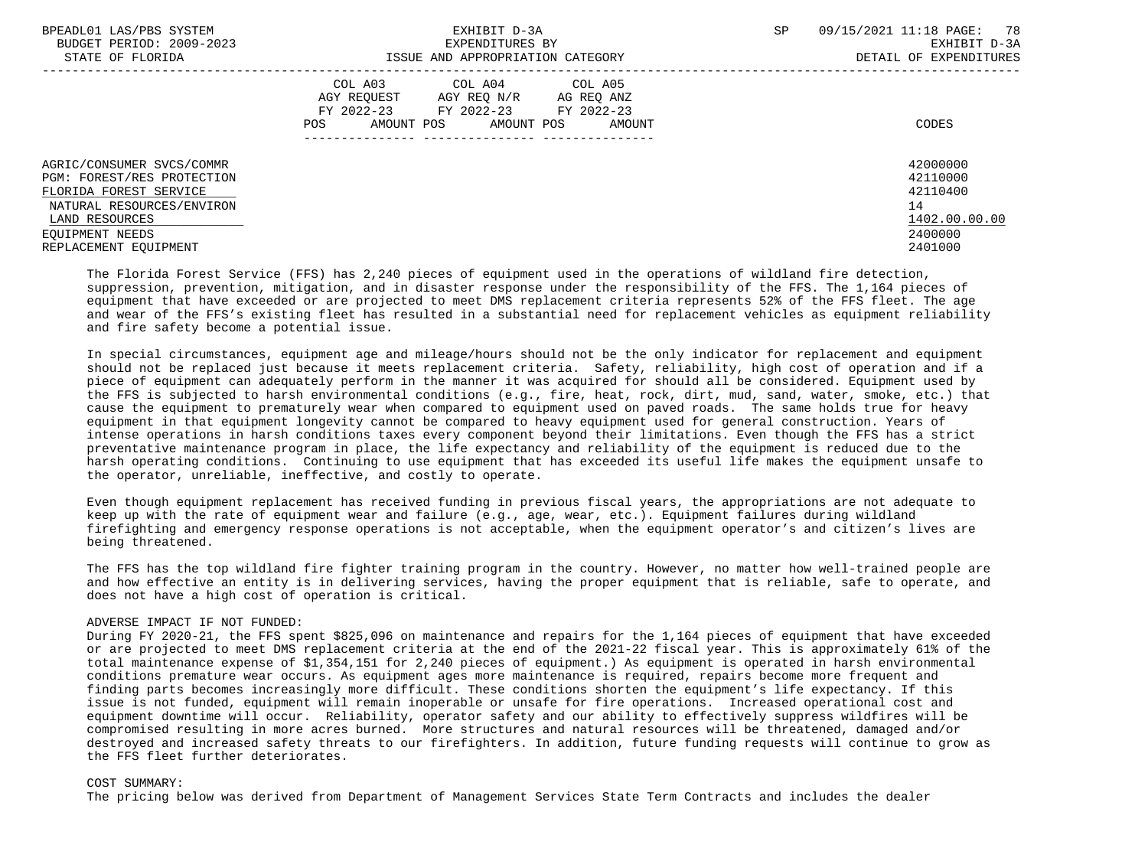| BPEADL01 LAS/PBS SYSTEM<br>BUDGET PERIOD: 2009-2023<br>STATE OF FLORIDA                                                                                                      | EXHIBIT D-3A<br>EXPENDITURES BY<br>ISSUE AND APPROPRIATION CATEGORY                                                                            | 78<br>SP<br>09/15/2021 11:18 PAGE:<br>EXHIBIT D-3A<br>DETAIL OF EXPENDITURES  |
|------------------------------------------------------------------------------------------------------------------------------------------------------------------------------|------------------------------------------------------------------------------------------------------------------------------------------------|-------------------------------------------------------------------------------|
|                                                                                                                                                                              | COL A03 COL A04 COL A05<br>AGY REOUEST<br>AGY REQ N/R AG REQ ANZ<br>FY 2022-23 FY 2022-23 FY 2022-23<br>AMOUNT POS AMOUNT POS<br>POS<br>AMOUNT | CODES                                                                         |
| AGRIC/CONSUMER SVCS/COMMR<br>PGM: FOREST/RES PROTECTION<br>FLORIDA FOREST SERVICE<br>NATURAL RESOURCES/ENVIRON<br>LAND RESOURCES<br>EOUIPMENT NEEDS<br>REPLACEMENT EOUIPMENT |                                                                                                                                                | 42000000<br>42110000<br>42110400<br>14<br>1402.00.00.00<br>2400000<br>2401000 |

 The Florida Forest Service (FFS) has 2,240 pieces of equipment used in the operations of wildland fire detection, suppression, prevention, mitigation, and in disaster response under the responsibility of the FFS. The 1,164 pieces of equipment that have exceeded or are projected to meet DMS replacement criteria represents 52% of the FFS fleet. The age and wear of the FFS's existing fleet has resulted in a substantial need for replacement vehicles as equipment reliability and fire safety become a potential issue.

 In special circumstances, equipment age and mileage/hours should not be the only indicator for replacement and equipment should not be replaced just because it meets replacement criteria. Safety, reliability, high cost of operation and if a piece of equipment can adequately perform in the manner it was acquired for should all be considered. Equipment used by the FFS is subjected to harsh environmental conditions (e.g., fire, heat, rock, dirt, mud, sand, water, smoke, etc.) that cause the equipment to prematurely wear when compared to equipment used on paved roads. The same holds true for heavy equipment in that equipment longevity cannot be compared to heavy equipment used for general construction. Years of intense operations in harsh conditions taxes every component beyond their limitations. Even though the FFS has a strict preventative maintenance program in place, the life expectancy and reliability of the equipment is reduced due to the harsh operating conditions. Continuing to use equipment that has exceeded its useful life makes the equipment unsafe to the operator, unreliable, ineffective, and costly to operate.

 Even though equipment replacement has received funding in previous fiscal years, the appropriations are not adequate to keep up with the rate of equipment wear and failure (e.g., age, wear, etc.). Equipment failures during wildland firefighting and emergency response operations is not acceptable, when the equipment operator's and citizen's lives are being threatened.

 The FFS has the top wildland fire fighter training program in the country. However, no matter how well-trained people are and how effective an entity is in delivering services, having the proper equipment that is reliable, safe to operate, and does not have a high cost of operation is critical.

#### ADVERSE IMPACT IF NOT FUNDED:

 During FY 2020-21, the FFS spent \$825,096 on maintenance and repairs for the 1,164 pieces of equipment that have exceeded or are projected to meet DMS replacement criteria at the end of the 2021-22 fiscal year. This is approximately 61% of the total maintenance expense of \$1,354,151 for 2,240 pieces of equipment.) As equipment is operated in harsh environmental conditions premature wear occurs. As equipment ages more maintenance is required, repairs become more frequent and finding parts becomes increasingly more difficult. These conditions shorten the equipment's life expectancy. If this issue is not funded, equipment will remain inoperable or unsafe for fire operations. Increased operational cost and equipment downtime will occur. Reliability, operator safety and our ability to effectively suppress wildfires will be compromised resulting in more acres burned. More structures and natural resources will be threatened, damaged and/or destroyed and increased safety threats to our firefighters. In addition, future funding requests will continue to grow as the FFS fleet further deteriorates.

### COST SUMMARY:

The pricing below was derived from Department of Management Services State Term Contracts and includes the dealer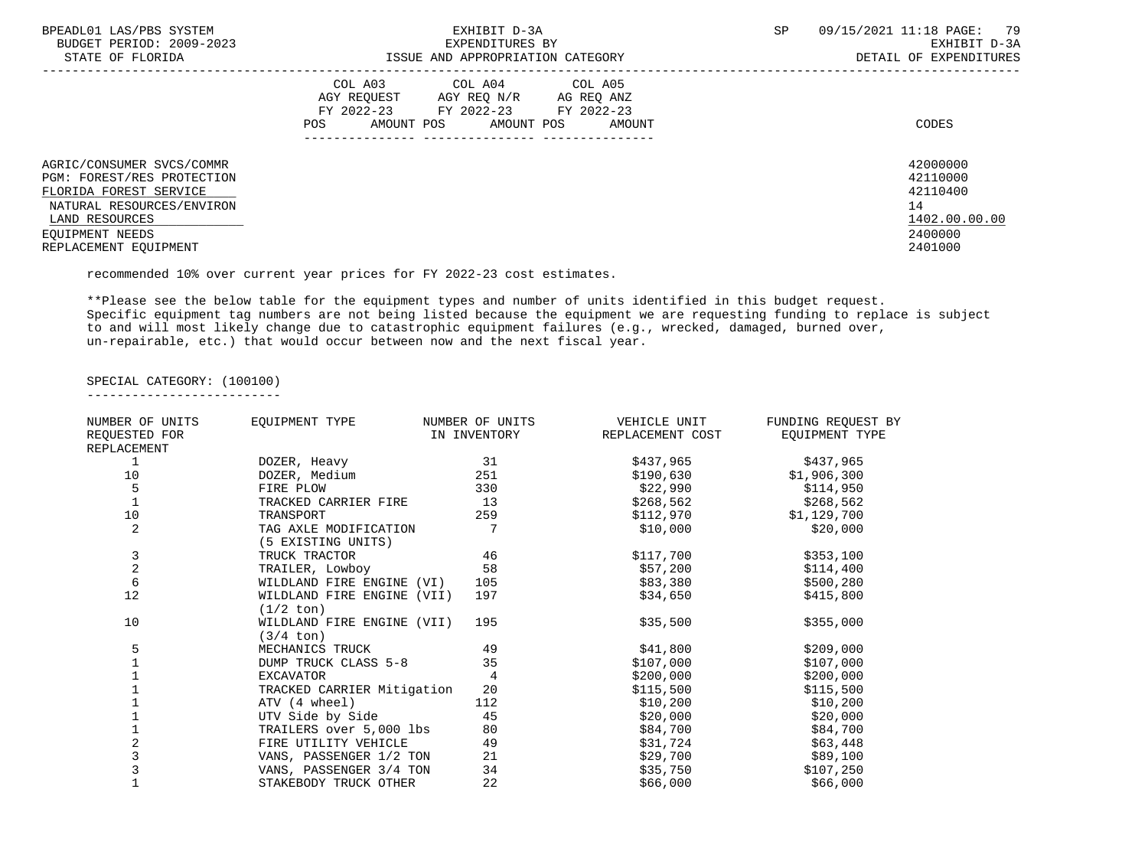| BPEADL01 LAS/PBS SYSTEM<br>EXHIBIT D-3A |                                           | 09/15/2021 11:18 PAGE: 79<br><b>SP</b> |
|-----------------------------------------|-------------------------------------------|----------------------------------------|
| BUDGET PERIOD: 2009-2023                | EXPENDITURES BY                           | EXHIBIT D-3A                           |
| STATE OF FLORIDA                        | ISSUE AND APPROPRIATION CATEGORY          | DETAIL OF EXPENDITURES                 |
|                                         | COL A03 COL A04 COL A05                   |                                        |
|                                         | AGY REOUEST AGY REO N/R<br>AG REQ ANZ     |                                        |
|                                         | FY 2022-23 FY 2022-23 FY 2022-23          |                                        |
|                                         | AMOUNT POS<br>AMOUNT POS<br>POS<br>AMOUNT | CODES                                  |
|                                         |                                           |                                        |
|                                         |                                           |                                        |
| AGRIC/CONSUMER SVCS/COMMR               |                                           | 42000000                               |
| PGM: FOREST/RES PROTECTION              |                                           | 42110000                               |
| FLORIDA FOREST SERVICE                  |                                           | 42110400                               |
| NATURAL RESOURCES/ENVIRON               |                                           | 14                                     |
| LAND RESOURCES                          |                                           | 1402.00.00.00                          |
| EOUIPMENT NEEDS                         |                                           | 2400000                                |
| REPLACEMENT EOUIPMENT                   |                                           | 2401000                                |
|                                         |                                           |                                        |

recommended 10% over current year prices for FY 2022-23 cost estimates.

 \*\*Please see the below table for the equipment types and number of units identified in this budget request. Specific equipment tag numbers are not being listed because the equipment we are requesting funding to replace is subject to and will most likely change due to catastrophic equipment failures (e.g., wrecked, damaged, burned over, un-repairable, etc.) that would occur between now and the next fiscal year.

SPECIAL CATEGORY: (100100)

--------------------------

| NUMBER OF UNITS    | EQUIPMENT TYPE             | NUMBER OF UNITS | VEHICLE UNIT     | FUNDING REQUEST BY |
|--------------------|----------------------------|-----------------|------------------|--------------------|
| REQUESTED FOR      |                            | IN INVENTORY    | REPLACEMENT COST | EQUIPMENT TYPE     |
| <b>REPLACEMENT</b> |                            |                 |                  |                    |
|                    | DOZER, Heavy               | 31              | \$437,965        | \$437,965          |
| 10                 | DOZER, Medium              | 251             | \$190,630        | \$1,906,300        |
| 5                  | FIRE PLOW                  | 330             | \$22,990         | \$114,950          |
|                    | TRACKED CARRIER FIRE       | 13              | \$268,562        | \$268,562          |
| 10                 | TRANSPORT                  | 259             | \$112,970        | \$1,129,700        |
| $\overline{2}$     | TAG AXLE MODIFICATION      | 7               | \$10,000         | \$20,000           |
|                    | (5 EXISTING UNITS)         |                 |                  |                    |
| 3                  | TRUCK TRACTOR              | 46              | \$117,700        | \$353,100          |
| $\overline{a}$     | TRAILER, Lowboy            | 58              | \$57,200         | \$114,400          |
| $\epsilon$         | WILDLAND FIRE ENGINE (VI)  | 105             | \$83,380         | \$500,280          |
| 12                 | WILDLAND FIRE ENGINE (VII) | 197             | \$34,650         | \$415,800          |
|                    | $(1/2 \text{ ton})$        |                 |                  |                    |
| 10                 | WILDLAND FIRE ENGINE (VII) | 195             | \$35,500         | \$355,000          |
|                    | $(3/4 \text{ ton})$        |                 |                  |                    |
| 5                  | MECHANICS TRUCK            | 49              | \$41,800         | \$209,000          |
|                    | DUMP TRUCK CLASS 5-8       | 35              | \$107,000        | \$107,000          |
|                    | EXCAVATOR                  | 4               | \$200,000        | \$200,000          |
|                    | TRACKED CARRIER Mitigation | 20              | \$115,500        | \$115,500          |
|                    | ATV (4 wheel)              | 112             | \$10,200         | \$10,200           |
|                    | UTV Side by Side           | 45              | \$20,000         | \$20,000           |
|                    | TRAILERS over 5,000 lbs    | 80              | \$84,700         | \$84,700           |
|                    | FIRE UTILITY VEHICLE       | 49              | \$31,724         | \$63,448           |
|                    | VANS, PASSENGER 1/2 TON    | 21              | \$29,700         | \$89,100           |
| 3                  | VANS, PASSENGER 3/4 TON    | 34              | \$35,750         | \$107,250          |
|                    | STAKEBODY TRUCK OTHER      | 22              | \$66,000         | \$66,000           |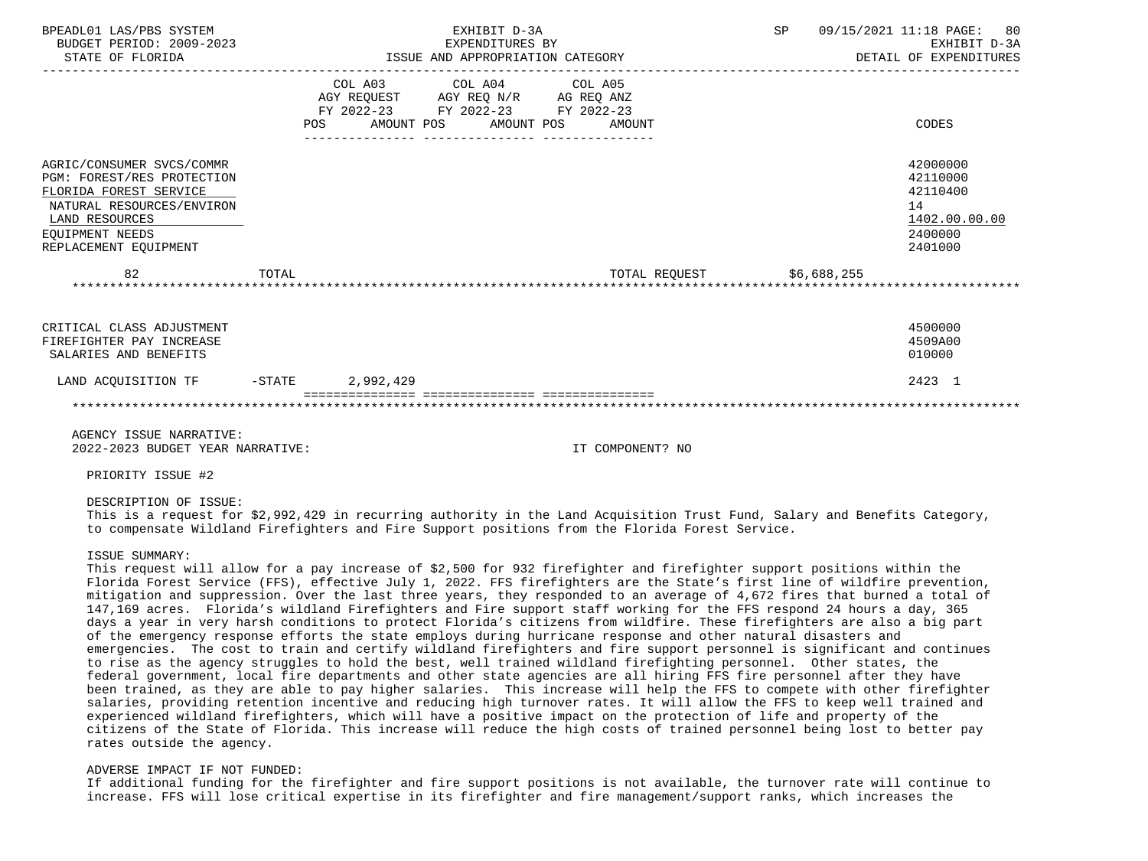| BPEADL01 LAS/PBS SYSTEM<br>BUDGET PERIOD: 2009-2023                                                                                                                                                                                                                                                                                                                                                                                                                                                                                                                                                                                                        |       |                                                                                   | EXHIBIT D-3A<br>EXPENDITURES BY             |                  | SP          | 09/15/2021 11:18 PAGE: 80<br>EXHIBIT D-3A<br>DETAIL OF EXPENDITURES                                                                                                                                                                                                                                                                                                                                                                                                                                                                                                                                                                                                                                                                                                                                                                                                                                                                                                                                                         |
|------------------------------------------------------------------------------------------------------------------------------------------------------------------------------------------------------------------------------------------------------------------------------------------------------------------------------------------------------------------------------------------------------------------------------------------------------------------------------------------------------------------------------------------------------------------------------------------------------------------------------------------------------------|-------|-----------------------------------------------------------------------------------|---------------------------------------------|------------------|-------------|-----------------------------------------------------------------------------------------------------------------------------------------------------------------------------------------------------------------------------------------------------------------------------------------------------------------------------------------------------------------------------------------------------------------------------------------------------------------------------------------------------------------------------------------------------------------------------------------------------------------------------------------------------------------------------------------------------------------------------------------------------------------------------------------------------------------------------------------------------------------------------------------------------------------------------------------------------------------------------------------------------------------------------|
|                                                                                                                                                                                                                                                                                                                                                                                                                                                                                                                                                                                                                                                            | POS   | COL A03<br>AGY REQUEST AGY REQ N/R AG REQ ANZ<br>FY 2022-23 FY 2022-23 FY 2022-23 | COL A04<br>COL A05<br>AMOUNT POS AMOUNT POS | AMOUNT           |             | CODES                                                                                                                                                                                                                                                                                                                                                                                                                                                                                                                                                                                                                                                                                                                                                                                                                                                                                                                                                                                                                       |
| AGRIC/CONSUMER SVCS/COMMR<br>PGM: FOREST/RES PROTECTION<br>FLORIDA FOREST SERVICE<br>NATURAL RESOURCES/ENVIRON<br>LAND RESOURCES<br>EQUIPMENT NEEDS<br>REPLACEMENT EQUIPMENT                                                                                                                                                                                                                                                                                                                                                                                                                                                                               |       |                                                                                   |                                             |                  |             | 42000000<br>42110000<br>42110400<br>14<br>1402.00.00.00<br>2400000<br>2401000                                                                                                                                                                                                                                                                                                                                                                                                                                                                                                                                                                                                                                                                                                                                                                                                                                                                                                                                               |
| 82                                                                                                                                                                                                                                                                                                                                                                                                                                                                                                                                                                                                                                                         | TOTAL |                                                                                   |                                             | TOTAL REQUEST    | \$6,688,255 |                                                                                                                                                                                                                                                                                                                                                                                                                                                                                                                                                                                                                                                                                                                                                                                                                                                                                                                                                                                                                             |
| CRITICAL CLASS ADJUSTMENT<br>FIREFIGHTER PAY INCREASE<br>SALARIES AND BENEFITS                                                                                                                                                                                                                                                                                                                                                                                                                                                                                                                                                                             |       |                                                                                   |                                             |                  |             | 4500000<br>4509A00<br>010000                                                                                                                                                                                                                                                                                                                                                                                                                                                                                                                                                                                                                                                                                                                                                                                                                                                                                                                                                                                                |
| LAND ACQUISITION TF -STATE 2,992,429                                                                                                                                                                                                                                                                                                                                                                                                                                                                                                                                                                                                                       |       |                                                                                   |                                             |                  |             | 2423 1                                                                                                                                                                                                                                                                                                                                                                                                                                                                                                                                                                                                                                                                                                                                                                                                                                                                                                                                                                                                                      |
|                                                                                                                                                                                                                                                                                                                                                                                                                                                                                                                                                                                                                                                            |       |                                                                                   |                                             |                  |             |                                                                                                                                                                                                                                                                                                                                                                                                                                                                                                                                                                                                                                                                                                                                                                                                                                                                                                                                                                                                                             |
| AGENCY ISSUE NARRATIVE:<br>2022-2023 BUDGET YEAR NARRATIVE:<br>PRIORITY ISSUE #2                                                                                                                                                                                                                                                                                                                                                                                                                                                                                                                                                                           |       |                                                                                   |                                             | IT COMPONENT? NO |             |                                                                                                                                                                                                                                                                                                                                                                                                                                                                                                                                                                                                                                                                                                                                                                                                                                                                                                                                                                                                                             |
| DESCRIPTION OF ISSUE:<br>to compensate Wildland Firefighters and Fire Support positions from the Florida Forest Service.                                                                                                                                                                                                                                                                                                                                                                                                                                                                                                                                   |       |                                                                                   |                                             |                  |             | This is a request for \$2,992,429 in recurring authority in the Land Acquisition Trust Fund, Salary and Benefits Category,                                                                                                                                                                                                                                                                                                                                                                                                                                                                                                                                                                                                                                                                                                                                                                                                                                                                                                  |
| ISSUE SUMMARY:<br>This request will allow for a pay increase of \$2,500 for 932 firefighter and firefighter support positions within the<br>of the emergency response efforts the state employs during hurricane response and other natural disasters and<br>to rise as the agency struggles to hold the best, well trained wildland firefighting personnel. Other states, the<br>federal government, local fire departments and other state agencies are all hiring FFS fire personnel after they have<br>experienced wildland firefighters, which will have a positive impact on the protection of life and property of the<br>rates outside the agency. |       |                                                                                   |                                             |                  |             | Florida Forest Service (FFS), effective July 1, 2022. FFS firefighters are the State's first line of wildfire prevention,<br>mitigation and suppression. Over the last three years, they responded to an average of 4,672 fires that burned a total of<br>147,169 acres. Florida's wildland Firefighters and Fire support staff working for the FFS respond 24 hours a day, 365<br>days a year in very harsh conditions to protect Florida's citizens from wildfire. These firefighters are also a big part<br>emergencies. The cost to train and certify wildland firefighters and fire support personnel is significant and continues<br>been trained, as they are able to pay higher salaries. This increase will help the FFS to compete with other firefighter<br>salaries, providing retention incentive and reducing high turnover rates. It will allow the FFS to keep well trained and<br>citizens of the State of Florida. This increase will reduce the high costs of trained personnel being lost to better pay |

## ADVERSE IMPACT IF NOT FUNDED:

 If additional funding for the firefighter and fire support positions is not available, the turnover rate will continue to increase. FFS will lose critical expertise in its firefighter and fire management/support ranks, which increases the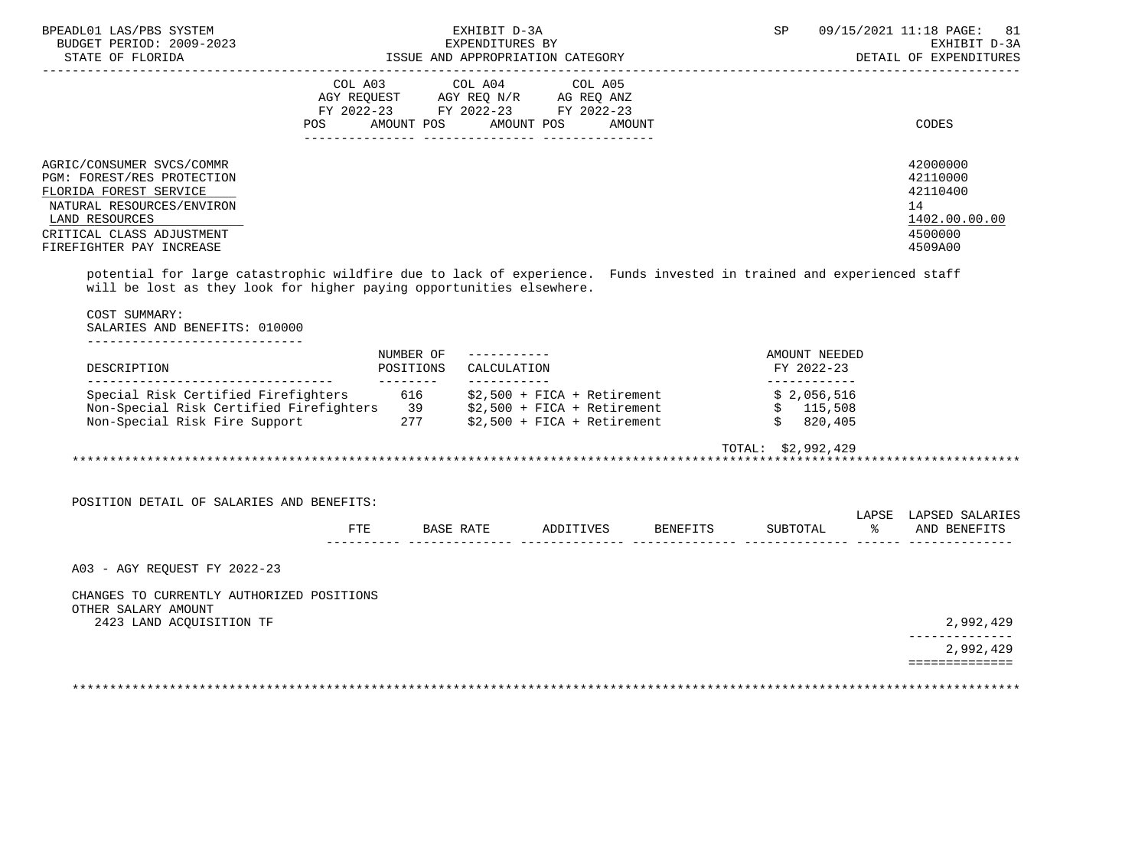| BPEADL01 LAS/PBS SYSTEM<br>EXPENDITURE PERIOD: 2009-2023<br>BUDGET PERIOD: 2009-2023<br>CRIEGORY SERVICE PERIOD: 2009-2023                                                                                                                                                                                        | EXHIBIT D-3A                                |                                                                                                                                       |                                  | SP                          | 09/15/2021 11:18 PAGE: 81<br>EXHIBIT D-3A<br>DETAIL OF EXPENDITURES           |
|-------------------------------------------------------------------------------------------------------------------------------------------------------------------------------------------------------------------------------------------------------------------------------------------------------------------|---------------------------------------------|---------------------------------------------------------------------------------------------------------------------------------------|----------------------------------|-----------------------------|-------------------------------------------------------------------------------|
|                                                                                                                                                                                                                                                                                                                   |                                             | COL A03 COL A04 COL A05<br>AGY REQUEST AGY REQ N/R AG REQ ANZ<br>FY 2022-23 FY 2022-23 FY 2022-23<br>POS AMOUNT POS AMOUNT POS AMOUNT |                                  |                             | CODES                                                                         |
| AGRIC/CONSUMER SVCS/COMMR<br>PGM: FOREST/RES PROTECTION<br>FLORIDA FOREST SERVICE<br>NATURAL RESOURCES/ENVIRON<br>LAND RESOURCES<br>CRITICAL CLASS ADJUSTMENT<br>FIREFIGHTER PAY INCREASE<br>potential for large catastrophic wildfire due to lack of experience. Funds invested in trained and experienced staff |                                             |                                                                                                                                       |                                  |                             | 42000000<br>42110000<br>42110400<br>14<br>1402.00.00.00<br>4500000<br>4509A00 |
| will be lost as they look for higher paying opportunities elsewhere.<br>COST SUMMARY:<br>SALARIES AND BENEFITS: 010000<br>________________________________                                                                                                                                                        |                                             |                                                                                                                                       |                                  |                             |                                                                               |
| DESCRIPTION                                                                                                                                                                                                                                                                                                       | NUMBER OF $------$<br>POSITIONS CALCULATION |                                                                                                                                       |                                  | AMOUNT NEEDED<br>FY 2022-23 |                                                                               |
| ------------------------------------<br>Special Risk Certified Firefighters 616 $$2,500 + FICA + Retirement$<br>$$2,056,516$<br>$$2,056,516$<br>$$2,056,516$<br>$$2,500 + FICA + Retirement$<br>$$2,056,516$<br>Non-Special Risk Fire Support 277 \$2,500 + FICA + Retirement                                     | ____________                                |                                                                                                                                       |                                  | ______________<br>\$820,405 |                                                                               |
|                                                                                                                                                                                                                                                                                                                   |                                             |                                                                                                                                       |                                  | TOTAL: \$2,992,429          |                                                                               |
| POSITION DETAIL OF SALARIES AND BENEFITS:                                                                                                                                                                                                                                                                         |                                             |                                                                                                                                       | FTE BASE RATE ADDITIVES BENEFITS |                             | LAPSE LAPSED SALARIES<br>SUBTOTAL % AND BENEFITS                              |
| A03 - AGY REQUEST FY 2022-23                                                                                                                                                                                                                                                                                      |                                             |                                                                                                                                       |                                  |                             |                                                                               |
| CHANGES TO CURRENTLY AUTHORIZED POSITIONS<br>OTHER SALARY AMOUNT<br>2423 LAND ACOUISITION TF                                                                                                                                                                                                                      |                                             |                                                                                                                                       |                                  |                             | 2,992,429                                                                     |
|                                                                                                                                                                                                                                                                                                                   |                                             |                                                                                                                                       |                                  |                             | 2,992,429<br>==============                                                   |
|                                                                                                                                                                                                                                                                                                                   |                                             |                                                                                                                                       |                                  |                             |                                                                               |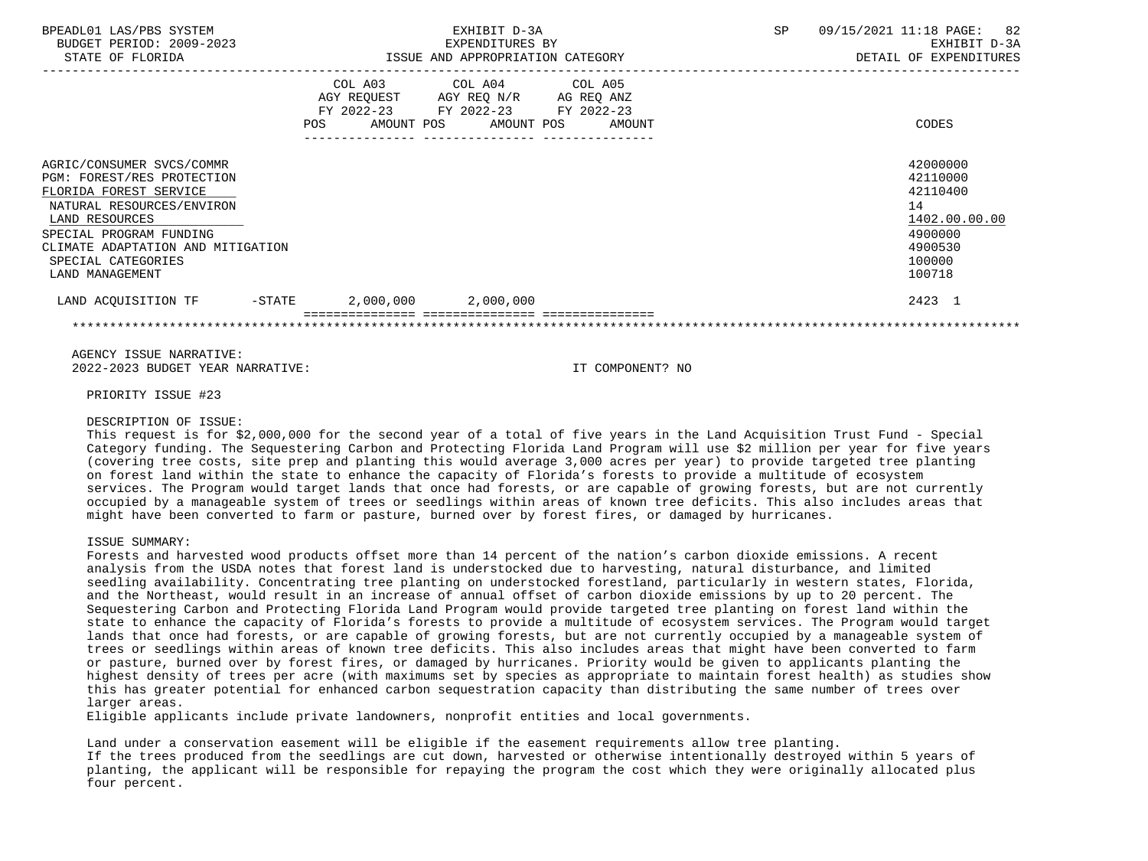| BPEADL01 LAS/PBS SYSTEM<br>BUDGET PERIOD: 2009-2023<br>STATE OF FLORIDA                                                                                                                                                                   |                     | EXHIBIT D-3A<br>EXPENDITURES BY<br>ISSUE AND APPROPRIATION CATEGORY                                                                  | SP<br>09/15/2021 11:18 PAGE:<br>EXHIBIT D-3A<br>DETAIL OF EXPENDITURES |                                                                                                   |  |
|-------------------------------------------------------------------------------------------------------------------------------------------------------------------------------------------------------------------------------------------|---------------------|--------------------------------------------------------------------------------------------------------------------------------------|------------------------------------------------------------------------|---------------------------------------------------------------------------------------------------|--|
|                                                                                                                                                                                                                                           | POS                 | COL A03 COL A04 COL A05<br>AGY REQUEST AGY REQ N/R AG REQ ANZ<br>FY 2022-23 FY 2022-23 FY 2022-23<br>AMOUNT POS AMOUNT POS<br>AMOUNT |                                                                        | CODES                                                                                             |  |
| AGRIC/CONSUMER SVCS/COMMR<br>PGM: FOREST/RES PROTECTION<br>FLORIDA FOREST SERVICE<br>NATURAL RESOURCES/ENVIRON<br>LAND RESOURCES<br>SPECIAL PROGRAM FUNDING<br>CLIMATE ADAPTATION AND MITIGATION<br>SPECIAL CATEGORIES<br>LAND MANAGEMENT |                     |                                                                                                                                      |                                                                        | 42000000<br>42110000<br>42110400<br>14<br>1402.00.00.00<br>4900000<br>4900530<br>100000<br>100718 |  |
| LAND ACOUISITION TF<br>-STATE                                                                                                                                                                                                             | 2,000,000 2,000,000 |                                                                                                                                      |                                                                        | 2423 1                                                                                            |  |
|                                                                                                                                                                                                                                           |                     |                                                                                                                                      |                                                                        |                                                                                                   |  |

 AGENCY ISSUE NARRATIVE: 2022-2023 BUDGET YEAR NARRATIVE: IT COMPONENT? NO

PRIORITY ISSUE #23

## DESCRIPTION OF ISSUE:

 This request is for \$2,000,000 for the second year of a total of five years in the Land Acquisition Trust Fund - Special Category funding. The Sequestering Carbon and Protecting Florida Land Program will use \$2 million per year for five years (covering tree costs, site prep and planting this would average 3,000 acres per year) to provide targeted tree planting on forest land within the state to enhance the capacity of Florida's forests to provide a multitude of ecosystem services. The Program would target lands that once had forests, or are capable of growing forests, but are not currently occupied by a manageable system of trees or seedlings within areas of known tree deficits. This also includes areas that might have been converted to farm or pasture, burned over by forest fires, or damaged by hurricanes.

## ISSUE SUMMARY:

 Forests and harvested wood products offset more than 14 percent of the nation's carbon dioxide emissions. A recent analysis from the USDA notes that forest land is understocked due to harvesting, natural disturbance, and limited seedling availability. Concentrating tree planting on understocked forestland, particularly in western states, Florida, and the Northeast, would result in an increase of annual offset of carbon dioxide emissions by up to 20 percent. The Sequestering Carbon and Protecting Florida Land Program would provide targeted tree planting on forest land within the state to enhance the capacity of Florida's forests to provide a multitude of ecosystem services. The Program would target lands that once had forests, or are capable of growing forests, but are not currently occupied by a manageable system of trees or seedlings within areas of known tree deficits. This also includes areas that might have been converted to farm or pasture, burned over by forest fires, or damaged by hurricanes. Priority would be given to applicants planting the highest density of trees per acre (with maximums set by species as appropriate to maintain forest health) as studies show this has greater potential for enhanced carbon sequestration capacity than distributing the same number of trees over larger areas.

Eligible applicants include private landowners, nonprofit entities and local governments.

 Land under a conservation easement will be eligible if the easement requirements allow tree planting. If the trees produced from the seedlings are cut down, harvested or otherwise intentionally destroyed within 5 years of planting, the applicant will be responsible for repaying the program the cost which they were originally allocated plus four percent.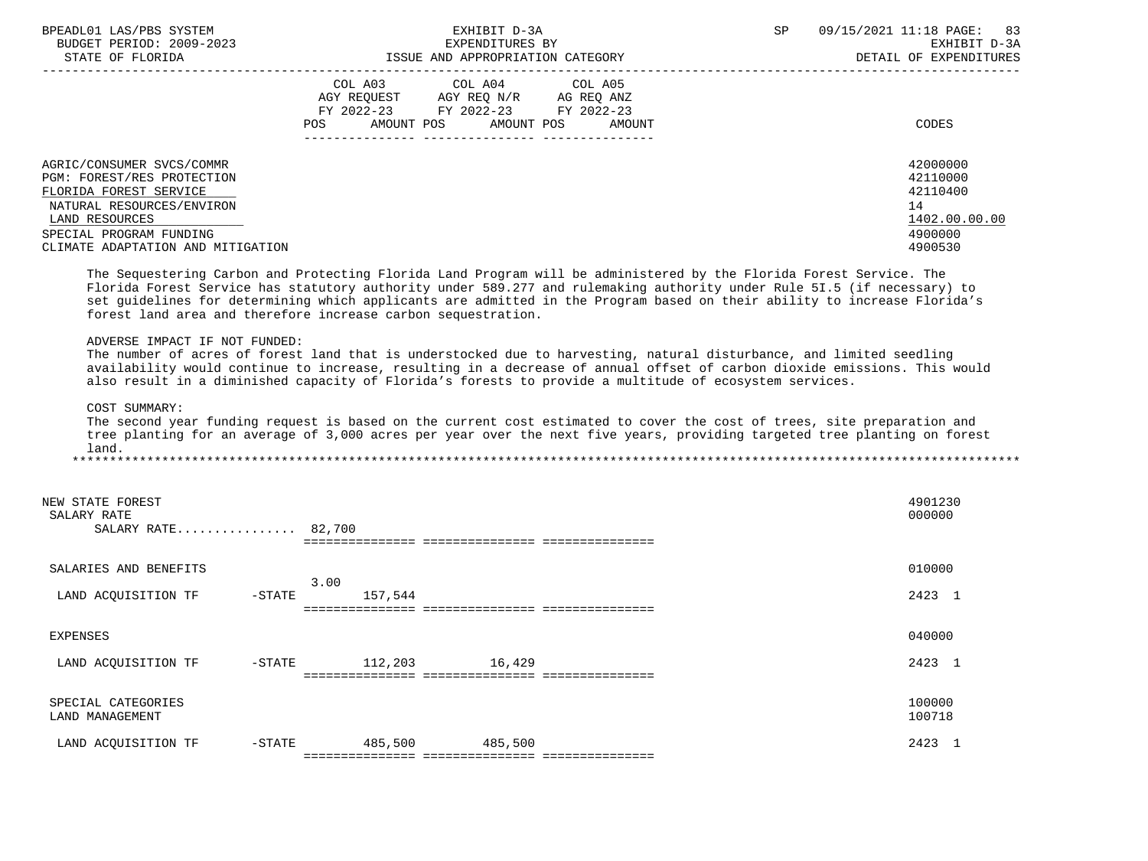| COL A03<br>COL A04 COL A05<br>AGY REOUEST<br>AGY REO N/R AG REO ANZ<br>FY 2022-23<br>FY 2022-23<br>FY 2022-23<br>CODES<br>AMOUNT POS<br>POS<br>AMOUNT POS<br>AMOUNT<br>42000000<br>AGRIC/CONSUMER SVCS/COMMR<br>42110000<br>PGM: FOREST/RES PROTECTION<br>42110400<br>FLORIDA FOREST SERVICE<br>14<br>NATURAL RESOURCES/ENVIRON<br>LAND RESOURCES<br>4900000<br>SPECIAL PROGRAM FUNDING<br>4900530<br>CLIMATE ADAPTATION AND MITIGATION | BPEADL01 LAS/PBS SYSTEM<br>BUDGET PERIOD: 2009-2023<br>STATE OF FLORIDA | SP<br>EXHIBIT D-3A<br>EXPENDITURES BY<br>ISSUE AND APPROPRIATION CATEGORY |  |  | 09/15/2021 11:18 PAGE: 83<br>EXHIBIT D-3A<br>DETAIL OF EXPENDITURES |
|-----------------------------------------------------------------------------------------------------------------------------------------------------------------------------------------------------------------------------------------------------------------------------------------------------------------------------------------------------------------------------------------------------------------------------------------|-------------------------------------------------------------------------|---------------------------------------------------------------------------|--|--|---------------------------------------------------------------------|
|                                                                                                                                                                                                                                                                                                                                                                                                                                         |                                                                         |                                                                           |  |  |                                                                     |
|                                                                                                                                                                                                                                                                                                                                                                                                                                         |                                                                         |                                                                           |  |  | 1402.00.00.00                                                       |
|                                                                                                                                                                                                                                                                                                                                                                                                                                         |                                                                         |                                                                           |  |  |                                                                     |

 The Sequestering Carbon and Protecting Florida Land Program will be administered by the Florida Forest Service. The Florida Forest Service has statutory authority under 589.277 and rulemaking authority under Rule 5I.5 (if necessary) to set guidelines for determining which applicants are admitted in the Program based on their ability to increase Florida's forest land area and therefore increase carbon sequestration.

## ADVERSE IMPACT IF NOT FUNDED:

 The number of acres of forest land that is understocked due to harvesting, natural disturbance, and limited seedling availability would continue to increase, resulting in a decrease of annual offset of carbon dioxide emissions. This would also result in a diminished capacity of Florida's forests to provide a multitude of ecosystem services.

### COST SUMMARY:

 The second year funding request is based on the current cost estimated to cover the cost of trees, site preparation and tree planting for an average of 3,000 acres per year over the next five years, providing targeted tree planting on forest land.

| NEW STATE FOREST<br>SALARY RATE<br>SALARY RATE 82,700 |                   |                            |         | 4901230<br>000000 |
|-------------------------------------------------------|-------------------|----------------------------|---------|-------------------|
| SALARIES AND BENEFITS                                 |                   |                            |         | 010000            |
| LAND ACQUISITION TF                                   | 3.00<br>$-$ STATE | 157,544                    |         | 2423 1            |
| EXPENSES                                              |                   |                            |         | 040000            |
| LAND ACQUISITION TF                                   | -STATE            | 112,203                    | 16,429  | 2423 1            |
| SPECIAL CATEGORIES<br>LAND MANAGEMENT                 |                   |                            |         | 100000<br>100718  |
| LAND ACQUISITION TF                                   | $-$ STATE         | 485,500<br>======== ====== | 485,500 | 2423 1            |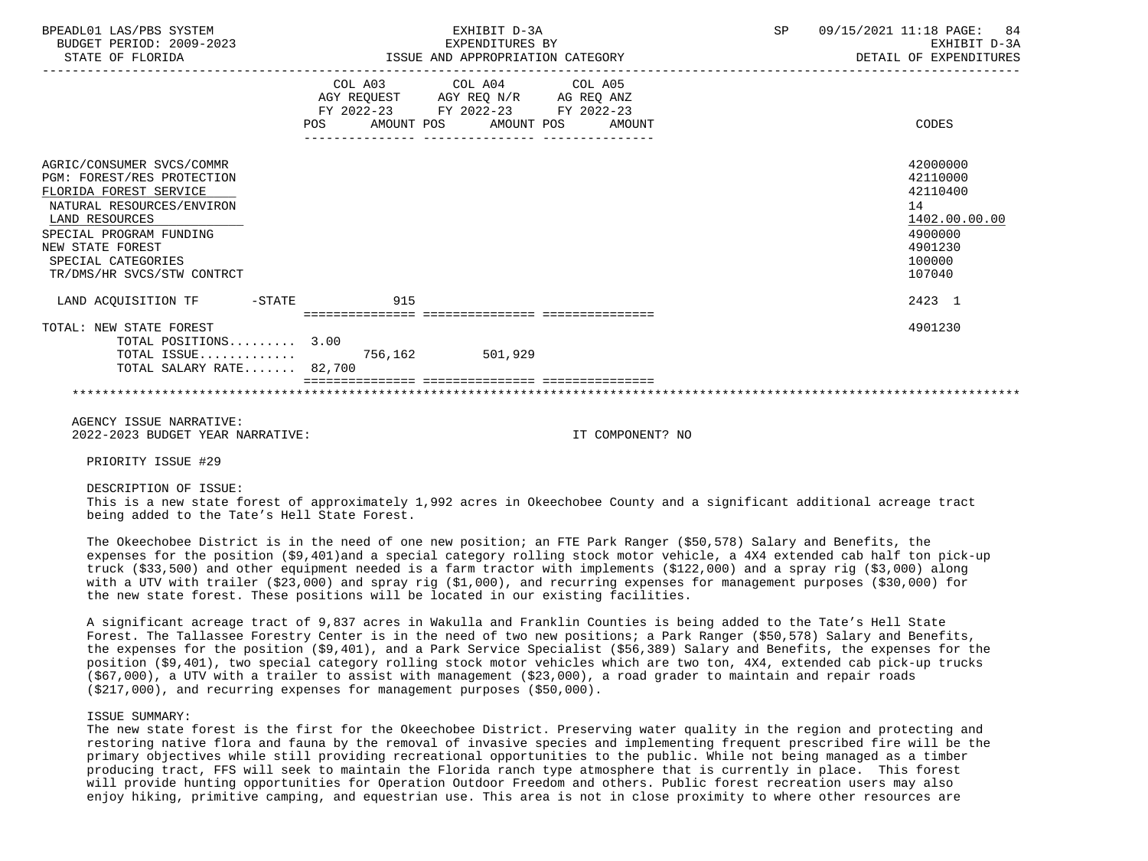| BPEADL01 LAS/PBS SYSTEM<br>BUDGET PERIOD: 2009-2023<br>STATE OF FLORIDA                                                                                                                                                             |                                                                                                                                                                                                                                       | EXHIBIT D-3A<br>EXPENDITURES BY<br>ISSUE AND APPROPRIATION CATEGORY | <b>SP</b> | 09/15/2021 11:18 PAGE: 84<br>EXHIBIT D-3A<br>DETAIL OF EXPENDITURES                               |
|-------------------------------------------------------------------------------------------------------------------------------------------------------------------------------------------------------------------------------------|---------------------------------------------------------------------------------------------------------------------------------------------------------------------------------------------------------------------------------------|---------------------------------------------------------------------|-----------|---------------------------------------------------------------------------------------------------|
|                                                                                                                                                                                                                                     | COL A03 COL A04 COL A05<br>$\begin{tabular}{lllllll} AGY & \texttt{REQUEST} & \texttt{AGY REQ} & \texttt{N/R} & \texttt{AG REQ} & \texttt{ANZ} \end{tabular}$<br>FY 2022-23 FY 2022-23 FY 2022-23<br>POS AMOUNT POS AMOUNT POS AMOUNT |                                                                     |           | CODES                                                                                             |
| AGRIC/CONSUMER SVCS/COMMR<br>PGM: FOREST/RES PROTECTION<br>FLORIDA FOREST SERVICE<br>NATURAL RESOURCES/ENVIRON<br>LAND RESOURCES<br>SPECIAL PROGRAM FUNDING<br>NEW STATE FOREST<br>SPECIAL CATEGORIES<br>TR/DMS/HR SVCS/STW CONTRCT |                                                                                                                                                                                                                                       |                                                                     |           | 42000000<br>42110000<br>42110400<br>14<br>1402.00.00.00<br>4900000<br>4901230<br>100000<br>107040 |
| LAND ACQUISITION TF -STATE 915                                                                                                                                                                                                      |                                                                                                                                                                                                                                       |                                                                     |           | 2423 1                                                                                            |
| TOTAL: NEW STATE FOREST<br>TOTAL POSITIONS $3.00$<br>TOTAL ISSUE 756,162 501,929<br>TOTAL SALARY RATE 82,700                                                                                                                        |                                                                                                                                                                                                                                       |                                                                     |           | 4901230                                                                                           |
| AGENCY ISSUE NARRATIVE:                                                                                                                                                                                                             |                                                                                                                                                                                                                                       |                                                                     |           |                                                                                                   |

2022-2023 BUDGET YEAR NARRATIVE: IT COMPONENT? NO

PRIORITY ISSUE #29

DESCRIPTION OF ISSUE:

 This is a new state forest of approximately 1,992 acres in Okeechobee County and a significant additional acreage tract being added to the Tate's Hell State Forest.

 The Okeechobee District is in the need of one new position; an FTE Park Ranger (\$50,578) Salary and Benefits, the expenses for the position (\$9,401)and a special category rolling stock motor vehicle, a 4X4 extended cab half ton pick-up truck (\$33,500) and other equipment needed is a farm tractor with implements (\$122,000) and a spray rig (\$3,000) along with a UTV with trailer (\$23,000) and spray rig (\$1,000), and recurring expenses for management purposes (\$30,000) for the new state forest. These positions will be located in our existing facilities.

 A significant acreage tract of 9,837 acres in Wakulla and Franklin Counties is being added to the Tate's Hell State Forest. The Tallassee Forestry Center is in the need of two new positions; a Park Ranger (\$50,578) Salary and Benefits, the expenses for the position (\$9,401), and a Park Service Specialist (\$56,389) Salary and Benefits, the expenses for the position (\$9,401), two special category rolling stock motor vehicles which are two ton, 4X4, extended cab pick-up trucks (\$67,000), a UTV with a trailer to assist with management (\$23,000), a road grader to maintain and repair roads (\$217,000), and recurring expenses for management purposes (\$50,000).

## ISSUE SUMMARY:

 The new state forest is the first for the Okeechobee District. Preserving water quality in the region and protecting and restoring native flora and fauna by the removal of invasive species and implementing frequent prescribed fire will be the primary objectives while still providing recreational opportunities to the public. While not being managed as a timber producing tract, FFS will seek to maintain the Florida ranch type atmosphere that is currently in place. This forest will provide hunting opportunities for Operation Outdoor Freedom and others. Public forest recreation users may also enjoy hiking, primitive camping, and equestrian use. This area is not in close proximity to where other resources are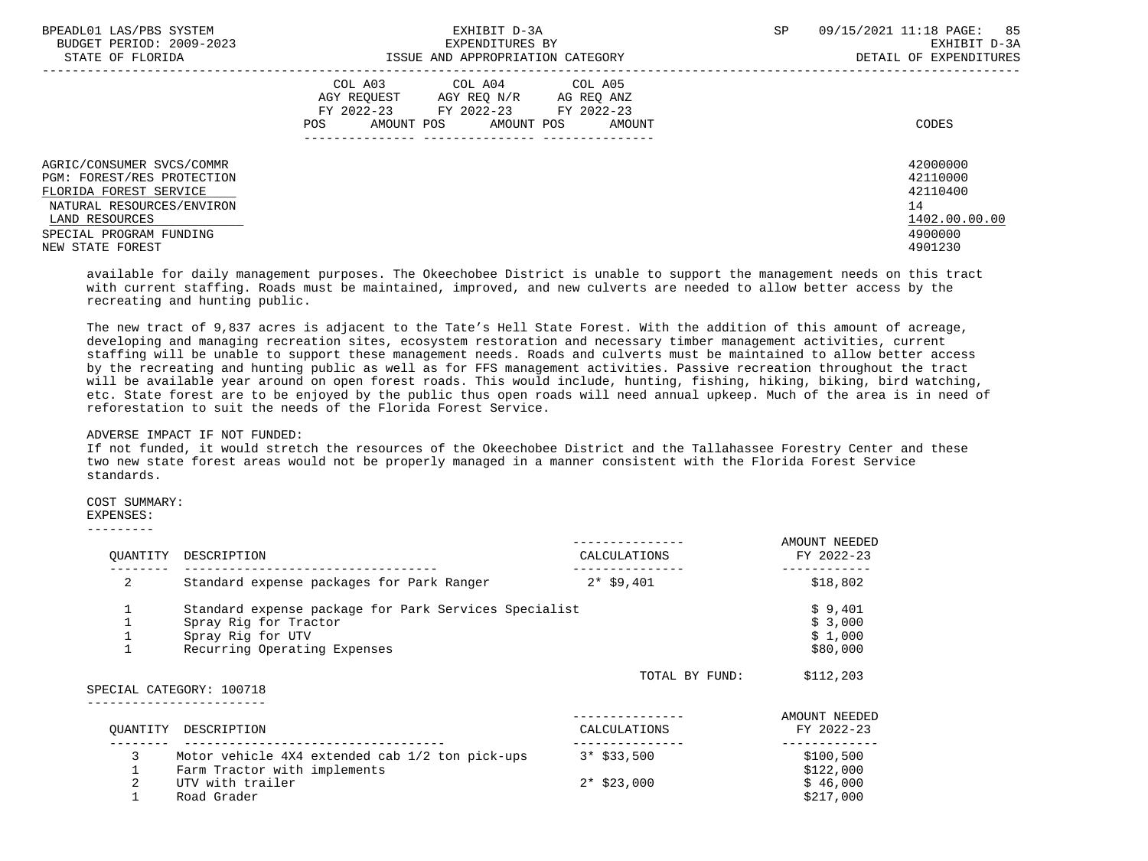| BPEADL01 LAS/PBS SYSTEM<br>BUDGET PERIOD: 2009-2023                                                                                                         | EXHIBIT D-3A<br>EXPENDITURES BY                                                                                                                   | SP<br>09/15/2021 11:18 PAGE: 85<br>EXHIBIT D-3A                    |
|-------------------------------------------------------------------------------------------------------------------------------------------------------------|---------------------------------------------------------------------------------------------------------------------------------------------------|--------------------------------------------------------------------|
| STATE OF FLORIDA                                                                                                                                            | ISSUE AND APPROPRIATION CATEGORY                                                                                                                  | DETAIL OF EXPENDITURES                                             |
|                                                                                                                                                             | COL A03 COL A04 COL A05<br>AGY REOUEST<br>AGY REO N/R<br>AG REO ANZ<br>FY 2022-23 FY 2022-23 FY 2022-23<br>AMOUNT POS AMOUNT POS<br>AMOUNT<br>POS | CODES                                                              |
| AGRIC/CONSUMER SVCS/COMMR<br>PGM: FOREST/RES PROTECTION<br>FLORIDA FOREST SERVICE<br>NATURAL RESOURCES/ENVIRON<br>LAND RESOURCES<br>SPECIAL PROGRAM FUNDING |                                                                                                                                                   | 42000000<br>42110000<br>42110400<br>14<br>1402.00.00.00<br>4900000 |
| NEW STATE FOREST                                                                                                                                            |                                                                                                                                                   | 4901230                                                            |

 available for daily management purposes. The Okeechobee District is unable to support the management needs on this tract with current staffing. Roads must be maintained, improved, and new culverts are needed to allow better access by the recreating and hunting public.

 The new tract of 9,837 acres is adjacent to the Tate's Hell State Forest. With the addition of this amount of acreage, developing and managing recreation sites, ecosystem restoration and necessary timber management activities, current staffing will be unable to support these management needs. Roads and culverts must be maintained to allow better access by the recreating and hunting public as well as for FFS management activities. Passive recreation throughout the tract will be available year around on open forest roads. This would include, hunting, fishing, hiking, biking, bird watching, etc. State forest are to be enjoyed by the public thus open roads will need annual upkeep. Much of the area is in need of reforestation to suit the needs of the Florida Forest Service.

## ADVERSE IMPACT IF NOT FUNDED:

 If not funded, it would stretch the resources of the Okeechobee District and the Tallahassee Forestry Center and these two new state forest areas would not be properly managed in a manner consistent with the Florida Forest Service standards.

## COST SUMMARY:

# EXPENSES:

---------

| OUANTITY | DESCRIPTION                                                                                                                         | CALCULATIONS   | AMOUNT NEEDED<br>FY 2022-23               |
|----------|-------------------------------------------------------------------------------------------------------------------------------------|----------------|-------------------------------------------|
| 2        | Standard expense packages for Park Ranger                                                                                           | $2*$ \$9,401   | \$18,802                                  |
|          | Standard expense package for Park Services Specialist<br>Spray Rig for Tractor<br>Spray Rig for UTV<br>Recurring Operating Expenses |                | \$9,401<br>\$3,000<br>\$1,000<br>\$80,000 |
|          | SPECIAL CATEGORY: 100718                                                                                                            | TOTAL BY FUND: | \$112,203                                 |
| OUANTITY | DESCRIPTION                                                                                                                         | CALCULATIONS   | AMOUNT NEEDED<br>FY 2022-23               |
| 3        | Motor vehicle 4X4 extended cab 1/2 ton pick-ups<br>Farm Tractor with implements                                                     | $3*$ \$33,500  | \$100,500<br>\$122,000                    |
|          | UTV with trailer<br>Road Grader                                                                                                     | $2*$ \$23,000  | \$46,000<br>\$217,000                     |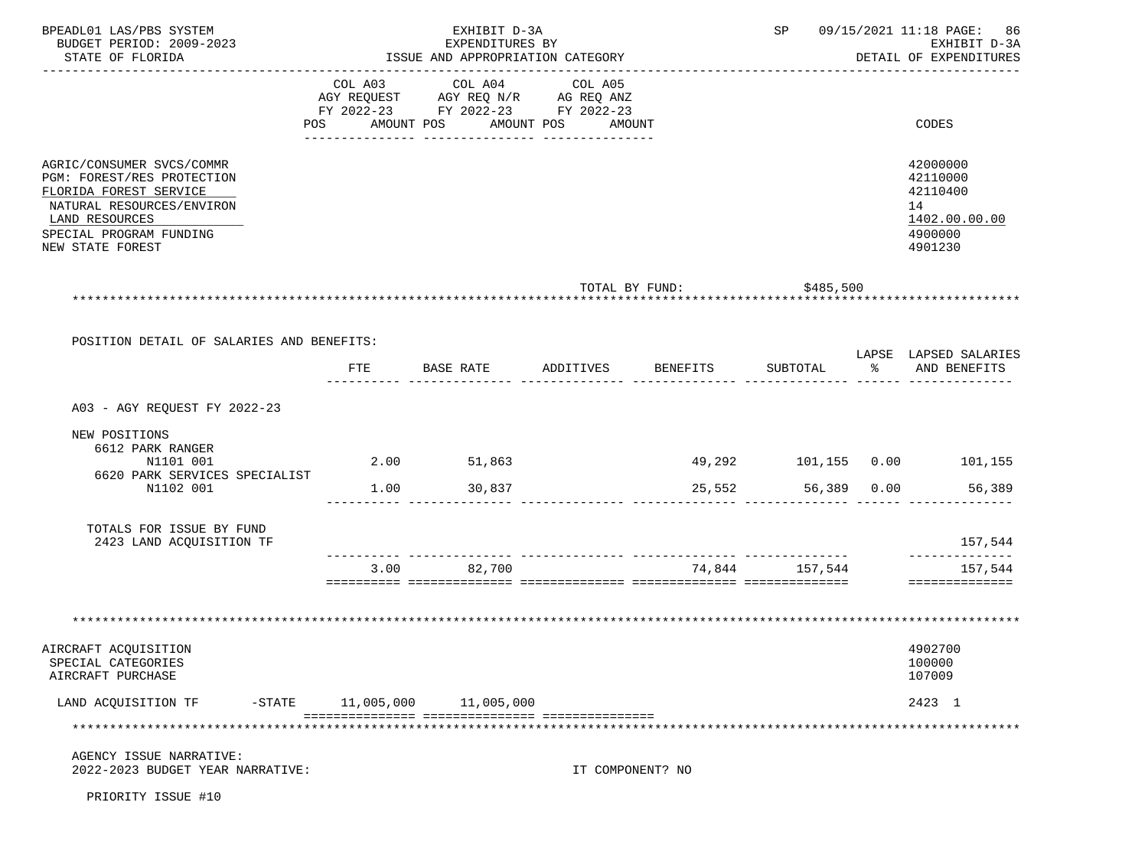| BPEADL01 LAS/PBS SYSTEM<br>BUDGET PERIOD: 2009-2023<br>STATE OF FLORIDA                                                                                                         | EXHIBIT D-3A<br>EXPENDITURES BY<br>ISSUE AND APPROPRIATION CATEGORY |                                                                        |                   |                |                    | SP 09/15/2021 11:18 PAGE: 86<br>EXHIBIT D-3A<br>DETAIL OF EXPENDITURES        |
|---------------------------------------------------------------------------------------------------------------------------------------------------------------------------------|---------------------------------------------------------------------|------------------------------------------------------------------------|-------------------|----------------|--------------------|-------------------------------------------------------------------------------|
|                                                                                                                                                                                 |                                                                     |                                                                        |                   |                |                    |                                                                               |
|                                                                                                                                                                                 | COL A03                                                             | COL A04 COL A05                                                        |                   |                |                    |                                                                               |
|                                                                                                                                                                                 |                                                                     | AGY REQUEST AGY REQ N/R AG REQ ANZ<br>FY 2022-23 FY 2022-23 FY 2022-23 |                   |                |                    |                                                                               |
|                                                                                                                                                                                 | POS AMOUNT POS                                                      |                                                                        | AMOUNT POS AMOUNT |                |                    | CODES                                                                         |
|                                                                                                                                                                                 |                                                                     |                                                                        |                   |                |                    |                                                                               |
| AGRIC/CONSUMER SVCS/COMMR<br>PGM: FOREST/RES PROTECTION<br>FLORIDA FOREST SERVICE<br>NATURAL RESOURCES/ENVIRON<br>LAND RESOURCES<br>SPECIAL PROGRAM FUNDING<br>NEW STATE FOREST |                                                                     |                                                                        |                   |                |                    | 42000000<br>42110000<br>42110400<br>14<br>1402.00.00.00<br>4900000<br>4901230 |
|                                                                                                                                                                                 |                                                                     |                                                                        |                   | TOTAL BY FUND: | \$485,500          |                                                                               |
|                                                                                                                                                                                 |                                                                     |                                                                        |                   |                |                    |                                                                               |
| POSITION DETAIL OF SALARIES AND BENEFITS:                                                                                                                                       |                                                                     |                                                                        |                   |                |                    | LAPSE LAPSED SALARIES                                                         |
|                                                                                                                                                                                 | FTE                                                                 | BASE RATE                                                              | ADDITIVES         | BENEFITS       |                    | SUBTOTAL % AND BENEFITS                                                       |
| A03 - AGY REQUEST FY 2022-23                                                                                                                                                    |                                                                     |                                                                        |                   |                |                    |                                                                               |
| NEW POSITIONS                                                                                                                                                                   |                                                                     |                                                                        |                   |                |                    |                                                                               |
| 6612 PARK RANGER                                                                                                                                                                |                                                                     |                                                                        |                   |                |                    |                                                                               |
| N1101 001                                                                                                                                                                       |                                                                     | 2.00 51,863                                                            |                   |                |                    | 49,292 101,155 0.00 101,155                                                   |
| 6620 PARK SERVICES SPECIALIST                                                                                                                                                   |                                                                     |                                                                        |                   |                |                    |                                                                               |
| N1102 001                                                                                                                                                                       |                                                                     | $1.00$ 30,837                                                          |                   |                | 25,552 56,389 0.00 | 56,389                                                                        |
| TOTALS FOR ISSUE BY FUND<br>2423 LAND ACQUISITION TF                                                                                                                            |                                                                     |                                                                        |                   |                |                    | 157,544<br>--------------                                                     |
|                                                                                                                                                                                 |                                                                     | 3.00 82.700                                                            |                   |                | 74,844 157,544     | 157,544                                                                       |
|                                                                                                                                                                                 |                                                                     |                                                                        |                   |                |                    | ==============                                                                |
|                                                                                                                                                                                 |                                                                     |                                                                        |                   |                |                    |                                                                               |
|                                                                                                                                                                                 |                                                                     |                                                                        |                   |                |                    |                                                                               |
| AIRCRAFT ACQUISITION<br>SPECIAL CATEGORIES<br>AIRCRAFT PURCHASE                                                                                                                 |                                                                     |                                                                        |                   |                |                    | 4902700<br>100000<br>107009                                                   |
| LAND ACQUISITION TF<br>$-$ STATE                                                                                                                                                |                                                                     | 11,005,000 11,005,000                                                  |                   |                |                    | 2423 1                                                                        |
|                                                                                                                                                                                 |                                                                     |                                                                        |                   |                |                    |                                                                               |
|                                                                                                                                                                                 |                                                                     |                                                                        |                   |                |                    |                                                                               |
| AGENCY ISSUE NARRATIVE:<br>2022-2023 BUDGET YEAR NARRATIVE:                                                                                                                     |                                                                     |                                                                        | IT COMPONENT? NO  |                |                    |                                                                               |
| PRIORITY ISSUE #10                                                                                                                                                              |                                                                     |                                                                        |                   |                |                    |                                                                               |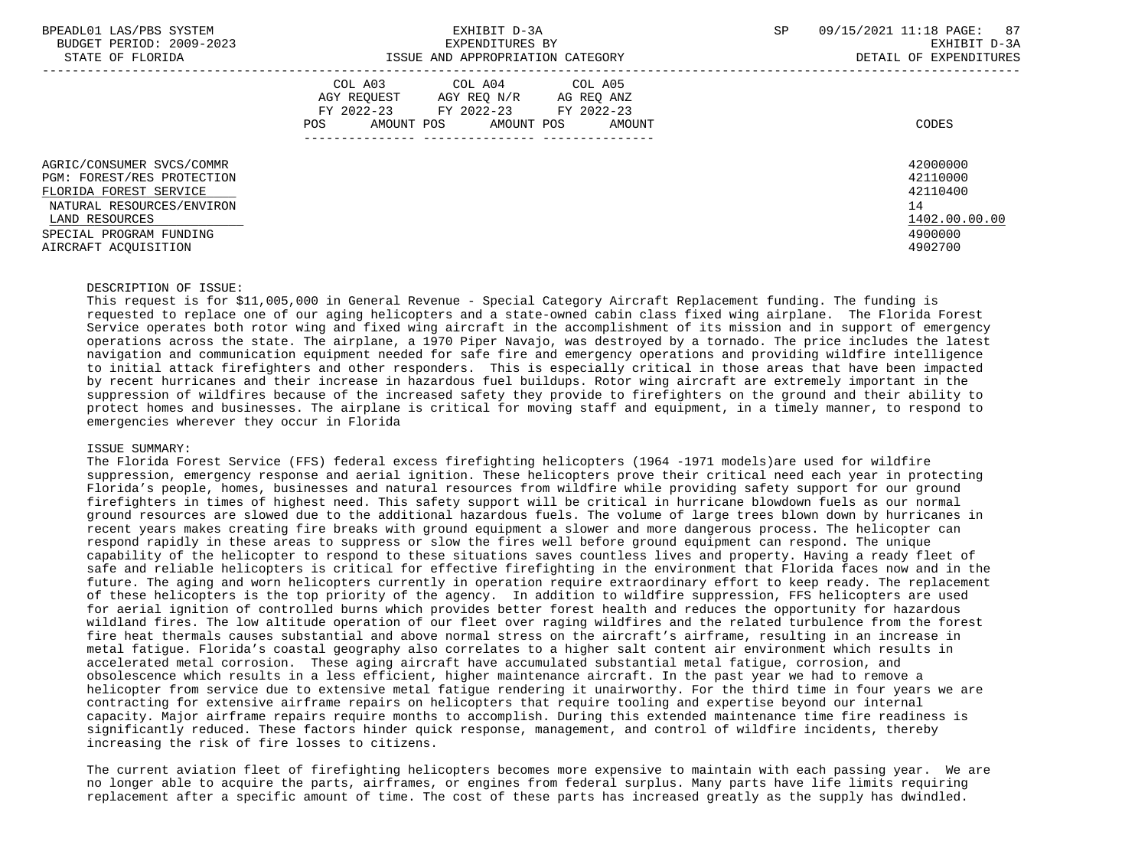| BPEADL01 LAS/PBS SYSTEM |     |                          |
|-------------------------|-----|--------------------------|
|                         |     | BUDGET PERIOD: 2009-2023 |
|                         | CDR |                          |

|                                                                                                                                                                                     | COL A03<br>AGY REOUEST<br>FY 2022-23<br>AMOUNT POS<br>POS | COL A04<br>AGY REQ N/R<br>FY 2022-23<br>AMOUNT POS | COL A05<br>AG REQ ANZ<br>FY 2022-23<br>AMOUNT | CODES                                                                         |
|-------------------------------------------------------------------------------------------------------------------------------------------------------------------------------------|-----------------------------------------------------------|----------------------------------------------------|-----------------------------------------------|-------------------------------------------------------------------------------|
| AGRIC/CONSUMER SVCS/COMMR<br>PGM: FOREST/RES PROTECTION<br>FLORIDA FOREST SERVICE<br>NATURAL RESOURCES/ENVIRON<br>LAND RESOURCES<br>SPECIAL PROGRAM FUNDING<br>AIRCRAFT ACQUISITION |                                                           |                                                    |                                               | 42000000<br>42110000<br>42110400<br>14<br>1402.00.00.00<br>4900000<br>4902700 |

## DESCRIPTION OF ISSUE:

 This request is for \$11,005,000 in General Revenue - Special Category Aircraft Replacement funding. The funding is requested to replace one of our aging helicopters and a state-owned cabin class fixed wing airplane. The Florida Forest Service operates both rotor wing and fixed wing aircraft in the accomplishment of its mission and in support of emergency operations across the state. The airplane, a 1970 Piper Navajo, was destroyed by a tornado. The price includes the latest navigation and communication equipment needed for safe fire and emergency operations and providing wildfire intelligence to initial attack firefighters and other responders. This is especially critical in those areas that have been impacted by recent hurricanes and their increase in hazardous fuel buildups. Rotor wing aircraft are extremely important in the suppression of wildfires because of the increased safety they provide to firefighters on the ground and their ability to protect homes and businesses. The airplane is critical for moving staff and equipment, in a timely manner, to respond to emergencies wherever they occur in Florida

## ISSUE SUMMARY:

 The Florida Forest Service (FFS) federal excess firefighting helicopters (1964 -1971 models)are used for wildfire suppression, emergency response and aerial ignition. These helicopters prove their critical need each year in protecting Florida's people, homes, businesses and natural resources from wildfire while providing safety support for our ground firefighters in times of highest need. This safety support will be critical in hurricane blowdown fuels as our normal ground resources are slowed due to the additional hazardous fuels. The volume of large trees blown down by hurricanes in recent years makes creating fire breaks with ground equipment a slower and more dangerous process. The helicopter can respond rapidly in these areas to suppress or slow the fires well before ground equipment can respond. The unique capability of the helicopter to respond to these situations saves countless lives and property. Having a ready fleet of safe and reliable helicopters is critical for effective firefighting in the environment that Florida faces now and in the future. The aging and worn helicopters currently in operation require extraordinary effort to keep ready. The replacement of these helicopters is the top priority of the agency. In addition to wildfire suppression, FFS helicopters are used for aerial ignition of controlled burns which provides better forest health and reduces the opportunity for hazardous wildland fires. The low altitude operation of our fleet over raging wildfires and the related turbulence from the forest fire heat thermals causes substantial and above normal stress on the aircraft's airframe, resulting in an increase in metal fatigue. Florida's coastal geography also correlates to a higher salt content air environment which results in accelerated metal corrosion. These aging aircraft have accumulated substantial metal fatigue, corrosion, and obsolescence which results in a less efficient, higher maintenance aircraft. In the past year we had to remove a helicopter from service due to extensive metal fatigue rendering it unairworthy. For the third time in four years we are contracting for extensive airframe repairs on helicopters that require tooling and expertise beyond our internal capacity. Major airframe repairs require months to accomplish. During this extended maintenance time fire readiness is significantly reduced. These factors hinder quick response, management, and control of wildfire incidents, thereby increasing the risk of fire losses to citizens.

 The current aviation fleet of firefighting helicopters becomes more expensive to maintain with each passing year. We are no longer able to acquire the parts, airframes, or engines from federal surplus. Many parts have life limits requiring replacement after a specific amount of time. The cost of these parts has increased greatly as the supply has dwindled.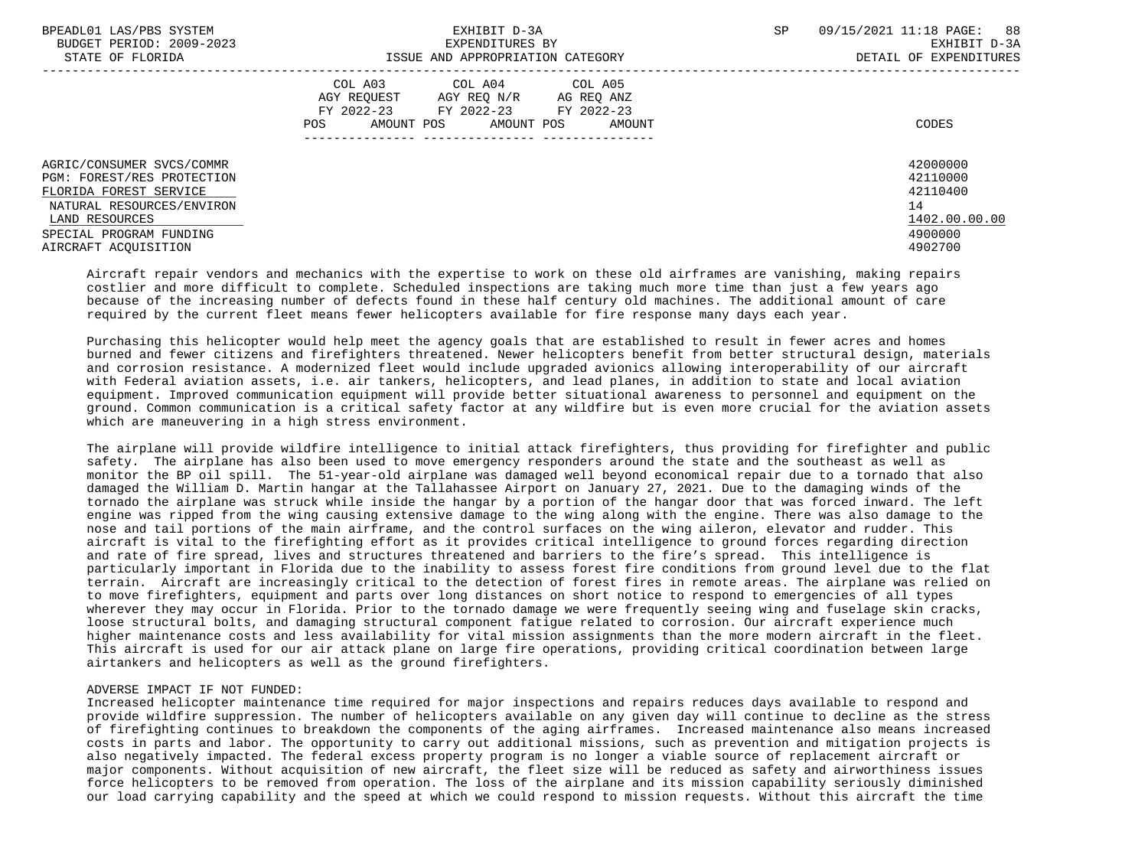| BPEADL01 LAS/PBS SYSTEM<br>BUDGET PERIOD: 2009-2023<br>STATE OF FLORIDA                                                                                                             | EXHIBIT D-3A<br>EXPENDITURES BY<br>ISSUE AND APPROPRIATION CATEGORY                                                                               | 88<br>SP<br>09/15/2021 11:18 PAGE:<br>EXHIBIT D-3A<br>DETAIL OF EXPENDITURES  |
|-------------------------------------------------------------------------------------------------------------------------------------------------------------------------------------|---------------------------------------------------------------------------------------------------------------------------------------------------|-------------------------------------------------------------------------------|
|                                                                                                                                                                                     | COL A04 COL A05<br>COL A03<br>AGY REQUEST AGY REQ N/R AG REQ ANZ<br>FY 2022-23 FY 2022-23 FY 2022-23<br>AMOUNT POS<br>POS<br>AMOUNT POS<br>AMOUNT | CODES                                                                         |
| AGRIC/CONSUMER SVCS/COMMR<br>PGM: FOREST/RES PROTECTION<br>FLORIDA FOREST SERVICE<br>NATURAL RESOURCES/ENVIRON<br>LAND RESOURCES<br>SPECIAL PROGRAM FUNDING<br>AIRCRAFT ACOUISITION |                                                                                                                                                   | 42000000<br>42110000<br>42110400<br>14<br>1402.00.00.00<br>4900000<br>4902700 |

 Aircraft repair vendors and mechanics with the expertise to work on these old airframes are vanishing, making repairs costlier and more difficult to complete. Scheduled inspections are taking much more time than just a few years ago because of the increasing number of defects found in these half century old machines. The additional amount of care required by the current fleet means fewer helicopters available for fire response many days each year.

 Purchasing this helicopter would help meet the agency goals that are established to result in fewer acres and homes burned and fewer citizens and firefighters threatened. Newer helicopters benefit from better structural design, materials and corrosion resistance. A modernized fleet would include upgraded avionics allowing interoperability of our aircraft with Federal aviation assets, i.e. air tankers, helicopters, and lead planes, in addition to state and local aviation equipment. Improved communication equipment will provide better situational awareness to personnel and equipment on the ground. Common communication is a critical safety factor at any wildfire but is even more crucial for the aviation assets which are maneuvering in a high stress environment.

 The airplane will provide wildfire intelligence to initial attack firefighters, thus providing for firefighter and public safety. The airplane has also been used to move emergency responders around the state and the southeast as well as monitor the BP oil spill. The 51-year-old airplane was damaged well beyond economical repair due to a tornado that also damaged the William D. Martin hangar at the Tallahassee Airport on January 27, 2021. Due to the damaging winds of the tornado the airplane was struck while inside the hangar by a portion of the hangar door that was forced inward. The left engine was ripped from the wing causing extensive damage to the wing along with the engine. There was also damage to the nose and tail portions of the main airframe, and the control surfaces on the wing aileron, elevator and rudder. This aircraft is vital to the firefighting effort as it provides critical intelligence to ground forces regarding direction and rate of fire spread, lives and structures threatened and barriers to the fire's spread. This intelligence is particularly important in Florida due to the inability to assess forest fire conditions from ground level due to the flat terrain. Aircraft are increasingly critical to the detection of forest fires in remote areas. The airplane was relied on to move firefighters, equipment and parts over long distances on short notice to respond to emergencies of all types wherever they may occur in Florida. Prior to the tornado damage we were frequently seeing wing and fuselage skin cracks, loose structural bolts, and damaging structural component fatigue related to corrosion. Our aircraft experience much higher maintenance costs and less availability for vital mission assignments than the more modern aircraft in the fleet. This aircraft is used for our air attack plane on large fire operations, providing critical coordination between large airtankers and helicopters as well as the ground firefighters.

#### ADVERSE IMPACT IF NOT FUNDED:

 Increased helicopter maintenance time required for major inspections and repairs reduces days available to respond and provide wildfire suppression. The number of helicopters available on any given day will continue to decline as the stress of firefighting continues to breakdown the components of the aging airframes. Increased maintenance also means increased costs in parts and labor. The opportunity to carry out additional missions, such as prevention and mitigation projects is also negatively impacted. The federal excess property program is no longer a viable source of replacement aircraft or major components. Without acquisition of new aircraft, the fleet size will be reduced as safety and airworthiness issues force helicopters to be removed from operation. The loss of the airplane and its mission capability seriously diminished our load carrying capability and the speed at which we could respond to mission requests. Without this aircraft the time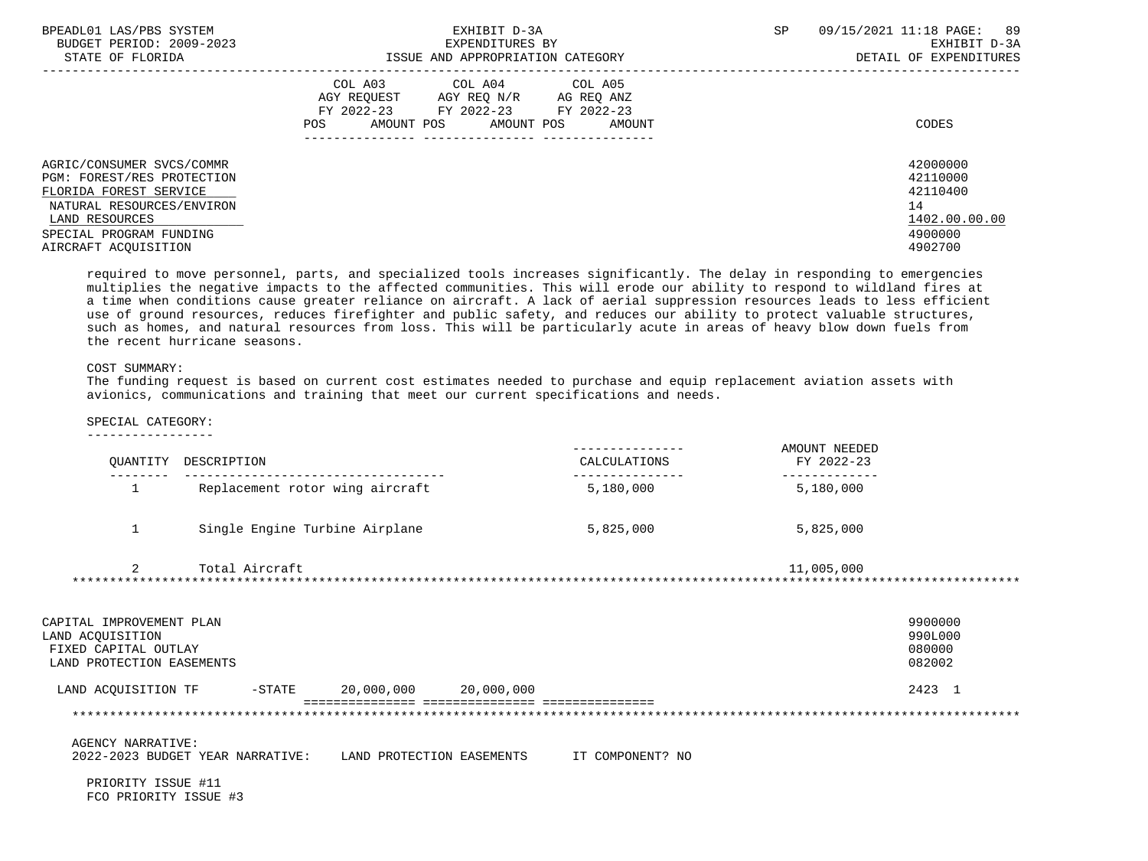| BPEADL01 LAS/PBS SYSTEM<br>BUDGET PERIOD: 2009-2023<br>STATE OF FLORIDA                                                                                                                    | EXHIBIT D-3A<br>EXPENDITURES BY<br>ISSUE AND APPROPRIATION CATEGORY                                                                                     | SP<br>09/15/2021 11:18 PAGE: 89<br>EXHIBIT D-3A<br>DETAIL OF EXPENDITURES     |
|--------------------------------------------------------------------------------------------------------------------------------------------------------------------------------------------|---------------------------------------------------------------------------------------------------------------------------------------------------------|-------------------------------------------------------------------------------|
|                                                                                                                                                                                            | COL A03<br>COL A04<br>COL A05<br>AGY REQ N/R AG REQ ANZ<br>AGY REOUEST<br>FY 2022-23 FY 2022-23 FY 2022-23<br>AMOUNT POS<br>POS<br>AMOUNT POS<br>AMOUNT | CODES                                                                         |
| AGRIC/CONSUMER SVCS/COMMR<br><b>PGM: FOREST/RES PROTECTION</b><br>FLORIDA FOREST SERVICE<br>NATURAL RESOURCES/ENVIRON<br>LAND RESOURCES<br>SPECIAL PROGRAM FUNDING<br>AIRCRAFT ACOUISITION |                                                                                                                                                         | 42000000<br>42110000<br>42110400<br>14<br>1402.00.00.00<br>4900000<br>4902700 |

 required to move personnel, parts, and specialized tools increases significantly. The delay in responding to emergencies multiplies the negative impacts to the affected communities. This will erode our ability to respond to wildland fires at a time when conditions cause greater reliance on aircraft. A lack of aerial suppression resources leads to less efficient use of ground resources, reduces firefighter and public safety, and reduces our ability to protect valuable structures, such as homes, and natural resources from loss. This will be particularly acute in areas of heavy blow down fuels from the recent hurricane seasons.

# COST SUMMARY:

 The funding request is based on current cost estimates needed to purchase and equip replacement aviation assets with avionics, communications and training that meet our current specifications and needs.

SPECIAL CATEGORY:

-----------------

|  | OUANTITY DESCRIPTION            | CALCULATIONS | AMOUNT NEEDED<br>FY 2022-23 |
|--|---------------------------------|--------------|-----------------------------|
|  | Replacement rotor wing aircraft | 5,180,000    | 5,180,000                   |
|  | Single Engine Turbine Airplane  | 5,825,000    | 5,825,000                   |

 2 Total Aircraft 11,005,000 \*\*\*\*\*\*\*\*\*\*\*\*\*\*\*\*\*\*\*\*\*\*\*\*\*\*\*\*\*\*\*\*\*\*\*\*\*\*\*\*\*\*\*\*\*\*\*\*\*\*\*\*\*\*\*\*\*\*\*\*\*\*\*\*\*\*\*\*\*\*\*\*\*\*\*\*\*\*\*\*\*\*\*\*\*\*\*\*\*\*\*\*\*\*\*\*\*\*\*\*\*\*\*\*\*\*\*\*\*\*\*\*\*\*\*\*\*\*\*\*\*\*\*\*\*\*\*

| CAPITAL IMPROVEMENT PLAN<br>LAND ACQUISITION<br>FIXED CAPITAL OUTLAY<br>LAND PROTECTION EASEMENTS |           |            |            | 9900000<br>990L000<br>080000<br>082002 |
|---------------------------------------------------------------------------------------------------|-----------|------------|------------|----------------------------------------|
| LAND ACOUISITION TF                                                                               | $-$ STATE | 20,000,000 | 20,000,000 | 2423 1                                 |

\*\*\*\*\*\*\*\*\*\*\*\*\*\*\*\*\*\*\*\*\*\*\*\*\*\*\*\*\*\*\*\*\*\*\*\*\*\*\*\*\*\*\*\*\*\*\*\*\*\*\*\*\*\*\*\*\*\*\*\*\*\*\*\*\*\*\*\*\*\*\*\*\*\*\*\*\*\*\*\*\*\*\*\*\*\*\*\*\*\*\*\*\*\*\*\*\*\*\*\*\*\*\*\*\*\*\*\*\*\*\*\*\*\*\*\*\*\*\*\*\*\*\*\*\*\*\*

AGENCY NARRATIVE:

2022-2023 BUDGET YEAR NARRATIVE: LAND PROTECTION EASEMENTS IT COMPONENT? NO

 PRIORITY ISSUE #11 FCO PRIORITY ISSUE #3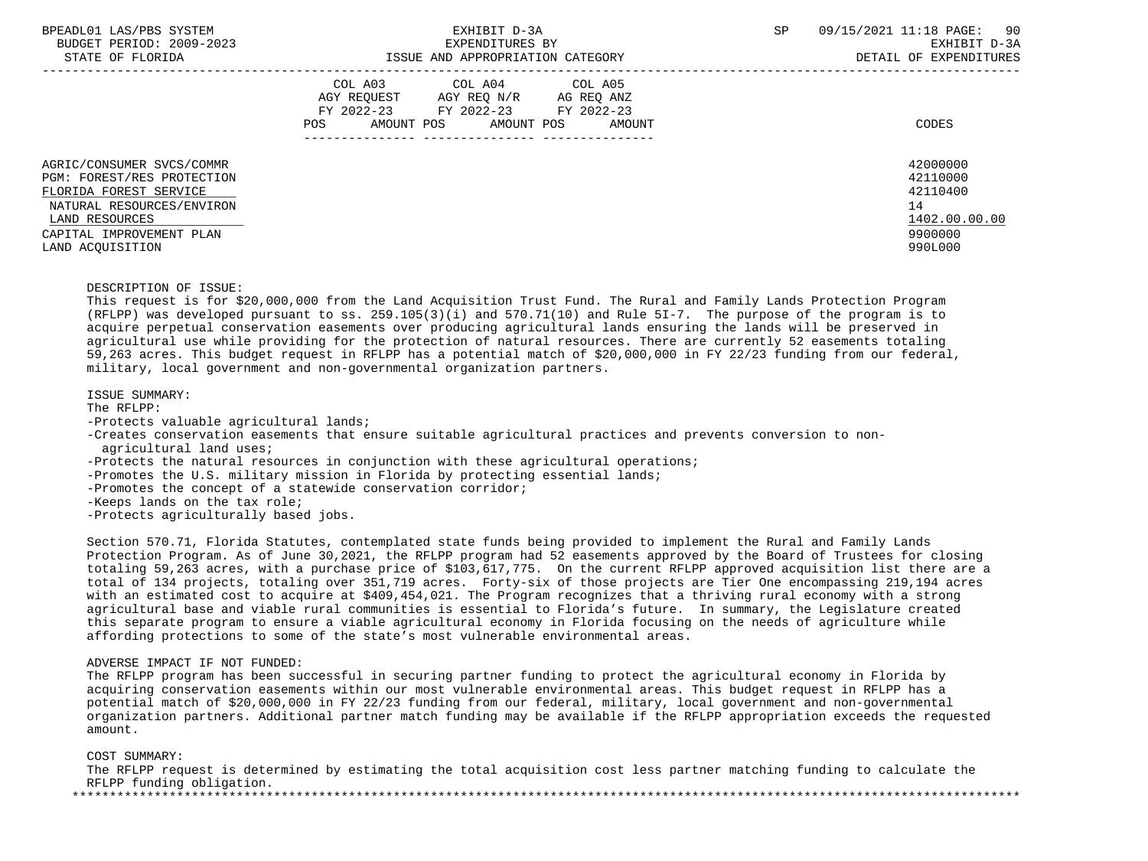| BPEADL01 LAS/PBS SYSTEM<br>BUDGET PERIOD: 2009-2023<br>STATE OF FLORIDA                                                                                                          | EXHIBIT D-3A<br>EXPENDITURES BY<br>ISSUE AND APPROPRIATION CATEGORY                                                                                        | 09/15/2021 11:18 PAGE: 90<br>SP<br>EXHIBIT D-3A<br>DETAIL OF EXPENDITURES     |
|----------------------------------------------------------------------------------------------------------------------------------------------------------------------------------|------------------------------------------------------------------------------------------------------------------------------------------------------------|-------------------------------------------------------------------------------|
|                                                                                                                                                                                  | COL A03<br>COL A04<br>COL A05<br>AGY REO N/R AG REO ANZ<br>AGY REOUEST<br>FY 2022-23 FY 2022-23<br>FY 2022-23<br>POS<br>AMOUNT POS<br>AMOUNT POS<br>AMOUNT | CODES                                                                         |
| AGRIC/CONSUMER SVCS/COMMR<br>PGM: FOREST/RES PROTECTION<br>FLORIDA FOREST SERVICE<br>NATURAL RESOURCES/ENVIRON<br>LAND RESOURCES<br>CAPITAL IMPROVEMENT PLAN<br>LAND ACOUISITION |                                                                                                                                                            | 42000000<br>42110000<br>42110400<br>14<br>1402.00.00.00<br>9900000<br>990L000 |

### DESCRIPTION OF ISSUE:

 This request is for \$20,000,000 from the Land Acquisition Trust Fund. The Rural and Family Lands Protection Program (RFLPP) was developed pursuant to ss. 259.105(3)(i) and 570.71(10) and Rule 5I-7. The purpose of the program is to acquire perpetual conservation easements over producing agricultural lands ensuring the lands will be preserved in agricultural use while providing for the protection of natural resources. There are currently 52 easements totaling 59,263 acres. This budget request in RFLPP has a potential match of \$20,000,000 in FY 22/23 funding from our federal, military, local government and non-governmental organization partners.

ISSUE SUMMARY:

 The RFLPP: -Protects valuable agricultural lands;

 -Creates conservation easements that ensure suitable agricultural practices and prevents conversion to non agricultural land uses;

-Protects the natural resources in conjunction with these agricultural operations;

-Promotes the U.S. military mission in Florida by protecting essential lands;

-Promotes the concept of a statewide conservation corridor;

-Keeps lands on the tax role;

-Protects agriculturally based jobs.

 Section 570.71, Florida Statutes, contemplated state funds being provided to implement the Rural and Family Lands Protection Program. As of June 30,2021, the RFLPP program had 52 easements approved by the Board of Trustees for closing totaling 59,263 acres, with a purchase price of \$103,617,775. On the current RFLPP approved acquisition list there are a total of 134 projects, totaling over 351,719 acres. Forty-six of those projects are Tier One encompassing 219,194 acres with an estimated cost to acquire at \$409,454,021. The Program recognizes that a thriving rural economy with a strong agricultural base and viable rural communities is essential to Florida's future. In summary, the Legislature created this separate program to ensure a viable agricultural economy in Florida focusing on the needs of agriculture while affording protections to some of the state's most vulnerable environmental areas.

#### ADVERSE IMPACT IF NOT FUNDED:

 The RFLPP program has been successful in securing partner funding to protect the agricultural economy in Florida by acquiring conservation easements within our most vulnerable environmental areas. This budget request in RFLPP has a potential match of \$20,000,000 in FY 22/23 funding from our federal, military, local government and non-governmental organization partners. Additional partner match funding may be available if the RFLPP appropriation exceeds the requested amount.

COST SUMMARY:

 The RFLPP request is determined by estimating the total acquisition cost less partner matching funding to calculate the RFLPP funding obligation. \*\*\*\*\*\*\*\*\*\*\*\*\*\*\*\*\*\*\*\*\*\*\*\*\*\*\*\*\*\*\*\*\*\*\*\*\*\*\*\*\*\*\*\*\*\*\*\*\*\*\*\*\*\*\*\*\*\*\*\*\*\*\*\*\*\*\*\*\*\*\*\*\*\*\*\*\*\*\*\*\*\*\*\*\*\*\*\*\*\*\*\*\*\*\*\*\*\*\*\*\*\*\*\*\*\*\*\*\*\*\*\*\*\*\*\*\*\*\*\*\*\*\*\*\*\*\*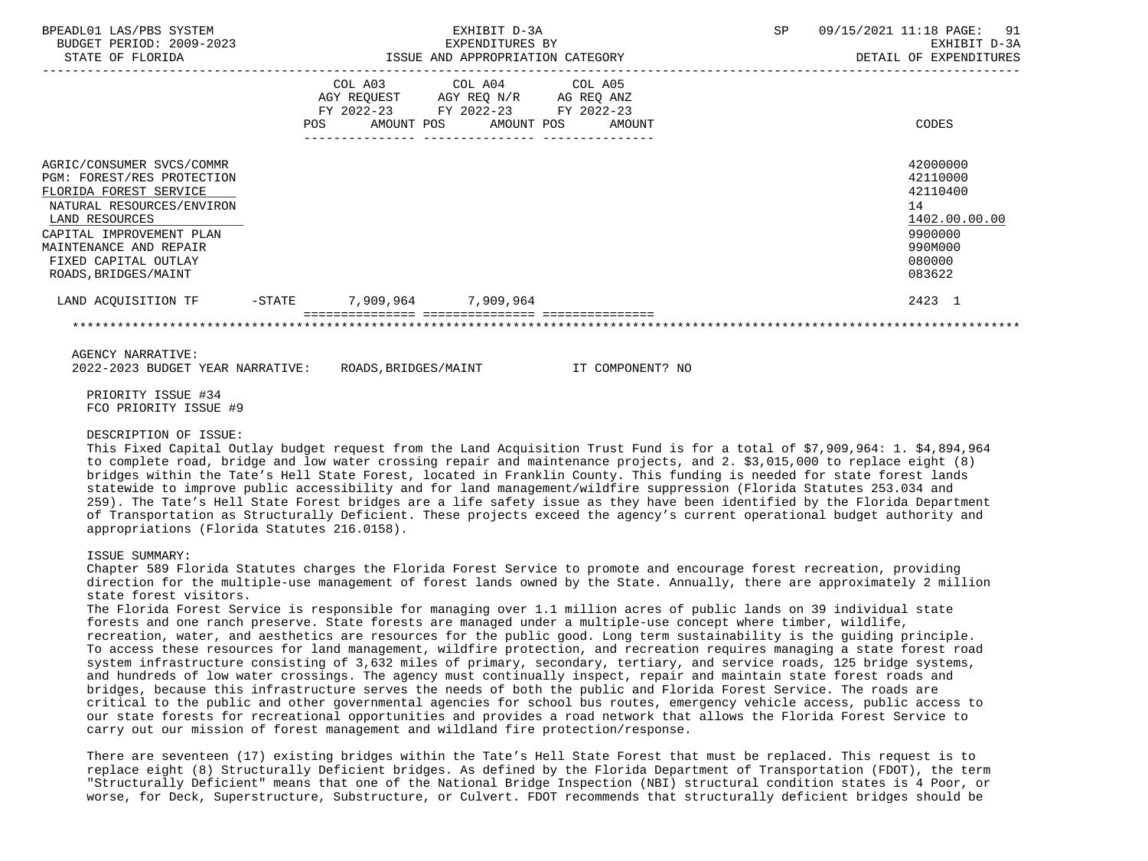| BPEADL01 LAS/PBS SYSTEM<br>BUDGET PERIOD: 2009-2023<br>STATE OF FLORIDA                                                                                                                                                                | ISSUE AND APPROPRIATION CATEGORY                        | EXHIBIT D-3A<br>EXPENDITURES BY                                                                                 |                                       | SP | 09/15/2021 11:18 PAGE: 91<br>EXHIBIT D-3A<br>DETAIL OF EXPENDITURES                               |
|----------------------------------------------------------------------------------------------------------------------------------------------------------------------------------------------------------------------------------------|---------------------------------------------------------|-----------------------------------------------------------------------------------------------------------------|---------------------------------------|----|---------------------------------------------------------------------------------------------------|
|                                                                                                                                                                                                                                        | POS<br>AMOUNT POS<br>----------------  ---------------- | COL A03 COL A04 COL A05<br>AGY REQUEST AGY REQ N/R AG REQ ANZ<br>FY 2022-23 FY 2022-23 FY 2022-23<br>AMOUNT POS | AMOUNT                                |    | CODES                                                                                             |
| AGRIC/CONSUMER SVCS/COMMR<br>PGM: FOREST/RES PROTECTION<br>FLORIDA FOREST SERVICE<br>NATURAL RESOURCES/ENVIRON<br>LAND RESOURCES<br>CAPITAL IMPROVEMENT PLAN<br>MAINTENANCE AND REPAIR<br>FIXED CAPITAL OUTLAY<br>ROADS, BRIDGES/MAINT |                                                         |                                                                                                                 |                                       |    | 42000000<br>42110000<br>42110400<br>14<br>1402.00.00.00<br>9900000<br>990M000<br>080000<br>083622 |
| LAND ACQUISITION TF -STATE 7,909,964 7,909,964                                                                                                                                                                                         |                                                         |                                                                                                                 |                                       |    | 2423 1                                                                                            |
|                                                                                                                                                                                                                                        |                                                         |                                                                                                                 |                                       |    |                                                                                                   |
| AGENCY NARRATIVE:<br>2022-2023 BUDGET YEAR NARRATIVE:                                                                                                                                                                                  |                                                         |                                                                                                                 | ROADS.BRIDGES/MAINT THE TOMPONENT? NO |    |                                                                                                   |
| PRIORITY ISSUE #34<br>FCO PRIORITY ISSUE #9                                                                                                                                                                                            |                                                         |                                                                                                                 |                                       |    |                                                                                                   |

#### DESCRIPTION OF ISSUE:

 This Fixed Capital Outlay budget request from the Land Acquisition Trust Fund is for a total of \$7,909,964: 1. \$4,894,964 to complete road, bridge and low water crossing repair and maintenance projects, and 2. \$3,015,000 to replace eight (8) bridges within the Tate's Hell State Forest, located in Franklin County. This funding is needed for state forest lands statewide to improve public accessibility and for land management/wildfire suppression (Florida Statutes 253.034 and 259). The Tate's Hell State Forest bridges are a life safety issue as they have been identified by the Florida Department of Transportation as Structurally Deficient. These projects exceed the agency's current operational budget authority and appropriations (Florida Statutes 216.0158).

## ISSUE SUMMARY:

 Chapter 589 Florida Statutes charges the Florida Forest Service to promote and encourage forest recreation, providing direction for the multiple-use management of forest lands owned by the State. Annually, there are approximately 2 million state forest visitors.

 The Florida Forest Service is responsible for managing over 1.1 million acres of public lands on 39 individual state forests and one ranch preserve. State forests are managed under a multiple-use concept where timber, wildlife, recreation, water, and aesthetics are resources for the public good. Long term sustainability is the guiding principle. To access these resources for land management, wildfire protection, and recreation requires managing a state forest road system infrastructure consisting of 3,632 miles of primary, secondary, tertiary, and service roads, 125 bridge systems, and hundreds of low water crossings. The agency must continually inspect, repair and maintain state forest roads and bridges, because this infrastructure serves the needs of both the public and Florida Forest Service. The roads are critical to the public and other governmental agencies for school bus routes, emergency vehicle access, public access to our state forests for recreational opportunities and provides a road network that allows the Florida Forest Service to carry out our mission of forest management and wildland fire protection/response.

 There are seventeen (17) existing bridges within the Tate's Hell State Forest that must be replaced. This request is to replace eight (8) Structurally Deficient bridges. As defined by the Florida Department of Transportation (FDOT), the term "Structurally Deficient" means that one of the National Bridge Inspection (NBI) structural condition states is 4 Poor, or worse, for Deck, Superstructure, Substructure, or Culvert. FDOT recommends that structurally deficient bridges should be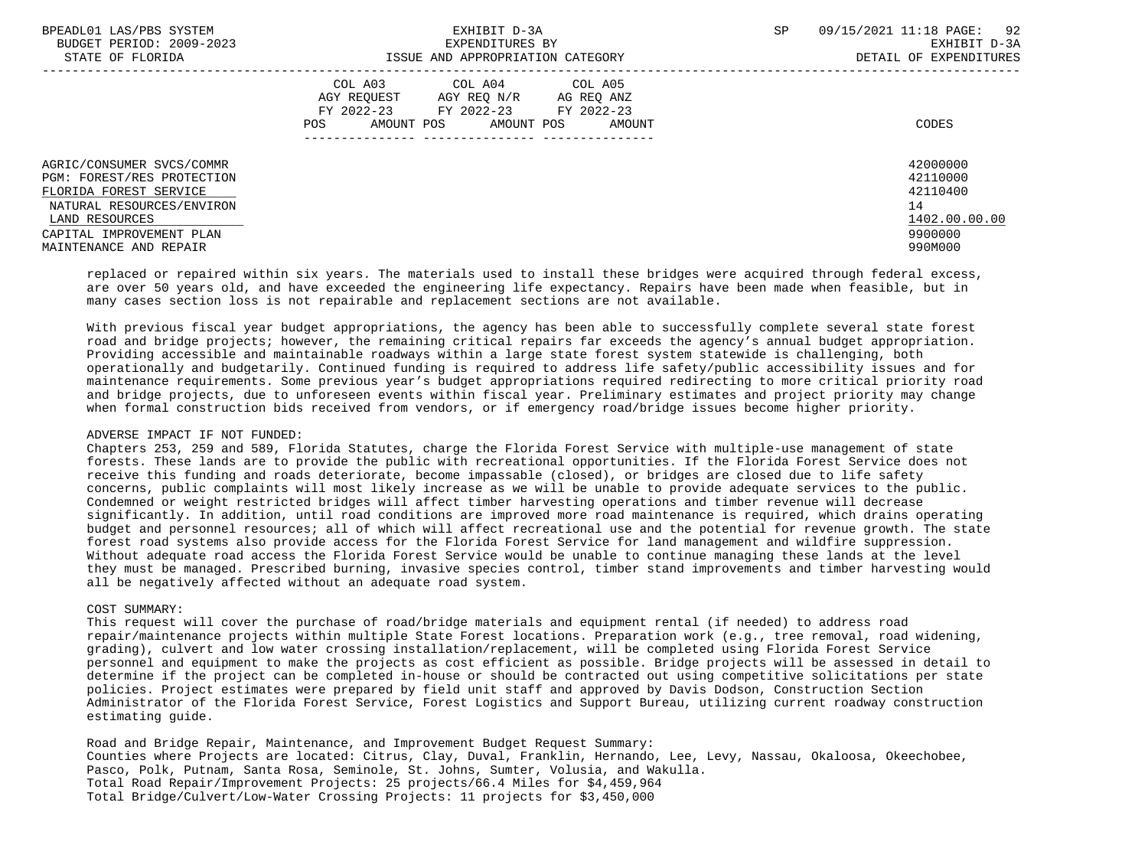| BPEADL01 LAS/PBS SYSTEM<br>BUDGET PERIOD: 2009-2023<br>STATE OF FLORIDA                                                                                                                | EXHIBIT D-3A<br>EXPENDITURES BY<br>ISSUE AND APPROPRIATION CATEGORY                                                                                                                       | 92<br>SP<br>09/15/2021 11:18 PAGE:<br>EXHIBIT D-3A<br>DETAIL OF EXPENDITURES  |
|----------------------------------------------------------------------------------------------------------------------------------------------------------------------------------------|-------------------------------------------------------------------------------------------------------------------------------------------------------------------------------------------|-------------------------------------------------------------------------------|
|                                                                                                                                                                                        | COL A03 COL A04 COL A05<br>AGY REOUEST AGY REO N/R<br>AG REQ ANZ<br>FY 2022-23 FY 2022-23<br>FY 2022-23<br>AMOUNT POS<br>AMOUNT POS<br>POS<br>AMOUNT<br>--------------<br>--------------- | CODES                                                                         |
| AGRIC/CONSUMER SVCS/COMMR<br>PGM: FOREST/RES PROTECTION<br>FLORIDA FOREST SERVICE<br>NATURAL RESOURCES/ENVIRON<br>LAND RESOURCES<br>CAPITAL IMPROVEMENT PLAN<br>MAINTENANCE AND REPAIR |                                                                                                                                                                                           | 42000000<br>42110000<br>42110400<br>14<br>1402.00.00.00<br>9900000<br>990M000 |

 replaced or repaired within six years. The materials used to install these bridges were acquired through federal excess, are over 50 years old, and have exceeded the engineering life expectancy. Repairs have been made when feasible, but in many cases section loss is not repairable and replacement sections are not available.

 With previous fiscal year budget appropriations, the agency has been able to successfully complete several state forest road and bridge projects; however, the remaining critical repairs far exceeds the agency's annual budget appropriation. Providing accessible and maintainable roadways within a large state forest system statewide is challenging, both operationally and budgetarily. Continued funding is required to address life safety/public accessibility issues and for maintenance requirements. Some previous year's budget appropriations required redirecting to more critical priority road and bridge projects, due to unforeseen events within fiscal year. Preliminary estimates and project priority may change when formal construction bids received from vendors, or if emergency road/bridge issues become higher priority.

## ADVERSE IMPACT IF NOT FUNDED:

 Chapters 253, 259 and 589, Florida Statutes, charge the Florida Forest Service with multiple-use management of state forests. These lands are to provide the public with recreational opportunities. If the Florida Forest Service does not receive this funding and roads deteriorate, become impassable (closed), or bridges are closed due to life safety concerns, public complaints will most likely increase as we will be unable to provide adequate services to the public. Condemned or weight restricted bridges will affect timber harvesting operations and timber revenue will decrease significantly. In addition, until road conditions are improved more road maintenance is required, which drains operating budget and personnel resources; all of which will affect recreational use and the potential for revenue growth. The state forest road systems also provide access for the Florida Forest Service for land management and wildfire suppression. Without adequate road access the Florida Forest Service would be unable to continue managing these lands at the level they must be managed. Prescribed burning, invasive species control, timber stand improvements and timber harvesting would all be negatively affected without an adequate road system.

### COST SUMMARY:

 This request will cover the purchase of road/bridge materials and equipment rental (if needed) to address road repair/maintenance projects within multiple State Forest locations. Preparation work (e.g., tree removal, road widening, grading), culvert and low water crossing installation/replacement, will be completed using Florida Forest Service personnel and equipment to make the projects as cost efficient as possible. Bridge projects will be assessed in detail to determine if the project can be completed in-house or should be contracted out using competitive solicitations per state policies. Project estimates were prepared by field unit staff and approved by Davis Dodson, Construction Section Administrator of the Florida Forest Service, Forest Logistics and Support Bureau, utilizing current roadway construction estimating guide.

 Road and Bridge Repair, Maintenance, and Improvement Budget Request Summary: Counties where Projects are located: Citrus, Clay, Duval, Franklin, Hernando, Lee, Levy, Nassau, Okaloosa, Okeechobee, Pasco, Polk, Putnam, Santa Rosa, Seminole, St. Johns, Sumter, Volusia, and Wakulla. Total Road Repair/Improvement Projects: 25 projects/66.4 Miles for \$4,459,964 Total Bridge/Culvert/Low-Water Crossing Projects: 11 projects for \$3,450,000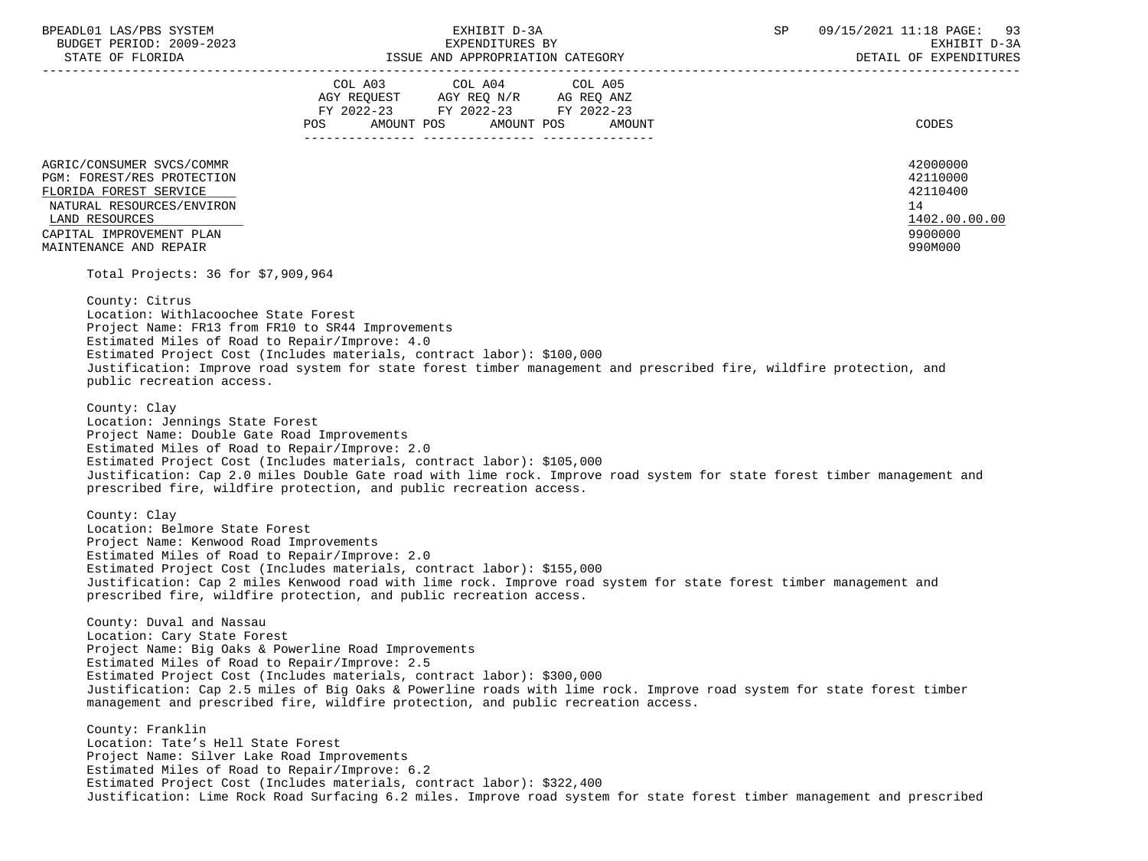|                                                                                                                                  | COL A03<br>COL A05<br>COL A04<br>AGY REQUEST<br>AGY REQ N/R<br>AG REQ ANZ<br>FY 2022-23<br>FY 2022-23<br>FY 2022-23<br>AMOUNT POS<br>AMOUNT POS<br>POS<br>AMOUNT | CODES                                                   |
|----------------------------------------------------------------------------------------------------------------------------------|------------------------------------------------------------------------------------------------------------------------------------------------------------------|---------------------------------------------------------|
| AGRIC/CONSUMER SVCS/COMMR<br>PGM: FOREST/RES PROTECTION<br>FLORIDA FOREST SERVICE<br>NATURAL RESOURCES/ENVIRON<br>LAND RESOURCES |                                                                                                                                                                  | 42000000<br>42110000<br>42110400<br>14<br>1402.00.00.00 |
| CAPITAL IMPROVEMENT PLAN<br>MAINTENANCE AND REPAIR                                                                               |                                                                                                                                                                  | 9900000<br>990M000                                      |

Total Projects: 36 for \$7,909,964

 County: Citrus Location: Withlacoochee State Forest Project Name: FR13 from FR10 to SR44 Improvements Estimated Miles of Road to Repair/Improve: 4.0 Estimated Project Cost (Includes materials, contract labor): \$100,000 Justification: Improve road system for state forest timber management and prescribed fire, wildfire protection, and public recreation access.

 County: Clay Location: Jennings State Forest Project Name: Double Gate Road Improvements Estimated Miles of Road to Repair/Improve: 2.0 Estimated Project Cost (Includes materials, contract labor): \$105,000 Justification: Cap 2.0 miles Double Gate road with lime rock. Improve road system for state forest timber management and prescribed fire, wildfire protection, and public recreation access.

 County: Clay Location: Belmore State Forest Project Name: Kenwood Road Improvements Estimated Miles of Road to Repair/Improve: 2.0 Estimated Project Cost (Includes materials, contract labor): \$155,000 Justification: Cap 2 miles Kenwood road with lime rock. Improve road system for state forest timber management and prescribed fire, wildfire protection, and public recreation access.

 County: Duval and Nassau Location: Cary State Forest Project Name: Big Oaks & Powerline Road Improvements Estimated Miles of Road to Repair/Improve: 2.5 Estimated Project Cost (Includes materials, contract labor): \$300,000 Justification: Cap 2.5 miles of Big Oaks & Powerline roads with lime rock. Improve road system for state forest timber management and prescribed fire, wildfire protection, and public recreation access.

 County: Franklin Location: Tate's Hell State Forest Project Name: Silver Lake Road Improvements Estimated Miles of Road to Repair/Improve: 6.2 Estimated Project Cost (Includes materials, contract labor): \$322,400 Justification: Lime Rock Road Surfacing 6.2 miles. Improve road system for state forest timber management and prescribed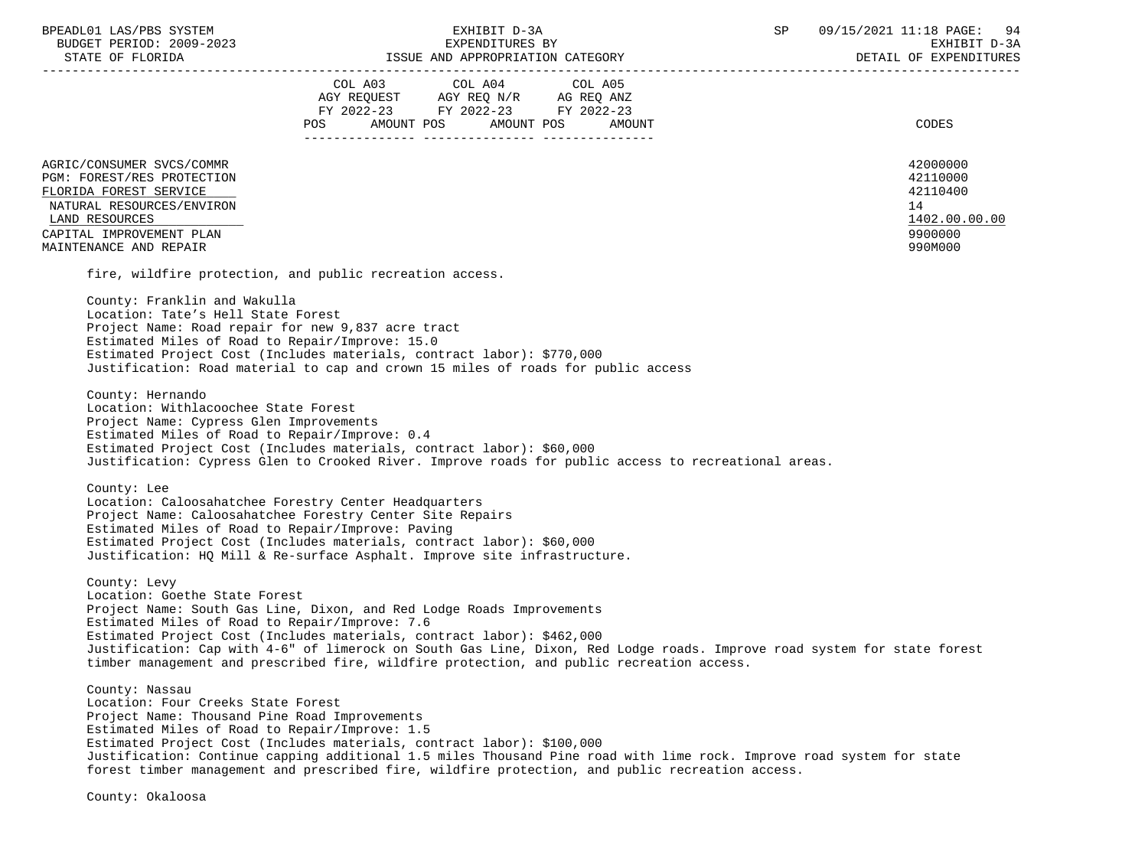BPEADL01 LAS/PBS SYSTEM SALLER STRAND STRAND STRAND STRAND STRAND STRAND STRAND STRAND STRAND STRAND STRAND STRAND STRAND STRAND STRAND STRAND STRAND STRAND STRAND STRAND STRAND STRAND STRAND STRAND STRAND STRAND STRAND ST BUDGET PERIOD: 2009-2023 EXPENDITURES BY EXPENDITURES AT EXHIBIT D-3A STATE OF FLORIDA GALL SOLUTION ISSUE AND APPROPRIATION CATEGORY CONTROL CONTROLLER STATE OF EXPENDITURES

|                                                                                   | COL A03<br>COL A04<br>COL A05<br>AGY REOUEST<br>AGY REQ N/R<br>AG REQ ANZ<br>FY 2022-23<br>FY 2022-23<br>FY 2022-23<br>AMOUNT POS<br>AMOUNT POS<br>POS.<br>AMOUNT | CODES                            |
|-----------------------------------------------------------------------------------|-------------------------------------------------------------------------------------------------------------------------------------------------------------------|----------------------------------|
| AGRIC/CONSUMER SVCS/COMMR<br>PGM: FOREST/RES PROTECTION<br>FLORIDA FOREST SERVICE |                                                                                                                                                                   | 42000000<br>42110000<br>42110400 |
| NATURAL RESOURCES/ENVIRON<br>LAND RESOURCES<br>CAPITAL IMPROVEMENT PLAN           |                                                                                                                                                                   | 14<br>1402.00.00.00<br>9900000   |

MAINTENANCE AND REPAIR 990M000

fire, wildfire protection, and public recreation access.

 County: Franklin and Wakulla Location: Tate's Hell State Forest Project Name: Road repair for new 9,837 acre tract Estimated Miles of Road to Repair/Improve: 15.0 Estimated Project Cost (Includes materials, contract labor): \$770,000 Justification: Road material to cap and crown 15 miles of roads for public access

 County: Hernando Location: Withlacoochee State Forest Project Name: Cypress Glen Improvements Estimated Miles of Road to Repair/Improve: 0.4 Estimated Project Cost (Includes materials, contract labor): \$60,000 Justification: Cypress Glen to Crooked River. Improve roads for public access to recreational areas.

 County: Lee Location: Caloosahatchee Forestry Center Headquarters Project Name: Caloosahatchee Forestry Center Site Repairs Estimated Miles of Road to Repair/Improve: Paving Estimated Project Cost (Includes materials, contract labor): \$60,000 Justification: HQ Mill & Re-surface Asphalt. Improve site infrastructure.

 County: Levy Location: Goethe State Forest Project Name: South Gas Line, Dixon, and Red Lodge Roads Improvements Estimated Miles of Road to Repair/Improve: 7.6 Estimated Project Cost (Includes materials, contract labor): \$462,000 Justification: Cap with 4-6" of limerock on South Gas Line, Dixon, Red Lodge roads. Improve road system for state forest timber management and prescribed fire, wildfire protection, and public recreation access.

 County: Nassau Location: Four Creeks State Forest Project Name: Thousand Pine Road Improvements Estimated Miles of Road to Repair/Improve: 1.5 Estimated Project Cost (Includes materials, contract labor): \$100,000 Justification: Continue capping additional 1.5 miles Thousand Pine road with lime rock. Improve road system for state forest timber management and prescribed fire, wildfire protection, and public recreation access.

County: Okaloosa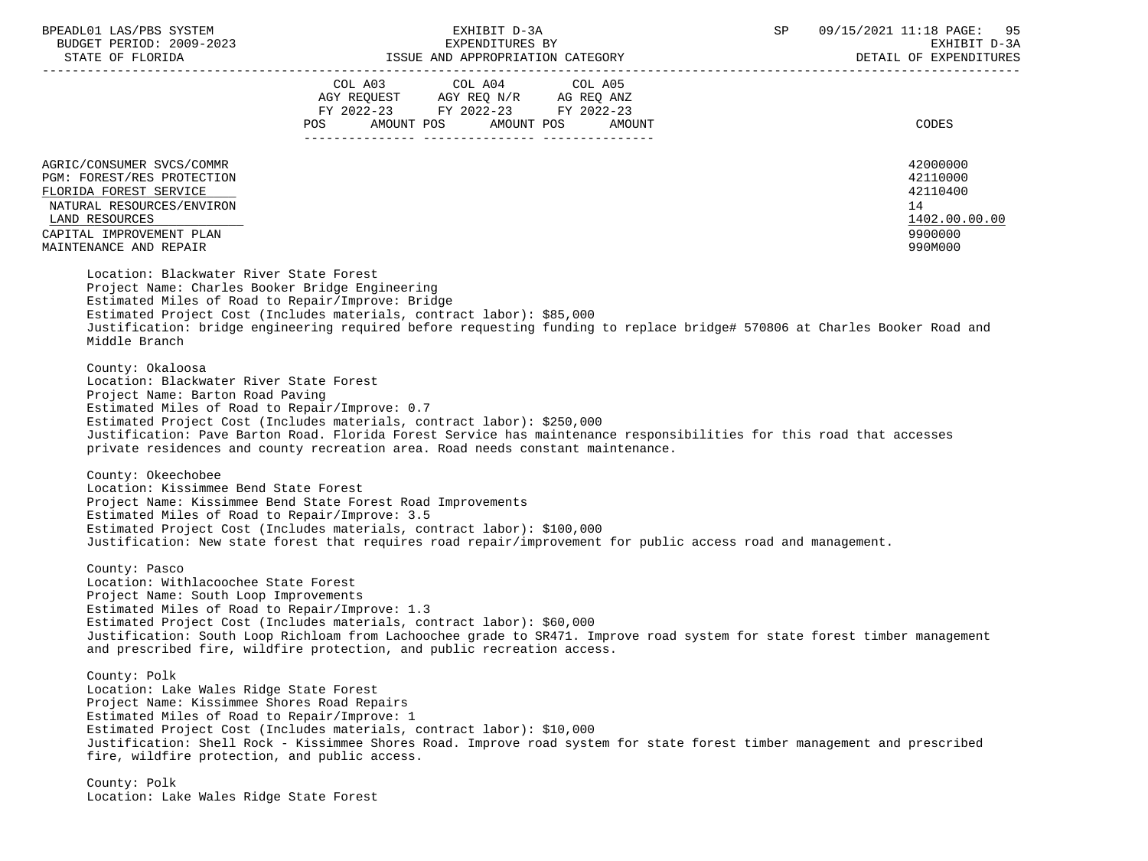BPEADL01 LAS/PBS SYSTEM SALL BOOK CONTROL CONTROL TO THE SECOND PART OF THE SP 09/15/2021 11:18 PAGE: 95 BUDGET PERIOD: 2009-2023 EXPENDITURES BY EXHIBIT D-3A

| COL A03<br>COL A04<br>COL A05<br>AGY REO N/R<br>AGY REQUEST<br>AG REQ ANZ<br>$FY$ 2022-23<br>FY 2022-23<br>FY 2022-23<br>AMOUNT POS<br>AMOUNT POS<br>CODES<br>POS<br>AMOUNT<br>42000000<br>AGRIC/CONSUMER SVCS/COMMR<br>42110000<br>PGM: FOREST/RES PROTECTION<br>42110400<br>FLORIDA FOREST SERVICE<br>14<br>NATURAL RESOURCES/ENVIRON<br>1402.00.00.00<br>LAND RESOURCES<br>9900000<br>CAPITAL IMPROVEMENT PLAN<br>990M000<br>MAINTENANCE AND REPAIR |  |  |  |
|--------------------------------------------------------------------------------------------------------------------------------------------------------------------------------------------------------------------------------------------------------------------------------------------------------------------------------------------------------------------------------------------------------------------------------------------------------|--|--|--|
|                                                                                                                                                                                                                                                                                                                                                                                                                                                        |  |  |  |

 Location: Blackwater River State Forest Project Name: Charles Booker Bridge Engineering Estimated Miles of Road to Repair/Improve: Bridge Estimated Project Cost (Includes materials, contract labor): \$85,000 Justification: bridge engineering required before requesting funding to replace bridge# 570806 at Charles Booker Road and Middle Branch

 County: Okaloosa Location: Blackwater River State Forest Project Name: Barton Road Paving Estimated Miles of Road to Repair/Improve: 0.7 Estimated Project Cost (Includes materials, contract labor): \$250,000 Justification: Pave Barton Road. Florida Forest Service has maintenance responsibilities for this road that accesses private residences and county recreation area. Road needs constant maintenance.

 County: Okeechobee Location: Kissimmee Bend State Forest Project Name: Kissimmee Bend State Forest Road Improvements Estimated Miles of Road to Repair/Improve: 3.5 Estimated Project Cost (Includes materials, contract labor): \$100,000 Justification: New state forest that requires road repair/improvement for public access road and management.

 County: Pasco Location: Withlacoochee State Forest Project Name: South Loop Improvements Estimated Miles of Road to Repair/Improve: 1.3 Estimated Project Cost (Includes materials, contract labor): \$60,000 Justification: South Loop Richloam from Lachoochee grade to SR471. Improve road system for state forest timber management and prescribed fire, wildfire protection, and public recreation access.

 County: Polk Location: Lake Wales Ridge State Forest Project Name: Kissimmee Shores Road Repairs Estimated Miles of Road to Repair/Improve: 1 Estimated Project Cost (Includes materials, contract labor): \$10,000 Justification: Shell Rock - Kissimmee Shores Road. Improve road system for state forest timber management and prescribed fire, wildfire protection, and public access.

 County: Polk Location: Lake Wales Ridge State Forest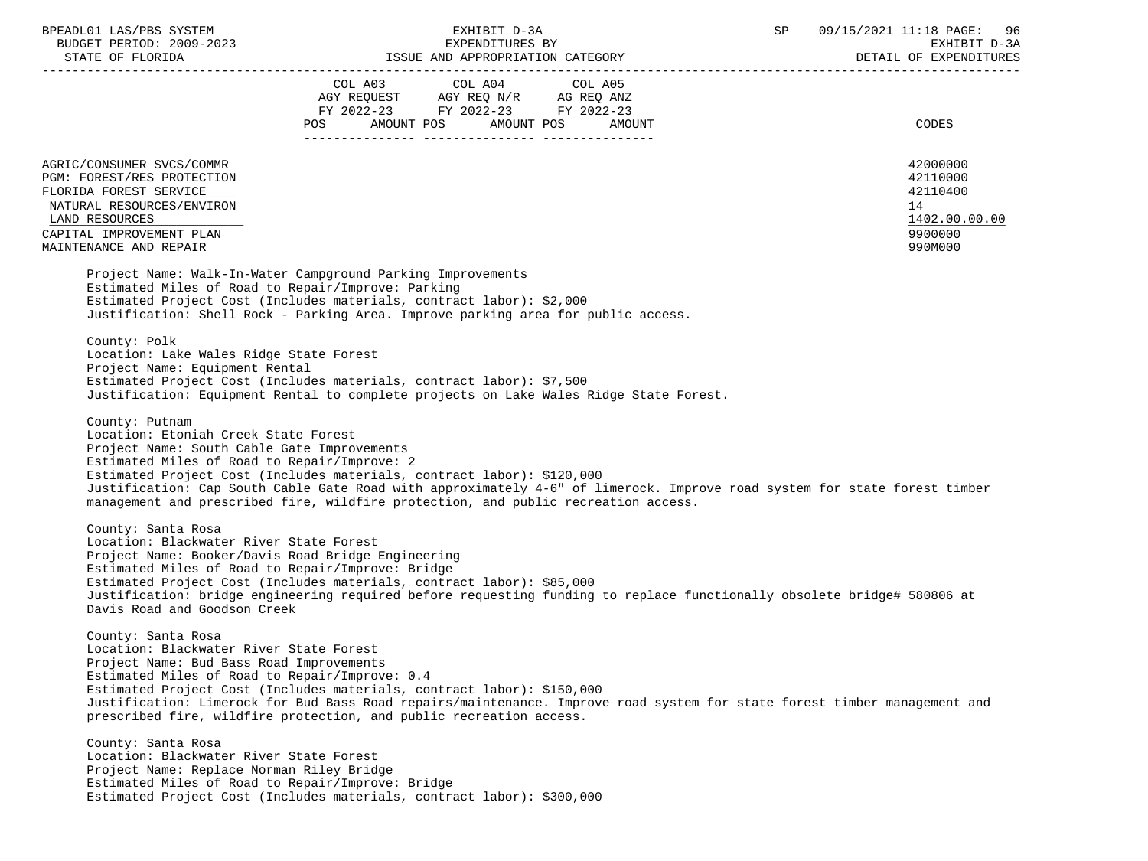| BPEADL01 LAS/PBS SYSTEM |                     |                          |
|-------------------------|---------------------|--------------------------|
|                         |                     | BUDGET PERIOD: 2009-2023 |
|                         | גתדכת זה הם היחידים |                          |

|                                                                                                                                                                                        | COL A03<br>AGY REQUEST<br>FY 2022-23<br>AMOUNT POS<br>POS. | COL A04<br>AGY REQ N/R<br>FY 2022-23<br>AMOUNT POS | COL A05<br>AG REQ ANZ<br>FY 2022-23<br>AMOUNT | CODES                                                                         |
|----------------------------------------------------------------------------------------------------------------------------------------------------------------------------------------|------------------------------------------------------------|----------------------------------------------------|-----------------------------------------------|-------------------------------------------------------------------------------|
| AGRIC/CONSUMER SVCS/COMMR<br>PGM: FOREST/RES PROTECTION<br>FLORIDA FOREST SERVICE<br>NATURAL RESOURCES/ENVIRON<br>LAND RESOURCES<br>CAPITAL IMPROVEMENT PLAN<br>MAINTENANCE AND REPAIR |                                                            |                                                    |                                               | 42000000<br>42110000<br>42110400<br>14<br>1402.00.00.00<br>9900000<br>990M000 |

 Project Name: Walk-In-Water Campground Parking Improvements Estimated Miles of Road to Repair/Improve: Parking Estimated Project Cost (Includes materials, contract labor): \$2,000 Justification: Shell Rock - Parking Area. Improve parking area for public access.

 County: Polk Location: Lake Wales Ridge State Forest Project Name: Equipment Rental Estimated Project Cost (Includes materials, contract labor): \$7,500 Justification: Equipment Rental to complete projects on Lake Wales Ridge State Forest.

 County: Putnam Location: Etoniah Creek State Forest Project Name: South Cable Gate Improvements Estimated Miles of Road to Repair/Improve: 2 Estimated Project Cost (Includes materials, contract labor): \$120,000 Justification: Cap South Cable Gate Road with approximately 4-6" of limerock. Improve road system for state forest timber management and prescribed fire, wildfire protection, and public recreation access.

 County: Santa Rosa Location: Blackwater River State Forest Project Name: Booker/Davis Road Bridge Engineering Estimated Miles of Road to Repair/Improve: Bridge Estimated Project Cost (Includes materials, contract labor): \$85,000 Justification: bridge engineering required before requesting funding to replace functionally obsolete bridge# 580806 at Davis Road and Goodson Creek

 County: Santa Rosa Location: Blackwater River State Forest Project Name: Bud Bass Road Improvements Estimated Miles of Road to Repair/Improve: 0.4 Estimated Project Cost (Includes materials, contract labor): \$150,000 Justification: Limerock for Bud Bass Road repairs/maintenance. Improve road system for state forest timber management and prescribed fire, wildfire protection, and public recreation access.

 County: Santa Rosa Location: Blackwater River State Forest Project Name: Replace Norman Riley Bridge Estimated Miles of Road to Repair/Improve: Bridge Estimated Project Cost (Includes materials, contract labor): \$300,000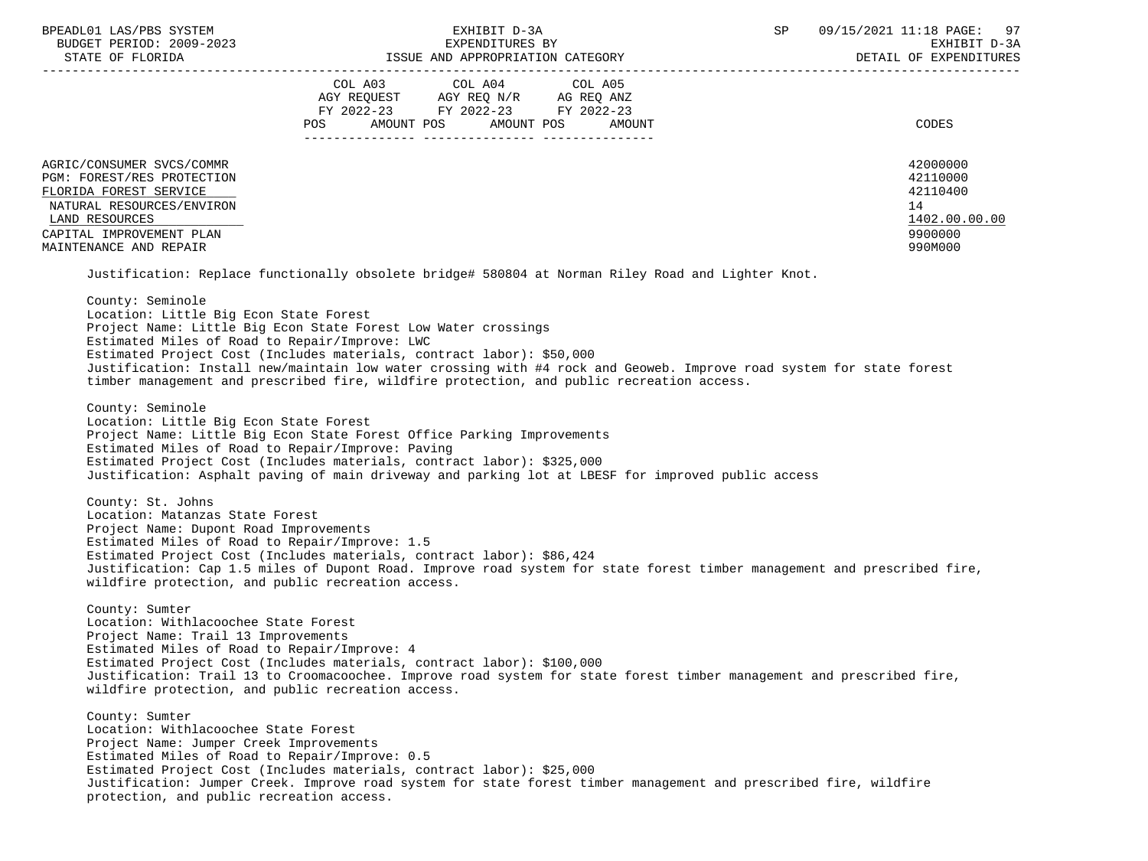BUDGET PERIOD: 2009-2023 EXPENDITURES BY

 BPEADL01 LAS/PBS SYSTEM EXHIBIT D-3A SP 09/15/2021 11:18 PAGE: 97 STATE OF FLORIDA GALL SOLUTION ISSUE AND APPROPRIATION CATEGORY CONTROL CONTROLLER STATE OF EXPENDITURES

|                                                                                                                                  | COL A05<br>COL A03<br>COL A04<br>AGY REQUEST<br>AGY REQ N/R<br>AG REQ ANZ<br>FY 2022-23<br>FY 2022-23<br>FY 2022-23<br>AMOUNT POS<br>AMOUNT POS<br>POS<br>AMOUNT | CODES                                                   |
|----------------------------------------------------------------------------------------------------------------------------------|------------------------------------------------------------------------------------------------------------------------------------------------------------------|---------------------------------------------------------|
| AGRIC/CONSUMER SVCS/COMMR<br>PGM: FOREST/RES PROTECTION<br>FLORIDA FOREST SERVICE<br>NATURAL RESOURCES/ENVIRON<br>LAND RESOURCES |                                                                                                                                                                  | 42000000<br>42110000<br>42110400<br>14<br>1402.00.00.00 |
| CAPITAL IMPROVEMENT PLAN<br>MAINTENANCE AND REPAIR                                                                               |                                                                                                                                                                  | 9900000<br>990M000                                      |

Justification: Replace functionally obsolete bridge# 580804 at Norman Riley Road and Lighter Knot.

 County: Seminole Location: Little Big Econ State Forest Project Name: Little Big Econ State Forest Low Water crossings Estimated Miles of Road to Repair/Improve: LWC Estimated Project Cost (Includes materials, contract labor): \$50,000 Justification: Install new/maintain low water crossing with #4 rock and Geoweb. Improve road system for state forest timber management and prescribed fire, wildfire protection, and public recreation access.

 County: Seminole Location: Little Big Econ State Forest Project Name: Little Big Econ State Forest Office Parking Improvements Estimated Miles of Road to Repair/Improve: Paving Estimated Project Cost (Includes materials, contract labor): \$325,000 Justification: Asphalt paving of main driveway and parking lot at LBESF for improved public access

 County: St. Johns Location: Matanzas State Forest Project Name: Dupont Road Improvements Estimated Miles of Road to Repair/Improve: 1.5 Estimated Project Cost (Includes materials, contract labor): \$86,424 Justification: Cap 1.5 miles of Dupont Road. Improve road system for state forest timber management and prescribed fire, wildfire protection, and public recreation access.

 County: Sumter Location: Withlacoochee State Forest Project Name: Trail 13 Improvements Estimated Miles of Road to Repair/Improve: 4 Estimated Project Cost (Includes materials, contract labor): \$100,000 Justification: Trail 13 to Croomacoochee. Improve road system for state forest timber management and prescribed fire, wildfire protection, and public recreation access.

 County: Sumter Location: Withlacoochee State Forest Project Name: Jumper Creek Improvements Estimated Miles of Road to Repair/Improve: 0.5 Estimated Project Cost (Includes materials, contract labor): \$25,000 Justification: Jumper Creek. Improve road system for state forest timber management and prescribed fire, wildfire protection, and public recreation access.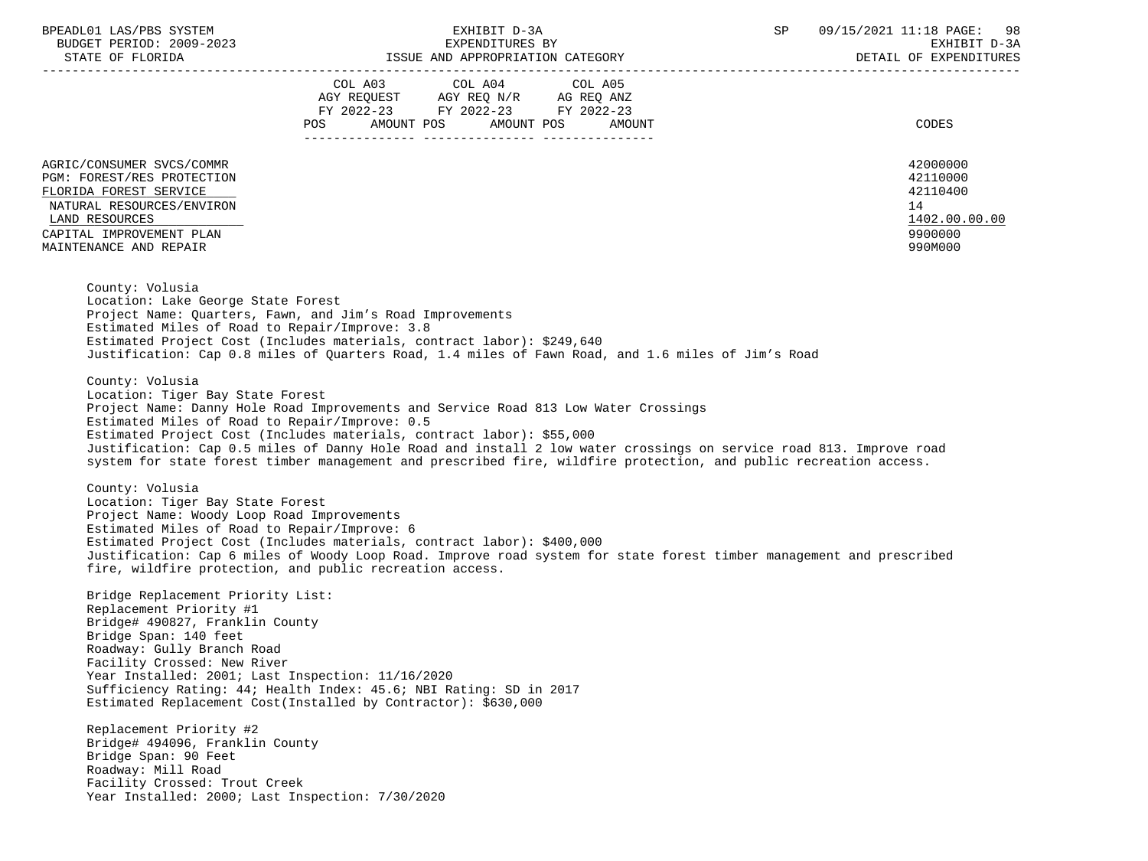|                                                                                                                                  | COL A04<br>COL A03<br>COL A05<br>AGY REOUEST<br>AGY REO N/R<br>AG REO ANZ<br>FY 2022-23<br>FY 2022-23<br>FY 2022-23<br>POS.<br>AMOUNT POS<br>AMOUNT<br>AMOUNT POS | CODES                                                   |
|----------------------------------------------------------------------------------------------------------------------------------|-------------------------------------------------------------------------------------------------------------------------------------------------------------------|---------------------------------------------------------|
| AGRIC/CONSUMER SVCS/COMMR<br>PGM: FOREST/RES PROTECTION<br>FLORIDA FOREST SERVICE<br>NATURAL RESOURCES/ENVIRON<br>LAND RESOURCES |                                                                                                                                                                   | 42000000<br>42110000<br>42110400<br>14<br>1402.00.00.00 |
| CAPITAL IMPROVEMENT PLAN<br>MAINTENANCE AND REPAIR                                                                               |                                                                                                                                                                   | 9900000<br>990M000                                      |

 County: Volusia Location: Lake George State Forest Project Name: Quarters, Fawn, and Jim's Road Improvements Estimated Miles of Road to Repair/Improve: 3.8 Estimated Project Cost (Includes materials, contract labor): \$249,640 Justification: Cap 0.8 miles of Quarters Road, 1.4 miles of Fawn Road, and 1.6 miles of Jim's Road

 County: Volusia Location: Tiger Bay State Forest Project Name: Danny Hole Road Improvements and Service Road 813 Low Water Crossings Estimated Miles of Road to Repair/Improve: 0.5 Estimated Project Cost (Includes materials, contract labor): \$55,000 Justification: Cap 0.5 miles of Danny Hole Road and install 2 low water crossings on service road 813. Improve road system for state forest timber management and prescribed fire, wildfire protection, and public recreation access.

 County: Volusia Location: Tiger Bay State Forest Project Name: Woody Loop Road Improvements Estimated Miles of Road to Repair/Improve: 6 Estimated Project Cost (Includes materials, contract labor): \$400,000 Justification: Cap 6 miles of Woody Loop Road. Improve road system for state forest timber management and prescribed fire, wildfire protection, and public recreation access.

 Bridge Replacement Priority List: Replacement Priority #1 Bridge# 490827, Franklin County Bridge Span: 140 feet Roadway: Gully Branch Road Facility Crossed: New River Year Installed: 2001; Last Inspection: 11/16/2020 Sufficiency Rating: 44; Health Index: 45.6; NBI Rating: SD in 2017 Estimated Replacement Cost(Installed by Contractor): \$630,000

 Replacement Priority #2 Bridge# 494096, Franklin County Bridge Span: 90 Feet Roadway: Mill Road Facility Crossed: Trout Creek Year Installed: 2000; Last Inspection: 7/30/2020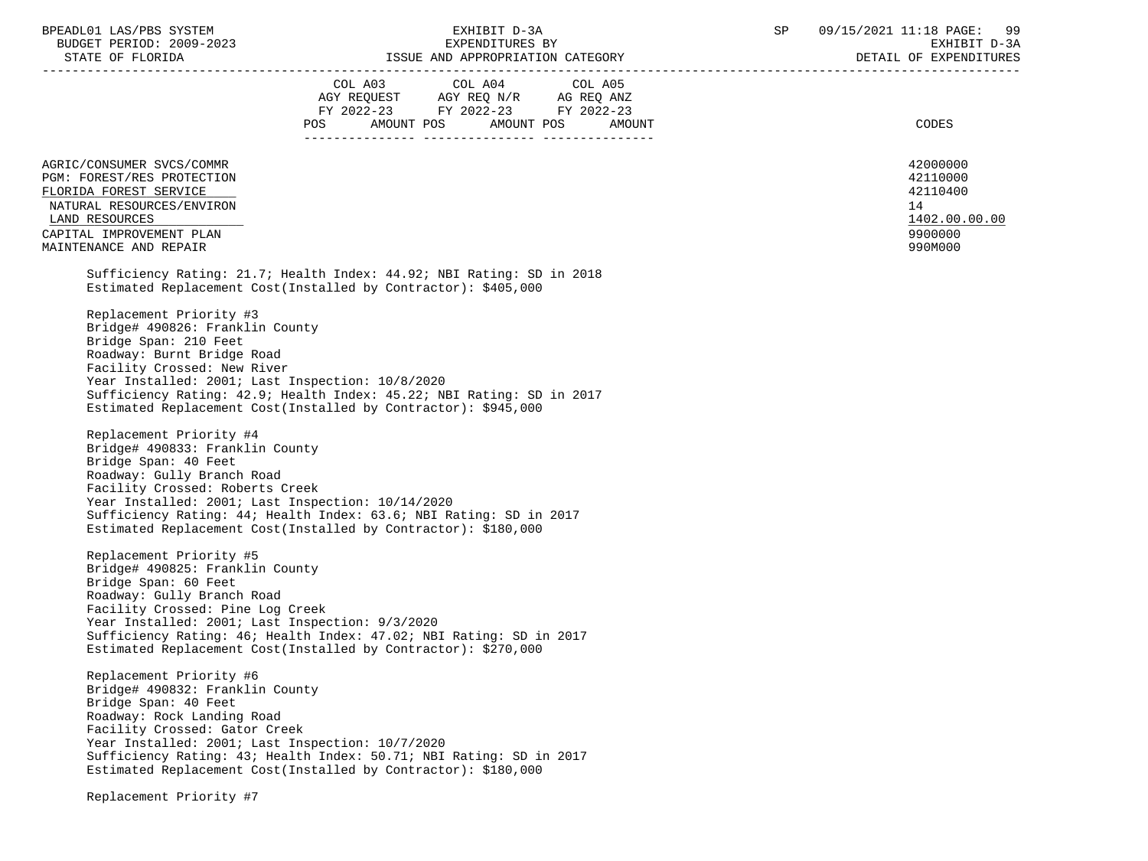| BPEADL01 LAS/PBS SYSTEM<br>BUDGET PERIOD: 2009-2023                                                                                                                                                                                                                                                                                                                                                              | EXHIBIT D-3A<br>EXPENDITURES BY                                                                                                                                                                                                                                                 | SP<br>09/15/2021 11:18 PAGE: 99<br>EXHIBIT D-3A<br>DETAIL OF EXPENDITURES     |
|------------------------------------------------------------------------------------------------------------------------------------------------------------------------------------------------------------------------------------------------------------------------------------------------------------------------------------------------------------------------------------------------------------------|---------------------------------------------------------------------------------------------------------------------------------------------------------------------------------------------------------------------------------------------------------------------------------|-------------------------------------------------------------------------------|
|                                                                                                                                                                                                                                                                                                                                                                                                                  | COL A03 COL A04 COL A05<br>$\begin{tabular}{lllllll} \bf AGY & \bf REQUEST & \bf AGY & \bf REQ & \tt N/R & \bf AG & \bf REQ & \tt ANZ \\ \bf FY & \tt 2022-23 & \tt FY & \tt 2022-23 & \tt FY & \tt 2022-23 \\ \end{tabular}$<br>AMOUNT POS AMOUNT POS<br><b>POS</b>            | AMOUNT<br>CODES                                                               |
| AGRIC/CONSUMER SVCS/COMMR<br>PGM: FOREST/RES PROTECTION<br>FLORIDA FOREST SERVICE<br>NATURAL RESOURCES/ENVIRON<br>LAND RESOURCES<br>CAPITAL IMPROVEMENT PLAN<br>MAINTENANCE AND REPAIR                                                                                                                                                                                                                           |                                                                                                                                                                                                                                                                                 | 42000000<br>42110000<br>42110400<br>14<br>1402.00.00.00<br>9900000<br>990M000 |
|                                                                                                                                                                                                                                                                                                                                                                                                                  | Sufficiency Rating: 21.7; Health Index: 44.92; NBI Rating: SD in 2018<br>Estimated Replacement Cost(Installed by Contractor): \$405,000                                                                                                                                         |                                                                               |
| Replacement Priority #3<br>Bridge# 490826: Franklin County<br>Bridge Span: 210 Feet<br>Roadway: Burnt Bridge Road<br>Facility Crossed: New River<br>Year Installed: 2001; Last Inspection: 10/8/2020<br>Replacement Priority #4<br>Bridge# 490833: Franklin County<br>Bridge Span: 40 Feet<br>Roadway: Gully Branch Road<br>Facility Crossed: Roberts Creek<br>Year Installed: 2001; Last Inspection: 10/14/2020 | Sufficiency Rating: 42.9; Health Index: 45.22; NBI Rating: SD in 2017<br>Estimated Replacement Cost(Installed by Contractor): \$945,000<br>Sufficiency Rating: 44; Health Index: 63.6; NBI Rating: SD in 2017<br>Estimated Replacement Cost(Installed by Contractor): \$180,000 |                                                                               |
| Replacement Priority #5<br>Bridge# 490825: Franklin County<br>Bridge Span: 60 Feet<br>Roadway: Gully Branch Road<br>Facility Crossed: Pine Log Creek<br>Year Installed: 2001; Last Inspection: 9/3/2020                                                                                                                                                                                                          |                                                                                                                                                                                                                                                                                 |                                                                               |
|                                                                                                                                                                                                                                                                                                                                                                                                                  | Sufficiency Rating: 46; Health Index: 47.02; NBI Rating: SD in 2017<br>Estimated Replacement Cost(Installed by Contractor): \$270,000                                                                                                                                           |                                                                               |
| Replacement Priority #6<br>Bridge# 490832: Franklin County<br>Bridge Span: 40 Feet<br>Roadway: Rock Landing Road<br>Facility Crossed: Gator Creek<br>Year Installed: 2001; Last Inspection: 10/7/2020<br>Replacement Priority #7                                                                                                                                                                                 | Sufficiency Rating: 43; Health Index: 50.71; NBI Rating: SD in 2017<br>Estimated Replacement Cost(Installed by Contractor): \$180,000                                                                                                                                           |                                                                               |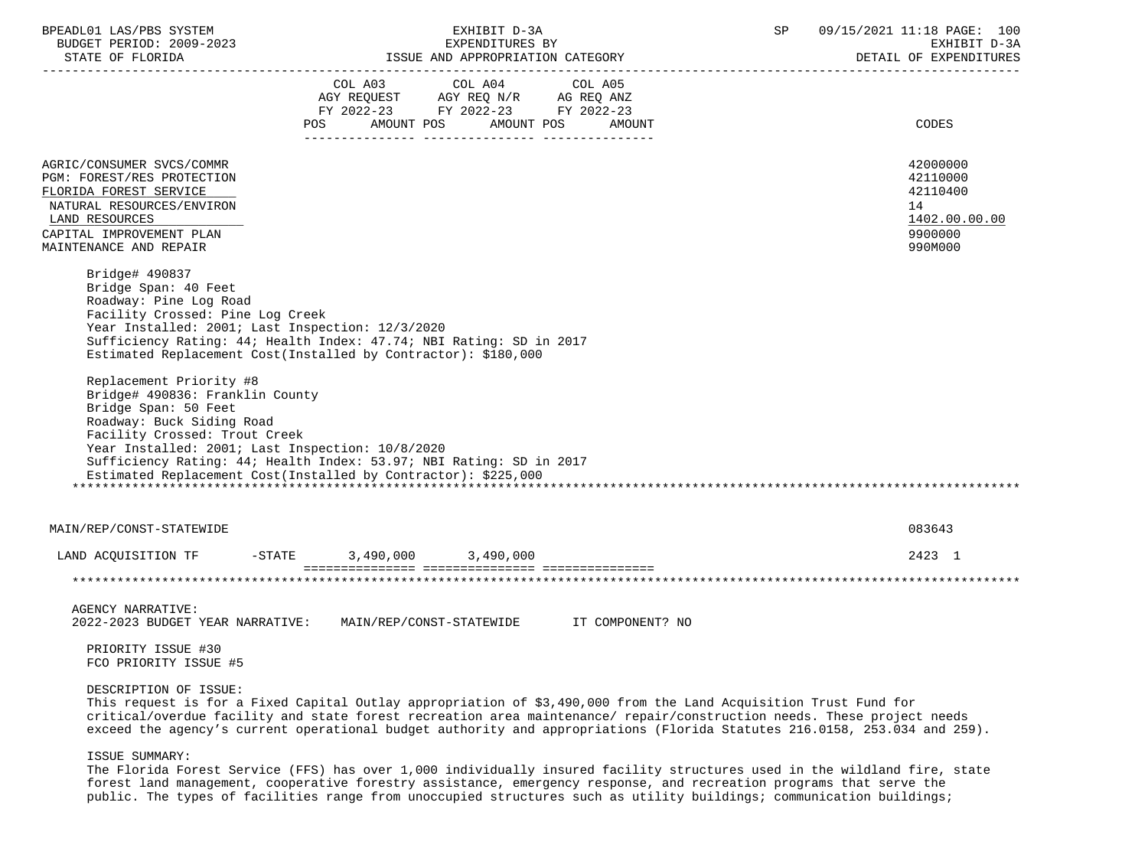| BPEADL01 LAS/PBS SYSTEM |                          |
|-------------------------|--------------------------|
|                         | BUDGET PERIOD: 2009-2023 |
|                         |                          |

|                                                                                                                                                                                                                                                                                                                                                                                                                                                                                                                                                                                                                                                    | COL A03 COL A04<br>AGY REQUEST AGY REQ N/R AG REQ ANZ<br>FY 2022-23 FY 2022-23 FY 2022-23 | COL A05<br>POS AMOUNT POS AMOUNT POS AMOUNT | CODES                                                                         |
|----------------------------------------------------------------------------------------------------------------------------------------------------------------------------------------------------------------------------------------------------------------------------------------------------------------------------------------------------------------------------------------------------------------------------------------------------------------------------------------------------------------------------------------------------------------------------------------------------------------------------------------------------|-------------------------------------------------------------------------------------------|---------------------------------------------|-------------------------------------------------------------------------------|
| AGRIC/CONSUMER SVCS/COMMR<br>PGM: FOREST/RES PROTECTION<br>FLORIDA FOREST SERVICE<br>NATURAL RESOURCES/ENVIRON<br>LAND RESOURCES<br>CAPITAL IMPROVEMENT PLAN<br>MAINTENANCE AND REPAIR                                                                                                                                                                                                                                                                                                                                                                                                                                                             |                                                                                           |                                             | 42000000<br>42110000<br>42110400<br>14<br>1402.00.00.00<br>9900000<br>990M000 |
| Bridge# 490837<br>Bridge Span: 40 Feet<br>Roadway: Pine Log Road<br>Facility Crossed: Pine Log Creek<br>Year Installed: 2001; Last Inspection: 12/3/2020<br>Sufficiency Rating: 44; Health Index: 47.74; NBI Rating: SD in 2017<br>Estimated Replacement Cost(Installed by Contractor): \$180,000<br>Replacement Priority #8<br>Bridge# 490836: Franklin County<br>Bridge Span: 50 Feet<br>Roadway: Buck Siding Road<br>Facility Crossed: Trout Creek<br>Year Installed: 2001; Last Inspection: 10/8/2020<br>Sufficiency Rating: 44; Health Index: 53.97; NBI Rating: SD in 2017<br>Estimated Replacement Cost(Installed by Contractor): \$225,000 |                                                                                           |                                             |                                                                               |
| MAIN/REP/CONST-STATEWIDE                                                                                                                                                                                                                                                                                                                                                                                                                                                                                                                                                                                                                           |                                                                                           |                                             | 083643                                                                        |
| LAND ACQUISITION TF -STATE 3,490,000 3,490,000                                                                                                                                                                                                                                                                                                                                                                                                                                                                                                                                                                                                     |                                                                                           |                                             | 2423 1                                                                        |
|                                                                                                                                                                                                                                                                                                                                                                                                                                                                                                                                                                                                                                                    |                                                                                           |                                             |                                                                               |
| <b>AGENCY NARRATIVE:</b><br>2022-2023 BUDGET YEAR NARRATIVE: MAIN/REP/CONST-STATEWIDE IT COMPONENT? NO<br>PRIORITY ISSUE #30<br>FCO PRIORITY ISSUE #5                                                                                                                                                                                                                                                                                                                                                                                                                                                                                              |                                                                                           |                                             |                                                                               |
| DESCRIPTION OF ISSUE:                                                                                                                                                                                                                                                                                                                                                                                                                                                                                                                                                                                                                              |                                                                                           |                                             |                                                                               |

 This request is for a Fixed Capital Outlay appropriation of \$3,490,000 from the Land Acquisition Trust Fund for critical/overdue facility and state forest recreation area maintenance/ repair/construction needs. These project needs exceed the agency's current operational budget authority and appropriations (Florida Statutes 216.0158, 253.034 and 259).

## ISSUE SUMMARY:

 The Florida Forest Service (FFS) has over 1,000 individually insured facility structures used in the wildland fire, state forest land management, cooperative forestry assistance, emergency response, and recreation programs that serve the public. The types of facilities range from unoccupied structures such as utility buildings; communication buildings;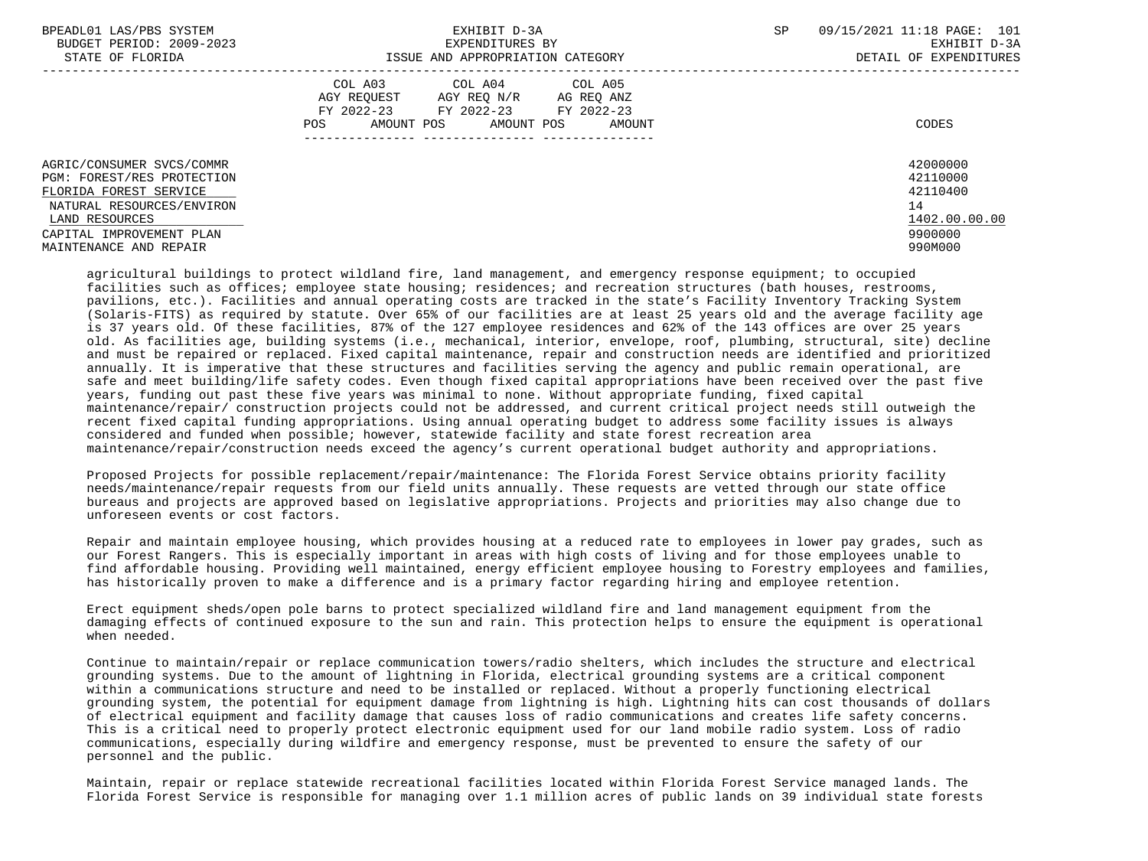| BPEADL01 LAS/PBS SYSTEM<br>BUDGET PERIOD: 2009-2023<br>STATE OF FLORIDA                                                                                          | EXHIBIT D-3A<br>EXPENDITURES BY<br>ISSUE AND APPROPRIATION CATEGORY                                                                         | 09/15/2021 11:18 PAGE: 101<br><b>SP</b><br>EXHIBIT D-3A<br>DETAIL OF EXPENDITURES |
|------------------------------------------------------------------------------------------------------------------------------------------------------------------|---------------------------------------------------------------------------------------------------------------------------------------------|-----------------------------------------------------------------------------------|
| AGRIC/CONSUMER SVCS/COMMR                                                                                                                                        | COL A03 COL A04 COL A05<br>AGY REQUEST AGY REQ N/R AG REQ ANZ<br>FY 2022-23 FY 2022-23 FY 2022-23<br>AMOUNT POS AMOUNT POS<br>POS<br>AMOUNT | CODES<br>42000000                                                                 |
| <b>PGM: FOREST/RES PROTECTION</b><br>FLORIDA FOREST SERVICE<br>NATURAL RESOURCES/ENVIRON<br>LAND RESOURCES<br>CAPITAL IMPROVEMENT PLAN<br>MAINTENANCE AND REPAIR |                                                                                                                                             | 42110000<br>42110400<br>14<br>1402.00.00.00<br>9900000<br>990M000                 |

 agricultural buildings to protect wildland fire, land management, and emergency response equipment; to occupied facilities such as offices; employee state housing; residences; and recreation structures (bath houses, restrooms, pavilions, etc.). Facilities and annual operating costs are tracked in the state's Facility Inventory Tracking System (Solaris-FITS) as required by statute. Over 65% of our facilities are at least 25 years old and the average facility age is 37 years old. Of these facilities, 87% of the 127 employee residences and 62% of the 143 offices are over 25 years old. As facilities age, building systems (i.e., mechanical, interior, envelope, roof, plumbing, structural, site) decline and must be repaired or replaced. Fixed capital maintenance, repair and construction needs are identified and prioritized annually. It is imperative that these structures and facilities serving the agency and public remain operational, are safe and meet building/life safety codes. Even though fixed capital appropriations have been received over the past five years, funding out past these five years was minimal to none. Without appropriate funding, fixed capital maintenance/repair/ construction projects could not be addressed, and current critical project needs still outweigh the recent fixed capital funding appropriations. Using annual operating budget to address some facility issues is always considered and funded when possible; however, statewide facility and state forest recreation area maintenance/repair/construction needs exceed the agency's current operational budget authority and appropriations.

 Proposed Projects for possible replacement/repair/maintenance: The Florida Forest Service obtains priority facility needs/maintenance/repair requests from our field units annually. These requests are vetted through our state office bureaus and projects are approved based on legislative appropriations. Projects and priorities may also change due to unforeseen events or cost factors.

 Repair and maintain employee housing, which provides housing at a reduced rate to employees in lower pay grades, such as our Forest Rangers. This is especially important in areas with high costs of living and for those employees unable to find affordable housing. Providing well maintained, energy efficient employee housing to Forestry employees and families, has historically proven to make a difference and is a primary factor regarding hiring and employee retention.

 Erect equipment sheds/open pole barns to protect specialized wildland fire and land management equipment from the damaging effects of continued exposure to the sun and rain. This protection helps to ensure the equipment is operational when needed.

 Continue to maintain/repair or replace communication towers/radio shelters, which includes the structure and electrical grounding systems. Due to the amount of lightning in Florida, electrical grounding systems are a critical component within a communications structure and need to be installed or replaced. Without a properly functioning electrical grounding system, the potential for equipment damage from lightning is high. Lightning hits can cost thousands of dollars of electrical equipment and facility damage that causes loss of radio communications and creates life safety concerns. This is a critical need to properly protect electronic equipment used for our land mobile radio system. Loss of radio communications, especially during wildfire and emergency response, must be prevented to ensure the safety of our personnel and the public.

 Maintain, repair or replace statewide recreational facilities located within Florida Forest Service managed lands. The Florida Forest Service is responsible for managing over 1.1 million acres of public lands on 39 individual state forests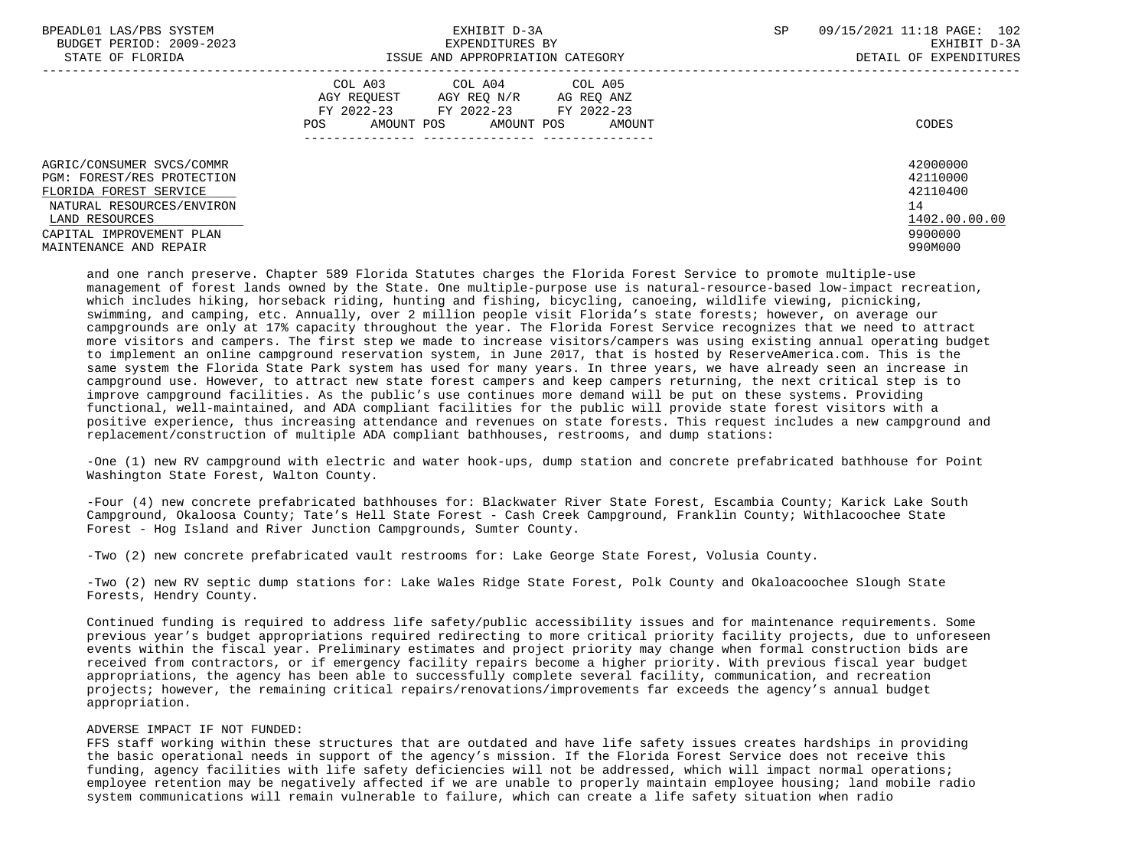| BPEADL01 LAS/PBS SYSTEM<br>BUDGET PERIOD: 2009-2023<br>STATE OF FLORIDA                                                                                                                | EXHIBIT D-3A<br>EXPENDITURES BY<br>ISSUE AND APPROPRIATION CATEGORY                                                                                        | SP<br>09/15/2021 11:18 PAGE: 102<br>EXHIBIT D-3A<br>DETAIL OF EXPENDITURES    |
|----------------------------------------------------------------------------------------------------------------------------------------------------------------------------------------|------------------------------------------------------------------------------------------------------------------------------------------------------------|-------------------------------------------------------------------------------|
|                                                                                                                                                                                        | COL A03<br>COL A04<br>COL A05<br>AGY REOUEST<br>AGY REO N/R<br>AG REQ ANZ<br>FY 2022-23 FY 2022-23 FY 2022-23<br>POS<br>AMOUNT POS<br>AMOUNT POS<br>AMOUNT | CODES                                                                         |
| AGRIC/CONSUMER SVCS/COMMR<br>PGM: FOREST/RES PROTECTION<br>FLORIDA FOREST SERVICE<br>NATURAL RESOURCES/ENVIRON<br>LAND RESOURCES<br>CAPITAL IMPROVEMENT PLAN<br>MAINTENANCE AND REPAIR |                                                                                                                                                            | 42000000<br>42110000<br>42110400<br>14<br>1402.00.00.00<br>9900000<br>990M000 |

 and one ranch preserve. Chapter 589 Florida Statutes charges the Florida Forest Service to promote multiple-use management of forest lands owned by the State. One multiple-purpose use is natural-resource-based low-impact recreation, which includes hiking, horseback riding, hunting and fishing, bicycling, canoeing, wildlife viewing, picnicking, swimming, and camping, etc. Annually, over 2 million people visit Florida's state forests; however, on average our campgrounds are only at 17% capacity throughout the year. The Florida Forest Service recognizes that we need to attract more visitors and campers. The first step we made to increase visitors/campers was using existing annual operating budget to implement an online campground reservation system, in June 2017, that is hosted by ReserveAmerica.com. This is the same system the Florida State Park system has used for many years. In three years, we have already seen an increase in campground use. However, to attract new state forest campers and keep campers returning, the next critical step is to improve campground facilities. As the public's use continues more demand will be put on these systems. Providing functional, well-maintained, and ADA compliant facilities for the public will provide state forest visitors with a positive experience, thus increasing attendance and revenues on state forests. This request includes a new campground and replacement/construction of multiple ADA compliant bathhouses, restrooms, and dump stations:

 -One (1) new RV campground with electric and water hook-ups, dump station and concrete prefabricated bathhouse for Point Washington State Forest, Walton County.

 -Four (4) new concrete prefabricated bathhouses for: Blackwater River State Forest, Escambia County; Karick Lake South Campground, Okaloosa County; Tate's Hell State Forest - Cash Creek Campground, Franklin County; Withlacoochee State Forest - Hog Island and River Junction Campgrounds, Sumter County.

-Two (2) new concrete prefabricated vault restrooms for: Lake George State Forest, Volusia County.

 -Two (2) new RV septic dump stations for: Lake Wales Ridge State Forest, Polk County and Okaloacoochee Slough State Forests, Hendry County.

 Continued funding is required to address life safety/public accessibility issues and for maintenance requirements. Some previous year's budget appropriations required redirecting to more critical priority facility projects, due to unforeseen events within the fiscal year. Preliminary estimates and project priority may change when formal construction bids are received from contractors, or if emergency facility repairs become a higher priority. With previous fiscal year budget appropriations, the agency has been able to successfully complete several facility, communication, and recreation projects; however, the remaining critical repairs/renovations/improvements far exceeds the agency's annual budget appropriation.

## ADVERSE IMPACT IF NOT FUNDED:

 FFS staff working within these structures that are outdated and have life safety issues creates hardships in providing the basic operational needs in support of the agency's mission. If the Florida Forest Service does not receive this funding, agency facilities with life safety deficiencies will not be addressed, which will impact normal operations; employee retention may be negatively affected if we are unable to properly maintain employee housing; land mobile radio system communications will remain vulnerable to failure, which can create a life safety situation when radio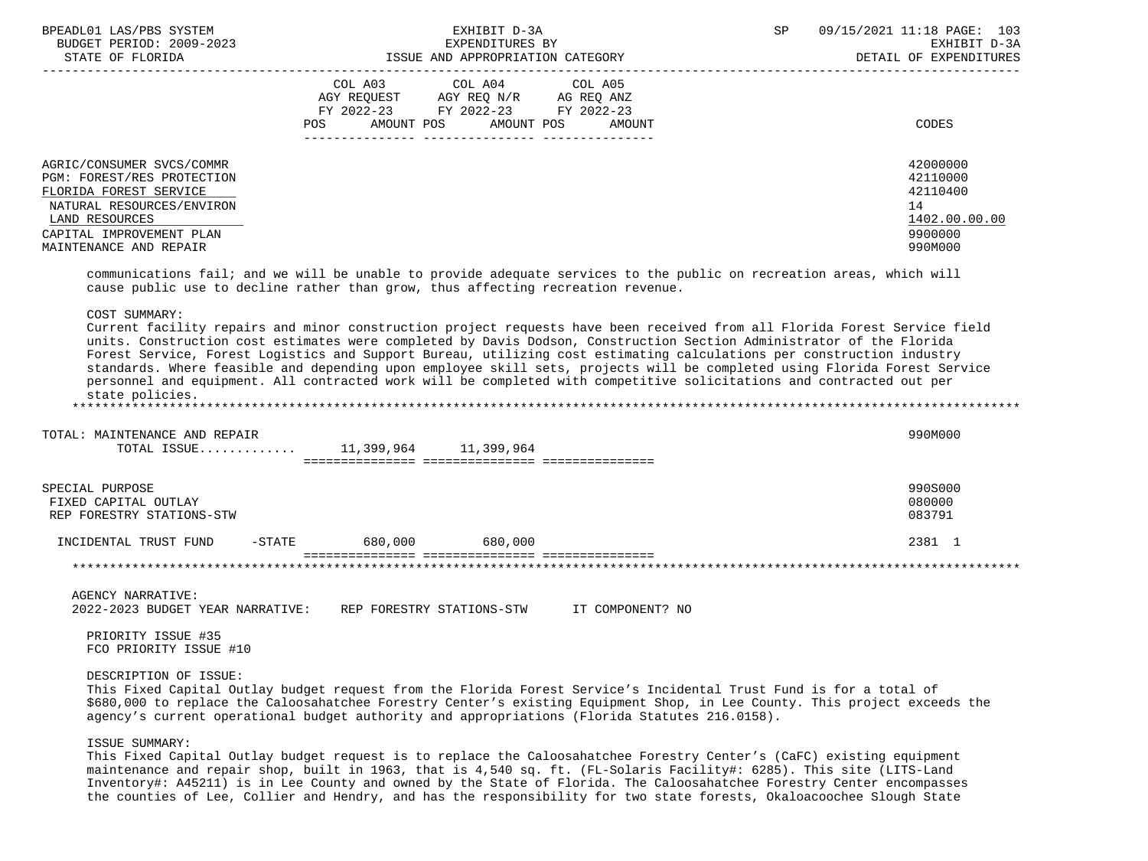| BPEADL01 LAS/PBS SYSTEM<br>BUDGET PERIOD: 2009-2023<br>STATE OF FLORIDA                                                                                                                | EXHIBIT D-3A<br>EXPENDITURES BY<br>ISSUE AND APPROPRIATION CATEGORY |  |                                                                                                                                   |  |  | <b>SP</b> | 09/15/2021 11:18 PAGE: 103<br>EXHIBIT D-3A<br>DETAIL OF EXPENDITURES          |  |
|----------------------------------------------------------------------------------------------------------------------------------------------------------------------------------------|---------------------------------------------------------------------|--|-----------------------------------------------------------------------------------------------------------------------------------|--|--|-----------|-------------------------------------------------------------------------------|--|
|                                                                                                                                                                                        | POS                                                                 |  | COL A03 COL A04 COL A05<br>AGY REQUEST AGY REQ N/R AG REQ ANZ<br>FY 2022-23 FY 2022-23 FY 2022-23<br>AMOUNT POS AMOUNT POS AMOUNT |  |  |           | CODES                                                                         |  |
| AGRIC/CONSUMER SVCS/COMMR<br>PGM: FOREST/RES PROTECTION<br>FLORIDA FOREST SERVICE<br>NATURAL RESOURCES/ENVIRON<br>LAND RESOURCES<br>CAPITAL IMPROVEMENT PLAN<br>MAINTENANCE AND REPAIR |                                                                     |  |                                                                                                                                   |  |  |           | 42000000<br>42110000<br>42110400<br>14<br>1402.00.00.00<br>9900000<br>990M000 |  |
| communications fail; and we will be unable to provide adequate services to the public on recreation areas, which will                                                                  |                                                                     |  |                                                                                                                                   |  |  |           |                                                                               |  |

cause public use to decline rather than grow, thus affecting recreation revenue.

COST SUMMARY:

 Current facility repairs and minor construction project requests have been received from all Florida Forest Service field units. Construction cost estimates were completed by Davis Dodson, Construction Section Administrator of the Florida Forest Service, Forest Logistics and Support Bureau, utilizing cost estimating calculations per construction industry standards. Where feasible and depending upon employee skill sets, projects will be completed using Florida Forest Service personnel and equipment. All contracted work will be completed with competitive solicitations and contracted out per state policies. \*\*\*\*\*\*\*\*\*\*\*\*\*\*\*\*\*\*\*\*\*\*\*\*\*\*\*\*\*\*\*\*\*\*\*\*\*\*\*\*\*\*\*\*\*\*\*\*\*\*\*\*\*\*\*\*\*\*\*\*\*\*\*\*\*\*\*\*\*\*\*\*\*\*\*\*\*\*\*\*\*\*\*\*\*\*\*\*\*\*\*\*\*\*\*\*\*\*\*\*\*\*\*\*\*\*\*\*\*\*\*\*\*\*\*\*\*\*\*\*\*\*\*\*\*\*\*

 TOTAL: MAINTENANCE AND REPAIR 990M000 TOTAL ISSUE............. 11,399,964 11,399,964 =============== =============== =============== SPECIAL PURPOSE 990S000 FIXED CAPITAL OUTLAY 080000 PHOTOS STATES ON A SERVER STATES ON THE SERVER OF STATES ON THE SERVER OF STATES O<br>The server of the server of the server of the server of the server of the server of the server of the server o REP FORESTRY STATIONS-STW INCIDENTAL TRUST FUND -STATE 680,000 680,000 2381 1 =============== =============== ===============

\*\*\*\*\*\*\*\*\*\*\*\*\*\*\*\*\*\*\*\*\*\*\*\*\*\*\*\*\*\*\*\*\*\*\*\*\*\*\*\*\*\*\*\*\*\*\*\*\*\*\*\*\*\*\*\*\*\*\*\*\*\*\*\*\*\*\*\*\*\*\*\*\*\*\*\*\*\*\*\*\*\*\*\*\*\*\*\*\*\*\*\*\*\*\*\*\*\*\*\*\*\*\*\*\*\*\*\*\*\*\*\*\*\*\*\*\*\*\*\*\*\*\*\*\*\*\*

AGENCY NARRATIVE:

2022-2023 BUDGET YEAR NARRATIVE: REP FORESTRY STATIONS-STW IT COMPONENT? NO

 PRIORITY ISSUE #35 FCO PRIORITY ISSUE #10

DESCRIPTION OF ISSUE:

 This Fixed Capital Outlay budget request from the Florida Forest Service's Incidental Trust Fund is for a total of \$680,000 to replace the Caloosahatchee Forestry Center's existing Equipment Shop, in Lee County. This project exceeds the agency's current operational budget authority and appropriations (Florida Statutes 216.0158).

ISSUE SUMMARY:

 This Fixed Capital Outlay budget request is to replace the Caloosahatchee Forestry Center's (CaFC) existing equipment maintenance and repair shop, built in 1963, that is 4,540 sq. ft. (FL-Solaris Facility#: 6285). This site (LITS-Land Inventory#: A45211) is in Lee County and owned by the State of Florida. The Caloosahatchee Forestry Center encompasses the counties of Lee, Collier and Hendry, and has the responsibility for two state forests, Okaloacoochee Slough State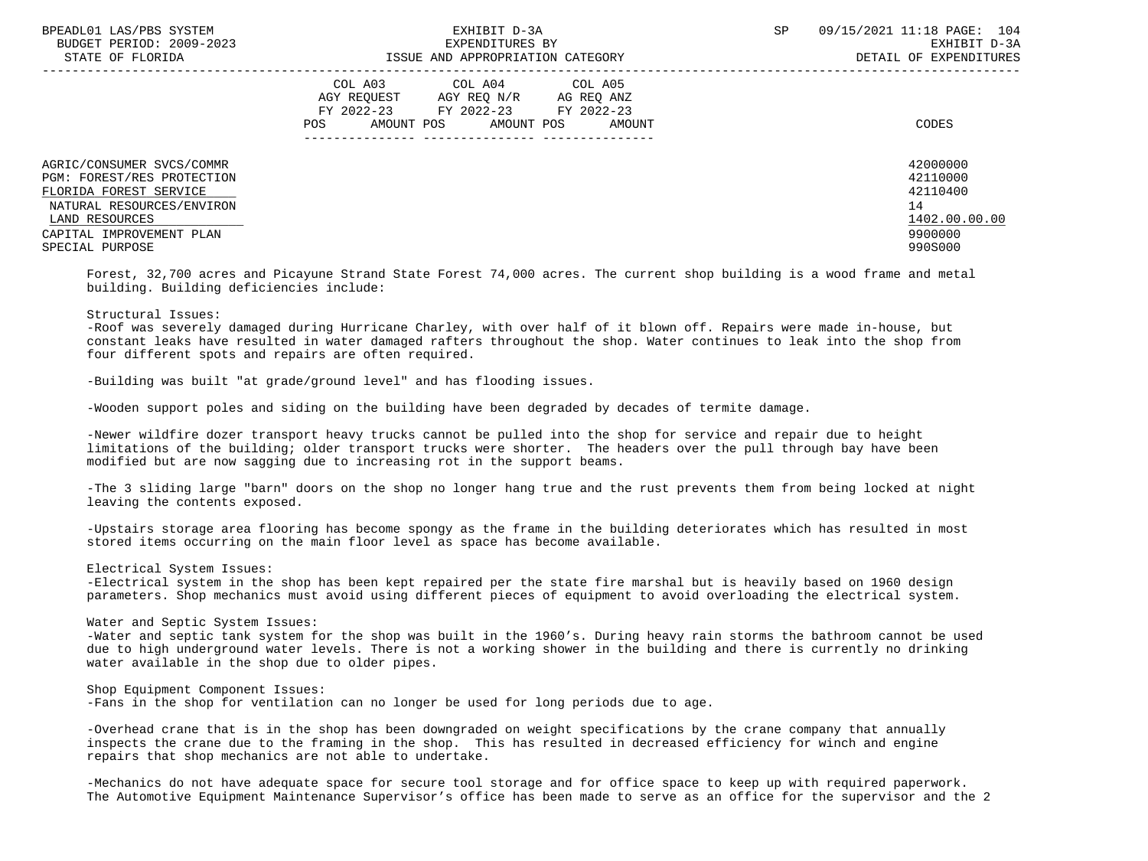| BPEADL01 LAS/PBS SYSTEM<br>BUDGET PERIOD: 2009-2023<br>STATE OF FLORIDA                                                                                                         | EXHIBIT D-3A<br>EXPENDITURES BY<br>ISSUE AND APPROPRIATION CATEGORY                                                                                  | 09/15/2021 11:18 PAGE: 104<br>SP<br>EXHIBIT D-3A<br>DETAIL OF EXPENDITURES    |
|---------------------------------------------------------------------------------------------------------------------------------------------------------------------------------|------------------------------------------------------------------------------------------------------------------------------------------------------|-------------------------------------------------------------------------------|
|                                                                                                                                                                                 | COL A03<br>COL A04 COL A05<br>AGY REOUEST<br>AGY REO N/R<br>AG REO ANZ<br>FY 2022-23 FY 2022-23 FY 2022-23<br>AMOUNT POS AMOUNT POS<br>POS<br>AMOUNT | CODES                                                                         |
| AGRIC/CONSUMER SVCS/COMMR<br>PGM: FOREST/RES PROTECTION<br>FLORIDA FOREST SERVICE<br>NATURAL RESOURCES/ENVIRON<br>LAND RESOURCES<br>CAPITAL IMPROVEMENT PLAN<br>SPECIAL PURPOSE |                                                                                                                                                      | 42000000<br>42110000<br>42110400<br>14<br>1402.00.00.00<br>9900000<br>990S000 |

 Forest, 32,700 acres and Picayune Strand State Forest 74,000 acres. The current shop building is a wood frame and metal building. Building deficiencies include:

Structural Issues:

 -Roof was severely damaged during Hurricane Charley, with over half of it blown off. Repairs were made in-house, but constant leaks have resulted in water damaged rafters throughout the shop. Water continues to leak into the shop from four different spots and repairs are often required.

-Building was built "at grade/ground level" and has flooding issues.

-Wooden support poles and siding on the building have been degraded by decades of termite damage.

 -Newer wildfire dozer transport heavy trucks cannot be pulled into the shop for service and repair due to height limitations of the building; older transport trucks were shorter. The headers over the pull through bay have been modified but are now sagging due to increasing rot in the support beams.

-The 3 sliding large "barn" doors on the shop no longer hang true and the rust prevents them from being locked at night leaving the contents exposed.

 -Upstairs storage area flooring has become spongy as the frame in the building deteriorates which has resulted in most stored items occurring on the main floor level as space has become available.

Electrical System Issues:

 -Electrical system in the shop has been kept repaired per the state fire marshal but is heavily based on 1960 design parameters. Shop mechanics must avoid using different pieces of equipment to avoid overloading the electrical system.

Water and Septic System Issues:

 -Water and septic tank system for the shop was built in the 1960's. During heavy rain storms the bathroom cannot be used due to high underground water levels. There is not a working shower in the building and there is currently no drinking water available in the shop due to older pipes.

 Shop Equipment Component Issues: -Fans in the shop for ventilation can no longer be used for long periods due to age.

 -Overhead crane that is in the shop has been downgraded on weight specifications by the crane company that annually inspects the crane due to the framing in the shop. This has resulted in decreased efficiency for winch and engine repairs that shop mechanics are not able to undertake.

 -Mechanics do not have adequate space for secure tool storage and for office space to keep up with required paperwork. The Automotive Equipment Maintenance Supervisor's office has been made to serve as an office for the supervisor and the 2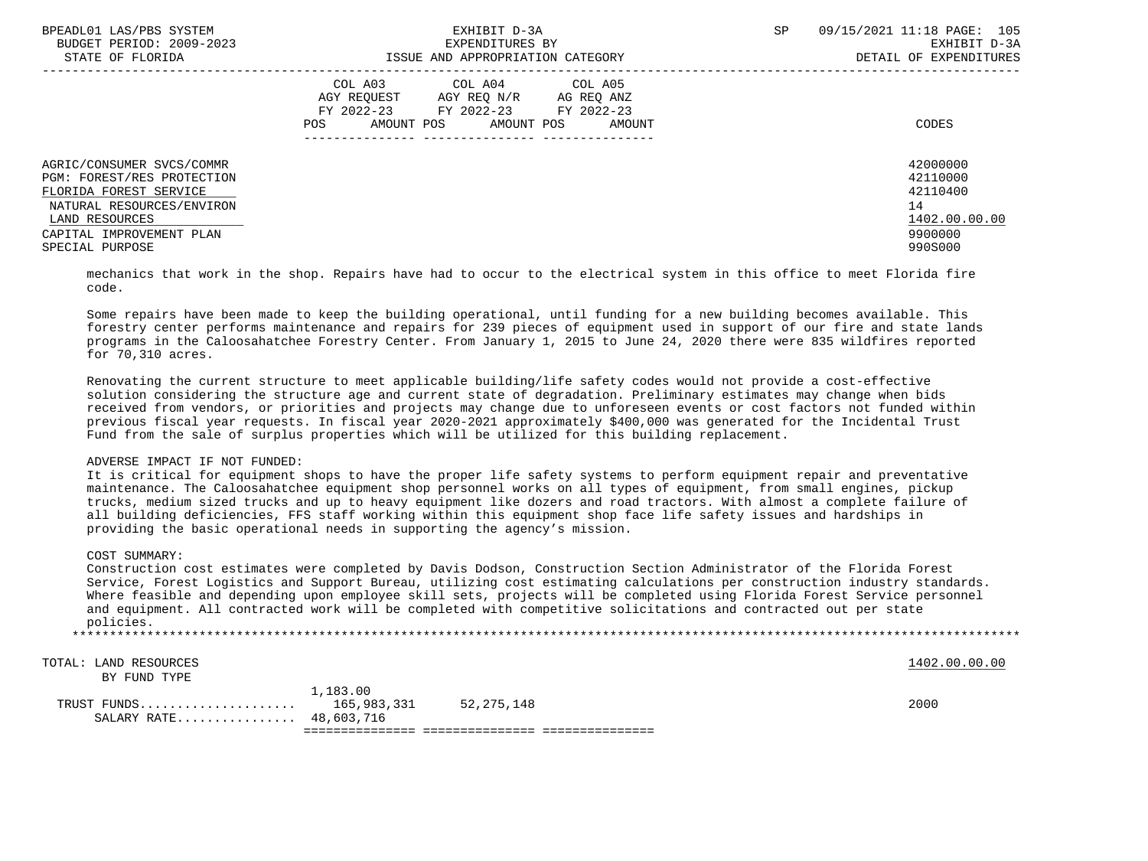| BPEADL01 LAS/PBS SYSTEM           | 09/15/2021 11:18 PAGE: 105<br>SP                                                                                                                     |                        |
|-----------------------------------|------------------------------------------------------------------------------------------------------------------------------------------------------|------------------------|
| BUDGET PERIOD: 2009-2023          | EXHIBIT D-3A                                                                                                                                         |                        |
| STATE OF FLORIDA                  | ISSUE AND APPROPRIATION CATEGORY                                                                                                                     | DETAIL OF EXPENDITURES |
|                                   | COL A03 COL A04 COL A05<br>AGY REOUEST<br>AGY REO N/R<br>AG REQ ANZ<br>FY 2022-23 FY 2022-23 FY 2022-23<br>AMOUNT POS<br>AMOUNT POS<br>POS<br>AMOUNT | CODES                  |
| AGRIC/CONSUMER SVCS/COMMR         |                                                                                                                                                      | 42000000               |
| <b>PGM: FOREST/RES PROTECTION</b> |                                                                                                                                                      | 42110000               |
| FLORIDA FOREST SERVICE            |                                                                                                                                                      | 42110400               |
| NATURAL RESOURCES/ENVIRON         |                                                                                                                                                      | 14                     |
| LAND RESOURCES                    |                                                                                                                                                      | 1402.00.00.00          |
| CAPITAL IMPROVEMENT PLAN          |                                                                                                                                                      | 9900000                |
| SPECIAL PURPOSE                   |                                                                                                                                                      | 990S000                |

 mechanics that work in the shop. Repairs have had to occur to the electrical system in this office to meet Florida fire code.

 Some repairs have been made to keep the building operational, until funding for a new building becomes available. This forestry center performs maintenance and repairs for 239 pieces of equipment used in support of our fire and state lands programs in the Caloosahatchee Forestry Center. From January 1, 2015 to June 24, 2020 there were 835 wildfires reported for 70,310 acres.

 Renovating the current structure to meet applicable building/life safety codes would not provide a cost-effective solution considering the structure age and current state of degradation. Preliminary estimates may change when bids received from vendors, or priorities and projects may change due to unforeseen events or cost factors not funded within previous fiscal year requests. In fiscal year 2020-2021 approximately \$400,000 was generated for the Incidental Trust Fund from the sale of surplus properties which will be utilized for this building replacement.

#### ADVERSE IMPACT IF NOT FUNDED:

 It is critical for equipment shops to have the proper life safety systems to perform equipment repair and preventative maintenance. The Caloosahatchee equipment shop personnel works on all types of equipment, from small engines, pickup trucks, medium sized trucks and up to heavy equipment like dozers and road tractors. With almost a complete failure of all building deficiencies, FFS staff working within this equipment shop face life safety issues and hardships in providing the basic operational needs in supporting the agency's mission.

### COST SUMMARY:

 Construction cost estimates were completed by Davis Dodson, Construction Section Administrator of the Florida Forest Service, Forest Logistics and Support Bureau, utilizing cost estimating calculations per construction industry standards. Where feasible and depending upon employee skill sets, projects will be completed using Florida Forest Service personnel and equipment. All contracted work will be completed with competitive solicitations and contracted out per state policies. \*\*\*\*\*\*\*\*\*\*\*\*\*\*\*\*\*\*\*\*\*\*\*\*\*\*\*\*\*\*\*\*\*\*\*\*\*\*\*\*\*\*\*\*\*\*\*\*\*\*\*\*\*\*\*\*\*\*\*\*\*\*\*\*\*\*\*\*\*\*\*\*\*\*\*\*\*\*\*\*\*\*\*\*\*\*\*\*\*\*\*\*\*\*\*\*\*\*\*\*\*\*\*\*\*\*\*\*\*\*\*\*\*\*\*\*\*\*\*\*\*\*\*\*\*\*\*

#### $T$ OTAL: LAND RESOURCES  $1402.00.00$ .00.00  $100$

BY FUND TYPE

 1,183.00 TRUST FUNDS..................... 165,983,331 52,275,148 2000 SALARY RATE................ 48,603,716 =============== =============== ===============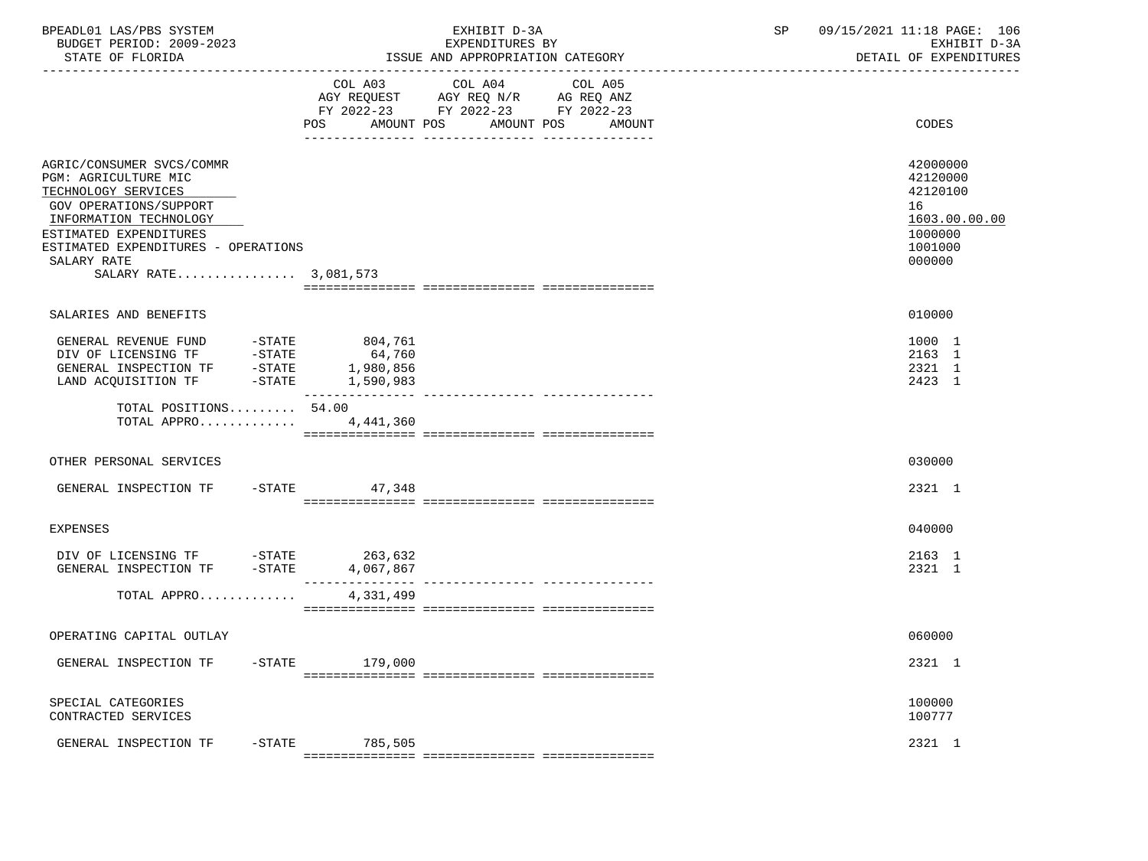| BPEADL01 LAS/PBS SYSTEM<br>BUDGET PERIOD: 2009-2023<br>STATE OF FLORIDA                                                                                                                                                               |                | EXHIBIT D-3A<br>EXPENDITURES BY<br>ISSUE AND APPROPRIATION CATEGORY                                                                | SP | 09/15/2021 11:18 PAGE: 106<br>EXHIBIT D-3A<br>DETAIL OF EXPENDITURES                    |
|---------------------------------------------------------------------------------------------------------------------------------------------------------------------------------------------------------------------------------------|----------------|------------------------------------------------------------------------------------------------------------------------------------|----|-----------------------------------------------------------------------------------------|
|                                                                                                                                                                                                                                       | COL A03<br>POS | COL A04<br>COL A05<br>AGY REQUEST AGY REQ N/R AG REQ ANZ<br>FY 2022-23 FY 2022-23 FY 2022-23<br>AMOUNT POS<br>AMOUNT POS<br>AMOUNT |    | <b>CODES</b>                                                                            |
| AGRIC/CONSUMER SVCS/COMMR<br>PGM: AGRICULTURE MIC<br>TECHNOLOGY SERVICES<br>GOV OPERATIONS/SUPPORT<br>INFORMATION TECHNOLOGY<br>ESTIMATED EXPENDITURES<br>ESTIMATED EXPENDITURES - OPERATIONS<br>SALARY RATE<br>SALARY RATE 3,081,573 |                |                                                                                                                                    |    | 42000000<br>42120000<br>42120100<br>16<br>1603.00.00.00<br>1000000<br>1001000<br>000000 |
| SALARIES AND BENEFITS                                                                                                                                                                                                                 |                |                                                                                                                                    |    | 010000                                                                                  |
| GENERAL REVENUE FUND -STATE 804,761                                                                                                                                                                                                   |                |                                                                                                                                    |    | 1000 1<br>2163 1<br>2321 1<br>2423 1                                                    |
| TOTAL POSITIONS 54.00<br>TOTAL APPRO $4,441,360$                                                                                                                                                                                      |                |                                                                                                                                    |    |                                                                                         |
| OTHER PERSONAL SERVICES                                                                                                                                                                                                               |                |                                                                                                                                    |    | 030000                                                                                  |
| GENERAL INSPECTION TF                                                                                                                                                                                                                 | -STATE 47,348  |                                                                                                                                    |    | 2321 1                                                                                  |
| <b>EXPENSES</b>                                                                                                                                                                                                                       |                |                                                                                                                                    |    | 040000                                                                                  |
| DIV OF LICENSING TF -STATE 263,632<br>GENERAL INSPECTION TF -STATE 4,067,867                                                                                                                                                          |                |                                                                                                                                    |    | 2163 1<br>2321 1                                                                        |
| TOTAL APPRO                                                                                                                                                                                                                           | 4,331,499      |                                                                                                                                    |    |                                                                                         |
| OPERATING CAPITAL OUTLAY                                                                                                                                                                                                              |                |                                                                                                                                    |    | 060000                                                                                  |
| GENERAL INSPECTION TF<br>$-$ STATE                                                                                                                                                                                                    | 179,000        |                                                                                                                                    |    | 2321 1                                                                                  |
| SPECIAL CATEGORIES<br>CONTRACTED SERVICES                                                                                                                                                                                             |                |                                                                                                                                    |    | 100000<br>100777                                                                        |
| GENERAL INSPECTION TF<br>$-$ STATE                                                                                                                                                                                                    | 785,505        |                                                                                                                                    |    | 2321 1                                                                                  |

=============== =============== ===============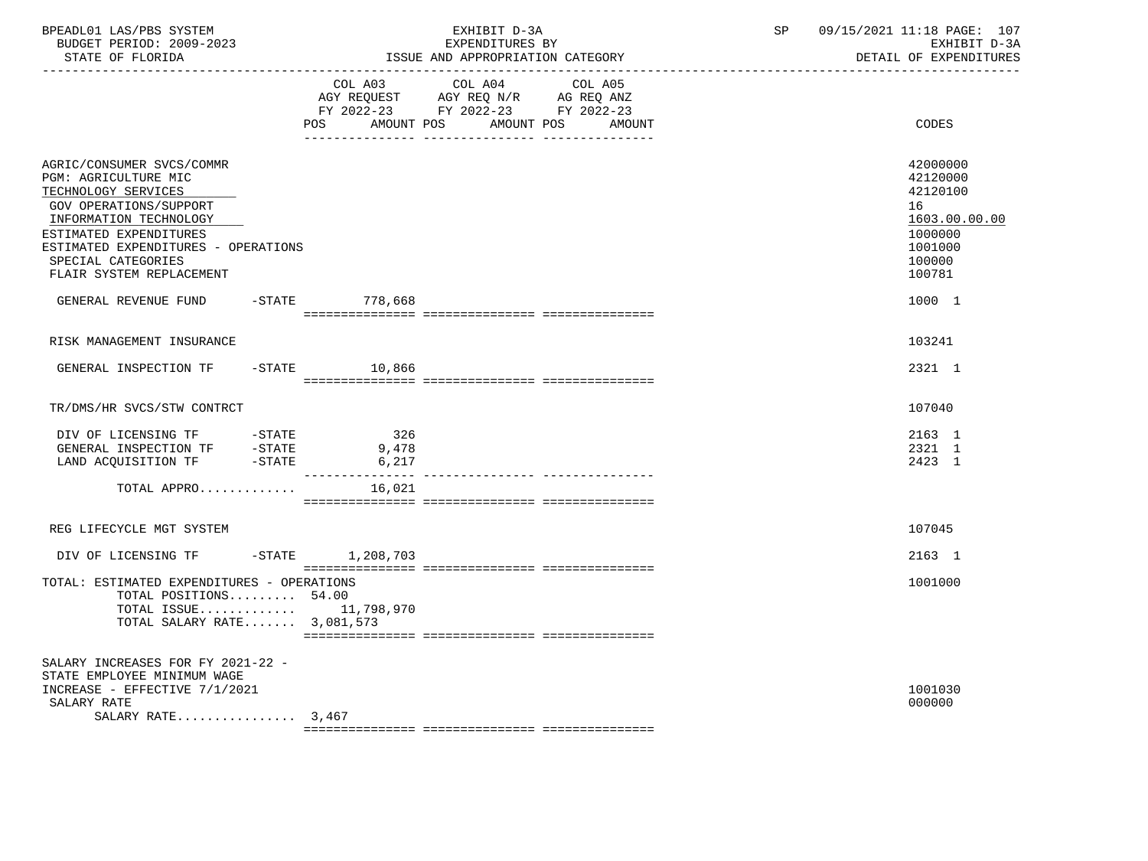| BPEADL01 LAS/PBS SYSTEM<br>BUDGET PERIOD: 2009-2023<br>STATE OF FLORIDA                                                                                                                                                                                                 |                       | EXHIBIT D-3A<br>EXPENDITURES BY<br>ISSUE AND APPROPRIATION CATEGORY<br>___________________________                                 | SP | 09/15/2021 11:18 PAGE: 107<br>EXHIBIT D-3A<br>DETAIL OF EXPENDITURES                                        |  |
|-------------------------------------------------------------------------------------------------------------------------------------------------------------------------------------------------------------------------------------------------------------------------|-----------------------|------------------------------------------------------------------------------------------------------------------------------------|----|-------------------------------------------------------------------------------------------------------------|--|
|                                                                                                                                                                                                                                                                         | COL A03<br>POS        | COL A04<br>COL A05<br>AGY REQUEST AGY REQ N/R AG REQ ANZ<br>FY 2022-23 FY 2022-23 FY 2022-23<br>AMOUNT POS<br>AMOUNT POS<br>AMOUNT |    | CODES                                                                                                       |  |
| AGRIC/CONSUMER SVCS/COMMR<br>PGM: AGRICULTURE MIC<br>TECHNOLOGY SERVICES<br>GOV OPERATIONS/SUPPORT<br>INFORMATION TECHNOLOGY<br>ESTIMATED EXPENDITURES<br>ESTIMATED EXPENDITURES - OPERATIONS<br>SPECIAL CATEGORIES<br>FLAIR SYSTEM REPLACEMENT<br>GENERAL REVENUE FUND | -STATE 778,668        |                                                                                                                                    |    | 42000000<br>42120000<br>42120100<br>16<br>1603.00.00.00<br>1000000<br>1001000<br>100000<br>100781<br>1000 1 |  |
| RISK MANAGEMENT INSURANCE                                                                                                                                                                                                                                               |                       |                                                                                                                                    |    | 103241                                                                                                      |  |
| GENERAL INSPECTION TF                                                                                                                                                                                                                                                   | $-STATE$ 10,866       |                                                                                                                                    |    | 2321 1                                                                                                      |  |
| TR/DMS/HR SVCS/STW CONTRCT                                                                                                                                                                                                                                              |                       |                                                                                                                                    |    | 107040                                                                                                      |  |
| DIV OF LICENSING TF - STATE<br>GENERAL INSPECTION TF - STATE<br>LAND ACQUISITION TF -STATE                                                                                                                                                                              | 326<br>9,478<br>6,217 |                                                                                                                                    |    | 2163 1<br>2321 1<br>2423 1                                                                                  |  |
| TOTAL APPRO                                                                                                                                                                                                                                                             | 16,021                |                                                                                                                                    |    |                                                                                                             |  |
| REG LIFECYCLE MGT SYSTEM                                                                                                                                                                                                                                                |                       |                                                                                                                                    |    | 107045                                                                                                      |  |
| DIV OF LICENSING TF                                                                                                                                                                                                                                                     | $-STATE$ 1, 208, 703  |                                                                                                                                    |    | 2163 1                                                                                                      |  |
| TOTAL: ESTIMATED EXPENDITURES - OPERATIONS<br>TOTAL POSITIONS 54.00<br>TOTAL ISSUE $11,798,970$<br>TOTAL SALARY RATE 3,081,573                                                                                                                                          |                       |                                                                                                                                    |    | 1001000                                                                                                     |  |
| SALARY INCREASES FOR FY 2021-22 -<br>STATE EMPLOYEE MINIMUM WAGE<br>INCREASE - EFFECTIVE 7/1/2021<br>SALARY RATE<br>SALARY RATE $3,467$                                                                                                                                 |                       |                                                                                                                                    |    | 1001030<br>000000                                                                                           |  |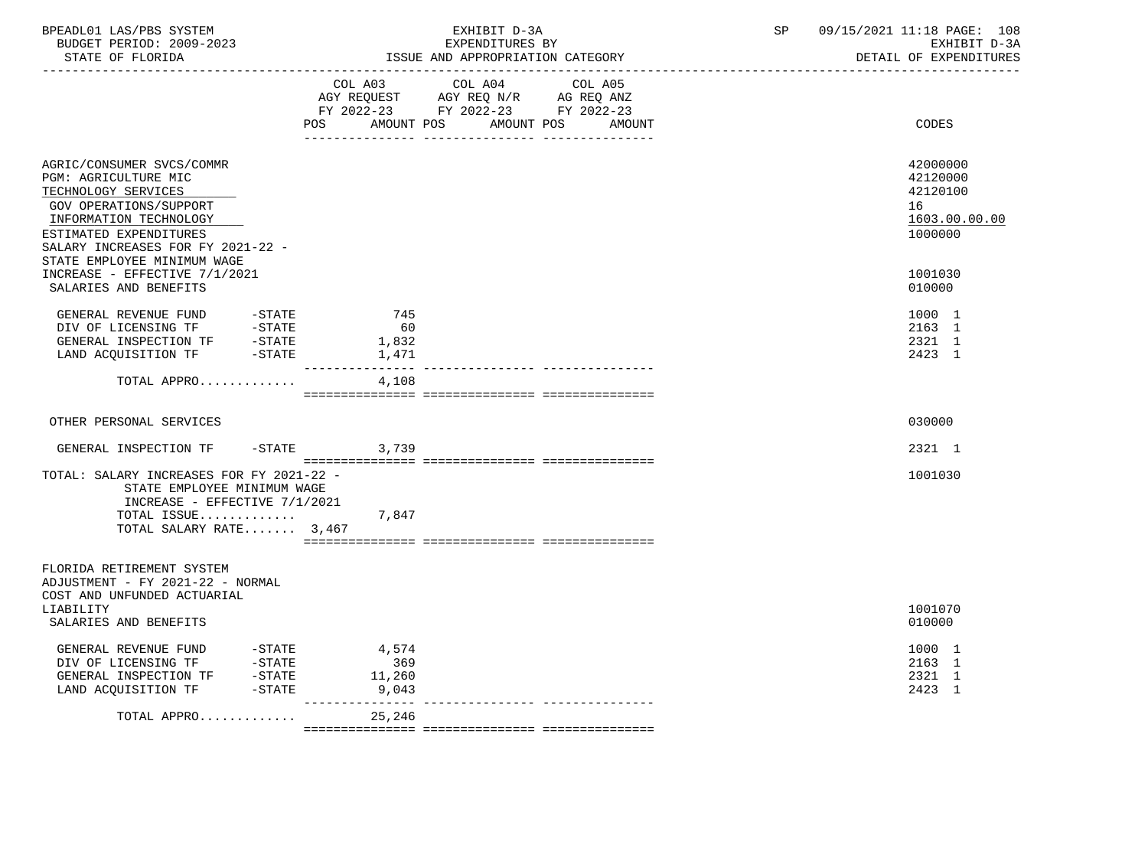| BPEADL01 LAS/PBS SYSTEM<br>BUDGET PERIOD: 2009-2023<br>STATE OF FLORIDA                                                                                                                                                    |                                 | EXHIBIT D-3A<br>EXPENDITURES BY<br>ISSUE AND APPROPRIATION CATEGORY                                                                      | SP | 09/15/2021 11:18 PAGE: 108<br>EXHIBIT D-3A<br>DETAIL OF EXPENDITURES |
|----------------------------------------------------------------------------------------------------------------------------------------------------------------------------------------------------------------------------|---------------------------------|------------------------------------------------------------------------------------------------------------------------------------------|----|----------------------------------------------------------------------|
|                                                                                                                                                                                                                            |                                 | COL A03 COL A04 COL A05<br>AGY REQUEST AGY REQ N/R AG REQ ANZ<br>FY 2022-23 FY 2022-23 FY 2022-23<br>POS AMOUNT POS AMOUNT POS<br>AMOUNT |    | CODES                                                                |
| AGRIC/CONSUMER SVCS/COMMR<br>PGM: AGRICULTURE MIC<br>TECHNOLOGY SERVICES<br>GOV OPERATIONS/SUPPORT<br>INFORMATION TECHNOLOGY<br>ESTIMATED EXPENDITURES<br>SALARY INCREASES FOR FY 2021-22 -<br>STATE EMPLOYEE MINIMUM WAGE |                                 |                                                                                                                                          |    | 42000000<br>42120000<br>42120100<br>16<br>1603.00.00.00<br>1000000   |
| INCREASE - EFFECTIVE 7/1/2021<br>SALARIES AND BENEFITS                                                                                                                                                                     |                                 |                                                                                                                                          |    | 1001030<br>010000                                                    |
| GENERAL REVENUE FUND -STATE<br>DIV OF LICENSING TF -STATE<br>GENERAL INSPECTION TF -STATE<br>LAND ACQUISITION TF -STATE                                                                                                    | 745<br>60<br>1,832<br>1,471     |                                                                                                                                          |    | 1000 1<br>2163 1<br>2321 1<br>2423 1                                 |
| TOTAL APPRO                                                                                                                                                                                                                | 4,108                           |                                                                                                                                          |    |                                                                      |
| OTHER PERSONAL SERVICES                                                                                                                                                                                                    |                                 |                                                                                                                                          |    | 030000                                                               |
| GENERAL INSPECTION TF -STATE 3,739                                                                                                                                                                                         |                                 |                                                                                                                                          |    | 2321 1                                                               |
| TOTAL: SALARY INCREASES FOR FY 2021-22 -<br>STATE EMPLOYEE MINIMUM WAGE<br>INCREASE - EFFECTIVE $7/1/2021$                                                                                                                 |                                 |                                                                                                                                          |    | 1001030                                                              |
| TOTAL ISSUE<br>TOTAL SALARY RATE 3,467                                                                                                                                                                                     | 7,847                           |                                                                                                                                          |    |                                                                      |
| FLORIDA RETIREMENT SYSTEM<br>ADJUSTMENT - FY 2021-22 - NORMAL<br>COST AND UNFUNDED ACTUARIAL<br>LIABILITY                                                                                                                  |                                 |                                                                                                                                          |    | 1001070                                                              |
| SALARIES AND BENEFITS                                                                                                                                                                                                      |                                 |                                                                                                                                          |    | 010000                                                               |
| GENERAL REVENUE FUND - STATE<br>DIV OF LICENSING TF - STATE<br>GENERAL INSPECTION TF - STATE<br>$-STATE$<br>LAND ACQUISITION TF                                                                                            | 4,574<br>369<br>11,260<br>9,043 |                                                                                                                                          |    | 1000 1<br>2163 1<br>2321 1<br>2423 1                                 |
| TOTAL APPRO                                                                                                                                                                                                                | 25,246                          |                                                                                                                                          |    |                                                                      |
|                                                                                                                                                                                                                            |                                 |                                                                                                                                          |    |                                                                      |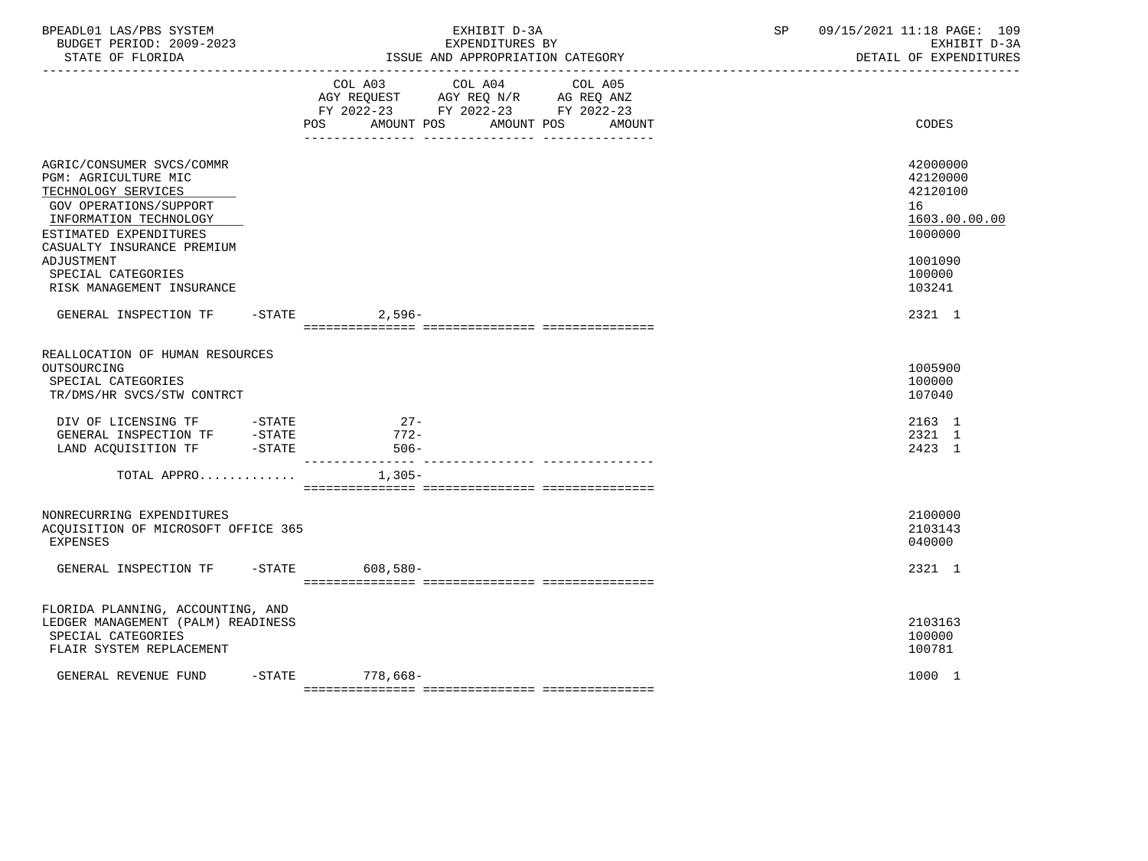| BPEADL01 LAS/PBS SYSTEM<br>BUDGET PERIOD: 2009-2023<br>STATE OF FLORIDA                                                                                                                                                  |                                                                                                                                          | EXHIBIT D-3A<br>EXPENDITURES BY<br>ISSUE AND APPROPRIATION CATEGORY | SP    | 09/15/2021 11:18 PAGE: 109<br>EXHIBIT D-3A<br>DETAIL OF EXPENDITURES                    |
|--------------------------------------------------------------------------------------------------------------------------------------------------------------------------------------------------------------------------|------------------------------------------------------------------------------------------------------------------------------------------|---------------------------------------------------------------------|-------|-----------------------------------------------------------------------------------------|
|                                                                                                                                                                                                                          | COL A03 COL A04<br>COL A05<br>AGY REQUEST AGY REQ N/R AG REQ ANZ<br>FY 2022-23 FY 2022-23 FY 2022-23<br>POS AMOUNT POS AMOUNT POS AMOUNT |                                                                     | CODES |                                                                                         |
| AGRIC/CONSUMER SVCS/COMMR<br>PGM: AGRICULTURE MIC<br>TECHNOLOGY SERVICES<br>GOV OPERATIONS/SUPPORT<br>INFORMATION TECHNOLOGY<br>ESTIMATED EXPENDITURES<br>CASUALTY INSURANCE PREMIUM<br>ADJUSTMENT<br>SPECIAL CATEGORIES |                                                                                                                                          |                                                                     |       | 42000000<br>42120000<br>42120100<br>16<br>1603.00.00.00<br>1000000<br>1001090<br>100000 |
| RISK MANAGEMENT INSURANCE<br>GENERAL INSPECTION TF -STATE 2,596-                                                                                                                                                         |                                                                                                                                          |                                                                     |       | 103241<br>2321 1                                                                        |
| REALLOCATION OF HUMAN RESOURCES<br>OUTSOURCING<br>SPECIAL CATEGORIES<br>TR/DMS/HR SVCS/STW CONTRCT<br>DIV OF LICENSING TF -STATE<br>GENERAL INSPECTION TF -STATE<br>LAND ACQUISITION TF -STATE                           |                                                                                                                                          | $27 -$<br>772-<br>$506-$<br>-------------- --                       |       | 1005900<br>100000<br>107040<br>2163 1<br>2321 1<br>2423 1                               |
| TOTAL APPRO                                                                                                                                                                                                              |                                                                                                                                          | 1,305-                                                              |       |                                                                                         |
| NONRECURRING EXPENDITURES<br>ACQUISITION OF MICROSOFT OFFICE 365<br><b>EXPENSES</b>                                                                                                                                      |                                                                                                                                          |                                                                     |       | 2100000<br>2103143<br>040000                                                            |
| GENERAL INSPECTION TF -STATE                                                                                                                                                                                             |                                                                                                                                          | 608,580-                                                            |       | 2321 1                                                                                  |
| FLORIDA PLANNING, ACCOUNTING, AND<br>LEDGER MANAGEMENT (PALM) READINESS<br>SPECIAL CATEGORIES<br>FLAIR SYSTEM REPLACEMENT                                                                                                |                                                                                                                                          |                                                                     |       | 2103163<br>100000<br>100781                                                             |
| GENERAL REVENUE FUND                                                                                                                                                                                                     | $-STATE$                                                                                                                                 | 778,668-                                                            |       | 1000 1                                                                                  |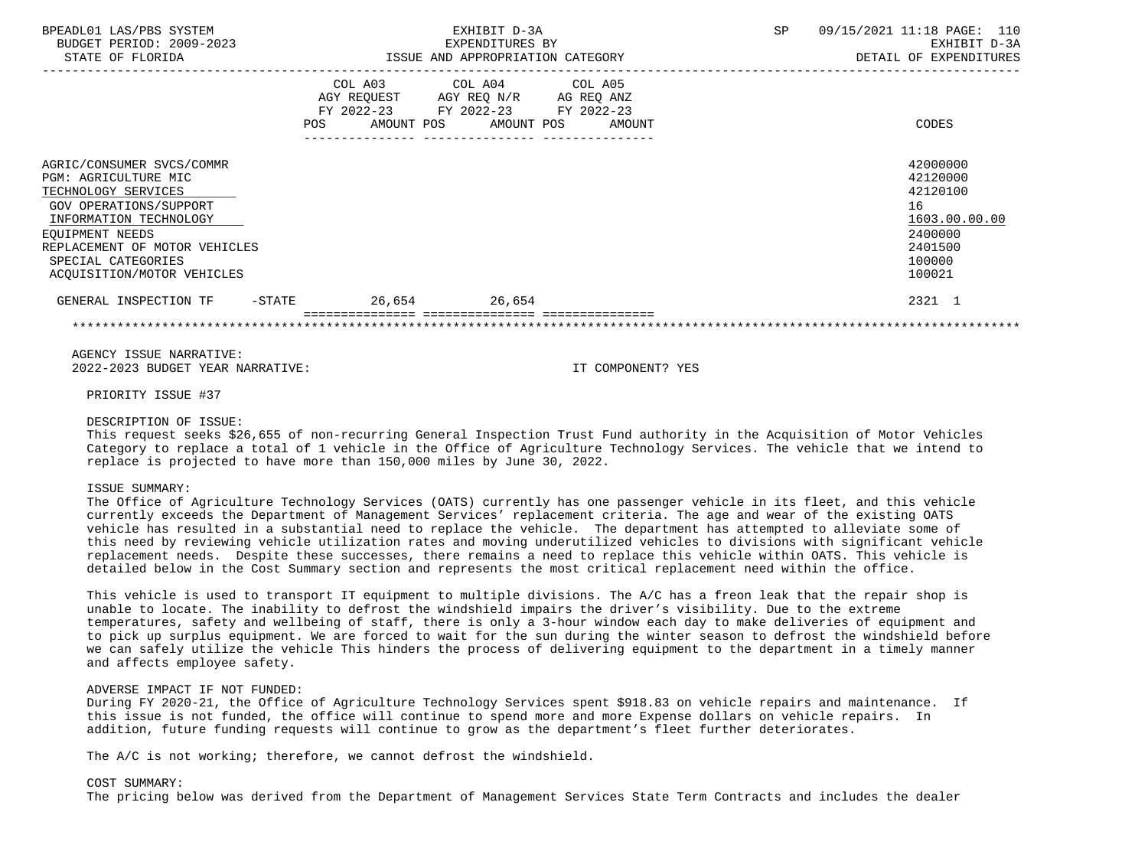| BPEADL01 LAS/PBS SYSTEM<br>BUDGET PERIOD: 2009-2023<br>STATE OF FLORIDA                                                                                                                                                                     | EXHIBIT D-3A<br>EXPENDITURES BY<br>ISSUE AND APPROPRIATION CATEGORY |                                                                                                                            |  |  | SP<br>09/15/2021 11:18 PAGE: 110<br>EXHIBIT D-3A<br>DETAIL OF EXPENDITURES |  |  |                                                                                                   |
|---------------------------------------------------------------------------------------------------------------------------------------------------------------------------------------------------------------------------------------------|---------------------------------------------------------------------|----------------------------------------------------------------------------------------------------------------------------|--|--|----------------------------------------------------------------------------|--|--|---------------------------------------------------------------------------------------------------|
|                                                                                                                                                                                                                                             | POS                                                                 | COL A03 COL A04 COL A05<br>AGY REQUEST AGY REQ N/R AG REQ ANZ<br>FY 2022-23 FY 2022-23 FY 2022-23<br>AMOUNT POS AMOUNT POS |  |  | AMOUNT                                                                     |  |  | CODES                                                                                             |
| AGRIC/CONSUMER SVCS/COMMR<br><b>PGM: AGRICULTURE MIC</b><br>TECHNOLOGY SERVICES<br>GOV OPERATIONS/SUPPORT<br>INFORMATION TECHNOLOGY<br>EOUIPMENT NEEDS<br>REPLACEMENT OF MOTOR VEHICLES<br>SPECIAL CATEGORIES<br>ACQUISITION/MOTOR VEHICLES |                                                                     |                                                                                                                            |  |  |                                                                            |  |  | 42000000<br>42120000<br>42120100<br>16<br>1603.00.00.00<br>2400000<br>2401500<br>100000<br>100021 |
| GENERAL INSPECTION TF -STATE 26,654 26,654                                                                                                                                                                                                  |                                                                     |                                                                                                                            |  |  |                                                                            |  |  | 2321 1                                                                                            |
|                                                                                                                                                                                                                                             |                                                                     |                                                                                                                            |  |  |                                                                            |  |  |                                                                                                   |
| AGENCY ISSUE NARRATIVE:<br>2022-2023 BUDGET YEAR NARRATIVE:                                                                                                                                                                                 |                                                                     |                                                                                                                            |  |  | IT COMPONENT? YES                                                          |  |  |                                                                                                   |

PRIORITY ISSUE #37

### DESCRIPTION OF ISSUE:

 This request seeks \$26,655 of non-recurring General Inspection Trust Fund authority in the Acquisition of Motor Vehicles Category to replace a total of 1 vehicle in the Office of Agriculture Technology Services. The vehicle that we intend to replace is projected to have more than 150,000 miles by June 30, 2022.

# ISSUE SUMMARY:

 The Office of Agriculture Technology Services (OATS) currently has one passenger vehicle in its fleet, and this vehicle currently exceeds the Department of Management Services' replacement criteria. The age and wear of the existing OATS vehicle has resulted in a substantial need to replace the vehicle. The department has attempted to alleviate some of this need by reviewing vehicle utilization rates and moving underutilized vehicles to divisions with significant vehicle replacement needs. Despite these successes, there remains a need to replace this vehicle within OATS. This vehicle is detailed below in the Cost Summary section and represents the most critical replacement need within the office.

 This vehicle is used to transport IT equipment to multiple divisions. The A/C has a freon leak that the repair shop is unable to locate. The inability to defrost the windshield impairs the driver's visibility. Due to the extreme temperatures, safety and wellbeing of staff, there is only a 3-hour window each day to make deliveries of equipment and to pick up surplus equipment. We are forced to wait for the sun during the winter season to defrost the windshield before we can safely utilize the vehicle This hinders the process of delivering equipment to the department in a timely manner and affects employee safety.

### ADVERSE IMPACT IF NOT FUNDED:

 During FY 2020-21, the Office of Agriculture Technology Services spent \$918.83 on vehicle repairs and maintenance. If this issue is not funded, the office will continue to spend more and more Expense dollars on vehicle repairs. In addition, future funding requests will continue to grow as the department's fleet further deteriorates.

The A/C is not working; therefore, we cannot defrost the windshield.

# COST SUMMARY:

The pricing below was derived from the Department of Management Services State Term Contracts and includes the dealer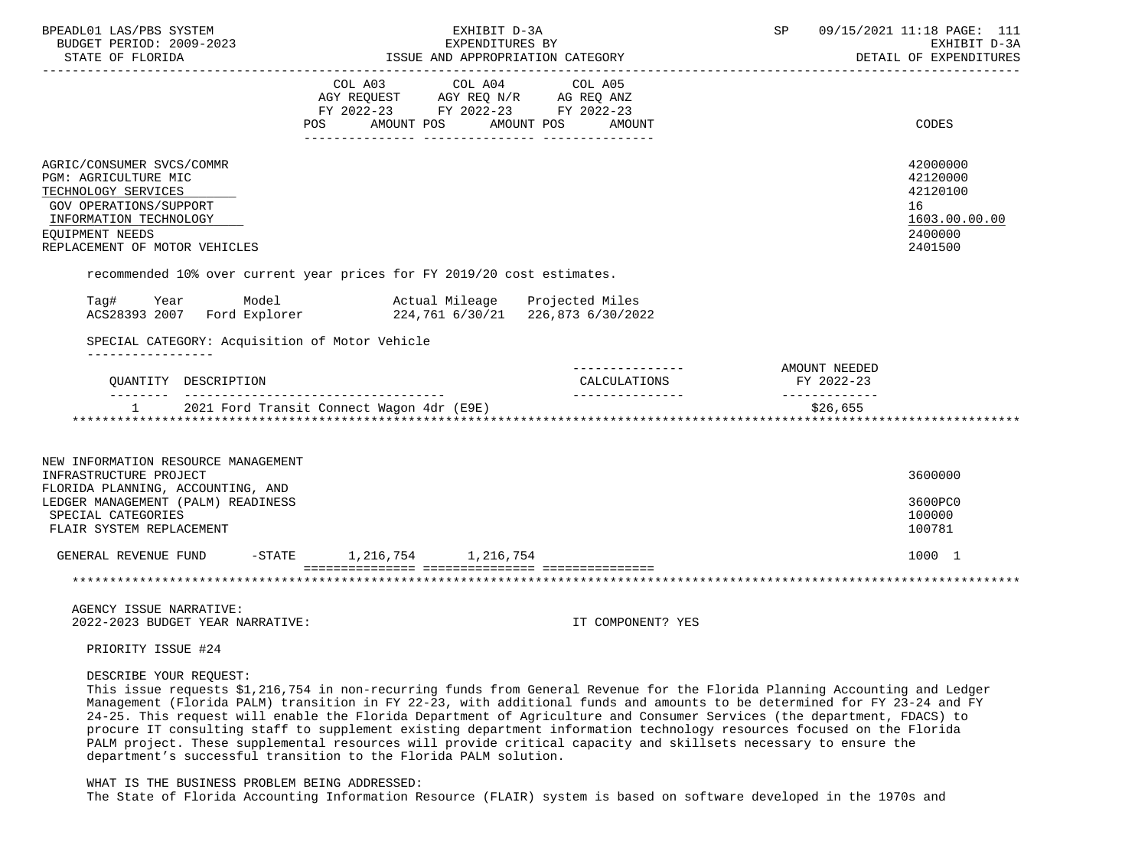| BPEADL01 LAS/PBS SYSTEM<br>BUDGET PERIOD: 2009-2023                                                                                                                              |                                             | EXHIBIT D-3A<br>EXPENDITURES BY                                                                                           | SP                          | 09/15/2021 11:18 PAGE: 111<br>EXHIBIT D-3A<br>DETAIL OF EXPENDITURES          |
|----------------------------------------------------------------------------------------------------------------------------------------------------------------------------------|---------------------------------------------|---------------------------------------------------------------------------------------------------------------------------|-----------------------------|-------------------------------------------------------------------------------|
|                                                                                                                                                                                  | AMOUNT POS<br><b>POS</b>                    | COL A03 COL A04 COL A05<br>AGY REQUEST AGY REQ N/R AG REQ ANZ<br>FY 2022-23 FY 2022-23 FY 2022-23<br>AMOUNT POS<br>AMOUNT |                             | CODES                                                                         |
| AGRIC/CONSUMER SVCS/COMMR<br>PGM: AGRICULTURE MIC<br>TECHNOLOGY SERVICES<br>GOV OPERATIONS/SUPPORT<br>INFORMATION TECHNOLOGY<br>EQUIPMENT NEEDS<br>REPLACEMENT OF MOTOR VEHICLES |                                             |                                                                                                                           |                             | 42000000<br>42120000<br>42120100<br>16<br>1603.00.00.00<br>2400000<br>2401500 |
| recommended 10% over current year prices for FY 2019/20 cost estimates.<br>Model<br>Taq#<br>Year<br>SPECIAL CATEGORY: Acquisition of Motor Vehicle<br>---------------            |                                             | Actual Mileage Projected Miles<br>ACS28393 2007 Ford Explorer 224,761 6/30/21 226,873 6/30/2022<br>----------------       | AMOUNT NEEDED               |                                                                               |
| OUANTITY DESCRIPTION                                                                                                                                                             |                                             | CALCULATIONS<br>________________                                                                                          | FY 2022-23<br>_____________ |                                                                               |
| NEW INFORMATION RESOURCE MANAGEMENT                                                                                                                                              | 1 2021 Ford Transit Connect Wagon 4dr (E9E) |                                                                                                                           | \$26,655                    |                                                                               |
| INFRASTRUCTURE PROJECT<br>FLORIDA PLANNING, ACCOUNTING, AND                                                                                                                      |                                             |                                                                                                                           |                             | 3600000                                                                       |
| LEDGER MANAGEMENT (PALM) READINESS<br>SPECIAL CATEGORIES<br>FLAIR SYSTEM REPLACEMENT                                                                                             |                                             |                                                                                                                           |                             | 3600PC0<br>100000<br>100781                                                   |
| GENERAL REVENUE FUND                                                                                                                                                             | $-$ STATE 1, 216, 754 1, 216, 754           |                                                                                                                           |                             | 1000 1                                                                        |
|                                                                                                                                                                                  |                                             |                                                                                                                           |                             |                                                                               |

 AGENCY ISSUE NARRATIVE: 2022-2023 BUDGET YEAR NARRATIVE: IT COMPONENT? YES

PRIORITY ISSUE #24

DESCRIBE YOUR REQUEST:

 This issue requests \$1,216,754 in non-recurring funds from General Revenue for the Florida Planning Accounting and Ledger Management (Florida PALM) transition in FY 22-23, with additional funds and amounts to be determined for FY 23-24 and FY 24-25. This request will enable the Florida Department of Agriculture and Consumer Services (the department, FDACS) to procure IT consulting staff to supplement existing department information technology resources focused on the Florida PALM project. These supplemental resources will provide critical capacity and skillsets necessary to ensure the department's successful transition to the Florida PALM solution.

WHAT IS THE BUSINESS PROBLEM BEING ADDRESSED:

The State of Florida Accounting Information Resource (FLAIR) system is based on software developed in the 1970s and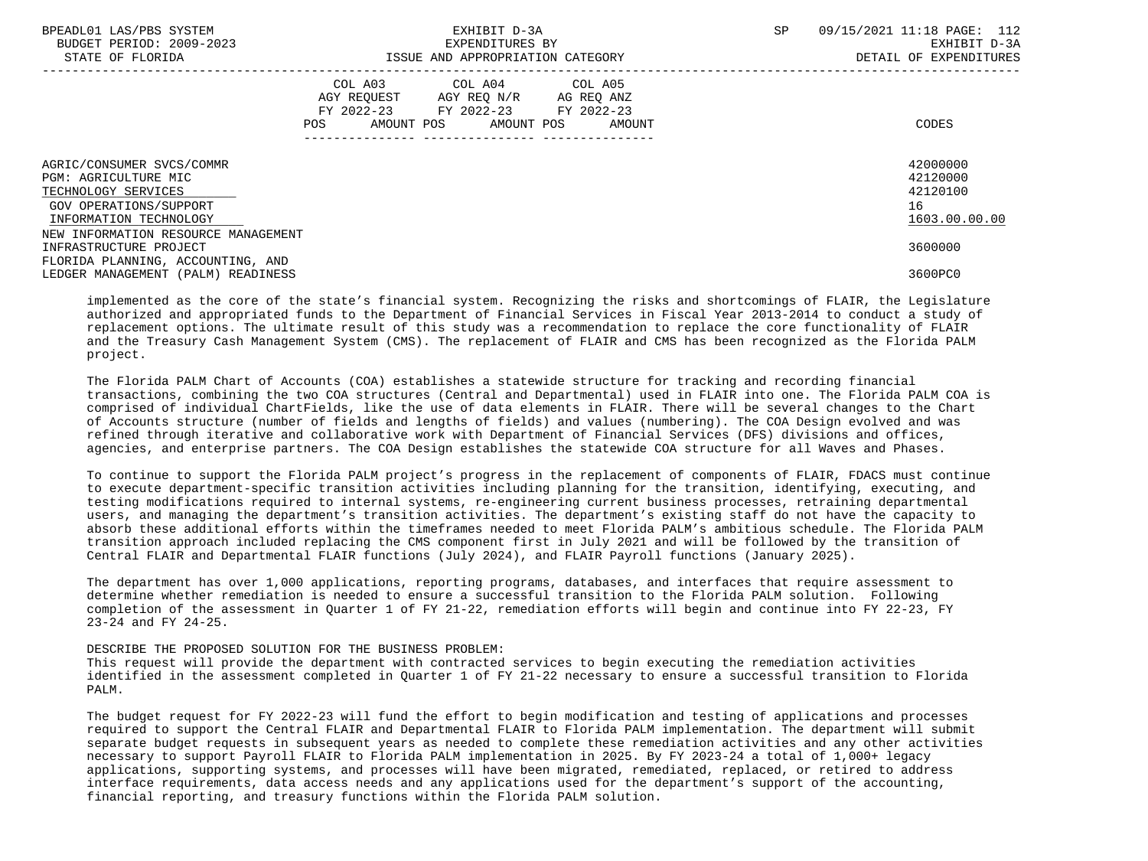| BPEADL01 LAS/PBS SYSTEM<br>BUDGET PERIOD: 2009-2023<br>STATE OF FLORIDA                                                                  |                                                                                                                | EXHIBIT D-3A<br>EXPENDITURES BY<br>ISSUE AND APPROPRIATION CATEGORY                               | <b>SP</b>                    | 09/15/2021 11:18 PAGE: 112<br>EXHIBIT D-3A<br>DETAIL OF EXPENDITURES |                                                         |
|------------------------------------------------------------------------------------------------------------------------------------------|----------------------------------------------------------------------------------------------------------------|---------------------------------------------------------------------------------------------------|------------------------------|----------------------------------------------------------------------|---------------------------------------------------------|
|                                                                                                                                          | POS FOR THE POST OF THE STATE STATE STATE STATE STATE STATE STATE STATE STATE STATE STATE STATE STATE STATE ST | COL A03 COL A04 COL A05<br>AGY REOUEST AGY REO N/R AG REO ANZ<br>FY 2022-23 FY 2022-23 FY 2022-23 | AMOUNT POS AMOUNT POS AMOUNT |                                                                      | CODES                                                   |
| AGRIC/CONSUMER SVCS/COMMR<br>PGM: AGRICULTURE MIC<br>TECHNOLOGY SERVICES<br>GOV OPERATIONS/SUPPORT<br>INFORMATION TECHNOLOGY             |                                                                                                                |                                                                                                   |                              |                                                                      | 42000000<br>42120000<br>42120100<br>16<br>1603.00.00.00 |
| NEW INFORMATION RESOURCE MANAGEMENT<br>INFRASTRUCTURE PROJECT<br>FLORIDA PLANNING, ACCOUNTING, AND<br>LEDGER MANAGEMENT (PALM) READINESS |                                                                                                                |                                                                                                   |                              |                                                                      | 3600000<br>3600PC0                                      |
|                                                                                                                                          |                                                                                                                |                                                                                                   |                              |                                                                      |                                                         |

 implemented as the core of the state's financial system. Recognizing the risks and shortcomings of FLAIR, the Legislature authorized and appropriated funds to the Department of Financial Services in Fiscal Year 2013-2014 to conduct a study of replacement options. The ultimate result of this study was a recommendation to replace the core functionality of FLAIR and the Treasury Cash Management System (CMS). The replacement of FLAIR and CMS has been recognized as the Florida PALM project.

 The Florida PALM Chart of Accounts (COA) establishes a statewide structure for tracking and recording financial transactions, combining the two COA structures (Central and Departmental) used in FLAIR into one. The Florida PALM COA is comprised of individual ChartFields, like the use of data elements in FLAIR. There will be several changes to the Chart of Accounts structure (number of fields and lengths of fields) and values (numbering). The COA Design evolved and was refined through iterative and collaborative work with Department of Financial Services (DFS) divisions and offices, agencies, and enterprise partners. The COA Design establishes the statewide COA structure for all Waves and Phases.

 To continue to support the Florida PALM project's progress in the replacement of components of FLAIR, FDACS must continue to execute department-specific transition activities including planning for the transition, identifying, executing, and testing modifications required to internal systems, re-engineering current business processes, retraining departmental users, and managing the department's transition activities. The department's existing staff do not have the capacity to absorb these additional efforts within the timeframes needed to meet Florida PALM's ambitious schedule. The Florida PALM transition approach included replacing the CMS component first in July 2021 and will be followed by the transition of Central FLAIR and Departmental FLAIR functions (July 2024), and FLAIR Payroll functions (January 2025).

 The department has over 1,000 applications, reporting programs, databases, and interfaces that require assessment to determine whether remediation is needed to ensure a successful transition to the Florida PALM solution. Following completion of the assessment in Quarter 1 of FY 21-22, remediation efforts will begin and continue into FY 22-23, FY 23-24 and FY 24-25.

# DESCRIBE THE PROPOSED SOLUTION FOR THE BUSINESS PROBLEM:

 This request will provide the department with contracted services to begin executing the remediation activities identified in the assessment completed in Quarter 1 of FY 21-22 necessary to ensure a successful transition to Florida PALM.

 The budget request for FY 2022-23 will fund the effort to begin modification and testing of applications and processes required to support the Central FLAIR and Departmental FLAIR to Florida PALM implementation. The department will submit separate budget requests in subsequent years as needed to complete these remediation activities and any other activities necessary to support Payroll FLAIR to Florida PALM implementation in 2025. By FY 2023-24 a total of 1,000+ legacy applications, supporting systems, and processes will have been migrated, remediated, replaced, or retired to address interface requirements, data access needs and any applications used for the department's support of the accounting, financial reporting, and treasury functions within the Florida PALM solution.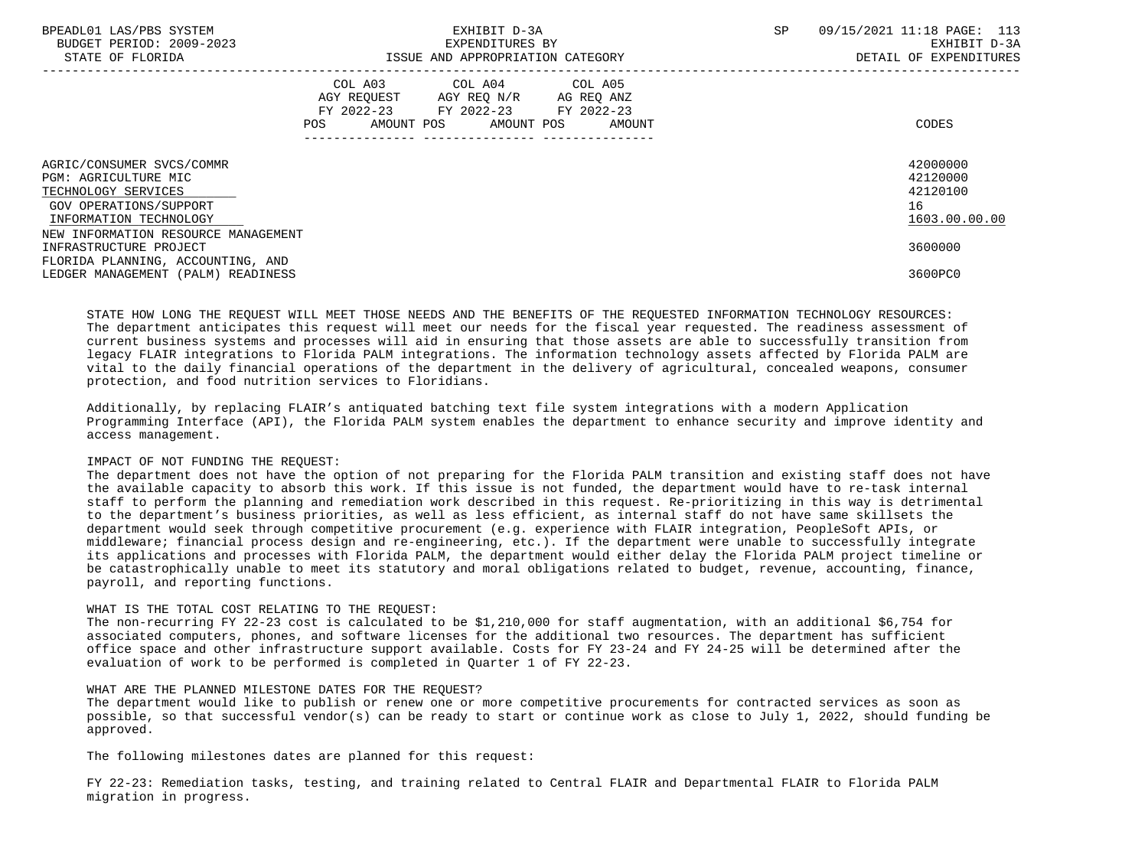| BPEADL01 LAS/PBS SYSTEM<br>BUDGET PERIOD: 2009-2023<br>STATE OF FLORIDA                                                                  | EXHIBIT D-3A<br>EXPENDITURES BY<br>ISSUE AND APPROPRIATION CATEGORY                                                                   | <b>SP</b> | 09/15/2021 11:18 PAGE: 113<br>EXHIBIT D-3A<br>DETAIL OF EXPENDITURES |
|------------------------------------------------------------------------------------------------------------------------------------------|---------------------------------------------------------------------------------------------------------------------------------------|-----------|----------------------------------------------------------------------|
|                                                                                                                                          | COL A03 COL A04 COL A05<br>AGY REQUEST AGY REQ N/R AG REQ ANZ<br>FY 2022-23 FY 2022-23 FY 2022-23<br>POS AMOUNT POS AMOUNT POS AMOUNT |           | CODES                                                                |
| AGRIC/CONSUMER SVCS/COMMR<br>PGM: AGRICULTURE MIC<br>TECHNOLOGY SERVICES<br>GOV OPERATIONS/SUPPORT<br>INFORMATION TECHNOLOGY             |                                                                                                                                       |           | 42000000<br>42120000<br>42120100<br>16<br>1603.00.00.00              |
| NEW INFORMATION RESOURCE MANAGEMENT<br>INFRASTRUCTURE PROJECT<br>FLORIDA PLANNING, ACCOUNTING, AND<br>LEDGER MANAGEMENT (PALM) READINESS |                                                                                                                                       |           | 3600000<br>3600PC0                                                   |

 STATE HOW LONG THE REQUEST WILL MEET THOSE NEEDS AND THE BENEFITS OF THE REQUESTED INFORMATION TECHNOLOGY RESOURCES: The department anticipates this request will meet our needs for the fiscal year requested. The readiness assessment of current business systems and processes will aid in ensuring that those assets are able to successfully transition from legacy FLAIR integrations to Florida PALM integrations. The information technology assets affected by Florida PALM are vital to the daily financial operations of the department in the delivery of agricultural, concealed weapons, consumer protection, and food nutrition services to Floridians.

 Additionally, by replacing FLAIR's antiquated batching text file system integrations with a modern Application Programming Interface (API), the Florida PALM system enables the department to enhance security and improve identity and access management.

# IMPACT OF NOT FUNDING THE REQUEST:

 The department does not have the option of not preparing for the Florida PALM transition and existing staff does not have the available capacity to absorb this work. If this issue is not funded, the department would have to re-task internal staff to perform the planning and remediation work described in this request. Re-prioritizing in this way is detrimental to the department's business priorities, as well as less efficient, as internal staff do not have same skillsets the department would seek through competitive procurement (e.g. experience with FLAIR integration, PeopleSoft APIs, or middleware; financial process design and re-engineering, etc.). If the department were unable to successfully integrate its applications and processes with Florida PALM, the department would either delay the Florida PALM project timeline or be catastrophically unable to meet its statutory and moral obligations related to budget, revenue, accounting, finance, payroll, and reporting functions.

# WHAT IS THE TOTAL COST RELATING TO THE REQUEST:

 The non-recurring FY 22-23 cost is calculated to be \$1,210,000 for staff augmentation, with an additional \$6,754 for associated computers, phones, and software licenses for the additional two resources. The department has sufficient office space and other infrastructure support available. Costs for FY 23-24 and FY 24-25 will be determined after the evaluation of work to be performed is completed in Quarter 1 of FY 22-23.

# WHAT ARE THE PLANNED MILESTONE DATES FOR THE REQUEST?

 The department would like to publish or renew one or more competitive procurements for contracted services as soon as possible, so that successful vendor(s) can be ready to start or continue work as close to July 1, 2022, should funding be approved.

The following milestones dates are planned for this request:

 FY 22-23: Remediation tasks, testing, and training related to Central FLAIR and Departmental FLAIR to Florida PALM migration in progress.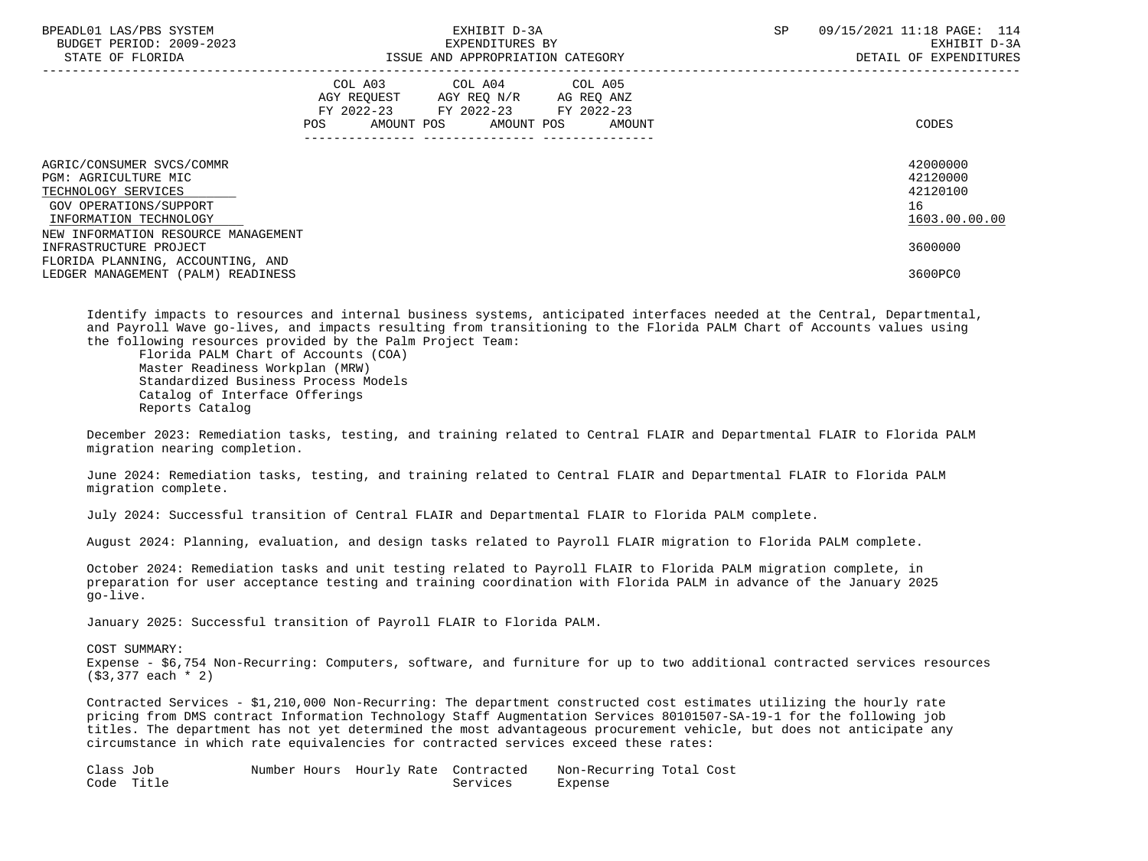| BPEADL01 LAS/PBS SYSTEM<br>BUDGET PERIOD: 2009-2023<br>STATE OF FLORIDA                                                                  |     | EXHIBIT D-3A<br>EXPENDITURES BY<br>ISSUE AND APPROPRIATION CATEGORY                                                        | SP     | 09/15/2021 11:18 PAGE: 114<br>EXHIBIT D-3A<br>DETAIL OF EXPENDITURES |                                                         |
|------------------------------------------------------------------------------------------------------------------------------------------|-----|----------------------------------------------------------------------------------------------------------------------------|--------|----------------------------------------------------------------------|---------------------------------------------------------|
|                                                                                                                                          | POS | COL A03 COL A04 COL A05<br>AGY REQUEST AGY REQ N/R AG REQ ANZ<br>FY 2022-23 FY 2022-23 FY 2022-23<br>AMOUNT POS AMOUNT POS | AMOUNT |                                                                      | CODES                                                   |
| AGRIC/CONSUMER SVCS/COMMR<br>PGM: AGRICULTURE MIC<br>TECHNOLOGY SERVICES<br>GOV OPERATIONS/SUPPORT<br>INFORMATION TECHNOLOGY             |     |                                                                                                                            |        |                                                                      | 42000000<br>42120000<br>42120100<br>16<br>1603.00.00.00 |
| NEW INFORMATION RESOURCE MANAGEMENT<br>INFRASTRUCTURE PROJECT<br>FLORIDA PLANNING, ACCOUNTING, AND<br>LEDGER MANAGEMENT (PALM) READINESS |     |                                                                                                                            |        |                                                                      | 3600000<br>3600PC0                                      |

 Identify impacts to resources and internal business systems, anticipated interfaces needed at the Central, Departmental, and Payroll Wave go-lives, and impacts resulting from transitioning to the Florida PALM Chart of Accounts values using the following resources provided by the Palm Project Team:

 Florida PALM Chart of Accounts (COA) Master Readiness Workplan (MRW) Standardized Business Process Models Catalog of Interface Offerings Reports Catalog

 December 2023: Remediation tasks, testing, and training related to Central FLAIR and Departmental FLAIR to Florida PALM migration nearing completion.

 June 2024: Remediation tasks, testing, and training related to Central FLAIR and Departmental FLAIR to Florida PALM migration complete.

July 2024: Successful transition of Central FLAIR and Departmental FLAIR to Florida PALM complete.

August 2024: Planning, evaluation, and design tasks related to Payroll FLAIR migration to Florida PALM complete.

 October 2024: Remediation tasks and unit testing related to Payroll FLAIR to Florida PALM migration complete, in preparation for user acceptance testing and training coordination with Florida PALM in advance of the January 2025 go-live.

January 2025: Successful transition of Payroll FLAIR to Florida PALM.

 COST SUMMARY: Expense - \$6,754 Non-Recurring: Computers, software, and furniture for up to two additional contracted services resources (\$3,377 each \* 2)

 Contracted Services - \$1,210,000 Non-Recurring: The department constructed cost estimates utilizing the hourly rate pricing from DMS contract Information Technology Staff Augmentation Services 80101507-SA-19-1 for the following job titles. The department has not yet determined the most advantageous procurement vehicle, but does not anticipate any circumstance in which rate equivalencies for contracted services exceed these rates:

 Class Job Number Hours Hourly Rate Contracted Non-Recurring Total Cost Code Title Services Expense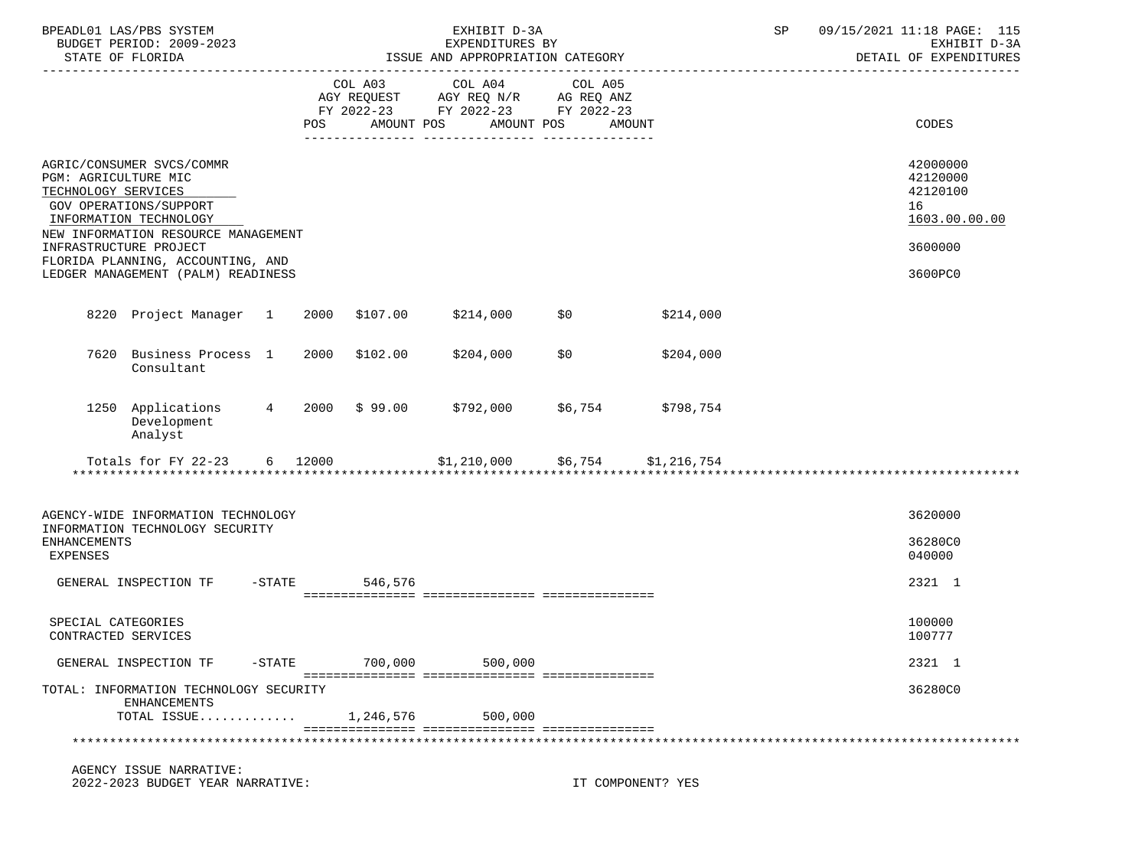|                                             | BPEADL01 LAS/PBS SYSTEM<br>BUDGET PERIOD: 2009-2023<br>STATE OF FLORIDA                                                                                                                                                   |           |           |                       | EXHIBIT D-3A<br>EXPENDITURES BY<br>ISSUE AND APPROPRIATION CATEGORY               |                             |                   |           | SP | 09/15/2021 11:18 PAGE: 115<br>EXHIBIT D-3A<br>DETAIL OF EXPENDITURES          |
|---------------------------------------------|---------------------------------------------------------------------------------------------------------------------------------------------------------------------------------------------------------------------------|-----------|-----------|-----------------------|-----------------------------------------------------------------------------------|-----------------------------|-------------------|-----------|----|-------------------------------------------------------------------------------|
|                                             |                                                                                                                                                                                                                           |           | POS       | COL A03<br>AMOUNT POS | COL A04<br>AGY REQUEST AGY REQ N/R AG REQ ANZ<br>FY 2022-23 FY 2022-23 FY 2022-23 | COL A05<br>AMOUNT POS       | AMOUNT            |           |    | CODES                                                                         |
| PGM: AGRICULTURE MIC<br>TECHNOLOGY SERVICES | AGRIC/CONSUMER SVCS/COMMR<br>GOV OPERATIONS/SUPPORT<br>INFORMATION TECHNOLOGY<br>NEW INFORMATION RESOURCE MANAGEMENT<br>INFRASTRUCTURE PROJECT<br>FLORIDA PLANNING, ACCOUNTING, AND<br>LEDGER MANAGEMENT (PALM) READINESS |           |           |                       |                                                                                   |                             |                   |           |    | 42000000<br>42120000<br>42120100<br>16<br>1603.00.00.00<br>3600000<br>3600PC0 |
|                                             | 8220 Project Manager 1 2000 \$107.00                                                                                                                                                                                      |           |           |                       | \$214,000                                                                         | \$0                         |                   | \$214,000 |    |                                                                               |
|                                             | 7620 Business Process 1<br>Consultant                                                                                                                                                                                     |           |           | 2000 \$102.00         | \$204,000                                                                         | \$0                         |                   | \$204,000 |    |                                                                               |
|                                             | 1250 Applications 4 2000 \$ 99.00<br>Development<br>Analyst                                                                                                                                                               |           |           |                       |                                                                                   | \$792,000 \$6,754 \$798,754 |                   |           |    |                                                                               |
|                                             |                                                                                                                                                                                                                           |           |           |                       |                                                                                   |                             |                   |           |    |                                                                               |
| <b>ENHANCEMENTS</b><br><b>EXPENSES</b>      | AGENCY-WIDE INFORMATION TECHNOLOGY<br>INFORMATION TECHNOLOGY SECURITY<br>GENERAL INSPECTION TF                                                                                                                            |           | $-$ STATE | 546,576               |                                                                                   |                             |                   |           |    | 3620000<br>36280C0<br>040000<br>2321 1                                        |
| SPECIAL CATEGORIES<br>CONTRACTED SERVICES   |                                                                                                                                                                                                                           |           |           |                       |                                                                                   |                             |                   |           |    | 100000<br>100777                                                              |
|                                             | GENERAL INSPECTION TF                                                                                                                                                                                                     | $-$ STATE |           | 700,000               | 500,000                                                                           |                             |                   |           |    | 2321 1                                                                        |
|                                             | TOTAL: INFORMATION TECHNOLOGY SECURITY<br><b>ENHANCEMENTS</b>                                                                                                                                                             |           |           |                       |                                                                                   |                             |                   |           |    | 36280C0                                                                       |
|                                             | TOTAL ISSUE                                                                                                                                                                                                               |           |           | 1,246,576             | 500,000                                                                           |                             |                   |           |    |                                                                               |
|                                             |                                                                                                                                                                                                                           |           |           |                       |                                                                                   |                             |                   |           |    |                                                                               |
|                                             | AGENCY ISSUE NARRATIVE:<br>2022-2023 BUDGET YEAR NARRATIVE:                                                                                                                                                               |           |           |                       |                                                                                   |                             | IT COMPONENT? YES |           |    |                                                                               |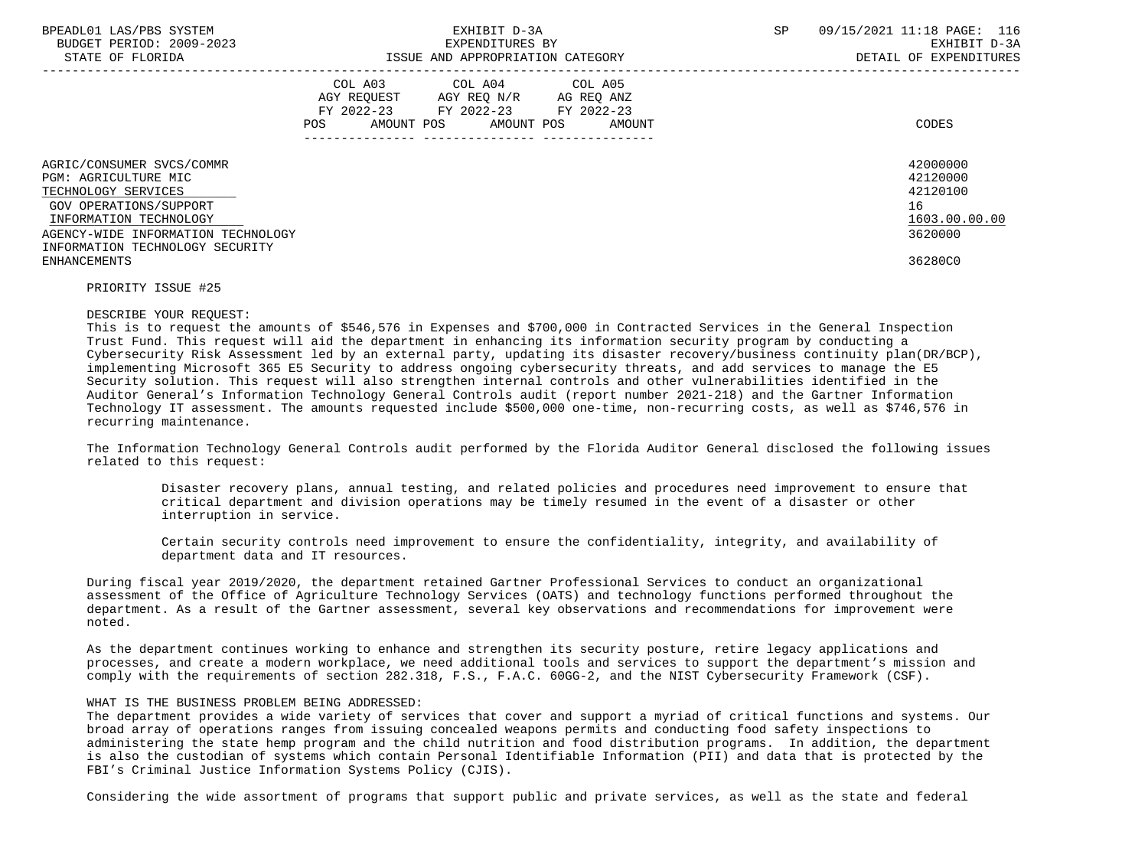| BPEADL01 LAS/PBS SYSTEM |                   |                          |
|-------------------------|-------------------|--------------------------|
|                         |                   | BUDGET PERIOD: 2009-2023 |
|                         | גתדסת הם סתי שידי |                          |

|                                                                                                                                                                                                                       | COL A03<br>AGY REQUEST<br>FY 2022-23<br>AMOUNT POS<br>POS. | COL A04<br>AGY REQ N/R<br>FY 2022-23<br>AMOUNT POS | COL A05<br>AG REQ ANZ<br>FY 2022-23<br>AMOUNT | CODES                                                                         |
|-----------------------------------------------------------------------------------------------------------------------------------------------------------------------------------------------------------------------|------------------------------------------------------------|----------------------------------------------------|-----------------------------------------------|-------------------------------------------------------------------------------|
| AGRIC/CONSUMER SVCS/COMMR<br>PGM: AGRICULTURE MIC<br>TECHNOLOGY SERVICES<br>GOV OPERATIONS/SUPPORT<br>INFORMATION TECHNOLOGY<br>AGENCY-WIDE INFORMATION TECHNOLOGY<br>INFORMATION TECHNOLOGY SECURITY<br>ENHANCEMENTS |                                                            |                                                    |                                               | 42000000<br>42120000<br>42120100<br>16<br>1603.00.00.00<br>3620000<br>36280C0 |

### PRIORITY ISSUE #25

# DESCRIBE YOUR REQUEST:

 This is to request the amounts of \$546,576 in Expenses and \$700,000 in Contracted Services in the General Inspection Trust Fund. This request will aid the department in enhancing its information security program by conducting a Cybersecurity Risk Assessment led by an external party, updating its disaster recovery/business continuity plan(DR/BCP), implementing Microsoft 365 E5 Security to address ongoing cybersecurity threats, and add services to manage the E5 Security solution. This request will also strengthen internal controls and other vulnerabilities identified in the Auditor General's Information Technology General Controls audit (report number 2021-218) and the Gartner Information Technology IT assessment. The amounts requested include \$500,000 one-time, non-recurring costs, as well as \$746,576 in recurring maintenance.

 The Information Technology General Controls audit performed by the Florida Auditor General disclosed the following issues related to this request:

 Disaster recovery plans, annual testing, and related policies and procedures need improvement to ensure that critical department and division operations may be timely resumed in the event of a disaster or other interruption in service.

 Certain security controls need improvement to ensure the confidentiality, integrity, and availability of department data and IT resources.

 During fiscal year 2019/2020, the department retained Gartner Professional Services to conduct an organizational assessment of the Office of Agriculture Technology Services (OATS) and technology functions performed throughout the department. As a result of the Gartner assessment, several key observations and recommendations for improvement were noted.

 As the department continues working to enhance and strengthen its security posture, retire legacy applications and processes, and create a modern workplace, we need additional tools and services to support the department's mission and comply with the requirements of section 282.318, F.S., F.A.C. 60GG-2, and the NIST Cybersecurity Framework (CSF).

# WHAT IS THE BUSINESS PROBLEM BEING ADDRESSED:

 The department provides a wide variety of services that cover and support a myriad of critical functions and systems. Our broad array of operations ranges from issuing concealed weapons permits and conducting food safety inspections to administering the state hemp program and the child nutrition and food distribution programs. In addition, the department is also the custodian of systems which contain Personal Identifiable Information (PII) and data that is protected by the FBI's Criminal Justice Information Systems Policy (CJIS).

Considering the wide assortment of programs that support public and private services, as well as the state and federal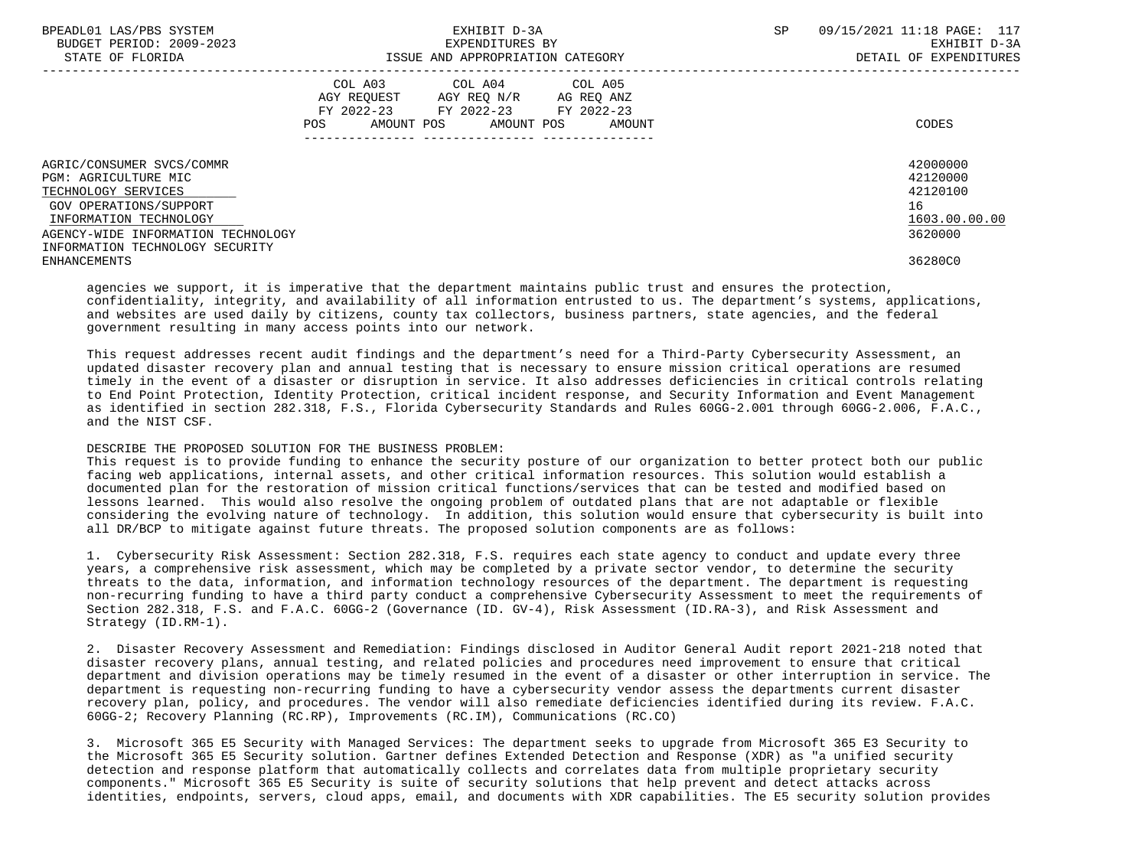| BPEADL01 LAS/PBS SYSTEM<br>BUDGET PERIOD: 2009-2023 |     | EXHIBIT D-3A<br>EXPENDITURES BY                                                                                            |        | SP | 09/15/2021 11:18 PAGE: 117<br>EXHIBIT D-3A |  |
|-----------------------------------------------------|-----|----------------------------------------------------------------------------------------------------------------------------|--------|----|--------------------------------------------|--|
| STATE OF FLORIDA                                    |     | ISSUE AND APPROPRIATION CATEGORY                                                                                           |        |    | DETAIL OF EXPENDITURES                     |  |
|                                                     | POS | COL A03 COL A04 COL A05<br>AGY REQUEST AGY REQ N/R AG REQ ANZ<br>FY 2022-23 FY 2022-23 FY 2022-23<br>AMOUNT POS AMOUNT POS | AMOUNT |    | CODES                                      |  |
| AGRIC/CONSUMER SVCS/COMMR<br>PGM: AGRICULTURE MIC   |     |                                                                                                                            |        |    | 42000000<br>42120000                       |  |
| TECHNOLOGY SERVICES                                 |     |                                                                                                                            |        |    | 42120100                                   |  |
| GOV OPERATIONS/SUPPORT                              |     |                                                                                                                            |        |    | 16                                         |  |
| INFORMATION TECHNOLOGY                              |     |                                                                                                                            |        |    | 1603.00.00.00                              |  |
| AGENCY-WIDE INFORMATION TECHNOLOGY                  |     |                                                                                                                            |        |    | 3620000                                    |  |
| INFORMATION TECHNOLOGY SECURITY                     |     |                                                                                                                            |        |    |                                            |  |
| <b>ENHANCEMENTS</b>                                 |     |                                                                                                                            |        |    | 36280C0                                    |  |

 agencies we support, it is imperative that the department maintains public trust and ensures the protection, confidentiality, integrity, and availability of all information entrusted to us. The department's systems, applications, and websites are used daily by citizens, county tax collectors, business partners, state agencies, and the federal government resulting in many access points into our network.

 This request addresses recent audit findings and the department's need for a Third-Party Cybersecurity Assessment, an updated disaster recovery plan and annual testing that is necessary to ensure mission critical operations are resumed timely in the event of a disaster or disruption in service. It also addresses deficiencies in critical controls relating to End Point Protection, Identity Protection, critical incident response, and Security Information and Event Management as identified in section 282.318, F.S., Florida Cybersecurity Standards and Rules 60GG-2.001 through 60GG-2.006, F.A.C., and the NIST CSF.

# DESCRIBE THE PROPOSED SOLUTION FOR THE BUSINESS PROBLEM:

 This request is to provide funding to enhance the security posture of our organization to better protect both our public facing web applications, internal assets, and other critical information resources. This solution would establish a documented plan for the restoration of mission critical functions/services that can be tested and modified based on lessons learned. This would also resolve the ongoing problem of outdated plans that are not adaptable or flexible considering the evolving nature of technology. In addition, this solution would ensure that cybersecurity is built into all DR/BCP to mitigate against future threats. The proposed solution components are as follows:

 1. Cybersecurity Risk Assessment: Section 282.318, F.S. requires each state agency to conduct and update every three years, a comprehensive risk assessment, which may be completed by a private sector vendor, to determine the security threats to the data, information, and information technology resources of the department. The department is requesting non-recurring funding to have a third party conduct a comprehensive Cybersecurity Assessment to meet the requirements of Section 282.318, F.S. and F.A.C. 60GG-2 (Governance (ID. GV-4), Risk Assessment (ID.RA-3), and Risk Assessment and Strategy (ID.RM-1).

 2. Disaster Recovery Assessment and Remediation: Findings disclosed in Auditor General Audit report 2021-218 noted that disaster recovery plans, annual testing, and related policies and procedures need improvement to ensure that critical department and division operations may be timely resumed in the event of a disaster or other interruption in service. The department is requesting non-recurring funding to have a cybersecurity vendor assess the departments current disaster recovery plan, policy, and procedures. The vendor will also remediate deficiencies identified during its review. F.A.C. 60GG-2; Recovery Planning (RC.RP), Improvements (RC.IM), Communications (RC.CO)

 3. Microsoft 365 E5 Security with Managed Services: The department seeks to upgrade from Microsoft 365 E3 Security to the Microsoft 365 E5 Security solution. Gartner defines Extended Detection and Response (XDR) as "a unified security detection and response platform that automatically collects and correlates data from multiple proprietary security components." Microsoft 365 E5 Security is suite of security solutions that help prevent and detect attacks across identities, endpoints, servers, cloud apps, email, and documents with XDR capabilities. The E5 security solution provides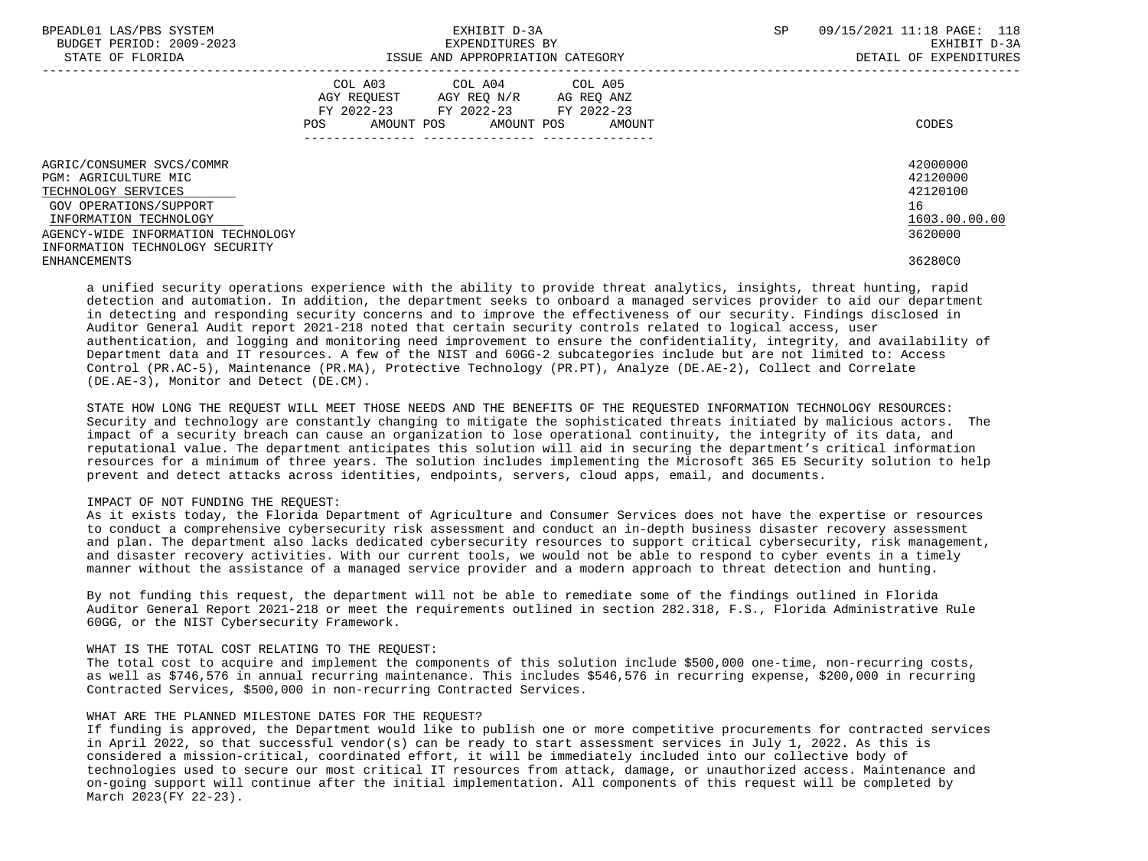| BPEADL01 LAS/PBS SYSTEM<br>BUDGET PERIOD: 2009-2023<br>STATE OF FLORIDA                                                                                                                               |                                                                                             | EXHIBIT D-3A<br>EXPENDITURES BY<br>ISSUE AND APPROPRIATION CATEGORY |        | SP | 09/15/2021 11:18 PAGE: 118<br>EXHIBIT D-3A<br>DETAIL OF EXPENDITURES |
|-------------------------------------------------------------------------------------------------------------------------------------------------------------------------------------------------------|---------------------------------------------------------------------------------------------|---------------------------------------------------------------------|--------|----|----------------------------------------------------------------------|
|                                                                                                                                                                                                       | AGY REQUEST AGY REQ N/R AG REQ ANZ<br>FY 2022-23 FY 2022-23 FY 2022-23<br>POS<br>AMOUNT POS | COL A03 COL A04 COL A05<br>AMOUNT POS                               | AMOUNT |    | CODES                                                                |
| AGRIC/CONSUMER SVCS/COMMR<br>PGM: AGRICULTURE MIC<br>TECHNOLOGY SERVICES<br>GOV OPERATIONS/SUPPORT<br>INFORMATION TECHNOLOGY<br>AGENCY-WIDE INFORMATION TECHNOLOGY<br>INFORMATION TECHNOLOGY SECURITY |                                                                                             |                                                                     |        |    | 42000000<br>42120000<br>42120100<br>16<br>1603.00.00.00<br>3620000   |
| <b>ENHANCEMENTS</b>                                                                                                                                                                                   |                                                                                             |                                                                     |        |    | 36280C0                                                              |

 a unified security operations experience with the ability to provide threat analytics, insights, threat hunting, rapid detection and automation. In addition, the department seeks to onboard a managed services provider to aid our department in detecting and responding security concerns and to improve the effectiveness of our security. Findings disclosed in Auditor General Audit report 2021-218 noted that certain security controls related to logical access, user authentication, and logging and monitoring need improvement to ensure the confidentiality, integrity, and availability of Department data and IT resources. A few of the NIST and 60GG-2 subcategories include but are not limited to: Access Control (PR.AC-5), Maintenance (PR.MA), Protective Technology (PR.PT), Analyze (DE.AE-2), Collect and Correlate (DE.AE-3), Monitor and Detect (DE.CM).

 STATE HOW LONG THE REQUEST WILL MEET THOSE NEEDS AND THE BENEFITS OF THE REQUESTED INFORMATION TECHNOLOGY RESOURCES: Security and technology are constantly changing to mitigate the sophisticated threats initiated by malicious actors. The impact of a security breach can cause an organization to lose operational continuity, the integrity of its data, and reputational value. The department anticipates this solution will aid in securing the department's critical information resources for a minimum of three years. The solution includes implementing the Microsoft 365 E5 Security solution to help prevent and detect attacks across identities, endpoints, servers, cloud apps, email, and documents.

### IMPACT OF NOT FUNDING THE REQUEST:

 As it exists today, the Florida Department of Agriculture and Consumer Services does not have the expertise or resources to conduct a comprehensive cybersecurity risk assessment and conduct an in-depth business disaster recovery assessment and plan. The department also lacks dedicated cybersecurity resources to support critical cybersecurity, risk management, and disaster recovery activities. With our current tools, we would not be able to respond to cyber events in a timely manner without the assistance of a managed service provider and a modern approach to threat detection and hunting.

 By not funding this request, the department will not be able to remediate some of the findings outlined in Florida Auditor General Report 2021-218 or meet the requirements outlined in section 282.318, F.S., Florida Administrative Rule 60GG, or the NIST Cybersecurity Framework.

# WHAT IS THE TOTAL COST RELATING TO THE REQUEST:

 The total cost to acquire and implement the components of this solution include \$500,000 one-time, non-recurring costs, as well as \$746,576 in annual recurring maintenance. This includes \$546,576 in recurring expense, \$200,000 in recurring Contracted Services, \$500,000 in non-recurring Contracted Services.

# WHAT ARE THE PLANNED MILESTONE DATES FOR THE REQUEST?

 If funding is approved, the Department would like to publish one or more competitive procurements for contracted services in April 2022, so that successful vendor(s) can be ready to start assessment services in July 1, 2022. As this is considered a mission-critical, coordinated effort, it will be immediately included into our collective body of technologies used to secure our most critical IT resources from attack, damage, or unauthorized access. Maintenance and on-going support will continue after the initial implementation. All components of this request will be completed by March 2023(FY 22-23).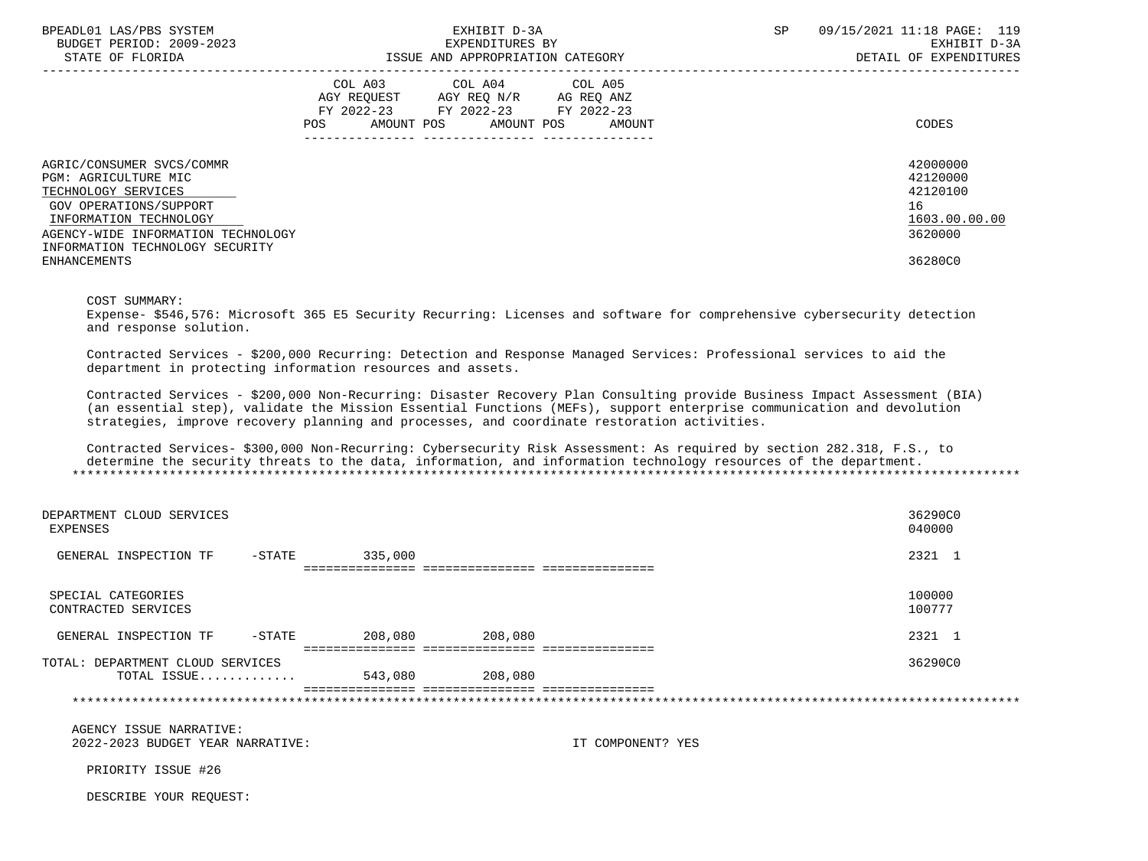| BPEADL01 LAS/PBS SYSTEM<br>BUDGET PERIOD: 2009-2023<br>STATE OF FLORIDA | EXHIBIT D-3A<br>EXPENDITURES BY<br>ISSUE AND APPROPRIATION CATEGORY                                                                                           | 09/15/2021 11:18 PAGE: 119<br>SP<br>EXHIBIT D-3A<br>DETAIL OF EXPENDITURES |
|-------------------------------------------------------------------------|---------------------------------------------------------------------------------------------------------------------------------------------------------------|----------------------------------------------------------------------------|
|                                                                         | COL A03<br>COL A04<br>COL A05<br>AGY REOUEST<br>AGY REO N/R<br>AG REO ANZ<br>FY 2022-23 FY 2022-23<br>FY 2022-23<br>AMOUNT POS<br>POS<br>AMOUNT POS<br>AMOUNT | CODES                                                                      |
| AGRIC/CONSUMER SVCS/COMMR<br>PGM: AGRICULTURE MIC                       |                                                                                                                                                               | 42000000<br>42120000                                                       |
| TECHNOLOGY SERVICES                                                     |                                                                                                                                                               | 42120100                                                                   |
| GOV OPERATIONS/SUPPORT                                                  |                                                                                                                                                               | 16                                                                         |
| INFORMATION TECHNOLOGY                                                  |                                                                                                                                                               | 1603.00.00.00                                                              |
| AGENCY-WIDE INFORMATION TECHNOLOGY                                      |                                                                                                                                                               | 3620000                                                                    |
| INFORMATION TECHNOLOGY SECURITY                                         |                                                                                                                                                               |                                                                            |
| <b>ENHANCEMENTS</b>                                                     |                                                                                                                                                               | 36280C0                                                                    |

COST SUMMARY:

 Expense- \$546,576: Microsoft 365 E5 Security Recurring: Licenses and software for comprehensive cybersecurity detection and response solution.

 Contracted Services - \$200,000 Recurring: Detection and Response Managed Services: Professional services to aid the department in protecting information resources and assets.

 Contracted Services - \$200,000 Non-Recurring: Disaster Recovery Plan Consulting provide Business Impact Assessment (BIA) (an essential step), validate the Mission Essential Functions (MEFs), support enterprise communication and devolution strategies, improve recovery planning and processes, and coordinate restoration activities.

 Contracted Services- \$300,000 Non-Recurring: Cybersecurity Risk Assessment: As required by section 282.318, F.S., to determine the security threats to the data, information, and information technology resources of the department. \*\*\*\*\*\*\*\*\*\*\*\*\*\*\*\*\*\*\*\*\*\*\*\*\*\*\*\*\*\*\*\*\*\*\*\*\*\*\*\*\*\*\*\*\*\*\*\*\*\*\*\*\*\*\*\*\*\*\*\*\*\*\*\*\*\*\*\*\*\*\*\*\*\*\*\*\*\*\*\*\*\*\*\*\*\*\*\*\*\*\*\*\*\*\*\*\*\*\*\*\*\*\*\*\*\*\*\*\*\*\*\*\*\*\*\*\*\*\*\*\*\*\*\*\*\*\*

| DEPARTMENT CLOUD SERVICES<br>EXPENSES     |           |         |                 |                   | 36290C0<br>040000 |
|-------------------------------------------|-----------|---------|-----------------|-------------------|-------------------|
| GENERAL INSPECTION TF                     | $-$ STATE | 335,000 | --------------- |                   | 2321 1            |
|                                           |           |         |                 |                   |                   |
| SPECIAL CATEGORIES<br>CONTRACTED SERVICES |           |         |                 |                   | 100000<br>100777  |
| GENERAL INSPECTION TF                     | -STATE    | 208,080 | 208,080         |                   | 2321 1            |
| TOTAL: DEPARTMENT CLOUD SERVICES          |           |         |                 |                   | 36290C0           |
| TOTAL ISSUE                               |           | 543,080 | 208,080         |                   |                   |
|                                           |           |         |                 |                   |                   |
| AGENCY ISSUE NARRATIVE:                   |           |         |                 |                   |                   |
| 2022-2023 BUDGET YEAR NARRATIVE:          |           |         |                 | IT COMPONENT? YES |                   |
| PRIORITY ISSUE #26                        |           |         |                 |                   |                   |
| DESCRIBE YOUR REQUEST:                    |           |         |                 |                   |                   |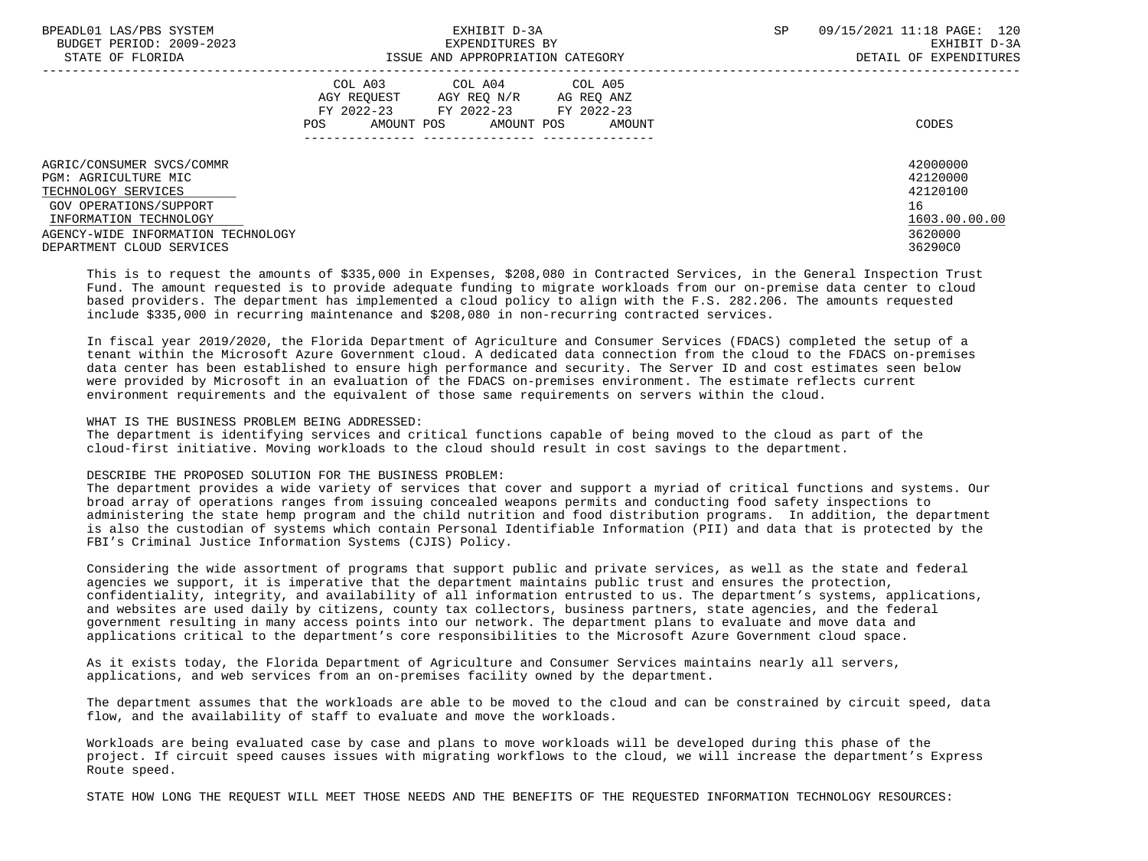| BPEADL01 LAS/PBS SYSTEM |                   |                          |
|-------------------------|-------------------|--------------------------|
|                         |                   | BUDGET PERIOD: 2009-2023 |
|                         | גחדסת זה הם הידים |                          |

|                                                                                                                                                                                                 | COL A03<br>AGY REOUEST<br>FY 2022-23<br>AMOUNT POS<br>POS | COL A04<br>AGY REQ N/R<br>FY 2022-23<br>AMOUNT POS | COL A05<br>AG REQ ANZ<br>FY 2022-23<br>AMOUNT | CODES                                                                         |
|-------------------------------------------------------------------------------------------------------------------------------------------------------------------------------------------------|-----------------------------------------------------------|----------------------------------------------------|-----------------------------------------------|-------------------------------------------------------------------------------|
| AGRIC/CONSUMER SVCS/COMMR<br>PGM: AGRICULTURE MIC<br>TECHNOLOGY SERVICES<br>GOV OPERATIONS/SUPPORT<br>INFORMATION TECHNOLOGY<br>AGENCY-WIDE INFORMATION TECHNOLOGY<br>DEPARTMENT CLOUD SERVICES |                                                           |                                                    |                                               | 42000000<br>42120000<br>42120100<br>16<br>1603.00.00.00<br>3620000<br>36290C0 |

 This is to request the amounts of \$335,000 in Expenses, \$208,080 in Contracted Services, in the General Inspection Trust Fund. The amount requested is to provide adequate funding to migrate workloads from our on-premise data center to cloud based providers. The department has implemented a cloud policy to align with the F.S. 282.206. The amounts requested include \$335,000 in recurring maintenance and \$208,080 in non-recurring contracted services.

 In fiscal year 2019/2020, the Florida Department of Agriculture and Consumer Services (FDACS) completed the setup of a tenant within the Microsoft Azure Government cloud. A dedicated data connection from the cloud to the FDACS on-premises data center has been established to ensure high performance and security. The Server ID and cost estimates seen below were provided by Microsoft in an evaluation of the FDACS on-premises environment. The estimate reflects current environment requirements and the equivalent of those same requirements on servers within the cloud.

# WHAT IS THE BUSINESS PROBLEM BEING ADDRESSED:

 The department is identifying services and critical functions capable of being moved to the cloud as part of the cloud-first initiative. Moving workloads to the cloud should result in cost savings to the department.

# DESCRIBE THE PROPOSED SOLUTION FOR THE BUSINESS PROBLEM:

 The department provides a wide variety of services that cover and support a myriad of critical functions and systems. Our broad array of operations ranges from issuing concealed weapons permits and conducting food safety inspections to administering the state hemp program and the child nutrition and food distribution programs. In addition, the department is also the custodian of systems which contain Personal Identifiable Information (PII) and data that is protected by the FBI's Criminal Justice Information Systems (CJIS) Policy.

 Considering the wide assortment of programs that support public and private services, as well as the state and federal agencies we support, it is imperative that the department maintains public trust and ensures the protection, confidentiality, integrity, and availability of all information entrusted to us. The department's systems, applications, and websites are used daily by citizens, county tax collectors, business partners, state agencies, and the federal government resulting in many access points into our network. The department plans to evaluate and move data and applications critical to the department's core responsibilities to the Microsoft Azure Government cloud space.

 As it exists today, the Florida Department of Agriculture and Consumer Services maintains nearly all servers, applications, and web services from an on-premises facility owned by the department.

 The department assumes that the workloads are able to be moved to the cloud and can be constrained by circuit speed, data flow, and the availability of staff to evaluate and move the workloads.

 Workloads are being evaluated case by case and plans to move workloads will be developed during this phase of the project. If circuit speed causes issues with migrating workflows to the cloud, we will increase the department's Express Route speed.

STATE HOW LONG THE REQUEST WILL MEET THOSE NEEDS AND THE BENEFITS OF THE REQUESTED INFORMATION TECHNOLOGY RESOURCES: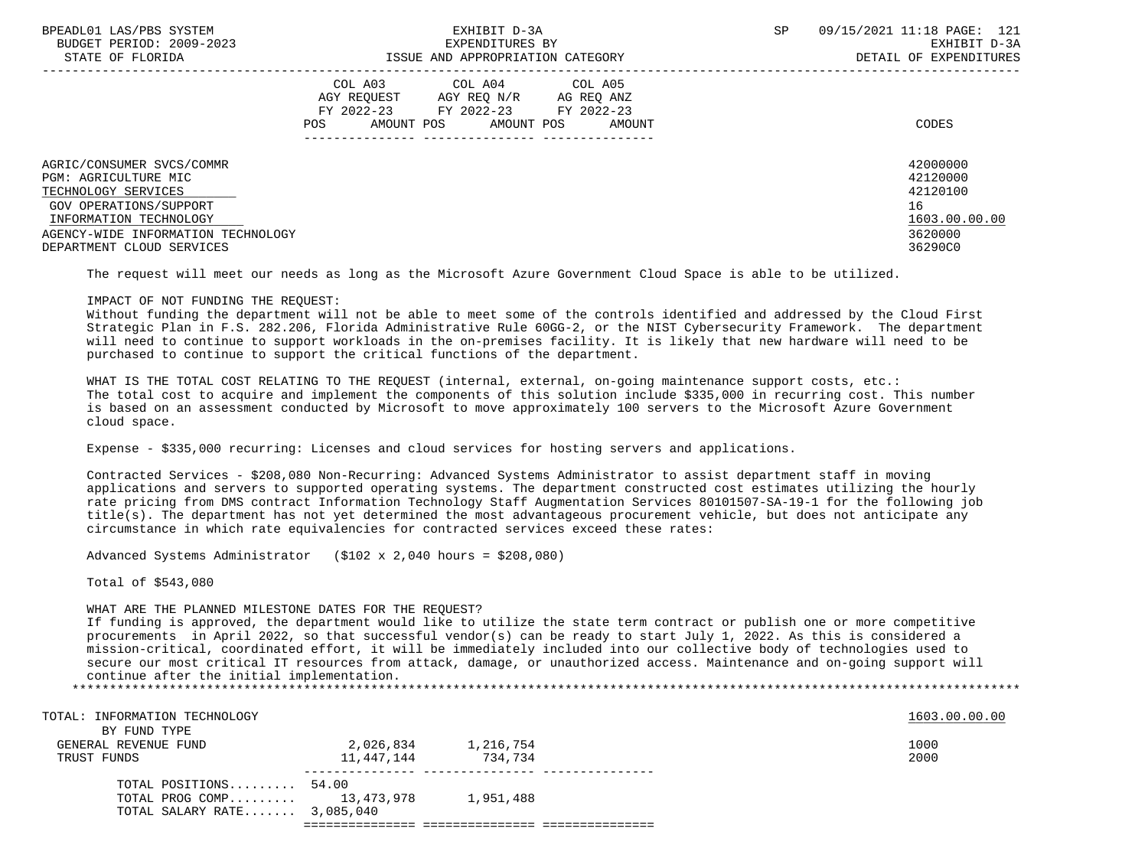| BPEADL01 LAS/PBS SYSTEM<br>BUDGET PERIOD: 2009-2023<br>STATE OF FLORIDA                                                                                            | EXHIBIT D-3A<br>EXPENDITURES BY<br>ISSUE AND APPROPRIATION CATEGORY                                                                                     | <b>SP</b> | 09/15/2021 11:18 PAGE: 121<br>EXHIBIT D-3A<br>DETAIL OF EXPENDITURES |
|--------------------------------------------------------------------------------------------------------------------------------------------------------------------|---------------------------------------------------------------------------------------------------------------------------------------------------------|-----------|----------------------------------------------------------------------|
|                                                                                                                                                                    | COL A03<br>COL A04 COL A05<br>AGY REOUEST<br>AGY REO N/R<br>AG REO ANZ<br>FY 2022-23 FY 2022-23<br>FY 2022-23<br>POS<br>AMOUNT POS AMOUNT POS<br>AMOUNT |           | CODES                                                                |
| AGRIC/CONSUMER SVCS/COMMR<br>PGM: AGRICULTURE MIC<br>TECHNOLOGY SERVICES<br>GOV OPERATIONS/SUPPORT<br>INFORMATION TECHNOLOGY<br>AGENCY-WIDE INFORMATION TECHNOLOGY |                                                                                                                                                         |           | 42000000<br>42120000<br>42120100<br>16<br>1603.00.00.00<br>3620000   |
| DEPARTMENT CLOUD SERVICES                                                                                                                                          |                                                                                                                                                         |           | 36290C0                                                              |

The request will meet our needs as long as the Microsoft Azure Government Cloud Space is able to be utilized.

### IMPACT OF NOT FUNDING THE REQUEST:

 Without funding the department will not be able to meet some of the controls identified and addressed by the Cloud First Strategic Plan in F.S. 282.206, Florida Administrative Rule 60GG-2, or the NIST Cybersecurity Framework. The department will need to continue to support workloads in the on-premises facility. It is likely that new hardware will need to be purchased to continue to support the critical functions of the department.

 WHAT IS THE TOTAL COST RELATING TO THE REQUEST (internal, external, on-going maintenance support costs, etc.: The total cost to acquire and implement the components of this solution include \$335,000 in recurring cost. This number is based on an assessment conducted by Microsoft to move approximately 100 servers to the Microsoft Azure Government cloud space.

Expense - \$335,000 recurring: Licenses and cloud services for hosting servers and applications.

 Contracted Services - \$208,080 Non-Recurring: Advanced Systems Administrator to assist department staff in moving applications and servers to supported operating systems. The department constructed cost estimates utilizing the hourly rate pricing from DMS contract Information Technology Staff Augmentation Services 80101507-SA-19-1 for the following job title(s). The department has not yet determined the most advantageous procurement vehicle, but does not anticipate any circumstance in which rate equivalencies for contracted services exceed these rates:

Advanced Systems Administrator (\$102 x 2,040 hours = \$208,080)

Total of \$543,080

# WHAT ARE THE PLANNED MILESTONE DATES FOR THE REQUEST?

 If funding is approved, the department would like to utilize the state term contract or publish one or more competitive procurements in April 2022, so that successful vendor(s) can be ready to start July 1, 2022. As this is considered a mission-critical, coordinated effort, it will be immediately included into our collective body of technologies used to secure our most critical IT resources from attack, damage, or unauthorized access. Maintenance and on-going support will continue after the initial implementation. \*\*\*\*\*\*\*\*\*\*\*\*\*\*\*\*\*\*\*\*\*\*\*\*\*\*\*\*\*\*\*\*\*\*\*\*\*\*\*\*\*\*\*\*\*\*\*\*\*\*\*\*\*\*\*\*\*\*\*\*\*\*\*\*\*\*\*\*\*\*\*\*\*\*\*\*\*\*\*\*\*\*\*\*\*\*\*\*\*\*\*\*\*\*\*\*\*\*\*\*\*\*\*\*\*\*\*\*\*\*\*\*\*\*\*\*\*\*\*\*\*\*\*\*\*\*\*

TOTAL: INFORMATION TECHNOLOGY 1603.00.00 POLOGY AND TOTAL: INFORMATION TECHNOLOGY BY FUND TYPE GENERAL REVENUE FUND  $2,026,834$   $1,216,754$  TRUST FUNDS 11,447,144 734,734 2000  $-$  TOTAL POSITIONS......... 54.00 TOTAL PROG COMP......... 13,473,978 1,951,488 TOTAL SALARY RATE....... 3,085,040 =============== =============== ===============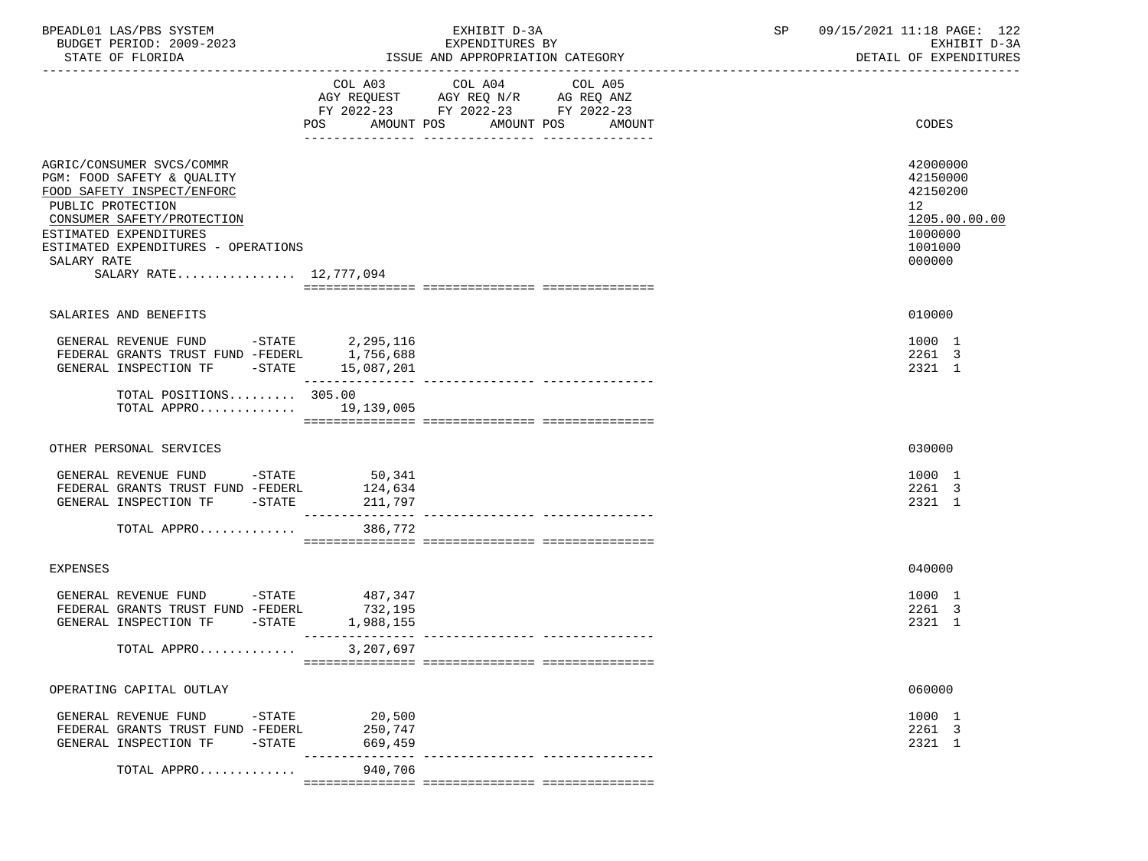| BPEADL01 LAS/PBS SYSTEM  | EXHIBIT D-3A                     | 09/15/2021 11:18 PAGE: 122 |
|--------------------------|----------------------------------|----------------------------|
| BUDGET PERIOD: 2009-2023 | EXPENDITURES BY                  | RXHIRIT D-3A               |
| STATE OF FLORIDA         | ISSUE AND APPROPRIATION CATEGORY | DETAIL OF EXPENDITURES     |

|                                                                                                                                                                                                                                                    | COL A03<br>POS<br>AMOUNT POS     | COL A04<br>AGY REQUEST AGY REQ N/R AG REQ ANZ<br>FY 2022-23 FY 2022-23 FY 2022-23 | COL A05<br>AMOUNT POS<br>AMOUNT | CODES                                                                                   |
|----------------------------------------------------------------------------------------------------------------------------------------------------------------------------------------------------------------------------------------------------|----------------------------------|-----------------------------------------------------------------------------------|---------------------------------|-----------------------------------------------------------------------------------------|
| AGRIC/CONSUMER SVCS/COMMR<br>PGM: FOOD SAFETY & QUALITY<br>FOOD SAFETY INSPECT/ENFORC<br>PUBLIC PROTECTION<br>CONSUMER SAFETY/PROTECTION<br>ESTIMATED EXPENDITURES<br>ESTIMATED EXPENDITURES - OPERATIONS<br>SALARY RATE<br>SALARY RATE 12,777,094 |                                  |                                                                                   |                                 | 42000000<br>42150000<br>42150200<br>12<br>1205.00.00.00<br>1000000<br>1001000<br>000000 |
| SALARIES AND BENEFITS                                                                                                                                                                                                                              |                                  |                                                                                   |                                 | 010000                                                                                  |
| GENERAL REVENUE FUND -STATE 2,295,116<br>FEDERAL GRANTS TRUST FUND -FEDERL<br>GENERAL INSPECTION TF<br>TOTAL POSITIONS 305.00                                                                                                                      | 1,756,688<br>$-STATE$ 15,087,201 |                                                                                   |                                 | 1000 1<br>2261 3<br>2321 1                                                              |
| TOTAL APPRO 19,139,005                                                                                                                                                                                                                             |                                  |                                                                                   |                                 |                                                                                         |
| OTHER PERSONAL SERVICES                                                                                                                                                                                                                            |                                  |                                                                                   |                                 | 030000                                                                                  |
| GENERAL REVENUE FUND -STATE 50,341<br>FEDERAL GRANTS TRUST FUND -FEDERL<br>GENERAL INSPECTION TF -STATE                                                                                                                                            | 124,634<br>211,797               |                                                                                   |                                 | 1000 1<br>2261 3<br>2321 1                                                              |
| TOTAL APPRO                                                                                                                                                                                                                                        | 386,772                          |                                                                                   |                                 |                                                                                         |
| <b>EXPENSES</b>                                                                                                                                                                                                                                    |                                  |                                                                                   |                                 | 040000                                                                                  |
| GENERAL REVENUE FUND -STATE<br>FEDERAL GRANTS TRUST FUND -FEDERL<br>GENERAL INSPECTION TF -STATE                                                                                                                                                   | 487,347<br>732,195<br>1,988,155  |                                                                                   |                                 | 1000 1<br>2261 3<br>2321 1                                                              |
| TOTAL APPRO                                                                                                                                                                                                                                        | 3,207,697                        |                                                                                   |                                 |                                                                                         |
| OPERATING CAPITAL OUTLAY                                                                                                                                                                                                                           |                                  |                                                                                   |                                 | 060000                                                                                  |
| GENERAL REVENUE FUND -STATE<br>FEDERAL GRANTS TRUST FUND -FEDERL<br>$-$ STATE<br>GENERAL INSPECTION TF                                                                                                                                             | 20,500<br>250,747<br>669,459     |                                                                                   |                                 | 1000 1<br>2261 3<br>2321 1                                                              |
| TOTAL APPRO                                                                                                                                                                                                                                        | _______________<br>940,706       |                                                                                   |                                 |                                                                                         |
|                                                                                                                                                                                                                                                    |                                  |                                                                                   |                                 |                                                                                         |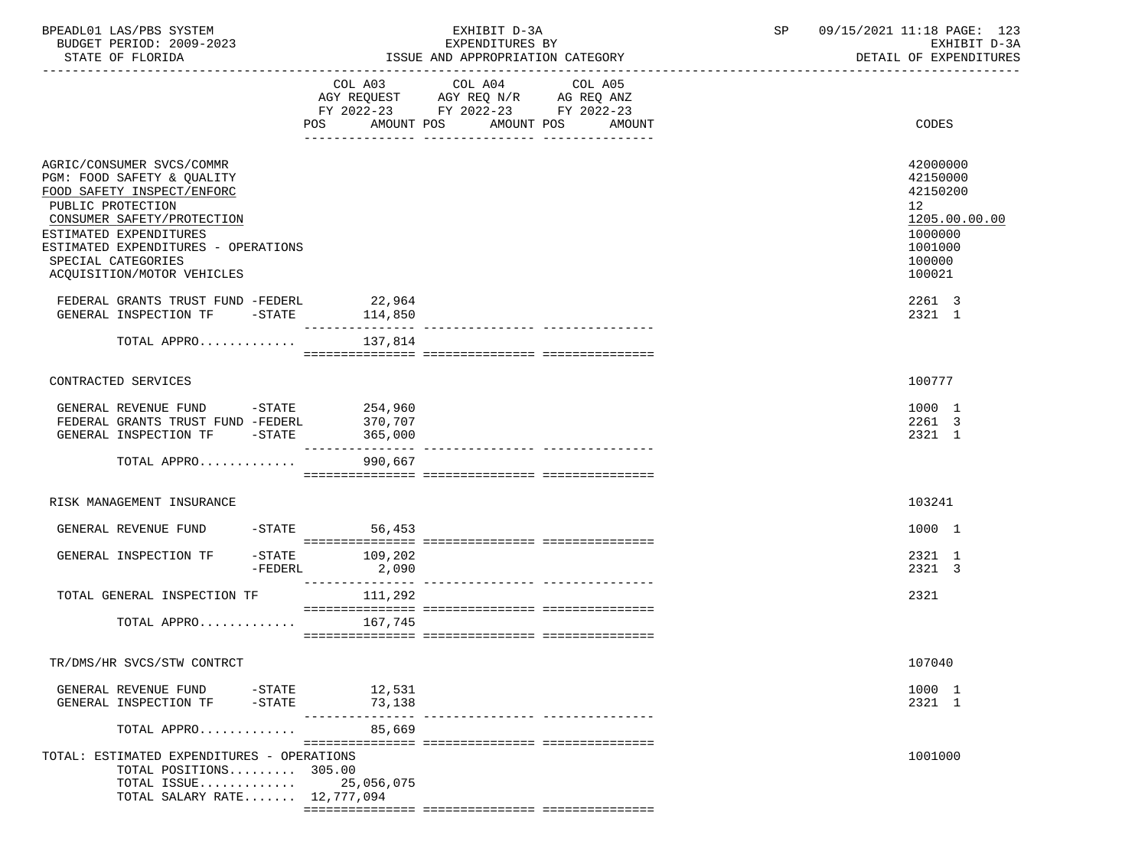| BPEADL01 LAS/PBS SYSTEM  | EXHIBIT D-3A                     | 09/15/2021 11:18 PAGE: 1<br>123 |
|--------------------------|----------------------------------|---------------------------------|
| BUDGET PERIOD: 2009-2023 | EXPENDITURES BY                  | EXHIBIT D-3A                    |
| STATE OF FLORIDA         | ISSUE AND APPROPRIATION CATEGORY | DETAIL OF EXPENDITURES          |

|                                                                                                                                                                                                                                                               |                            | COL A03 COL A04 COL A05<br>AGY REQUEST AGY REQ N/R AG REQ ANZ<br>FY 2022-23 FY 2022-23 FY 2022-23 |                                         |                                                                                                   |
|---------------------------------------------------------------------------------------------------------------------------------------------------------------------------------------------------------------------------------------------------------------|----------------------------|---------------------------------------------------------------------------------------------------|-----------------------------------------|---------------------------------------------------------------------------------------------------|
|                                                                                                                                                                                                                                                               | POS AMOUNT POS             | ------------                                                                                      | AMOUNT POS<br>AMOUNT<br>--------------- | CODES                                                                                             |
|                                                                                                                                                                                                                                                               |                            |                                                                                                   |                                         |                                                                                                   |
| AGRIC/CONSUMER SVCS/COMMR<br>PGM: FOOD SAFETY & QUALITY<br>FOOD SAFETY INSPECT/ENFORC<br>PUBLIC PROTECTION<br>CONSUMER SAFETY/PROTECTION<br>ESTIMATED EXPENDITURES<br>ESTIMATED EXPENDITURES - OPERATIONS<br>SPECIAL CATEGORIES<br>ACQUISITION/MOTOR VEHICLES |                            |                                                                                                   |                                         | 42000000<br>42150000<br>42150200<br>12<br>1205.00.00.00<br>1000000<br>1001000<br>100000<br>100021 |
| FEDERAL GRANTS TRUST FUND -FEDERL                                                                                                                                                                                                                             | 22,964                     |                                                                                                   |                                         | 2261 3                                                                                            |
| GENERAL INSPECTION TF -STATE                                                                                                                                                                                                                                  | 114,850                    |                                                                                                   |                                         | 2321 1                                                                                            |
|                                                                                                                                                                                                                                                               |                            |                                                                                                   |                                         |                                                                                                   |
| TOTAL APPRO                                                                                                                                                                                                                                                   | 137,814                    |                                                                                                   |                                         |                                                                                                   |
|                                                                                                                                                                                                                                                               |                            |                                                                                                   |                                         |                                                                                                   |
|                                                                                                                                                                                                                                                               |                            |                                                                                                   |                                         |                                                                                                   |
| CONTRACTED SERVICES                                                                                                                                                                                                                                           |                            |                                                                                                   |                                         | 100777                                                                                            |
|                                                                                                                                                                                                                                                               |                            |                                                                                                   |                                         |                                                                                                   |
| GENERAL REVENUE FUND -STATE                                                                                                                                                                                                                                   | 254,960                    |                                                                                                   |                                         | 1000 1                                                                                            |
| FEDERAL GRANTS TRUST FUND -FEDERL                                                                                                                                                                                                                             | 370,707                    |                                                                                                   |                                         | 2261 3                                                                                            |
| GENERAL INSPECTION TF -STATE                                                                                                                                                                                                                                  | 365,000                    |                                                                                                   |                                         | 2321 1                                                                                            |
|                                                                                                                                                                                                                                                               | ---------------<br>990,667 |                                                                                                   |                                         |                                                                                                   |
| TOTAL APPRO                                                                                                                                                                                                                                                   |                            |                                                                                                   |                                         |                                                                                                   |
|                                                                                                                                                                                                                                                               |                            |                                                                                                   |                                         |                                                                                                   |
| RISK MANAGEMENT INSURANCE                                                                                                                                                                                                                                     |                            |                                                                                                   |                                         | 103241                                                                                            |
| GENERAL REVENUE FUND<br>-STATE                                                                                                                                                                                                                                | 56,453                     |                                                                                                   |                                         | 1000 1                                                                                            |
|                                                                                                                                                                                                                                                               |                            |                                                                                                   |                                         |                                                                                                   |
| GENERAL INSPECTION TF<br>$-\mathtt{STATE}$                                                                                                                                                                                                                    | 109,202                    |                                                                                                   |                                         | 2321 1                                                                                            |
| -FEDERL                                                                                                                                                                                                                                                       | 2,090                      |                                                                                                   |                                         | 2321 3                                                                                            |
|                                                                                                                                                                                                                                                               | ---------------            |                                                                                                   |                                         |                                                                                                   |
| TOTAL GENERAL INSPECTION TF                                                                                                                                                                                                                                   | 111,292                    |                                                                                                   |                                         | 2321                                                                                              |
|                                                                                                                                                                                                                                                               |                            |                                                                                                   |                                         |                                                                                                   |
| TOTAL APPRO                                                                                                                                                                                                                                                   | 167,745                    |                                                                                                   |                                         |                                                                                                   |
|                                                                                                                                                                                                                                                               |                            |                                                                                                   |                                         |                                                                                                   |
|                                                                                                                                                                                                                                                               |                            |                                                                                                   |                                         |                                                                                                   |
| TR/DMS/HR SVCS/STW CONTRCT                                                                                                                                                                                                                                    |                            |                                                                                                   |                                         | 107040                                                                                            |
|                                                                                                                                                                                                                                                               |                            |                                                                                                   |                                         |                                                                                                   |
| GENERAL REVENUE FUND<br>$ STATE$                                                                                                                                                                                                                              | 12,531                     |                                                                                                   |                                         | 1000 1                                                                                            |
| GENERAL INSPECTION TF<br>$-$ STATE                                                                                                                                                                                                                            | 73,138                     |                                                                                                   |                                         | 2321 1                                                                                            |
|                                                                                                                                                                                                                                                               | _______________            |                                                                                                   | ________________________________        |                                                                                                   |
| TOTAL APPRO                                                                                                                                                                                                                                                   | 85,669                     |                                                                                                   |                                         |                                                                                                   |
|                                                                                                                                                                                                                                                               |                            |                                                                                                   |                                         |                                                                                                   |
| TOTAL: ESTIMATED EXPENDITURES - OPERATIONS                                                                                                                                                                                                                    |                            |                                                                                                   |                                         | 1001000                                                                                           |
| TOTAL POSITIONS 305.00                                                                                                                                                                                                                                        |                            |                                                                                                   |                                         |                                                                                                   |
| TOTAL ISSUE                                                                                                                                                                                                                                                   | 25,056,075                 |                                                                                                   |                                         |                                                                                                   |
| TOTAL SALARY RATE 12,777,094                                                                                                                                                                                                                                  |                            |                                                                                                   |                                         |                                                                                                   |
|                                                                                                                                                                                                                                                               |                            |                                                                                                   |                                         |                                                                                                   |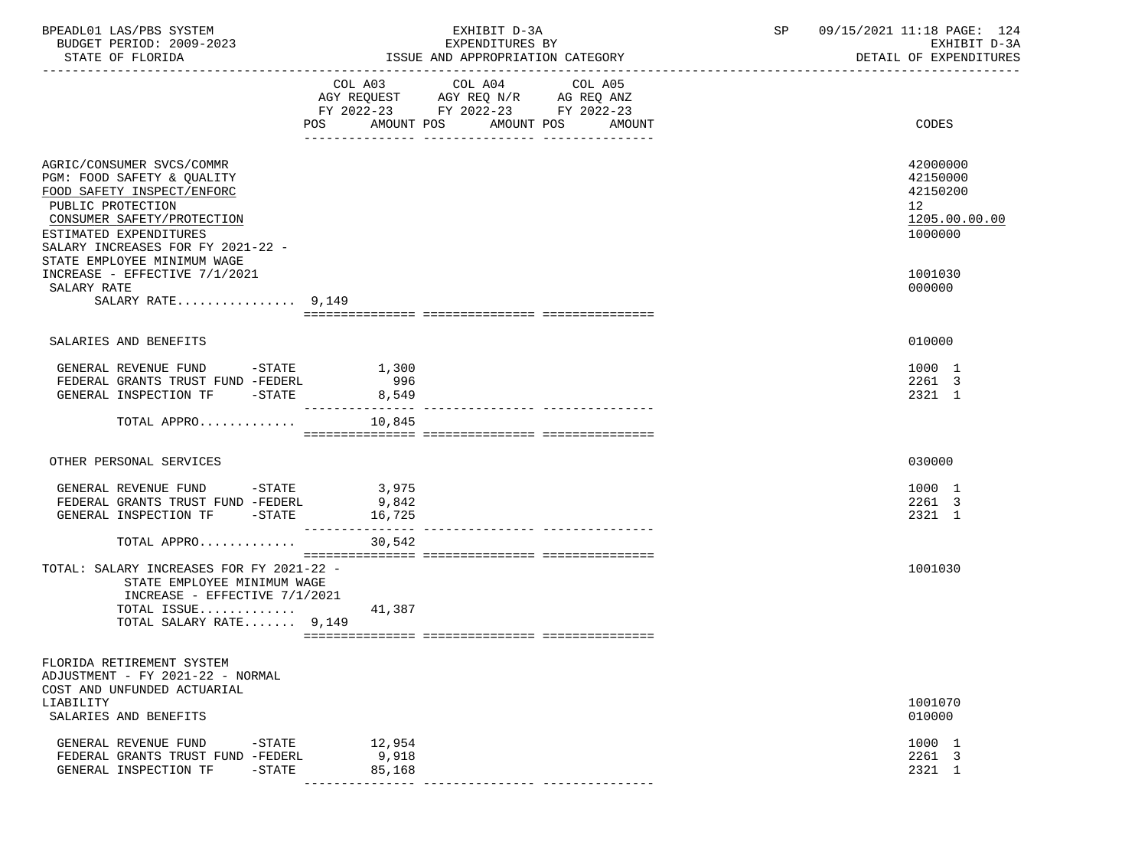| BPEADL01 LAS/PBS SYSTEM<br>BUDGET PERIOD: 2009-2023<br>STATE OF FLORIDA                                                                                                                                                                | EXHIBIT D-3A<br>EXPENDITURES BY<br>ISSUE AND APPROPRIATION CATEGORY                                                                                | 09/15/2021 11:18 PAGE: 124<br>SP<br>EXHIBIT D-3A<br>DETAIL OF EXPENDITURES |
|----------------------------------------------------------------------------------------------------------------------------------------------------------------------------------------------------------------------------------------|----------------------------------------------------------------------------------------------------------------------------------------------------|----------------------------------------------------------------------------|
|                                                                                                                                                                                                                                        | COL A03 COL A04<br>COL A05<br>AGY REQUEST AGY REQ N/R AG REQ ANZ<br>FY 2022-23 FY 2022-23 FY 2022-23<br><b>POS</b><br>AMOUNT POS AMOUNT POS AMOUNT | CODES                                                                      |
| AGRIC/CONSUMER SVCS/COMMR<br>PGM: FOOD SAFETY & QUALITY<br>FOOD SAFETY INSPECT/ENFORC<br>PUBLIC PROTECTION<br>CONSUMER SAFETY/PROTECTION<br>ESTIMATED EXPENDITURES<br>SALARY INCREASES FOR FY 2021-22 -<br>STATE EMPLOYEE MINIMUM WAGE |                                                                                                                                                    | 42000000<br>42150000<br>42150200<br>12<br>1205.00.00.00<br>1000000         |
| INCREASE - EFFECTIVE 7/1/2021<br>SALARY RATE<br>SALARY RATE $9,149$                                                                                                                                                                    |                                                                                                                                                    | 1001030<br>000000                                                          |
|                                                                                                                                                                                                                                        |                                                                                                                                                    |                                                                            |
| SALARIES AND BENEFITS                                                                                                                                                                                                                  |                                                                                                                                                    | 010000                                                                     |
| GENERAL REVENUE FUND -STATE 1,300<br>FEDERAL GRANTS TRUST FUND -FEDERL<br>GENERAL INSPECTION TF -STATE                                                                                                                                 | 996<br>8,549                                                                                                                                       | 1000 1<br>2261 3<br>2321 1                                                 |
| TOTAL APPRO                                                                                                                                                                                                                            | ---------------<br>10,845                                                                                                                          |                                                                            |
| OTHER PERSONAL SERVICES                                                                                                                                                                                                                |                                                                                                                                                    | 030000                                                                     |
| GENERAL REVENUE FUND -STATE 3,975<br>FEDERAL GRANTS TRUST FUND -FEDERL<br>GENERAL INSPECTION TF -STATE 16,725                                                                                                                          | 9,842                                                                                                                                              | 1000 1<br>2261 3<br>2321 1                                                 |
| TOTAL APPRO                                                                                                                                                                                                                            | 30,542                                                                                                                                             |                                                                            |
| TOTAL: SALARY INCREASES FOR FY 2021-22 -<br>STATE EMPLOYEE MINIMUM WAGE<br>INCREASE - EFFECTIVE $7/1/2021$                                                                                                                             |                                                                                                                                                    | 1001030                                                                    |
| TOTAL ISSUE $41,387$<br>TOTAL SALARY RATE 9,149                                                                                                                                                                                        |                                                                                                                                                    |                                                                            |
|                                                                                                                                                                                                                                        |                                                                                                                                                    |                                                                            |
| FLORIDA RETIREMENT SYSTEM<br>ADJUSTMENT - FY 2021-22 - NORMAL<br>COST AND UNFUNDED ACTUARIAL                                                                                                                                           |                                                                                                                                                    |                                                                            |
| LIABILITY<br>SALARIES AND BENEFITS                                                                                                                                                                                                     |                                                                                                                                                    | 1001070<br>010000                                                          |
| $-STATE$<br>GENERAL REVENUE FUND<br>FEDERAL GRANTS TRUST FUND -FEDERL<br>GENERAL INSPECTION TF<br>$-STATE$                                                                                                                             | 12,954<br>9,918<br>85,168                                                                                                                          | 1000 1<br>2261 3<br>2321 1                                                 |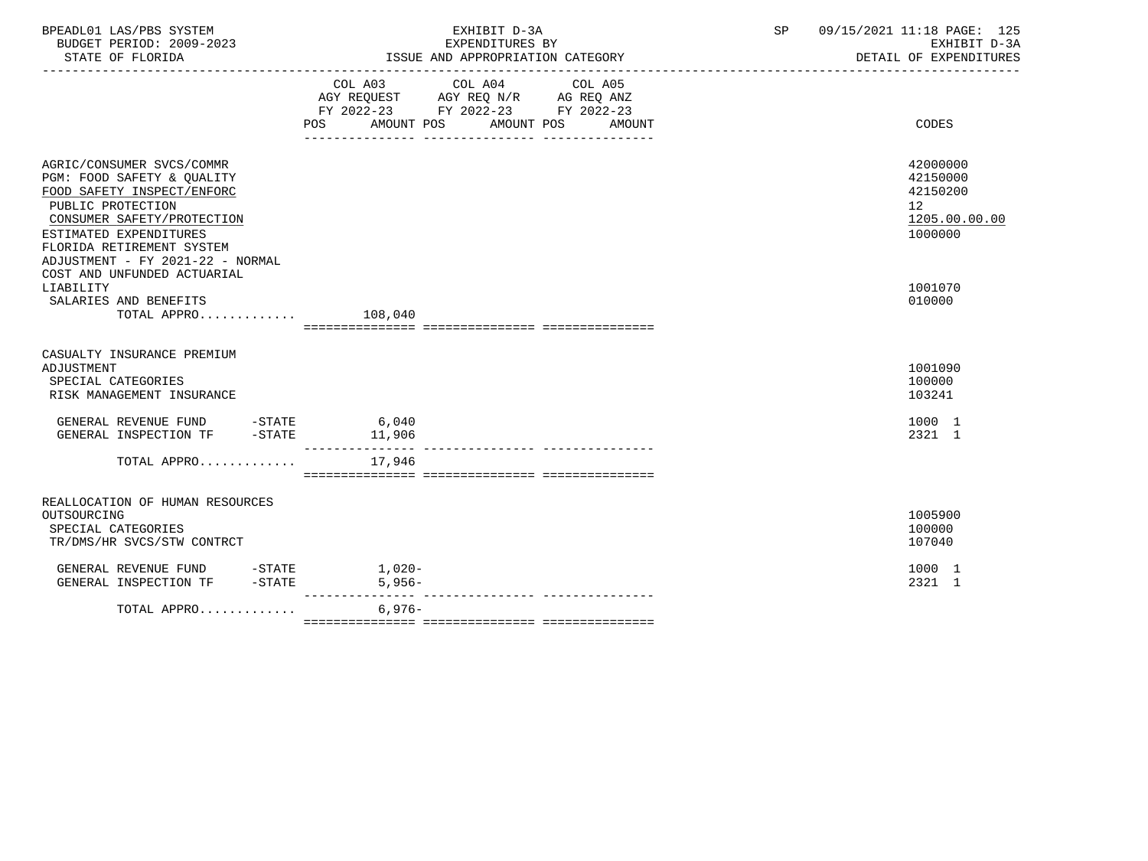| BPEADL01 LAS/PBS SYSTEM<br>BUDGET PERIOD: 2009-2023<br>STATE OF FLORIDA                                                                                                                                                                                            | EXHIBIT D-3A<br>EXPENDITURES BY<br>ISSUE AND APPROPRIATION CATEGORY                                                                  | 09/15/2021 11:18 PAGE: 125<br>SP <sub>2</sub><br>EXHIBIT D-3A<br>DETAIL OF EXPENDITURES |
|--------------------------------------------------------------------------------------------------------------------------------------------------------------------------------------------------------------------------------------------------------------------|--------------------------------------------------------------------------------------------------------------------------------------|-----------------------------------------------------------------------------------------|
|                                                                                                                                                                                                                                                                    | COL A03 COL A04<br>COL A05<br>AGY REQUEST AGY REQ N/R AG REQ ANZ<br>FY 2022-23 FY 2022-23 FY 2022-23<br>AMOUNT POS AMOUNT POS AMOUNT | CODES                                                                                   |
| AGRIC/CONSUMER SVCS/COMMR<br>PGM: FOOD SAFETY & QUALITY<br>FOOD SAFETY INSPECT/ENFORC<br>PUBLIC PROTECTION<br>CONSUMER SAFETY/PROTECTION<br>ESTIMATED EXPENDITURES<br>FLORIDA RETIREMENT SYSTEM<br>ADJUSTMENT - FY 2021-22 - NORMAL<br>COST AND UNFUNDED ACTUARIAL |                                                                                                                                      | 42000000<br>42150000<br>42150200<br>12 <sup>°</sup><br>1205.00.00.00<br>1000000         |
| LIABILITY<br>SALARIES AND BENEFITS<br>TOTAL APPRO $108,040$                                                                                                                                                                                                        |                                                                                                                                      | 1001070<br>010000                                                                       |
| CASUALTY INSURANCE PREMIUM<br>ADJUSTMENT<br>SPECIAL CATEGORIES<br>RISK MANAGEMENT INSURANCE                                                                                                                                                                        |                                                                                                                                      | 1001090<br>100000<br>103241                                                             |
| GENERAL REVENUE FUND -STATE 6,040<br>GENERAL INSPECTION TF -STATE                                                                                                                                                                                                  | 11,906<br>________________                                                                                                           | 1000 1<br>2321 1                                                                        |
| TOTAL APPRO                                                                                                                                                                                                                                                        | 17,946                                                                                                                               |                                                                                         |
| REALLOCATION OF HUMAN RESOURCES<br>OUTSOURCING<br>SPECIAL CATEGORIES<br>TR/DMS/HR SVCS/STW CONTRCT                                                                                                                                                                 |                                                                                                                                      | 1005900<br>100000<br>107040                                                             |
| GENERAL REVENUE FUND -STATE<br>GENERAL INSPECTION TF -STATE                                                                                                                                                                                                        | 1,020-<br>$5,956-$                                                                                                                   | 1000 1<br>2321 1                                                                        |
| TOTAL APPRO                                                                                                                                                                                                                                                        | $6,976-$                                                                                                                             |                                                                                         |

=============== =============== ===============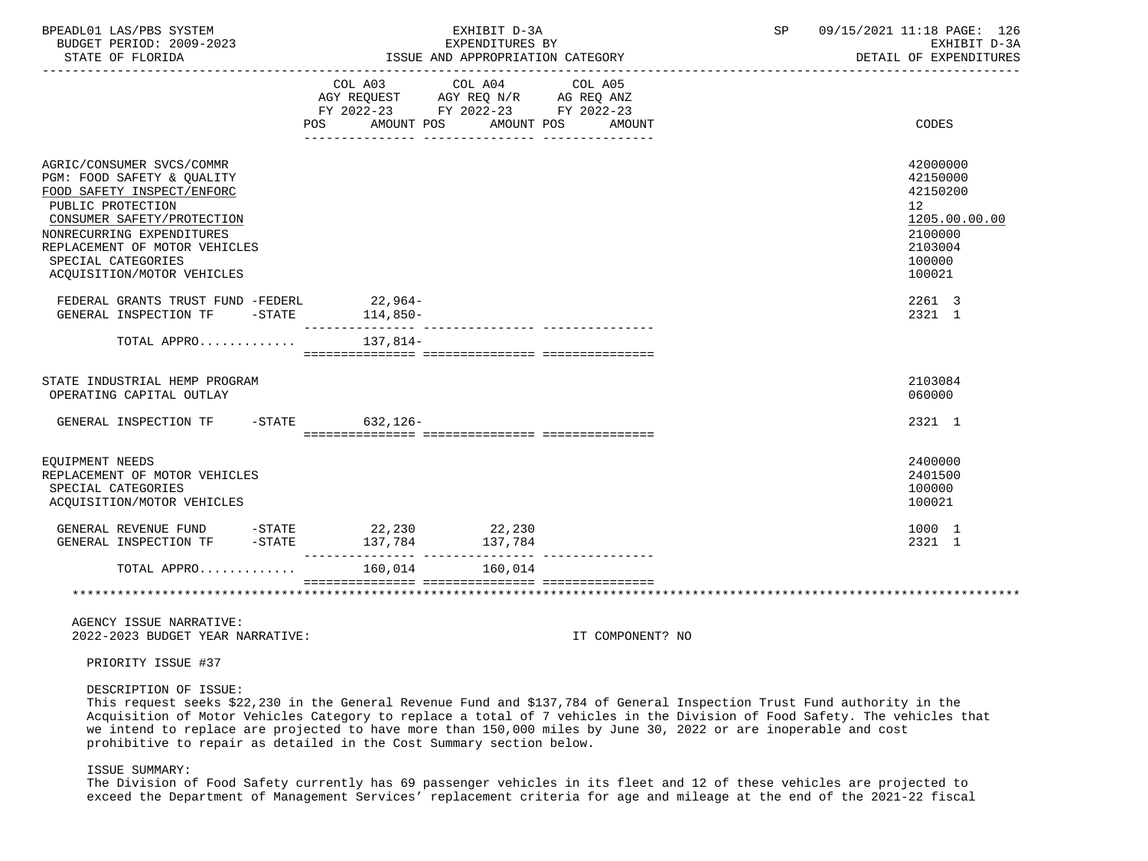| BPEADL01 LAS/PBS SYSTEM<br>BUDGET PERIOD: 2009-2023                                                                                                                                                                                                        |                         | EXHIBIT D-3A<br>EXPENDITURES BY                                                                                                      | SP 09/15/2021 11:18 PAGE: 126<br>EXHIBIT D-3A                                                     |
|------------------------------------------------------------------------------------------------------------------------------------------------------------------------------------------------------------------------------------------------------------|-------------------------|--------------------------------------------------------------------------------------------------------------------------------------|---------------------------------------------------------------------------------------------------|
| STATE OF FLORIDA                                                                                                                                                                                                                                           |                         | ISSUE AND APPROPRIATION CATEGORY                                                                                                     | DETAIL OF EXPENDITURES                                                                            |
|                                                                                                                                                                                                                                                            | <b>POS</b>              | COL A03 COL A04 COL A05<br>AGY REQUEST AGY REQ N/R AG REQ ANZ<br>FY 2022-23 FY 2022-23 FY 2022-23<br>AMOUNT POS AMOUNT POS<br>AMOUNT | CODES                                                                                             |
| AGRIC/CONSUMER SVCS/COMMR<br>PGM: FOOD SAFETY & QUALITY<br>FOOD SAFETY INSPECT/ENFORC<br>PUBLIC PROTECTION<br>CONSUMER SAFETY/PROTECTION<br>NONRECURRING EXPENDITURES<br>REPLACEMENT OF MOTOR VEHICLES<br>SPECIAL CATEGORIES<br>ACQUISITION/MOTOR VEHICLES |                         |                                                                                                                                      | 42000000<br>42150000<br>42150200<br>12<br>1205.00.00.00<br>2100000<br>2103004<br>100000<br>100021 |
| FEDERAL GRANTS TRUST FUND -FEDERL<br>GENERAL INSPECTION TF -STATE                                                                                                                                                                                          | $22,964-$<br>$114,850-$ |                                                                                                                                      | 2261 3<br>2321 1                                                                                  |
| TOTAL APPRO $137,814-$                                                                                                                                                                                                                                     |                         |                                                                                                                                      |                                                                                                   |
| STATE INDUSTRIAL HEMP PROGRAM<br>OPERATING CAPITAL OUTLAY                                                                                                                                                                                                  |                         |                                                                                                                                      | 2103084<br>060000                                                                                 |
| GENERAL INSPECTION TF -STATE 632,126-                                                                                                                                                                                                                      |                         |                                                                                                                                      | 2321 1                                                                                            |
| EOUIPMENT NEEDS<br>REPLACEMENT OF MOTOR VEHICLES<br>SPECIAL CATEGORIES<br>ACQUISITION/MOTOR VEHICLES                                                                                                                                                       |                         |                                                                                                                                      | 2400000<br>2401500<br>100000<br>100021                                                            |
| GENERAL REVENUE FUND -STATE 22,230 22,230<br>GENERAL INSPECTION TF -STATE 137,784                                                                                                                                                                          |                         | 137,784                                                                                                                              | 1000 1<br>2321 1                                                                                  |
| TOTAL APPRO                                                                                                                                                                                                                                                | 160,014 160,014         |                                                                                                                                      |                                                                                                   |
|                                                                                                                                                                                                                                                            |                         |                                                                                                                                      |                                                                                                   |
| AGENCY ISSUE NARRATIVE:<br>2022-2023 BUDGET YEAR NARRATIVE:                                                                                                                                                                                                |                         | IT COMPONENT? NO                                                                                                                     |                                                                                                   |

PRIORITY ISSUE #37

### DESCRIPTION OF ISSUE:

 This request seeks \$22,230 in the General Revenue Fund and \$137,784 of General Inspection Trust Fund authority in the Acquisition of Motor Vehicles Category to replace a total of 7 vehicles in the Division of Food Safety. The vehicles that we intend to replace are projected to have more than 150,000 miles by June 30, 2022 or are inoperable and cost prohibitive to repair as detailed in the Cost Summary section below.

### ISSUE SUMMARY:

 The Division of Food Safety currently has 69 passenger vehicles in its fleet and 12 of these vehicles are projected to exceed the Department of Management Services' replacement criteria for age and mileage at the end of the 2021-22 fiscal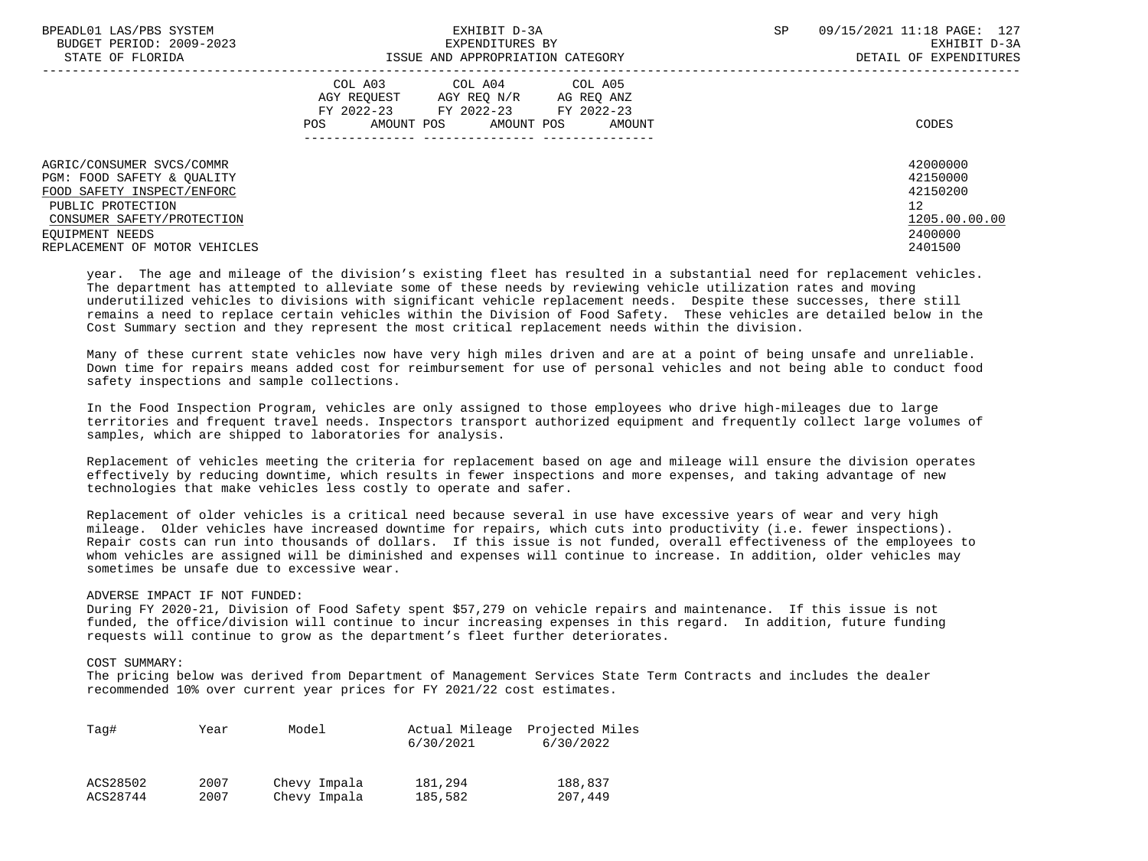| BPEADL01 LAS/PBS SYSTEM<br>BUDGET PERIOD: 2009-2023                                                 | EXHIBIT D-3A<br>EXPENDITURES BY                                                                                                                | 09/15/2021 11:18 PAGE: 127<br>SP<br>EXHIBIT D-3A |
|-----------------------------------------------------------------------------------------------------|------------------------------------------------------------------------------------------------------------------------------------------------|--------------------------------------------------|
| STATE OF FLORIDA                                                                                    | ISSUE AND APPROPRIATION CATEGORY                                                                                                               | DETAIL OF EXPENDITURES                           |
|                                                                                                     | COL A03 COL A04 COL A05<br>AGY REQUEST AGY REQ N/R<br>AG REO ANZ<br>FY 2022-23 FY 2022-23 FY 2022-23<br>AMOUNT POS AMOUNT POS<br>POS<br>AMOUNT | CODES                                            |
| AGRIC/CONSUMER SVCS/COMMR<br>PGM: FOOD SAFETY & OUALITY<br>FOOD SAFETY INSPECT/ENFORC               |                                                                                                                                                | 42000000<br>42150000<br>42150200                 |
| PUBLIC PROTECTION<br>CONSUMER SAFETY/PROTECTION<br>EOUIPMENT NEEDS<br>REPLACEMENT OF MOTOR VEHICLES |                                                                                                                                                | 12<br>1205.00.00.00<br>2400000<br>2401500        |

 year. The age and mileage of the division's existing fleet has resulted in a substantial need for replacement vehicles. The department has attempted to alleviate some of these needs by reviewing vehicle utilization rates and moving underutilized vehicles to divisions with significant vehicle replacement needs. Despite these successes, there still remains a need to replace certain vehicles within the Division of Food Safety. These vehicles are detailed below in the Cost Summary section and they represent the most critical replacement needs within the division.

 Many of these current state vehicles now have very high miles driven and are at a point of being unsafe and unreliable. Down time for repairs means added cost for reimbursement for use of personal vehicles and not being able to conduct food safety inspections and sample collections.

 In the Food Inspection Program, vehicles are only assigned to those employees who drive high-mileages due to large territories and frequent travel needs. Inspectors transport authorized equipment and frequently collect large volumes of samples, which are shipped to laboratories for analysis.

 Replacement of vehicles meeting the criteria for replacement based on age and mileage will ensure the division operates effectively by reducing downtime, which results in fewer inspections and more expenses, and taking advantage of new technologies that make vehicles less costly to operate and safer.

 Replacement of older vehicles is a critical need because several in use have excessive years of wear and very high mileage. Older vehicles have increased downtime for repairs, which cuts into productivity (i.e. fewer inspections). Repair costs can run into thousands of dollars. If this issue is not funded, overall effectiveness of the employees to whom vehicles are assigned will be diminished and expenses will continue to increase. In addition, older vehicles may sometimes be unsafe due to excessive wear.

# ADVERSE IMPACT IF NOT FUNDED:

 During FY 2020-21, Division of Food Safety spent \$57,279 on vehicle repairs and maintenance. If this issue is not funded, the office/division will continue to incur increasing expenses in this regard. In addition, future funding requests will continue to grow as the department's fleet further deteriorates.

## COST SUMMARY:

 The pricing below was derived from Department of Management Services State Term Contracts and includes the dealer recommended 10% over current year prices for FY 2021/22 cost estimates.

| Tag#     | Year | Model        | 6/30/2021 | Actual Mileage Projected Miles<br>6/30/2022 |
|----------|------|--------------|-----------|---------------------------------------------|
| ACS28502 | 2007 | Chevy Impala | 181,294   | 188,837                                     |
| ACS28744 | 2007 | Chevy Impala | 185,582   | 207,449                                     |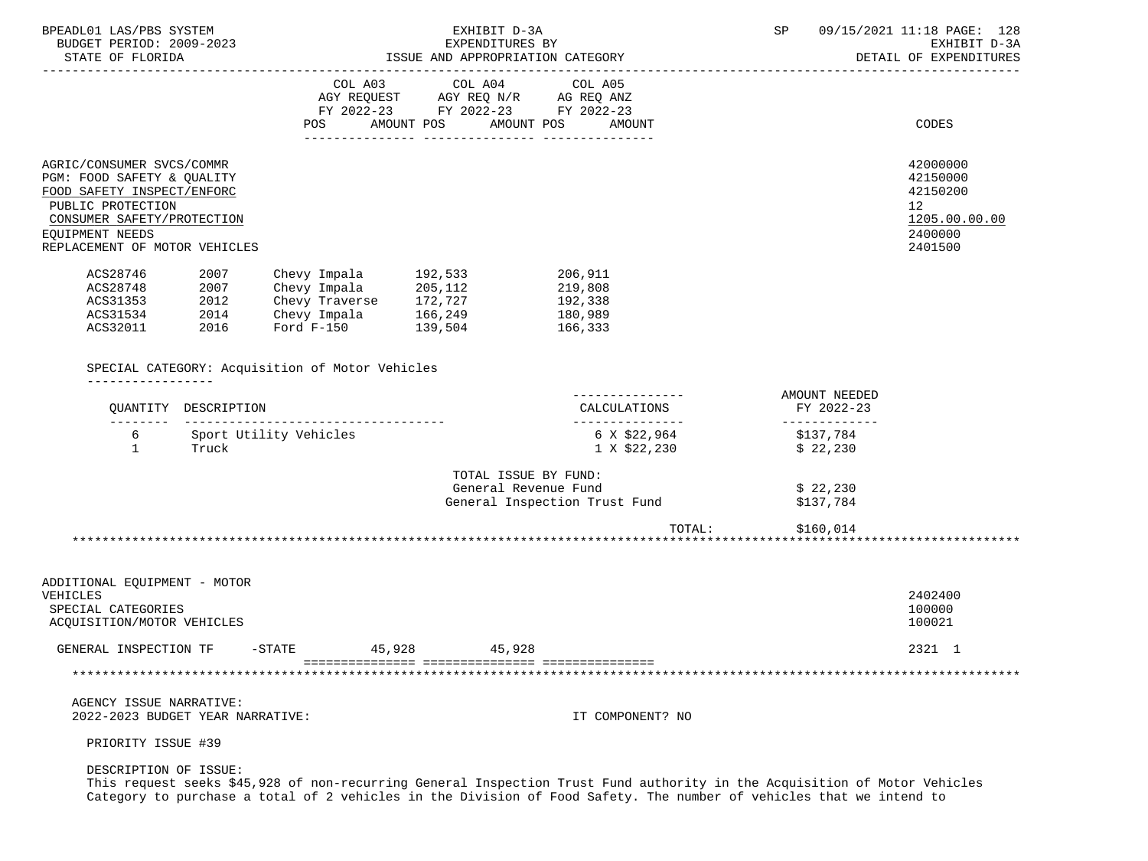| BUDGET   | 2009-2023<br>PERIOD:         | EXPENDITURES BY                            | $\sim$<br>הדסדטעת<br>- ⊶                   |
|----------|------------------------------|--------------------------------------------|--------------------------------------------|
| BPEADL01 | .AS/PBS<br>SYSTEM<br>' / AS- | ---------<br><u> D-</u><br>LARIBI<br>د م ب | n a<br>72021<br>$:18$ PAGE:<br>מר ד<br>⊥∠ర |

| STATE OF FLORIDA                                                                                           | ISSUE AND APPROPRIATION CATEGORY                                                                                                                           | DETAIL OF EXPENDITURES                 |
|------------------------------------------------------------------------------------------------------------|------------------------------------------------------------------------------------------------------------------------------------------------------------|----------------------------------------|
|                                                                                                            | COL A03<br>COL A04<br>COL A05<br>AGY REQ N/R<br>AGY REOUEST<br>AG REQ ANZ<br>FY 2022-23 FY 2022-23 FY 2022-23<br>AMOUNT POS<br>AMOUNT POS<br>AMOUNT<br>POS | CODES                                  |
| AGRIC/CONSUMER SVCS/COMMR<br>PGM: FOOD SAFETY & OUALITY<br>FOOD SAFETY INSPECT/ENFORC<br>PUBLIC PROTECTION |                                                                                                                                                            | 42000000<br>42150000<br>42150200<br>12 |

# CONSUMER SAFETY/PROTECTION 1205.00.00 CONSUMER SAFETY/PROTECTION 1205.00 CONSUMER SAFETY/PROTECTION

# EQUIPMENT NEEDS 2400000 2400000 2400000 2400000 2400000 2400000 2400000 25 EXPLACEMENT NEEDS 2400000 25 EXPLACEMENT OF MOTOR VEHICLES REPLACEMENT OF MOTOR VEHICLES

| ACS28746 | 2007 | Chevy Impala   | 192,533 | 206,911 |
|----------|------|----------------|---------|---------|
| ACS28748 | 2007 | Chevy Impala   | 205,112 | 219,808 |
| ACS31353 | 2012 | Chevy Traverse | 172.727 | 192,338 |
| ACS31534 | 2014 | Chevy Impala   | 166,249 | 180,989 |
| ACS32011 | 2016 | Ford $F-150$   | 139,504 | 166,333 |

# SPECIAL CATEGORY: Acquisition of Motor Vehicles

| ----------------- |  |  |  |  |  |  |  |  |
|-------------------|--|--|--|--|--|--|--|--|
|                   |  |  |  |  |  |  |  |  |

| OUANTITY DESCRIPTION   | ---------------<br>CALCULATIONS | AMOUNT NEEDED<br>FY 2022-23 |
|------------------------|---------------------------------|-----------------------------|
| Sport Utility Vehicles | 6 X \$22,964                    | \$137,784                   |
| Truck                  | 1 X \$22,230                    | \$22.230                    |

# TOTAL ISSUE BY FUND: General Revenue Fund<br>
Seneral Inspection Trust Fund<br>
\$137,784 General Inspection Trust Fund

| TOTAL. | \$160 |  |
|--------|-------|--|
|        |       |  |

\*\*\*\*\*\*\*\*\*\*\*\*\*\*\*\*\*\*\*\*\*\*\*\*\*\*\*\*\*\*\*\*\*\*\*\*\*\*\*\*\*\*\*\*\*\*\*\*\*\*\*\*\*\*\*\*\*\*\*\*\*\*\*\*\*\*\*\*\*\*\*\*\*\*\*\*\*\*\*\*\*\*\*\*\*\*\*\*\*\*\*\*\*\*\*\*\*\*\*\*\*\*\*\*\*\*\*\*\*\*\*\*\*\*\*\*\*\*\*\*\*\*\*\*\*\*\*

ADDITIONAL EQUIPMENT - MOTOR<br>VEHICLES VEHICLES 2402400 SPECIAL CATEGORIES 100000 POSTAGORIES ACCORDING TO A SERVER ACCOUNT OF THE SERVER OF THE SERVER OF THE SERVER OF THE SERVER OF THE SERVER OF THE SERVER OF THE SERVER OF THE SERVER OF THE SERVER OF THE SERVER OF THE SERVER ACQUISITION/MOTOR VEHICLES GENERAL INSPECTION TF  $-$  -STATE 45,928 45,928 45,928 2321 1 =============== =============== ===============

# AGENCY ISSUE NARRATIVE:

2022-2023 BUDGET YEAR NARRATIVE: IT COMPONENT? NO

PRIORITY ISSUE #39

DESCRIPTION OF ISSUE:

 This request seeks \$45,928 of non-recurring General Inspection Trust Fund authority in the Acquisition of Motor Vehicles Category to purchase a total of 2 vehicles in the Division of Food Safety. The number of vehicles that we intend to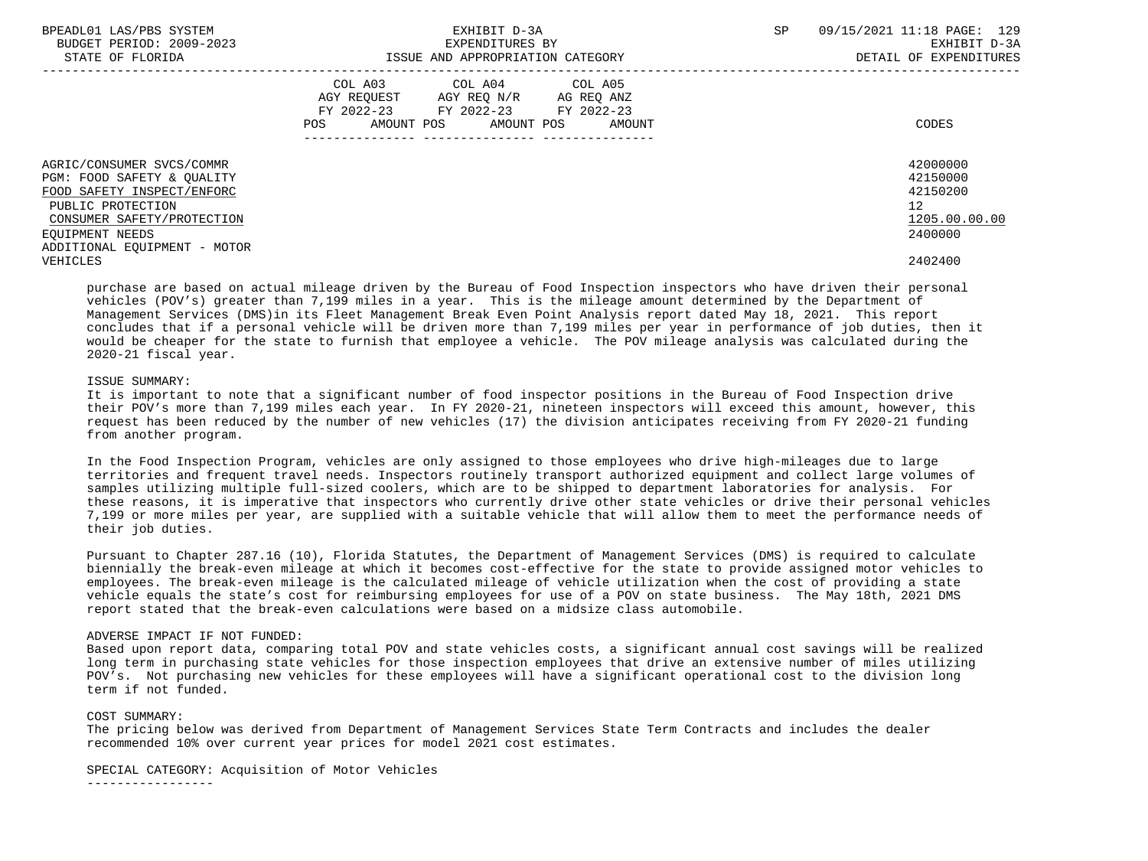| BPEADL01 LAS/PBS SYSTEM<br>BUDGET PERIOD: 2009-2023<br>STATE OF FLORIDA               | EXHIBIT D-3A<br>EXPENDITURES BY<br>ISSUE AND APPROPRIATION CATEGORY                                                                      | 09/15/2021 11:18 PAGE: 129<br>SP<br>EXHIBIT D-3A<br>DETAIL OF EXPENDITURES |
|---------------------------------------------------------------------------------------|------------------------------------------------------------------------------------------------------------------------------------------|----------------------------------------------------------------------------|
|                                                                                       | COL A03 COL A04 COL A05<br>AGY REQUEST AGY REQ N/R AG REQ ANZ<br>FY 2022-23 FY 2022-23 FY 2022-23<br>AMOUNT POS AMOUNT POS AMOUNT<br>POS | CODES                                                                      |
| AGRIC/CONSUMER SVCS/COMMR<br>PGM: FOOD SAFETY & OUALITY<br>FOOD SAFETY INSPECT/ENFORC |                                                                                                                                          | 42000000<br>42150000<br>42150200                                           |
| PUBLIC PROTECTION<br>CONSUMER SAFETY/PROTECTION                                       |                                                                                                                                          | 12 <sup>°</sup><br>1205.00.00.00                                           |
| EOUIPMENT NEEDS<br>ADDITIONAL EOUIPMENT - MOTOR<br>VEHICLES                           |                                                                                                                                          | 2400000<br>2402400                                                         |

 purchase are based on actual mileage driven by the Bureau of Food Inspection inspectors who have driven their personal vehicles (POV's) greater than 7,199 miles in a year. This is the mileage amount determined by the Department of Management Services (DMS)in its Fleet Management Break Even Point Analysis report dated May 18, 2021. This report concludes that if a personal vehicle will be driven more than 7,199 miles per year in performance of job duties, then it would be cheaper for the state to furnish that employee a vehicle. The POV mileage analysis was calculated during the 2020-21 fiscal year.

# ISSUE SUMMARY:

 It is important to note that a significant number of food inspector positions in the Bureau of Food Inspection drive their POV's more than 7,199 miles each year. In FY 2020-21, nineteen inspectors will exceed this amount, however, this request has been reduced by the number of new vehicles (17) the division anticipates receiving from FY 2020-21 funding from another program.

 In the Food Inspection Program, vehicles are only assigned to those employees who drive high-mileages due to large territories and frequent travel needs. Inspectors routinely transport authorized equipment and collect large volumes of samples utilizing multiple full-sized coolers, which are to be shipped to department laboratories for analysis. For these reasons, it is imperative that inspectors who currently drive other state vehicles or drive their personal vehicles 7,199 or more miles per year, are supplied with a suitable vehicle that will allow them to meet the performance needs of their job duties.

 Pursuant to Chapter 287.16 (10), Florida Statutes, the Department of Management Services (DMS) is required to calculate biennially the break-even mileage at which it becomes cost-effective for the state to provide assigned motor vehicles to employees. The break-even mileage is the calculated mileage of vehicle utilization when the cost of providing a state vehicle equals the state's cost for reimbursing employees for use of a POV on state business. The May 18th, 2021 DMS report stated that the break-even calculations were based on a midsize class automobile.

# ADVERSE IMPACT IF NOT FUNDED:

 Based upon report data, comparing total POV and state vehicles costs, a significant annual cost savings will be realized long term in purchasing state vehicles for those inspection employees that drive an extensive number of miles utilizing POV's. Not purchasing new vehicles for these employees will have a significant operational cost to the division long term if not funded.

### COST SUMMARY:

 The pricing below was derived from Department of Management Services State Term Contracts and includes the dealer recommended 10% over current year prices for model 2021 cost estimates.

SPECIAL CATEGORY: Acquisition of Motor Vehicles

-----------------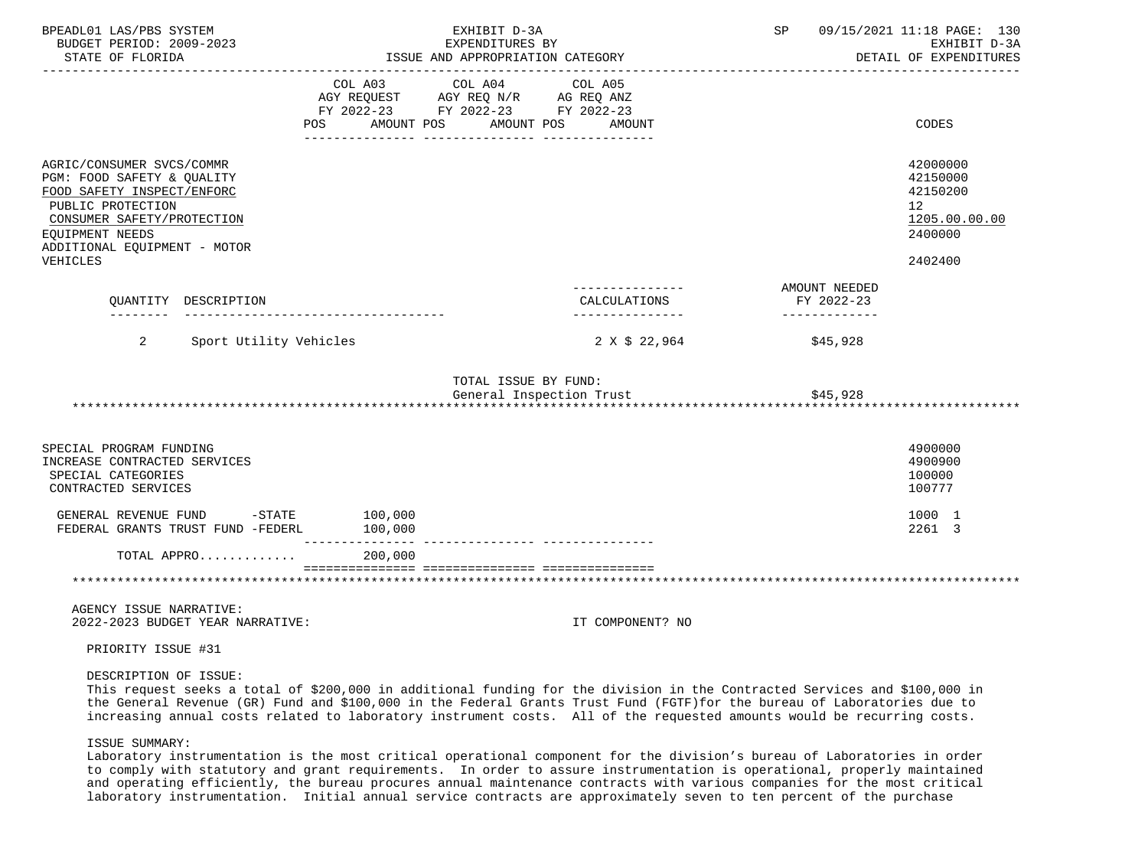| BPEADL01 LAS/PBS SYSTEM<br>BUDGET PERIOD: 2009-2023<br>STATE OF FLORIDA                                                                                                                                 |                                                                                                                        | EXHIBIT D-3A<br>EXPENDITURES BY<br>ISSUE AND APPROPRIATION CATEGORY | SP                                           | 09/15/2021 11:18 PAGE: 130<br>EXHIBIT D-3A<br>DETAIL OF EXPENDITURES                       |
|---------------------------------------------------------------------------------------------------------------------------------------------------------------------------------------------------------|------------------------------------------------------------------------------------------------------------------------|---------------------------------------------------------------------|----------------------------------------------|--------------------------------------------------------------------------------------------|
|                                                                                                                                                                                                         | COL A03 COL A04 COL A05<br>AGY REQUEST AGY REQ N/R AG REQ ANZ<br>FY 2022-23 FY 2022-23 FY 2022-23<br>POS<br>AMOUNT POS | AMOUNT POS<br>AMOUNT<br>__ ________________ _____________           |                                              | CODES                                                                                      |
| AGRIC/CONSUMER SVCS/COMMR<br>PGM: FOOD SAFETY & QUALITY<br>FOOD SAFETY INSPECT/ENFORC<br>PUBLIC PROTECTION<br>CONSUMER SAFETY/PROTECTION<br>EQUIPMENT NEEDS<br>ADDITIONAL EQUIPMENT - MOTOR<br>VEHICLES |                                                                                                                        |                                                                     |                                              | 42000000<br>42150000<br>42150200<br>12 <sup>°</sup><br>1205.00.00.00<br>2400000<br>2402400 |
| OUANTITY DESCRIPTION                                                                                                                                                                                    |                                                                                                                        | ---------------<br>CALCULATIONS<br>---------------                  | AMOUNT NEEDED<br>FY 2022-23<br>------------- |                                                                                            |
| 2<br>Sport Utility Vehicles                                                                                                                                                                             |                                                                                                                        | 2 X \$22,964                                                        | \$45,928                                     |                                                                                            |
|                                                                                                                                                                                                         |                                                                                                                        | TOTAL ISSUE BY FUND:<br>General Inspection Trust                    | \$45,928                                     |                                                                                            |
| SPECIAL PROGRAM FUNDING<br>INCREASE CONTRACTED SERVICES<br>SPECIAL CATEGORIES<br>CONTRACTED SERVICES                                                                                                    |                                                                                                                        |                                                                     |                                              | 4900000<br>4900900<br>100000<br>100777                                                     |
| GENERAL REVENUE FUND -STATE 100,000<br>FEDERAL GRANTS TRUST FUND -FEDERL                                                                                                                                | 100,000<br>________________                                                                                            |                                                                     |                                              | 1000 1<br>2261 3                                                                           |
| TOTAL APPRO                                                                                                                                                                                             | 200,000                                                                                                                |                                                                     |                                              |                                                                                            |
|                                                                                                                                                                                                         |                                                                                                                        |                                                                     |                                              |                                                                                            |
| AGENCY ISSUE NARRATIVE:                                                                                                                                                                                 |                                                                                                                        |                                                                     |                                              |                                                                                            |

2022-2023 BUDGET YEAR NARRATIVE: IT COMPONENT? NO

PRIORITY ISSUE #31

DESCRIPTION OF ISSUE:

 This request seeks a total of \$200,000 in additional funding for the division in the Contracted Services and \$100,000 in the General Revenue (GR) Fund and \$100,000 in the Federal Grants Trust Fund (FGTF)for the bureau of Laboratories due to increasing annual costs related to laboratory instrument costs. All of the requested amounts would be recurring costs.

# ISSUE SUMMARY:

 Laboratory instrumentation is the most critical operational component for the division's bureau of Laboratories in order to comply with statutory and grant requirements. In order to assure instrumentation is operational, properly maintained and operating efficiently, the bureau procures annual maintenance contracts with various companies for the most critical laboratory instrumentation. Initial annual service contracts are approximately seven to ten percent of the purchase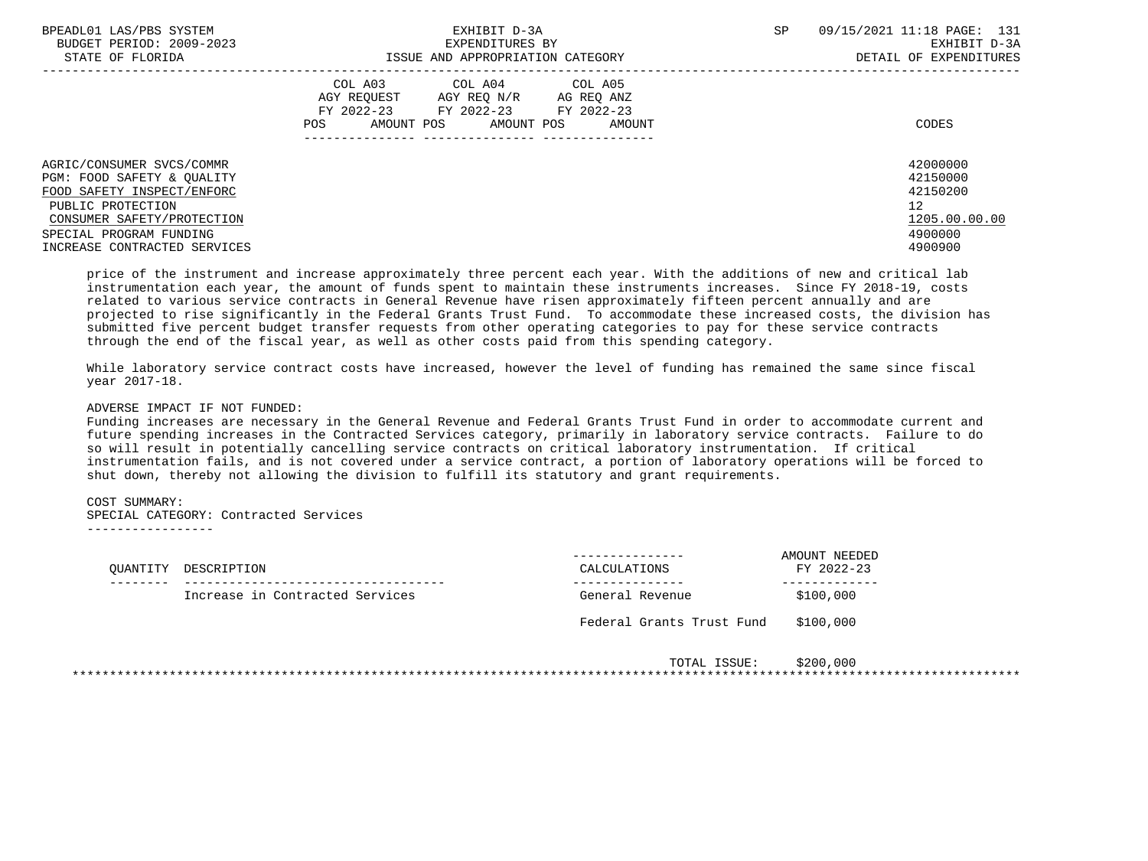| BPEADL01 LAS/PBS SYSTEM<br>BUDGET PERIOD: 2009-2023     | EXHIBIT D-3A<br>EXPENDITURES BY                                                                                                          | 09/15/2021 11:18 PAGE: 131<br>SP<br>EXHIBIT D-3A |
|---------------------------------------------------------|------------------------------------------------------------------------------------------------------------------------------------------|--------------------------------------------------|
| STATE OF FLORIDA                                        | ISSUE AND APPROPRIATION CATEGORY<br>COL A03 COL A04 COL A05<br>AGY REOUEST AGY REO N/R<br>AG REO ANZ<br>FY 2022-23 FY 2022-23 FY 2022-23 | DETAIL OF EXPENDITURES                           |
|                                                         | AMOUNT POS AMOUNT POS<br>POS<br>AMOUNT                                                                                                   | CODES                                            |
| AGRIC/CONSUMER SVCS/COMMR<br>PGM: FOOD SAFETY & OUALITY |                                                                                                                                          | 42000000<br>42150000                             |
| FOOD SAFETY INSPECT/ENFORC                              |                                                                                                                                          | 42150200                                         |
| PUBLIC PROTECTION                                       |                                                                                                                                          | 12                                               |
| CONSUMER SAFETY/PROTECTION                              |                                                                                                                                          | 1205.00.00.00                                    |
| SPECIAL PROGRAM FUNDING                                 |                                                                                                                                          | 4900000                                          |
| INCREASE CONTRACTED SERVICES                            |                                                                                                                                          | 4900900                                          |

 price of the instrument and increase approximately three percent each year. With the additions of new and critical lab instrumentation each year, the amount of funds spent to maintain these instruments increases. Since FY 2018-19, costs related to various service contracts in General Revenue have risen approximately fifteen percent annually and are projected to rise significantly in the Federal Grants Trust Fund. To accommodate these increased costs, the division has submitted five percent budget transfer requests from other operating categories to pay for these service contracts through the end of the fiscal year, as well as other costs paid from this spending category.

 While laboratory service contract costs have increased, however the level of funding has remained the same since fiscal year 2017-18.

### ADVERSE IMPACT IF NOT FUNDED:

 Funding increases are necessary in the General Revenue and Federal Grants Trust Fund in order to accommodate current and future spending increases in the Contracted Services category, primarily in laboratory service contracts. Failure to do so will result in potentially cancelling service contracts on critical laboratory instrumentation. If critical instrumentation fails, and is not covered under a service contract, a portion of laboratory operations will be forced to shut down, thereby not allowing the division to fulfill its statutory and grant requirements.

### COST SUMMARY:

 SPECIAL CATEGORY: Contracted Services -----------------

| OUANTITY | DESCRIPTION                     | CALCULATIONS              | AMOUNT NEEDED<br>FY 2022-23 |
|----------|---------------------------------|---------------------------|-----------------------------|
|          | Increase in Contracted Services | General Revenue           | \$100,000                   |
|          |                                 | Federal Grants Trust Fund | \$100,000                   |
|          |                                 | TOTAL ISSUE:              | \$200,000                   |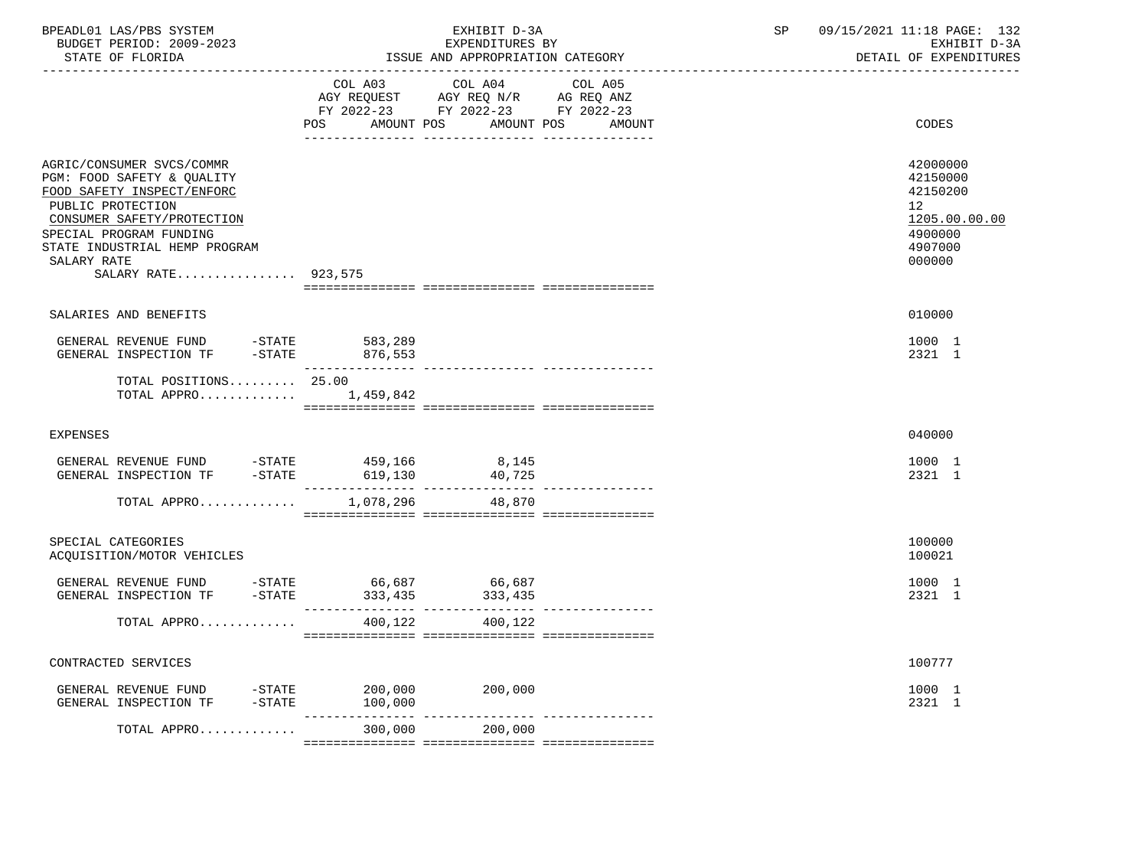| BPEADL01 LAS/PBS SYSTEM<br>BUDGET PERIOD: 2009-2023<br>STATE OF FLORIDA                                                                                                                                                                    |                | EXHIBIT D-3A<br>EXPENDITURES BY<br>ISSUE AND APPROPRIATION CATEGORY                                                       | SP | 09/15/2021 11:18 PAGE: 132<br>EXHIBIT D-3A<br>DETAIL OF EXPENDITURES                    |
|--------------------------------------------------------------------------------------------------------------------------------------------------------------------------------------------------------------------------------------------|----------------|---------------------------------------------------------------------------------------------------------------------------|----|-----------------------------------------------------------------------------------------|
|                                                                                                                                                                                                                                            | COL A03<br>POS | COL A04 COL A05<br>AGY REQUEST AGY REQ N/R AG REQ ANZ<br>FY 2022-23 FY 2022-23 FY 2022-23<br>AMOUNT POS AMOUNT POS AMOUNT |    | CODES                                                                                   |
| AGRIC/CONSUMER SVCS/COMMR<br>PGM: FOOD SAFETY & QUALITY<br>FOOD SAFETY INSPECT/ENFORC<br>PUBLIC PROTECTION<br>CONSUMER SAFETY/PROTECTION<br>SPECIAL PROGRAM FUNDING<br>STATE INDUSTRIAL HEMP PROGRAM<br>SALARY RATE<br>SALARY RATE 923,575 |                |                                                                                                                           |    | 42000000<br>42150000<br>42150200<br>12<br>1205.00.00.00<br>4900000<br>4907000<br>000000 |
| SALARIES AND BENEFITS                                                                                                                                                                                                                      |                |                                                                                                                           |    | 010000                                                                                  |
| GENERAL REVENUE FUND -STATE                                                                                                                                                                                                                | 583,289        |                                                                                                                           |    | 1000 1<br>2321 1                                                                        |
| TOTAL POSITIONS $25.00$<br>TOTAL APPRO $1,459,842$                                                                                                                                                                                         |                |                                                                                                                           |    |                                                                                         |
| <b>EXPENSES</b>                                                                                                                                                                                                                            |                |                                                                                                                           |    | 040000                                                                                  |
| GENERAL REVENUE FUND -STATE 459,166<br>GENERAL INSPECTION TF -STATE 619,130                                                                                                                                                                |                | 8,145<br>40,725                                                                                                           |    | 1000 1<br>2321 1                                                                        |
| TOTAL APPRO                                                                                                                                                                                                                                | 1,078,296      | 48,870                                                                                                                    |    |                                                                                         |
| SPECIAL CATEGORIES<br>ACQUISITION/MOTOR VEHICLES                                                                                                                                                                                           |                |                                                                                                                           |    | 100000<br>100021                                                                        |
| GENERAL REVENUE FUND -STATE 66,687 66,687<br>GENERAL INSPECTION TF -STATE 333,435 333,435                                                                                                                                                  |                |                                                                                                                           |    | 1000 1<br>2321 1                                                                        |
| TOTAL APPRO                                                                                                                                                                                                                                | 400,122        | 400,122                                                                                                                   |    |                                                                                         |
| CONTRACTED SERVICES                                                                                                                                                                                                                        |                |                                                                                                                           |    | 100777                                                                                  |
| GENERAL REVENUE FUND -STATE 200,000<br>GENERAL INSPECTION TF -STATE 100,000                                                                                                                                                                |                | 200,000                                                                                                                   |    | 1000 1<br>2321 1                                                                        |
| TOTAL APPRO                                                                                                                                                                                                                                | 300,000        | 200,000                                                                                                                   |    |                                                                                         |
|                                                                                                                                                                                                                                            |                |                                                                                                                           |    |                                                                                         |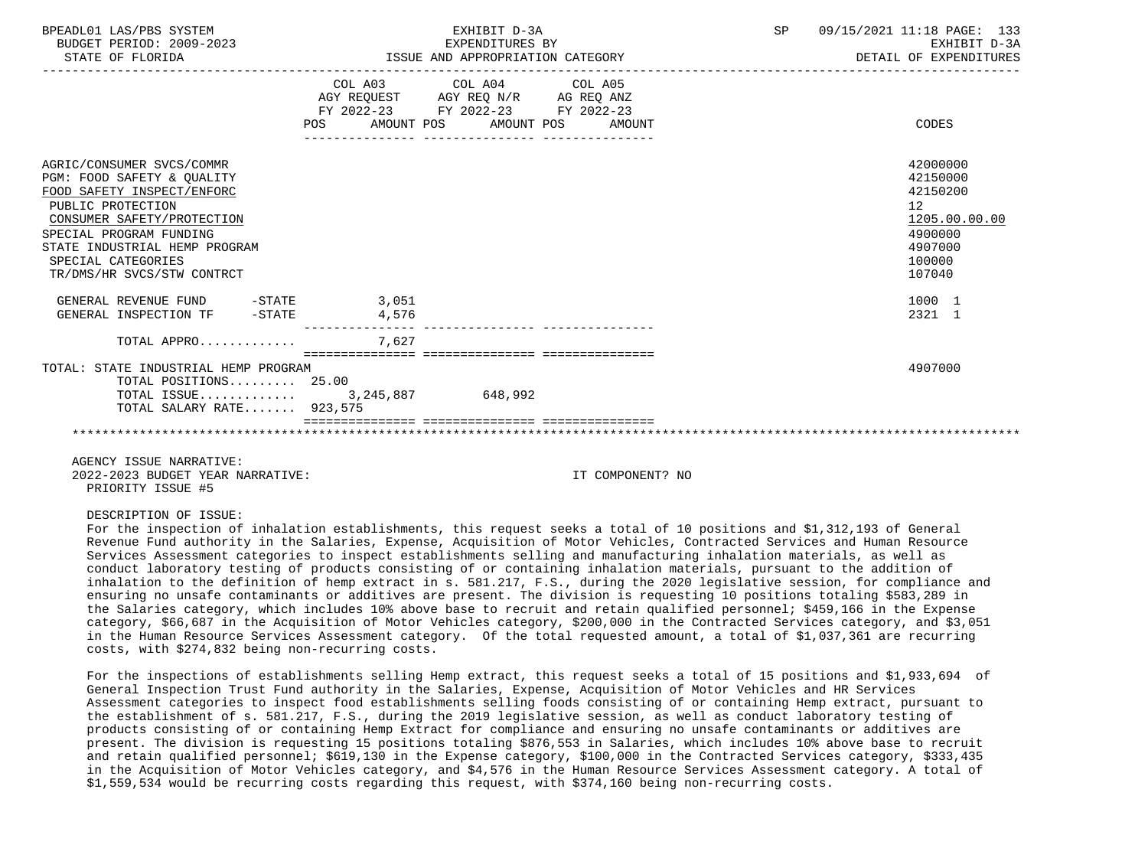| BPEADL01 LAS/PBS SYSTEM<br>BUDGET PERIOD: 2009-2023<br>STATE OF FLORIDA                                                                                                                                                                                  | EXHIBIT D-3A<br>EXPENDITURES BY<br>ISSUE AND APPROPRIATION CATEGORY |                                                                                                                                                                                                                      |                  | SP<br>--------------------------------- | 09/15/2021 11:18 PAGE: 133<br>EXHIBIT D-3A<br>DETAIL OF EXPENDITURES                                           |
|----------------------------------------------------------------------------------------------------------------------------------------------------------------------------------------------------------------------------------------------------------|---------------------------------------------------------------------|----------------------------------------------------------------------------------------------------------------------------------------------------------------------------------------------------------------------|------------------|-----------------------------------------|----------------------------------------------------------------------------------------------------------------|
|                                                                                                                                                                                                                                                          | POS FOR                                                             | COL A03 COL A04 COL A05<br>$\begin{tabular}{lllllll} \bf AGY & \bf REQUEST & \bf AGY & \bf REQ & \bf N/R & \bf AG & \bf REQ & \bf ANZ \\ \end{tabular}$<br>FY 2022-23 FY 2022-23 FY 2022-23<br>AMOUNT POS AMOUNT POS | AMOUNT           |                                         | CODES                                                                                                          |
| AGRIC/CONSUMER SVCS/COMMR<br>PGM: FOOD SAFETY & OUALITY<br>FOOD SAFETY INSPECT/ENFORC<br>PUBLIC PROTECTION<br>CONSUMER SAFETY/PROTECTION<br>SPECIAL PROGRAM FUNDING<br>STATE INDUSTRIAL HEMP PROGRAM<br>SPECIAL CATEGORIES<br>TR/DMS/HR SVCS/STW CONTRCT |                                                                     |                                                                                                                                                                                                                      |                  |                                         | 42000000<br>42150000<br>42150200<br>12 <sup>°</sup><br>1205.00.00.00<br>4900000<br>4907000<br>100000<br>107040 |
| GENERAL REVENUE FUND -STATE 3,051<br>GENERAL INSPECTION TF -STATE                                                                                                                                                                                        | 4,576                                                               |                                                                                                                                                                                                                      |                  |                                         | 1000 1<br>2321 1                                                                                               |
| TOTAL APPRO                                                                                                                                                                                                                                              | 7,627                                                               |                                                                                                                                                                                                                      |                  |                                         |                                                                                                                |
| TOTAL: STATE INDUSTRIAL HEMP PROGRAM<br>TOTAL POSITIONS 25.00<br>TOTAL ISSUE 3,245,887 648,992<br>TOTAL SALARY RATE 923,575                                                                                                                              |                                                                     |                                                                                                                                                                                                                      |                  |                                         | 4907000                                                                                                        |
|                                                                                                                                                                                                                                                          | =================================                                   |                                                                                                                                                                                                                      |                  |                                         |                                                                                                                |
| AGENCY ISSUE NARRATIVE:<br>2022-2023 BUDGET YEAR NARRATIVE:<br>PRIORITY ISSUE #5                                                                                                                                                                         |                                                                     |                                                                                                                                                                                                                      | IT COMPONENT? NO |                                         |                                                                                                                |

### DESCRIPTION OF ISSUE:

 For the inspection of inhalation establishments, this request seeks a total of 10 positions and \$1,312,193 of General Revenue Fund authority in the Salaries, Expense, Acquisition of Motor Vehicles, Contracted Services and Human Resource Services Assessment categories to inspect establishments selling and manufacturing inhalation materials, as well as conduct laboratory testing of products consisting of or containing inhalation materials, pursuant to the addition of inhalation to the definition of hemp extract in s. 581.217, F.S., during the 2020 legislative session, for compliance and ensuring no unsafe contaminants or additives are present. The division is requesting 10 positions totaling \$583,289 in the Salaries category, which includes 10% above base to recruit and retain qualified personnel; \$459,166 in the Expense category, \$66,687 in the Acquisition of Motor Vehicles category, \$200,000 in the Contracted Services category, and \$3,051 in the Human Resource Services Assessment category. Of the total requested amount, a total of \$1,037,361 are recurring costs, with \$274,832 being non-recurring costs.

 For the inspections of establishments selling Hemp extract, this request seeks a total of 15 positions and \$1,933,694 of General Inspection Trust Fund authority in the Salaries, Expense, Acquisition of Motor Vehicles and HR Services Assessment categories to inspect food establishments selling foods consisting of or containing Hemp extract, pursuant to the establishment of s. 581.217, F.S., during the 2019 legislative session, as well as conduct laboratory testing of products consisting of or containing Hemp Extract for compliance and ensuring no unsafe contaminants or additives are present. The division is requesting 15 positions totaling \$876,553 in Salaries, which includes 10% above base to recruit and retain qualified personnel; \$619,130 in the Expense category, \$100,000 in the Contracted Services category, \$333,435 in the Acquisition of Motor Vehicles category, and \$4,576 in the Human Resource Services Assessment category. A total of \$1,559,534 would be recurring costs regarding this request, with \$374,160 being non-recurring costs.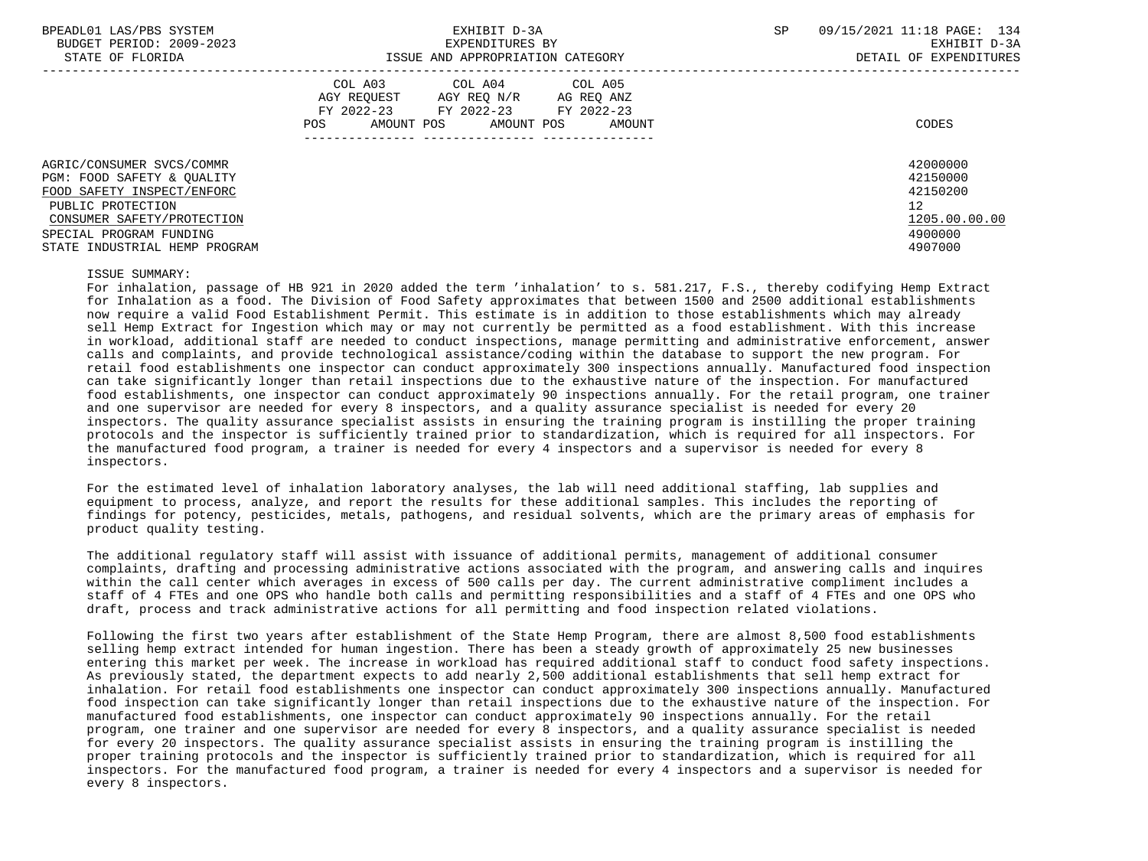BPEADL01 LAS/PBS SYSTEM SALL SERVICES TO A SP SEXHIBIT D-3A SP 09/15/2021 11:18 PAGE: 134

|                                                                                                                                                                                                      | COL A05<br>COL A03<br>COL A04<br>AGY REOUEST<br>AGY REO N/R<br>AG REQ ANZ<br>FY 2022-23 FY 2022-23<br>FY 2022-23<br>AMOUNT POS<br>AMOUNT POS<br>POS<br>AMOUNT | CODES                                                                         |
|------------------------------------------------------------------------------------------------------------------------------------------------------------------------------------------------------|---------------------------------------------------------------------------------------------------------------------------------------------------------------|-------------------------------------------------------------------------------|
| AGRIC/CONSUMER SVCS/COMMR<br>PGM: FOOD SAFETY & OUALITY<br>FOOD SAFETY INSPECT/ENFORC<br>PUBLIC PROTECTION<br>CONSUMER SAFETY/PROTECTION<br>SPECIAL PROGRAM FUNDING<br>STATE INDUSTRIAL HEMP PROGRAM |                                                                                                                                                               | 42000000<br>42150000<br>42150200<br>12<br>1205.00.00.00<br>4900000<br>4907000 |

ISSUE SUMMARY:

 For inhalation, passage of HB 921 in 2020 added the term 'inhalation' to s. 581.217, F.S., thereby codifying Hemp Extract for Inhalation as a food. The Division of Food Safety approximates that between 1500 and 2500 additional establishments now require a valid Food Establishment Permit. This estimate is in addition to those establishments which may already sell Hemp Extract for Ingestion which may or may not currently be permitted as a food establishment. With this increase in workload, additional staff are needed to conduct inspections, manage permitting and administrative enforcement, answer calls and complaints, and provide technological assistance/coding within the database to support the new program. For retail food establishments one inspector can conduct approximately 300 inspections annually. Manufactured food inspection can take significantly longer than retail inspections due to the exhaustive nature of the inspection. For manufactured food establishments, one inspector can conduct approximately 90 inspections annually. For the retail program, one trainer and one supervisor are needed for every 8 inspectors, and a quality assurance specialist is needed for every 20 inspectors. The quality assurance specialist assists in ensuring the training program is instilling the proper training protocols and the inspector is sufficiently trained prior to standardization, which is required for all inspectors. For the manufactured food program, a trainer is needed for every 4 inspectors and a supervisor is needed for every 8 inspectors.

 For the estimated level of inhalation laboratory analyses, the lab will need additional staffing, lab supplies and equipment to process, analyze, and report the results for these additional samples. This includes the reporting of findings for potency, pesticides, metals, pathogens, and residual solvents, which are the primary areas of emphasis for product quality testing.

 The additional regulatory staff will assist with issuance of additional permits, management of additional consumer complaints, drafting and processing administrative actions associated with the program, and answering calls and inquires within the call center which averages in excess of 500 calls per day. The current administrative compliment includes a staff of 4 FTEs and one OPS who handle both calls and permitting responsibilities and a staff of 4 FTEs and one OPS who draft, process and track administrative actions for all permitting and food inspection related violations.

 Following the first two years after establishment of the State Hemp Program, there are almost 8,500 food establishments selling hemp extract intended for human ingestion. There has been a steady growth of approximately 25 new businesses entering this market per week. The increase in workload has required additional staff to conduct food safety inspections. As previously stated, the department expects to add nearly 2,500 additional establishments that sell hemp extract for inhalation. For retail food establishments one inspector can conduct approximately 300 inspections annually. Manufactured food inspection can take significantly longer than retail inspections due to the exhaustive nature of the inspection. For manufactured food establishments, one inspector can conduct approximately 90 inspections annually. For the retail program, one trainer and one supervisor are needed for every 8 inspectors, and a quality assurance specialist is needed for every 20 inspectors. The quality assurance specialist assists in ensuring the training program is instilling the proper training protocols and the inspector is sufficiently trained prior to standardization, which is required for all inspectors. For the manufactured food program, a trainer is needed for every 4 inspectors and a supervisor is needed for every 8 inspectors.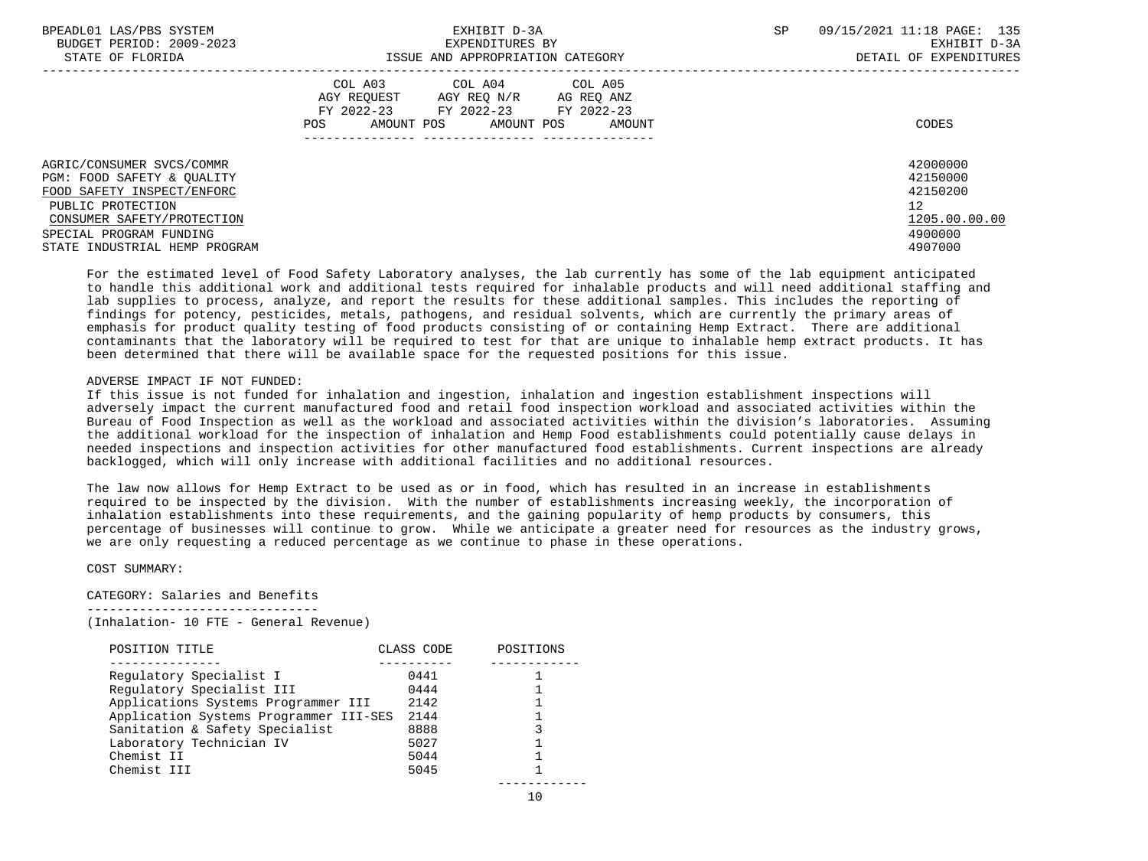| BPEADL01 LAS/PBS SYSTEM<br>BUDGET PERIOD: 2009-2023<br>STATE OF FLORIDA                                                                                                                              | EXHIBIT D-3A<br>EXPENDITURES BY<br>ISSUE AND APPROPRIATION CATEGORY                                                                            | 09/15/2021 11:18 PAGE: 135<br><b>SP</b><br>EXHIBIT D-3A<br>DETAIL OF EXPENDITURES            |
|------------------------------------------------------------------------------------------------------------------------------------------------------------------------------------------------------|------------------------------------------------------------------------------------------------------------------------------------------------|----------------------------------------------------------------------------------------------|
|                                                                                                                                                                                                      | COL A03 COL A04 COL A05<br>AGY REOUEST AGY REO N/R<br>AG REO ANZ<br>FY 2022-23 FY 2022-23 FY 2022-23<br>AMOUNT POS AMOUNT POS<br>POS<br>AMOUNT | CODES                                                                                        |
| AGRIC/CONSUMER SVCS/COMMR<br>PGM: FOOD SAFETY & OUALITY<br>FOOD SAFETY INSPECT/ENFORC<br>PUBLIC PROTECTION<br>CONSUMER SAFETY/PROTECTION<br>SPECIAL PROGRAM FUNDING<br>STATE INDUSTRIAL HEMP PROGRAM |                                                                                                                                                | 42000000<br>42150000<br>42150200<br>$12 \overline{ }$<br>1205.00.00.00<br>4900000<br>4907000 |

 For the estimated level of Food Safety Laboratory analyses, the lab currently has some of the lab equipment anticipated to handle this additional work and additional tests required for inhalable products and will need additional staffing and lab supplies to process, analyze, and report the results for these additional samples. This includes the reporting of findings for potency, pesticides, metals, pathogens, and residual solvents, which are currently the primary areas of emphasis for product quality testing of food products consisting of or containing Hemp Extract. There are additional contaminants that the laboratory will be required to test for that are unique to inhalable hemp extract products. It has been determined that there will be available space for the requested positions for this issue.

# ADVERSE IMPACT IF NOT FUNDED:

 If this issue is not funded for inhalation and ingestion, inhalation and ingestion establishment inspections will adversely impact the current manufactured food and retail food inspection workload and associated activities within the Bureau of Food Inspection as well as the workload and associated activities within the division's laboratories. Assuming the additional workload for the inspection of inhalation and Hemp Food establishments could potentially cause delays in needed inspections and inspection activities for other manufactured food establishments. Current inspections are already backlogged, which will only increase with additional facilities and no additional resources.

 The law now allows for Hemp Extract to be used as or in food, which has resulted in an increase in establishments required to be inspected by the division. With the number of establishments increasing weekly, the incorporation of inhalation establishments into these requirements, and the gaining popularity of hemp products by consumers, this percentage of businesses will continue to grow. While we anticipate a greater need for resources as the industry grows, we are only requesting a reduced percentage as we continue to phase in these operations.

COST SUMMARY:

# CATEGORY: Salaries and Benefits

-------------------------------

(Inhalation- 10 FTE - General Revenue)

| POSITION TITLE                         | CLASS CODE | POSITIONS |
|----------------------------------------|------------|-----------|
|                                        |            |           |
| Regulatory Specialist I                | 0441       |           |
| Regulatory Specialist III              | 0444       |           |
| Applications Systems Programmer III    | 2142       |           |
| Application Systems Programmer III-SES | 2144       |           |
| Sanitation & Safety Specialist         | 8888       |           |
| Laboratory Technician IV               | 5027       |           |
| Chemist II                             | 5044       |           |
| Chemist III                            | 5045       |           |
|                                        |            |           |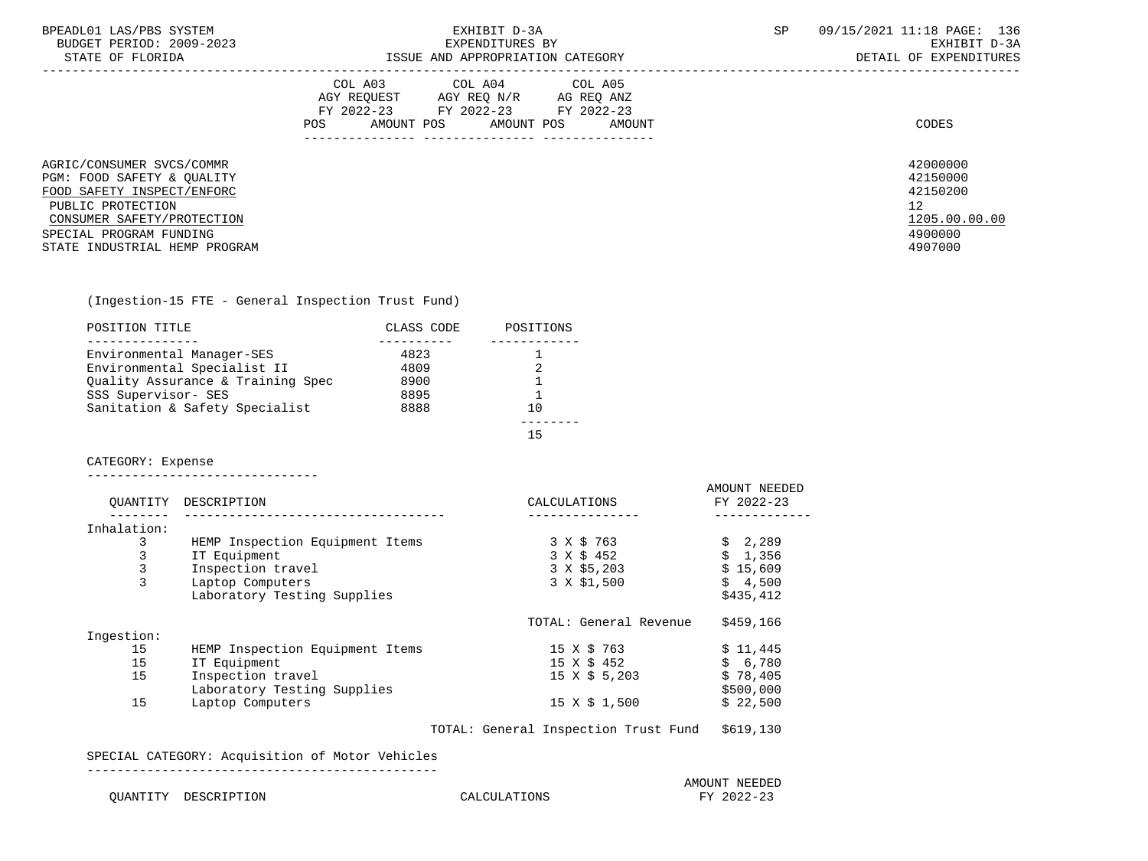| BPEADL01 LAS/PBS SYSTEM |                     |                          |
|-------------------------|---------------------|--------------------------|
|                         |                     | BUDGET PERIOD: 2009-2023 |
|                         | גתדכת זה הת היחידים |                          |

|                                                                                                                                                                     | COL A03<br>AGY REOUEST<br>FY 2022-23<br>AMOUNT POS<br>POS | COL A04<br>AGY REQ N/R<br>FY 2022-23<br>AMOUNT POS | COL A05<br>AG REQ ANZ<br>FY 2022-23<br>AMOUNT | CODES                                                              |
|---------------------------------------------------------------------------------------------------------------------------------------------------------------------|-----------------------------------------------------------|----------------------------------------------------|-----------------------------------------------|--------------------------------------------------------------------|
| AGRIC/CONSUMER SVCS/COMMR<br>PGM: FOOD SAFETY & QUALITY<br>FOOD SAFETY INSPECT/ENFORC<br>PUBLIC PROTECTION<br>CONSUMER SAFETY/PROTECTION<br>SPECIAL PROGRAM FUNDING |                                                           |                                                    |                                               | 42000000<br>42150000<br>42150200<br>12<br>1205.00.00.00<br>4900000 |
| STATE INDUSTRIAL HEMP PROGRAM                                                                                                                                       |                                                           |                                                    |                                               | 4907000                                                            |

# (Ingestion-15 FTE - General Inspection Trust Fund)

| POSITION TITLE                    | CLASS CODE | POSITIONS |
|-----------------------------------|------------|-----------|
|                                   |            |           |
| Environmental Manager-SES         | 4823       |           |
| Environmental Specialist II       | 4809       |           |
| Ouality Assurance & Training Spec | 8900       |           |
| SSS Supervisor- SES               | 8895       |           |
| Sanitation & Safety Specialist    | 8888       | 1 ೧       |
|                                   |            |           |

15 and 15 and 15 and 15 and 15 and 15 and 15 and 15 and 15 and 15 and 15 and 15 and 15 and 15 and 15 and 15 and 15 and 15 and 15 and 16 and 16 and 16 and 16 and 16 and 16 and 16 and 16 and 16 and 16 and 16 and 16 and 16 an

### CATEGORY: Expense

-------------------------------

| OUANTITY    | DESCRIPTION                     | CALCULATIONS           | AMOUNT NEEDED<br>FY 2022-23 |
|-------------|---------------------------------|------------------------|-----------------------------|
| Inhalation: |                                 |                        |                             |
| 3           | HEMP Inspection Equipment Items | 3 X \$ 763             | \$2,289                     |
| 3           | IT Equipment                    | 3 X \$ 452             | \$1,356                     |
| 3           | Inspection travel               | 3 X \$5,203            | \$15,609                    |
| 3           | Laptop Computers                | 3 X \$1,500            | \$4,500                     |
|             | Laboratory Testing Supplies     |                        | \$435,412                   |
|             |                                 | TOTAL: General Revenue | \$459,166                   |
| Ingestion:  |                                 |                        |                             |
| 15          | HEMP Inspection Equipment Items | 15 X \$ 763            | \$11,445                    |
| 15          | IT Equipment                    | 15 X \$ 452            | \$6.780                     |
| 15          | Inspection travel               | $15 \times S$ 5,203    | \$78,405                    |
|             | Laboratory Testing Supplies     |                        | \$500,000                   |
| 15          | Laptop Computers                | $15 \times$ \$ 1,500   | \$22,500                    |

TOTAL: General Inspection Trust Fund \$619,130

# SPECIAL CATEGORY: Acquisition of Motor Vehicles

-----------------------------------------------

OUANTITY DESCRIPTION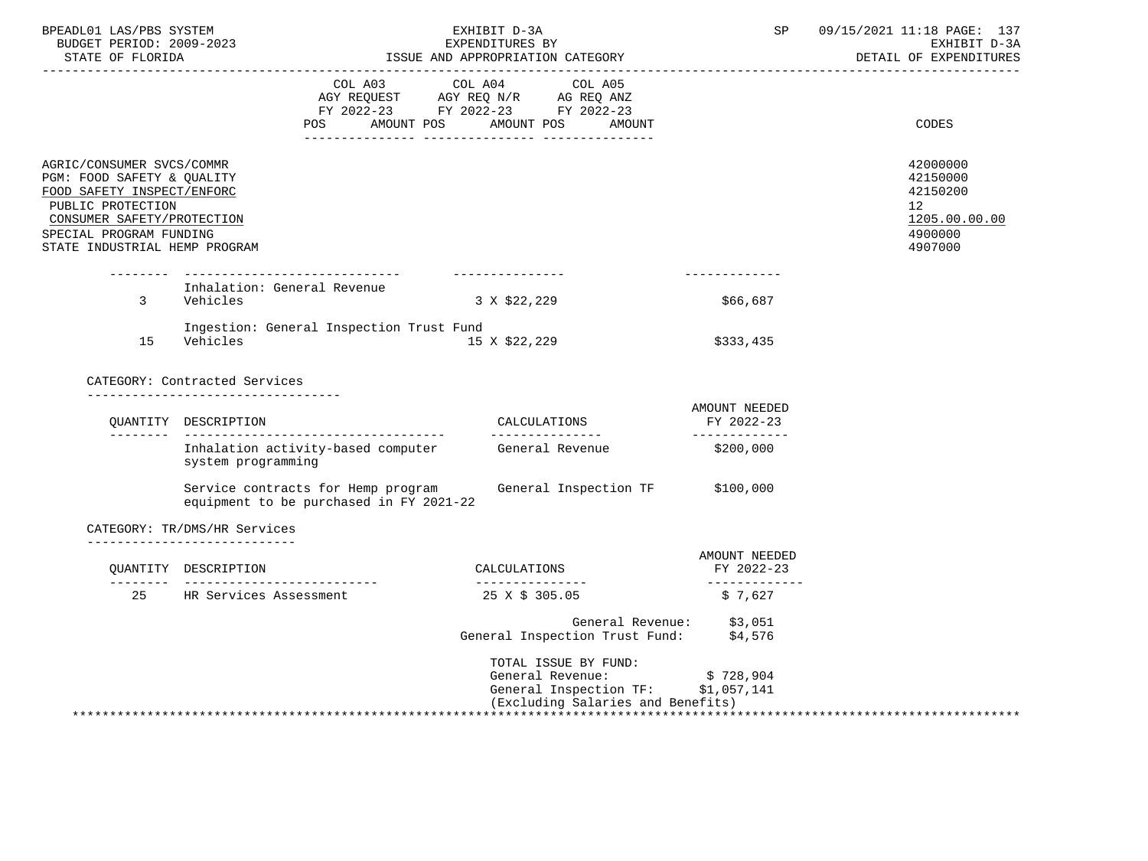| BPEADL01 LAS/PBS SYSTEM<br>BUDGET PERIOD: 2009-2023<br>STATE OF FLORIDA                                                                                                                              |                                                                               | EXHIBIT D-3A<br>EXPENDITURES BY<br>ISSUE AND APPROPRIATION CATEGORY                                                                                                                                                                  | SP                                             | 09/15/2021 11:18 PAGE: 137<br>EXHIBIT D-3A<br>DETAIL OF EXPENDITURES          |
|------------------------------------------------------------------------------------------------------------------------------------------------------------------------------------------------------|-------------------------------------------------------------------------------|--------------------------------------------------------------------------------------------------------------------------------------------------------------------------------------------------------------------------------------|------------------------------------------------|-------------------------------------------------------------------------------|
|                                                                                                                                                                                                      | <b>POS</b>                                                                    | COL A03 COL A04 COL A05<br>$\begin{tabular}{lllllll} AGY & \texttt{REQUEST} & \texttt{AGY REQ} & \texttt{N/R} & \texttt{AG REQ} & \texttt{ANZ} \end{tabular}$<br>FY 2022-23 FY 2022-23 FY 2022-23<br>AMOUNT POS AMOUNT POS<br>AMOUNT |                                                | <b>CODES</b>                                                                  |
| AGRIC/CONSUMER SVCS/COMMR<br>PGM: FOOD SAFETY & QUALITY<br>FOOD SAFETY INSPECT/ENFORC<br>PUBLIC PROTECTION<br>CONSUMER SAFETY/PROTECTION<br>SPECIAL PROGRAM FUNDING<br>STATE INDUSTRIAL HEMP PROGRAM |                                                                               |                                                                                                                                                                                                                                      |                                                | 42000000<br>42150000<br>42150200<br>12<br>1205.00.00.00<br>4900000<br>4907000 |
|                                                                                                                                                                                                      | ________________________________<br>Inhalation: General Revenue<br>3 Vehicles | 3 X \$22,229                                                                                                                                                                                                                         | \$66,687                                       |                                                                               |
| 15                                                                                                                                                                                                   | Ingestion: General Inspection Trust Fund<br>Vehicles                          | 15 X \$22,229                                                                                                                                                                                                                        | \$333,435                                      |                                                                               |
|                                                                                                                                                                                                      | CATEGORY: Contracted Services<br>--------------------------------             |                                                                                                                                                                                                                                      |                                                |                                                                               |
|                                                                                                                                                                                                      | OUANTITY DESCRIPTION                                                          | CALCULATIONS                                                                                                                                                                                                                         | AMOUNT NEEDED<br>FY 2022-23<br>_____________   |                                                                               |
|                                                                                                                                                                                                      | Inhalation activity-based computer General Revenue<br>system programming      |                                                                                                                                                                                                                                      | \$200,000                                      |                                                                               |
|                                                                                                                                                                                                      | Service contracts for Hemp program<br>equipment to be purchased in FY 2021-22 | General Inspection TF \$100,000                                                                                                                                                                                                      |                                                |                                                                               |
|                                                                                                                                                                                                      | CATEGORY: TR/DMS/HR Services<br>------------------------------                |                                                                                                                                                                                                                                      |                                                |                                                                               |
|                                                                                                                                                                                                      | OUANTITY DESCRIPTION                                                          | CALCULATIONS<br>________________                                                                                                                                                                                                     | AMOUNT NEEDED<br>FY 2022-23<br>_______________ |                                                                               |
|                                                                                                                                                                                                      | 25 HR Services Assessment                                                     | 25 X \$ 305.05                                                                                                                                                                                                                       | \$7,627                                        |                                                                               |
|                                                                                                                                                                                                      |                                                                               | General Revenue: \$3,051<br>General Inspection Trust Fund: \$4,576                                                                                                                                                                   |                                                |                                                                               |
|                                                                                                                                                                                                      |                                                                               | TOTAL ISSUE BY FUND:<br>General Revenue:<br>General Inspection TF: \$1,057,141<br>(Excluding Salaries and Benefits)                                                                                                                  | \$728,904                                      |                                                                               |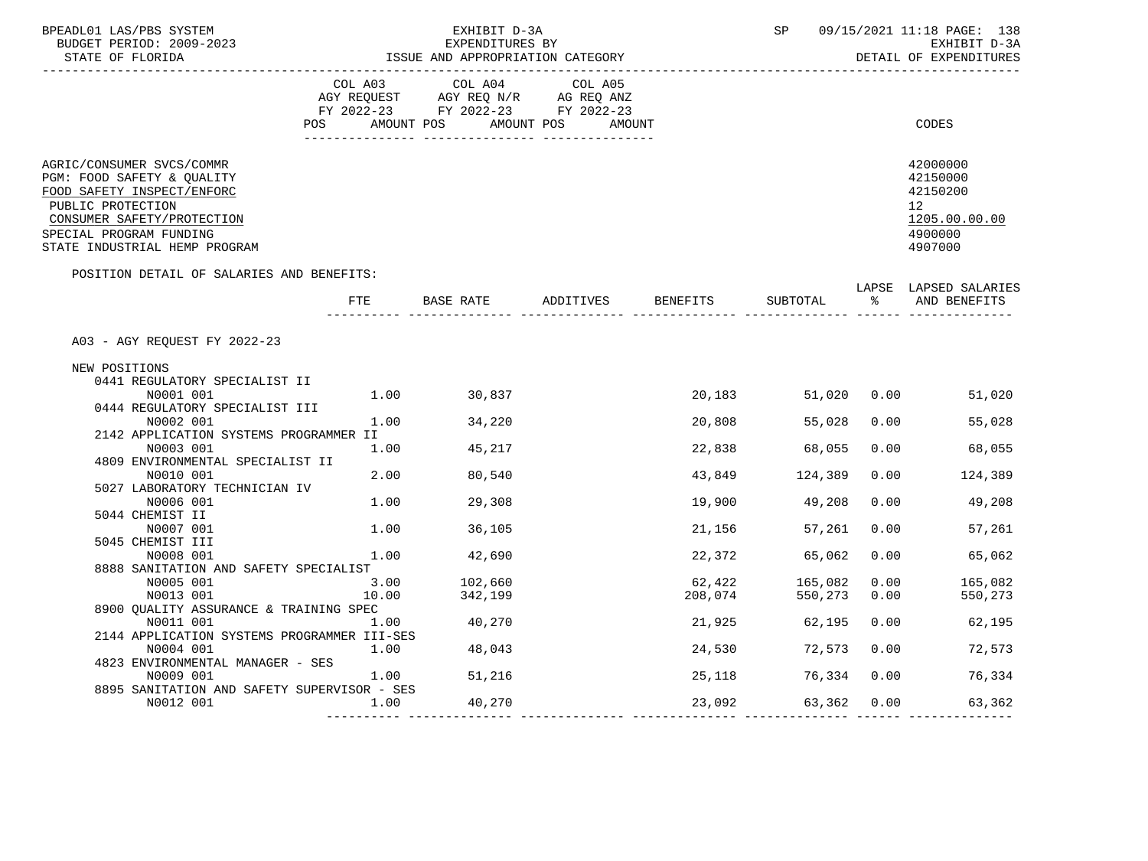| BPEADL01 LAS/PBS SYSTEM<br>BUDGET PERIOD: 2009-2023<br>STATE OF FLORIDA                                                                                                                              |       | EXHIBIT D-3A                                                                                                                   |                              |        |                                   |      | SP 09/15/2021 11:18 PAGE: 138<br>EXPENDITURES BY<br>EXERIBIT D-3A EXPENDITURES BY<br>DETAIL OF EXPENDITURES<br>DETAIL OF EXPENDITURES<br>EXHIBIT D-3A<br>DETAIL OF EXPENDITURES |
|------------------------------------------------------------------------------------------------------------------------------------------------------------------------------------------------------|-------|--------------------------------------------------------------------------------------------------------------------------------|------------------------------|--------|-----------------------------------|------|---------------------------------------------------------------------------------------------------------------------------------------------------------------------------------|
|                                                                                                                                                                                                      |       | COL A03 COL A04 COL A05<br>AGY REQUEST AGY REQ N/R AG REQ ANZ<br>FY 2022-23 FY 2022-23 FY 2022-23<br>POS AMOUNT POS AMOUNT POS | AMOUNT                       |        |                                   |      | CODES                                                                                                                                                                           |
| AGRIC/CONSUMER SVCS/COMMR<br>PGM: FOOD SAFETY & QUALITY<br>FOOD SAFETY INSPECT/ENFORC<br>PUBLIC PROTECTION<br>CONSUMER SAFETY/PROTECTION<br>SPECIAL PROGRAM FUNDING<br>STATE INDUSTRIAL HEMP PROGRAM |       |                                                                                                                                |                              |        |                                   |      | 42000000<br>42150000<br>42150200<br>12 <sub>2</sub><br>1205.00.00.00<br>4900000<br>4907000                                                                                      |
| POSITION DETAIL OF SALARIES AND BENEFITS:                                                                                                                                                            | FTE   |                                                                                                                                | BASE RATE ADDITIVES BENEFITS |        |                                   |      | LAPSE LAPSED SALARIES<br>SUBTOTAL % AND BENEFITS                                                                                                                                |
| A03 - AGY REQUEST FY 2022-23                                                                                                                                                                         |       |                                                                                                                                |                              |        |                                   |      |                                                                                                                                                                                 |
| NEW POSITIONS<br>0441 REGULATORY SPECIALIST II                                                                                                                                                       |       |                                                                                                                                |                              |        |                                   |      |                                                                                                                                                                                 |
| N0001 001                                                                                                                                                                                            |       | $1.00$ 30,837                                                                                                                  |                              |        |                                   |      | 20,183 51,020 0.00 51,020                                                                                                                                                       |
| 0444 REGULATORY SPECIALIST III                                                                                                                                                                       |       |                                                                                                                                |                              |        |                                   |      |                                                                                                                                                                                 |
| N0002 001<br>2142 APPLICATION SYSTEMS PROGRAMMER II                                                                                                                                                  |       | $1.00$ $34,220$                                                                                                                |                              | 20,808 | 55,028                            |      | 0.00<br>55,028                                                                                                                                                                  |
| N0003 001                                                                                                                                                                                            | 1.00  | 45, 217                                                                                                                        |                              |        | 22,838 68,055                     | 0.00 | 68,055                                                                                                                                                                          |
| 4809 ENVIRONMENTAL SPECIALIST II                                                                                                                                                                     |       |                                                                                                                                |                              |        |                                   |      |                                                                                                                                                                                 |
| N0010 001                                                                                                                                                                                            | 2.00  | 80,540                                                                                                                         |                              | 43,849 | 124,389                           | 0.00 | 124,389                                                                                                                                                                         |
| 5027 LABORATORY TECHNICIAN IV                                                                                                                                                                        | 1.00  | 29,308                                                                                                                         |                              | 19,900 | 49,208                            | 0.00 | 49,208                                                                                                                                                                          |
| N0006 001<br>5044 CHEMIST II                                                                                                                                                                         |       |                                                                                                                                |                              |        |                                   |      |                                                                                                                                                                                 |
| N0007 001                                                                                                                                                                                            | 1.00  | 36,105                                                                                                                         |                              | 21,156 | 57,261                            | 0.00 | 57,261                                                                                                                                                                          |
| 5045 CHEMIST III                                                                                                                                                                                     |       |                                                                                                                                |                              |        |                                   |      |                                                                                                                                                                                 |
| N0008 001                                                                                                                                                                                            |       | 1.00 42,690                                                                                                                    |                              |        | 22,372 65,062                     | 0.00 | 65,062                                                                                                                                                                          |
| 8888 SANITATION AND SAFETY SPECIALIST<br>3.00<br>N0005 001                                                                                                                                           |       | 102,660                                                                                                                        |                              |        |                                   | 0.00 | 165,082                                                                                                                                                                         |
| N0013 001                                                                                                                                                                                            | 10.00 | 342,199                                                                                                                        |                              |        | 62,422 165,082<br>208,074 550,273 | 0.00 | 550,273                                                                                                                                                                         |
| 8900 QUALITY ASSURANCE & TRAINING SPEC                                                                                                                                                               |       |                                                                                                                                |                              |        |                                   |      |                                                                                                                                                                                 |
| 1.00<br>N0011 001                                                                                                                                                                                    |       | 40,270                                                                                                                         |                              |        | 21,925 62,195                     | 0.00 | 62,195                                                                                                                                                                          |
| 2144 APPLICATION SYSTEMS PROGRAMMER III-SES                                                                                                                                                          |       |                                                                                                                                |                              |        |                                   |      |                                                                                                                                                                                 |
| N0004 001                                                                                                                                                                                            | 1.00  | 48,043                                                                                                                         |                              | 24,530 | 72,573                            | 0.00 | 72,573                                                                                                                                                                          |
| 4823 ENVIRONMENTAL MANAGER - SES<br>N0009 001                                                                                                                                                        |       | $1.00$ $51,216$                                                                                                                |                              | 25,118 | 76,334                            | 0.00 | 76,334                                                                                                                                                                          |
| 8895 SANITATION AND SAFETY SUPERVISOR - SES                                                                                                                                                          |       |                                                                                                                                |                              |        |                                   |      |                                                                                                                                                                                 |
| N0012 001                                                                                                                                                                                            | 1.00  | 40,270                                                                                                                         |                              |        | 23,092 63,362 0.00                |      | 63,362                                                                                                                                                                          |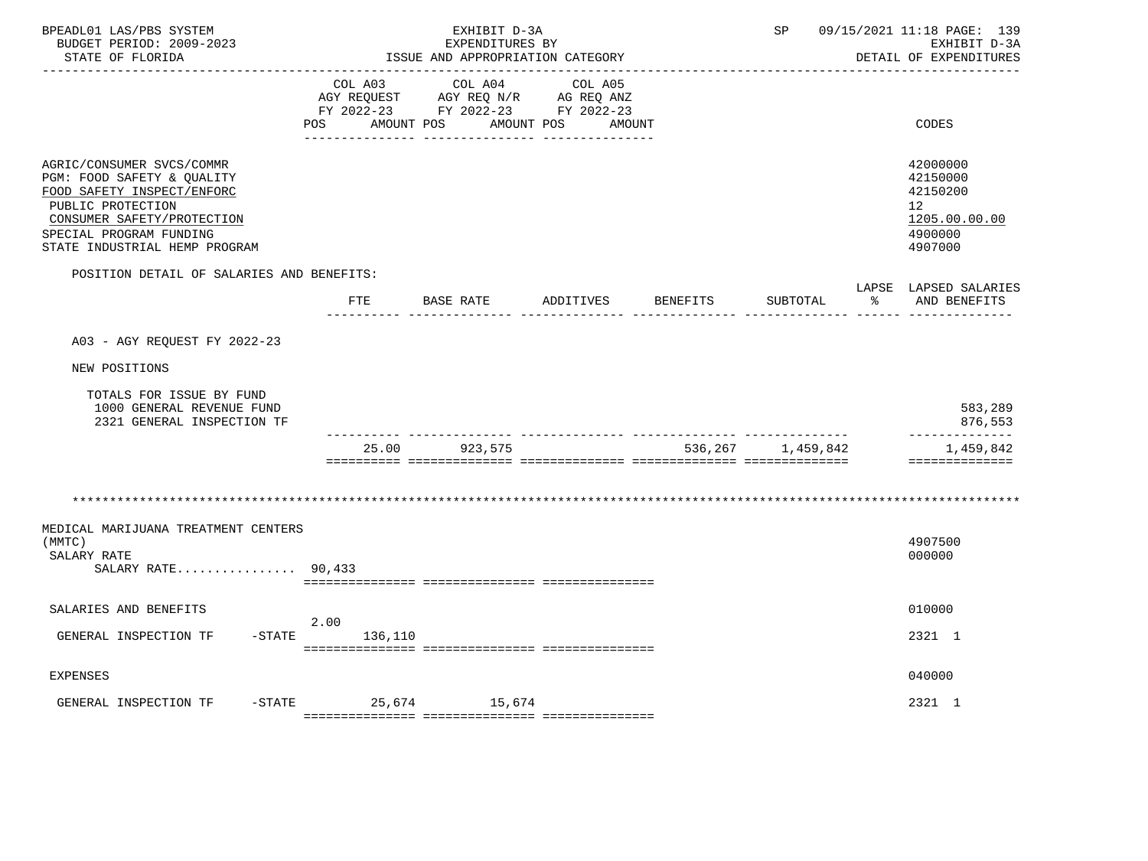| BPEADL01 LAS/PBS SYSTEM<br>BUDGET PERIOD: 2009-2023<br>STATE OF FLORIDA                                                                                                                              |                        | EXHIBIT D-3A<br>EXPENDITURES BY<br>ISSUE AND APPROPRIATION CATEGORY                                        |                   |          | SP                | 09/15/2021 11:18 PAGE: 139<br>EXHIBIT D-3A<br>DETAIL OF EXPENDITURES                       |
|------------------------------------------------------------------------------------------------------------------------------------------------------------------------------------------------------|------------------------|------------------------------------------------------------------------------------------------------------|-------------------|----------|-------------------|--------------------------------------------------------------------------------------------|
|                                                                                                                                                                                                      | COL A03<br>POS         | COL A04<br>AGY REQUEST AGY REQ N/R AG REQ ANZ<br>FY 2022-23 FY 2022-23 FY 2022-23<br>AMOUNT POS AMOUNT POS | COL A05<br>AMOUNT |          |                   | <b>CODES</b>                                                                               |
| AGRIC/CONSUMER SVCS/COMMR<br>PGM: FOOD SAFETY & QUALITY<br>FOOD SAFETY INSPECT/ENFORC<br>PUBLIC PROTECTION<br>CONSUMER SAFETY/PROTECTION<br>SPECIAL PROGRAM FUNDING<br>STATE INDUSTRIAL HEMP PROGRAM |                        |                                                                                                            |                   |          |                   | 42000000<br>42150000<br>42150200<br>12 <sup>°</sup><br>1205.00.00.00<br>4900000<br>4907000 |
| POSITION DETAIL OF SALARIES AND BENEFITS:                                                                                                                                                            | FTE                    | BASE RATE                                                                                                  | ADDITIVES         | BENEFITS | SUBTOTAL          | LAPSE LAPSED SALARIES<br>AND BENEFITS                                                      |
| A03 - AGY REQUEST FY 2022-23                                                                                                                                                                         |                        |                                                                                                            |                   |          |                   |                                                                                            |
| NEW POSITIONS                                                                                                                                                                                        |                        |                                                                                                            |                   |          |                   |                                                                                            |
| TOTALS FOR ISSUE BY FUND<br>1000 GENERAL REVENUE FUND<br>2321 GENERAL INSPECTION TF                                                                                                                  |                        |                                                                                                            |                   |          |                   | 583,289<br>876,553                                                                         |
|                                                                                                                                                                                                      |                        | 25.00 923,575                                                                                              |                   |          | 536,267 1,459,842 | --------------<br>1,459,842<br>==============                                              |
| MEDICAL MARIJUANA TREATMENT CENTERS<br>(MMTC)<br>SALARY RATE<br>SALARY RATE 90,433                                                                                                                   |                        |                                                                                                            |                   |          |                   | 4907500<br>000000                                                                          |
| SALARIES AND BENEFITS                                                                                                                                                                                |                        |                                                                                                            |                   |          |                   | 010000                                                                                     |
| GENERAL INSPECTION TF                                                                                                                                                                                | 2.00<br>-STATE 136,110 |                                                                                                            |                   |          |                   | 2321 1                                                                                     |
| <b>EXPENSES</b>                                                                                                                                                                                      |                        |                                                                                                            |                   |          |                   | 040000                                                                                     |
| GENERAL INSPECTION TF -STATE 25,674 15,674                                                                                                                                                           |                        |                                                                                                            |                   |          |                   | 2321 1                                                                                     |

 ${\tt 2} = {\tt 2} = {\tt 2} = {\tt 2} = {\tt 2} = {\tt 2} = {\tt 2} = {\tt 2} = {\tt 2} = {\tt 2} = {\tt 2} = {\tt 2} = {\tt 2} = {\tt 2} = {\tt 2} = {\tt 2} = {\tt 2} = {\tt 2} = {\tt 2} = {\tt 2} = {\tt 2} = {\tt 2} = {\tt 2} = {\tt 2} = {\tt 2} = {\tt 2} = {\tt 2} = {\tt 2} = {\tt 2} = {\tt 2} = {\tt 2} = {\tt 2} = {\tt 2} = {\tt 2} = {\tt 2} = {\tt 2} = {\tt 2$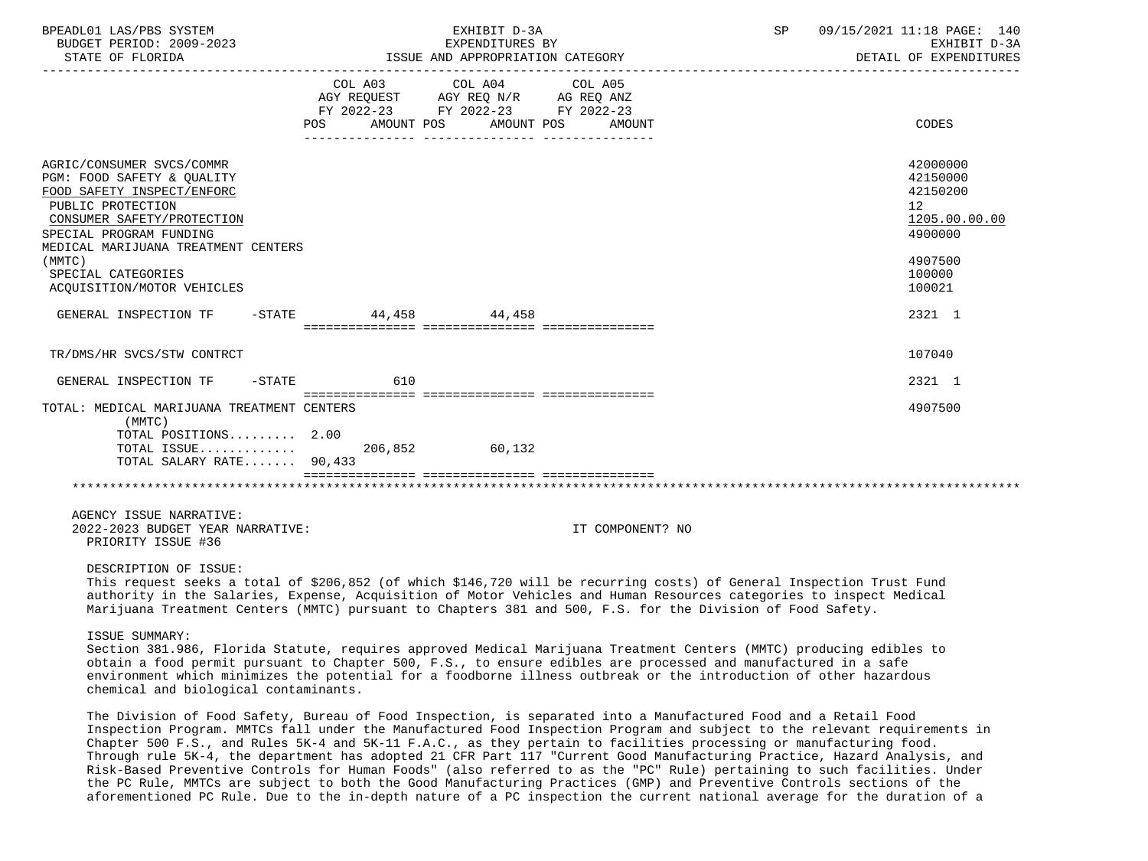| BPEADL01 LAS/PBS SYSTEM<br>BUDGET PERIOD: 2009-2023<br>STATE OF FLORIDA                                                                                                                                                                                                                                                                                                                                                                                                                                                                                                                                                                        |                     | EXHIBIT D-3A<br>EXPENDITURES BY                                                                                       | ISSUE AND APPROPRIATION CATEGORY | SP | 09/15/2021 11:18 PAGE: 140<br>EXHIBIT D-3A<br>DETAIL OF EXPENDITURES                              |
|------------------------------------------------------------------------------------------------------------------------------------------------------------------------------------------------------------------------------------------------------------------------------------------------------------------------------------------------------------------------------------------------------------------------------------------------------------------------------------------------------------------------------------------------------------------------------------------------------------------------------------------------|---------------------|-----------------------------------------------------------------------------------------------------------------------|----------------------------------|----|---------------------------------------------------------------------------------------------------|
|                                                                                                                                                                                                                                                                                                                                                                                                                                                                                                                                                                                                                                                | COL A03<br>POS      | COL A04 COL A05<br>AGY REQUEST AGY REQ N/R AG REQ ANZ<br>FY 2022-23 FY 2022-23 FY 2022-23<br>AMOUNT POS<br>AMOUNT POS | AMOUNT                           |    | CODES                                                                                             |
| AGRIC/CONSUMER SVCS/COMMR<br>PGM: FOOD SAFETY & QUALITY<br>FOOD SAFETY INSPECT/ENFORC<br>PUBLIC PROTECTION<br>CONSUMER SAFETY/PROTECTION<br>SPECIAL PROGRAM FUNDING<br>MEDICAL MARIJUANA TREATMENT CENTERS<br>(MMTC)<br>SPECIAL CATEGORIES<br>ACQUISITION/MOTOR VEHICLES                                                                                                                                                                                                                                                                                                                                                                       |                     |                                                                                                                       |                                  |    | 42000000<br>42150000<br>42150200<br>12<br>1205.00.00.00<br>4900000<br>4907500<br>100000<br>100021 |
| GENERAL INSPECTION TF                                                                                                                                                                                                                                                                                                                                                                                                                                                                                                                                                                                                                          | $-$ STATE<br>44,458 | 44,458                                                                                                                |                                  |    | 2321 1                                                                                            |
| TR/DMS/HR SVCS/STW CONTRCT                                                                                                                                                                                                                                                                                                                                                                                                                                                                                                                                                                                                                     |                     |                                                                                                                       |                                  |    | 107040                                                                                            |
| GENERAL INSPECTION TF<br>$-$ STATE                                                                                                                                                                                                                                                                                                                                                                                                                                                                                                                                                                                                             | 610                 |                                                                                                                       |                                  |    | 2321 1                                                                                            |
| TOTAL: MEDICAL MARIJUANA TREATMENT CENTERS<br>(MMTC)<br>TOTAL POSITIONS 2.00<br>TOTAL ISSUE<br>TOTAL SALARY RATE 90,433                                                                                                                                                                                                                                                                                                                                                                                                                                                                                                                        |                     | 206,852 60,132                                                                                                        |                                  |    | 4907500                                                                                           |
|                                                                                                                                                                                                                                                                                                                                                                                                                                                                                                                                                                                                                                                |                     |                                                                                                                       |                                  |    |                                                                                                   |
| AGENCY ISSUE NARRATIVE:<br>2022-2023 BUDGET YEAR NARRATIVE:<br>PRIORITY ISSUE #36                                                                                                                                                                                                                                                                                                                                                                                                                                                                                                                                                              |                     |                                                                                                                       | IT COMPONENT? NO                 |    |                                                                                                   |
| DESCRIPTION OF ISSUE:<br>This request seeks a total of \$206,852 (of which \$146,720 will be recurring costs) of General Inspection Trust Fund<br>authority in the Salaries, Expense, Acquisition of Motor Vehicles and Human Resources categories to inspect Medical<br>Marijuana Treatment Centers (MMTC) pursuant to Chapters 381 and 500, F.S. for the Division of Food Safety.<br>ISSUE SUMMARY:<br>Section 381.986, Florida Statute, requires approved Medical Marijuana Treatment Centers (MMTC) producing edibles to<br>obtain a food permit pursuant to Chapter 500, F.S., to ensure edibles are processed and manufactured in a safe |                     |                                                                                                                       |                                  |    |                                                                                                   |
| environment which minimizes the potential for a foodborne illness outbreak or the introduction of other hazardous<br>chemical and biological contaminants.                                                                                                                                                                                                                                                                                                                                                                                                                                                                                     |                     |                                                                                                                       |                                  |    |                                                                                                   |
| The Division of Food Safety, Bureau of Food Inspection, is separated into a Manufactured Food and a Retail Food<br>Inspection Program. MMTCs fall under the Manufactured Food Inspection Program and subject to the relevant requirements in<br>Chapter 500 F.S., and Rules 5K-4 and 5K-11 F.A.C., as they pertain to facilities processing or manufacturing food.                                                                                                                                                                                                                                                                             |                     |                                                                                                                       |                                  |    |                                                                                                   |

 Chapter 500 F.S., and Rules 5K-4 and 5K-11 F.A.C., as they pertain to facilities processing or manufacturing food. Through rule 5K-4, the department has adopted 21 CFR Part 117 "Current Good Manufacturing Practice, Hazard Analysis, and Risk-Based Preventive Controls for Human Foods" (also referred to as the "PC" Rule) pertaining to such facilities. Under the PC Rule, MMTCs are subject to both the Good Manufacturing Practices (GMP) and Preventive Controls sections of the aforementioned PC Rule. Due to the in-depth nature of a PC inspection the current national average for the duration of a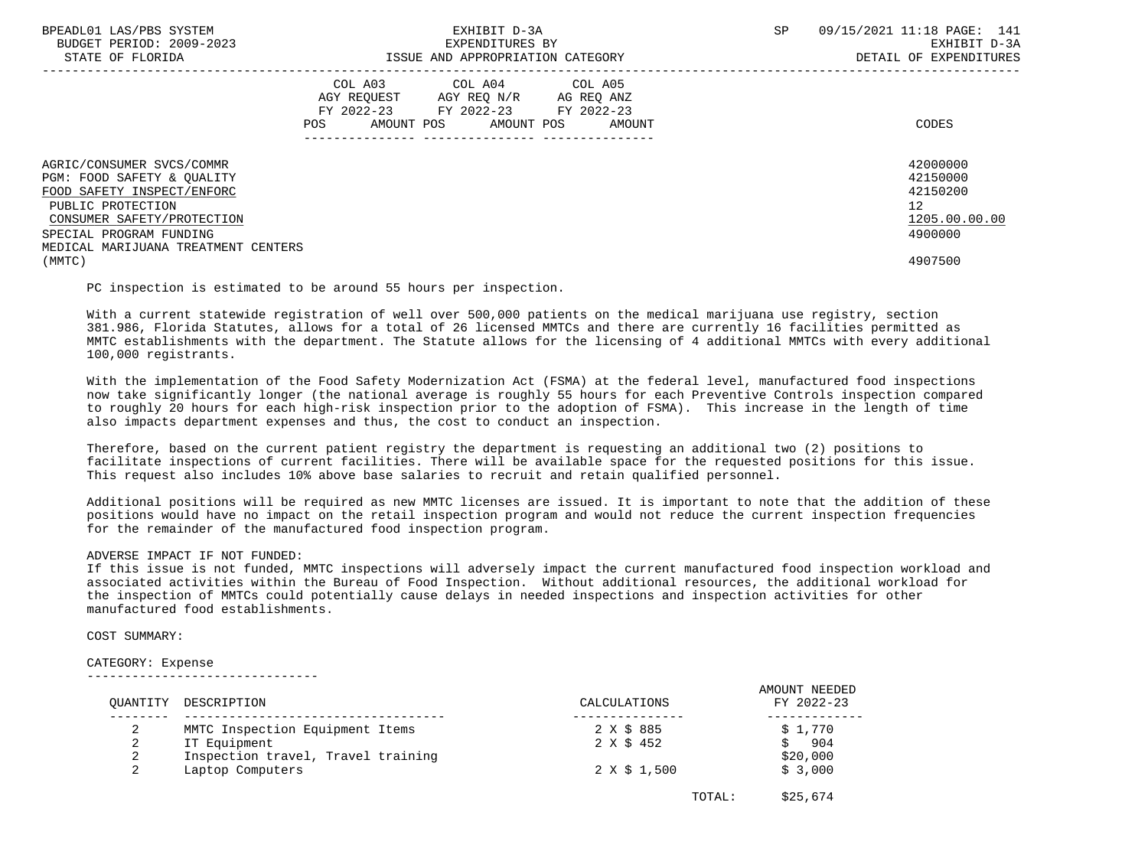| BPEADL01 LAS/PBS SYSTEM<br>BUDGET PERIOD: 2009-2023<br>STATE OF FLORIDA | EXHIBIT D-3A<br>EXPENDITURES BY<br>ISSUE AND APPROPRIATION CATEGORY                                                                      | SP. | 09/15/2021 11:18 PAGE: 141<br>EXHIBIT D-3A<br>DETAIL OF EXPENDITURES |  |
|-------------------------------------------------------------------------|------------------------------------------------------------------------------------------------------------------------------------------|-----|----------------------------------------------------------------------|--|
|                                                                         | COL A03<br>COL A04 COL A05<br>AGY REOUEST AGY REO N/R AG REO ANZ<br>FY 2022-23 FY 2022-23 FY 2022-23<br>POS AMOUNT POS AMOUNT POS AMOUNT |     | CODES                                                                |  |
| AGRIC/CONSUMER SVCS/COMMR                                               |                                                                                                                                          |     | 42000000                                                             |  |
| PGM: FOOD SAFETY & OUALITY<br>FOOD SAFETY INSPECT/ENFORC                |                                                                                                                                          |     | 42150000<br>42150200                                                 |  |
| PUBLIC PROTECTION                                                       |                                                                                                                                          |     | 12 <sup>°</sup>                                                      |  |
| CONSUMER SAFETY/PROTECTION                                              |                                                                                                                                          |     | 1205.00.00.00                                                        |  |
| SPECIAL PROGRAM FUNDING                                                 |                                                                                                                                          |     | 4900000                                                              |  |
| MEDICAL MARIJUANA TREATMENT CENTERS                                     |                                                                                                                                          |     |                                                                      |  |
| (MMTC)                                                                  |                                                                                                                                          |     | 4907500                                                              |  |

PC inspection is estimated to be around 55 hours per inspection.

 With a current statewide registration of well over 500,000 patients on the medical marijuana use registry, section 381.986, Florida Statutes, allows for a total of 26 licensed MMTCs and there are currently 16 facilities permitted as MMTC establishments with the department. The Statute allows for the licensing of 4 additional MMTCs with every additional 100,000 registrants.

 With the implementation of the Food Safety Modernization Act (FSMA) at the federal level, manufactured food inspections now take significantly longer (the national average is roughly 55 hours for each Preventive Controls inspection compared to roughly 20 hours for each high-risk inspection prior to the adoption of FSMA). This increase in the length of time also impacts department expenses and thus, the cost to conduct an inspection.

 Therefore, based on the current patient registry the department is requesting an additional two (2) positions to facilitate inspections of current facilities. There will be available space for the requested positions for this issue. This request also includes 10% above base salaries to recruit and retain qualified personnel.

 Additional positions will be required as new MMTC licenses are issued. It is important to note that the addition of these positions would have no impact on the retail inspection program and would not reduce the current inspection frequencies for the remainder of the manufactured food inspection program.

# ADVERSE IMPACT IF NOT FUNDED:

 If this issue is not funded, MMTC inspections will adversely impact the current manufactured food inspection workload and associated activities within the Bureau of Food Inspection. Without additional resources, the additional workload for the inspection of MMTCs could potentially cause delays in needed inspections and inspection activities for other manufactured food establishments.

# COST SUMMARY:

### CATEGORY: Expense

-------------------------------

| OUANTITY | DESCRIPTION                        | CALCULATIONS | AMOUNT NEEDED<br>FY 2022-23 |
|----------|------------------------------------|--------------|-----------------------------|
|          |                                    |              |                             |
|          | MMTC Inspection Equipment Items    | 2 X \$ 885   | \$1,770                     |
| 2        | IT Equipment                       | 2 X \$ 452   | 904                         |
| 2        | Inspection travel, Travel training |              | \$20,000                    |
|          | Laptop Computers                   | 2 X \$1,500  | \$3,000                     |

 $\overline{0.25}$ ,  $\overline{0.74}$   $\overline{0.74}$   $\overline{0.25}$ ,  $\overline{0.74}$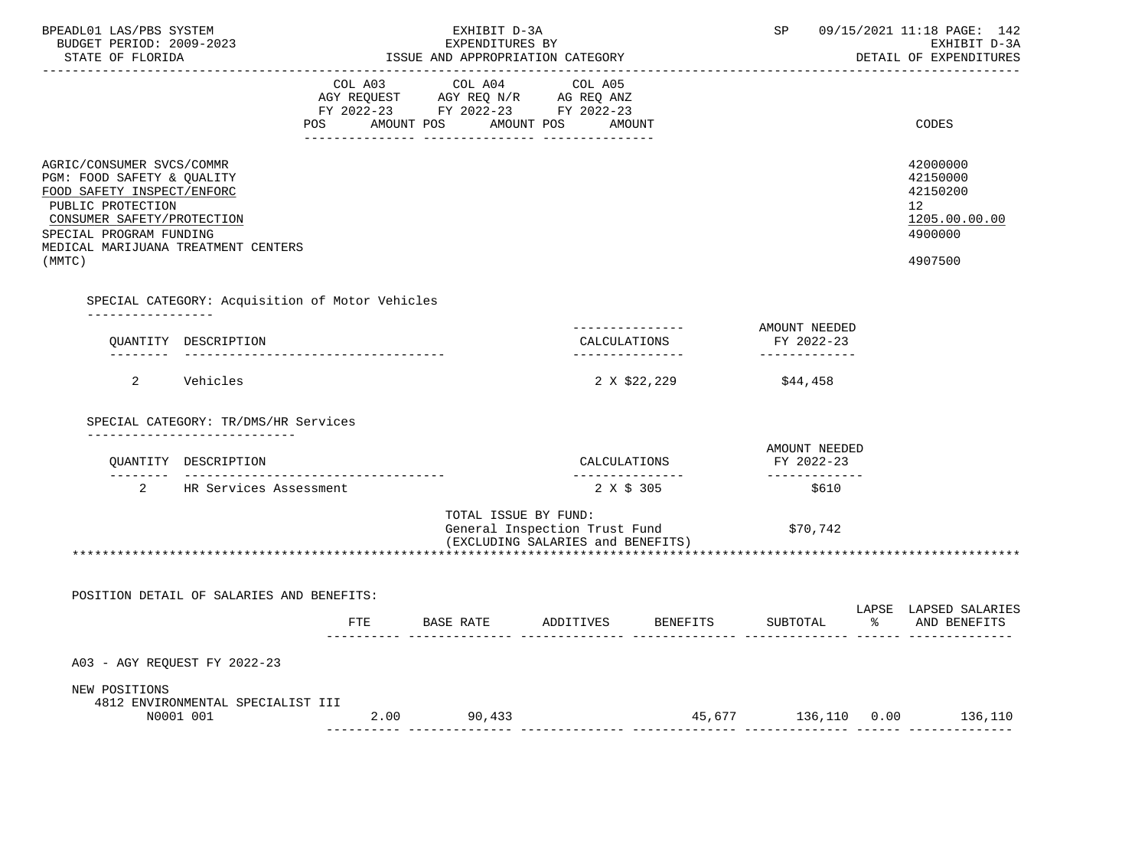| DETAIL OF EXPENDITURES                                                                     |
|--------------------------------------------------------------------------------------------|
|                                                                                            |
| CODES                                                                                      |
| 42000000<br>42150000<br>42150200<br>12 <sup>°</sup><br>1205.00.00.00<br>4900000<br>4907500 |
|                                                                                            |
|                                                                                            |
|                                                                                            |
|                                                                                            |
|                                                                                            |
|                                                                                            |
|                                                                                            |
|                                                                                            |
|                                                                                            |
| LAPSE LAPSED SALARIES<br>% AND BENEFITS                                                    |
|                                                                                            |
|                                                                                            |
| 45,677 136,110 0.00 136,110                                                                |
|                                                                                            |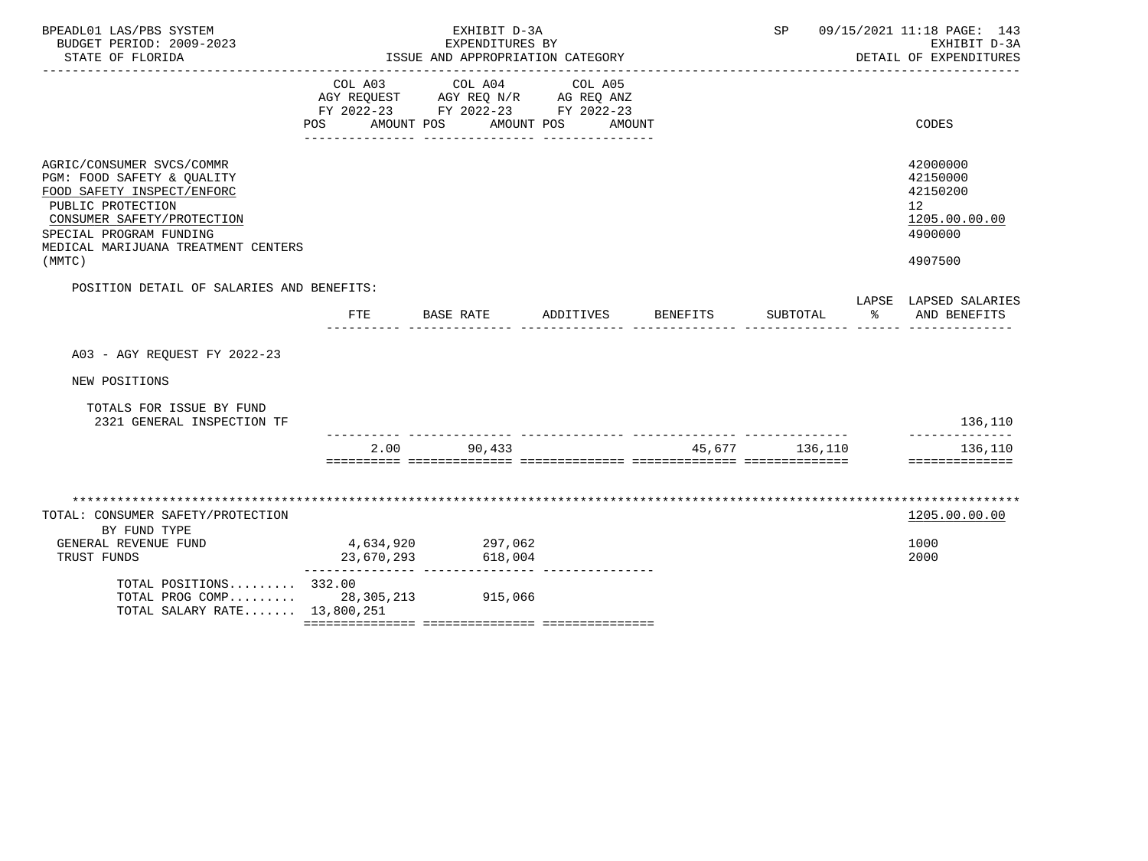| BPEADL01 LAS/PBS SYSTEM<br>BUDGET PERIOD: 2009-2023<br>STATE OF FLORIDA                                                                                                                                              |                       | EXHIBIT D-3A<br>EXPENDITURES BY<br>ISSUE AND APPROPRIATION CATEGORY                                     |                      |                    | SP       | 09/15/2021 11:18 PAGE: 143<br>EXHIBIT D-3A<br>DETAIL OF EXPENDITURES          |
|----------------------------------------------------------------------------------------------------------------------------------------------------------------------------------------------------------------------|-----------------------|---------------------------------------------------------------------------------------------------------|----------------------|--------------------|----------|-------------------------------------------------------------------------------|
|                                                                                                                                                                                                                      | COL A03<br><b>POS</b> | COL A04 COL A05<br>AGY REQUEST AGY REQ N/R AG REQ ANZ<br>FY 2022-23 FY 2022-23 FY 2022-23<br>AMOUNT POS | AMOUNT POS<br>AMOUNT |                    |          | CODES                                                                         |
| AGRIC/CONSUMER SVCS/COMMR<br>PGM: FOOD SAFETY & QUALITY<br>FOOD SAFETY INSPECT/ENFORC<br>PUBLIC PROTECTION<br>CONSUMER SAFETY/PROTECTION<br>SPECIAL PROGRAM FUNDING<br>MEDICAL MARIJUANA TREATMENT CENTERS<br>(MMTC) |                       |                                                                                                         |                      |                    |          | 42000000<br>42150000<br>42150200<br>12<br>1205.00.00.00<br>4900000<br>4907500 |
| POSITION DETAIL OF SALARIES AND BENEFITS:                                                                                                                                                                            |                       |                                                                                                         |                      |                    |          | LAPSE LAPSED SALARIES                                                         |
|                                                                                                                                                                                                                      | FTE                   | BASE RATE                                                                                               |                      | ADDITIVES BENEFITS | SUBTOTAL | % AND BENEFITS                                                                |
| A03 - AGY REQUEST FY 2022-23                                                                                                                                                                                         |                       |                                                                                                         |                      |                    |          |                                                                               |
| NEW POSITIONS                                                                                                                                                                                                        |                       |                                                                                                         |                      |                    |          |                                                                               |
| TOTALS FOR ISSUE BY FUND<br>2321 GENERAL INSPECTION TF                                                                                                                                                               |                       |                                                                                                         |                      |                    |          | 136,110<br>--------------                                                     |
|                                                                                                                                                                                                                      |                       | 2.00 90,433                                                                                             |                      | 45,677 136,110     |          | 136,110<br>==============                                                     |
|                                                                                                                                                                                                                      |                       |                                                                                                         |                      |                    |          |                                                                               |
| TOTAL: CONSUMER SAFETY/PROTECTION<br>BY FUND TYPE                                                                                                                                                                    |                       |                                                                                                         |                      |                    |          | 1205.00.00.00                                                                 |
| GENERAL REVENUE FUND<br>TRUST FUNDS                                                                                                                                                                                  | 23,670,293            | 4,634,920 297,062<br>618,004                                                                            |                      |                    |          | 1000<br>2000                                                                  |
| TOTAL POSITIONS $332.00$<br>TOTAL PROG COMP 28,305,213 915,066<br>TOTAL SALARY RATE 13,800,251                                                                                                                       |                       |                                                                                                         |                      |                    |          |                                                                               |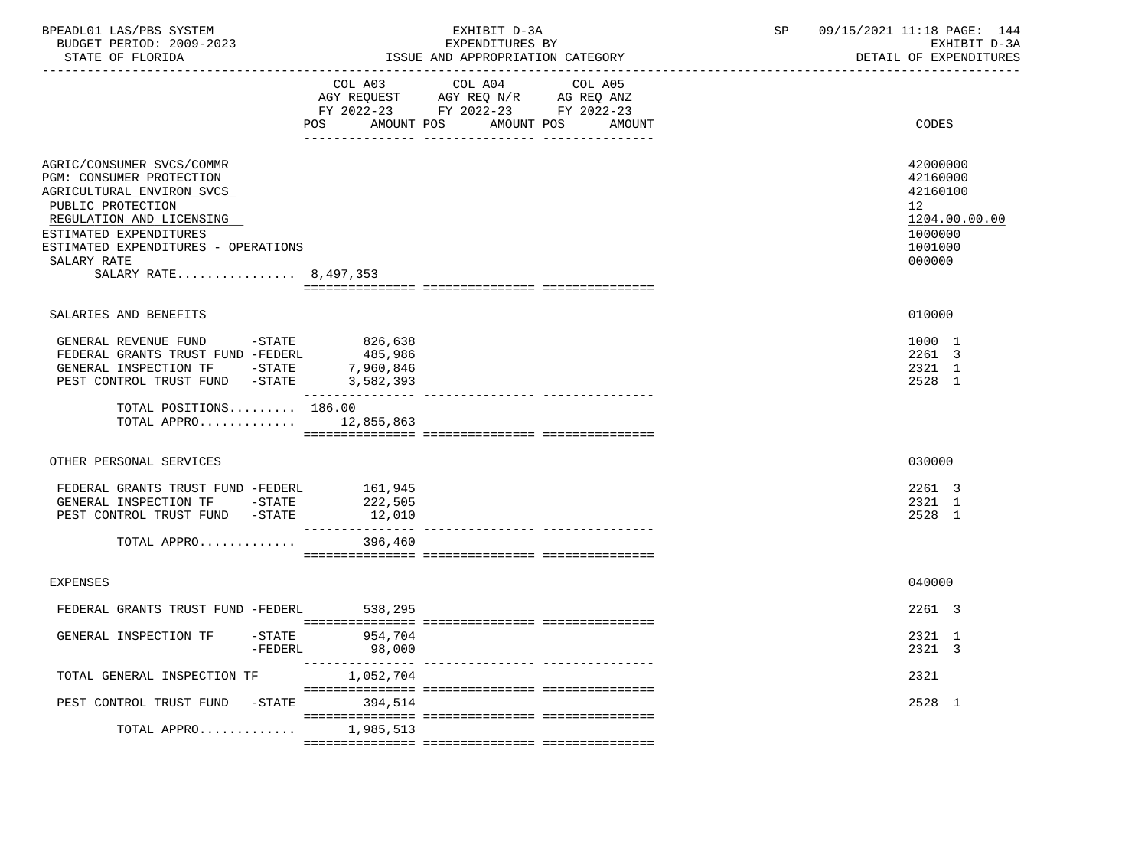| BPEADL01 LAS/PBS SYSTEM<br>BUDGET PERIOD: 2009-2023<br>STATE OF FLORIDA                                                                                                                                                                             |                                                            | EXHIBIT D-3A<br>EXPENDITURES BY<br>ISSUE AND APPROPRIATION CATEGORY<br>____________________________________                     | SP | 09/15/2021 11:18 PAGE: 144<br>EXHIBIT D-3A<br>DETAIL OF EXPENDITURES                    |
|-----------------------------------------------------------------------------------------------------------------------------------------------------------------------------------------------------------------------------------------------------|------------------------------------------------------------|---------------------------------------------------------------------------------------------------------------------------------|----|-----------------------------------------------------------------------------------------|
|                                                                                                                                                                                                                                                     | COL A03<br><b>POS</b>                                      | COL A04<br>COL A05<br>AGY REQUEST AGY REQ N/R AG REQ ANZ<br>FY 2022-23 FY 2022-23 FY 2022-23<br>AMOUNT POS AMOUNT POS<br>AMOUNT |    | <b>CODES</b>                                                                            |
| AGRIC/CONSUMER SVCS/COMMR<br><b>PGM: CONSUMER PROTECTION</b><br>AGRICULTURAL ENVIRON SVCS<br>PUBLIC PROTECTION<br>REGULATION AND LICENSING<br>ESTIMATED EXPENDITURES<br>ESTIMATED EXPENDITURES - OPERATIONS<br>SALARY RATE<br>SALARY RATE 8,497,353 |                                                            |                                                                                                                                 |    | 42000000<br>42160000<br>42160100<br>12<br>1204.00.00.00<br>1000000<br>1001000<br>000000 |
| SALARIES AND BENEFITS                                                                                                                                                                                                                               |                                                            |                                                                                                                                 |    | 010000                                                                                  |
| GENERAL REVENUE FUND -STATE 826,638<br>FEDERAL GRANTS TRUST FUND -FEDERL<br>GENERAL INSPECTION TF -STATE<br>PEST CONTROL TRUST FUND -STATE 3,582,393                                                                                                | 485,986<br>7,960,846                                       |                                                                                                                                 |    | 1000 1<br>2261 3<br>2321 1<br>2528 1                                                    |
| TOTAL POSITIONS 186.00                                                                                                                                                                                                                              | TOTAL APPRO $12,855,863$                                   |                                                                                                                                 |    |                                                                                         |
| OTHER PERSONAL SERVICES                                                                                                                                                                                                                             |                                                            |                                                                                                                                 |    | 030000                                                                                  |
| FEDERAL GRANTS TRUST FUND -FEDERL<br>GENERAL INSPECTION TF -STATE<br>PEST CONTROL TRUST FUND -STATE<br>TOTAL APPRO                                                                                                                                  | 161,945<br>222,505<br>12,010<br>_______________<br>396,460 |                                                                                                                                 |    | 2261 3<br>2321 1<br>2528 1                                                              |
|                                                                                                                                                                                                                                                     |                                                            |                                                                                                                                 |    |                                                                                         |
| EXPENSES                                                                                                                                                                                                                                            |                                                            |                                                                                                                                 |    | 040000                                                                                  |
| FEDERAL GRANTS TRUST FUND -FEDERL                                                                                                                                                                                                                   | 538,295                                                    |                                                                                                                                 |    | 2261 3                                                                                  |
| GENERAL INSPECTION TF -STATE                                                                                                                                                                                                                        | 954,704<br>-FEDERL<br>98,000                               |                                                                                                                                 |    | 2321 1<br>2321 3                                                                        |
| TOTAL GENERAL INSPECTION TF                                                                                                                                                                                                                         | 1,052,704                                                  |                                                                                                                                 |    | 2321                                                                                    |
| PEST CONTROL TRUST FUND                                                                                                                                                                                                                             | 394,514<br>$-$ STATE                                       |                                                                                                                                 |    | 2528 1                                                                                  |
| TOTAL APPRO                                                                                                                                                                                                                                         | 1,985,513                                                  |                                                                                                                                 |    |                                                                                         |
|                                                                                                                                                                                                                                                     |                                                            |                                                                                                                                 |    |                                                                                         |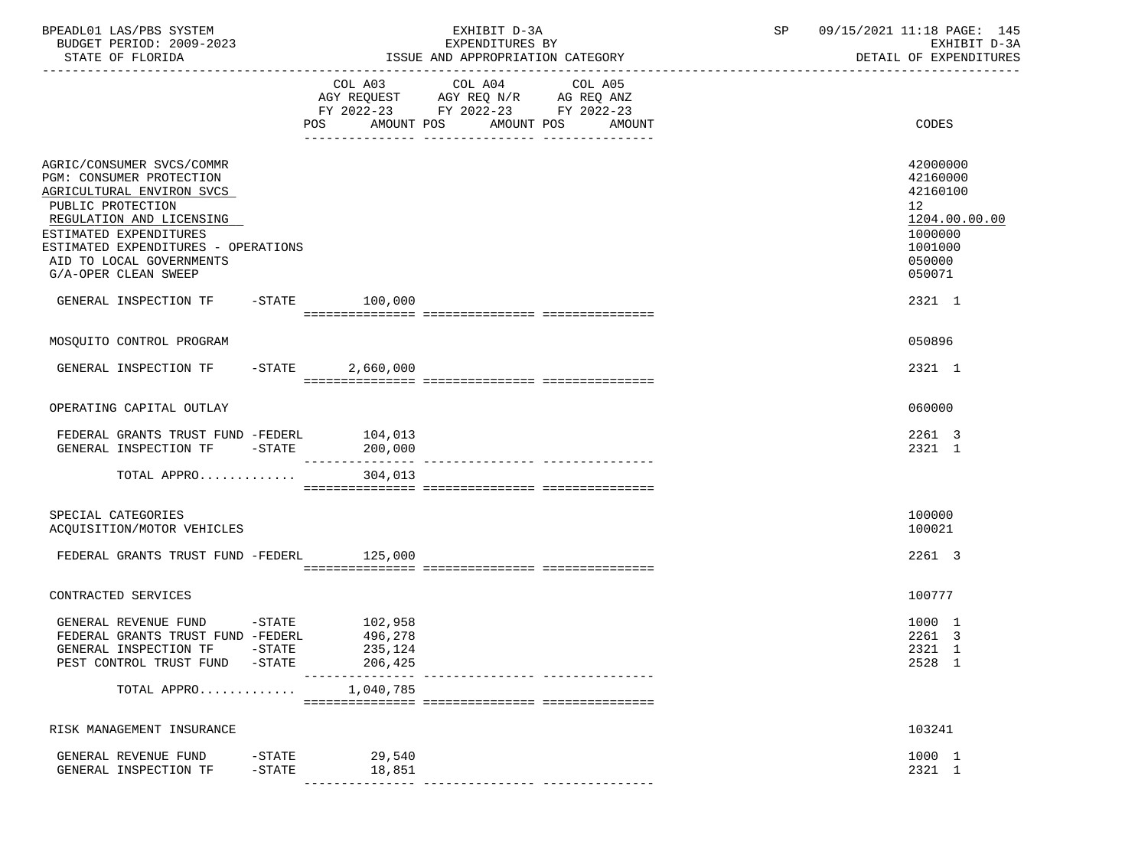| BPEADL01 LAS/PBS SYSTEM<br>BUDGET PERIOD: 2009-2023<br>STATE OF FLORIDA                                                                                                                                                                                  |                       |                               | EXHIBIT D-3A<br>EXPENDITURES BY<br>ISSUE AND APPROPRIATION CATEGORY                                                    |                   | SP | 09/15/2021 11:18 PAGE: 145<br>EXHIBIT D-3A<br>DETAIL OF EXPENDITURES                                           |
|----------------------------------------------------------------------------------------------------------------------------------------------------------------------------------------------------------------------------------------------------------|-----------------------|-------------------------------|------------------------------------------------------------------------------------------------------------------------|-------------------|----|----------------------------------------------------------------------------------------------------------------|
|                                                                                                                                                                                                                                                          |                       |                               | COL A03 COL A04<br>AGY REQUEST AGY REQ N/R AG REQ ANZ<br>FY 2022-23 FY 2022-23 FY 2022-23<br>POS AMOUNT POS AMOUNT POS | COL A05<br>AMOUNT |    | CODES                                                                                                          |
| AGRIC/CONSUMER SVCS/COMMR<br>PGM: CONSUMER PROTECTION<br>AGRICULTURAL ENVIRON SVCS<br>PUBLIC PROTECTION<br>REGULATION AND LICENSING<br>ESTIMATED EXPENDITURES<br>ESTIMATED EXPENDITURES - OPERATIONS<br>AID TO LOCAL GOVERNMENTS<br>G/A-OPER CLEAN SWEEP |                       |                               |                                                                                                                        |                   |    | 42000000<br>42160000<br>42160100<br>12 <sup>°</sup><br>1204.00.00.00<br>1000000<br>1001000<br>050000<br>050071 |
| GENERAL INSPECTION TF -STATE 100,000                                                                                                                                                                                                                     |                       |                               |                                                                                                                        |                   |    | 2321 1                                                                                                         |
| MOSQUITO CONTROL PROGRAM                                                                                                                                                                                                                                 |                       |                               |                                                                                                                        |                   |    | 050896                                                                                                         |
| GENERAL INSPECTION TF                                                                                                                                                                                                                                    | $-$ STATE             | 2,660,000                     |                                                                                                                        |                   |    | 2321 1                                                                                                         |
| OPERATING CAPITAL OUTLAY                                                                                                                                                                                                                                 |                       |                               |                                                                                                                        |                   |    | 060000                                                                                                         |
| FEDERAL GRANTS TRUST FUND -FEDERL<br>GENERAL INSPECTION TF -STATE                                                                                                                                                                                        |                       | 104,013<br>200,000            |                                                                                                                        |                   |    | 2261 3<br>2321 1                                                                                               |
| TOTAL APPRO $304,013$                                                                                                                                                                                                                                    |                       |                               |                                                                                                                        |                   |    |                                                                                                                |
| SPECIAL CATEGORIES<br>ACQUISITION/MOTOR VEHICLES                                                                                                                                                                                                         |                       |                               |                                                                                                                        |                   |    | 100000<br>100021                                                                                               |
| FEDERAL GRANTS TRUST FUND -FEDERL 125,000                                                                                                                                                                                                                |                       |                               |                                                                                                                        |                   |    | 2261 3                                                                                                         |
| CONTRACTED SERVICES                                                                                                                                                                                                                                      |                       |                               |                                                                                                                        |                   |    | 100777                                                                                                         |
| GENERAL REVENUE FUND -STATE 102,958<br>FEDERAL GRANTS TRUST FUND -FEDERL<br>GENERAL INSPECTION TF<br>PEST CONTROL TRUST FUND                                                                                                                             | $-$ STATE<br>$-STATE$ | 496,278<br>235,124<br>206,425 |                                                                                                                        |                   |    | 1000 1<br>2261 3<br>2321 1<br>2528 1                                                                           |
| TOTAL APPRO                                                                                                                                                                                                                                              |                       | 1,040,785                     |                                                                                                                        |                   |    |                                                                                                                |
| RISK MANAGEMENT INSURANCE                                                                                                                                                                                                                                |                       |                               |                                                                                                                        |                   |    | 103241                                                                                                         |
| GENERAL REVENUE FUND<br>GENERAL INSPECTION TF                                                                                                                                                                                                            | $-$ STATE<br>$-STATE$ | 29,540<br>18,851              |                                                                                                                        |                   |    | 1000 1<br>2321 1                                                                                               |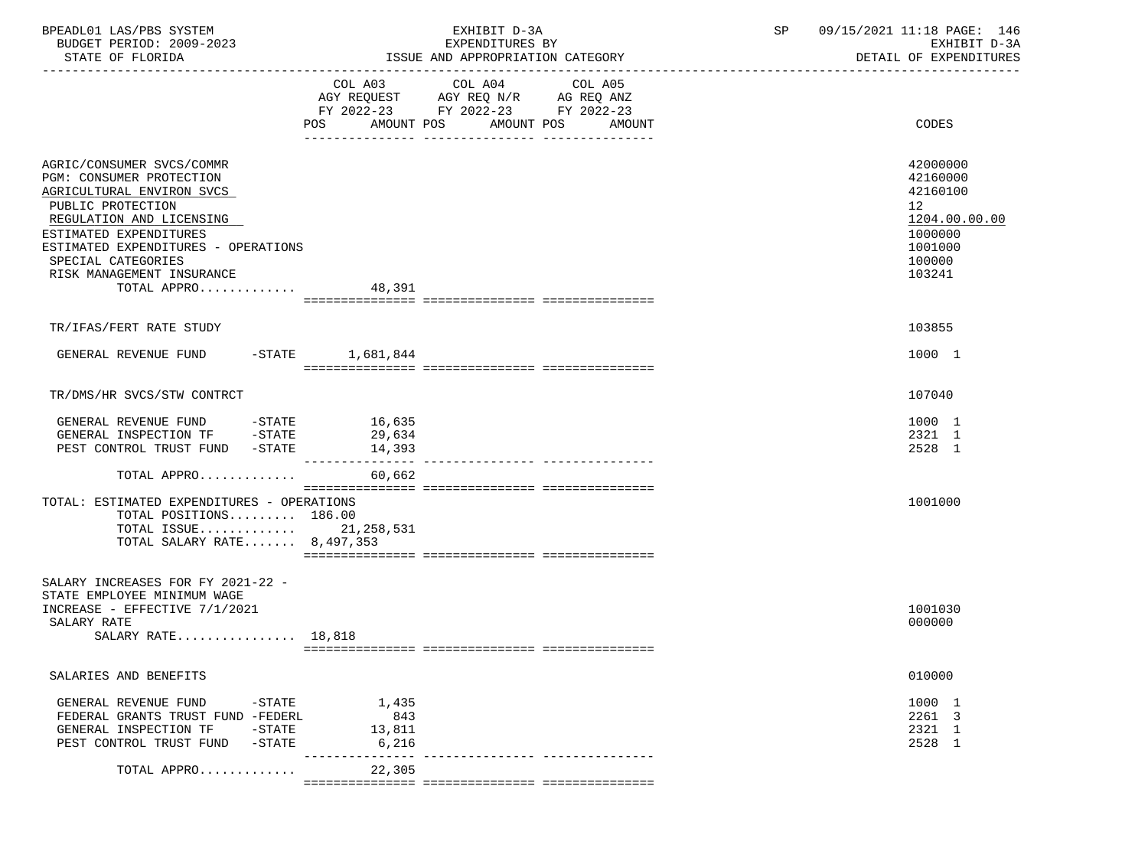| BPEADL01 LAS/PBS SYSTEM<br>BUDGET PERIOD: 2009-2023<br>STATE OF FLORIDA                                                                                                                                                                                                       |                                 | EXHIBIT D-3A<br>EXPENDITURES BY<br>ISSUE AND APPROPRIATION CATEGORY                                                                      | SP | 09/15/2021 11:18 PAGE: 146<br>EXHIBIT D-3A<br>DETAIL OF EXPENDITURES                                           |
|-------------------------------------------------------------------------------------------------------------------------------------------------------------------------------------------------------------------------------------------------------------------------------|---------------------------------|------------------------------------------------------------------------------------------------------------------------------------------|----|----------------------------------------------------------------------------------------------------------------|
|                                                                                                                                                                                                                                                                               |                                 | COL A03 COL A04<br>COL A05<br>AGY REQUEST AGY REQ N/R AG REQ ANZ<br>FY 2022-23 FY 2022-23 FY 2022-23<br>POS AMOUNT POS AMOUNT POS AMOUNT |    | CODES                                                                                                          |
| AGRIC/CONSUMER SVCS/COMMR<br>PGM: CONSUMER PROTECTION<br>AGRICULTURAL ENVIRON SVCS<br>PUBLIC PROTECTION<br>REGULATION AND LICENSING<br>ESTIMATED EXPENDITURES<br>ESTIMATED EXPENDITURES - OPERATIONS<br>SPECIAL CATEGORIES<br>RISK MANAGEMENT INSURANCE<br>TOTAL APPRO 48,391 |                                 |                                                                                                                                          |    | 42000000<br>42160000<br>42160100<br>12 <sup>°</sup><br>1204.00.00.00<br>1000000<br>1001000<br>100000<br>103241 |
| TR/IFAS/FERT RATE STUDY                                                                                                                                                                                                                                                       |                                 |                                                                                                                                          |    | 103855                                                                                                         |
| GENERAL REVENUE FUND -STATE 1,681,844                                                                                                                                                                                                                                         |                                 |                                                                                                                                          |    | 1000 1                                                                                                         |
| TR/DMS/HR SVCS/STW CONTRCT                                                                                                                                                                                                                                                    |                                 |                                                                                                                                          |    | 107040                                                                                                         |
| GENERAL REVENUE FUND -STATE 16,635<br>GENERAL INSPECTION TF -STATE<br>PEST CONTROL TRUST FUND -STATE                                                                                                                                                                          | 29,634<br>14,393                |                                                                                                                                          |    | 1000 1<br>2321 1<br>2528 1                                                                                     |
| TOTAL APPRO                                                                                                                                                                                                                                                                   | 60,662                          |                                                                                                                                          |    |                                                                                                                |
| TOTAL: ESTIMATED EXPENDITURES - OPERATIONS<br>TOTAL POSITIONS 186.00<br>TOTAL ISSUE 21,258,531<br>TOTAL SALARY RATE 8,497,353                                                                                                                                                 |                                 |                                                                                                                                          |    | 1001000                                                                                                        |
| SALARY INCREASES FOR FY 2021-22 -<br>STATE EMPLOYEE MINIMUM WAGE<br>INCREASE - EFFECTIVE 7/1/2021<br>SALARY RATE<br>SALARY RATE 18,818                                                                                                                                        |                                 |                                                                                                                                          |    | 1001030<br>000000                                                                                              |
| SALARIES AND BENEFITS                                                                                                                                                                                                                                                         |                                 |                                                                                                                                          |    | 010000                                                                                                         |
| GENERAL REVENUE FUND<br>$-$ STATE<br>FEDERAL GRANTS TRUST FUND -FEDERL<br>GENERAL INSPECTION TF<br>$-$ STATE<br>PEST CONTROL TRUST FUND<br>-STATE                                                                                                                             | 1,435<br>843<br>13,811<br>6,216 |                                                                                                                                          |    | 1000 1<br>2261 3<br>2321 1<br>2528 1                                                                           |
| TOTAL APPRO                                                                                                                                                                                                                                                                   | 22,305                          |                                                                                                                                          |    |                                                                                                                |
|                                                                                                                                                                                                                                                                               |                                 | =================================                                                                                                        |    |                                                                                                                |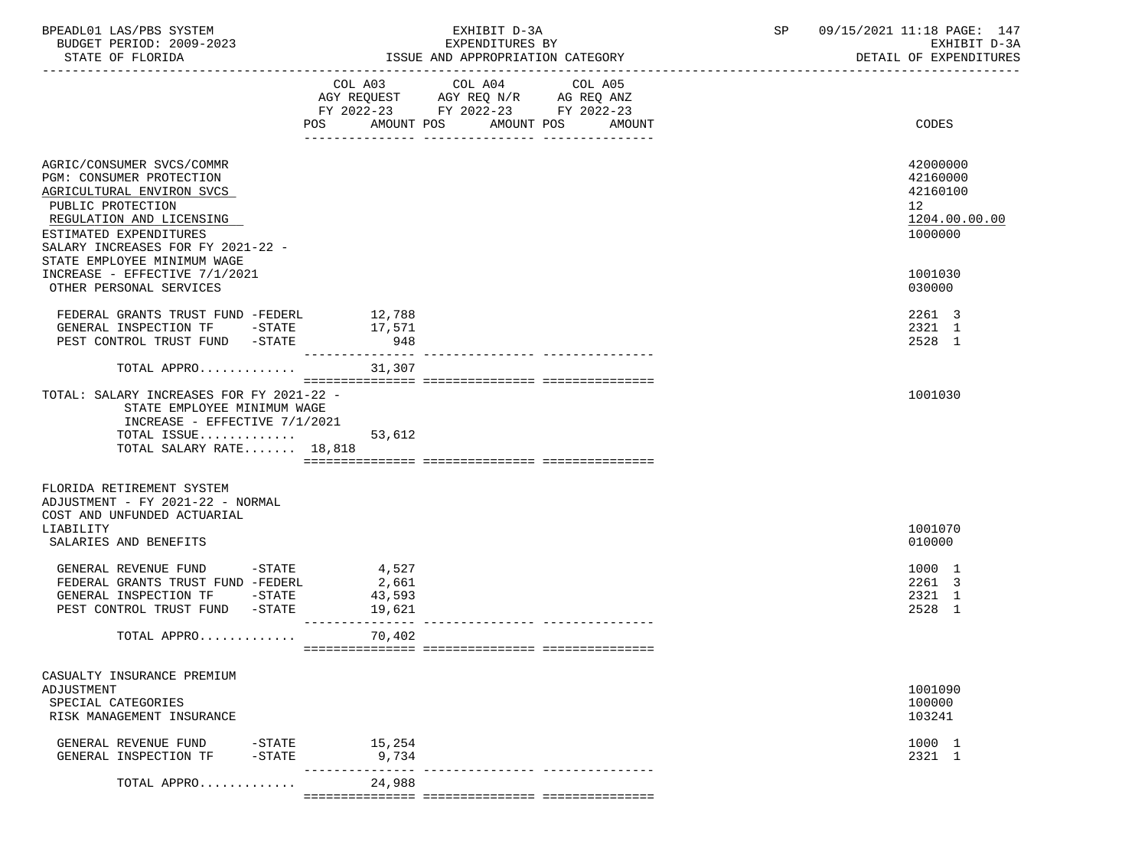| BPEADL01 LAS/PBS SYSTEM<br>BUDGET PERIOD: 2009-2023<br>STATE OF FLORIDA                                                                                                                                                           |                                    | EXHIBIT D-3A<br>EXPENDITURES BY<br>ISSUE AND APPROPRIATION CATEGORY                                  | 09/15/2021 11:18 PAGE: 147<br>SP<br>EXHIBIT D-3A<br>DETAIL OF EXPENDITURES |
|-----------------------------------------------------------------------------------------------------------------------------------------------------------------------------------------------------------------------------------|------------------------------------|------------------------------------------------------------------------------------------------------|----------------------------------------------------------------------------|
|                                                                                                                                                                                                                                   |                                    | COL A03 COL A04<br>COL A05<br>AGY REQUEST AGY REQ N/R AG REQ ANZ<br>FY 2022-23 FY 2022-23 FY 2022-23 |                                                                            |
|                                                                                                                                                                                                                                   |                                    | POS AMOUNT POS AMOUNT POS AMOUNT                                                                     | CODES                                                                      |
| AGRIC/CONSUMER SVCS/COMMR<br>PGM: CONSUMER PROTECTION<br>AGRICULTURAL ENVIRON SVCS<br>PUBLIC PROTECTION<br>REGULATION AND LICENSING<br>ESTIMATED EXPENDITURES<br>SALARY INCREASES FOR FY 2021-22 -<br>STATE EMPLOYEE MINIMUM WAGE |                                    |                                                                                                      | 42000000<br>42160000<br>42160100<br>12<br>1204.00.00.00<br>1000000         |
| INCREASE - EFFECTIVE 7/1/2021<br>OTHER PERSONAL SERVICES                                                                                                                                                                          |                                    |                                                                                                      | 1001030<br>030000                                                          |
| FEDERAL GRANTS TRUST FUND -FEDERL<br>GENERAL INSPECTION TF -STATE 17,571<br>PEST CONTROL TRUST FUND -STATE                                                                                                                        | 12,788<br>948                      |                                                                                                      | 2261 3<br>2321 1<br>2528 1                                                 |
| TOTAL APPRO                                                                                                                                                                                                                       | 31,307                             |                                                                                                      |                                                                            |
| TOTAL: SALARY INCREASES FOR FY 2021-22 -<br>STATE EMPLOYEE MINIMUM WAGE<br>INCREASE - EFFECTIVE $7/1/2021$<br>TOTAL ISSUE<br>TOTAL SALARY RATE 18,818                                                                             | 53,612                             |                                                                                                      | 1001030                                                                    |
| FLORIDA RETIREMENT SYSTEM<br>ADJUSTMENT - FY 2021-22 - NORMAL<br>COST AND UNFUNDED ACTUARIAL                                                                                                                                      |                                    |                                                                                                      |                                                                            |
| LIABILITY<br>SALARIES AND BENEFITS                                                                                                                                                                                                |                                    |                                                                                                      | 1001070<br>010000                                                          |
| GENERAL REVENUE FUND -STATE<br>FEDERAL GRANTS TRUST FUND -FEDERL<br>GENERAL INSPECTION TF -STATE<br>PEST CONTROL TRUST FUND -STATE                                                                                                | 4,527<br>2,661<br>43,593<br>19,621 |                                                                                                      | 1000 1<br>2261 3<br>2321 1<br>2528 1                                       |
| TOTAL APPRO 70,402                                                                                                                                                                                                                |                                    |                                                                                                      |                                                                            |
| CASUALTY INSURANCE PREMIUM<br>ADJUSTMENT<br>SPECIAL CATEGORIES<br>RISK MANAGEMENT INSURANCE                                                                                                                                       |                                    |                                                                                                      | 1001090<br>100000<br>103241                                                |
| GENERAL REVENUE FUND<br>$-$ STATE<br>GENERAL INSPECTION TF<br>$-$ STATE                                                                                                                                                           | 15,254<br>9,734                    |                                                                                                      | 1000 1<br>2321 1                                                           |
| TOTAL APPRO                                                                                                                                                                                                                       | 24,988                             |                                                                                                      |                                                                            |
|                                                                                                                                                                                                                                   |                                    |                                                                                                      |                                                                            |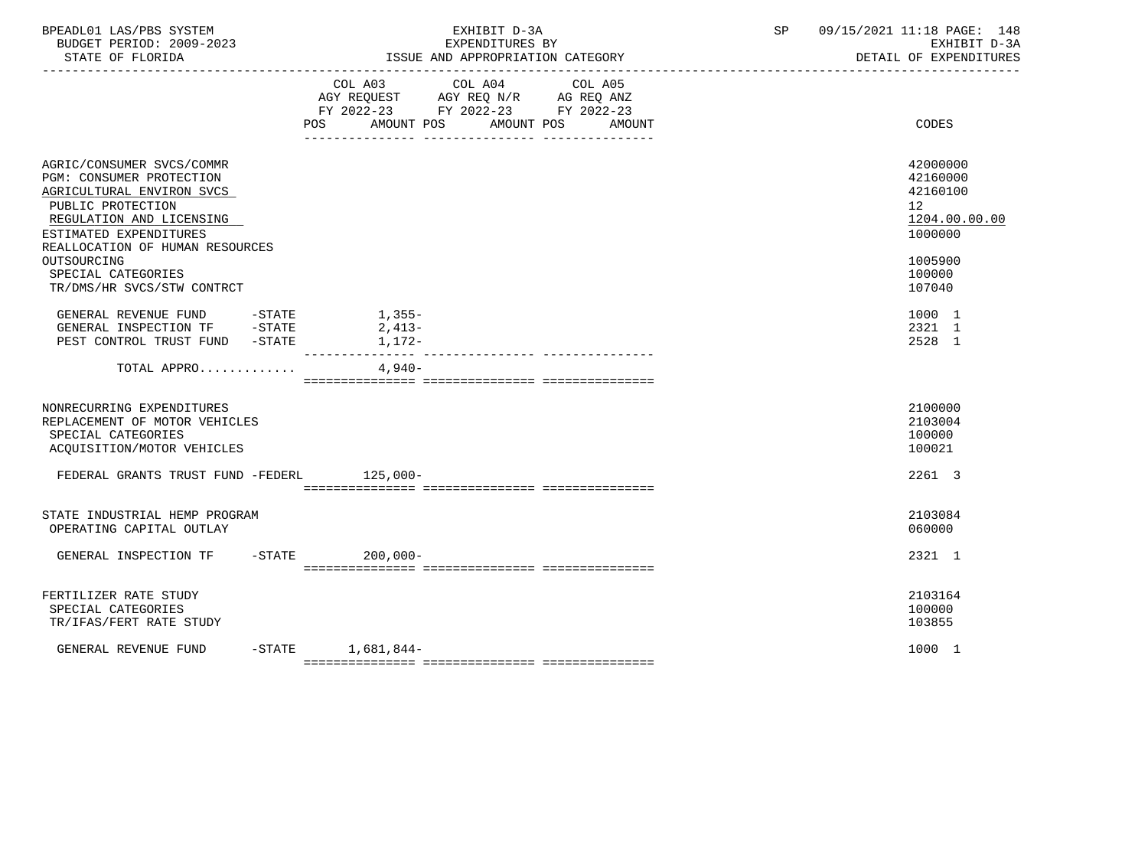| BPEADL01 LAS/PBS SYSTEM<br>BUDGET PERIOD: 2009-2023<br>STATE OF FLORIDA                                                                                                                                         | EXHIBIT D-3A<br>EXPENDITURES BY<br>ISSUE AND APPROPRIATION CATEGORY                                                                                                                                                                                                                 | 09/15/2021 11:18 PAGE: 148<br>SP<br>EXHIBIT D-3A<br>DETAIL OF EXPENDITURES                 |
|-----------------------------------------------------------------------------------------------------------------------------------------------------------------------------------------------------------------|-------------------------------------------------------------------------------------------------------------------------------------------------------------------------------------------------------------------------------------------------------------------------------------|--------------------------------------------------------------------------------------------|
|                                                                                                                                                                                                                 | $\begin{tabular}{lllllllll} COL & A03 & \multicolumn{2}{l}COL & A04 & \multicolumn{2}{l}COL & A05 \\ AGY & REQUEST & \multicolumn{2}{l}AGY & REQ & N/R & \multicolumn{2}{l}AG & REQ & ANZ \\ \end{tabular}$<br>FY 2022-23 FY 2022-23 FY 2022-23<br>POS AMOUNT POS AMOUNT POS AMOUNT | CODES                                                                                      |
| AGRIC/CONSUMER SVCS/COMMR<br>PGM: CONSUMER PROTECTION<br>AGRICULTURAL ENVIRON SVCS<br>PUBLIC PROTECTION<br>REGULATION AND LICENSING<br>ESTIMATED EXPENDITURES<br>REALLOCATION OF HUMAN RESOURCES<br>OUTSOURCING |                                                                                                                                                                                                                                                                                     | 42000000<br>42160000<br>42160100<br>12 <sup>°</sup><br>1204.00.00.00<br>1000000<br>1005900 |
| SPECIAL CATEGORIES<br>TR/DMS/HR SVCS/STW CONTRCT<br>GENERAL REVENUE FUND -STATE<br>GENERAL INSPECTION TF -STATE                                                                                                 | 1,355-<br>2,413-                                                                                                                                                                                                                                                                    | 100000<br>107040<br>1000 1<br>2321 1                                                       |
| PEST CONTROL TRUST FUND -STATE<br>TOTAL APPRO $\ldots \ldots \ldots$                                                                                                                                            | 1,172-                                                                                                                                                                                                                                                                              | 2528 1                                                                                     |
| NONRECURRING EXPENDITURES<br>REPLACEMENT OF MOTOR VEHICLES<br>SPECIAL CATEGORIES<br>ACQUISITION/MOTOR VEHICLES                                                                                                  |                                                                                                                                                                                                                                                                                     | 2100000<br>2103004<br>100000<br>100021                                                     |
| FEDERAL GRANTS TRUST FUND -FEDERL 125,000-                                                                                                                                                                      |                                                                                                                                                                                                                                                                                     | 2261 3                                                                                     |
| STATE INDUSTRIAL HEMP PROGRAM<br>OPERATING CAPITAL OUTLAY                                                                                                                                                       |                                                                                                                                                                                                                                                                                     | 2103084<br>060000                                                                          |
| GENERAL INSPECTION TF -STATE 200,000-                                                                                                                                                                           |                                                                                                                                                                                                                                                                                     | 2321 1                                                                                     |
|                                                                                                                                                                                                                 |                                                                                                                                                                                                                                                                                     |                                                                                            |
| FERTILIZER RATE STUDY<br>SPECIAL CATEGORIES<br>TR/IFAS/FERT RATE STUDY                                                                                                                                          |                                                                                                                                                                                                                                                                                     | 2103164<br>100000<br>103855                                                                |
| GENERAL REVENUE FUND                                                                                                                                                                                            | $-STATE$ 1,681,844-                                                                                                                                                                                                                                                                 | 1000 1                                                                                     |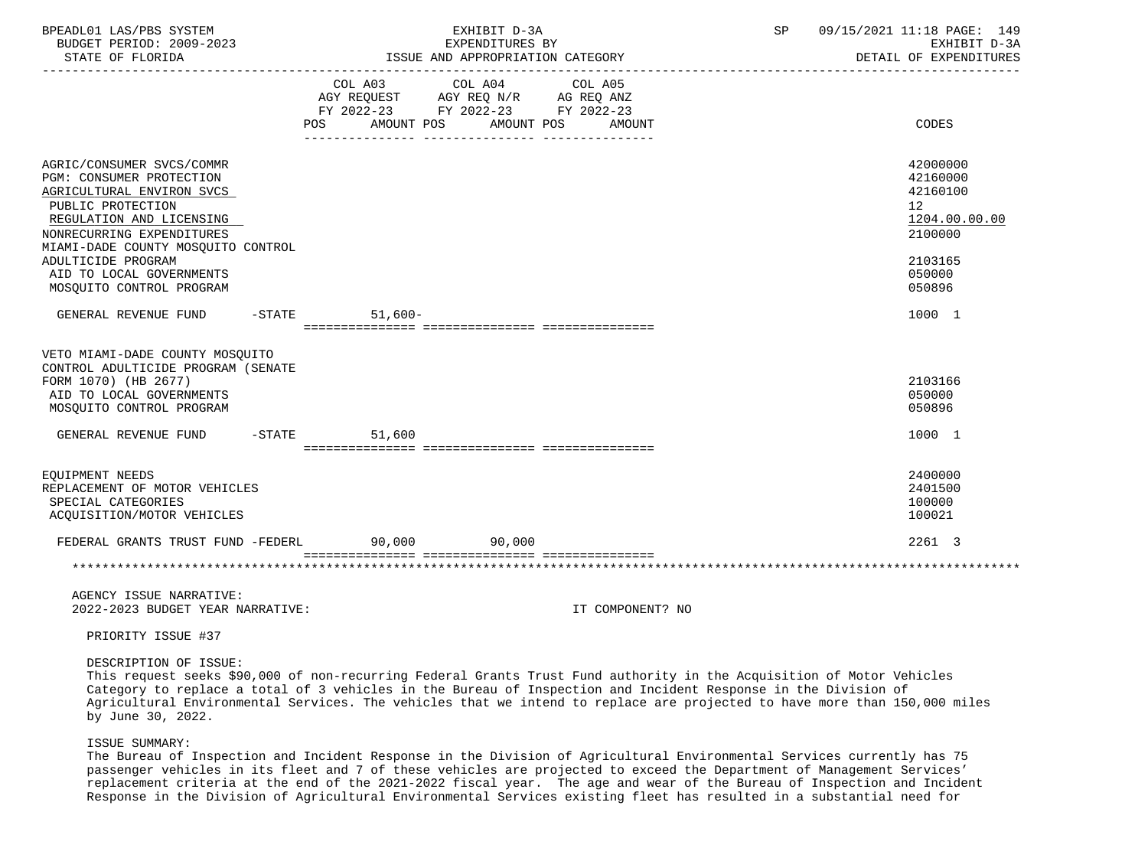| BPEADL01 LAS/PBS SYSTEM<br>BUDGET PERIOD: 2009-2023<br>STATE OF FLORIDA                                                                                                                                                                                                                                                                                                                                            |           | EXHIBIT D-3A<br>EXPENDITURES BY<br>ISSUE AND APPROPRIATION CATEGORY                                                                                                                                                                                                                 |                  | SP and the set of the set of the set of the set of the set of the set of the set of the set of the set of the s | 09/15/2021 11:18 PAGE: 149<br>EXHIBIT D-3A<br>DETAIL OF EXPENDITURES                              |
|--------------------------------------------------------------------------------------------------------------------------------------------------------------------------------------------------------------------------------------------------------------------------------------------------------------------------------------------------------------------------------------------------------------------|-----------|-------------------------------------------------------------------------------------------------------------------------------------------------------------------------------------------------------------------------------------------------------------------------------------|------------------|-----------------------------------------------------------------------------------------------------------------|---------------------------------------------------------------------------------------------------|
|                                                                                                                                                                                                                                                                                                                                                                                                                    |           | $\begin{tabular}{lllllllll} COL & A03 & \multicolumn{2}{l}COL & A04 & \multicolumn{2}{l}COL & A05 \\ AGY & REQUEST & \multicolumn{2}{l}AGY & REQ & N/R & \multicolumn{2}{l}AG & REQ & ANZ \\ \end{tabular}$<br>FY 2022-23 FY 2022-23 FY 2022-23<br>POS AMOUNT POS AMOUNT POS AMOUNT |                  |                                                                                                                 | CODES                                                                                             |
| AGRIC/CONSUMER SVCS/COMMR<br>PGM: CONSUMER PROTECTION<br>AGRICULTURAL ENVIRON SVCS<br>PUBLIC PROTECTION<br>REGULATION AND LICENSING<br>NONRECURRING EXPENDITURES<br>MIAMI-DADE COUNTY MOSQUITO CONTROL<br>ADULTICIDE PROGRAM<br>AID TO LOCAL GOVERNMENTS<br>MOSQUITO CONTROL PROGRAM                                                                                                                               |           |                                                                                                                                                                                                                                                                                     |                  |                                                                                                                 | 42000000<br>42160000<br>42160100<br>12<br>1204.00.00.00<br>2100000<br>2103165<br>050000<br>050896 |
| GENERAL REVENUE FUND -STATE                                                                                                                                                                                                                                                                                                                                                                                        | $51,600-$ |                                                                                                                                                                                                                                                                                     |                  |                                                                                                                 | 1000 1                                                                                            |
| VETO MIAMI-DADE COUNTY MOSQUITO<br>CONTROL ADULTICIDE PROGRAM (SENATE<br>FORM 1070) (HB 2677)<br>AID TO LOCAL GOVERNMENTS<br>MOSQUITO CONTROL PROGRAM<br>GENERAL REVENUE FUND -STATE                                                                                                                                                                                                                               | 51,600    |                                                                                                                                                                                                                                                                                     |                  |                                                                                                                 | 2103166<br>050000<br>050896<br>1000 1                                                             |
| EQUIPMENT NEEDS<br>REPLACEMENT OF MOTOR VEHICLES<br>SPECIAL CATEGORIES<br>ACQUISITION/MOTOR VEHICLES                                                                                                                                                                                                                                                                                                               |           |                                                                                                                                                                                                                                                                                     |                  |                                                                                                                 | 2400000<br>2401500<br>100000<br>100021                                                            |
| FEDERAL GRANTS TRUST FUND -FEDERL 90,000 90,000                                                                                                                                                                                                                                                                                                                                                                    |           |                                                                                                                                                                                                                                                                                     |                  |                                                                                                                 | 2261 3                                                                                            |
| AGENCY ISSUE NARRATIVE:<br>2022-2023 BUDGET YEAR NARRATIVE:                                                                                                                                                                                                                                                                                                                                                        |           |                                                                                                                                                                                                                                                                                     | IT COMPONENT? NO |                                                                                                                 |                                                                                                   |
| PRIORITY ISSUE #37                                                                                                                                                                                                                                                                                                                                                                                                 |           |                                                                                                                                                                                                                                                                                     |                  |                                                                                                                 |                                                                                                   |
| DESCRIPTION OF ISSUE:<br>This request seeks \$90,000 of non-recurring Federal Grants Trust Fund authority in the Acquisition of Motor Vehicles<br>Category to replace a total of 3 vehicles in the Bureau of Inspection and Incident Response in the Division of<br>Agricultural Environmental Services. The vehicles that we intend to replace are projected to have more than 150,000 miles<br>by June 30, 2022. |           |                                                                                                                                                                                                                                                                                     |                  |                                                                                                                 |                                                                                                   |
| ISSUE SUMMARY:<br>The Bureau of Inspection and Incident Response in the Division of Agricultural Environmental Services currently has 75                                                                                                                                                                                                                                                                           |           |                                                                                                                                                                                                                                                                                     |                  |                                                                                                                 |                                                                                                   |

 passenger vehicles in its fleet and 7 of these vehicles are projected to exceed the Department of Management Services' replacement criteria at the end of the 2021-2022 fiscal year. The age and wear of the Bureau of Inspection and Incident Response in the Division of Agricultural Environmental Services existing fleet has resulted in a substantial need for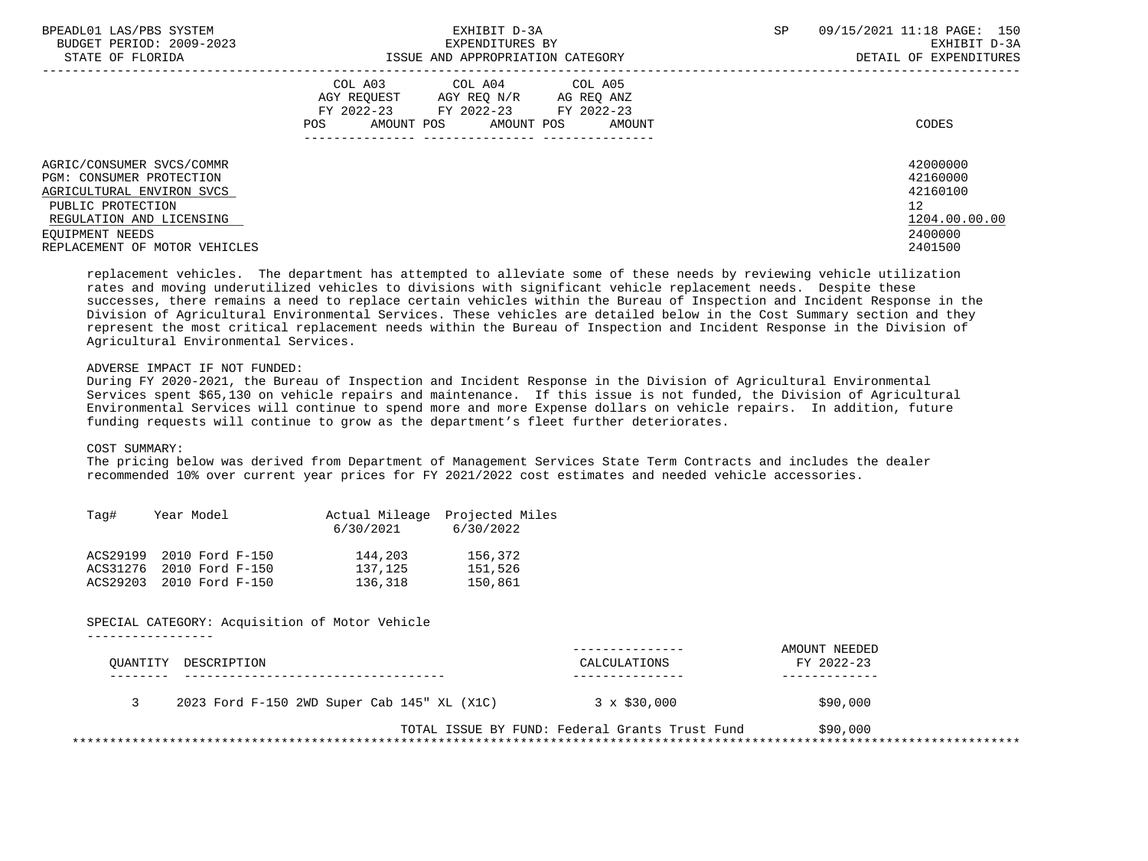| BPEADL01 LAS/PBS SYSTEM<br>BUDGET PERIOD: 2009-2023 | EXHIBIT D-3A<br>EXPENDITURES BY                                           | <b>SP</b> | 09/15/2021 11:18 PAGE: 150<br>EXHIBIT D-3A |
|-----------------------------------------------------|---------------------------------------------------------------------------|-----------|--------------------------------------------|
| STATE OF FLORIDA                                    | ISSUE AND APPROPRIATION CATEGORY                                          |           | DETAIL OF EXPENDITURES                     |
|                                                     | COL A03 COL A04 COL A05                                                   |           |                                            |
|                                                     | AGY REOUEST AGY REO N/R<br>AG REO ANZ<br>FY 2022-23 FY 2022-23 FY 2022-23 |           |                                            |
|                                                     | AMOUNT POS AMOUNT POS<br>AMOUNT<br>POS                                    |           | CODES                                      |
|                                                     |                                                                           |           |                                            |
| AGRIC/CONSUMER SVCS/COMMR                           |                                                                           |           | 42000000                                   |
| PGM: CONSUMER PROTECTION                            |                                                                           |           | 42160000                                   |
| AGRICULTURAL ENVIRON SVCS                           |                                                                           |           | 42160100                                   |
| PUBLIC PROTECTION                                   |                                                                           |           | 12                                         |
| REGULATION AND LICENSING                            |                                                                           |           | 1204.00.00.00                              |
| EOUIPMENT NEEDS                                     |                                                                           |           | 2400000                                    |
| REPLACEMENT OF MOTOR VEHICLES                       |                                                                           |           | 2401500                                    |

 replacement vehicles. The department has attempted to alleviate some of these needs by reviewing vehicle utilization rates and moving underutilized vehicles to divisions with significant vehicle replacement needs. Despite these successes, there remains a need to replace certain vehicles within the Bureau of Inspection and Incident Response in the Division of Agricultural Environmental Services. These vehicles are detailed below in the Cost Summary section and they represent the most critical replacement needs within the Bureau of Inspection and Incident Response in the Division of Agricultural Environmental Services.

# ADVERSE IMPACT IF NOT FUNDED:

 During FY 2020-2021, the Bureau of Inspection and Incident Response in the Division of Agricultural Environmental Services spent \$65,130 on vehicle repairs and maintenance. If this issue is not funded, the Division of Agricultural Environmental Services will continue to spend more and more Expense dollars on vehicle repairs. In addition, future funding requests will continue to grow as the department's fleet further deteriorates.

## COST SUMMARY:

-----------------

 The pricing below was derived from Department of Management Services State Term Contracts and includes the dealer recommended 10% over current year prices for FY 2021/2022 cost estimates and needed vehicle accessories.

| Taq# | Year Model               | 6/30/2021 | Actual Mileage Projected Miles<br>6/30/2022 |
|------|--------------------------|-----------|---------------------------------------------|
|      | ACS29199 2010 Ford F-150 | 144,203   | 156,372                                     |
|      | ACS31276 2010 Ford F-150 | 137,125   | 151,526                                     |
|      | ACS29203 2010 Ford F-150 | 136,318   | 150,861                                     |

# SPECIAL CATEGORY: Acquisition of Motor Vehicle

| OUANTITY | DESCRIPTION                                 | CALCULATIONS                                   | AMOUNT NEEDED<br>FY 2022-23 |  |
|----------|---------------------------------------------|------------------------------------------------|-----------------------------|--|
|          | 2023 Ford F-150 2WD Super Cab 145" XL (X1C) | $3 \times $30,000$                             | \$90,000                    |  |
|          |                                             | TOTAL ISSUE BY FUND: Federal Grants Trust Fund | \$90,000                    |  |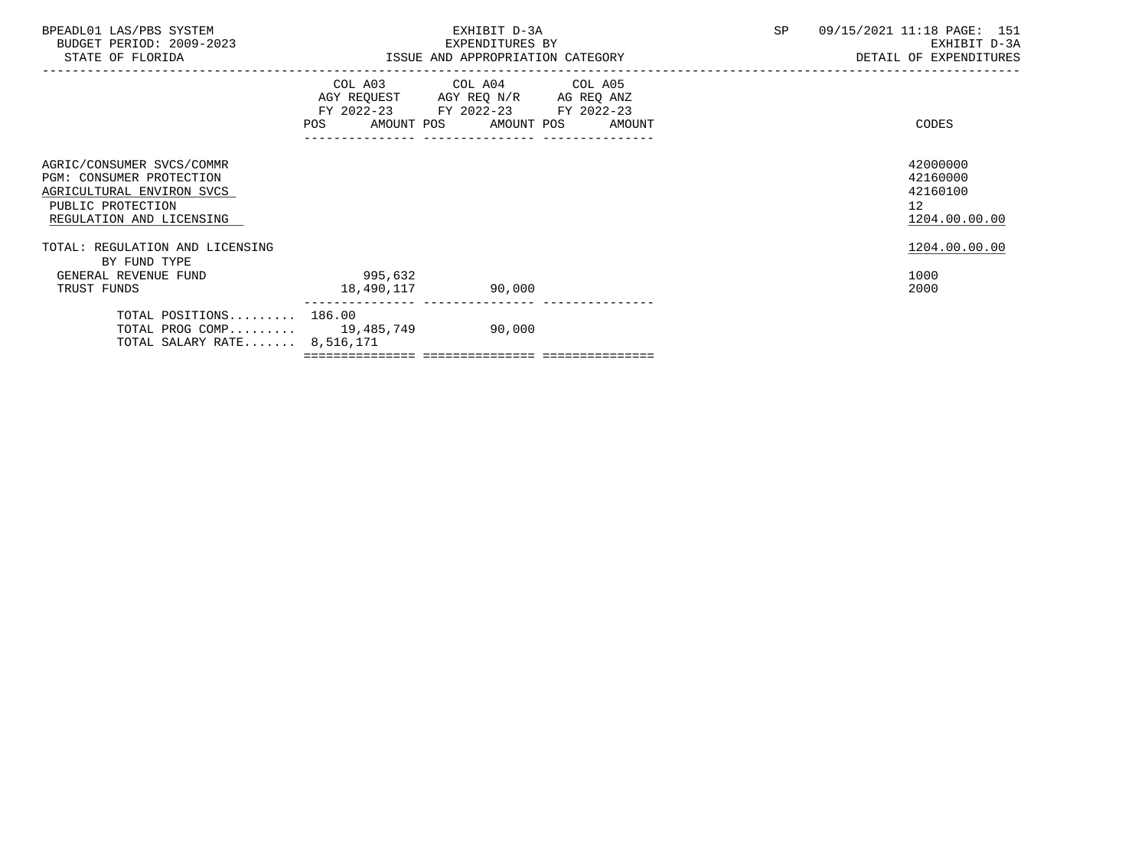| BPEADL01 LAS/PBS SYSTEM<br>BUDGET PERIOD: 2009-2023<br>STATE OF FLORIDA                                                                    |                              | EXHIBIT D-3A<br>EXPENDITURES BY                                                                                                      | SP | 09/15/2021 11:18 PAGE: 151<br>EXHIBIT D-3A<br>DETAIL OF EXPENDITURES |
|--------------------------------------------------------------------------------------------------------------------------------------------|------------------------------|--------------------------------------------------------------------------------------------------------------------------------------|----|----------------------------------------------------------------------|
|                                                                                                                                            | <b>POS</b>                   | COL A03 COL A04 COL A05<br>AGY REQUEST AGY REQ N/R AG REQ ANZ<br>FY 2022-23 FY 2022-23 FY 2022-23<br>AMOUNT POS AMOUNT POS<br>AMOUNT |    | CODES                                                                |
| AGRIC/CONSUMER SVCS/COMMR<br><b>PGM: CONSUMER PROTECTION</b><br>AGRICULTURAL ENVIRON SVCS<br>PUBLIC PROTECTION<br>REGULATION AND LICENSING |                              |                                                                                                                                      |    | 42000000<br>42160000<br>42160100<br>12<br>1204.00.00.00              |
| TOTAL: REGULATION AND LICENSING<br>BY FUND TYPE<br>GENERAL REVENUE FUND<br>TRUST FUNDS                                                     | 995,632<br>18,490,117 90,000 |                                                                                                                                      |    | 1204.00.00.00<br>1000<br>2000                                        |
| TOTAL POSITIONS 186.00<br>TOTAL PROG COMP 19,485,749 90,000<br>TOTAL SALARY RATE $8,516,171$                                               |                              |                                                                                                                                      |    |                                                                      |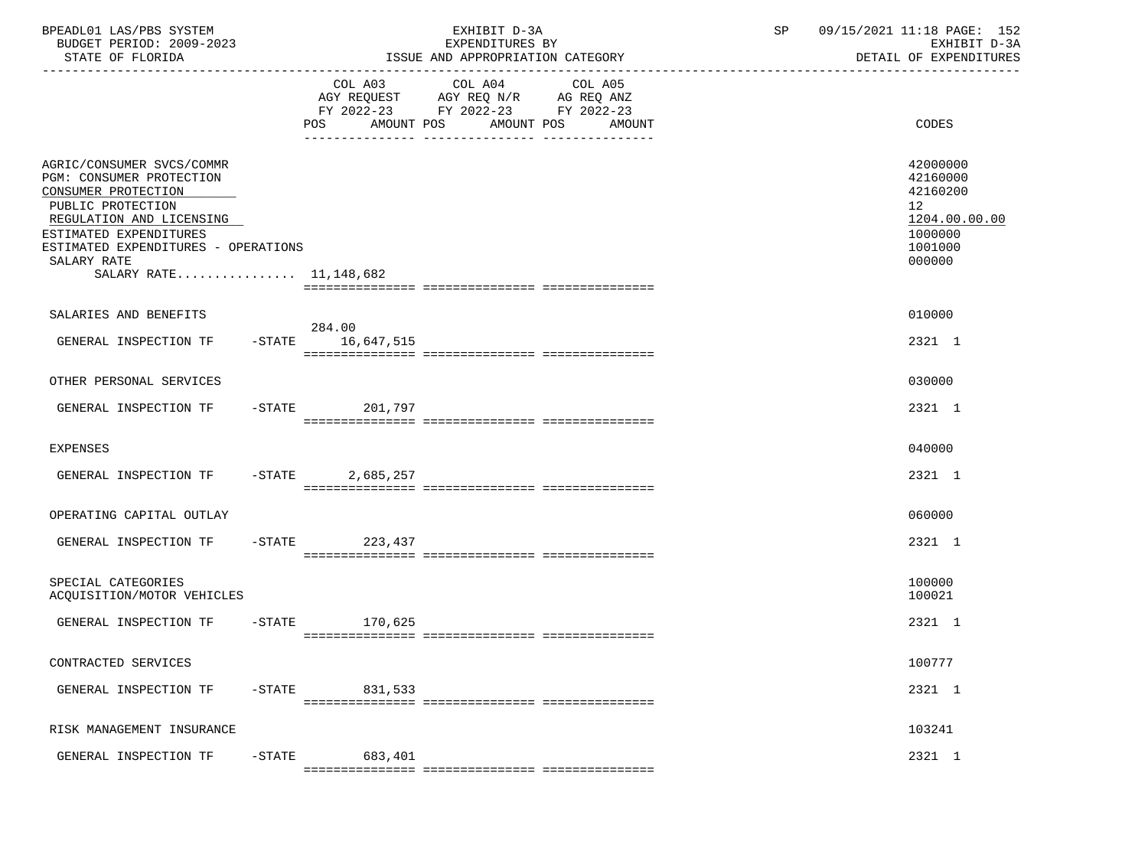| BPEADL01 LAS/PBS SYSTEM<br>BUDGET PERIOD: 2009-2023<br>STATE OF FLORIDA                                                                                                                                                                        |           |                             | EXHIBIT D-3A<br>EXPENDITURES BY<br>ISSUE AND APPROPRIATION CATEGORY                                                                      | 09/15/2021 11:18 PAGE: 152<br>SP<br>EXHIBIT D-3A<br>DETAIL OF EXPENDITURES |                                                                                                      |  |
|------------------------------------------------------------------------------------------------------------------------------------------------------------------------------------------------------------------------------------------------|-----------|-----------------------------|------------------------------------------------------------------------------------------------------------------------------------------|----------------------------------------------------------------------------|------------------------------------------------------------------------------------------------------|--|
|                                                                                                                                                                                                                                                |           |                             | COL A03 COL A04 COL A05<br>AGY REQUEST AGY REQ N/R AG REQ ANZ<br>FY 2022-23 FY 2022-23 FY 2022-23<br>POS AMOUNT POS AMOUNT POS<br>AMOUNT |                                                                            | CODES                                                                                                |  |
| AGRIC/CONSUMER SVCS/COMMR<br><b>PGM: CONSUMER PROTECTION</b><br>CONSUMER PROTECTION<br>PUBLIC PROTECTION<br>REGULATION AND LICENSING<br>ESTIMATED EXPENDITURES<br>ESTIMATED EXPENDITURES - OPERATIONS<br>SALARY RATE<br>SALARY RATE 11,148,682 |           |                             |                                                                                                                                          |                                                                            | 42000000<br>42160000<br>42160200<br>12 <sup>°</sup><br>1204.00.00.00<br>1000000<br>1001000<br>000000 |  |
| SALARIES AND BENEFITS                                                                                                                                                                                                                          |           |                             |                                                                                                                                          |                                                                            | 010000                                                                                               |  |
| GENERAL INSPECTION TF                                                                                                                                                                                                                          |           | 284.00<br>-STATE 16,647,515 |                                                                                                                                          |                                                                            | 2321 1                                                                                               |  |
| OTHER PERSONAL SERVICES                                                                                                                                                                                                                        |           |                             |                                                                                                                                          |                                                                            | 030000                                                                                               |  |
| GENERAL INSPECTION TF                                                                                                                                                                                                                          |           | -STATE 201,797              |                                                                                                                                          |                                                                            | 2321 1                                                                                               |  |
| <b>EXPENSES</b>                                                                                                                                                                                                                                |           |                             |                                                                                                                                          |                                                                            | 040000                                                                                               |  |
| GENERAL INSPECTION TF -STATE 2,685,257                                                                                                                                                                                                         |           |                             |                                                                                                                                          |                                                                            | 2321 1                                                                                               |  |
| OPERATING CAPITAL OUTLAY                                                                                                                                                                                                                       |           |                             |                                                                                                                                          |                                                                            | 060000                                                                                               |  |
| GENERAL INSPECTION TF                                                                                                                                                                                                                          |           | $-STATE$ 223,437            |                                                                                                                                          |                                                                            | 2321 1                                                                                               |  |
| SPECIAL CATEGORIES<br>ACQUISITION/MOTOR VEHICLES                                                                                                                                                                                               |           |                             |                                                                                                                                          |                                                                            | 100000<br>100021                                                                                     |  |
| GENERAL INSPECTION TF                                                                                                                                                                                                                          |           | $-STATE$ 170,625            |                                                                                                                                          |                                                                            | 2321 1                                                                                               |  |
| CONTRACTED SERVICES                                                                                                                                                                                                                            |           |                             |                                                                                                                                          |                                                                            | 100777                                                                                               |  |
| GENERAL INSPECTION TF                                                                                                                                                                                                                          | $-$ STATE | 831,533                     |                                                                                                                                          |                                                                            | 2321 1                                                                                               |  |
| RISK MANAGEMENT INSURANCE                                                                                                                                                                                                                      |           |                             |                                                                                                                                          |                                                                            | 103241                                                                                               |  |
| GENERAL INSPECTION TF                                                                                                                                                                                                                          | $-$ STATE | 683,401                     |                                                                                                                                          |                                                                            | 2321 1                                                                                               |  |
|                                                                                                                                                                                                                                                |           |                             |                                                                                                                                          |                                                                            |                                                                                                      |  |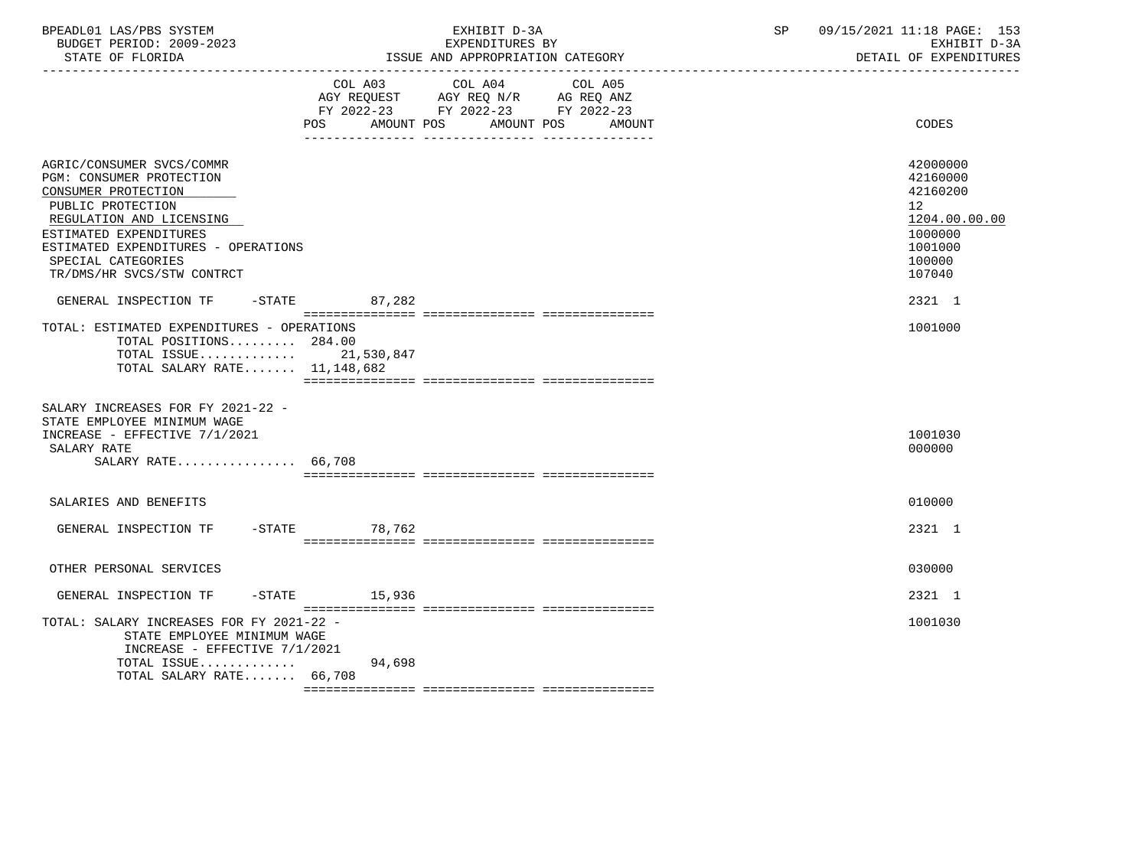| BPEADL01 LAS/PBS SYSTEM  | EXHIBIT D-3A                     | 09/15/2021 11:18 PAGE: 153 |
|--------------------------|----------------------------------|----------------------------|
| BUDGET PERIOD: 2009-2023 | EXPENDITURES BY                  | EXHIBIT D-3A               |
| STATE OF FLORIDA         | ISSUE AND APPROPRIATION CATEGORY | DETAIL OF EXPENDITURES     |

|                                                                                                                                                                                                                                                                                          | COL A03<br>AGY REOUEST<br>POS<br>AMOUNT POS | COL A04 COL A05<br>AGY REQ N/R AG REQ ANZ<br>FY 2022-23 FY 2022-23 FY 2022-23<br>AMOUNT POS | AMOUNT | CODES                                                                                                                    |
|------------------------------------------------------------------------------------------------------------------------------------------------------------------------------------------------------------------------------------------------------------------------------------------|---------------------------------------------|---------------------------------------------------------------------------------------------|--------|--------------------------------------------------------------------------------------------------------------------------|
| AGRIC/CONSUMER SVCS/COMMR<br>PGM: CONSUMER PROTECTION<br>CONSUMER PROTECTION<br>PUBLIC PROTECTION<br>REGULATION AND LICENSING<br>ESTIMATED EXPENDITURES<br>ESTIMATED EXPENDITURES - OPERATIONS<br>SPECIAL CATEGORIES<br>TR/DMS/HR SVCS/STW CONTRCT<br>GENERAL INSPECTION TF<br>$-$ STATE | 87,282                                      | -------------                                                                               |        | 42000000<br>42160000<br>42160200<br>12 <sup>°</sup><br>1204.00.00.00<br>1000000<br>1001000<br>100000<br>107040<br>2321 1 |
| TOTAL: ESTIMATED EXPENDITURES - OPERATIONS<br>TOTAL POSITIONS 284.00<br>TOTAL ISSUE $21,530,847$<br>TOTAL SALARY RATE $11,148,682$                                                                                                                                                       |                                             |                                                                                             |        | 1001000                                                                                                                  |
| SALARY INCREASES FOR FY 2021-22 -<br>STATE EMPLOYEE MINIMUM WAGE<br>INCREASE - EFFECTIVE 7/1/2021<br>SALARY RATE<br>SALARY RATE 66,708                                                                                                                                                   |                                             |                                                                                             |        | 1001030<br>000000                                                                                                        |
| SALARIES AND BENEFITS                                                                                                                                                                                                                                                                    |                                             |                                                                                             |        | 010000                                                                                                                   |
| GENERAL INSPECTION TF                                                                                                                                                                                                                                                                    | -STATE 78,762                               |                                                                                             |        | 2321 1                                                                                                                   |
| OTHER PERSONAL SERVICES                                                                                                                                                                                                                                                                  |                                             |                                                                                             |        | 030000                                                                                                                   |
| GENERAL INSPECTION TF                                                                                                                                                                                                                                                                    | $-STATE$ 15,936                             |                                                                                             |        | 2321 1                                                                                                                   |
| TOTAL: SALARY INCREASES FOR FY 2021-22 -<br>STATE EMPLOYEE MINIMUM WAGE<br>INCREASE - EFFECTIVE 7/1/2021<br>TOTAL ISSUE<br>TOTAL SALARY RATE 66,708                                                                                                                                      | 94,698                                      |                                                                                             |        | 1001030                                                                                                                  |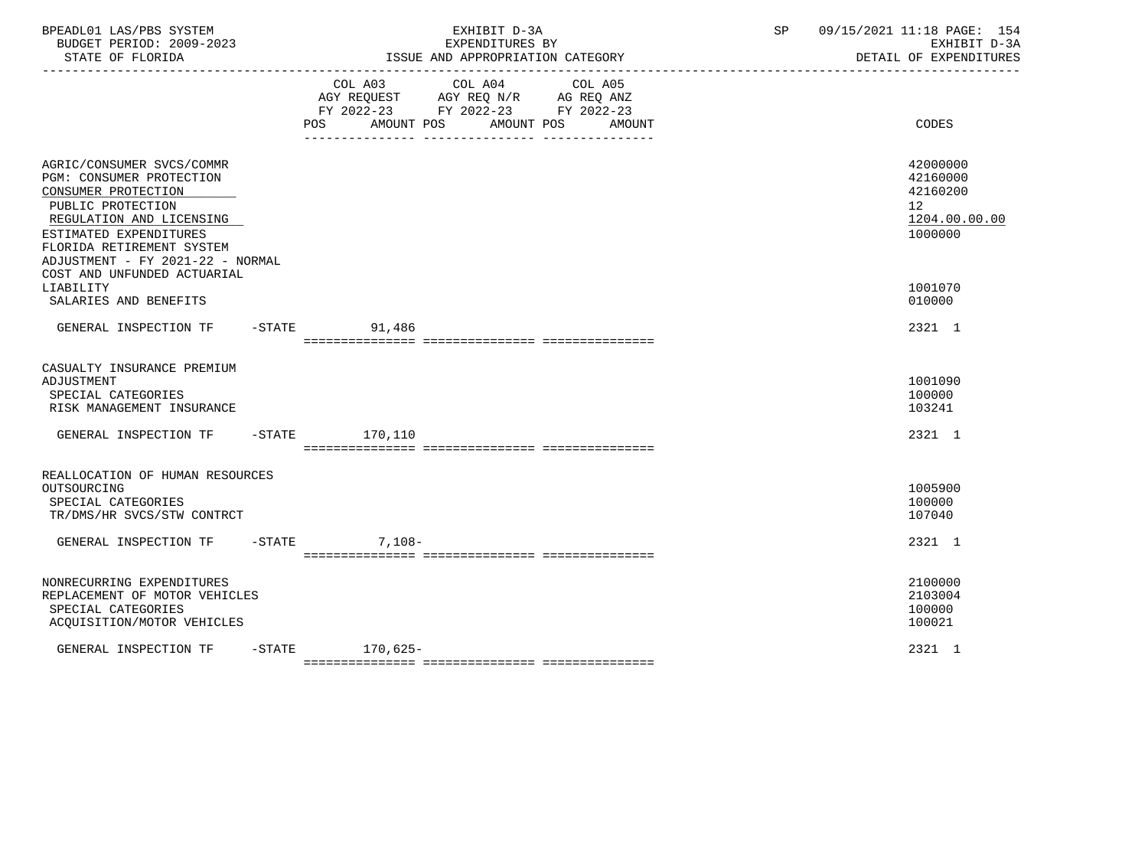| BPEADL01 LAS/PBS SYSTEM<br>BUDGET PERIOD: 2009-2023<br>STATE OF FLORIDA                                                                                                                                                                                 |                                      | EXHIBIT D-3A<br>EXPENDITURES BY<br>ISSUE AND APPROPRIATION CATEGORY               |                   | SP | 09/15/2021 11:18 PAGE: 154<br>EXHIBIT D-3A<br>DETAIL OF EXPENDITURES |
|---------------------------------------------------------------------------------------------------------------------------------------------------------------------------------------------------------------------------------------------------------|--------------------------------------|-----------------------------------------------------------------------------------|-------------------|----|----------------------------------------------------------------------|
|                                                                                                                                                                                                                                                         | COL A03<br>POS AMOUNT POS AMOUNT POS | COL A04<br>AGY REQUEST AGY REQ N/R AG REQ ANZ<br>FY 2022-23 FY 2022-23 FY 2022-23 | COL A05<br>AMOUNT |    | CODES                                                                |
| AGRIC/CONSUMER SVCS/COMMR<br>PGM: CONSUMER PROTECTION<br>CONSUMER PROTECTION<br>PUBLIC PROTECTION<br>REGULATION AND LICENSING<br>ESTIMATED EXPENDITURES<br>FLORIDA RETIREMENT SYSTEM<br>ADJUSTMENT - FY 2021-22 - NORMAL<br>COST AND UNFUNDED ACTUARIAL |                                      |                                                                                   |                   |    | 42000000<br>42160000<br>42160200<br>12<br>1204.00.00.00<br>1000000   |
| LIABILITY<br>SALARIES AND BENEFITS                                                                                                                                                                                                                      |                                      |                                                                                   |                   |    | 1001070<br>010000                                                    |
| GENERAL INSPECTION TF                                                                                                                                                                                                                                   | -STATE 91,486                        |                                                                                   |                   |    | 2321 1                                                               |
| CASUALTY INSURANCE PREMIUM<br>ADJUSTMENT<br>SPECIAL CATEGORIES<br>RISK MANAGEMENT INSURANCE                                                                                                                                                             |                                      |                                                                                   |                   |    | 1001090<br>100000<br>103241                                          |
| GENERAL INSPECTION TF                                                                                                                                                                                                                                   | $-STATE$ 170.110                     |                                                                                   |                   |    | 2321 1                                                               |
| REALLOCATION OF HUMAN RESOURCES<br>OUTSOURCING<br>SPECIAL CATEGORIES<br>TR/DMS/HR SVCS/STW CONTRCT                                                                                                                                                      |                                      |                                                                                   |                   |    | 1005900<br>100000<br>107040                                          |
| GENERAL INSPECTION TF                                                                                                                                                                                                                                   | $-STATE$ 7.108-                      |                                                                                   |                   |    | 2321 1                                                               |
| NONRECURRING EXPENDITURES<br>REPLACEMENT OF MOTOR VEHICLES<br>SPECIAL CATEGORIES<br>ACQUISITION/MOTOR VEHICLES                                                                                                                                          |                                      |                                                                                   |                   |    | 2100000<br>2103004<br>100000<br>100021                               |
| GENERAL INSPECTION TF                                                                                                                                                                                                                                   | -STATE 170,625-                      |                                                                                   |                   |    | 2321 1                                                               |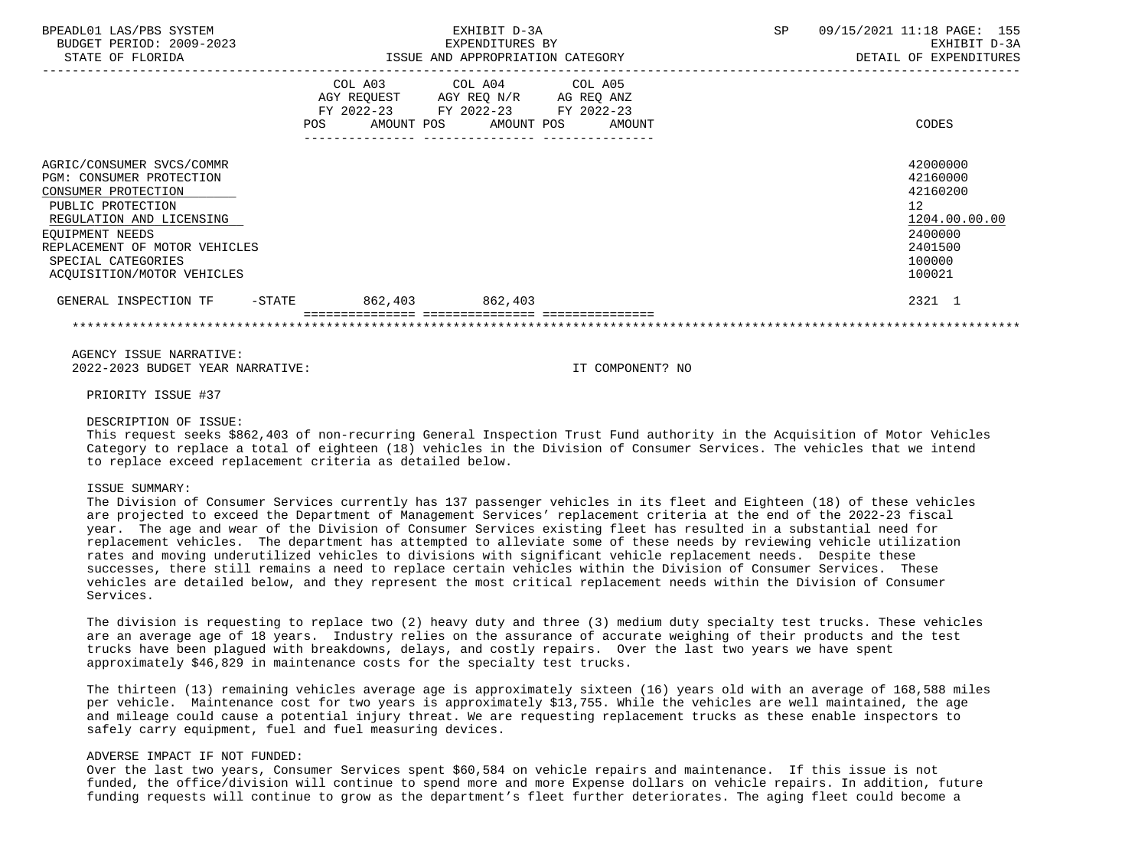| BPEADL01 LAS/PBS SYSTEM<br>BUDGET PERIOD: 2009-2023<br>STATE OF FLORIDA                                                                                                                                                               |     | EXHIBIT D-3A<br>EXPENDITURES BY<br>ISSUE AND APPROPRIATION CATEGORY                               |                              | SP | 09/15/2021 11:18 PAGE: 155<br>EXHIBIT D-3A<br>DETAIL OF EXPENDITURES                              |
|---------------------------------------------------------------------------------------------------------------------------------------------------------------------------------------------------------------------------------------|-----|---------------------------------------------------------------------------------------------------|------------------------------|----|---------------------------------------------------------------------------------------------------|
|                                                                                                                                                                                                                                       | POS | COL A03 COL A04 COL A05<br>AGY REQUEST AGY REQ N/R AG REQ ANZ<br>FY 2022-23 FY 2022-23 FY 2022-23 | AMOUNT POS AMOUNT POS AMOUNT |    | CODES                                                                                             |
| AGRIC/CONSUMER SVCS/COMMR<br>PGM: CONSUMER PROTECTION<br>CONSUMER PROTECTION<br>PUBLIC PROTECTION<br>REGULATION AND LICENSING<br>EOUIPMENT NEEDS<br>REPLACEMENT OF MOTOR VEHICLES<br>SPECIAL CATEGORIES<br>ACOUISITION/MOTOR VEHICLES |     |                                                                                                   |                              |    | 42000000<br>42160000<br>42160200<br>12<br>1204.00.00.00<br>2400000<br>2401500<br>100000<br>100021 |
| GENERAL INSPECTION TF - STATE 862,403 862,403                                                                                                                                                                                         |     |                                                                                                   |                              |    | 2321 1                                                                                            |
|                                                                                                                                                                                                                                       |     |                                                                                                   |                              |    |                                                                                                   |
| AGENCY ISSUE NARRATIVE:<br>2022-2023 BUDGET YEAR NARRATIVE:                                                                                                                                                                           |     |                                                                                                   | IT COMPONENT? NO             |    |                                                                                                   |

PRIORITY ISSUE #37

#### DESCRIPTION OF ISSUE:

 This request seeks \$862,403 of non-recurring General Inspection Trust Fund authority in the Acquisition of Motor Vehicles Category to replace a total of eighteen (18) vehicles in the Division of Consumer Services. The vehicles that we intend to replace exceed replacement criteria as detailed below.

## ISSUE SUMMARY:

 The Division of Consumer Services currently has 137 passenger vehicles in its fleet and Eighteen (18) of these vehicles are projected to exceed the Department of Management Services' replacement criteria at the end of the 2022-23 fiscal year. The age and wear of the Division of Consumer Services existing fleet has resulted in a substantial need for replacement vehicles. The department has attempted to alleviate some of these needs by reviewing vehicle utilization rates and moving underutilized vehicles to divisions with significant vehicle replacement needs. Despite these successes, there still remains a need to replace certain vehicles within the Division of Consumer Services. These vehicles are detailed below, and they represent the most critical replacement needs within the Division of Consumer Services.

 The division is requesting to replace two (2) heavy duty and three (3) medium duty specialty test trucks. These vehicles are an average age of 18 years. Industry relies on the assurance of accurate weighing of their products and the test trucks have been plagued with breakdowns, delays, and costly repairs. Over the last two years we have spent approximately \$46,829 in maintenance costs for the specialty test trucks.

 The thirteen (13) remaining vehicles average age is approximately sixteen (16) years old with an average of 168,588 miles per vehicle. Maintenance cost for two years is approximately \$13,755. While the vehicles are well maintained, the age and mileage could cause a potential injury threat. We are requesting replacement trucks as these enable inspectors to safely carry equipment, fuel and fuel measuring devices.

## ADVERSE IMPACT IF NOT FUNDED:

 Over the last two years, Consumer Services spent \$60,584 on vehicle repairs and maintenance. If this issue is not funded, the office/division will continue to spend more and more Expense dollars on vehicle repairs. In addition, future funding requests will continue to grow as the department's fleet further deteriorates. The aging fleet could become a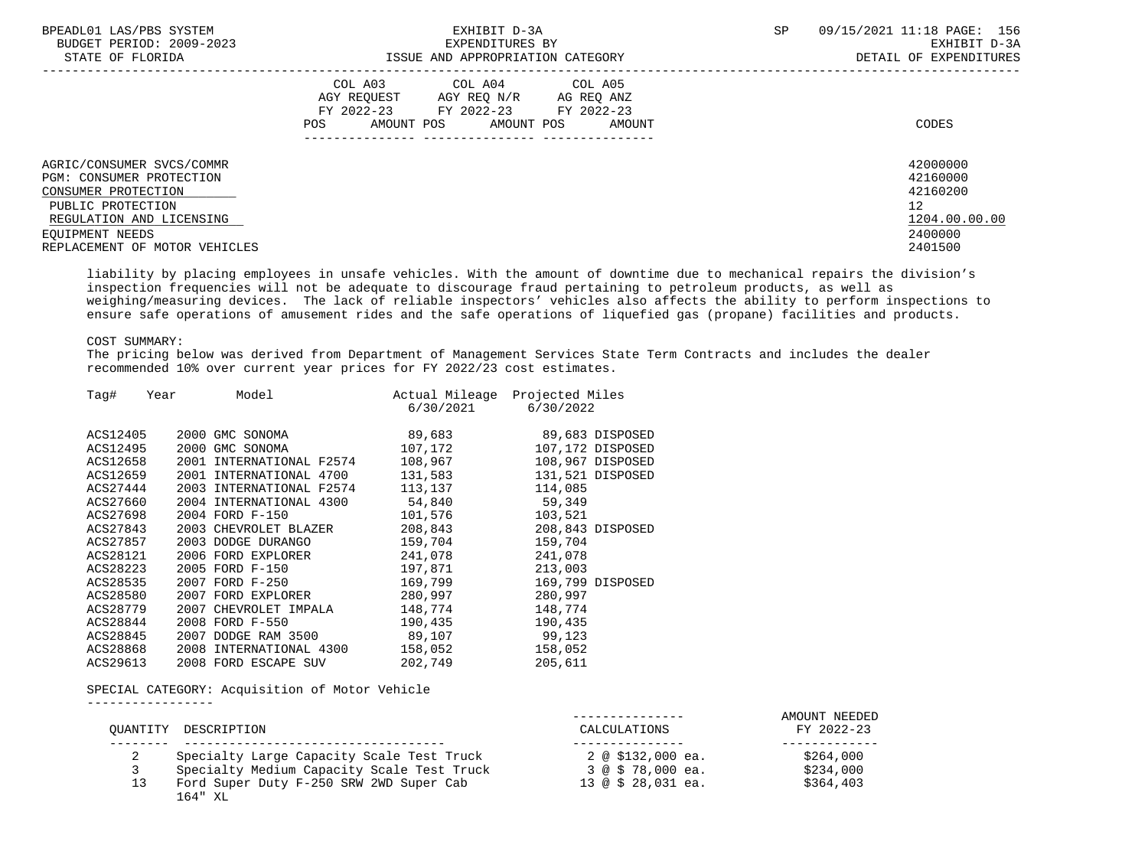| BPEADL01 LAS/PBS SYSTEM<br>BUDGET PERIOD: 2009-2023 | EXHIBIT D-3A<br>EXPENDITURES BY                                                                         | SP | 09/15/2021 11:18 PAGE: 156<br>EXHIBIT D-3A |
|-----------------------------------------------------|---------------------------------------------------------------------------------------------------------|----|--------------------------------------------|
| STATE OF FLORIDA                                    | ISSUE AND APPROPRIATION CATEGORY                                                                        |    | DETAIL OF EXPENDITURES                     |
|                                                     | COL A03 COL A04 COL A05<br>AGY REOUEST AGY REO N/R<br>AG REO ANZ<br>FY 2022-23 FY 2022-23<br>FY 2022-23 |    |                                            |
|                                                     | AMOUNT POS<br>AMOUNT POS<br>POS<br>AMOUNT                                                               |    | CODES                                      |
| AGRIC/CONSUMER SVCS/COMMR                           |                                                                                                         |    | 42000000                                   |
| PGM: CONSUMER PROTECTION                            |                                                                                                         |    | 42160000                                   |
| CONSUMER PROTECTION<br>PUBLIC PROTECTION            |                                                                                                         |    | 42160200<br>12                             |
| REGULATION AND LICENSING                            |                                                                                                         |    | 1204.00.00.00                              |
| EOUIPMENT NEEDS                                     |                                                                                                         |    | 2400000                                    |
| REPLACEMENT OF MOTOR VEHICLES                       |                                                                                                         |    | 2401500                                    |

 liability by placing employees in unsafe vehicles. With the amount of downtime due to mechanical repairs the division's inspection frequencies will not be adequate to discourage fraud pertaining to petroleum products, as well as weighing/measuring devices. The lack of reliable inspectors' vehicles also affects the ability to perform inspections to ensure safe operations of amusement rides and the safe operations of liquefied gas (propane) facilities and products.

COST SUMMARY:

 The pricing below was derived from Department of Management Services State Term Contracts and includes the dealer recommended 10% over current year prices for FY 2022/23 cost estimates.

| Taq#     | Year | Model                    | Actual Mileage Projected Miles |           |                  |
|----------|------|--------------------------|--------------------------------|-----------|------------------|
|          |      |                          | 6/30/2021                      | 6/30/2022 |                  |
| ACS12405 |      | 2000 GMC SONOMA          | 89,683                         |           | 89,683 DISPOSED  |
| ACS12495 |      | 2000 GMC SONOMA          | 107,172                        |           | 107,172 DISPOSED |
| ACS12658 |      | 2001 INTERNATIONAL F2574 | 108,967                        |           | 108,967 DISPOSED |
| ACS12659 |      | 2001 INTERNATIONAL 4700  | 131,583                        |           | 131,521 DISPOSED |
| ACS27444 |      | 2003 INTERNATIONAL F2574 | 113,137                        | 114,085   |                  |
| ACS27660 |      | 2004 INTERNATIONAL 4300  | 54,840                         | 59,349    |                  |
| ACS27698 |      | 2004 FORD F-150          | 101,576                        | 103,521   |                  |
| ACS27843 |      | 2003 CHEVROLET BLAZER    | 208,843                        |           | 208,843 DISPOSED |
| ACS27857 |      | 2003 DODGE DURANGO       | 159,704                        | 159,704   |                  |
| ACS28121 |      | 2006 FORD EXPLORER       | 241,078                        | 241,078   |                  |
| ACS28223 |      | 2005 FORD F-150          | 197,871                        | 213,003   |                  |
| ACS28535 |      | 2007 FORD F-250          | 169,799                        |           | 169,799 DISPOSED |
| ACS28580 |      | 2007 FORD EXPLORER       | 280,997                        | 280,997   |                  |
| ACS28779 |      | 2007 CHEVROLET IMPALA    | 148,774                        | 148,774   |                  |
| ACS28844 |      | 2008 FORD F-550          | 190,435                        | 190,435   |                  |
| ACS28845 |      | 2007 DODGE RAM 3500      | 89,107                         | 99,123    |                  |
| ACS28868 |      | 2008 INTERNATIONAL 4300  | 158,052                        | 158,052   |                  |
| ACS29613 |      | 2008 FORD ESCAPE SUV     | 202,749                        | 205,611   |                  |
|          |      |                          |                                |           |                  |

# SPECIAL CATEGORY: Acquisition of Motor Vehicle

-----------------

|    |                                            |                    | AMOUNT NEEDED<br>FY 2022-23 |
|----|--------------------------------------------|--------------------|-----------------------------|
|    | OUANTITY DESCRIPTION                       | CALCULATIONS       |                             |
|    | Specialty Large Capacity Scale Test Truck  | 2 @ \$132,000 ea.  | \$264,000                   |
|    | Specialty Medium Capacity Scale Test Truck | 3 @ \$ 78,000 ea.  | \$234,000                   |
| 13 | Ford Super Duty F-250 SRW 2WD Super Cab    | $13 @ $28,031$ ea. | \$364,403                   |

164" XL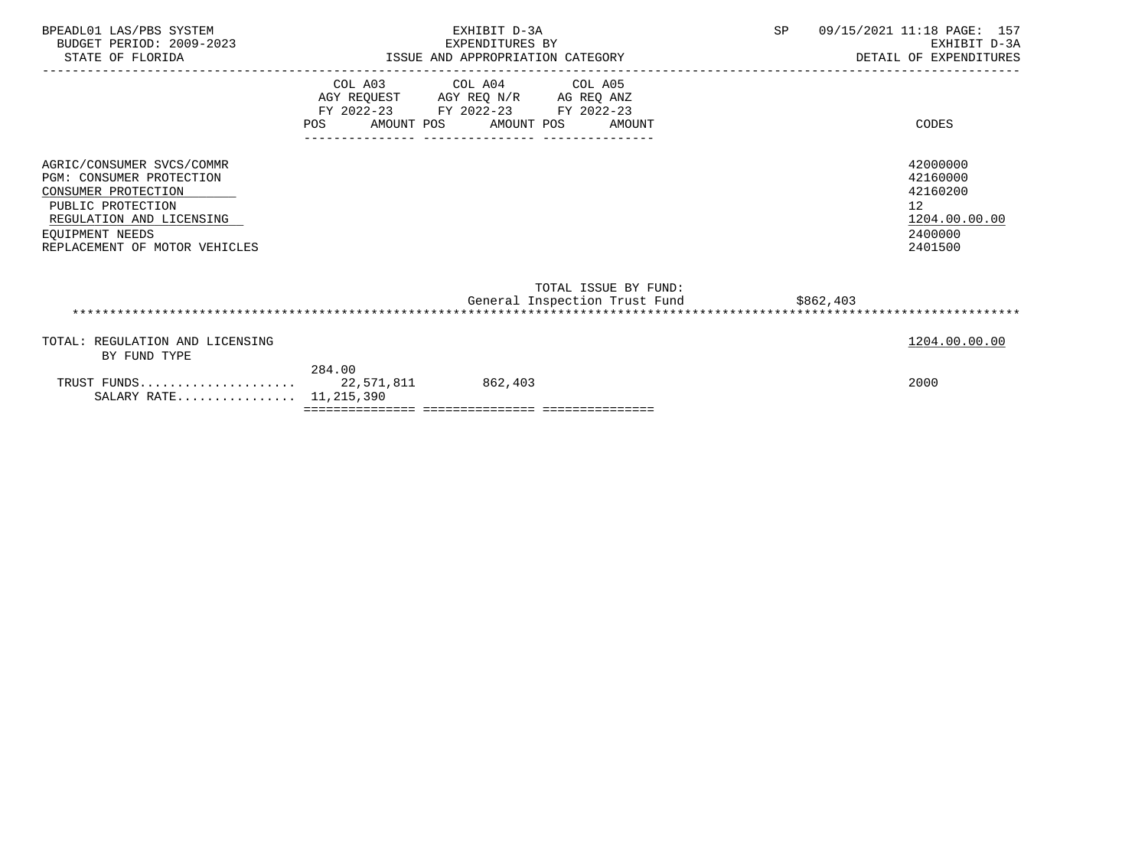|                                    | CODES                                                                                                                                                                                                     |
|------------------------------------|-----------------------------------------------------------------------------------------------------------------------------------------------------------------------------------------------------------|
|                                    | 42000000<br>42160000<br>42160200<br>12<br>1204.00.00.00<br>2400000<br>2401500                                                                                                                             |
|                                    |                                                                                                                                                                                                           |
|                                    | \$862,403                                                                                                                                                                                                 |
|                                    | 1204.00.00.00                                                                                                                                                                                             |
|                                    | 2000                                                                                                                                                                                                      |
| 284.00<br>SALARY RATE 11, 215, 390 | COL A03 COL A04 COL A05<br>AGY REQUEST AGY REQ N/R AG REQ ANZ<br>FY 2022-23 FY 2022-23 FY 2022-23<br>POS AMOUNT POS AMOUNT POS AMOUNT<br>TOTAL ISSUE BY FUND:<br>General Inspection Trust Fund<br>862,403 |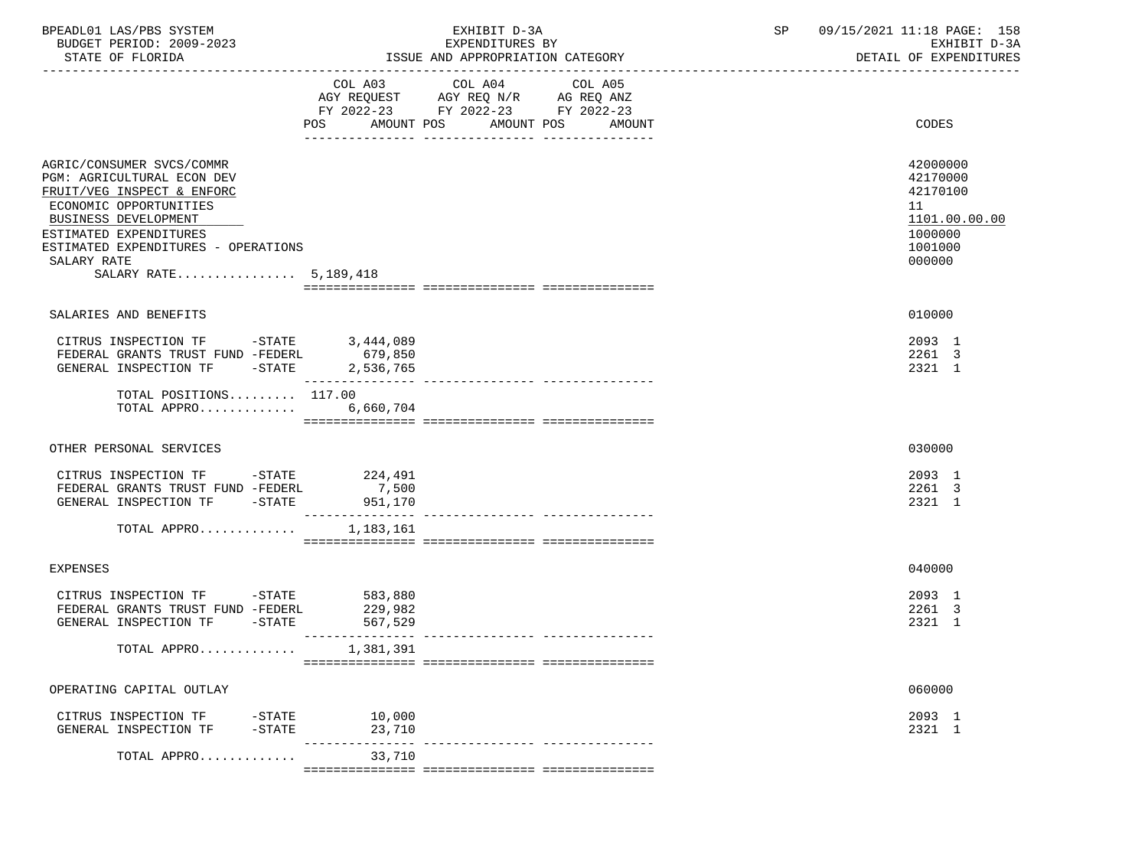| BPEADL01 LAS/PBS SYSTEM  | EXHIBIT D-3A                     | 09/15/2021 11:18 PAGE: 158 |
|--------------------------|----------------------------------|----------------------------|
| BUDGET PERIOD: 2009-2023 | EXPENDITURES BY                  | RXHIRIT D-3A               |
| STATE OF FLORIDA         | ISSUE AND APPROPRIATION CATEGORY | DETAIL OF EXPENDITURES     |

|                                                                                                                                                                                                                                                  | COL A03<br>AMOUNT POS<br>POS                          | COL A04<br>AGY REQUEST AGY REQ N/R AG REQ ANZ<br>FY 2022-23 FY 2022-23 FY 2022-23 | COL A05<br>AMOUNT POS<br>AMOUNT | <b>CODES</b>                                                                            |
|--------------------------------------------------------------------------------------------------------------------------------------------------------------------------------------------------------------------------------------------------|-------------------------------------------------------|-----------------------------------------------------------------------------------|---------------------------------|-----------------------------------------------------------------------------------------|
|                                                                                                                                                                                                                                                  |                                                       |                                                                                   |                                 |                                                                                         |
| AGRIC/CONSUMER SVCS/COMMR<br>PGM: AGRICULTURAL ECON DEV<br>FRUIT/VEG INSPECT & ENFORC<br>ECONOMIC OPPORTUNITIES<br>BUSINESS DEVELOPMENT<br>ESTIMATED EXPENDITURES<br>ESTIMATED EXPENDITURES - OPERATIONS<br>SALARY RATE<br>SALARY RATE 5,189,418 |                                                       |                                                                                   |                                 | 42000000<br>42170000<br>42170100<br>11<br>1101.00.00.00<br>1000000<br>1001000<br>000000 |
|                                                                                                                                                                                                                                                  |                                                       |                                                                                   |                                 |                                                                                         |
| SALARIES AND BENEFITS                                                                                                                                                                                                                            |                                                       |                                                                                   |                                 | 010000                                                                                  |
| CITRUS INSPECTION TF -STATE<br>FEDERAL GRANTS TRUST FUND -FEDERL<br>GENERAL INSPECTION TF -STATE                                                                                                                                                 | 3,444,089<br>679,850<br>2,536,765<br>________________ |                                                                                   |                                 | 2093 1<br>2261 3<br>2321 1                                                              |
| TOTAL POSITIONS 117.00<br>TOTAL APPRO 6,660,704                                                                                                                                                                                                  |                                                       |                                                                                   |                                 |                                                                                         |
| OTHER PERSONAL SERVICES                                                                                                                                                                                                                          |                                                       |                                                                                   |                                 | 030000                                                                                  |
| CITRUS INSPECTION TF -STATE<br>FEDERAL GRANTS TRUST FUND -FEDERL<br>GENERAL INSPECTION TF -STATE                                                                                                                                                 | 224,491<br>7,500<br>951,170                           |                                                                                   |                                 | 2093 1<br>2261 3<br>2321 1                                                              |
| TOTAL APPRO                                                                                                                                                                                                                                      | 1,183,161                                             |                                                                                   |                                 |                                                                                         |
| <b>EXPENSES</b>                                                                                                                                                                                                                                  |                                                       |                                                                                   |                                 | 040000                                                                                  |
| CITRUS INSPECTION TF -STATE<br>FEDERAL GRANTS TRUST FUND -FEDERL<br>GENERAL INSPECTION TF -STATE                                                                                                                                                 | 583,880<br>229,982<br>567,529<br>________________     |                                                                                   |                                 | 2093 1<br>2261 3<br>2321 1                                                              |
| TOTAL APPRO                                                                                                                                                                                                                                      | 1,381,391                                             |                                                                                   |                                 |                                                                                         |
| OPERATING CAPITAL OUTLAY                                                                                                                                                                                                                         |                                                       |                                                                                   |                                 | 060000                                                                                  |
| CITRUS INSPECTION TF -STATE 10,000<br>GENERAL INSPECTION TF                                                                                                                                                                                      | $-STATE$ 23,710                                       |                                                                                   |                                 | 2093 1<br>2321 1                                                                        |
| TOTAL APPRO $\ldots \ldots \ldots$ . 33,710                                                                                                                                                                                                      | ________________                                      |                                                                                   |                                 |                                                                                         |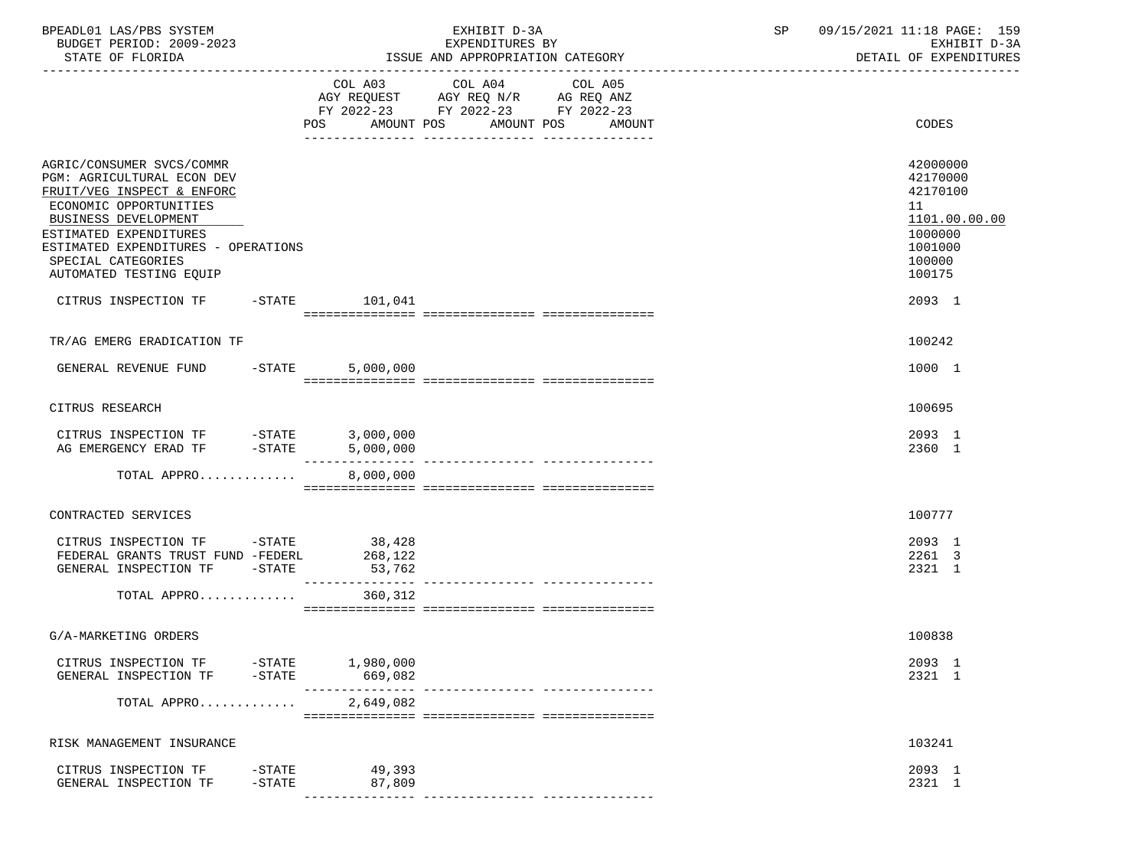| BPEADL01 LAS/PBS SYSTEM<br>BUDGET PERIOD: 2009-2023<br>STATE OF FLORIDA                                                                                                                                                                                                                                                                                                                                                                               | EXHIBIT D-3A<br>EXPENDITURES BY<br>ISSUE AND APPROPRIATION CATEGORY |  |                                                                                                                        |  |  |         | 09/15/2021 11:18 PAGE: 159<br>SP<br>EXHIBIT D-3A<br>DETAIL OF EXPENDITURES |  |  |                                                                                                                     |
|-------------------------------------------------------------------------------------------------------------------------------------------------------------------------------------------------------------------------------------------------------------------------------------------------------------------------------------------------------------------------------------------------------------------------------------------------------|---------------------------------------------------------------------|--|------------------------------------------------------------------------------------------------------------------------|--|--|---------|----------------------------------------------------------------------------|--|--|---------------------------------------------------------------------------------------------------------------------|
|                                                                                                                                                                                                                                                                                                                                                                                                                                                       |                                                                     |  | COL A03 COL A04<br>AGY REQUEST AGY REQ N/R AG REQ ANZ<br>FY 2022-23 FY 2022-23 FY 2022-23<br>POS AMOUNT POS AMOUNT POS |  |  | COL A05 | AMOUNT                                                                     |  |  | CODES                                                                                                               |
| AGRIC/CONSUMER SVCS/COMMR<br><b>PGM: AGRICULTURAL ECON DEV</b><br>FRUIT/VEG INSPECT & ENFORC<br>ECONOMIC OPPORTUNITIES<br>BUSINESS DEVELOPMENT<br>ESTIMATED EXPENDITURES<br>ESTIMATED EXPENDITURES - OPERATIONS<br>SPECIAL CATEGORIES<br>AUTOMATED TESTING EQUIP<br>CITRUS INSPECTION TF -STATE 101,041                                                                                                                                               |                                                                     |  |                                                                                                                        |  |  |         |                                                                            |  |  | 42000000<br>42170000<br>42170100<br>11<br>1101.00.00.00<br>1000000<br>1001000<br>100000<br>100175<br>$2093 \quad 1$ |
| TR/AG EMERG ERADICATION TF                                                                                                                                                                                                                                                                                                                                                                                                                            |                                                                     |  |                                                                                                                        |  |  |         |                                                                            |  |  | 100242                                                                                                              |
| GENERAL REVENUE FUND                                                                                                                                                                                                                                                                                                                                                                                                                                  | $-$ STATE                                                           |  | 5,000,000                                                                                                              |  |  |         |                                                                            |  |  | 1000 1                                                                                                              |
| CITRUS RESEARCH                                                                                                                                                                                                                                                                                                                                                                                                                                       |                                                                     |  |                                                                                                                        |  |  |         |                                                                            |  |  | 100695                                                                                                              |
| $\begin{tabular}{llllll} \multicolumn{2}{l}{{\small \tt CITRUS}} & \multicolumn{2}{l}{\small \tt INSPECTION} & \multicolumn{2}{l}{\small \tt TF} & \multicolumn{2}{l}{\small \tt -STATE} & \multicolumn{2}{l}{\small \tt 3,000,000} \\ \multicolumn{2}{l}{\tt AG} & \multicolumn{2}{l}{\tt EMERGENCY} & \multicolumn{2}{l}{\tt ERAD} & \multicolumn{2}{l}{\tt TF} & \multicolumn{2}{l}{\tt -STATE} & \multicolumn{2}{l}{\tt 5,000,000} \end{tabular}$ |                                                                     |  |                                                                                                                        |  |  |         |                                                                            |  |  | 2093 1<br>2360 1                                                                                                    |
| TOTAL APPRO                                                                                                                                                                                                                                                                                                                                                                                                                                           |                                                                     |  | 8,000,000                                                                                                              |  |  |         |                                                                            |  |  |                                                                                                                     |
| CONTRACTED SERVICES                                                                                                                                                                                                                                                                                                                                                                                                                                   |                                                                     |  |                                                                                                                        |  |  |         |                                                                            |  |  | 100777                                                                                                              |
| CITRUS INSPECTION TF $-$ STATE 38,428<br>FEDERAL GRANTS TRUST FUND -FEDERL<br>GENERAL INSPECTION TF -STATE                                                                                                                                                                                                                                                                                                                                            |                                                                     |  | 268,122<br>53,762                                                                                                      |  |  |         |                                                                            |  |  | 2093 1<br>2261 3<br>2321 1                                                                                          |
| TOTAL APPRO                                                                                                                                                                                                                                                                                                                                                                                                                                           |                                                                     |  | 360,312                                                                                                                |  |  |         |                                                                            |  |  |                                                                                                                     |
| G/A-MARKETING ORDERS                                                                                                                                                                                                                                                                                                                                                                                                                                  |                                                                     |  |                                                                                                                        |  |  |         |                                                                            |  |  | 100838                                                                                                              |
| CITRUS INSPECTION TF<br>GENERAL INSPECTION TF                                                                                                                                                                                                                                                                                                                                                                                                         | $-\mathtt{STATE}$<br>$-$ STATE                                      |  | 1,980,000<br>669,082                                                                                                   |  |  |         |                                                                            |  |  | 2093 1<br>2321 1                                                                                                    |
| TOTAL APPRO                                                                                                                                                                                                                                                                                                                                                                                                                                           |                                                                     |  | 2,649,082                                                                                                              |  |  |         |                                                                            |  |  |                                                                                                                     |
| RISK MANAGEMENT INSURANCE                                                                                                                                                                                                                                                                                                                                                                                                                             |                                                                     |  |                                                                                                                        |  |  |         |                                                                            |  |  | 103241                                                                                                              |
| CITRUS INSPECTION TF<br>GENERAL INSPECTION TF                                                                                                                                                                                                                                                                                                                                                                                                         | $-$ STATE<br>$-$ STATE                                              |  | 49,393<br>87,809                                                                                                       |  |  |         |                                                                            |  |  | 2093 1<br>2321 1                                                                                                    |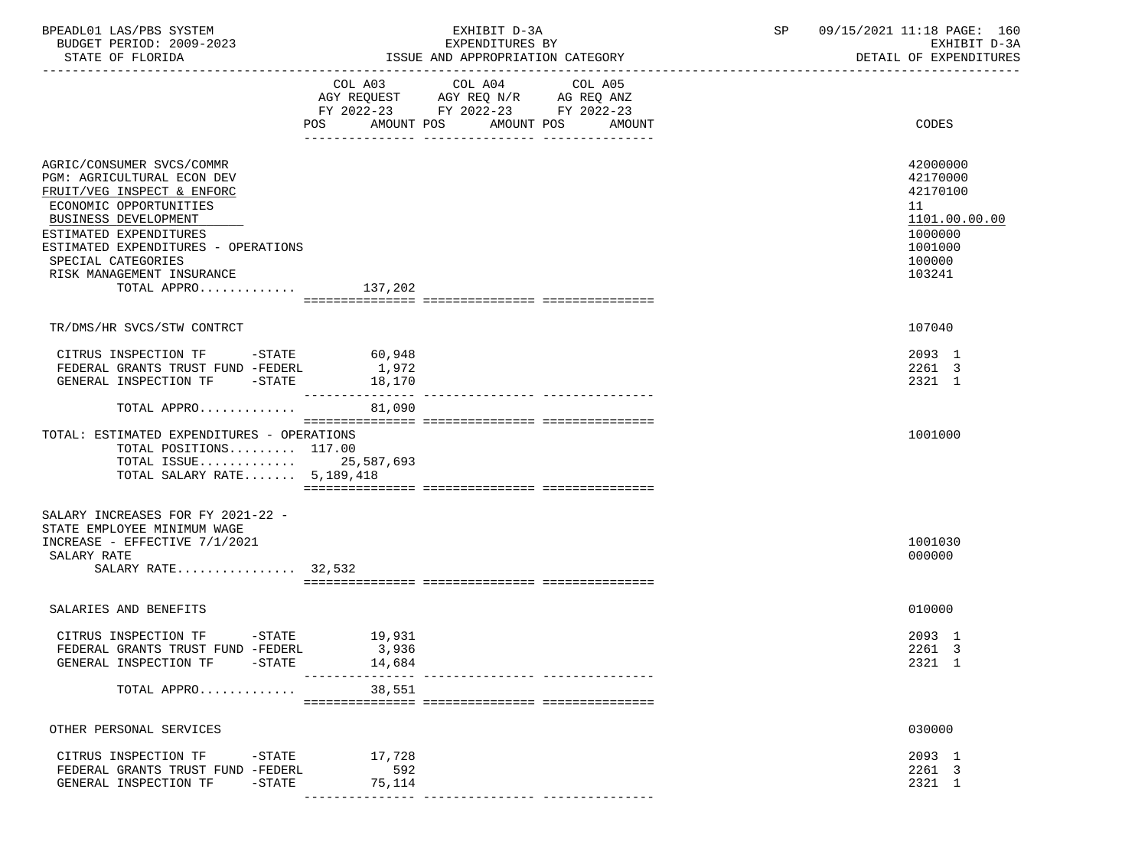| BPEADL01 LAS/PBS SYSTEM |                          |
|-------------------------|--------------------------|
|                         | BUDGET PERIOD: 2009-2023 |

-----------------------------------------------------------------------------------------------------------------------------------

|                                                                                                                                                                                                                                                                                      | COL A03<br>AGY REQUEST<br>FY 2022-23<br>POS.<br>AMOUNT POS | COL A04<br>AGY REQ N/R<br>FY 2022-23 FY 2022-23<br>AMOUNT POS | COL A05<br>AG REQ ANZ<br>AMOUNT | <b>CODES</b>                                                                                      |
|--------------------------------------------------------------------------------------------------------------------------------------------------------------------------------------------------------------------------------------------------------------------------------------|------------------------------------------------------------|---------------------------------------------------------------|---------------------------------|---------------------------------------------------------------------------------------------------|
| AGRIC/CONSUMER SVCS/COMMR<br>PGM: AGRICULTURAL ECON DEV<br>FRUIT/VEG INSPECT & ENFORC<br>ECONOMIC OPPORTUNITIES<br>BUSINESS DEVELOPMENT<br>ESTIMATED EXPENDITURES<br>ESTIMATED EXPENDITURES - OPERATIONS<br>SPECIAL CATEGORIES<br>RISK MANAGEMENT INSURANCE<br>TOTAL APPRO $137,202$ |                                                            |                                                               |                                 | 42000000<br>42170000<br>42170100<br>11<br>1101.00.00.00<br>1000000<br>1001000<br>100000<br>103241 |
|                                                                                                                                                                                                                                                                                      |                                                            |                                                               |                                 |                                                                                                   |
| TR/DMS/HR SVCS/STW CONTRCT                                                                                                                                                                                                                                                           |                                                            |                                                               |                                 | 107040                                                                                            |
| CITRUS INSPECTION TF -STATE<br>FEDERAL GRANTS TRUST FUND -FEDERL<br>GENERAL INSPECTION TF<br>$-$ STATE                                                                                                                                                                               | 60,948<br>1,972<br>18,170<br>_______________               |                                                               |                                 | 2093 1<br>2261 3<br>2321 1                                                                        |
| TOTAL APPRO                                                                                                                                                                                                                                                                          | 81,090                                                     |                                                               |                                 |                                                                                                   |
| TOTAL: ESTIMATED EXPENDITURES - OPERATIONS<br>TOTAL POSITIONS 117.00<br>TOTAL ISSUE 25,587,693<br>TOTAL SALARY RATE $5,189,418$                                                                                                                                                      |                                                            |                                                               |                                 | 1001000                                                                                           |
| SALARY INCREASES FOR FY 2021-22 -<br>STATE EMPLOYEE MINIMUM WAGE<br>INCREASE - EFFECTIVE 7/1/2021<br>SALARY RATE                                                                                                                                                                     |                                                            |                                                               |                                 | 1001030<br>000000                                                                                 |
| SALARY RATE 32,532                                                                                                                                                                                                                                                                   |                                                            |                                                               |                                 |                                                                                                   |
| SALARIES AND BENEFITS                                                                                                                                                                                                                                                                |                                                            |                                                               |                                 | 010000                                                                                            |
| CITRUS INSPECTION TF<br>FEDERAL GRANTS TRUST FUND -FEDERL<br>GENERAL INSPECTION TF<br>-STATE                                                                                                                                                                                         | $-STATE$ 19,931<br>3,936<br>14,684                         |                                                               |                                 | 2093 1<br>2261 3<br>2321 1                                                                        |
| TOTAL APPRO                                                                                                                                                                                                                                                                          | _______________<br>38,551                                  |                                                               |                                 |                                                                                                   |
| OTHER PERSONAL SERVICES                                                                                                                                                                                                                                                              |                                                            |                                                               |                                 | 030000                                                                                            |
| CITRUS INSPECTION TF<br>$-$ STATE<br>FEDERAL GRANTS TRUST FUND -FEDERL<br>$-STATE$<br>GENERAL INSPECTION TF                                                                                                                                                                          | 17,728<br>592<br>75,114                                    |                                                               |                                 | 2093 1<br>2261 3<br>2321 1                                                                        |

--------------- --------------- ---------------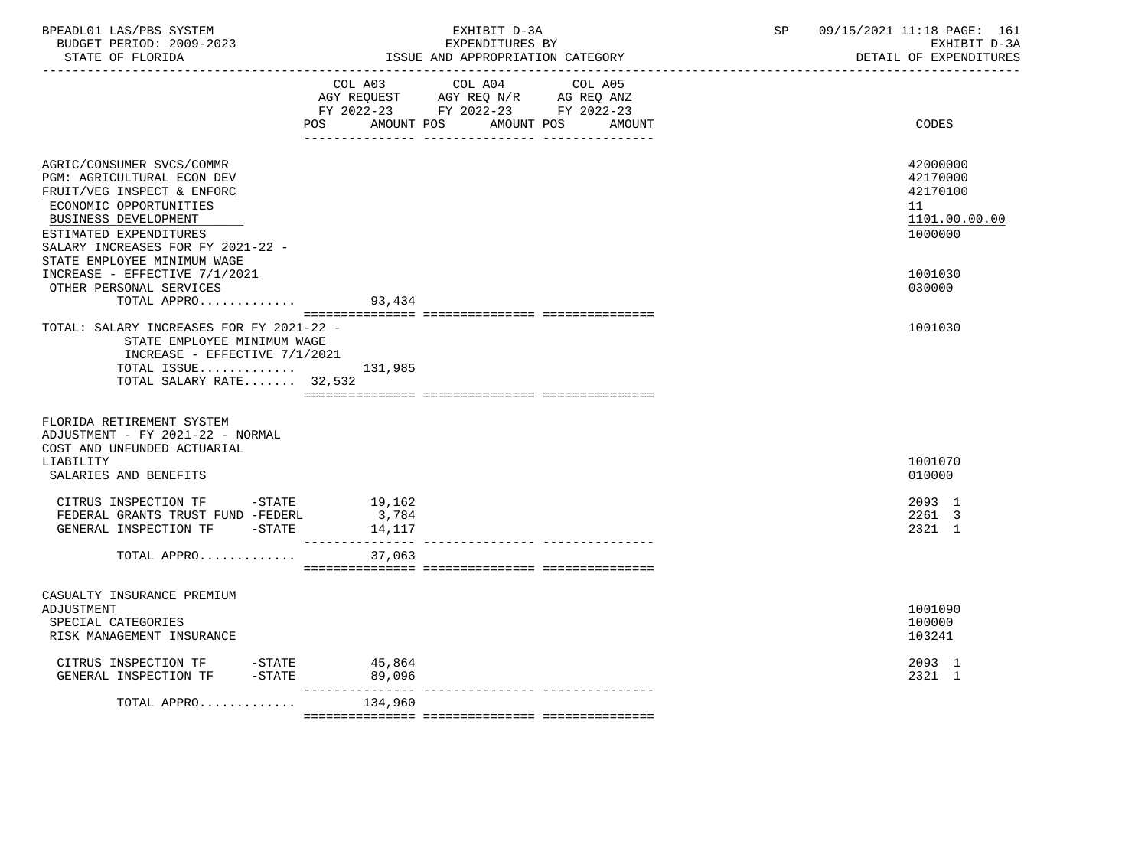| BPEADL01 LAS/PBS SYSTEM<br>BUDGET PERIOD: 2009-2023<br>STATE OF FLORIDA<br>------------------                                                                                                          | EXHIBIT D-3A<br>EXPENDITURES BY<br>ISSUE AND APPROPRIATION CATEGORY                                                            | SP     | 09/15/2021 11:18 PAGE: 161<br>EXHIBIT D-3A<br>DETAIL OF EXPENDITURES |
|--------------------------------------------------------------------------------------------------------------------------------------------------------------------------------------------------------|--------------------------------------------------------------------------------------------------------------------------------|--------|----------------------------------------------------------------------|
|                                                                                                                                                                                                        | COL A03 COL A04 COL A05<br>AGY REQUEST AGY REQ N/R AG REQ ANZ<br>FY 2022-23 FY 2022-23 FY 2022-23<br>POS AMOUNT POS AMOUNT POS | AMOUNT | CODES                                                                |
| AGRIC/CONSUMER SVCS/COMMR<br>PGM: AGRICULTURAL ECON DEV<br>FRUIT/VEG INSPECT & ENFORC<br>ECONOMIC OPPORTUNITIES<br>BUSINESS DEVELOPMENT<br>ESTIMATED EXPENDITURES<br>SALARY INCREASES FOR FY 2021-22 - |                                                                                                                                |        | 42000000<br>42170000<br>42170100<br>11<br>1101.00.00.00<br>1000000   |
| STATE EMPLOYEE MINIMUM WAGE<br>INCREASE - EFFECTIVE 7/1/2021<br>OTHER PERSONAL SERVICES<br>TOTAL APPRO                                                                                                 | 93,434                                                                                                                         |        | 1001030<br>030000                                                    |
| TOTAL: SALARY INCREASES FOR FY 2021-22 -<br>STATE EMPLOYEE MINIMUM WAGE<br>INCREASE - EFFECTIVE 7/1/2021<br>TOTAL ISSUE $131,985$<br>TOTAL SALARY RATE 32,532                                          |                                                                                                                                |        | 1001030                                                              |
| FLORIDA RETIREMENT SYSTEM<br>ADJUSTMENT - FY 2021-22 - NORMAL<br>COST AND UNFUNDED ACTUARIAL<br>LIABILITY<br>SALARIES AND BENEFITS                                                                     |                                                                                                                                |        | 1001070<br>010000                                                    |
| CITRUS INSPECTION TF -STATE<br>FEDERAL GRANTS TRUST FUND -FEDERL<br>GENERAL INSPECTION TF -STATE<br>TOTAL APPRO                                                                                        | 19,162<br>3,784<br>14,117<br>________________<br>37,063                                                                        |        | 2093 1<br>2261 3<br>2321 1                                           |
| CASUALTY INSURANCE PREMIUM<br>ADJUSTMENT<br>SPECIAL CATEGORIES<br>RISK MANAGEMENT INSURANCE                                                                                                            |                                                                                                                                |        | 1001090<br>100000<br>103241                                          |
| CITRUS INSPECTION TF -STATE 45,864<br>$-$ STATE<br>GENERAL INSPECTION TF                                                                                                                               | 89,096<br>---------                                                                                                            |        | 2093 1<br>2321 1                                                     |
| TOTAL APPRO                                                                                                                                                                                            | 134,960                                                                                                                        |        |                                                                      |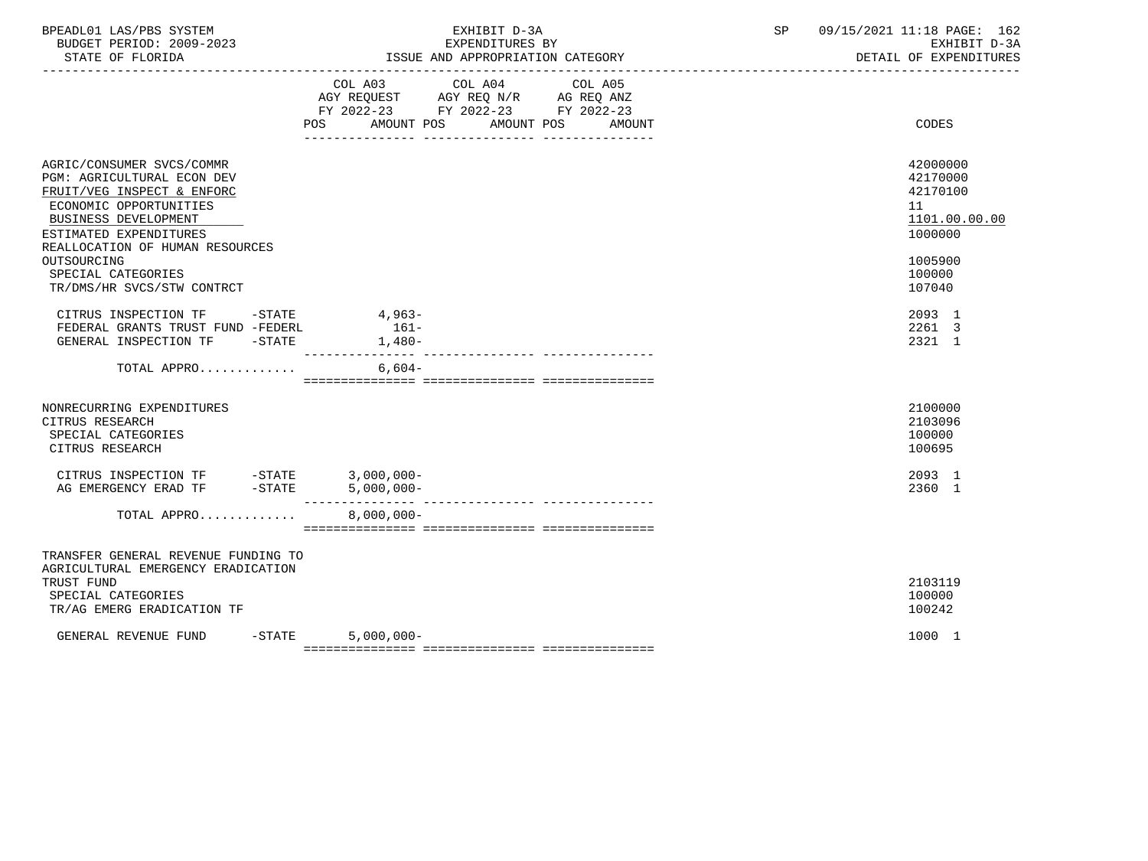| BPEADL01 LAS/PBS SYSTEM |                          |
|-------------------------|--------------------------|
|                         | BUDGET PERIOD: 2009-2023 |

|                                     |          | COL A03                   | COL A04                            | COL A05 |               |
|-------------------------------------|----------|---------------------------|------------------------------------|---------|---------------|
|                                     |          |                           | AGY REQUEST AGY REQ N/R AG REQ ANZ |         |               |
|                                     |          | POS AMOUNT POS AMOUNT POS | FY 2022-23 FY 2022-23 FY 2022-23   | AMOUNT  | CODES         |
|                                     |          |                           |                                    |         |               |
|                                     |          |                           |                                    |         |               |
| AGRIC/CONSUMER SVCS/COMMR           |          |                           |                                    |         | 42000000      |
| PGM: AGRICULTURAL ECON DEV          |          |                           |                                    |         | 42170000      |
| FRUIT/VEG INSPECT & ENFORC          |          |                           |                                    |         | 42170100      |
| ECONOMIC OPPORTUNITIES              |          |                           |                                    |         | 11            |
| BUSINESS DEVELOPMENT                |          |                           |                                    |         | 1101.00.00.00 |
| ESTIMATED EXPENDITURES              |          |                           |                                    |         | 1000000       |
| REALLOCATION OF HUMAN RESOURCES     |          |                           |                                    |         |               |
| OUTSOURCING                         |          |                           |                                    |         | 1005900       |
| SPECIAL CATEGORIES                  |          |                           |                                    |         | 100000        |
| TR/DMS/HR SVCS/STW CONTRCT          |          |                           |                                    |         | 107040        |
| CITRUS INSPECTION TF -STATE         |          | 4,963-                    |                                    |         | 2093 1        |
| FEDERAL GRANTS TRUST FUND -FEDERL   |          | $161-$                    |                                    |         | 2261 3        |
| GENERAL INSPECTION TF -STATE        |          | 1,480-                    |                                    |         | 2321 1        |
|                                     |          | ------- -                 |                                    |         |               |
| TOTAL APPRO                         |          | $6,604-$                  |                                    |         |               |
|                                     |          |                           |                                    |         |               |
| NONRECURRING EXPENDITURES           |          |                           |                                    |         | 2100000       |
| CITRUS RESEARCH                     |          |                           |                                    |         | 2103096       |
| SPECIAL CATEGORIES                  |          |                           |                                    |         | 100000        |
| CITRUS RESEARCH                     |          |                           |                                    |         | 100695        |
|                                     |          |                           |                                    |         |               |
|                                     |          |                           |                                    |         | 2093 1        |
|                                     |          |                           |                                    |         | 2360 1        |
| TOTAL APPRO                         |          | $8,000,000-$              |                                    |         |               |
|                                     |          |                           |                                    |         |               |
| TRANSFER GENERAL REVENUE FUNDING TO |          |                           |                                    |         |               |
| AGRICULTURAL EMERGENCY ERADICATION  |          |                           |                                    |         |               |
| TRUST FUND                          |          |                           |                                    |         | 2103119       |
| SPECIAL CATEGORIES                  |          |                           |                                    |         | 100000        |
| TR/AG EMERG ERADICATION TF          |          |                           |                                    |         | 100242        |
| GENERAL REVENUE FUND                | $-STATE$ | $5,000,000 -$             |                                    |         | 1000 1        |
|                                     |          |                           |                                    |         |               |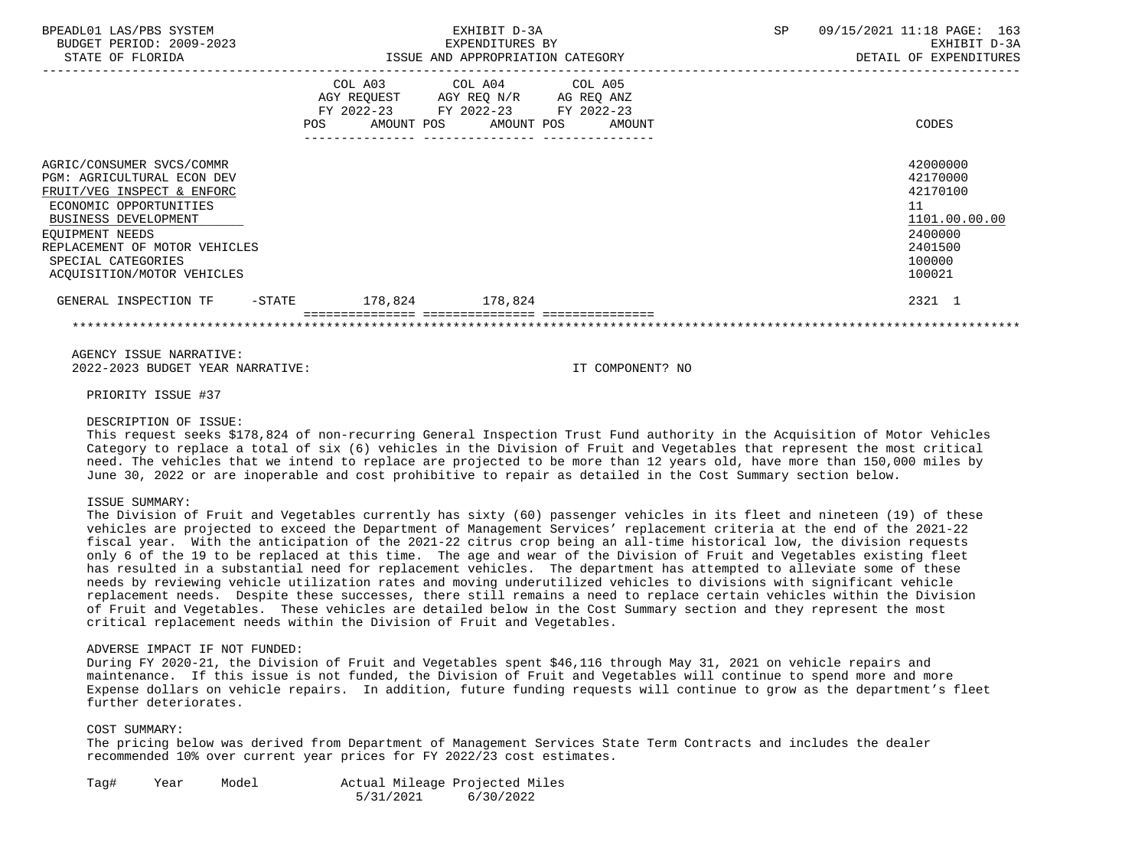| BPEADL01 LAS/PBS SYSTEM<br>BUDGET PERIOD: 2009-2023<br>STATE OF FLORIDA                                                                                                                                                                                | EXHIBIT D-3A<br>EXPENDITURES BY<br>ISSUE AND APPROPRIATION CATEGORY                                                                   | SP | 09/15/2021 11:18 PAGE: 163<br>EXHIBIT D-3A<br>DETAIL OF EXPENDITURES                              |
|--------------------------------------------------------------------------------------------------------------------------------------------------------------------------------------------------------------------------------------------------------|---------------------------------------------------------------------------------------------------------------------------------------|----|---------------------------------------------------------------------------------------------------|
|                                                                                                                                                                                                                                                        | COL A03 COL A04 COL A05<br>AGY REQUEST AGY REQ N/R AG REQ ANZ<br>FY 2022-23 FY 2022-23 FY 2022-23<br>POS AMOUNT POS AMOUNT POS AMOUNT |    | CODES                                                                                             |
| AGRIC/CONSUMER SVCS/COMMR<br><b>PGM: AGRICULTURAL ECON DEV</b><br>FRUIT/VEG INSPECT & ENFORC<br>ECONOMIC OPPORTUNITIES<br>BUSINESS DEVELOPMENT<br>EQUIPMENT NEEDS<br>REPLACEMENT OF MOTOR VEHICLES<br>SPECIAL CATEGORIES<br>ACQUISITION/MOTOR VEHICLES |                                                                                                                                       |    | 42000000<br>42170000<br>42170100<br>11<br>1101.00.00.00<br>2400000<br>2401500<br>100000<br>100021 |
| GENERAL INSPECTION TF -STATE                                                                                                                                                                                                                           | 178,824 178,824                                                                                                                       |    | 2321 1                                                                                            |
|                                                                                                                                                                                                                                                        |                                                                                                                                       |    |                                                                                                   |
| AGENCY ISSUE NARRATIVE:                                                                                                                                                                                                                                |                                                                                                                                       |    |                                                                                                   |

2022-2023 BUDGET YEAR NARRATIVE: IT COMPONENT? NO

PRIORITY ISSUE #37

# DESCRIPTION OF ISSUE:

 This request seeks \$178,824 of non-recurring General Inspection Trust Fund authority in the Acquisition of Motor Vehicles Category to replace a total of six (6) vehicles in the Division of Fruit and Vegetables that represent the most critical need. The vehicles that we intend to replace are projected to be more than 12 years old, have more than 150,000 miles by June 30, 2022 or are inoperable and cost prohibitive to repair as detailed in the Cost Summary section below.

#### ISSUE SUMMARY:

 The Division of Fruit and Vegetables currently has sixty (60) passenger vehicles in its fleet and nineteen (19) of these vehicles are projected to exceed the Department of Management Services' replacement criteria at the end of the 2021-22 fiscal year. With the anticipation of the 2021-22 citrus crop being an all-time historical low, the division requests only 6 of the 19 to be replaced at this time. The age and wear of the Division of Fruit and Vegetables existing fleet has resulted in a substantial need for replacement vehicles. The department has attempted to alleviate some of these needs by reviewing vehicle utilization rates and moving underutilized vehicles to divisions with significant vehicle replacement needs. Despite these successes, there still remains a need to replace certain vehicles within the Division of Fruit and Vegetables. These vehicles are detailed below in the Cost Summary section and they represent the most critical replacement needs within the Division of Fruit and Vegetables.

#### ADVERSE IMPACT IF NOT FUNDED:

 During FY 2020-21, the Division of Fruit and Vegetables spent \$46,116 through May 31, 2021 on vehicle repairs and maintenance. If this issue is not funded, the Division of Fruit and Vegetables will continue to spend more and more Expense dollars on vehicle repairs. In addition, future funding requests will continue to grow as the department's fleet further deteriorates.

# COST SUMMARY:

 The pricing below was derived from Department of Management Services State Term Contracts and includes the dealer recommended 10% over current year prices for FY 2022/23 cost estimates.

| Taq# | Year | Model |           | Actual Mileage Projected Miles |
|------|------|-------|-----------|--------------------------------|
|      |      |       | 5/31/2021 | 6/30/2022                      |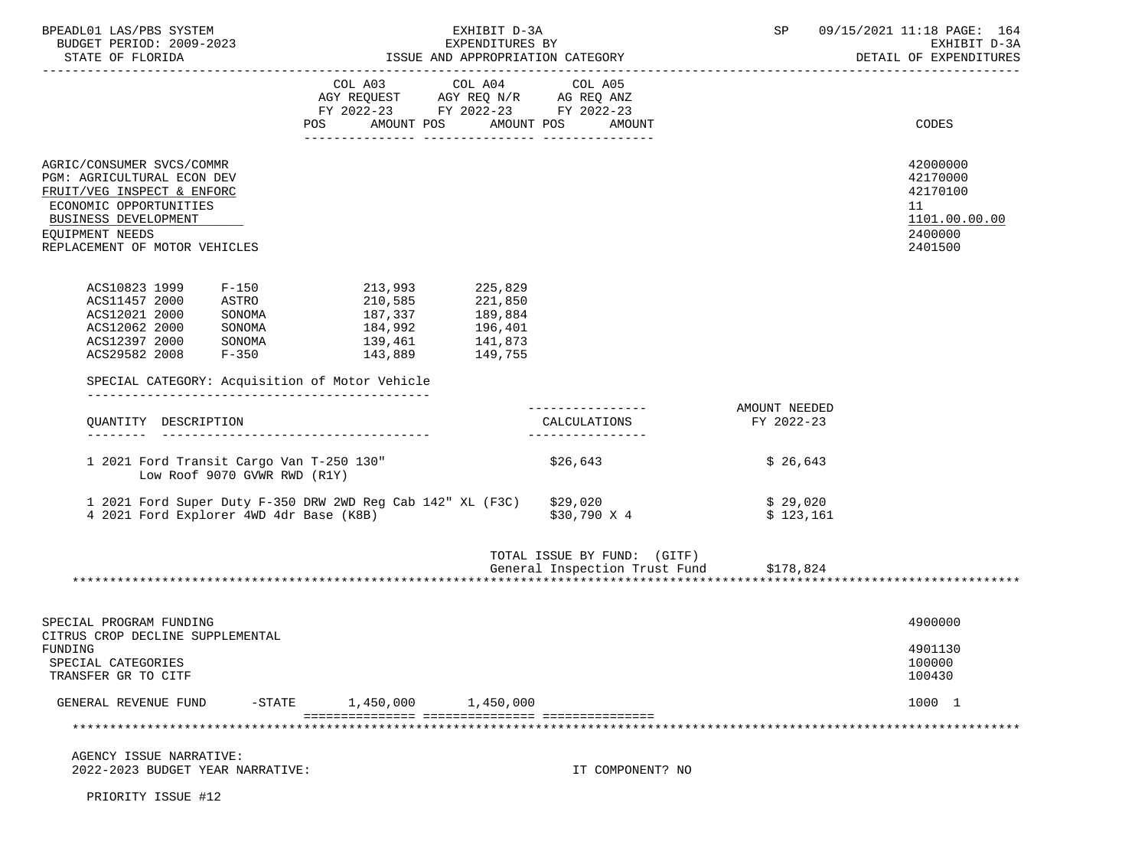| BPEADL01 LAS/PBS SYSTEM<br>BUDGET PERIOD: 2009-2023<br>STATE OF FLORIDA                                                                                                                                                                                                                                                 |                                                                                                                                                                                                                                                                                     | EXHIBIT D-3A<br>EXPENDITURES BY<br>EAPENDLITION CATEGORY<br>ISSUE AND APPROPRIATION CATEGORY |                                         | SP 09/15/2021 11:18 PAGE: 164<br>EXHIBIT D-3A<br>DETAIL OF EXPENDITURES       |
|-------------------------------------------------------------------------------------------------------------------------------------------------------------------------------------------------------------------------------------------------------------------------------------------------------------------------|-------------------------------------------------------------------------------------------------------------------------------------------------------------------------------------------------------------------------------------------------------------------------------------|----------------------------------------------------------------------------------------------|-----------------------------------------|-------------------------------------------------------------------------------|
|                                                                                                                                                                                                                                                                                                                         | $\begin{tabular}{lllllllll} COL & A03 & \multicolumn{2}{l}COL & A04 & \multicolumn{2}{l}COL & A05 \\ AGY & REQUEST & \multicolumn{2}{l}AGY & REQ & N/R & \multicolumn{2}{l}AG & REQ & ANZ \\ \end{tabular}$<br>FY 2022-23 FY 2022-23 FY 2022-23<br>POS AMOUNT POS AMOUNT POS AMOUNT |                                                                                              |                                         | CODES                                                                         |
| AGRIC/CONSUMER SVCS/COMMR<br>PGM: AGRICULTURAL ECON DEV<br>FRUIT/VEG INSPECT & ENFORC<br>ECONOMIC OPPORTUNITIES<br>BUSINESS DEVELOPMENT<br>EQUIPMENT NEEDS<br>REPLACEMENT OF MOTOR VEHICLES                                                                                                                             |                                                                                                                                                                                                                                                                                     |                                                                                              |                                         | 42000000<br>42170000<br>42170100<br>11<br>1101.00.00.00<br>2400000<br>2401500 |
| ACS10823 1999 F-150 213,993 225,829<br>ACS11457 2000<br>ACS12021 2000<br>SONOMA<br>ACS12062 2000<br>$\begin{array}{cccc} \texttt{ACS12397} & 2000 & \texttt{SONOMA} & 139,461 & 141,873 \\ \texttt{ACS29582} & 2008 & \texttt{F}-350 & 143,889 & 149,755 \end{array}$<br>SPECIAL CATEGORY: Acquisition of Motor Vehicle | ASTRO 210,585 221,850<br>SONOMA 187,337 189,884<br>SONOMA 184,992 196,401                                                                                                                                                                                                           |                                                                                              |                                         |                                                                               |
| QUANTITY DESCRIPTION                                                                                                                                                                                                                                                                                                    |                                                                                                                                                                                                                                                                                     | ----------------<br>CALCULATIONS<br>________________                                         | AMOUNT NEEDED<br>FY 2022-23             |                                                                               |
| 1 2021 Ford Transit Cargo Van T-250 130"<br>Low Roof 9070 GVWR RWD (R1Y)                                                                                                                                                                                                                                                |                                                                                                                                                                                                                                                                                     | \$26,643                                                                                     | \$26,643                                |                                                                               |
| 1 2021 Ford Super Duty F-350 DRW 2WD Reg Cab 142" XL (F3C) \$29,020<br>4 2021 Ford Explorer 4WD 4dr Base (K8B)                                                                                                                                                                                                          |                                                                                                                                                                                                                                                                                     | \$30,790 X 4                                                                                 | \$29,020<br>\$123,161                   |                                                                               |
|                                                                                                                                                                                                                                                                                                                         |                                                                                                                                                                                                                                                                                     | TOTAL ISSUE BY FUND: (GITF)                                                                  | General Inspection Trust Fund \$178,824 |                                                                               |
| SPECIAL PROGRAM FUNDING<br>CITRUS CROP DECLINE SUPPLEMENTAL                                                                                                                                                                                                                                                             |                                                                                                                                                                                                                                                                                     |                                                                                              |                                         | 4900000                                                                       |
| FUNDING<br>SPECIAL CATEGORIES<br>TRANSFER GR TO CITF                                                                                                                                                                                                                                                                    |                                                                                                                                                                                                                                                                                     |                                                                                              |                                         | 4901130<br>100000<br>100430                                                   |
| GENERAL REVENUE FUND<br>$-$ STATE                                                                                                                                                                                                                                                                                       | 1,450,000 1,450,000                                                                                                                                                                                                                                                                 |                                                                                              |                                         | 1000 1                                                                        |
|                                                                                                                                                                                                                                                                                                                         |                                                                                                                                                                                                                                                                                     |                                                                                              |                                         |                                                                               |
| AGENCY ISSUE NARRATIVE:<br>2022-2023 BUDGET YEAR NARRATIVE:                                                                                                                                                                                                                                                             |                                                                                                                                                                                                                                                                                     |                                                                                              | IT COMPONENT? NO                        |                                                                               |

PRIORITY ISSUE #12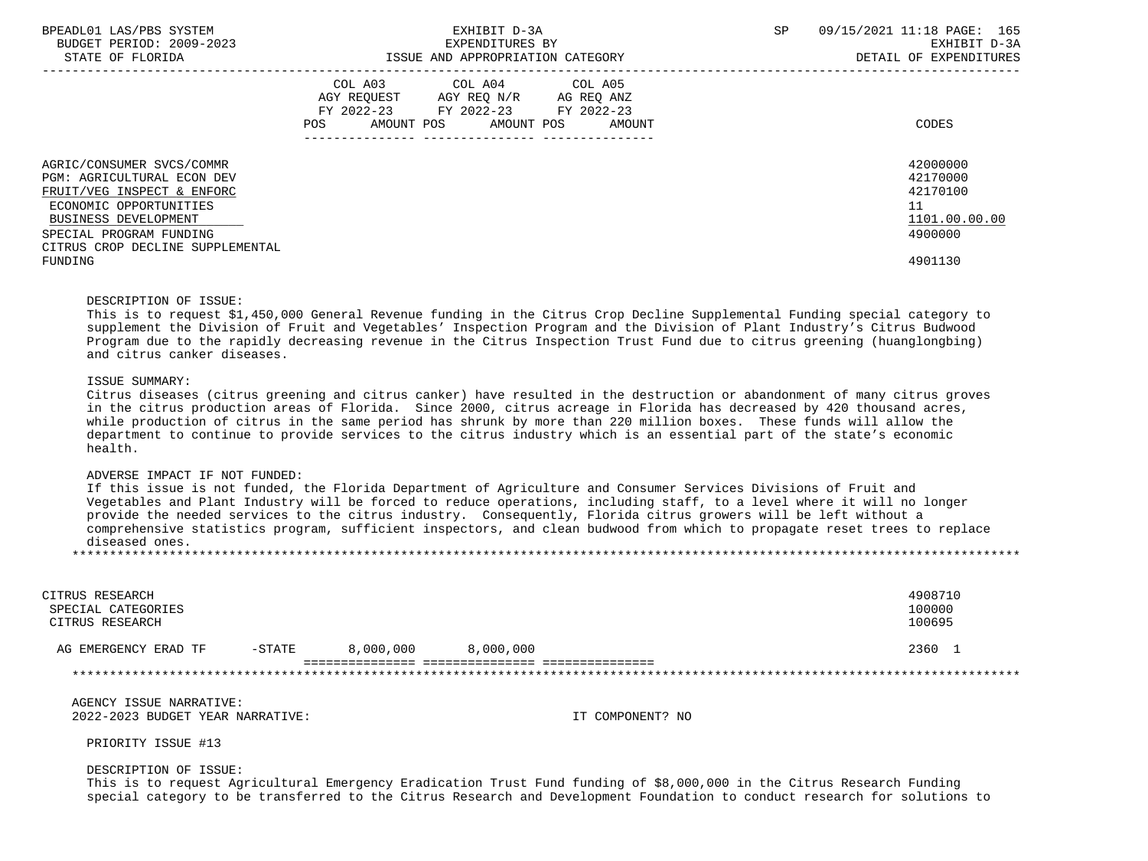| BPEADL01 LAS/PBS SYSTEM<br>BUDGET PERIOD: 2009-2023<br>STATE OF FLORIDA                                                                 | EXHIBIT D-3A<br>EXPENDITURES BY<br>ISSUE AND APPROPRIATION CATEGORY                                                                         | <b>SP</b> | 09/15/2021 11:18 PAGE: 165<br>EXHIBIT D-3A<br>DETAIL OF EXPENDITURES |
|-----------------------------------------------------------------------------------------------------------------------------------------|---------------------------------------------------------------------------------------------------------------------------------------------|-----------|----------------------------------------------------------------------|
|                                                                                                                                         | COL A03 COL A04 COL A05<br>AGY REQUEST AGY REQ N/R AG REQ ANZ<br>FY 2022-23 FY 2022-23 FY 2022-23<br>AMOUNT POS AMOUNT POS<br>AMOUNT<br>POS |           | CODES                                                                |
| AGRIC/CONSUMER SVCS/COMMR<br>PGM: AGRICULTURAL ECON DEV<br>FRUIT/VEG INSPECT & ENFORC<br>ECONOMIC OPPORTUNITIES<br>BUSINESS DEVELOPMENT |                                                                                                                                             |           | 42000000<br>42170000<br>42170100<br>11<br>1101.00.00.00              |
| SPECIAL PROGRAM FUNDING<br>CITRUS CROP DECLINE SUPPLEMENTAL<br>FUNDING                                                                  |                                                                                                                                             |           | 4900000<br>4901130                                                   |
|                                                                                                                                         |                                                                                                                                             |           |                                                                      |

#### DESCRIPTION OF ISSUE:

 This is to request \$1,450,000 General Revenue funding in the Citrus Crop Decline Supplemental Funding special category to supplement the Division of Fruit and Vegetables' Inspection Program and the Division of Plant Industry's Citrus Budwood Program due to the rapidly decreasing revenue in the Citrus Inspection Trust Fund due to citrus greening (huanglongbing) and citrus canker diseases.

## ISSUE SUMMARY:

 Citrus diseases (citrus greening and citrus canker) have resulted in the destruction or abandonment of many citrus groves in the citrus production areas of Florida. Since 2000, citrus acreage in Florida has decreased by 420 thousand acres, while production of citrus in the same period has shrunk by more than 220 million boxes. These funds will allow the department to continue to provide services to the citrus industry which is an essential part of the state's economic health.

# ADVERSE IMPACT IF NOT FUNDED:

 If this issue is not funded, the Florida Department of Agriculture and Consumer Services Divisions of Fruit and Vegetables and Plant Industry will be forced to reduce operations, including staff, to a level where it will no longer provide the needed services to the citrus industry. Consequently, Florida citrus growers will be left without a comprehensive statistics program, sufficient inspectors, and clean budwood from which to propagate reset trees to replace diseased ones. \*\*\*\*\*\*\*\*\*\*\*\*\*\*\*\*\*\*\*\*\*\*\*\*\*\*\*\*\*\*\*\*\*\*\*\*\*\*\*\*\*\*\*\*\*\*\*\*\*\*\*\*\*\*\*\*\*\*\*\*\*\*\*\*\*\*\*\*\*\*\*\*\*\*\*\*\*\*\*\*\*\*\*\*\*\*\*\*\*\*\*\*\*\*\*\*\*\*\*\*\*\*\*\*\*\*\*\*\*\*\*\*\*\*\*\*\*\*\*\*\*\*\*\*\*\*\*

 CITRUS RESEARCH 4908710 SPECIAL CATEGORIES 100000 CITRUS RESEARCH 100695 AG EMERGENCY ERAD TF  $-$  -STATE 8,000,000 8,000,000 2360 1 =============== =============== =============== \*\*\*\*\*\*\*\*\*\*\*\*\*\*\*\*\*\*\*\*\*\*\*\*\*\*\*\*\*\*\*\*\*\*\*\*\*\*\*\*\*\*\*\*\*\*\*\*\*\*\*\*\*\*\*\*\*\*\*\*\*\*\*\*\*\*\*\*\*\*\*\*\*\*\*\*\*\*\*\*\*\*\*\*\*\*\*\*\*\*\*\*\*\*\*\*\*\*\*\*\*\*\*\*\*\*\*\*\*\*\*\*\*\*\*\*\*\*\*\*\*\*\*\*\*\*\* AGENCY ISSUE NARRATIVE: 2022-2023 BUDGET YEAR NARRATIVE: IT COMPONENT? NO

PRIORITY ISSUE #13

DESCRIPTION OF ISSUE:

 This is to request Agricultural Emergency Eradication Trust Fund funding of \$8,000,000 in the Citrus Research Funding special category to be transferred to the Citrus Research and Development Foundation to conduct research for solutions to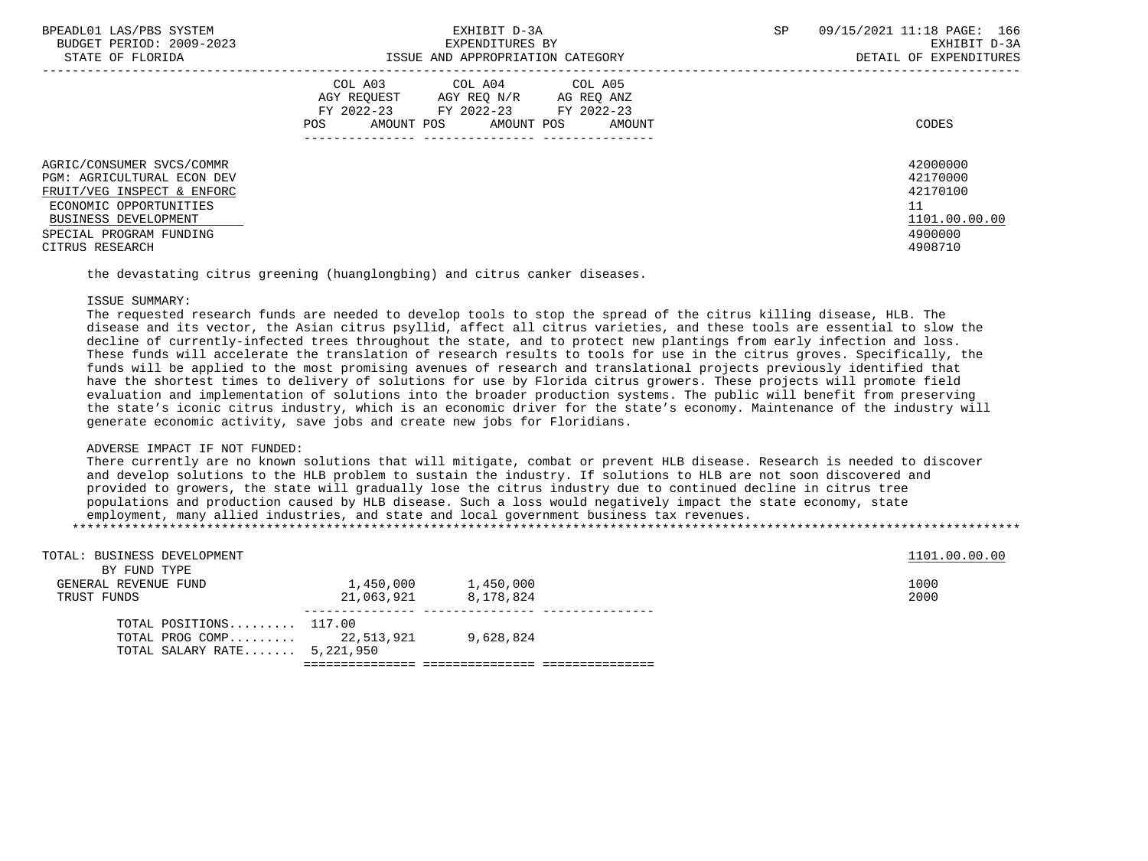| BPEADL01 LAS/PBS SYSTEM<br>BUDGET PERIOD: 2009-2023                                                                                                                                          | EXHIBIT D-3A<br>EXPENDITURES BY                                                                                                                         | 09/15/2021 11:18 PAGE: 166<br>SP<br>EXHIBIT D-3A                              |
|----------------------------------------------------------------------------------------------------------------------------------------------------------------------------------------------|---------------------------------------------------------------------------------------------------------------------------------------------------------|-------------------------------------------------------------------------------|
| STATE OF FLORIDA                                                                                                                                                                             | ISSUE AND APPROPRIATION CATEGORY                                                                                                                        | DETAIL OF EXPENDITURES                                                        |
|                                                                                                                                                                                              | COL A04 COL A05<br>COL A03<br>AGY REOUEST<br>AGY REO N/R<br>AG REQ ANZ<br>FY 2022-23 FY 2022-23 FY 2022-23<br>AMOUNT POS<br>AMOUNT POS<br>POS<br>AMOUNT | CODES                                                                         |
| AGRIC/CONSUMER SVCS/COMMR<br><b>PGM: AGRICULTURAL ECON DEV</b><br>FRUIT/VEG INSPECT & ENFORC<br>ECONOMIC OPPORTUNITIES<br>BUSINESS DEVELOPMENT<br>SPECIAL PROGRAM FUNDING<br>CITRUS RESEARCH |                                                                                                                                                         | 42000000<br>42170000<br>42170100<br>11<br>1101.00.00.00<br>4900000<br>4908710 |

the devastating citrus greening (huanglongbing) and citrus canker diseases.

## ISSUE SUMMARY:

 The requested research funds are needed to develop tools to stop the spread of the citrus killing disease, HLB. The disease and its vector, the Asian citrus psyllid, affect all citrus varieties, and these tools are essential to slow the decline of currently-infected trees throughout the state, and to protect new plantings from early infection and loss. These funds will accelerate the translation of research results to tools for use in the citrus groves. Specifically, the funds will be applied to the most promising avenues of research and translational projects previously identified that have the shortest times to delivery of solutions for use by Florida citrus growers. These projects will promote field evaluation and implementation of solutions into the broader production systems. The public will benefit from preserving the state's iconic citrus industry, which is an economic driver for the state's economy. Maintenance of the industry will generate economic activity, save jobs and create new jobs for Floridians.

## ADVERSE IMPACT IF NOT FUNDED:

 There currently are no known solutions that will mitigate, combat or prevent HLB disease. Research is needed to discover and develop solutions to the HLB problem to sustain the industry. If solutions to HLB are not soon discovered and provided to growers, the state will gradually lose the citrus industry due to continued decline in citrus tree populations and production caused by HLB disease. Such a loss would negatively impact the state economy, state employment, many allied industries, and state and local government business tax revenues. \*\*\*\*\*\*\*\*\*\*\*\*\*\*\*\*\*\*\*\*\*\*\*\*\*\*\*\*\*\*\*\*\*\*\*\*\*\*\*\*\*\*\*\*\*\*\*\*\*\*\*\*\*\*\*\*\*\*\*\*\*\*\*\*\*\*\*\*\*\*\*\*\*\*\*\*\*\*\*\*\*\*\*\*\*\*\*\*\*\*\*\*\*\*\*\*\*\*\*\*\*\*\*\*\*\*\*\*\*\*\*\*\*\*\*\*\*\*\*\*\*\*\*\*\*\*\*

| TOTAL: BUSINESS DEVELOPMENT   |            |           | 1101.00.00.00 |
|-------------------------------|------------|-----------|---------------|
| BY FUND TYPE                  |            |           |               |
| GENERAL REVENUE FUND          | 1,450,000  | 1,450,000 | 1000          |
| TRUST FUNDS                   | 21,063,921 | 8,178,824 | 2000          |
|                               |            |           |               |
| TOTAL POSITIONS $117.00$      |            |           |               |
| TOTAL PROG COMP $22,513,921$  |            | 9,628,824 |               |
| TOTAL SALARY RATE $5,221,950$ |            |           |               |
|                               |            |           |               |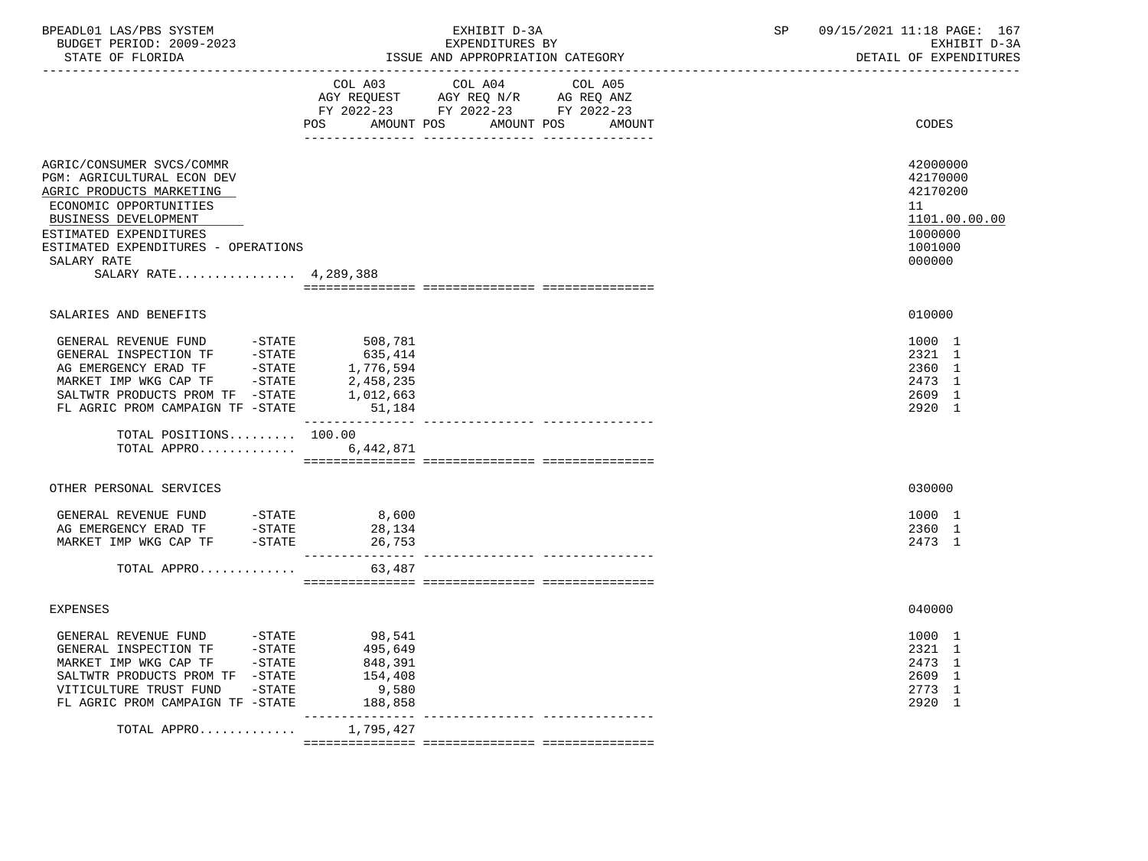| BPEADL01 LAS/PBS SYSTEM  | EXHIBIT D-3A                     | 09/15/2021 11:18 PAGE: 167 |
|--------------------------|----------------------------------|----------------------------|
| BUDGET PERIOD: 2009-2023 | EXPENDITURES BY                  | RXHIRIT D-3A               |
| STATE OF FLORIDA         | ISSUE AND APPROPRIATION CATEGORY | DETAIL OF EXPENDITURES     |

|                                                                                                                                                                                                                                                | COL A03<br>AGY REOUEST<br>POS<br>AMOUNT POS                                             | COL A04<br>AGY REQ N/R AG REQ ANZ<br>FY 2022-23 FY 2022-23 FY 2022-23 | COL A05<br>AMOUNT POS<br>AMOUNT | CODES                                                                                   |
|------------------------------------------------------------------------------------------------------------------------------------------------------------------------------------------------------------------------------------------------|-----------------------------------------------------------------------------------------|-----------------------------------------------------------------------|---------------------------------|-----------------------------------------------------------------------------------------|
|                                                                                                                                                                                                                                                |                                                                                         |                                                                       |                                 |                                                                                         |
| AGRIC/CONSUMER SVCS/COMMR<br>PGM: AGRICULTURAL ECON DEV<br>AGRIC PRODUCTS MARKETING<br>ECONOMIC OPPORTUNITIES<br>BUSINESS DEVELOPMENT<br>ESTIMATED EXPENDITURES<br>ESTIMATED EXPENDITURES - OPERATIONS<br>SALARY RATE<br>SALARY RATE 4,289,388 |                                                                                         |                                                                       |                                 | 42000000<br>42170000<br>42170200<br>11<br>1101.00.00.00<br>1000000<br>1001000<br>000000 |
|                                                                                                                                                                                                                                                |                                                                                         |                                                                       |                                 |                                                                                         |
| SALARIES AND BENEFITS                                                                                                                                                                                                                          |                                                                                         |                                                                       |                                 | 010000                                                                                  |
| GENERAL REVENUE FUND -STATE<br>MARKET IMP WKG CAP TF -STATE<br>SALTWTR PRODUCTS PROM TF -STATE<br>FL AGRIC PROM CAMPAIGN TF -STATE                                                                                                             | 508,781<br>635,414<br>1,776,594<br>2,458,235<br>1,012,663<br>51,184<br>---------------- |                                                                       |                                 | 1000 1<br>2321 1<br>2360 1<br>2473 1<br>2609 1<br>2920 1                                |
| TOTAL POSITIONS 100.00<br>TOTAL APPRO                                                                                                                                                                                                          | 6,442,871                                                                               |                                                                       |                                 |                                                                                         |
|                                                                                                                                                                                                                                                |                                                                                         |                                                                       |                                 | 030000                                                                                  |
| OTHER PERSONAL SERVICES                                                                                                                                                                                                                        |                                                                                         |                                                                       |                                 |                                                                                         |
| GENERAL REVENUE FUND -STATE<br>AG EMERGENCY ERAD TF -STATE<br>$-STATE$<br>MARKET IMP WKG CAP TF                                                                                                                                                | 8,600<br>28,134<br>26,753                                                               |                                                                       |                                 | 1000 1<br>2360 1<br>2473 1                                                              |
| TOTAL APPRO                                                                                                                                                                                                                                    | 63,487                                                                                  |                                                                       |                                 |                                                                                         |
|                                                                                                                                                                                                                                                |                                                                                         |                                                                       |                                 |                                                                                         |
| <b>EXPENSES</b>                                                                                                                                                                                                                                |                                                                                         |                                                                       |                                 | 040000                                                                                  |
| GENERAL REVENUE FUND -STATE<br>GENERAL INSPECTION TF -STATE<br>$-\mathtt{STATE}$<br>MARKET IMP WKG CAP TF<br>SALTWTR PRODUCTS PROM TF -STATE<br>VITICULTURE TRUST FUND<br>$-\mathtt{STATE}$<br>FL AGRIC PROM CAMPAIGN TF -STATE                | 98,541<br>495,649<br>848,391<br>154,408<br>9,580<br>188,858                             |                                                                       |                                 | 1000 1<br>2321 1<br>2473 1<br>2609 1<br>2773 1<br>2920 1                                |
| TOTAL APPRO                                                                                                                                                                                                                                    | 1,795,427                                                                               |                                                                       |                                 |                                                                                         |

=============== =============== ===============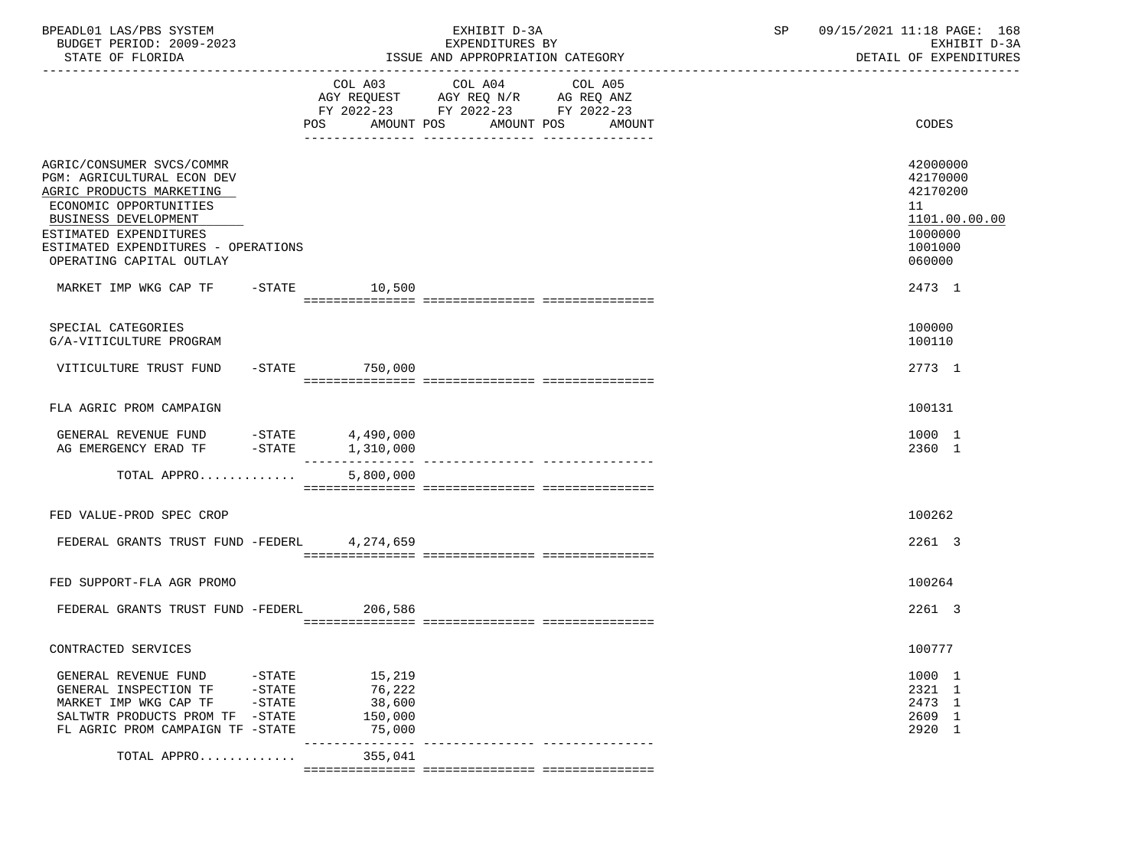| BPEADL01 LAS/PBS SYSTEM<br>BUDGET PERIOD: 2009-2023<br>STATE OF FLORIDA                                                                                                                                                            |                                  |                                                 | EXHIBIT D-3A<br>EXPENDITURES BY<br>ISSUE AND APPROPRIATION CATEGORY                                                           |         | SP | 09/15/2021 11:18 PAGE: 168<br>EXHIBIT D-3A<br>DETAIL OF EXPENDITURES                    |
|------------------------------------------------------------------------------------------------------------------------------------------------------------------------------------------------------------------------------------|----------------------------------|-------------------------------------------------|-------------------------------------------------------------------------------------------------------------------------------|---------|----|-----------------------------------------------------------------------------------------|
|                                                                                                                                                                                                                                    |                                  |                                                 | COL A03 COL A04<br>AGY REQUEST AGY REQ N/R AG REQ ANZ<br>FY 2022-23 FY 2022-23 FY 2022-23<br>POS AMOUNT POS AMOUNT POS AMOUNT | COL A05 |    | CODES                                                                                   |
| AGRIC/CONSUMER SVCS/COMMR<br>PGM: AGRICULTURAL ECON DEV<br>AGRIC PRODUCTS MARKETING<br>ECONOMIC OPPORTUNITIES<br>BUSINESS DEVELOPMENT<br>ESTIMATED EXPENDITURES<br>ESTIMATED EXPENDITURES - OPERATIONS<br>OPERATING CAPITAL OUTLAY |                                  |                                                 |                                                                                                                               |         |    | 42000000<br>42170000<br>42170200<br>11<br>1101.00.00.00<br>1000000<br>1001000<br>060000 |
| MARKET IMP WKG CAP TF -STATE 10,500                                                                                                                                                                                                |                                  |                                                 |                                                                                                                               |         |    | 2473 1                                                                                  |
| SPECIAL CATEGORIES<br>G/A-VITICULTURE PROGRAM                                                                                                                                                                                      |                                  |                                                 |                                                                                                                               |         |    | 100000<br>100110                                                                        |
| VITICULTURE TRUST FUND                                                                                                                                                                                                             |                                  | $-STATE$ 750,000                                |                                                                                                                               |         |    | 2773 1                                                                                  |
| FLA AGRIC PROM CAMPAIGN                                                                                                                                                                                                            |                                  |                                                 |                                                                                                                               |         |    | 100131                                                                                  |
| GENERAL REVENUE FUND -STATE $4,490,000$<br>AG EMERGENCY ERAD TF -STATE $1,310,000$                                                                                                                                                 |                                  |                                                 |                                                                                                                               |         |    | 1000 1<br>2360 1                                                                        |
| TOTAL APPRO                                                                                                                                                                                                                        |                                  | 5,800,000                                       |                                                                                                                               |         |    |                                                                                         |
| FED VALUE-PROD SPEC CROP                                                                                                                                                                                                           |                                  |                                                 |                                                                                                                               |         |    | 100262                                                                                  |
| FEDERAL GRANTS TRUST FUND -FEDERL 4, 274, 659                                                                                                                                                                                      |                                  |                                                 |                                                                                                                               |         |    | 2261 3                                                                                  |
| FED SUPPORT-FLA AGR PROMO                                                                                                                                                                                                          |                                  |                                                 |                                                                                                                               |         |    | 100264                                                                                  |
| FEDERAL GRANTS TRUST FUND -FEDERL 206,586                                                                                                                                                                                          |                                  |                                                 |                                                                                                                               |         |    | 2261 3                                                                                  |
| CONTRACTED SERVICES                                                                                                                                                                                                                |                                  |                                                 |                                                                                                                               |         |    | 100777                                                                                  |
| GENERAL REVENUE FUND<br>GENERAL INSPECTION TF<br>MARKET IMP WKG CAP TF<br>SALTWTR PRODUCTS PROM TF -STATE<br>FL AGRIC PROM CAMPAIGN TF -STATE                                                                                      | -STATE<br>$-$ STATE<br>$-$ STATE | 15,219<br>76,222<br>38,600<br>150,000<br>75,000 |                                                                                                                               |         |    | 1000 1<br>2321 1<br>2473 1<br>2609 1<br>2920 1                                          |
| TOTAL APPRO                                                                                                                                                                                                                        |                                  | 355,041                                         |                                                                                                                               |         |    |                                                                                         |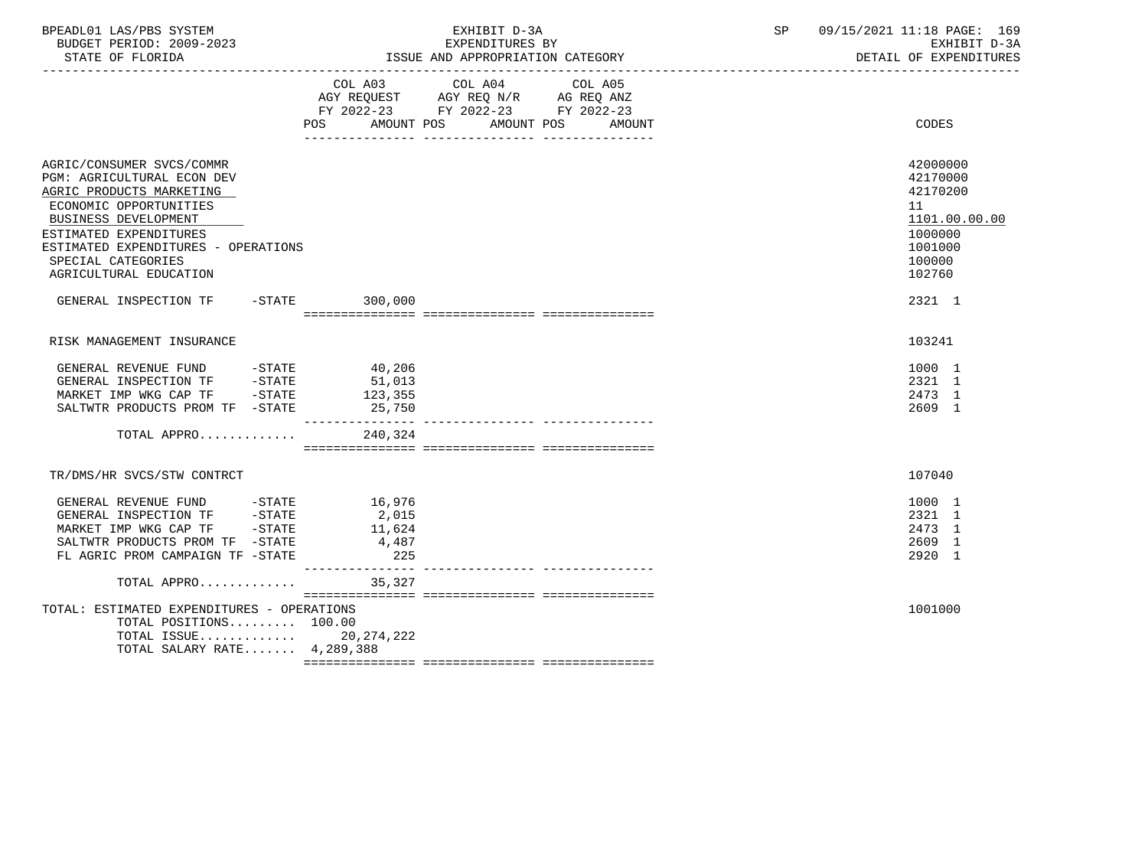| BPEADL01 LAS/PBS SYSTEM  | EXHIBIT D-3A    | 09/15/2021 11:18 PAGE: 169 |  |
|--------------------------|-----------------|----------------------------|--|
| BUDGET PERIOD: 2009-2023 | EXPENDITURES BY | EXHIBIT D-3A               |  |

COL A03 COL A04 COL A05

AGY REQUEST AGY REQ N/R AG REQ ANZ

-----------------------------------------------------------------------------------------------------------------------------------

# BUDGET PERIOD: 2009-2023 EXPENDITURES BY EXHIBIT D-3A

| <b>POS</b>                                                                                                                                                                                                                                             | FY 2022-23 FY 2022-23<br>AMOUNT POS | FY 2022-23<br>AMOUNT POS<br>AMOUNT | CODES                                                                                             |
|--------------------------------------------------------------------------------------------------------------------------------------------------------------------------------------------------------------------------------------------------------|-------------------------------------|------------------------------------|---------------------------------------------------------------------------------------------------|
| AGRIC/CONSUMER SVCS/COMMR<br>PGM: AGRICULTURAL ECON DEV<br>AGRIC PRODUCTS MARKETING<br>ECONOMIC OPPORTUNITIES<br>BUSINESS DEVELOPMENT<br>ESTIMATED EXPENDITURES<br>ESTIMATED EXPENDITURES - OPERATIONS<br>SPECIAL CATEGORIES<br>AGRICULTURAL EDUCATION |                                     |                                    | 42000000<br>42170000<br>42170200<br>11<br>1101.00.00.00<br>1000000<br>1001000<br>100000<br>102760 |
| GENERAL INSPECTION TF<br>$-STATE$ 300,000                                                                                                                                                                                                              |                                     |                                    | 2321 1                                                                                            |
|                                                                                                                                                                                                                                                        |                                     |                                    | 103241                                                                                            |
| RISK MANAGEMENT INSURANCE                                                                                                                                                                                                                              |                                     |                                    |                                                                                                   |
| GENERAL REVENUE FUND -STATE 40,206                                                                                                                                                                                                                     |                                     |                                    | 1000 1                                                                                            |
|                                                                                                                                                                                                                                                        | 51,013                              |                                    | 2321 1                                                                                            |
| GENERAL INSPECTION TF -STATE<br>MARKET IMP WKG CAP TF -STATE                                                                                                                                                                                           | 123,355                             |                                    | 2473 1                                                                                            |
| SALTWTR PRODUCTS PROM TF -STATE                                                                                                                                                                                                                        | 25,750                              |                                    | 2609 1                                                                                            |
| TOTAL APPRO                                                                                                                                                                                                                                            | ----------------<br>240,324         |                                    |                                                                                                   |
|                                                                                                                                                                                                                                                        |                                     |                                    |                                                                                                   |
| TR/DMS/HR SVCS/STW CONTRCT                                                                                                                                                                                                                             |                                     |                                    | 107040                                                                                            |
|                                                                                                                                                                                                                                                        | 16,976                              |                                    | 1000 1                                                                                            |
| GENERAL REVENUE FUND - STATE<br>GENERAL INSPECTION TF - STATE                                                                                                                                                                                          | 2,015                               |                                    | 2321 1                                                                                            |
| MARKET IMP WKG CAP TF -STATE                                                                                                                                                                                                                           | 11,624                              |                                    | 2473 1                                                                                            |
| SALTWTR PRODUCTS PROM TF -STATE                                                                                                                                                                                                                        | 4,487                               |                                    | 2609 1                                                                                            |
| FL AGRIC PROM CAMPAIGN TF -STATE                                                                                                                                                                                                                       | 225<br>_______________              |                                    | 2920 1                                                                                            |
| TOTAL APPRO                                                                                                                                                                                                                                            | 35,327                              |                                    |                                                                                                   |
| TOTAL: ESTIMATED EXPENDITURES - OPERATIONS                                                                                                                                                                                                             |                                     |                                    | 1001000                                                                                           |
| TOTAL POSITIONS $100.00$                                                                                                                                                                                                                               |                                     |                                    |                                                                                                   |
| TOTAL ISSUE 20, 274, 222                                                                                                                                                                                                                               |                                     |                                    |                                                                                                   |
| TOTAL SALARY RATE 4,289,388                                                                                                                                                                                                                            |                                     |                                    |                                                                                                   |
|                                                                                                                                                                                                                                                        |                                     |                                    |                                                                                                   |
|                                                                                                                                                                                                                                                        |                                     |                                    |                                                                                                   |
|                                                                                                                                                                                                                                                        |                                     |                                    |                                                                                                   |
|                                                                                                                                                                                                                                                        |                                     |                                    |                                                                                                   |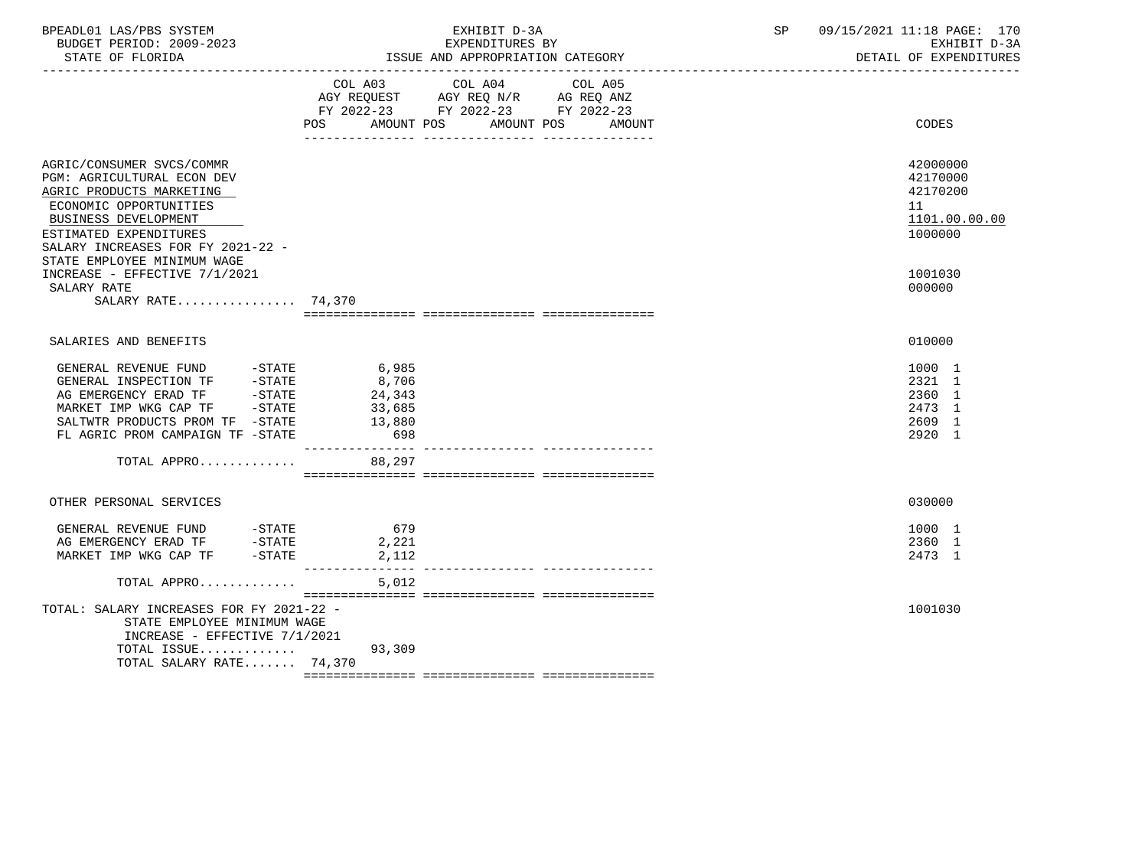| BPEADL01 LAS/PBS SYSTEM<br>BUDGET PERIOD: 2009-2023<br>STATE OF FLORIDA                                                                                                                              | EXHIBIT D-3A<br>EXPENDITURES BY<br>ISSUE AND APPROPRIATION CATEGORY                                                                                                                   | 09/15/2021 11:18 PAGE: 170<br>SP and the set of the set of the set of the set of the set of the set of the set of the set of the set of the set of the set of the set of the set of the set of the set of the set of the set of the set of the set of the se<br>EXHIBIT D-3A<br>DETAIL OF EXPENDITURES |
|------------------------------------------------------------------------------------------------------------------------------------------------------------------------------------------------------|---------------------------------------------------------------------------------------------------------------------------------------------------------------------------------------|--------------------------------------------------------------------------------------------------------------------------------------------------------------------------------------------------------------------------------------------------------------------------------------------------------|
|                                                                                                                                                                                                      | FY 2022-23 FY 2022-23 FY 2022-23<br>AMOUNT POS AMOUNT POS<br>POS FOR THE POST OF THE STATE STATE STATE STATE STATE STATE STATE STATE STATE STATE STATE STATE STATE STATE ST<br>AMOUNT | CODES                                                                                                                                                                                                                                                                                                  |
| AGRIC/CONSUMER SVCS/COMMR<br>PGM: AGRICULTURAL ECON DEV<br>AGRIC PRODUCTS MARKETING<br>ECONOMIC OPPORTUNITIES<br>BUSINESS DEVELOPMENT<br>ESTIMATED EXPENDITURES<br>SALARY INCREASES FOR FY 2021-22 - |                                                                                                                                                                                       | 42000000<br>42170000<br>42170200<br>11<br>1101.00.00.00<br>1000000                                                                                                                                                                                                                                     |
| STATE EMPLOYEE MINIMUM WAGE<br>INCREASE - EFFECTIVE 7/1/2021<br>SALARY RATE<br>SALARY RATE 74,370                                                                                                    |                                                                                                                                                                                       | 1001030<br>000000                                                                                                                                                                                                                                                                                      |
| SALARIES AND BENEFITS                                                                                                                                                                                |                                                                                                                                                                                       | 010000                                                                                                                                                                                                                                                                                                 |
| GENERAL REVENUE FUND -STATE<br>GENERAL INSPECTION TF -STATE<br>AG EMERGENCY ERAD TF -STATE<br>MARKET IMP WKG CAP TF -STATE<br>SALTWTR PRODUCTS PROM TF -STATE<br>FL AGRIC PROM CAMPAIGN TF -STATE    | 6,985<br>8,706<br>24,343<br>33,685<br>13,880<br>698                                                                                                                                   | 1000 1<br>2321 1<br>2360 1<br>2473 1<br>2609 1<br>2920 1                                                                                                                                                                                                                                               |
| TOTAL APPRO                                                                                                                                                                                          | 88,297                                                                                                                                                                                |                                                                                                                                                                                                                                                                                                        |
| OTHER PERSONAL SERVICES                                                                                                                                                                              |                                                                                                                                                                                       | 030000                                                                                                                                                                                                                                                                                                 |
| GENERAL REVENUE FUND -STATE                                                                                                                                                                          | 679<br>2,221<br>2,112<br>_______________                                                                                                                                              | 1000 1<br>2360 1<br>2473 1                                                                                                                                                                                                                                                                             |
| TOTAL APPRO                                                                                                                                                                                          | 5,012                                                                                                                                                                                 |                                                                                                                                                                                                                                                                                                        |
| TOTAL: SALARY INCREASES FOR FY 2021-22 -<br>STATE EMPLOYEE MINIMUM WAGE<br>INCREASE - EFFECTIVE $7/1/2021$                                                                                           |                                                                                                                                                                                       | 1001030                                                                                                                                                                                                                                                                                                |
| TOTAL ISSUE 93,309<br>TOTAL SALARY RATE 74,370                                                                                                                                                       |                                                                                                                                                                                       |                                                                                                                                                                                                                                                                                                        |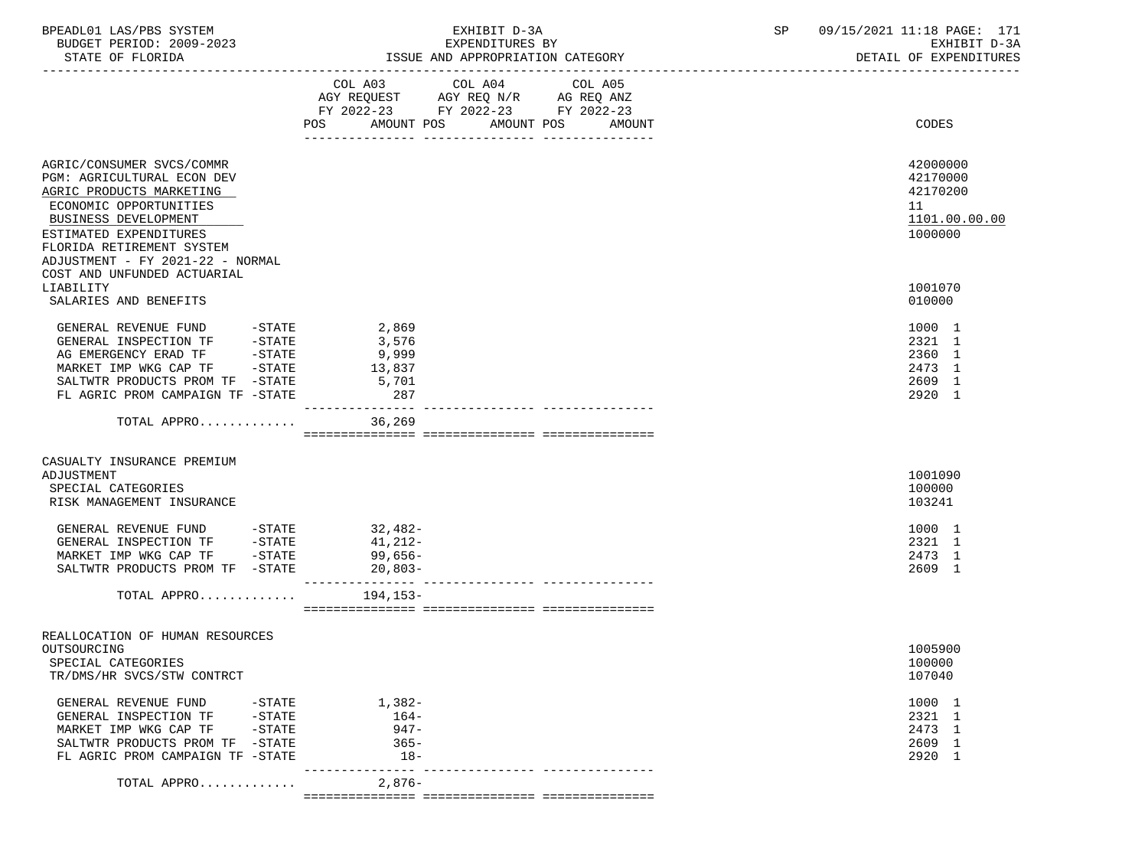| BPEADL01 LAS/PBS SYSTEM  | EXHIBIT D-3A                     | сn | 09/15/2021 11:18 PAGE: 171 |
|--------------------------|----------------------------------|----|----------------------------|
| BUDGET PERIOD: 2009-2023 | EXPENDITURES BY                  |    | EXHIBIT D-3A               |
| STATE OF FLORIDA         | ISSUE AND APPROPRIATION CATEGORY |    | DETAIL OF EXPENDITURES     |

|                                                                                                                                                                                                   | COL A03 COL A04 COL A05<br>AGY REQUEST AGY REQ N/R AG REQ ANZ<br>FY 2022-23 FY 2022-23 FY 2022-23<br>POS AMOUNT POS<br>AMOUNT POS AMOUNT | CODES                                                              |
|---------------------------------------------------------------------------------------------------------------------------------------------------------------------------------------------------|------------------------------------------------------------------------------------------------------------------------------------------|--------------------------------------------------------------------|
|                                                                                                                                                                                                   |                                                                                                                                          |                                                                    |
| AGRIC/CONSUMER SVCS/COMMR<br>PGM: AGRICULTURAL ECON DEV<br>AGRIC PRODUCTS MARKETING<br>ECONOMIC OPPORTUNITIES<br>BUSINESS DEVELOPMENT<br>ESTIMATED EXPENDITURES<br>FLORIDA RETIREMENT SYSTEM      |                                                                                                                                          | 42000000<br>42170000<br>42170200<br>11<br>1101.00.00.00<br>1000000 |
| ADJUSTMENT - FY 2021-22 - NORMAL                                                                                                                                                                  |                                                                                                                                          |                                                                    |
| COST AND UNFUNDED ACTUARIAL<br>LIABILITY<br>SALARIES AND BENEFITS                                                                                                                                 |                                                                                                                                          | 1001070<br>010000                                                  |
| GENERAL REVENUE FUND -STATE<br>GENERAL INSPECTION TF -STATE<br>AG EMERGENCY ERAD TF -STATE<br>MARKET IMP WKG CAP TF -STATE<br>SALTWTR PRODUCTS PROM TF -STATE<br>FL AGRIC PROM CAMPAIGN TF -STATE | 2,869<br>3,576<br>9,999<br>13,837<br>5,701<br>287                                                                                        | 1000 1<br>2321 1<br>2360 1<br>2473 1<br>2609 1<br>2920 1           |
| TOTAL APPRO                                                                                                                                                                                       | 36,269                                                                                                                                   |                                                                    |
| CASUALTY INSURANCE PREMIUM<br>ADJUSTMENT<br>SPECIAL CATEGORIES<br>RISK MANAGEMENT INSURANCE                                                                                                       |                                                                                                                                          | 1001090<br>100000<br>103241                                        |
| GENERAL REVENUE FUND -STATE<br>GENERAL INSPECTION TF - STATE<br>MARKET IMP WKG CAP TF - STATE<br>SALTWTR PRODUCTS PROM TF -STATE                                                                  | $32,482-$<br>41,212-<br>99,656-<br>$20,803-$                                                                                             | 1000 1<br>2321 1<br>2473 1<br>2609 1                               |
| TOTAL APPRO                                                                                                                                                                                       | 194, 153-                                                                                                                                |                                                                    |
| REALLOCATION OF HUMAN RESOURCES<br>OUTSOURCING<br>SPECIAL CATEGORIES<br>TR/DMS/HR SVCS/STW CONTRCT                                                                                                |                                                                                                                                          | 1005900<br>100000<br>107040                                        |
| GENERAL REVENUE FUND -STATE<br>GENERAL INSPECTION TF -STATE<br>MARKET IMP WKG CAP TF -STATE<br>SALTWTR PRODUCTS PROM TF -STATE<br>FL AGRIC PROM CAMPAIGN TF -STATE                                | 1,382-<br>$164-$<br>947-<br>$365-$<br>18-                                                                                                | 1000 1<br>2321 1<br>2473 1<br>2609 1<br>2920 1                     |
| TOTAL APPRO                                                                                                                                                                                       | --------------- -<br>$2,876-$                                                                                                            |                                                                    |

=============== =============== ===============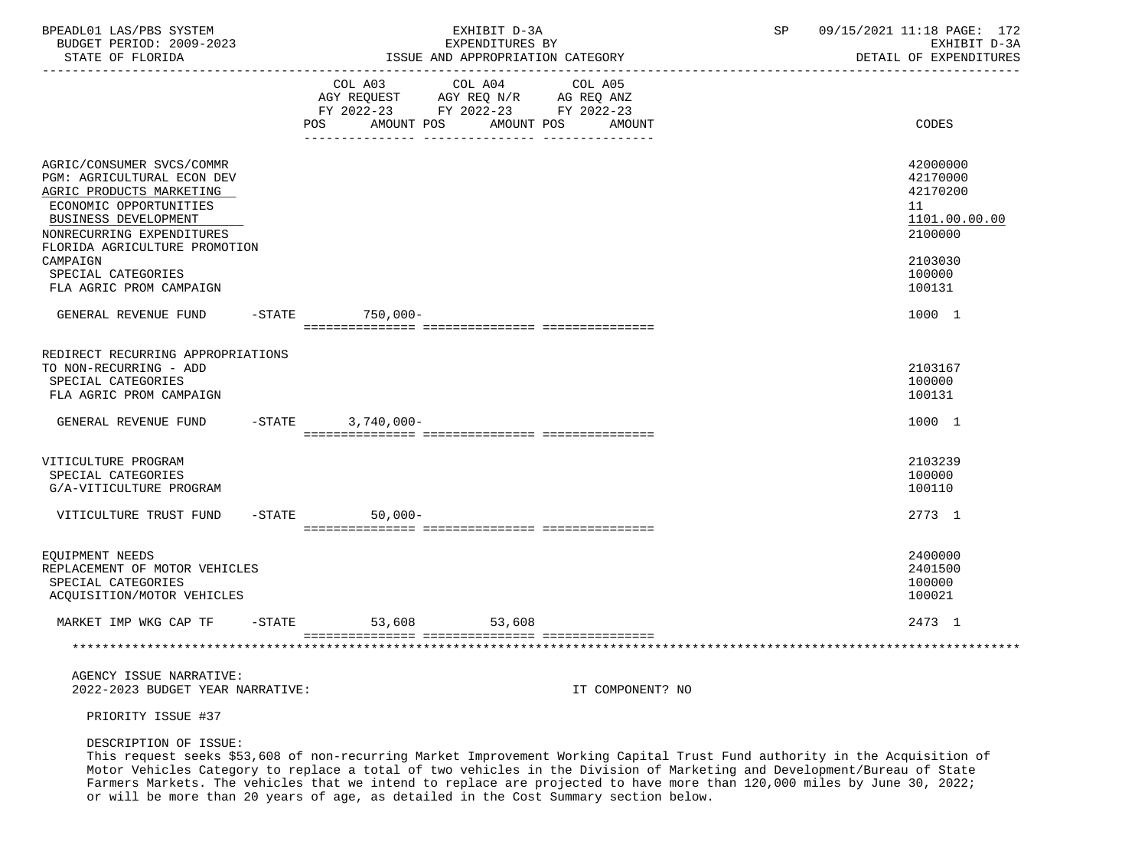| BPEADL01 LAS/PBS SYSTEM<br>BUDGET PERIOD: 2009-2023<br>STATE OF FLORIDA                                                                                                                                         | EXHIBIT D-3A<br>EXPENDITURES BY<br>ISSUE AND APPROPRIATION CATEGORY<br>-------------------------------------                   |  |  |  |                  | SP | 09/15/2021 11:18 PAGE: 172<br>EXHIBIT D-3A<br>DETAIL OF EXPENDITURES          |  |
|-----------------------------------------------------------------------------------------------------------------------------------------------------------------------------------------------------------------|--------------------------------------------------------------------------------------------------------------------------------|--|--|--|------------------|----|-------------------------------------------------------------------------------|--|
|                                                                                                                                                                                                                 | COL A03 COL A04 COL A05<br>AGY REQUEST AGY REQ N/R AG REQ ANZ<br>FY 2022-23 FY 2022-23 FY 2022-23<br>POS AMOUNT POS AMOUNT POS |  |  |  | AMOUNT           |    | CODES                                                                         |  |
| AGRIC/CONSUMER SVCS/COMMR<br>PGM: AGRICULTURAL ECON DEV<br>AGRIC PRODUCTS MARKETING<br>ECONOMIC OPPORTUNITIES<br>BUSINESS DEVELOPMENT<br>NONRECURRING EXPENDITURES<br>FLORIDA AGRICULTURE PROMOTION<br>CAMPAIGN |                                                                                                                                |  |  |  |                  |    | 42000000<br>42170000<br>42170200<br>11<br>1101.00.00.00<br>2100000<br>2103030 |  |
| SPECIAL CATEGORIES<br>FLA AGRIC PROM CAMPAIGN                                                                                                                                                                   |                                                                                                                                |  |  |  |                  |    | 100000<br>100131                                                              |  |
| GENERAL REVENUE FUND -STATE 750,000-                                                                                                                                                                            |                                                                                                                                |  |  |  |                  |    | 1000 1                                                                        |  |
| REDIRECT RECURRING APPROPRIATIONS<br>TO NON-RECURRING - ADD<br>SPECIAL CATEGORIES<br>FLA AGRIC PROM CAMPAIGN                                                                                                    |                                                                                                                                |  |  |  |                  |    | 2103167<br>100000<br>100131                                                   |  |
| GENERAL REVENUE FUND -STATE 3,740,000-                                                                                                                                                                          |                                                                                                                                |  |  |  |                  |    | 1000 1                                                                        |  |
| VITICULTURE PROGRAM<br>SPECIAL CATEGORIES<br>G/A-VITICULTURE PROGRAM                                                                                                                                            |                                                                                                                                |  |  |  |                  |    | 2103239<br>100000<br>100110                                                   |  |
| VITICULTURE TRUST FUND -STATE                                                                                                                                                                                   | $50,000 -$                                                                                                                     |  |  |  |                  |    | 2773 1                                                                        |  |
| EQUIPMENT NEEDS<br>REPLACEMENT OF MOTOR VEHICLES<br>SPECIAL CATEGORIES<br>ACQUISITION/MOTOR VEHICLES                                                                                                            |                                                                                                                                |  |  |  |                  |    | 2400000<br>2401500<br>100000<br>100021                                        |  |
| MARKET IMP WKG CAP TF -STATE 53,608 53,608                                                                                                                                                                      |                                                                                                                                |  |  |  |                  |    | 2473 1                                                                        |  |
|                                                                                                                                                                                                                 |                                                                                                                                |  |  |  |                  |    |                                                                               |  |
| AGENCY ISSUE NARRATIVE:<br>2022-2023 BUDGET YEAR NARRATIVE:                                                                                                                                                     |                                                                                                                                |  |  |  | IT COMPONENT? NO |    |                                                                               |  |

PRIORITY ISSUE #37

DESCRIPTION OF ISSUE:

 This request seeks \$53,608 of non-recurring Market Improvement Working Capital Trust Fund authority in the Acquisition of Motor Vehicles Category to replace a total of two vehicles in the Division of Marketing and Development/Bureau of State Farmers Markets. The vehicles that we intend to replace are projected to have more than 120,000 miles by June 30, 2022; or will be more than 20 years of age, as detailed in the Cost Summary section below.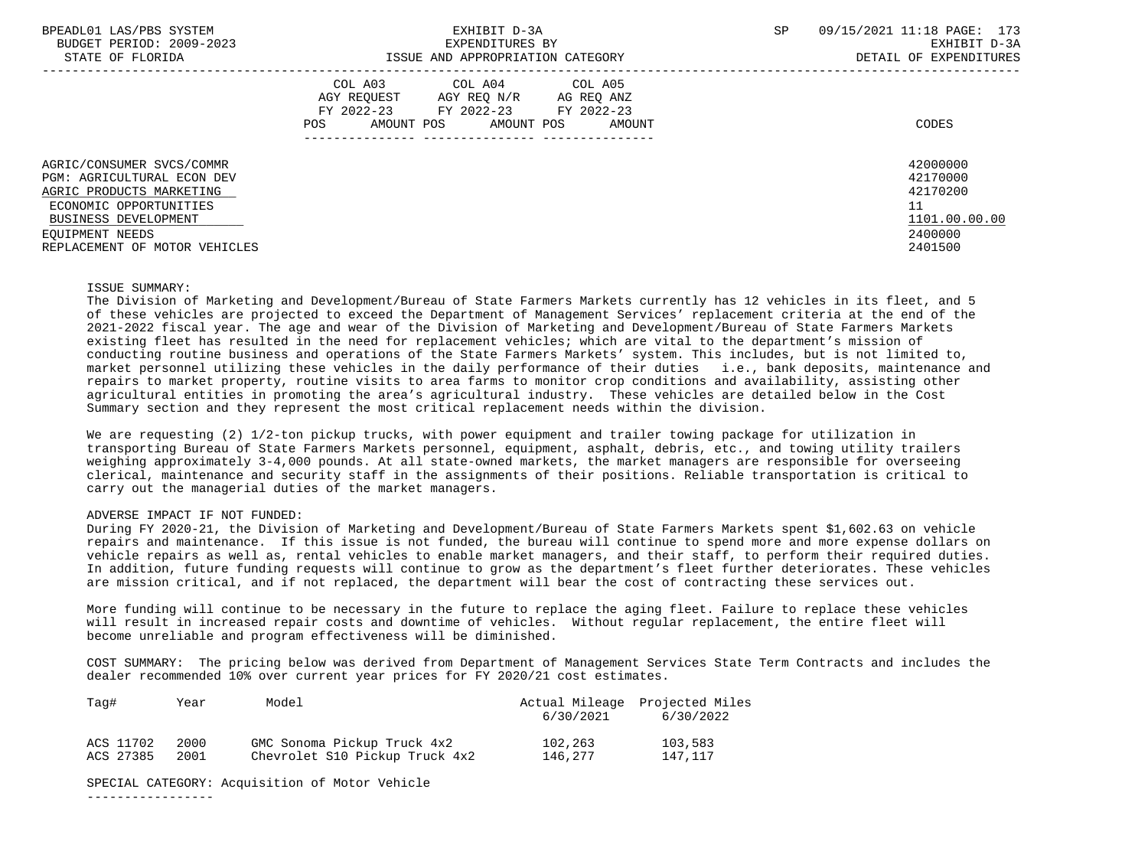| BPEADL01 LAS/PBS SYSTEM<br>BUDGET PERIOD: 2009-2023<br>STATE OF FLORIDA                                                                                         | EXHIBIT D-3A<br>EXPENDITURES BY<br>ISSUE AND APPROPRIATION CATEGORY                                                                                        | 09/15/2021 11:18 PAGE: 173<br>SP<br>EXHIBIT D-3A<br>DETAIL OF EXPENDITURES |
|-----------------------------------------------------------------------------------------------------------------------------------------------------------------|------------------------------------------------------------------------------------------------------------------------------------------------------------|----------------------------------------------------------------------------|
|                                                                                                                                                                 | COL A03<br>COL A04 COL A05<br>AGY REOUEST<br>AGY REO N/R<br>AG REQ ANZ<br>FY 2022-23 FY 2022-23<br>FY 2022-23<br>AMOUNT POS<br>AMOUNT POS<br>POS<br>AMOUNT | CODES                                                                      |
| AGRIC/CONSUMER SVCS/COMMR<br><b>PGM: AGRICULTURAL ECON DEV</b><br>AGRIC PRODUCTS MARKETING<br>ECONOMIC OPPORTUNITIES<br>BUSINESS DEVELOPMENT<br>EOUIPMENT NEEDS |                                                                                                                                                            | 42000000<br>42170000<br>42170200<br>11<br>1101.00.00.00<br>2400000         |
| REPLACEMENT OF MOTOR VEHICLES                                                                                                                                   |                                                                                                                                                            | 2401500                                                                    |

#### ISSUE SUMMARY:

 The Division of Marketing and Development/Bureau of State Farmers Markets currently has 12 vehicles in its fleet, and 5 of these vehicles are projected to exceed the Department of Management Services' replacement criteria at the end of the 2021-2022 fiscal year. The age and wear of the Division of Marketing and Development/Bureau of State Farmers Markets existing fleet has resulted in the need for replacement vehicles; which are vital to the department's mission of conducting routine business and operations of the State Farmers Markets' system. This includes, but is not limited to, market personnel utilizing these vehicles in the daily performance of their duties i.e., bank deposits, maintenance and repairs to market property, routine visits to area farms to monitor crop conditions and availability, assisting other agricultural entities in promoting the area's agricultural industry. These vehicles are detailed below in the Cost Summary section and they represent the most critical replacement needs within the division.

 We are requesting (2) 1/2-ton pickup trucks, with power equipment and trailer towing package for utilization in transporting Bureau of State Farmers Markets personnel, equipment, asphalt, debris, etc., and towing utility trailers weighing approximately 3-4,000 pounds. At all state-owned markets, the market managers are responsible for overseeing clerical, maintenance and security staff in the assignments of their positions. Reliable transportation is critical to carry out the managerial duties of the market managers.

#### ADVERSE IMPACT IF NOT FUNDED:

 During FY 2020-21, the Division of Marketing and Development/Bureau of State Farmers Markets spent \$1,602.63 on vehicle repairs and maintenance. If this issue is not funded, the bureau will continue to spend more and more expense dollars on vehicle repairs as well as, rental vehicles to enable market managers, and their staff, to perform their required duties. In addition, future funding requests will continue to grow as the department's fleet further deteriorates. These vehicles are mission critical, and if not replaced, the department will bear the cost of contracting these services out.

 More funding will continue to be necessary in the future to replace the aging fleet. Failure to replace these vehicles will result in increased repair costs and downtime of vehicles. Without regular replacement, the entire fleet will become unreliable and program effectiveness will be diminished.

 COST SUMMARY: The pricing below was derived from Department of Management Services State Term Contracts and includes the dealer recommended 10% over current year prices for FY 2020/21 cost estimates.

| Taq#      | Year | Model                          | 6/30/2021 | Actual Mileage Projected Miles<br>6/30/2022 |
|-----------|------|--------------------------------|-----------|---------------------------------------------|
| ACS 11702 | 2000 | GMC Sonoma Pickup Truck 4x2    | 102,263   | 103,583                                     |
| ACS 27385 | 2001 | Chevrolet S10 Pickup Truck 4x2 | 146,277   | 147.117                                     |

SPECIAL CATEGORY: Acquisition of Motor Vehicle

-----------------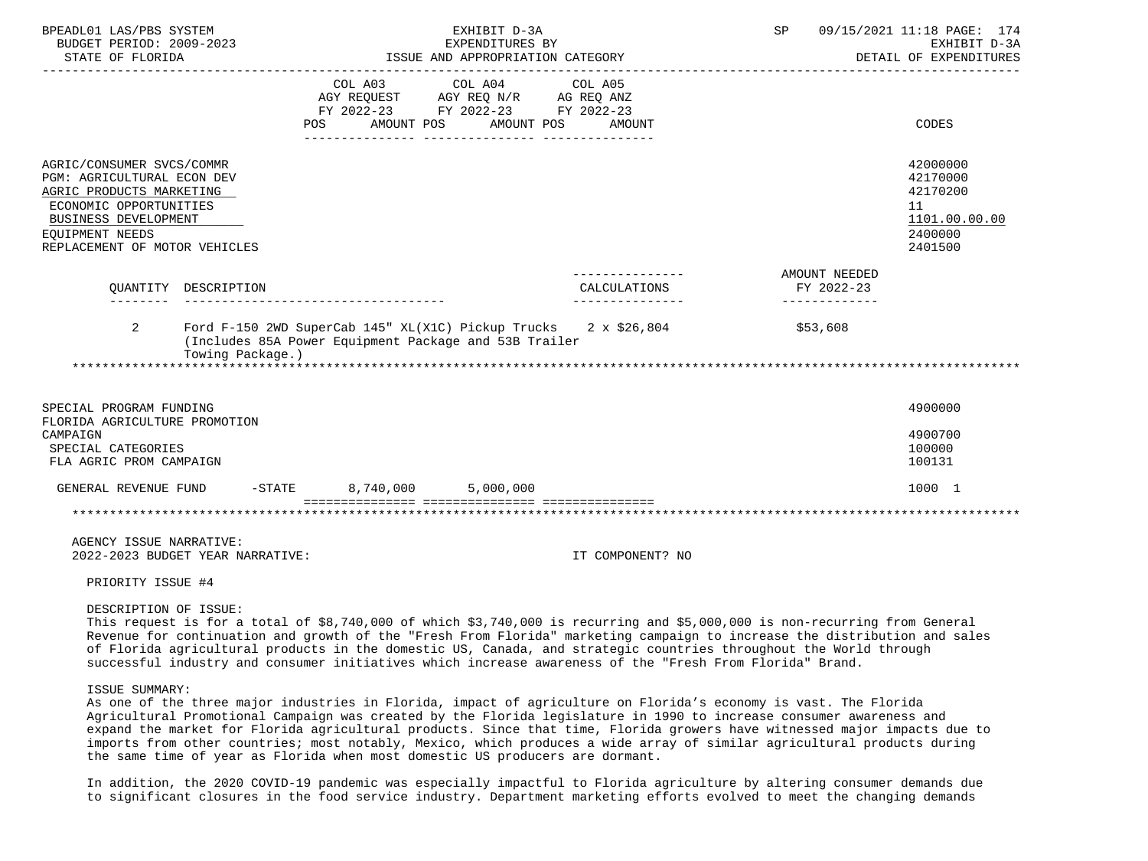| BPEADL01 LAS/PBS SYSTEM<br>BUDGET PERIOD: 2009-2023<br>STATE OF FLORIDA                                                                                                                   | EXHIBIT D-3A<br>EXPENDITURES BY<br>ISSUE AND APPROPRIATION CATEGORY |                                       |                                                           | SP                                                               | 09/15/2021 11:18 PAGE: 174<br>EXHIBIT D-3A<br>DETAIL OF EXPENDITURES                                                                                                                                                                                                                                                                                                         |                                                                               |
|-------------------------------------------------------------------------------------------------------------------------------------------------------------------------------------------|---------------------------------------------------------------------|---------------------------------------|-----------------------------------------------------------|------------------------------------------------------------------|------------------------------------------------------------------------------------------------------------------------------------------------------------------------------------------------------------------------------------------------------------------------------------------------------------------------------------------------------------------------------|-------------------------------------------------------------------------------|
|                                                                                                                                                                                           |                                                                     | COL A03<br>AMOUNT POS<br><b>POS</b>   | COL A04<br>FY 2022-23 FY 2022-23 FY 2022-23<br>AMOUNT POS | COL A05<br>AMOUNT                                                |                                                                                                                                                                                                                                                                                                                                                                              | CODES                                                                         |
| AGRIC/CONSUMER SVCS/COMMR<br>PGM: AGRICULTURAL ECON DEV<br>AGRIC PRODUCTS MARKETING<br>ECONOMIC OPPORTUNITIES<br>BUSINESS DEVELOPMENT<br>EQUIPMENT NEEDS<br>REPLACEMENT OF MOTOR VEHICLES |                                                                     |                                       |                                                           |                                                                  | AMOUNT NEEDED                                                                                                                                                                                                                                                                                                                                                                | 42000000<br>42170000<br>42170200<br>11<br>1101.00.00.00<br>2400000<br>2401500 |
| OUANTITY DESCRIPTION                                                                                                                                                                      |                                                                     | ------------------------------------- |                                                           | CALCULATIONS<br>----------------                                 | FY 2022-23<br>_____________                                                                                                                                                                                                                                                                                                                                                  |                                                                               |
| $\overline{2}$<br>Towing Package.)                                                                                                                                                        |                                                                     |                                       | (Includes 85A Power Equipment Package and 53B Trailer     | Ford F-150 2WD SuperCab 145" XL(X1C) Pickup Trucks 2 x $$26,804$ | \$53,608                                                                                                                                                                                                                                                                                                                                                                     |                                                                               |
| SPECIAL PROGRAM FUNDING<br>FLORIDA AGRICULTURE PROMOTION                                                                                                                                  |                                                                     |                                       |                                                           |                                                                  |                                                                                                                                                                                                                                                                                                                                                                              | 4900000                                                                       |
| CAMPAIGN<br>SPECIAL CATEGORIES<br>FLA AGRIC PROM CAMPAIGN                                                                                                                                 |                                                                     |                                       |                                                           |                                                                  |                                                                                                                                                                                                                                                                                                                                                                              | 4900700<br>100000<br>100131                                                   |
| GENERAL REVENUE FUND                                                                                                                                                                      |                                                                     | $-STATE$ 8,740,000 5,000,000          |                                                           |                                                                  |                                                                                                                                                                                                                                                                                                                                                                              | 1000 1                                                                        |
|                                                                                                                                                                                           |                                                                     |                                       |                                                           |                                                                  |                                                                                                                                                                                                                                                                                                                                                                              |                                                                               |
| AGENCY ISSUE NARRATIVE:<br>2022-2023 BUDGET YEAR NARRATIVE:                                                                                                                               |                                                                     |                                       |                                                           | IT COMPONENT? NO                                                 |                                                                                                                                                                                                                                                                                                                                                                              |                                                                               |
| PRIORITY ISSUE #4                                                                                                                                                                         |                                                                     |                                       |                                                           |                                                                  |                                                                                                                                                                                                                                                                                                                                                                              |                                                                               |
| DESCRIPTION OF ISSUE:<br>successful industry and consumer initiatives which increase awareness of the "Fresh From Florida" Brand.                                                         |                                                                     |                                       |                                                           |                                                                  | This request is for a total of \$8,740,000 of which \$3,740,000 is recurring and \$5,000,000 is non-recurring from General<br>Revenue for continuation and growth of the "Fresh From Florida" marketing campaign to increase the distribution and sales<br>of Florida agricultural products in the domestic US, Canada, and strategic countries throughout the World through |                                                                               |

ISSUE SUMMARY:

 As one of the three major industries in Florida, impact of agriculture on Florida's economy is vast. The Florida Agricultural Promotional Campaign was created by the Florida legislature in 1990 to increase consumer awareness and expand the market for Florida agricultural products. Since that time, Florida growers have witnessed major impacts due to imports from other countries; most notably, Mexico, which produces a wide array of similar agricultural products during the same time of year as Florida when most domestic US producers are dormant.

 In addition, the 2020 COVID-19 pandemic was especially impactful to Florida agriculture by altering consumer demands due to significant closures in the food service industry. Department marketing efforts evolved to meet the changing demands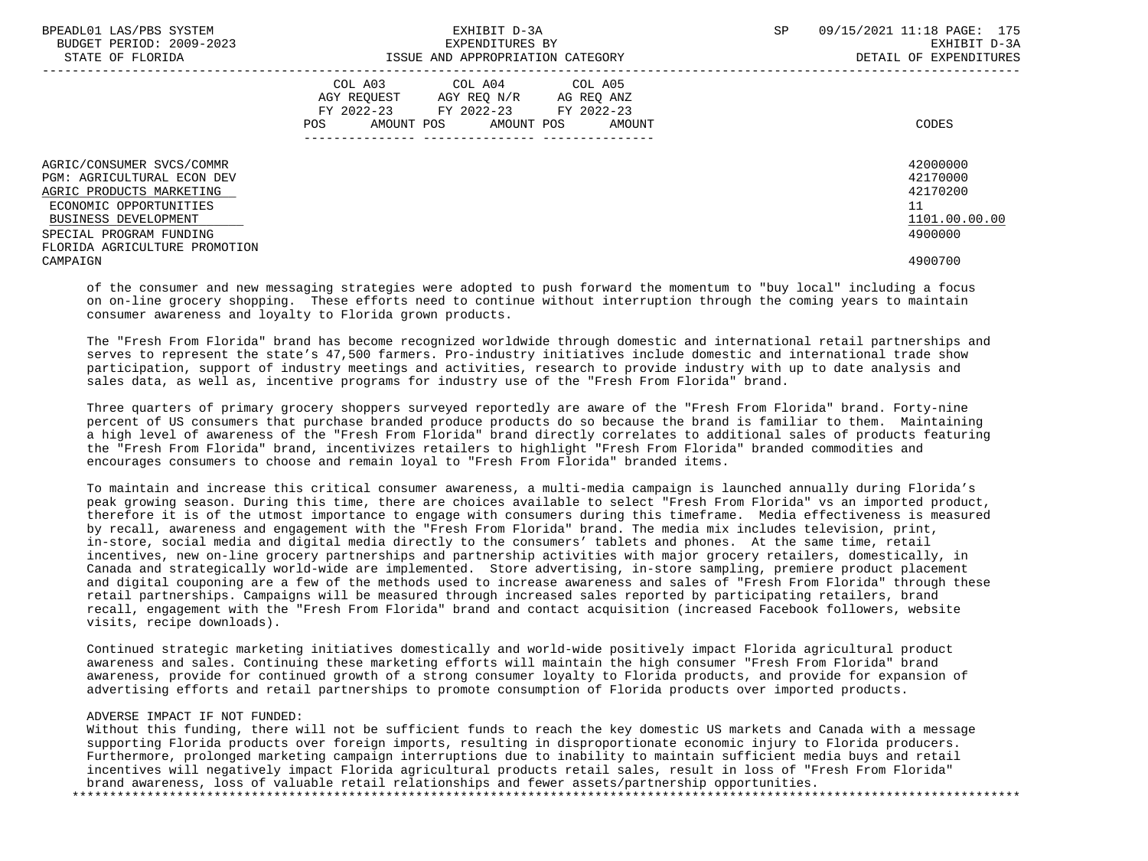| BPEADL01 LAS/PBS SYSTEM<br>BUDGET PERIOD: 2009-2023                                                        | EXHIBIT D-3A<br>EXPENDITURES BY                                                                                                                | 09/15/2021 11:18 PAGE: 175<br><b>SP</b><br>EXHIBIT D-3A |
|------------------------------------------------------------------------------------------------------------|------------------------------------------------------------------------------------------------------------------------------------------------|---------------------------------------------------------|
| STATE OF FLORIDA                                                                                           | ISSUE AND APPROPRIATION CATEGORY                                                                                                               | DETAIL OF EXPENDITURES                                  |
|                                                                                                            | COL A03 COL A04 COL A05<br>AGY REQUEST AGY REQ N/R<br>AG REQ ANZ<br>FY 2022-23 FY 2022-23 FY 2022-23<br>AMOUNT POS AMOUNT POS<br>POS<br>AMOUNT | CODES                                                   |
| AGRIC/CONSUMER SVCS/COMMR<br>PGM: AGRICULTURAL ECON DEV<br>AGRIC PRODUCTS MARKETING                        |                                                                                                                                                | 42000000<br>42170000<br>42170200                        |
| ECONOMIC OPPORTUNITIES<br>BUSINESS DEVELOPMENT<br>SPECIAL PROGRAM FUNDING<br>FLORIDA AGRICULTURE PROMOTION |                                                                                                                                                | 11<br>1101.00.00.00<br>4900000                          |
| CAMPAIGN                                                                                                   |                                                                                                                                                | 4900700                                                 |

 of the consumer and new messaging strategies were adopted to push forward the momentum to "buy local" including a focus on on-line grocery shopping. These efforts need to continue without interruption through the coming years to maintain consumer awareness and loyalty to Florida grown products.

 The "Fresh From Florida" brand has become recognized worldwide through domestic and international retail partnerships and serves to represent the state's 47,500 farmers. Pro-industry initiatives include domestic and international trade show participation, support of industry meetings and activities, research to provide industry with up to date analysis and sales data, as well as, incentive programs for industry use of the "Fresh From Florida" brand.

 Three quarters of primary grocery shoppers surveyed reportedly are aware of the "Fresh From Florida" brand. Forty-nine percent of US consumers that purchase branded produce products do so because the brand is familiar to them. Maintaining a high level of awareness of the "Fresh From Florida" brand directly correlates to additional sales of products featuring the "Fresh From Florida" brand, incentivizes retailers to highlight "Fresh From Florida" branded commodities and encourages consumers to choose and remain loyal to "Fresh From Florida" branded items.

 To maintain and increase this critical consumer awareness, a multi-media campaign is launched annually during Florida's peak growing season. During this time, there are choices available to select "Fresh From Florida" vs an imported product, therefore it is of the utmost importance to engage with consumers during this timeframe. Media effectiveness is measured by recall, awareness and engagement with the "Fresh From Florida" brand. The media mix includes television, print, in-store, social media and digital media directly to the consumers' tablets and phones. At the same time, retail incentives, new on-line grocery partnerships and partnership activities with major grocery retailers, domestically, in Canada and strategically world-wide are implemented. Store advertising, in-store sampling, premiere product placement and digital couponing are a few of the methods used to increase awareness and sales of "Fresh From Florida" through these retail partnerships. Campaigns will be measured through increased sales reported by participating retailers, brand recall, engagement with the "Fresh From Florida" brand and contact acquisition (increased Facebook followers, website visits, recipe downloads).

 Continued strategic marketing initiatives domestically and world-wide positively impact Florida agricultural product awareness and sales. Continuing these marketing efforts will maintain the high consumer "Fresh From Florida" brand awareness, provide for continued growth of a strong consumer loyalty to Florida products, and provide for expansion of advertising efforts and retail partnerships to promote consumption of Florida products over imported products.

# ADVERSE IMPACT IF NOT FUNDED:

 Without this funding, there will not be sufficient funds to reach the key domestic US markets and Canada with a message supporting Florida products over foreign imports, resulting in disproportionate economic injury to Florida producers. Furthermore, prolonged marketing campaign interruptions due to inability to maintain sufficient media buys and retail incentives will negatively impact Florida agricultural products retail sales, result in loss of "Fresh From Florida" brand awareness, loss of valuable retail relationships and fewer assets/partnership opportunities. \*\*\*\*\*\*\*\*\*\*\*\*\*\*\*\*\*\*\*\*\*\*\*\*\*\*\*\*\*\*\*\*\*\*\*\*\*\*\*\*\*\*\*\*\*\*\*\*\*\*\*\*\*\*\*\*\*\*\*\*\*\*\*\*\*\*\*\*\*\*\*\*\*\*\*\*\*\*\*\*\*\*\*\*\*\*\*\*\*\*\*\*\*\*\*\*\*\*\*\*\*\*\*\*\*\*\*\*\*\*\*\*\*\*\*\*\*\*\*\*\*\*\*\*\*\*\*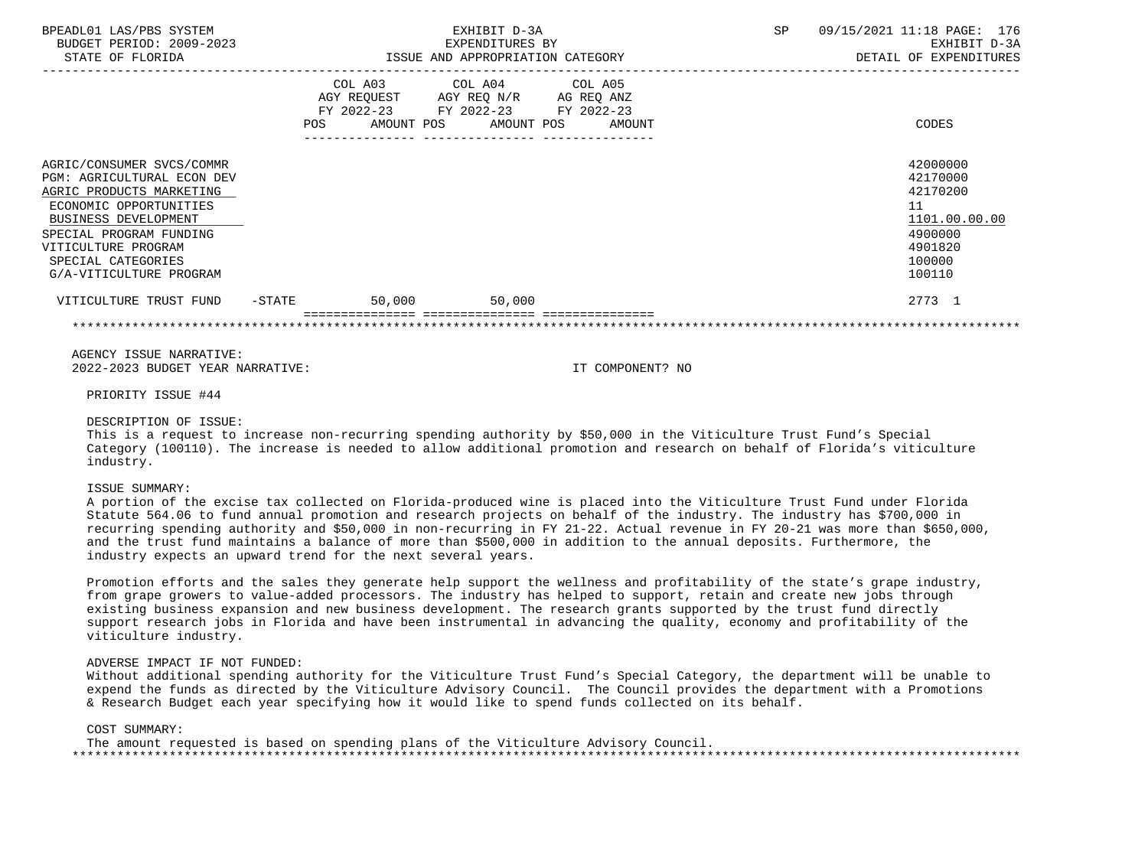| BPEADL01 LAS/PBS SYSTEM<br>BUDGET PERIOD: 2009-2023<br>STATE OF FLORIDA                                                                                                                                                                  | EXHIBIT D-3A<br>EXPENDITURES BY<br>ISSUE AND APPROPRIATION CATEGORY                                                                   |  |  | SP | 09/15/2021 11:18 PAGE: 176<br>EXHIBIT D-3A<br>DETAIL OF EXPENDITURES                              |
|------------------------------------------------------------------------------------------------------------------------------------------------------------------------------------------------------------------------------------------|---------------------------------------------------------------------------------------------------------------------------------------|--|--|----|---------------------------------------------------------------------------------------------------|
|                                                                                                                                                                                                                                          | COL A03 COL A04 COL A05<br>AGY REQUEST AGY REQ N/R AG REQ ANZ<br>FY 2022-23 FY 2022-23 FY 2022-23<br>POS AMOUNT POS AMOUNT POS AMOUNT |  |  |    | CODES                                                                                             |
| AGRIC/CONSUMER SVCS/COMMR<br>PGM: AGRICULTURAL ECON DEV<br>AGRIC PRODUCTS MARKETING<br>ECONOMIC OPPORTUNITIES<br>BUSINESS DEVELOPMENT<br>SPECIAL PROGRAM FUNDING<br>VITICULTURE PROGRAM<br>SPECIAL CATEGORIES<br>G/A-VITICULTURE PROGRAM |                                                                                                                                       |  |  |    | 42000000<br>42170000<br>42170200<br>11<br>1101.00.00.00<br>4900000<br>4901820<br>100000<br>100110 |
| VITICULTURE TRUST FUND -STATE                                                                                                                                                                                                            | 50,000 50,000                                                                                                                         |  |  |    | 2773 1                                                                                            |
|                                                                                                                                                                                                                                          |                                                                                                                                       |  |  |    |                                                                                                   |

 AGENCY ISSUE NARRATIVE: 2022-2023 BUDGET YEAR NARRATIVE: IT COMPONENT? NO

PRIORITY ISSUE #44

DESCRIPTION OF ISSUE:

 This is a request to increase non-recurring spending authority by \$50,000 in the Viticulture Trust Fund's Special Category (100110). The increase is needed to allow additional promotion and research on behalf of Florida's viticulture industry.

# ISSUE SUMMARY:

 A portion of the excise tax collected on Florida-produced wine is placed into the Viticulture Trust Fund under Florida Statute 564.06 to fund annual promotion and research projects on behalf of the industry. The industry has \$700,000 in recurring spending authority and \$50,000 in non-recurring in FY 21-22. Actual revenue in FY 20-21 was more than \$650,000, and the trust fund maintains a balance of more than \$500,000 in addition to the annual deposits. Furthermore, the industry expects an upward trend for the next several years.

 Promotion efforts and the sales they generate help support the wellness and profitability of the state's grape industry, from grape growers to value-added processors. The industry has helped to support, retain and create new jobs through existing business expansion and new business development. The research grants supported by the trust fund directly support research jobs in Florida and have been instrumental in advancing the quality, economy and profitability of the viticulture industry.

#### ADVERSE IMPACT IF NOT FUNDED:

 Without additional spending authority for the Viticulture Trust Fund's Special Category, the department will be unable to expend the funds as directed by the Viticulture Advisory Council. The Council provides the department with a Promotions & Research Budget each year specifying how it would like to spend funds collected on its behalf.

#### COST SUMMARY:

 The amount requested is based on spending plans of the Viticulture Advisory Council. \*\*\*\*\*\*\*\*\*\*\*\*\*\*\*\*\*\*\*\*\*\*\*\*\*\*\*\*\*\*\*\*\*\*\*\*\*\*\*\*\*\*\*\*\*\*\*\*\*\*\*\*\*\*\*\*\*\*\*\*\*\*\*\*\*\*\*\*\*\*\*\*\*\*\*\*\*\*\*\*\*\*\*\*\*\*\*\*\*\*\*\*\*\*\*\*\*\*\*\*\*\*\*\*\*\*\*\*\*\*\*\*\*\*\*\*\*\*\*\*\*\*\*\*\*\*\*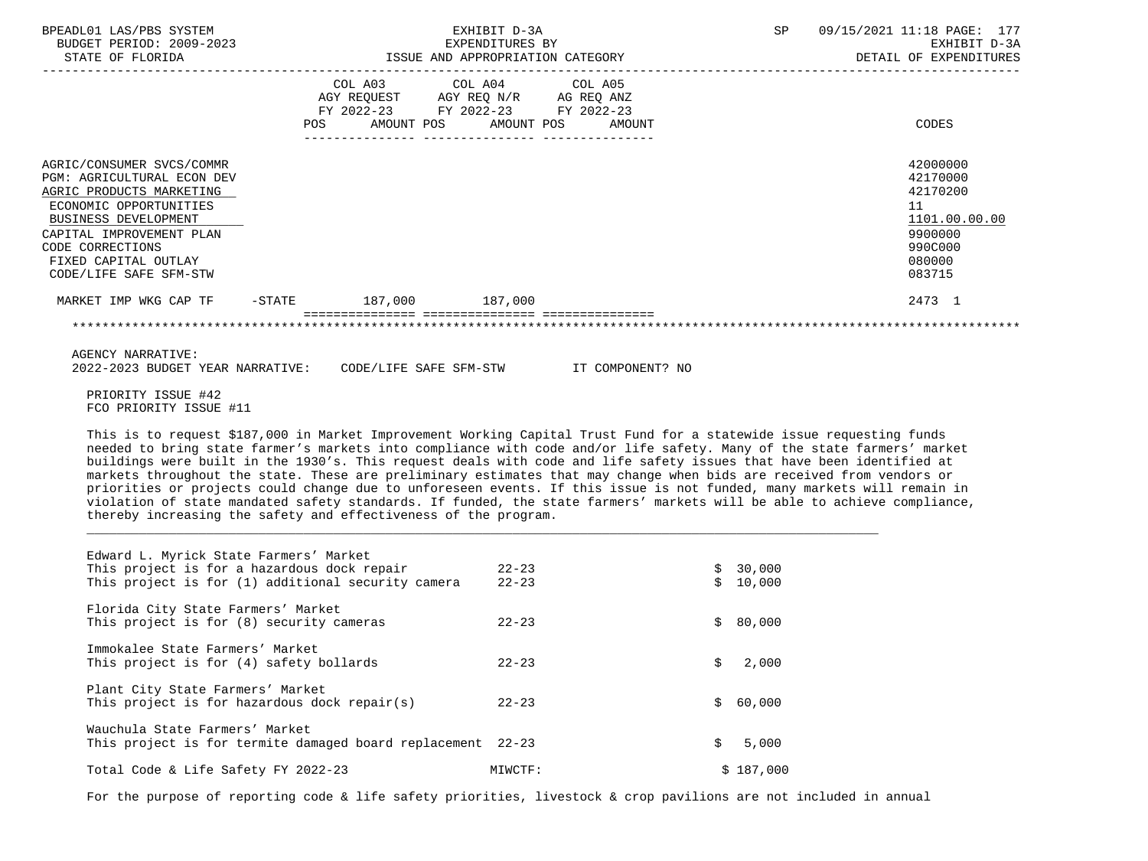| BPEADL01 LAS/PBS SYSTEM<br>BUDGET PERIOD: 2009-2023<br>STATE OF FLORIDA                                                                                                                                                                        |                          | EXHIBIT D-3A<br>EXPENDITURES BY<br>EXPENDITURES BY<br>ISSUE AND APPROPRIATION CATEGORY                                                | <b>SP</b> | 09/15/2021 11:18 PAGE: 177<br>EXHIBIT D-3A<br>DETAIL OF EXPENDITURES                              |
|------------------------------------------------------------------------------------------------------------------------------------------------------------------------------------------------------------------------------------------------|--------------------------|---------------------------------------------------------------------------------------------------------------------------------------|-----------|---------------------------------------------------------------------------------------------------|
|                                                                                                                                                                                                                                                |                          | COL A03 COL A04 COL A05<br>AGY REQUEST AGY REQ N/R AG REQ ANZ<br>FY 2022-23 FY 2022-23 FY 2022-23<br>POS AMOUNT POS AMOUNT POS AMOUNT |           | CODES                                                                                             |
| AGRIC/CONSUMER SVCS/COMMR<br><b>PGM: AGRICULTURAL ECON DEV</b><br>AGRIC PRODUCTS MARKETING<br>ECONOMIC OPPORTUNITIES<br>BUSINESS DEVELOPMENT<br>CAPITAL IMPROVEMENT PLAN<br>CODE CORRECTIONS<br>FIXED CAPITAL OUTLAY<br>CODE/LIFE SAFE SFM-STW |                          |                                                                                                                                       |           | 42000000<br>42170000<br>42170200<br>11<br>1101.00.00.00<br>9900000<br>990C000<br>080000<br>083715 |
| MARKET IMP WKG CAP TF                                                                                                                                                                                                                          | $-STATE$ 187,000 187,000 |                                                                                                                                       |           | 2473 1                                                                                            |
|                                                                                                                                                                                                                                                |                          |                                                                                                                                       |           |                                                                                                   |
| <b>AGENCY NARRATIVE:</b><br>2022-2023 BUDGET YEAR NARRATIVE: CODE/LIFE SAFE SFM-STW TT COMPONENT? NO<br>PRIORITY ISSUE #42                                                                                                                     |                          |                                                                                                                                       |           |                                                                                                   |
| FCO PRIORITY ISSUE #11                                                                                                                                                                                                                         |                          |                                                                                                                                       |           |                                                                                                   |

 This is to request \$187,000 in Market Improvement Working Capital Trust Fund for a statewide issue requesting funds needed to bring state farmer's markets into compliance with code and/or life safety. Many of the state farmers' market buildings were built in the 1930's. This request deals with code and life safety issues that have been identified at markets throughout the state. These are preliminary estimates that may change when bids are received from vendors or priorities or projects could change due to unforeseen events. If this issue is not funded, many markets will remain in violation of state mandated safety standards. If funded, the state farmers' markets will be able to achieve compliance, thereby increasing the safety and effectiveness of the program.

| Edward L. Myrick State Farmers' Market<br>This project is for a hazardous dock repair<br>This project is for (1) additional security camera | $22 - 23$<br>$22 - 23$ |    | \$30,000<br>10,000 |
|---------------------------------------------------------------------------------------------------------------------------------------------|------------------------|----|--------------------|
| Florida City State Farmers' Market<br>This project is for (8) security cameras                                                              | $22 - 23$              | Ŝ. | 80,000             |
| Immokalee State Farmers' Market<br>This project is for (4) safety bollards                                                                  | $22 - 23$              | Ŝ. | 2,000              |
| Plant City State Farmers' Market<br>This project is for hazardous dock repair(s)                                                            | $22 - 23$              |    | \$60,000           |
| Wauchula State Farmers' Market<br>This project is for termite damaged board replacement 22-23                                               |                        | Ŝ. | 5,000              |
| Total Code & Life Safety FY 2022-23                                                                                                         | MTWCTF:                |    | \$187,000          |

\_\_\_\_\_\_\_\_\_\_\_\_\_\_\_\_\_\_\_\_\_\_\_\_\_\_\_\_\_\_\_\_\_\_\_\_\_\_\_\_\_\_\_\_\_\_\_\_\_\_\_\_\_\_\_\_\_\_\_\_\_\_\_\_\_\_\_\_\_\_\_\_\_\_\_\_\_\_\_\_\_\_\_\_\_\_\_\_\_\_\_\_\_\_\_\_\_\_\_\_\_\_\_\_\_\_

For the purpose of reporting code & life safety priorities, livestock & crop pavilions are not included in annual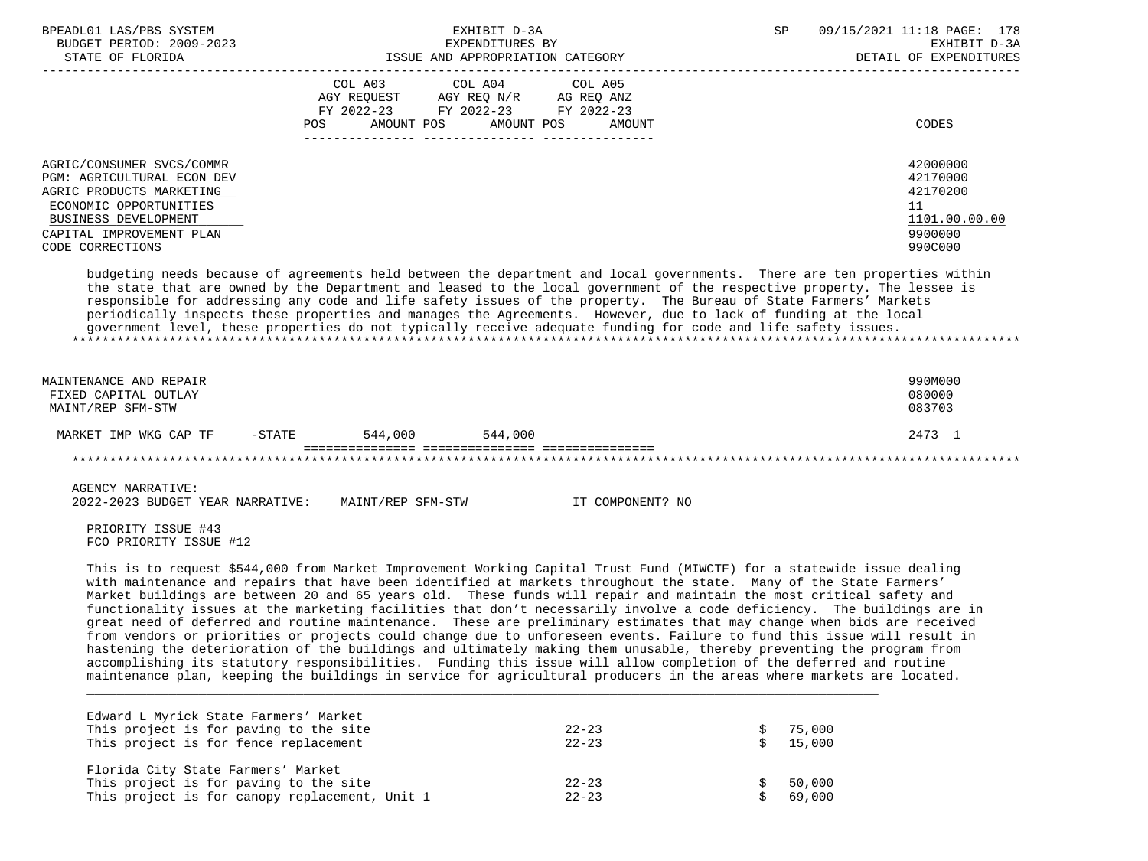| BPEADL01 LAS/PBS SYSTEM<br>BUDGET PERIOD: 2009-2023<br>STATE OF FLORIDA                                                                                                                      | EXHIBIT D-3A<br>EXPENDITURES BY<br>ISSUE AND APPROPRIATION CATEGORY                                                                                                                                                                                 | 09/15/2021 11:18 PAGE: 178<br><b>SP</b><br>EXHIBIT D-3A<br>DETAIL OF EXPENDITURES |
|----------------------------------------------------------------------------------------------------------------------------------------------------------------------------------------------|-----------------------------------------------------------------------------------------------------------------------------------------------------------------------------------------------------------------------------------------------------|-----------------------------------------------------------------------------------|
|                                                                                                                                                                                              | COL A04 COL A05<br>COL A03<br>AGY REOUEST<br>AGY REO N/R<br>AG REO ANZ<br>FY 2022-23 FY 2022-23 FY 2022-23<br>POS<br>AMOUNT POS<br>AMOUNT POS<br>AMOUNT                                                                                             | CODES                                                                             |
| AGRIC/CONSUMER SVCS/COMMR<br><b>PGM: AGRICULTURAL ECON DEV</b><br>AGRIC PRODUCTS MARKETING<br>ECONOMIC OPPORTUNITIES<br>BUSINESS DEVELOPMENT<br>CAPITAL IMPROVEMENT PLAN<br>CODE CORRECTIONS |                                                                                                                                                                                                                                                     | 42000000<br>42170000<br>42170200<br>11<br>1101.00.00.00<br>9900000<br>990C000     |
|                                                                                                                                                                                              | budgeting needs because of agreements held between the department and local governments. There are ten properties within<br>the state that are owned by the Department and leased to the local government of the respective property. The lessee is |                                                                                   |

 the state that are owned by the Department and leased to the local government of the respective property. The lessee is responsible for addressing any code and life safety issues of the property. The Bureau of State Farmers' Markets periodically inspects these properties and manages the Agreements. However, due to lack of funding at the local government level, these properties do not typically receive adequate funding for code and life safety issues. \*\*\*\*\*\*\*\*\*\*\*\*\*\*\*\*\*\*\*\*\*\*\*\*\*\*\*\*\*\*\*\*\*\*\*\*\*\*\*\*\*\*\*\*\*\*\*\*\*\*\*\*\*\*\*\*\*\*\*\*\*\*\*\*\*\*\*\*\*\*\*\*\*\*\*\*\*\*\*\*\*\*\*\*\*\*\*\*\*\*\*\*\*\*\*\*\*\*\*\*\*\*\*\*\*\*\*\*\*\*\*\*\*\*\*\*\*\*\*\*\*\*\*\*\*\*\*

| MAINTENANCE AND REPAIR<br>FIXED CAPITAL OUTLAY<br>MAINT/REP SFM-STW |           |         |         | 990M000<br>080000<br>083703 |
|---------------------------------------------------------------------|-----------|---------|---------|-----------------------------|
| MARKET IMP WKG CAP TF                                               | $-$ STATE | 544,000 | 544,000 | 2473 1                      |
|                                                                     |           |         |         |                             |

AGENCY NARRATIVE:

2022-2023 BUDGET YEAR NARRATIVE: MAINT/REP SFM-STW IT COMPONENT? NO

 PRIORITY ISSUE #43 FCO PRIORITY ISSUE #12

 This is to request \$544,000 from Market Improvement Working Capital Trust Fund (MIWCTF) for a statewide issue dealing with maintenance and repairs that have been identified at markets throughout the state. Many of the State Farmers' Market buildings are between 20 and 65 years old. These funds will repair and maintain the most critical safety and functionality issues at the marketing facilities that don't necessarily involve a code deficiency. The buildings are in great need of deferred and routine maintenance. These are preliminary estimates that may change when bids are received from vendors or priorities or projects could change due to unforeseen events. Failure to fund this issue will result in hastening the deterioration of the buildings and ultimately making them unusable, thereby preventing the program from accomplishing its statutory responsibilities. Funding this issue will allow completion of the deferred and routine maintenance plan, keeping the buildings in service for agricultural producers in the areas where markets are located.

| Edward L Myrick State Farmers' Market          |           |        |
|------------------------------------------------|-----------|--------|
| This project is for paving to the site         | $22 - 23$ | 75,000 |
| This project is for fence replacement          | $22 - 23$ | 15,000 |
| Florida City State Farmers' Market             |           |        |
| This project is for paving to the site         | $22 - 23$ | 50,000 |
| This project is for canopy replacement, Unit 1 | $22 - 23$ | 69,000 |

\_\_\_\_\_\_\_\_\_\_\_\_\_\_\_\_\_\_\_\_\_\_\_\_\_\_\_\_\_\_\_\_\_\_\_\_\_\_\_\_\_\_\_\_\_\_\_\_\_\_\_\_\_\_\_\_\_\_\_\_\_\_\_\_\_\_\_\_\_\_\_\_\_\_\_\_\_\_\_\_\_\_\_\_\_\_\_\_\_\_\_\_\_\_\_\_\_\_\_\_\_\_\_\_\_\_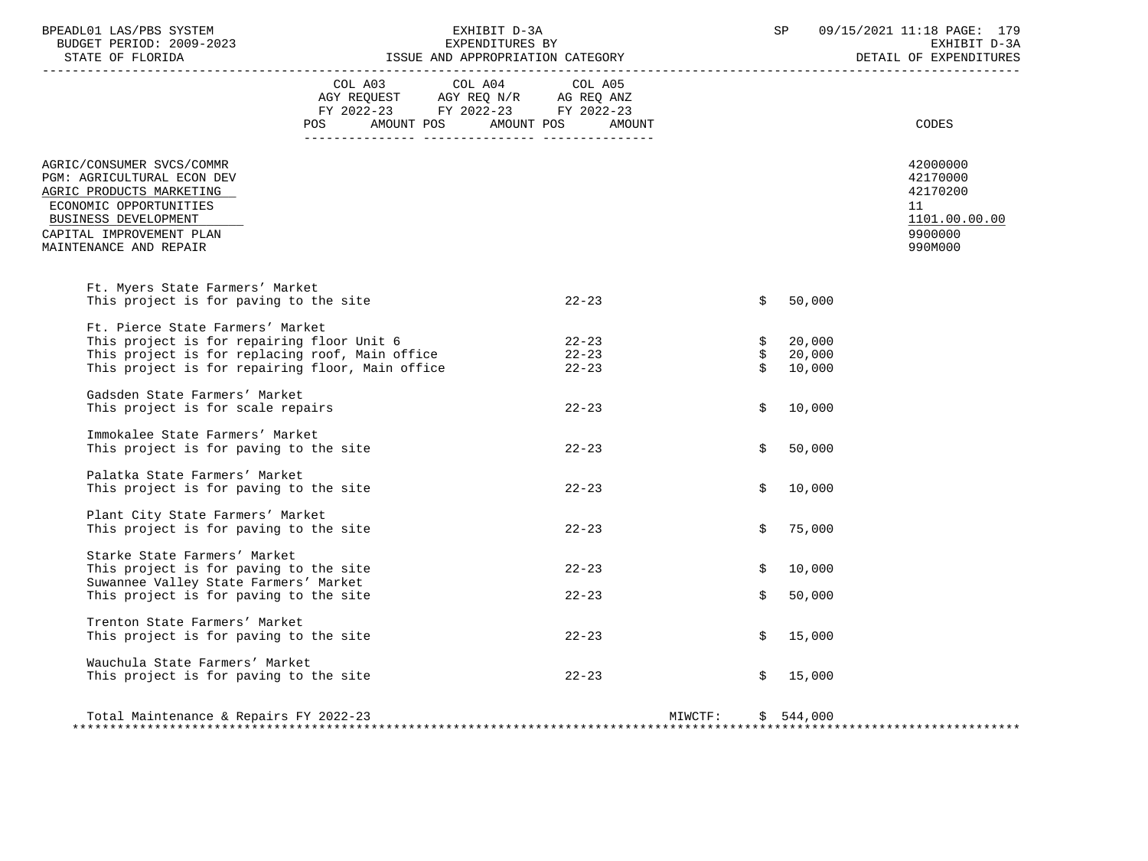| BPEADL01 LAS/PBS SYSTEM                                                                                                                                           | 99/15/2021 11:18 PAGE: 179 EXHIBIT D-3A SP 09/15/2021 11:18 PAGE: 179<br>EXPENDITURES BY EXPENDITURES BY EXHIBIT D-3A SEXPENDITURES BY EXHIBIT D-3A<br>STATE OF FLORIDA ISSUE AND APPROPRIATION CATEGORY DETAIL OF EXPENDITURES<br>EXHIBIT D-3A<br>EXPENDITURES BY<br>VD APPROPRISI |                              |         |                     |           |                                                                    |  |
|-------------------------------------------------------------------------------------------------------------------------------------------------------------------|-------------------------------------------------------------------------------------------------------------------------------------------------------------------------------------------------------------------------------------------------------------------------------------|------------------------------|---------|---------------------|-----------|--------------------------------------------------------------------|--|
|                                                                                                                                                                   | COL A03 COL A04 COL A05<br>AGY REQUEST AGY REQ N/R AG REQ ANZ<br>FY 2022-23 FY 2022-23 FY 2022-23<br><b>POS</b>                                                                                                                                                                     | AMOUNT POS AMOUNT POS AMOUNT |         |                     |           | CODES                                                              |  |
|                                                                                                                                                                   |                                                                                                                                                                                                                                                                                     |                              |         |                     |           |                                                                    |  |
| AGRIC/CONSUMER SVCS/COMMR<br>PGM: AGRICULTURAL ECON DEV<br>AGRIC PRODUCTS MARKETING<br>ECONOMIC OPPORTUNITIES<br>BUSINESS DEVELOPMENT<br>CAPITAL IMPROVEMENT PLAN |                                                                                                                                                                                                                                                                                     |                              |         |                     |           | 42000000<br>42170000<br>42170200<br>11<br>1101.00.00.00<br>9900000 |  |
| MAINTENANCE AND REPAIR                                                                                                                                            |                                                                                                                                                                                                                                                                                     |                              |         |                     |           | 990M000                                                            |  |
| Ft. Myers State Farmers' Market                                                                                                                                   |                                                                                                                                                                                                                                                                                     |                              |         |                     |           |                                                                    |  |
| This project is for paving to the site                                                                                                                            |                                                                                                                                                                                                                                                                                     | $22 - 23$                    |         | \$                  | 50,000    |                                                                    |  |
| Ft. Pierce State Farmers' Market                                                                                                                                  |                                                                                                                                                                                                                                                                                     |                              |         |                     |           |                                                                    |  |
| This project is for repairing floor Unit 6                                                                                                                        |                                                                                                                                                                                                                                                                                     | $22 - 23$                    |         | \$                  | 20,000    |                                                                    |  |
|                                                                                                                                                                   | This project is for replacing roof, Main office                                                                                                                                                                                                                                     | $22 - 23$                    |         | $\ddot{\mathsf{S}}$ | 20,000    |                                                                    |  |
|                                                                                                                                                                   | This project is for repairing floor, Main office                                                                                                                                                                                                                                    | $22 - 23$                    |         | Š.                  | 10,000    |                                                                    |  |
| Gadsden State Farmers' Market                                                                                                                                     |                                                                                                                                                                                                                                                                                     |                              |         |                     |           |                                                                    |  |
| This project is for scale repairs                                                                                                                                 |                                                                                                                                                                                                                                                                                     | $22 - 23$                    |         | \$                  | 10,000    |                                                                    |  |
| Immokalee State Farmers' Market                                                                                                                                   |                                                                                                                                                                                                                                                                                     |                              |         |                     |           |                                                                    |  |
| This project is for paving to the site                                                                                                                            |                                                                                                                                                                                                                                                                                     | $22 - 23$                    |         | \$                  | 50,000    |                                                                    |  |
| Palatka State Farmers' Market                                                                                                                                     |                                                                                                                                                                                                                                                                                     |                              |         |                     |           |                                                                    |  |
| This project is for paving to the site                                                                                                                            |                                                                                                                                                                                                                                                                                     | $22 - 23$                    |         | Ŝ.                  | 10,000    |                                                                    |  |
| Plant City State Farmers' Market                                                                                                                                  |                                                                                                                                                                                                                                                                                     |                              |         |                     |           |                                                                    |  |
| This project is for paving to the site                                                                                                                            |                                                                                                                                                                                                                                                                                     | $22 - 23$                    |         | Ŝ.                  | 75,000    |                                                                    |  |
| Starke State Farmers' Market                                                                                                                                      |                                                                                                                                                                                                                                                                                     |                              |         |                     |           |                                                                    |  |
| This project is for paving to the site                                                                                                                            |                                                                                                                                                                                                                                                                                     | $22 - 23$                    |         | \$                  | 10,000    |                                                                    |  |
| Suwannee Valley State Farmers' Market                                                                                                                             |                                                                                                                                                                                                                                                                                     |                              |         |                     |           |                                                                    |  |
| This project is for paving to the site                                                                                                                            |                                                                                                                                                                                                                                                                                     | $22 - 23$                    |         | \$                  | 50,000    |                                                                    |  |
| Trenton State Farmers' Market                                                                                                                                     |                                                                                                                                                                                                                                                                                     |                              |         |                     |           |                                                                    |  |
| This project is for paving to the site                                                                                                                            |                                                                                                                                                                                                                                                                                     | $22 - 23$                    |         | Ŝ.                  | 15,000    |                                                                    |  |
| Wauchula State Farmers' Market                                                                                                                                    |                                                                                                                                                                                                                                                                                     |                              |         |                     |           |                                                                    |  |
| This project is for paving to the site                                                                                                                            |                                                                                                                                                                                                                                                                                     | $22 - 23$                    |         | \$                  | 15,000    |                                                                    |  |
|                                                                                                                                                                   |                                                                                                                                                                                                                                                                                     |                              |         |                     |           |                                                                    |  |
| Total Maintenance & Repairs FY 2022-23                                                                                                                            |                                                                                                                                                                                                                                                                                     |                              | MIWCTF: |                     | \$544,000 |                                                                    |  |
|                                                                                                                                                                   |                                                                                                                                                                                                                                                                                     |                              |         |                     |           |                                                                    |  |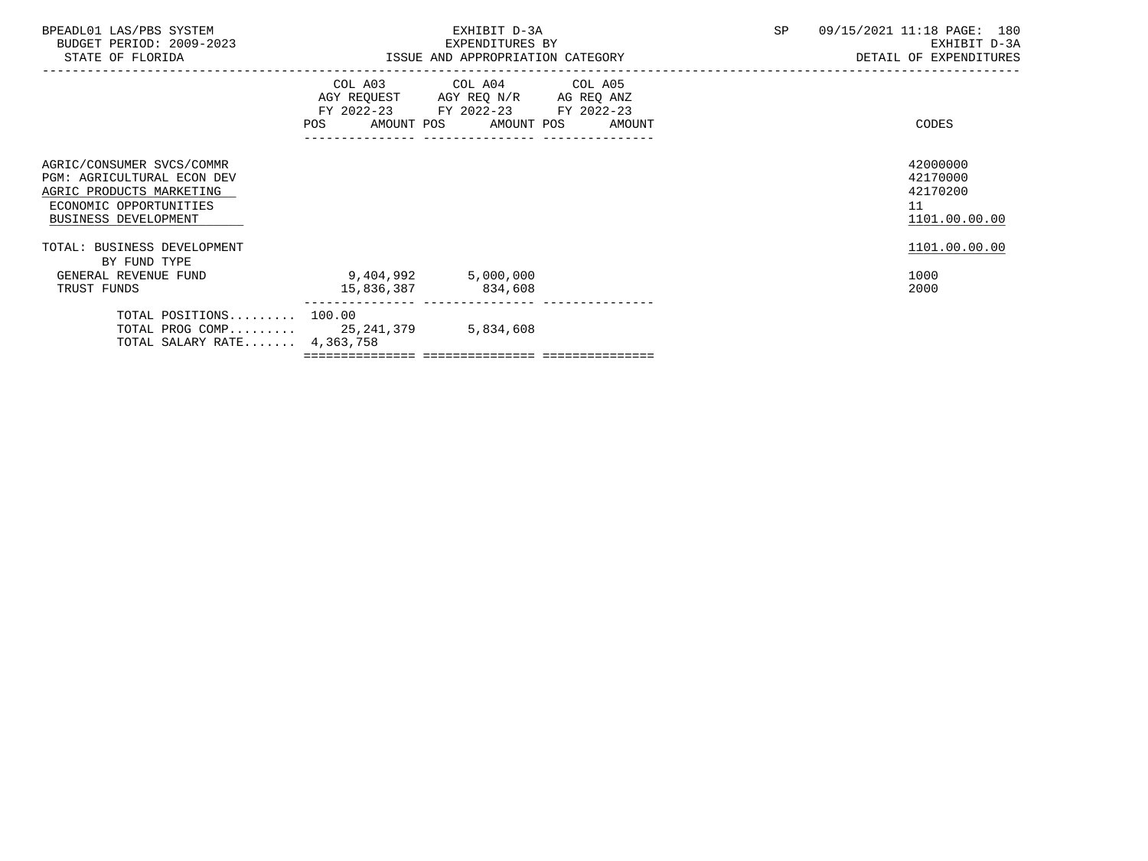| EXHIBIT D-3A                                          | SP                                                                                                                                              | 09/15/2021 11:18 PAGE: 180<br>EXHIBIT D-3A<br>DETAIL OF EXPENDITURES                                                                    |
|-------------------------------------------------------|-------------------------------------------------------------------------------------------------------------------------------------------------|-----------------------------------------------------------------------------------------------------------------------------------------|
|                                                       |                                                                                                                                                 | CODES                                                                                                                                   |
|                                                       |                                                                                                                                                 | 42000000<br>42170000<br>42170200<br>11<br>1101.00.00.00                                                                                 |
|                                                       |                                                                                                                                                 | 1101.00.00.00<br>1000<br>2000                                                                                                           |
|                                                       |                                                                                                                                                 |                                                                                                                                         |
| TOTAL POSITIONS 100.00<br>TOTAL SALARY RATE 4,363,758 | COL A03 COL A04 COL A05<br>POS AMOUNT POS AMOUNT POS<br>$9,404,992$ 5,000,000<br>15,836,387 834,608<br>TOTAL PROG COMP 25, 241, 379 5, 834, 608 | EXPENDITURES BY<br>ISSUE AND APPROPRIATION CATEGORY<br>AGY REQUEST AGY REQ N/R AG REQ ANZ<br>FY 2022-23 FY 2022-23 FY 2022-23<br>AMOUNT |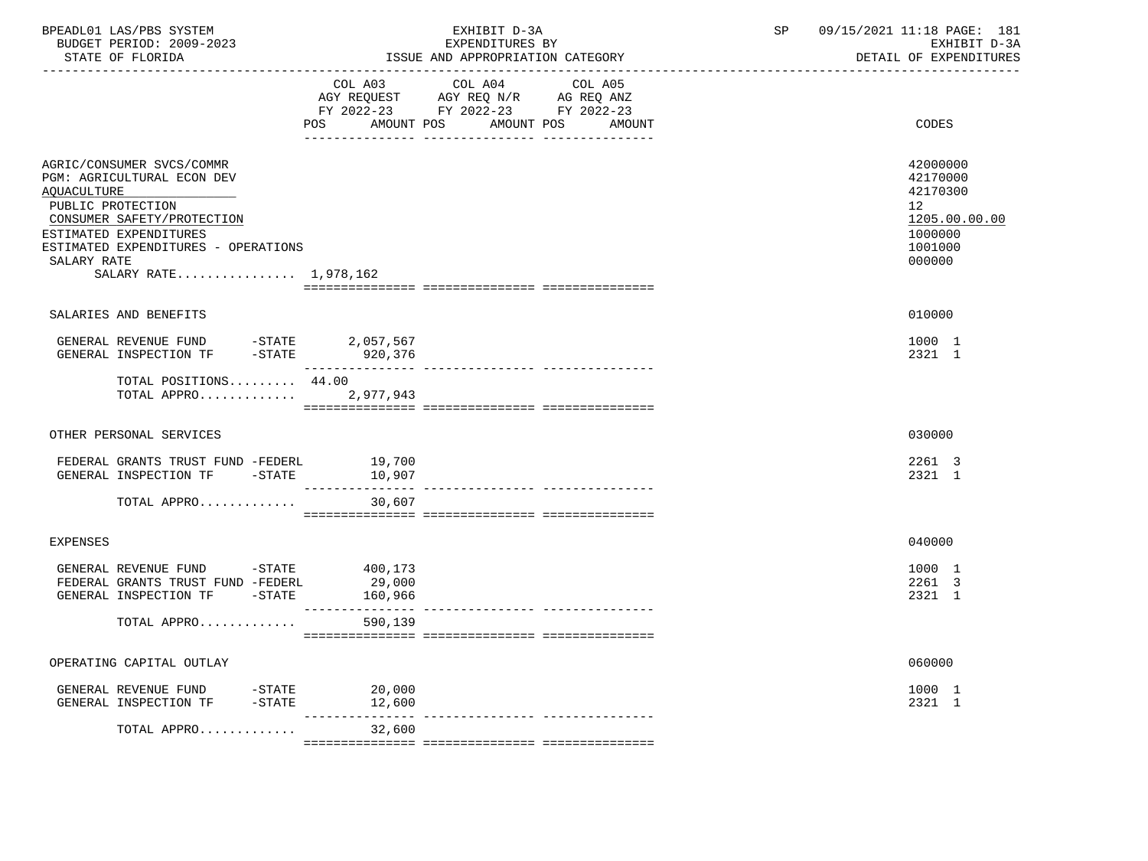| BPEADL01 LAS/PBS SYSTEM<br>BUDGET PERIOD: 2009-2023<br>STATE OF FLORIDA                                                                                                                                                            | EXHIBIT D-3A<br>EXPENDITURES BY<br>ISSUE AND APPROPRIATION CATEGORY                                                                                                         | SP     | 09/15/2021 11:18 PAGE: 181<br>EXHIBIT D-3A<br>DETAIL OF EXPENDITURES                    |
|------------------------------------------------------------------------------------------------------------------------------------------------------------------------------------------------------------------------------------|-----------------------------------------------------------------------------------------------------------------------------------------------------------------------------|--------|-----------------------------------------------------------------------------------------|
|                                                                                                                                                                                                                                    | COL A03<br>COL A04<br>COL A05<br>AGY REQUEST AGY REQ N/R AG REQ ANZ<br>FY 2022-23 FY 2022-23 FY 2022-23<br>AMOUNT POS<br>AMOUNT POS<br>POS FOR THE POST OF THE STATE STATES | AMOUNT | CODES                                                                                   |
| AGRIC/CONSUMER SVCS/COMMR<br>PGM: AGRICULTURAL ECON DEV<br>AQUACULTURE<br>PUBLIC PROTECTION<br>CONSUMER SAFETY/PROTECTION<br>ESTIMATED EXPENDITURES<br>ESTIMATED EXPENDITURES - OPERATIONS<br>SALARY RATE<br>SALARY RATE 1,978,162 |                                                                                                                                                                             |        | 42000000<br>42170000<br>42170300<br>12<br>1205.00.00.00<br>1000000<br>1001000<br>000000 |
| SALARIES AND BENEFITS                                                                                                                                                                                                              |                                                                                                                                                                             |        | 010000                                                                                  |
| GENERAL REVENUE FUND -STATE 2,057,567<br>$-STATE$<br>GENERAL INSPECTION TF                                                                                                                                                         | 920,376                                                                                                                                                                     |        | 1000 1<br>2321 1                                                                        |
| TOTAL POSITIONS 44.00<br>TOTAL APPRO                                                                                                                                                                                               | 2,977,943                                                                                                                                                                   |        |                                                                                         |
| OTHER PERSONAL SERVICES                                                                                                                                                                                                            |                                                                                                                                                                             |        | 030000                                                                                  |
| FEDERAL GRANTS TRUST FUND -FEDERL<br>GENERAL INSPECTION TF -STATE                                                                                                                                                                  | 19,700<br>10,907                                                                                                                                                            |        | 2261 3<br>2321 1                                                                        |
| TOTAL APPRO                                                                                                                                                                                                                        | 30,607                                                                                                                                                                      |        |                                                                                         |
| <b>EXPENSES</b>                                                                                                                                                                                                                    |                                                                                                                                                                             |        | 040000                                                                                  |
| GENERAL REVENUE FUND -STATE 400,173<br>FEDERAL GRANTS TRUST FUND -FEDERL<br>GENERAL INSPECTION TF -STATE                                                                                                                           | 29,000<br>160,966                                                                                                                                                           |        | 1000 1<br>2261 3<br>2321 1                                                              |
| TOTAL APPRO                                                                                                                                                                                                                        | 590,139                                                                                                                                                                     |        |                                                                                         |
| OPERATING CAPITAL OUTLAY                                                                                                                                                                                                           |                                                                                                                                                                             |        | 060000                                                                                  |
| GENERAL REVENUE FUND<br>$-$ STATE<br>GENERAL INSPECTION TF<br>$-$ STATE                                                                                                                                                            | 20,000<br>12,600                                                                                                                                                            |        | 1000 1<br>2321 1                                                                        |
| TOTAL APPRO                                                                                                                                                                                                                        | 32,600                                                                                                                                                                      |        |                                                                                         |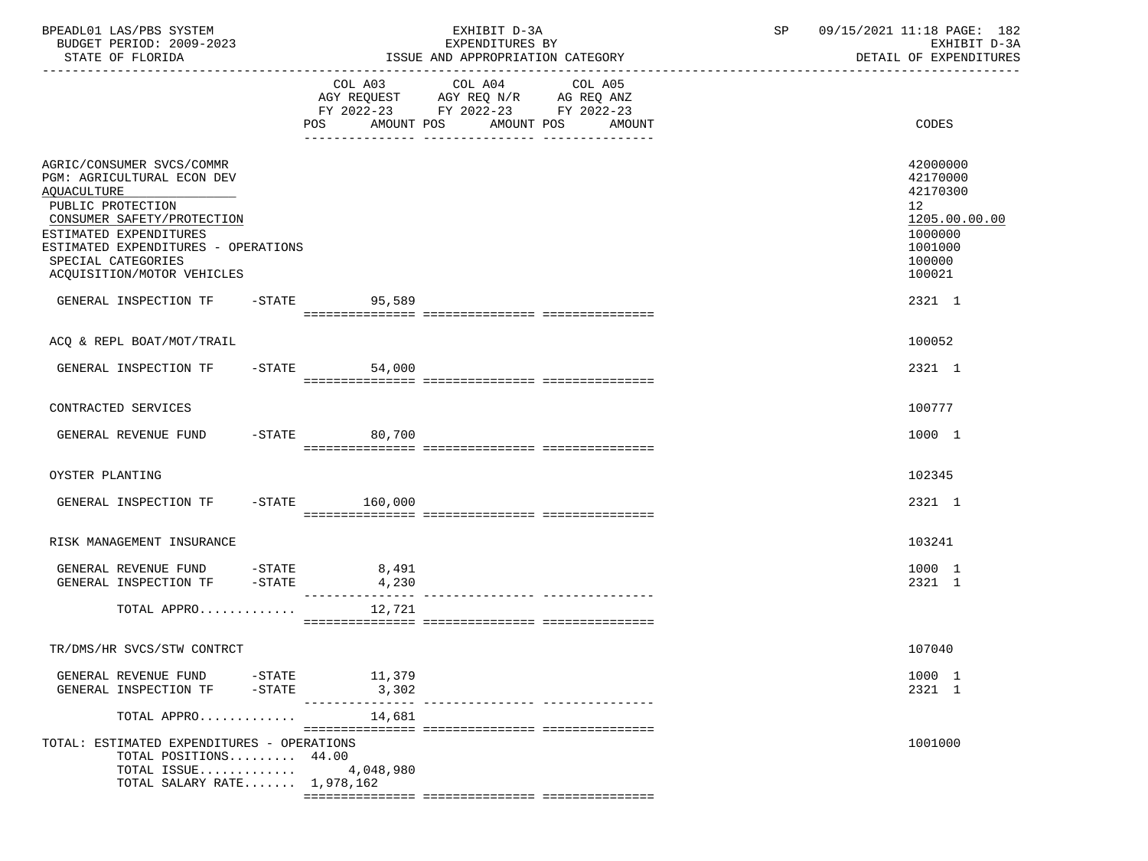| BPEADL01 LAS/PBS SYSTEM<br>BUDGET PERIOD: 2009-2023<br>STATE OF FLORIDA                                                                                                                                                                        |                           | EXHIBIT D-3A<br>EXPENDITURES BY<br>ISSUE AND APPROPRIATION CATEGORY                                                  | SP | 09/15/2021 11:18 PAGE: 182<br>EXHIBIT D-3A<br>DETAIL OF EXPENDITURES                                           |
|------------------------------------------------------------------------------------------------------------------------------------------------------------------------------------------------------------------------------------------------|---------------------------|----------------------------------------------------------------------------------------------------------------------|----|----------------------------------------------------------------------------------------------------------------|
|                                                                                                                                                                                                                                                | COL A03<br>AMOUNT POS     | COL A04<br>COL A05<br>AGY REQUEST AGY REQ N/R AG REQ ANZ<br>FY 2022-23 FY 2022-23 FY 2022-23<br>AMOUNT POS<br>AMOUNT |    | CODES                                                                                                          |
| AGRIC/CONSUMER SVCS/COMMR<br>PGM: AGRICULTURAL ECON DEV<br>AOUACULTURE<br>PUBLIC PROTECTION<br>CONSUMER SAFETY/PROTECTION<br>ESTIMATED EXPENDITURES<br>ESTIMATED EXPENDITURES - OPERATIONS<br>SPECIAL CATEGORIES<br>ACQUISITION/MOTOR VEHICLES |                           |                                                                                                                      |    | 42000000<br>42170000<br>42170300<br>12 <sup>°</sup><br>1205.00.00.00<br>1000000<br>1001000<br>100000<br>100021 |
| GENERAL INSPECTION TF                                                                                                                                                                                                                          | -STATE 95,589             |                                                                                                                      |    | 2321 1                                                                                                         |
| ACQ & REPL BOAT/MOT/TRAIL                                                                                                                                                                                                                      |                           |                                                                                                                      |    | 100052                                                                                                         |
| GENERAL INSPECTION TF                                                                                                                                                                                                                          | $-STATE$ 54,000           |                                                                                                                      |    | 2321 1                                                                                                         |
| CONTRACTED SERVICES                                                                                                                                                                                                                            |                           |                                                                                                                      |    | 100777                                                                                                         |
| GENERAL REVENUE FUND                                                                                                                                                                                                                           | $-STATE$ 80,700           |                                                                                                                      |    | 1000 1                                                                                                         |
| OYSTER PLANTING                                                                                                                                                                                                                                |                           |                                                                                                                      |    | 102345                                                                                                         |
| GENERAL INSPECTION TF                                                                                                                                                                                                                          | $-STATE$ 160,000          |                                                                                                                      |    | 2321 1                                                                                                         |
| RISK MANAGEMENT INSURANCE                                                                                                                                                                                                                      |                           |                                                                                                                      |    | 103241                                                                                                         |
| GENERAL REVENUE FUND -STATE 8,491<br>GENERAL INSPECTION TF<br>-STATE                                                                                                                                                                           | 4,230<br>---------------  |                                                                                                                      |    | 1000 1<br>2321 1                                                                                               |
| TOTAL APPRO                                                                                                                                                                                                                                    | 12,721                    |                                                                                                                      |    |                                                                                                                |
| TR/DMS/HR SVCS/STW CONTRCT                                                                                                                                                                                                                     |                           |                                                                                                                      |    | 107040                                                                                                         |
| GENERAL REVENUE FUND -STATE 11,379<br>$-$ STATE<br>GENERAL INSPECTION TF                                                                                                                                                                       | 3,302                     |                                                                                                                      |    | 1000 1<br>2321 1                                                                                               |
| TOTAL APPRO                                                                                                                                                                                                                                    | _______________<br>14,681 |                                                                                                                      |    |                                                                                                                |
| TOTAL: ESTIMATED EXPENDITURES - OPERATIONS<br>TOTAL POSITIONS 44.00<br>TOTAL ISSUE<br>TOTAL SALARY RATE 1,978,162                                                                                                                              | 4,048,980                 |                                                                                                                      |    | 1001000                                                                                                        |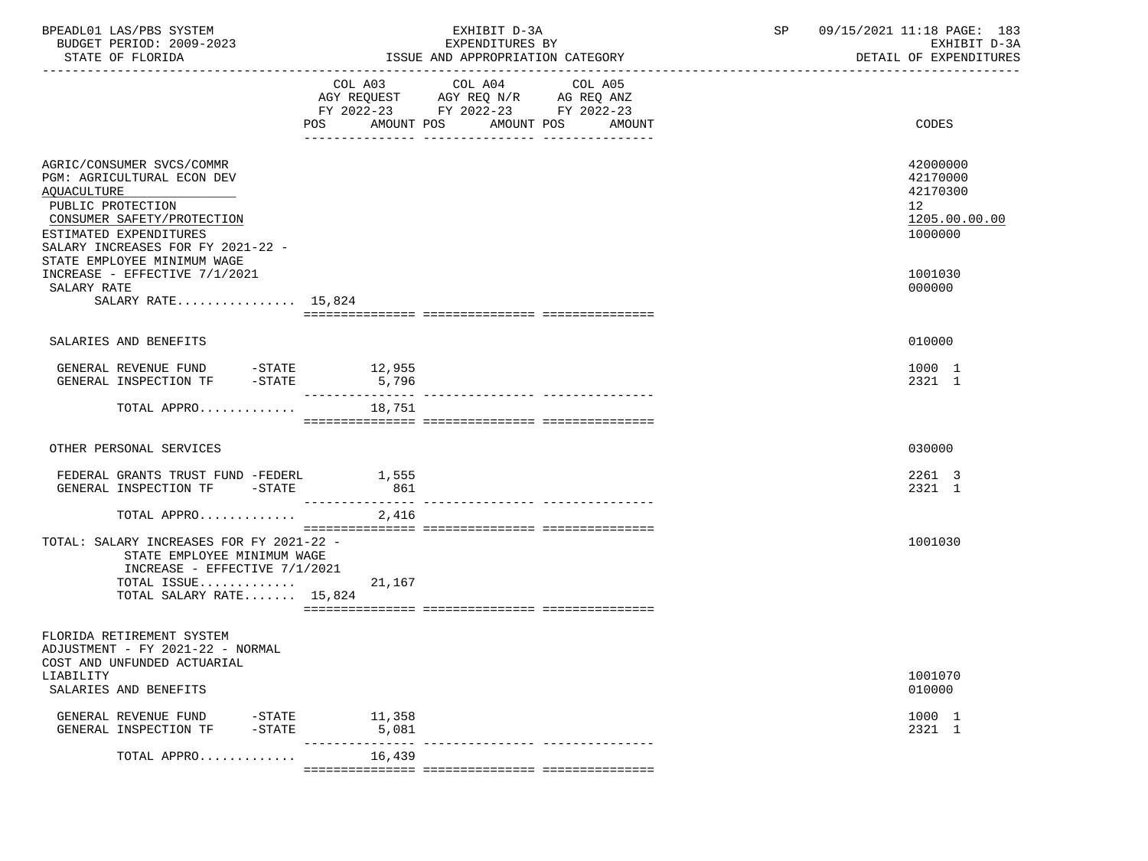| BPEADL01 LAS/PBS SYSTEM<br>BUDGET PERIOD: 2009-2023<br>STATE OF FLORIDA                                                                                                                                                 |                 | EXHIBIT D-3A<br>EXPENDITURES BY<br>ISSUE AND APPROPRIATION CATEGORY                                                              | SP | 09/15/2021 11:18 PAGE: 183<br>EXHIBIT D-3A<br>DETAIL OF EXPENDITURES |
|-------------------------------------------------------------------------------------------------------------------------------------------------------------------------------------------------------------------------|-----------------|----------------------------------------------------------------------------------------------------------------------------------|----|----------------------------------------------------------------------|
|                                                                                                                                                                                                                         | COL A03         | COL A04<br>COL A05<br>AGY REQUEST AGY REQ N/R AG REQ ANZ<br>FY 2022-23 FY 2022-23 FY 2022-23<br>POS AMOUNT POS AMOUNT POS AMOUNT |    | CODES                                                                |
| AGRIC/CONSUMER SVCS/COMMR<br>PGM: AGRICULTURAL ECON DEV<br>AQUACULTURE<br>PUBLIC PROTECTION<br>CONSUMER SAFETY/PROTECTION<br>ESTIMATED EXPENDITURES<br>SALARY INCREASES FOR FY 2021-22 -<br>STATE EMPLOYEE MINIMUM WAGE |                 |                                                                                                                                  |    | 42000000<br>42170000<br>42170300<br>12<br>1205.00.00.00<br>1000000   |
| INCREASE - EFFECTIVE 7/1/2021<br>SALARY RATE<br>SALARY RATE 15,824                                                                                                                                                      |                 |                                                                                                                                  |    | 1001030<br>000000                                                    |
| SALARIES AND BENEFITS                                                                                                                                                                                                   |                 |                                                                                                                                  |    | 010000                                                               |
| GENERAL REVENUE FUND -STATE 12,955<br>GENERAL INSPECTION TF -STATE                                                                                                                                                      | 5,796           |                                                                                                                                  |    | 1000 1<br>2321 1                                                     |
| TOTAL APPRO $18,751$                                                                                                                                                                                                    |                 |                                                                                                                                  |    |                                                                      |
| OTHER PERSONAL SERVICES                                                                                                                                                                                                 |                 |                                                                                                                                  |    | 030000                                                               |
| FEDERAL GRANTS TRUST FUND -FEDERL 1,555<br>GENERAL INSPECTION TF -STATE                                                                                                                                                 | 861             |                                                                                                                                  |    | 2261 3<br>2321 1                                                     |
| TOTAL APPRO                                                                                                                                                                                                             | 2,416           |                                                                                                                                  |    |                                                                      |
| TOTAL: SALARY INCREASES FOR FY 2021-22 -<br>STATE EMPLOYEE MINIMUM WAGE<br>INCREASE - EFFECTIVE $7/1/2021$<br>TOTAL ISSUE<br>TOTAL SALARY RATE 15,824                                                                   | 21,167          |                                                                                                                                  |    | 1001030                                                              |
| FLORIDA RETIREMENT SYSTEM<br>ADJUSTMENT - FY 2021-22 - NORMAL<br>COST AND UNFUNDED ACTUARIAL                                                                                                                            |                 |                                                                                                                                  |    |                                                                      |
| LIABILITY<br>SALARIES AND BENEFITS                                                                                                                                                                                      |                 |                                                                                                                                  |    | 1001070<br>010000                                                    |
| GENERAL REVENUE FUND<br>-STATE<br>GENERAL INSPECTION TF<br>$-$ STATE                                                                                                                                                    | 11,358<br>5,081 |                                                                                                                                  |    | 1000 1<br>2321 1                                                     |
| TOTAL APPRO                                                                                                                                                                                                             | 16,439          |                                                                                                                                  |    |                                                                      |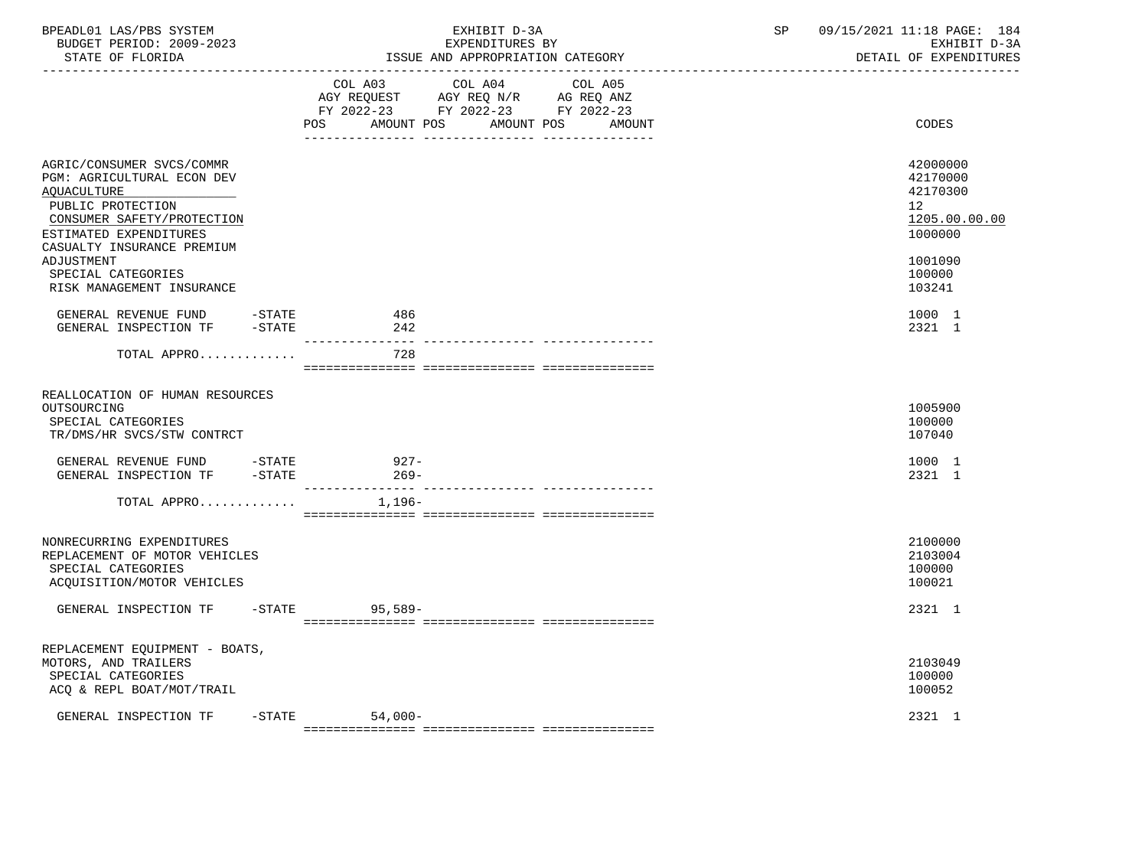| BPEADL01 LAS/PBS SYSTEM<br>BUDGET PERIOD: 2009-2023<br>STATE OF FLORIDA<br>___________________________________                                                                                                        |          |                      | EXHIBIT D-3A<br>EXPENDITURES BY<br>ISSUE AND APPROPRIATION CATEGORY                                                                                                                                                                                              | 09/15/2021 11:18 PAGE: 184<br>SP<br>EXHIBIT D-3A<br>DETAIL OF EXPENDITURES |                                                                                         |  |
|-----------------------------------------------------------------------------------------------------------------------------------------------------------------------------------------------------------------------|----------|----------------------|------------------------------------------------------------------------------------------------------------------------------------------------------------------------------------------------------------------------------------------------------------------|----------------------------------------------------------------------------|-----------------------------------------------------------------------------------------|--|
|                                                                                                                                                                                                                       |          | POS                  | COL A03 COL A04 COL A05<br>$\begin{tabular}{lllllll} \bf AGY & \bf REQUEST & \bf AGY & \bf REQ & \tt N/R & \tt AG & \tt REQ & \tt ANZ \\ \bf FY & \tt 2022-23 & \tt FY & \tt 2022-23 & \tt FY & \tt 2022-23 \\ \end{tabular}$<br>AMOUNT POS AMOUNT POS<br>AMOUNT |                                                                            | CODES                                                                                   |  |
| AGRIC/CONSUMER SVCS/COMMR<br>PGM: AGRICULTURAL ECON DEV<br>AQUACULTURE<br>PUBLIC PROTECTION<br>CONSUMER SAFETY/PROTECTION<br>ESTIMATED EXPENDITURES<br>CASUALTY INSURANCE PREMIUM<br>ADJUSTMENT<br>SPECIAL CATEGORIES |          |                      |                                                                                                                                                                                                                                                                  |                                                                            | 42000000<br>42170000<br>42170300<br>12<br>1205.00.00.00<br>1000000<br>1001090<br>100000 |  |
| RISK MANAGEMENT INSURANCE<br>GENERAL REVENUE FUND -STATE<br>GENERAL INSPECTION TF -STATE                                                                                                                              |          | 486<br>242           |                                                                                                                                                                                                                                                                  |                                                                            | 103241<br>1000 1<br>2321 1                                                              |  |
| TOTAL APPRO                                                                                                                                                                                                           |          | 728                  |                                                                                                                                                                                                                                                                  |                                                                            |                                                                                         |  |
| REALLOCATION OF HUMAN RESOURCES<br>OUTSOURCING<br>SPECIAL CATEGORIES<br>TR/DMS/HR SVCS/STW CONTRCT                                                                                                                    |          |                      |                                                                                                                                                                                                                                                                  |                                                                            | 1005900<br>100000<br>107040                                                             |  |
| GENERAL REVENUE FUND -STATE<br>GENERAL INSPECTION TF -STATE                                                                                                                                                           |          | $927 -$<br>$269 -$   |                                                                                                                                                                                                                                                                  |                                                                            | 1000 1<br>2321 1                                                                        |  |
| TOTAL APPRO                                                                                                                                                                                                           |          | 1,196–               |                                                                                                                                                                                                                                                                  |                                                                            |                                                                                         |  |
| NONRECURRING EXPENDITURES<br>REPLACEMENT OF MOTOR VEHICLES<br>SPECIAL CATEGORIES<br>ACQUISITION/MOTOR VEHICLES                                                                                                        |          |                      |                                                                                                                                                                                                                                                                  |                                                                            | 2100000<br>2103004<br>100000<br>100021                                                  |  |
| GENERAL INSPECTION TF                                                                                                                                                                                                 |          | $-$ STATE<br>95,589- |                                                                                                                                                                                                                                                                  |                                                                            | 2321 1                                                                                  |  |
| REPLACEMENT EQUIPMENT - BOATS,<br>MOTORS, AND TRAILERS<br>SPECIAL CATEGORIES<br>ACQ & REPL BOAT/MOT/TRAIL                                                                                                             |          |                      |                                                                                                                                                                                                                                                                  |                                                                            | 2103049<br>100000<br>100052                                                             |  |
| GENERAL INSPECTION TF                                                                                                                                                                                                 | $-STATE$ | $54,000-$            |                                                                                                                                                                                                                                                                  |                                                                            | 2321 1                                                                                  |  |

=============== =============== ===============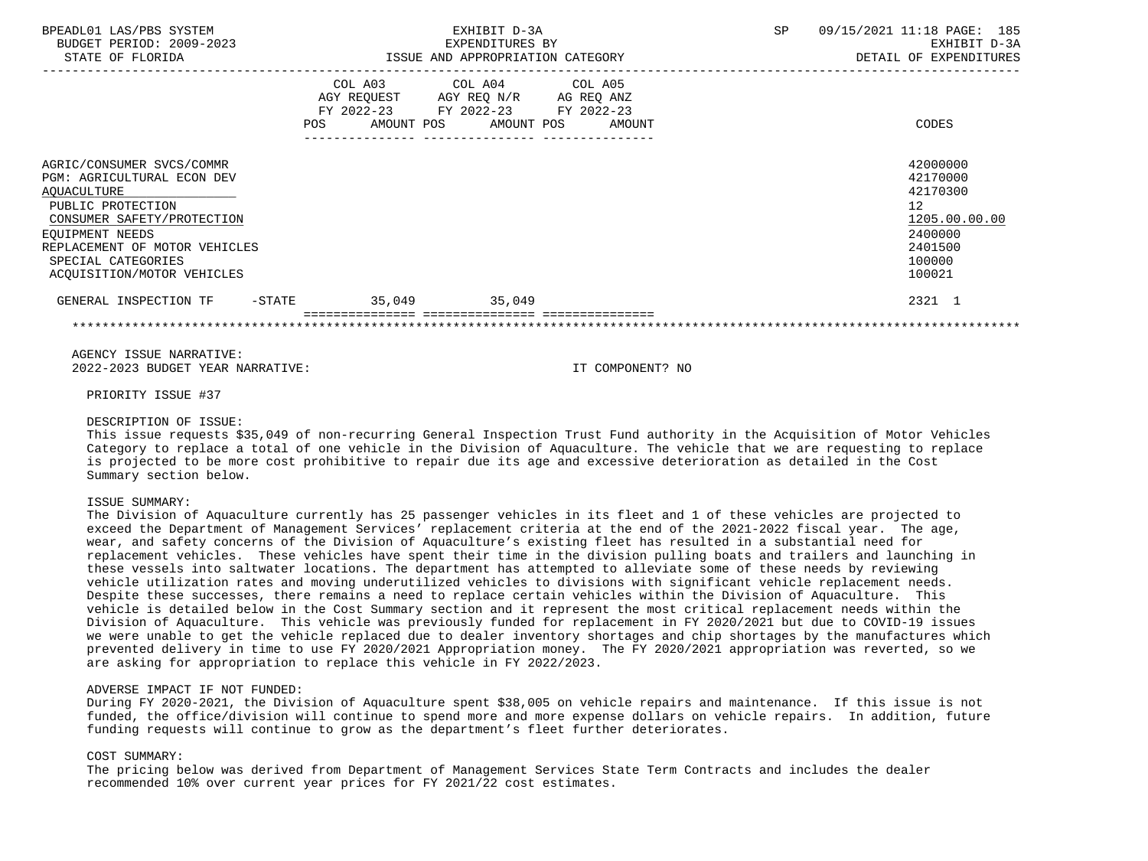| BPEADL01 LAS/PBS SYSTEM<br>BUDGET PERIOD: 2009-2023<br>STATE OF FLORIDA                                                                                                                                                                  | EXHIBIT D-3A<br>EXPENDITURES BY<br>ISSUE AND APPROPRIATION CATEGORY |                                                                                                                               |                  | SP<br>09/15/2021 11:18 PAGE: 185<br>EXHIBIT D-3A<br>DETAIL OF EXPENDITURES |                                                                                                   |  |
|------------------------------------------------------------------------------------------------------------------------------------------------------------------------------------------------------------------------------------------|---------------------------------------------------------------------|-------------------------------------------------------------------------------------------------------------------------------|------------------|----------------------------------------------------------------------------|---------------------------------------------------------------------------------------------------|--|
|                                                                                                                                                                                                                                          | <b>POS</b>                                                          | COL A03 COL A04 COL A05<br>AGY REQUEST AGY REQ N/R AG REQ ANZ<br>FY 2022-23 FY 2022-23 FY 2022-23<br>AMOUNT POS<br>AMOUNT POS | AMOUNT           |                                                                            | CODES                                                                                             |  |
| AGRIC/CONSUMER SVCS/COMMR<br><b>PGM: AGRICULTURAL ECON DEV</b><br>AQUACULTURE<br>PUBLIC PROTECTION<br>CONSUMER SAFETY/PROTECTION<br>EOUIPMENT NEEDS<br>REPLACEMENT OF MOTOR VEHICLES<br>SPECIAL CATEGORIES<br>ACOUISITION/MOTOR VEHICLES |                                                                     |                                                                                                                               |                  |                                                                            | 42000000<br>42170000<br>42170300<br>12<br>1205.00.00.00<br>2400000<br>2401500<br>100000<br>100021 |  |
| GENERAL INSPECTION TF<br>$-$ STATE                                                                                                                                                                                                       |                                                                     | 35,049 35,049                                                                                                                 |                  |                                                                            | 2321 1                                                                                            |  |
| AGENCY ISSUE NARRATIVE:                                                                                                                                                                                                                  |                                                                     |                                                                                                                               |                  |                                                                            |                                                                                                   |  |
| 2022-2023 BUDGET YEAR NARRATIVE:                                                                                                                                                                                                         |                                                                     |                                                                                                                               | IT COMPONENT? NO |                                                                            |                                                                                                   |  |

PRIORITY ISSUE #37

# DESCRIPTION OF ISSUE:

 This issue requests \$35,049 of non-recurring General Inspection Trust Fund authority in the Acquisition of Motor Vehicles Category to replace a total of one vehicle in the Division of Aquaculture. The vehicle that we are requesting to replace is projected to be more cost prohibitive to repair due its age and excessive deterioration as detailed in the Cost Summary section below.

#### ISSUE SUMMARY:

 The Division of Aquaculture currently has 25 passenger vehicles in its fleet and 1 of these vehicles are projected to exceed the Department of Management Services' replacement criteria at the end of the 2021-2022 fiscal year. The age, wear, and safety concerns of the Division of Aquaculture's existing fleet has resulted in a substantial need for replacement vehicles. These vehicles have spent their time in the division pulling boats and trailers and launching in these vessels into saltwater locations. The department has attempted to alleviate some of these needs by reviewing vehicle utilization rates and moving underutilized vehicles to divisions with significant vehicle replacement needs. Despite these successes, there remains a need to replace certain vehicles within the Division of Aquaculture. This vehicle is detailed below in the Cost Summary section and it represent the most critical replacement needs within the Division of Aquaculture. This vehicle was previously funded for replacement in FY 2020/2021 but due to COVID-19 issues we were unable to get the vehicle replaced due to dealer inventory shortages and chip shortages by the manufactures which prevented delivery in time to use FY 2020/2021 Appropriation money. The FY 2020/2021 appropriation was reverted, so we are asking for appropriation to replace this vehicle in FY 2022/2023.

## ADVERSE IMPACT IF NOT FUNDED:

 During FY 2020-2021, the Division of Aquaculture spent \$38,005 on vehicle repairs and maintenance. If this issue is not funded, the office/division will continue to spend more and more expense dollars on vehicle repairs. In addition, future funding requests will continue to grow as the department's fleet further deteriorates.

# COST SUMMARY:

 The pricing below was derived from Department of Management Services State Term Contracts and includes the dealer recommended 10% over current year prices for FY 2021/22 cost estimates.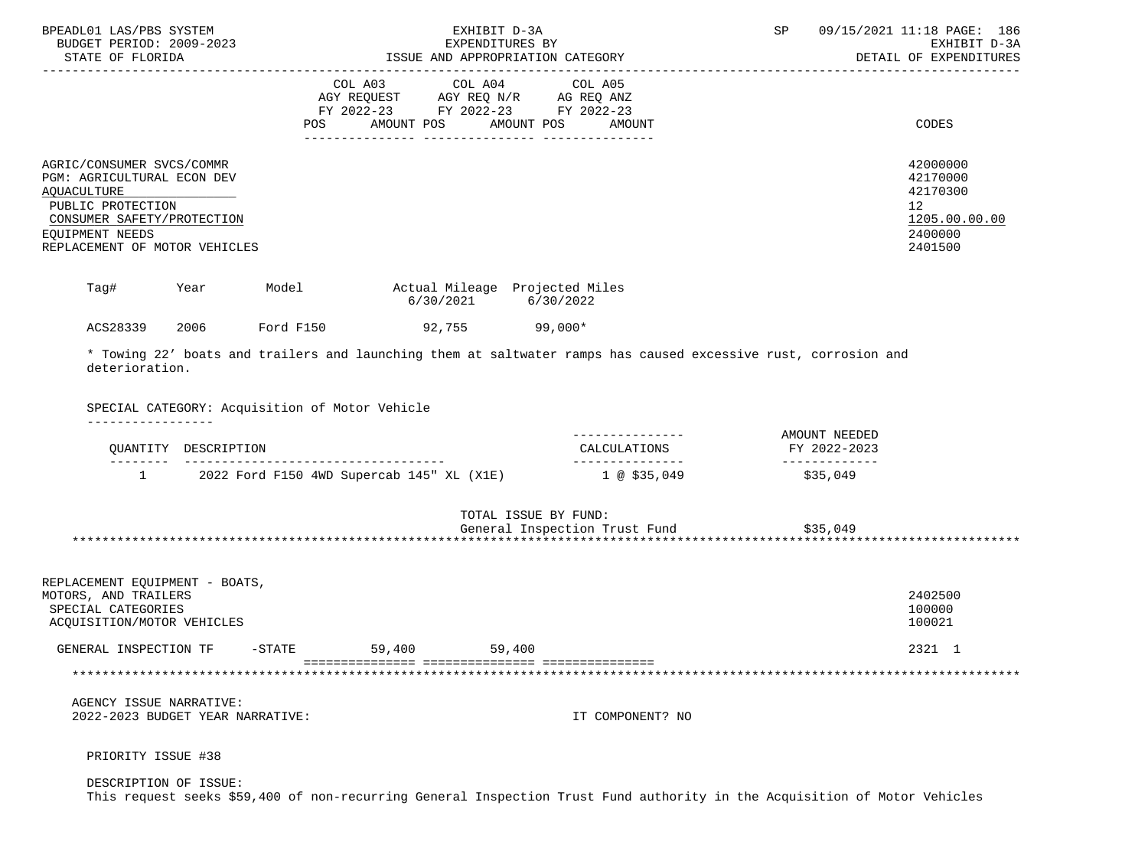| BPEADL01 LAS/PBS SYSTEM<br>BUDGET PERIOD: 2009-2023<br>STATE OF FLORIDA                                                                                                       |           | EXHIBIT D-3A<br>EXPENDITURES BY<br>ISSUE AND APPROPRIATION CATEGORY |                                                                                                                           | SP                                             | 09/15/2021 11:18 PAGE: 186<br>EXHIBIT D-3A<br>DETAIL OF EXPENDITURES                       |
|-------------------------------------------------------------------------------------------------------------------------------------------------------------------------------|-----------|---------------------------------------------------------------------|---------------------------------------------------------------------------------------------------------------------------|------------------------------------------------|--------------------------------------------------------------------------------------------|
|                                                                                                                                                                               | POS       | FY 2022-23 FY 2022-23 FY 2022-23<br>AMOUNT POS                      | AMOUNT POS<br>AMOUNT                                                                                                      |                                                | CODES                                                                                      |
| AGRIC/CONSUMER SVCS/COMMR<br>PGM: AGRICULTURAL ECON DEV<br>AQUACULTURE<br>PUBLIC PROTECTION<br>CONSUMER SAFETY/PROTECTION<br>EQUIPMENT NEEDS<br>REPLACEMENT OF MOTOR VEHICLES |           |                                                                     |                                                                                                                           |                                                | 42000000<br>42170000<br>42170300<br>12 <sup>°</sup><br>1205.00.00.00<br>2400000<br>2401500 |
| Tag#<br>Year                                                                                                                                                                  |           | Model Model Actual Mileage Projected Miles<br>6/30/2021             | 6/30/2022                                                                                                                 |                                                |                                                                                            |
| ACS28339<br>2006                                                                                                                                                              | Ford F150 | $92,755$ 99,000*                                                    |                                                                                                                           |                                                |                                                                                            |
| ---------------<br>QUANTITY DESCRIPTION                                                                                                                                       |           |                                                                     | --------------<br>CALCULATIONS<br>________________                                                                        | AMOUNT NEEDED<br>FY 2022-2023<br>_____________ |                                                                                            |
| 1                                                                                                                                                                             |           |                                                                     | 2022 Ford F150 4WD Supercab 145" XL (X1E) 1 @ \$35,049                                                                    | \$35,049                                       |                                                                                            |
|                                                                                                                                                                               |           |                                                                     | TOTAL ISSUE BY FUND:<br>General Inspection Trust Fund \$35,049                                                            |                                                |                                                                                            |
| REPLACEMENT EQUIPMENT - BOATS,<br>MOTORS, AND TRAILERS<br>SPECIAL CATEGORIES<br>ACQUISITION/MOTOR VEHICLES                                                                    |           |                                                                     |                                                                                                                           |                                                | 2402500<br>100000<br>100021                                                                |
| GENERAL INSPECTION TF                                                                                                                                                         | $-STATE$  | 59,400<br>59,400                                                    |                                                                                                                           |                                                | 2321 1                                                                                     |
|                                                                                                                                                                               |           |                                                                     |                                                                                                                           |                                                |                                                                                            |
| AGENCY ISSUE NARRATIVE:<br>2022-2023 BUDGET YEAR NARRATIVE:                                                                                                                   |           |                                                                     | IT COMPONENT? NO                                                                                                          |                                                |                                                                                            |
| PRIORITY ISSUE #38                                                                                                                                                            |           |                                                                     |                                                                                                                           |                                                |                                                                                            |
| DESCRIPTION OF ISSUE:                                                                                                                                                         |           |                                                                     | This request seeks \$59,400 of non-recurring General Inspection Trust Fund authority in the Acquisition of Motor Vehicles |                                                |                                                                                            |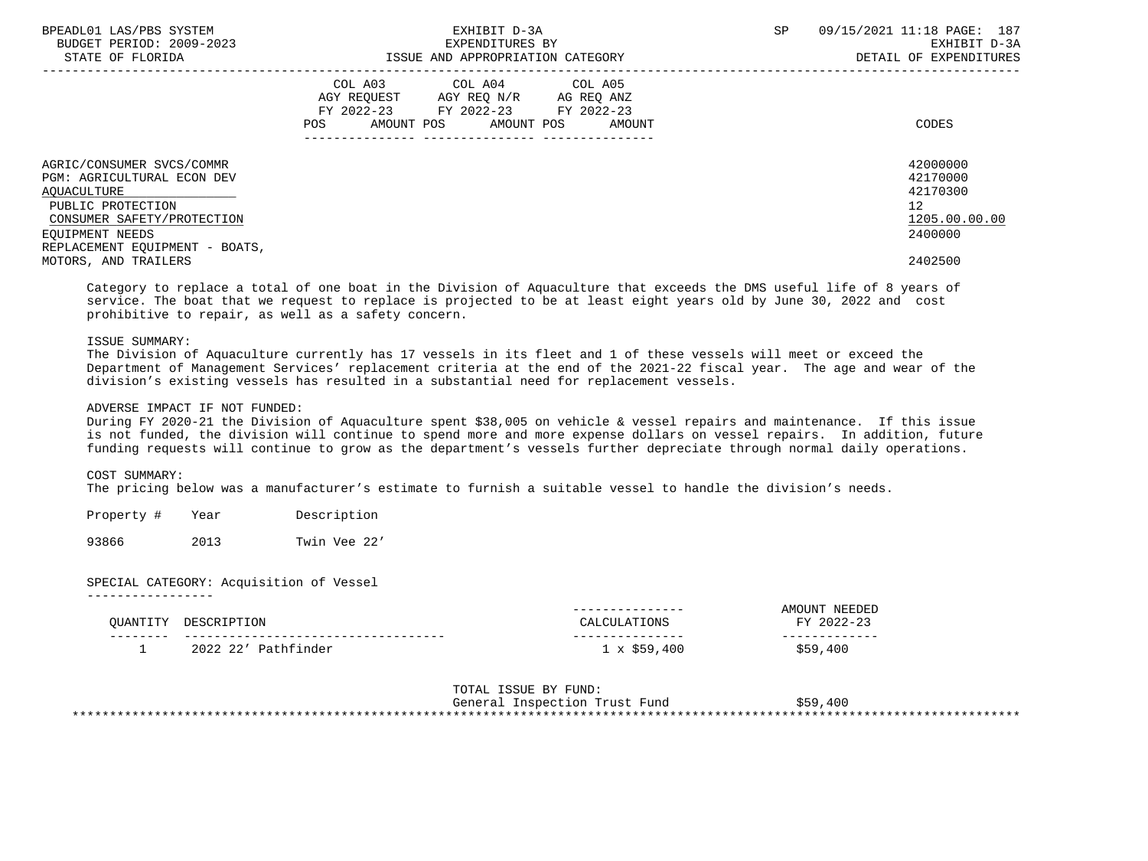| BPEADL01 LAS/PBS SYSTEM<br>BUDGET PERIOD: 2009-2023<br>STATE OF FLORIDA                                                                                                               | EXHIBIT D-3A<br>EXPENDITURES BY<br>ISSUE AND APPROPRIATION CATEGORY                                                                      | 09/15/2021 11:18 PAGE: 187<br><b>SP</b><br>EXHIBIT D-3A<br>DETAIL OF EXPENDITURES |
|---------------------------------------------------------------------------------------------------------------------------------------------------------------------------------------|------------------------------------------------------------------------------------------------------------------------------------------|-----------------------------------------------------------------------------------|
|                                                                                                                                                                                       | COL A03 COL A04 COL A05<br>AGY REQUEST AGY REQ N/R AG REQ ANZ<br>FY 2022-23 FY 2022-23 FY 2022-23<br>POS<br>AMOUNT POS AMOUNT POS AMOUNT | CODES                                                                             |
| AGRIC/CONSUMER SVCS/COMMR<br><b>PGM: AGRICULTURAL ECON DEV</b><br>AQUACULTURE<br>PUBLIC PROTECTION<br>CONSUMER SAFETY/PROTECTION<br>EOUIPMENT NEEDS<br>REPLACEMENT EQUIPMENT - BOATS, |                                                                                                                                          | 42000000<br>42170000<br>42170300<br>12 <sup>°</sup><br>1205.00.00.00<br>2400000   |
| MOTORS, AND TRAILERS                                                                                                                                                                  |                                                                                                                                          | 2402500                                                                           |

 Category to replace a total of one boat in the Division of Aquaculture that exceeds the DMS useful life of 8 years of service. The boat that we request to replace is projected to be at least eight years old by June 30, 2022 and cost prohibitive to repair, as well as a safety concern.

# ISSUE SUMMARY:

 The Division of Aquaculture currently has 17 vessels in its fleet and 1 of these vessels will meet or exceed the Department of Management Services' replacement criteria at the end of the 2021-22 fiscal year. The age and wear of the division's existing vessels has resulted in a substantial need for replacement vessels.

## ADVERSE IMPACT IF NOT FUNDED:

 During FY 2020-21 the Division of Aquaculture spent \$38,005 on vehicle & vessel repairs and maintenance. If this issue is not funded, the division will continue to spend more and more expense dollars on vessel repairs. In addition, future funding requests will continue to grow as the department's vessels further depreciate through normal daily operations.

# COST SUMMARY:

The pricing below was a manufacturer's estimate to furnish a suitable vessel to handle the division's needs.

Property # Year Description

93866 2013 Twin Vee 22'

# SPECIAL CATEGORY: Acquisition of Vessel

-----------------

| OUANTITY | ו סימתית                         | ---------------<br><b>ONC</b> | NEEDED<br>AMOIINT T<br>$2022 - 27$<br>FV |
|----------|----------------------------------|-------------------------------|------------------------------------------|
| ________ | ----------------------           | ---------------               | ----                                     |
| <b>_</b> | $2022$<br>$D_2 + h + i n c$<br>. | ,400<br>v Ch                  | 400<br>\$59.                             |

 TOTAL ISSUE BY FUND: General Inspection Trust Fund  $$59,400$ \*\*\*\*\*\*\*\*\*\*\*\*\*\*\*\*\*\*\*\*\*\*\*\*\*\*\*\*\*\*\*\*\*\*\*\*\*\*\*\*\*\*\*\*\*\*\*\*\*\*\*\*\*\*\*\*\*\*\*\*\*\*\*\*\*\*\*\*\*\*\*\*\*\*\*\*\*\*\*\*\*\*\*\*\*\*\*\*\*\*\*\*\*\*\*\*\*\*\*\*\*\*\*\*\*\*\*\*\*\*\*\*\*\*\*\*\*\*\*\*\*\*\*\*\*\*\*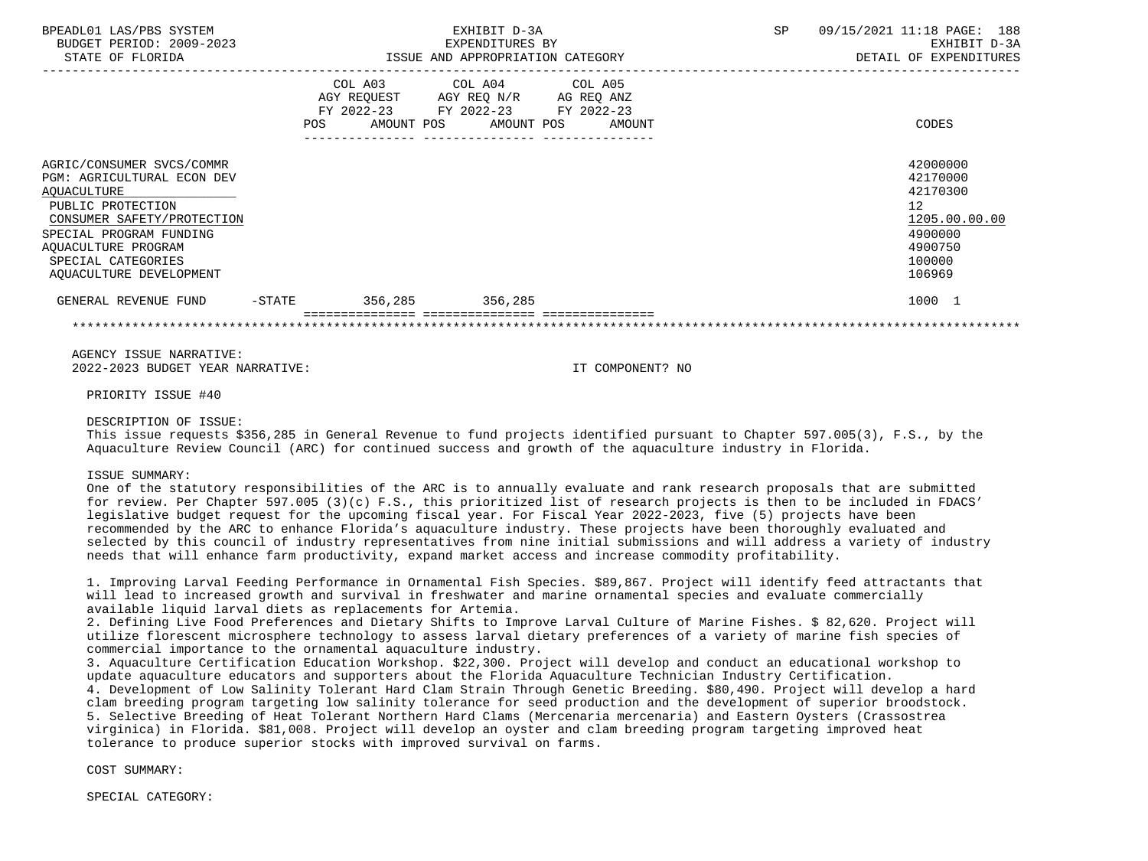| BPEADL01 LAS/PBS SYSTEM<br>BUDGET PERIOD: 2009-2023<br>STATE OF FLORIDA                                                                                                                                                             |           | EXHIBIT D-3A<br>EXPENDITURES BY<br>ISSUE AND APPROPRIATION CATEGORY |                                                                                                                                                      |  | SP | 09/15/2021 11:18 PAGE: 188<br>EXHIBIT D-3A<br>DETAIL OF EXPENDITURES |                                                                                                   |
|-------------------------------------------------------------------------------------------------------------------------------------------------------------------------------------------------------------------------------------|-----------|---------------------------------------------------------------------|------------------------------------------------------------------------------------------------------------------------------------------------------|--|----|----------------------------------------------------------------------|---------------------------------------------------------------------------------------------------|
|                                                                                                                                                                                                                                     | POS       |                                                                     | COL A03 COL A04 COL A05<br>AGY REQUEST AGY REQ N/R AG REQ ANZ<br>FY 2022-23 FY 2022-23 FY 2022-23<br>AMOUNT POS AMOUNT POS AMOUNT<br>--------------- |  |    |                                                                      | <b>CODES</b>                                                                                      |
| AGRIC/CONSUMER SVCS/COMMR<br><b>PGM: AGRICULTURAL ECON DEV</b><br>AQUACULTURE<br>PUBLIC PROTECTION<br>CONSUMER SAFETY/PROTECTION<br>SPECIAL PROGRAM FUNDING<br>AQUACULTURE PROGRAM<br>SPECIAL CATEGORIES<br>AOUACULTURE DEVELOPMENT |           |                                                                     |                                                                                                                                                      |  |    |                                                                      | 42000000<br>42170000<br>42170300<br>12<br>1205.00.00.00<br>4900000<br>4900750<br>100000<br>106969 |
| GENERAL REVENUE FUND                                                                                                                                                                                                                | $-$ STATE |                                                                     | 356,285 356,285                                                                                                                                      |  |    |                                                                      | 1000 1                                                                                            |
|                                                                                                                                                                                                                                     |           |                                                                     |                                                                                                                                                      |  |    |                                                                      |                                                                                                   |
| AGENCY ISSUE NARRATIVE:                                                                                                                                                                                                             |           |                                                                     |                                                                                                                                                      |  |    |                                                                      |                                                                                                   |

2022-2023 BUDGET YEAR NARRATIVE: IT COMPONENT? NO

PRIORITY ISSUE #40

DESCRIPTION OF ISSUE:

 This issue requests \$356,285 in General Revenue to fund projects identified pursuant to Chapter 597.005(3), F.S., by the Aquaculture Review Council (ARC) for continued success and growth of the aquaculture industry in Florida.

ISSUE SUMMARY:

 One of the statutory responsibilities of the ARC is to annually evaluate and rank research proposals that are submitted for review. Per Chapter 597.005 (3)(c) F.S., this prioritized list of research projects is then to be included in FDACS' legislative budget request for the upcoming fiscal year. For Fiscal Year 2022-2023, five (5) projects have been recommended by the ARC to enhance Florida's aquaculture industry. These projects have been thoroughly evaluated and selected by this council of industry representatives from nine initial submissions and will address a variety of industry needs that will enhance farm productivity, expand market access and increase commodity profitability.

 1. Improving Larval Feeding Performance in Ornamental Fish Species. \$89,867. Project will identify feed attractants that will lead to increased growth and survival in freshwater and marine ornamental species and evaluate commercially available liquid larval diets as replacements for Artemia.

 2. Defining Live Food Preferences and Dietary Shifts to Improve Larval Culture of Marine Fishes. \$ 82,620. Project will utilize florescent microsphere technology to assess larval dietary preferences of a variety of marine fish species of commercial importance to the ornamental aquaculture industry.

 3. Aquaculture Certification Education Workshop. \$22,300. Project will develop and conduct an educational workshop to update aquaculture educators and supporters about the Florida Aquaculture Technician Industry Certification.

 4. Development of Low Salinity Tolerant Hard Clam Strain Through Genetic Breeding. \$80,490. Project will develop a hard clam breeding program targeting low salinity tolerance for seed production and the development of superior broodstock. 5. Selective Breeding of Heat Tolerant Northern Hard Clams (Mercenaria mercenaria) and Eastern Oysters (Crassostrea virginica) in Florida. \$81,008. Project will develop an oyster and clam breeding program targeting improved heat tolerance to produce superior stocks with improved survival on farms.

COST SUMMARY:

SPECIAL CATEGORY: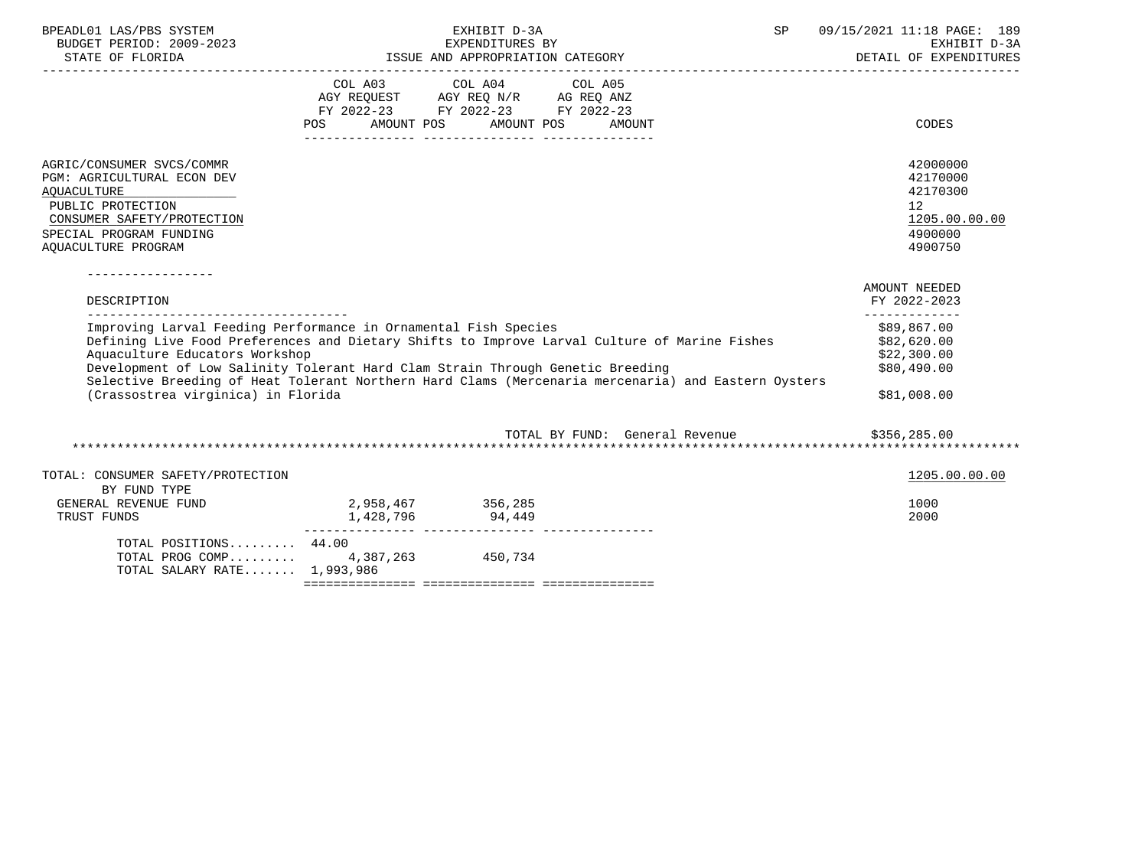| BPEADL01 LAS/PBS SYSTEM<br>BUDGET PERIOD: 2009-2023<br>STATE OF FLORIDA                                                                                                            | EXPENDITURES BY<br>ISSUE AND APPROPRIATION CATEGORY | 09/15/2021 11:18 PAGE: 189<br>EXHIBIT D-3A<br>DETAIL OF EXPENDITURES                                                                                                                                                                                                                                                                                                                                                                                              |  |                                                                                            |
|------------------------------------------------------------------------------------------------------------------------------------------------------------------------------------|-----------------------------------------------------|-------------------------------------------------------------------------------------------------------------------------------------------------------------------------------------------------------------------------------------------------------------------------------------------------------------------------------------------------------------------------------------------------------------------------------------------------------------------|--|--------------------------------------------------------------------------------------------|
|                                                                                                                                                                                    | AMOUNT POS<br><b>POS</b>                            | $\begin{tabular}{lllllllllll} &\multicolumn{4}{c }{\text{COL A03}} &\multicolumn{4}{c }{\text{COL A04}} &\multicolumn{4}{c }{\text{COL A05}} \\ \multicolumn{4}{c }{\text{AGY REQUEST}} &\multicolumn{4}{c }{\text{AGY REQ NN}} &\multicolumn{4}{c }{\text{AG REQ ANZ}} \\ \multicolumn{4}{c }{\text{FGY A022--23}} &\multicolumn{4}{c }{\text{FY 2022--23}} &\multicolumn{4}{c }{\text{FY 2022--23}} \\ \multicolumn{4}{c }{\text{FY 20$<br>AMOUNT POS<br>AMOUNT |  | <b>CODES</b>                                                                               |
| AGRIC/CONSUMER SVCS/COMMR<br>PGM: AGRICULTURAL ECON DEV<br><b>AQUACULTURE</b><br>PUBLIC PROTECTION<br>CONSUMER SAFETY/PROTECTION<br>SPECIAL PROGRAM FUNDING<br>AOUACULTURE PROGRAM |                                                     |                                                                                                                                                                                                                                                                                                                                                                                                                                                                   |  | 42000000<br>42170000<br>42170300<br>12 <sup>°</sup><br>1205.00.00.00<br>4900000<br>4900750 |
| DESCRIPTION<br>_______________________________                                                                                                                                     |                                                     |                                                                                                                                                                                                                                                                                                                                                                                                                                                                   |  | AMOUNT NEEDED<br>FY 2022-2023<br>-------------                                             |
| Improving Larval Feeding Performance in Ornamental Fish Species<br>Aquaculture Educators Workshop<br>(Crassostrea virginica) in Florida                                            |                                                     | Defining Live Food Preferences and Dietary Shifts to Improve Larval Culture of Marine Fishes<br>Development of Low Salinity Tolerant Hard Clam Strain Through Genetic Breeding<br>Selective Breeding of Heat Tolerant Northern Hard Clams (Mercenaria mercenaria) and Eastern Oysters                                                                                                                                                                             |  | \$89,867.00<br>\$82,620.00<br>\$22,300.00<br>\$80,490.00<br>\$81,008.00                    |
|                                                                                                                                                                                    |                                                     | TOTAL BY FUND: General Revenue                                                                                                                                                                                                                                                                                                                                                                                                                                    |  | \$356, 285.00                                                                              |
| TOTAL: CONSUMER SAFETY/PROTECTION<br>BY FUND TYPE                                                                                                                                  |                                                     |                                                                                                                                                                                                                                                                                                                                                                                                                                                                   |  | 1205.00.00.00                                                                              |
| GENERAL REVENUE FUND<br>TRUST FUNDS                                                                                                                                                | 2,958,467 356,285<br>1,428,796                      | 94,449                                                                                                                                                                                                                                                                                                                                                                                                                                                            |  | 1000<br>2000                                                                               |
| TOTAL POSITIONS 44.00                                                                                                                                                              |                                                     |                                                                                                                                                                                                                                                                                                                                                                                                                                                                   |  |                                                                                            |

 TOTAL PROG COMP......... 4,387,263 450,734 TOTAL SALARY RATE....... 1,993,986 =============== =============== ===============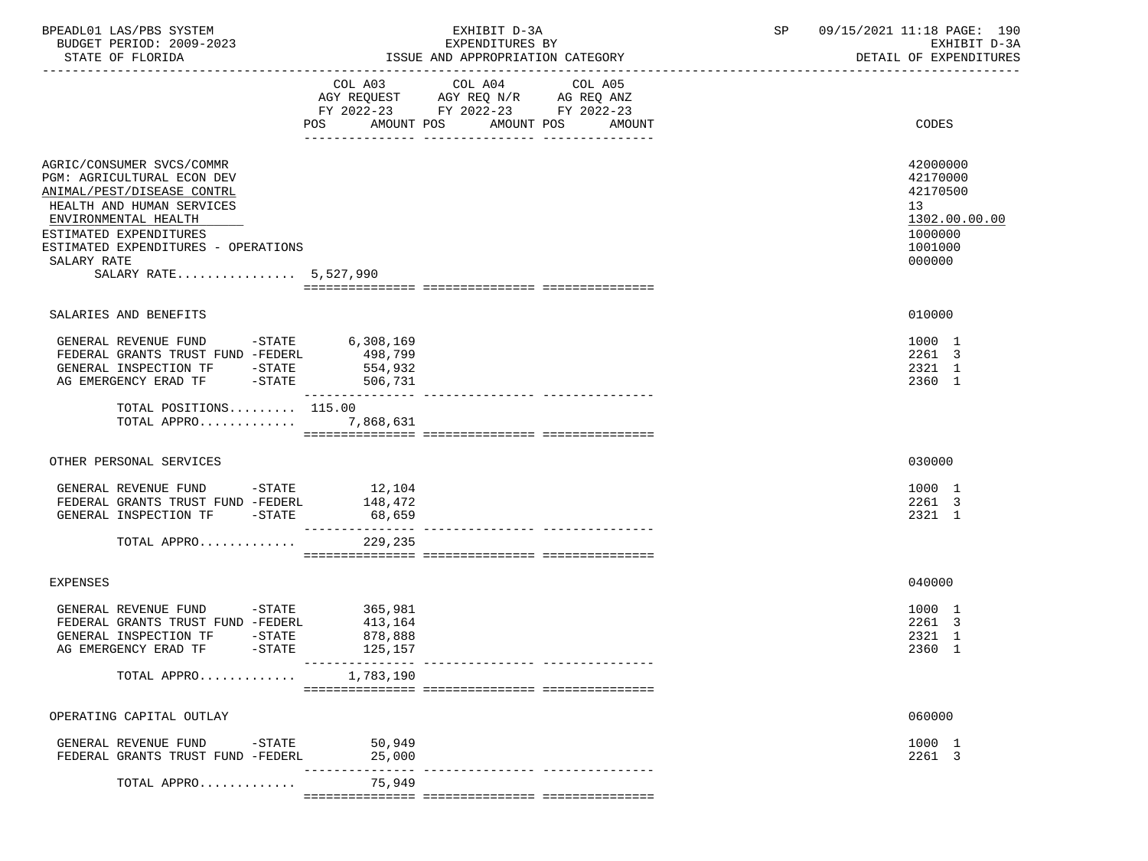| BPEADL01 LAS/PBS SYSTEM |                          |
|-------------------------|--------------------------|
|                         | BUDGET PERIOD: 2009-2023 |

|                                                                                                                                                                      |                             | FY 2022-23 FY 2022-23 FY 2022-23 |        |                                                                    |
|----------------------------------------------------------------------------------------------------------------------------------------------------------------------|-----------------------------|----------------------------------|--------|--------------------------------------------------------------------|
|                                                                                                                                                                      | POS<br>AMOUNT POS           | AMOUNT POS<br>------------       | AMOUNT | CODES                                                              |
|                                                                                                                                                                      |                             |                                  |        |                                                                    |
| AGRIC/CONSUMER SVCS/COMMR<br>PGM: AGRICULTURAL ECON DEV<br>ANIMAL/PEST/DISEASE CONTRL<br>HEALTH AND HUMAN SERVICES<br>ENVIRONMENTAL HEALTH<br>ESTIMATED EXPENDITURES |                             |                                  |        | 42000000<br>42170000<br>42170500<br>13<br>1302.00.00.00<br>1000000 |
| ESTIMATED EXPENDITURES - OPERATIONS                                                                                                                                  |                             |                                  |        | 1001000                                                            |
| SALARY RATE                                                                                                                                                          |                             |                                  |        | 000000                                                             |
| SALARY RATE 5,527,990                                                                                                                                                |                             |                                  |        |                                                                    |
|                                                                                                                                                                      |                             |                                  |        |                                                                    |
| SALARIES AND BENEFITS                                                                                                                                                |                             |                                  |        | 010000                                                             |
| GENERAL REVENUE FUND -STATE 6,308,169                                                                                                                                |                             |                                  |        | 1000 1                                                             |
| FEDERAL GRANTS TRUST FUND -FEDERL                                                                                                                                    | 498,799                     |                                  |        | 2261 3                                                             |
| GENERAL INSPECTION TF -STATE                                                                                                                                         | 554,932                     |                                  |        | 2321 1                                                             |
| AG EMERGENCY ERAD TF -STATE                                                                                                                                          | 506,731<br>________________ |                                  |        | 2360 1                                                             |
| TOTAL POSITIONS $115.00$                                                                                                                                             |                             |                                  |        |                                                                    |
| TOTAL APPRO 7,868,631                                                                                                                                                |                             |                                  |        |                                                                    |
|                                                                                                                                                                      |                             |                                  |        |                                                                    |
|                                                                                                                                                                      |                             |                                  |        |                                                                    |
| OTHER PERSONAL SERVICES                                                                                                                                              |                             |                                  |        | 030000                                                             |
| GENERAL REVENUE FUND -STATE                                                                                                                                          | 12,104                      |                                  |        | 1000 1                                                             |
| FEDERAL GRANTS TRUST FUND -FEDERL                                                                                                                                    | 148,472                     |                                  |        | 2261 3                                                             |
| GENERAL INSPECTION TF -STATE                                                                                                                                         | 68,659                      |                                  |        | 2321 1                                                             |
| TOTAL APPRO                                                                                                                                                          | _______________<br>229,235  |                                  |        |                                                                    |
|                                                                                                                                                                      |                             |                                  |        |                                                                    |
| EXPENSES                                                                                                                                                             |                             |                                  |        | 040000                                                             |
| GENERAL REVENUE FUND -STATE                                                                                                                                          | 365,981                     |                                  |        | 1000 1                                                             |
| FEDERAL GRANTS TRUST FUND -FEDERL                                                                                                                                    | 413,164                     |                                  |        | 2261 3                                                             |
| GENERAL INSPECTION TF -STATE                                                                                                                                         | 878,888                     |                                  |        | 2321 1                                                             |
| AG EMERGENCY ERAD TF -STATE                                                                                                                                          | 125,157                     |                                  |        | 2360 1                                                             |
| TOTAL APPRO $1,783,190$                                                                                                                                              |                             |                                  |        |                                                                    |
|                                                                                                                                                                      |                             |                                  |        |                                                                    |
| OPERATING CAPITAL OUTLAY                                                                                                                                             |                             |                                  |        | 060000                                                             |
| GENERAL REVENUE FUND<br>$-STATE$                                                                                                                                     | 50,949                      |                                  |        | 1000 1                                                             |
| FEDERAL GRANTS TRUST FUND -FEDERL                                                                                                                                    | 25,000                      |                                  |        | 2261 3                                                             |
| TOTAL APPRO                                                                                                                                                          | 75,949                      |                                  |        |                                                                    |
|                                                                                                                                                                      |                             |                                  |        |                                                                    |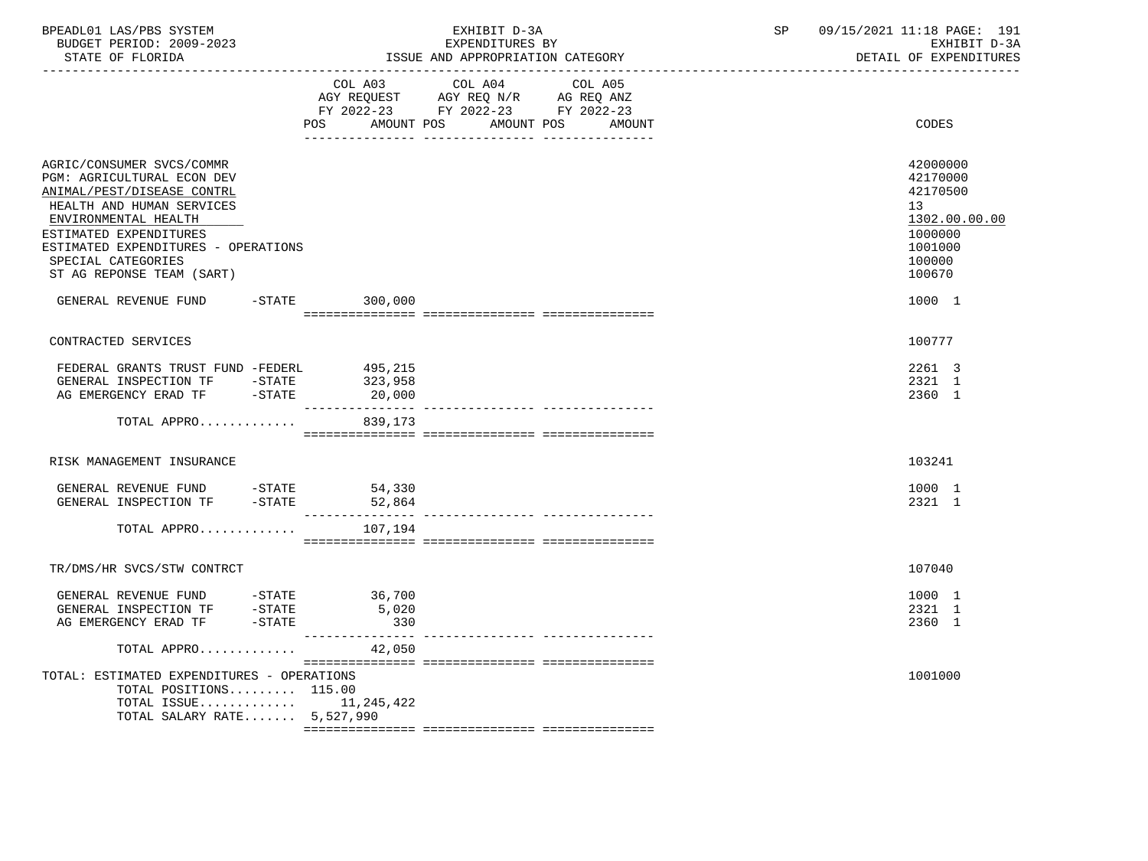| BPEADL01 LAS/PBS SYSTEM<br>BUDGET PERIOD: 2009-2023<br>STATE OF FLORIDA                                                                                                                                                                                        |                    | EXHIBIT D-3A<br>EXPENDITURES BY<br>ISSUE AND APPROPRIATION CATEGORY                                                                   | SP | 09/15/2021 11:18 PAGE: 191<br>EXHIBIT D-3A<br>DETAIL OF EXPENDITURES                              |
|----------------------------------------------------------------------------------------------------------------------------------------------------------------------------------------------------------------------------------------------------------------|--------------------|---------------------------------------------------------------------------------------------------------------------------------------|----|---------------------------------------------------------------------------------------------------|
|                                                                                                                                                                                                                                                                |                    | COL A03 COL A04 COL A05<br>AGY REQUEST AGY REQ N/R AG REQ ANZ<br>FY 2022-23 FY 2022-23 FY 2022-23<br>POS AMOUNT POS AMOUNT POS AMOUNT |    | CODES                                                                                             |
| AGRIC/CONSUMER SVCS/COMMR<br>PGM: AGRICULTURAL ECON DEV<br>ANIMAL/PEST/DISEASE CONTRL<br>HEALTH AND HUMAN SERVICES<br>ENVIRONMENTAL HEALTH<br>ESTIMATED EXPENDITURES<br>ESTIMATED EXPENDITURES - OPERATIONS<br>SPECIAL CATEGORIES<br>ST AG REPONSE TEAM (SART) |                    |                                                                                                                                       |    | 42000000<br>42170000<br>42170500<br>13<br>1302.00.00.00<br>1000000<br>1001000<br>100000<br>100670 |
| GENERAL REVENUE FUND -STATE 300,000                                                                                                                                                                                                                            |                    |                                                                                                                                       |    | 1000 1                                                                                            |
| CONTRACTED SERVICES                                                                                                                                                                                                                                            |                    |                                                                                                                                       |    | 100777                                                                                            |
| FEDERAL GRANTS TRUST FUND -FEDERL 495,215<br>GENERAL INSPECTION TF -STATE<br>$\begin{tabular}{llll} \bf AG & \tt EMERGENCY & \tt ERAD & \tt TF & \tt & -STATE & \tt & \tt & 20,000 \\ \end{tabular}$<br>TOTAL APPRO                                            | 323,958<br>839,173 |                                                                                                                                       |    | 2261 3<br>2321 1<br>2360 1                                                                        |
|                                                                                                                                                                                                                                                                |                    |                                                                                                                                       |    |                                                                                                   |
| RISK MANAGEMENT INSURANCE                                                                                                                                                                                                                                      |                    |                                                                                                                                       |    | 103241                                                                                            |
| GENERAL REVENUE FUND -STATE<br>GENERAL INSPECTION TF -STATE                                                                                                                                                                                                    | 54,330<br>52,864   |                                                                                                                                       |    | 1000 1<br>2321 1                                                                                  |
| TOTAL APPRO                                                                                                                                                                                                                                                    | 107,194            |                                                                                                                                       |    |                                                                                                   |
| TR/DMS/HR SVCS/STW CONTRCT                                                                                                                                                                                                                                     |                    |                                                                                                                                       |    | 107040                                                                                            |
| GENERAL REVENUE FUND -STATE 36,700<br>GENERAL INSPECTION TF -STATE 5,020<br>AG EMERGENCY ERAD TF -STATE                                                                                                                                                        | 330                |                                                                                                                                       |    | 1000 1<br>2321 1<br>2360 1                                                                        |
| TOTAL APPRO                                                                                                                                                                                                                                                    | 42,050             |                                                                                                                                       |    |                                                                                                   |
| TOTAL: ESTIMATED EXPENDITURES - OPERATIONS<br>TOTAL POSITIONS 115.00<br>TOTAL ISSUE $11,245,422$<br>TOTAL SALARY RATE $5,527,990$                                                                                                                              |                    |                                                                                                                                       |    | 1001000                                                                                           |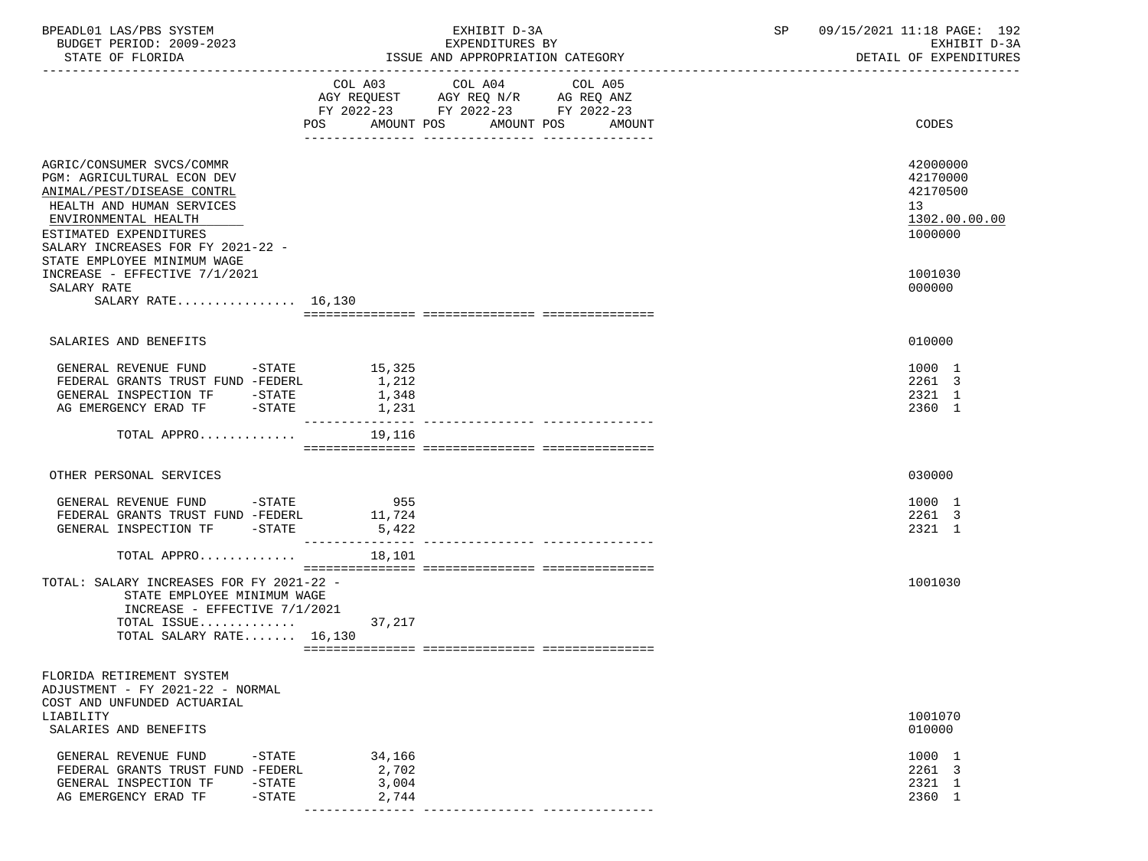| BPEADL01 LAS/PBS SYSTEM<br>BUDGET PERIOD: 2009-2023                                                                                                                                                       | EXHIBIT D-3A<br>EXPENDITURES BY     | 09/15/2021 11:18 PAGE: 192<br>SP<br>EXHIBIT D-3A                   |
|-----------------------------------------------------------------------------------------------------------------------------------------------------------------------------------------------------------|-------------------------------------|--------------------------------------------------------------------|
| STATE OF FLORIDA                                                                                                                                                                                          | ISSUE AND APPROPRIATION CATEGORY    | DETAIL OF EXPENDITURES                                             |
|                                                                                                                                                                                                           | FY 2022-23 FY 2022-23 FY 2022-23    |                                                                    |
|                                                                                                                                                                                                           | AMOUNT POS AMOUNT POS AMOUNT<br>POS | CODES                                                              |
| AGRIC/CONSUMER SVCS/COMMR<br>PGM: AGRICULTURAL ECON DEV<br>ANIMAL/PEST/DISEASE CONTRL<br>HEALTH AND HUMAN SERVICES<br>ENVIRONMENTAL HEALTH<br>ESTIMATED EXPENDITURES<br>SALARY INCREASES FOR FY 2021-22 - |                                     | 42000000<br>42170000<br>42170500<br>13<br>1302.00.00.00<br>1000000 |
| STATE EMPLOYEE MINIMUM WAGE<br>INCREASE - EFFECTIVE 7/1/2021<br>SALARY RATE<br>SALARY RATE $16,130$                                                                                                       |                                     | 1001030<br>000000                                                  |
|                                                                                                                                                                                                           |                                     |                                                                    |
| SALARIES AND BENEFITS                                                                                                                                                                                     |                                     | 010000                                                             |
| GENERAL REVENUE FUND -STATE 15,325<br>FEDERAL GRANTS TRUST FUND -FEDERL<br>GENERAL INSPECTION TF -STATE<br>AG EMERGENCY ERAD TF -STATE                                                                    | 1,212<br>1,348<br>1,231             | 1000 1<br>2261 3<br>2321 1<br>2360 1                               |
| TOTAL APPRO $19,116$                                                                                                                                                                                      |                                     |                                                                    |
| OTHER PERSONAL SERVICES                                                                                                                                                                                   |                                     | 030000                                                             |
| GENERAL REVENUE FUND -STATE<br>FEDERAL GRANTS TRUST FUND -FEDERL<br>GENERAL INSPECTION TF -STATE                                                                                                          | 955<br>11,724<br>5,422              | 1000 1<br>2261 3<br>2321 1                                         |
| TOTAL APPRO                                                                                                                                                                                               | 18,101                              |                                                                    |
| TOTAL: SALARY INCREASES FOR FY 2021-22 -<br>STATE EMPLOYEE MINIMUM WAGE<br>INCREASE - EFFECTIVE 7/1/2021<br>TOTAL ISSUE<br>TOTAL SALARY RATE 16,130                                                       | 37,217                              | 1001030                                                            |
| FLORIDA RETIREMENT SYSTEM<br>ADJUSTMENT - FY 2021-22 - NORMAL                                                                                                                                             |                                     |                                                                    |
| COST AND UNFUNDED ACTUARIAL<br>LIABILITY<br>SALARIES AND BENEFITS                                                                                                                                         |                                     | 1001070<br>010000                                                  |
| GENERAL REVENUE FUND<br>$-$ STATE<br>FEDERAL GRANTS TRUST FUND -FEDERL<br>GENERAL INSPECTION TF<br>$-$ STATE<br>AG EMERGENCY ERAD TF<br>$-$ STATE                                                         | 34,166<br>2,702<br>3,004<br>2,744   | 1000 1<br>2261 3<br>2321 1<br>2360 1                               |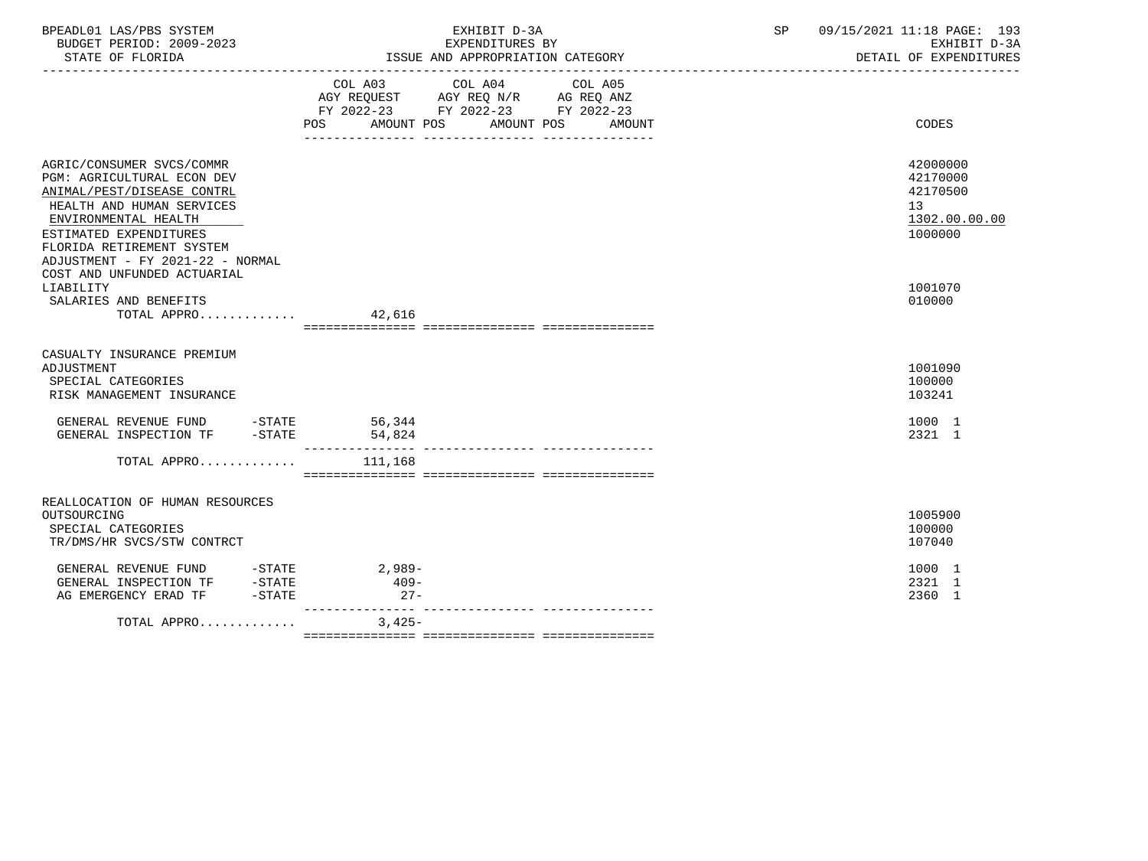| BPEADL01 LAS/PBS SYSTEM<br>BUDGET PERIOD: 2009-2023<br>STATE OF FLORIDA                                                                                                                                                                                                                                                   | EXHIBIT D-3A<br>EXPENDITURES BY<br>ISSUE AND APPROPRIATION CATEGORY                                                                            | 09/15/2021 11:18 PAGE: 193<br>SP<br>EXHIBIT D-3A<br>DETAIL OF EXPENDITURES              |
|---------------------------------------------------------------------------------------------------------------------------------------------------------------------------------------------------------------------------------------------------------------------------------------------------------------------------|------------------------------------------------------------------------------------------------------------------------------------------------|-----------------------------------------------------------------------------------------|
|                                                                                                                                                                                                                                                                                                                           | COL A03 COL A04 COL A05<br>AGY REQUEST AGY REQ N/R AG REQ ANZ<br>FY 2022-23 FY 2022-23 FY 2022-23<br>AMOUNT POS<br>AMOUNT POS<br>POS<br>AMOUNT | <b>CODES</b>                                                                            |
| AGRIC/CONSUMER SVCS/COMMR<br>PGM: AGRICULTURAL ECON DEV<br>ANIMAL/PEST/DISEASE CONTRL<br>HEALTH AND HUMAN SERVICES<br>ENVIRONMENTAL HEALTH<br>ESTIMATED EXPENDITURES<br>FLORIDA RETIREMENT SYSTEM<br>ADJUSTMENT - FY 2021-22 - NORMAL<br>COST AND UNFUNDED ACTUARIAL<br>LIABILITY<br>SALARIES AND BENEFITS<br>TOTAL APPRO | 42,616                                                                                                                                         | 42000000<br>42170000<br>42170500<br>13<br>1302.00.00.00<br>1000000<br>1001070<br>010000 |
| CASUALTY INSURANCE PREMIUM<br>ADJUSTMENT<br>SPECIAL CATEGORIES<br>RISK MANAGEMENT INSURANCE                                                                                                                                                                                                                               |                                                                                                                                                | 1001090<br>100000<br>103241                                                             |
| GENERAL REVENUE FUND $-$ STATE 56,344<br>GENERAL INSPECTION TF $-$ STATE 54,824                                                                                                                                                                                                                                           |                                                                                                                                                | 1000 1<br>2321 1                                                                        |
| TOTAL APPRO $111,168$                                                                                                                                                                                                                                                                                                     |                                                                                                                                                |                                                                                         |
| REALLOCATION OF HUMAN RESOURCES<br>OUTSOURCING<br>SPECIAL CATEGORIES<br>TR/DMS/HR SVCS/STW CONTRCT<br>GENERAL REVENUE FUND -STATE<br>GENERAL INSPECTION TF -STATE                                                                                                                                                         | $2,989-$<br>$409 -$                                                                                                                            | 1005900<br>100000<br>107040<br>1000 1<br>2321 1                                         |
| AG EMERGENCY ERAD TF - STATE<br>TOTAL APPRO                                                                                                                                                                                                                                                                               | $27 -$<br>--------------- -<br>$3,425-$                                                                                                        | 2360 1                                                                                  |

=============== =============== ===============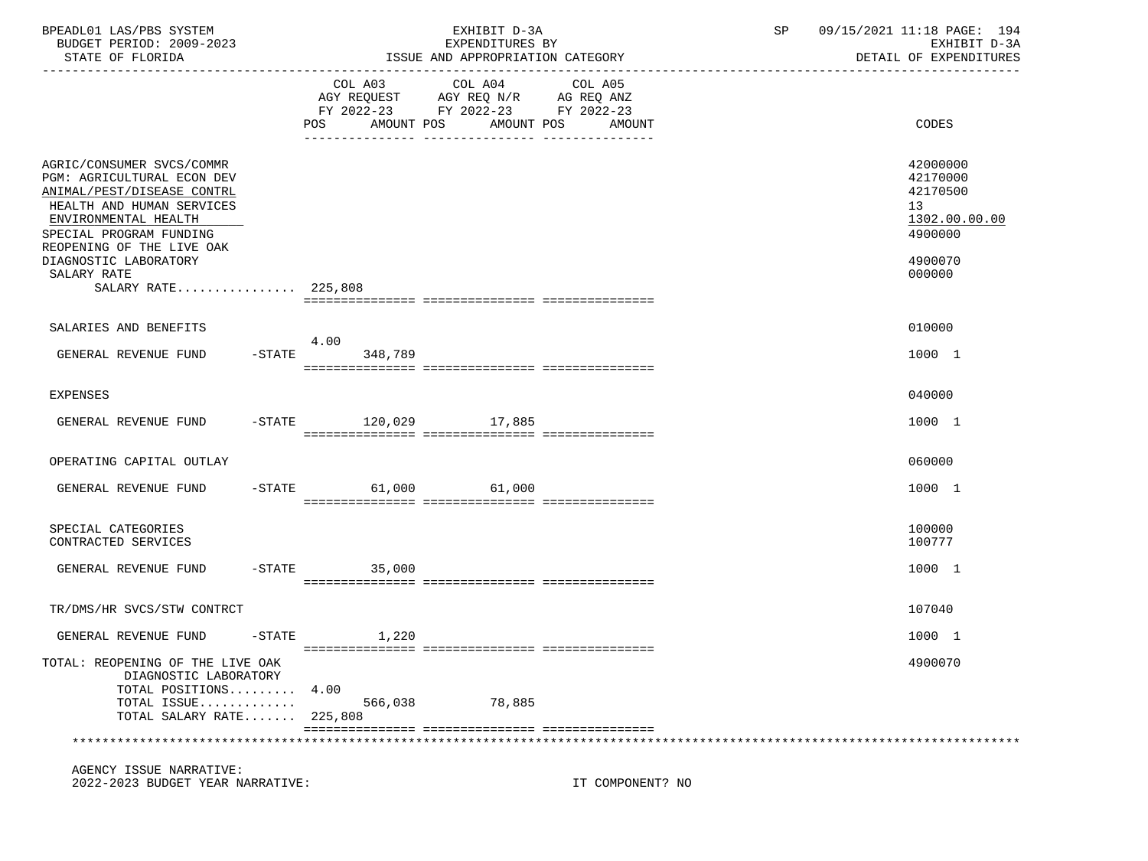| BPEADL01 LAS/PBS SYSTEM<br>BUDGET PERIOD: 2009-2023<br>STATE OF FLORIDA                                                                                                                                                     | EXHIBIT D-3A<br>EXPENDITURES BY<br>ISSUE AND APPROPRIATION CATEGORY |                                                                                           | SP                           | 09/15/2021 11:18 PAGE: 194<br>EXHIBIT D-3A<br>DETAIL OF EXPENDITURES |                                                                               |
|-----------------------------------------------------------------------------------------------------------------------------------------------------------------------------------------------------------------------------|---------------------------------------------------------------------|-------------------------------------------------------------------------------------------|------------------------------|----------------------------------------------------------------------|-------------------------------------------------------------------------------|
|                                                                                                                                                                                                                             | POS<br>AMOUNT POS                                                   | COL A03 COL A04<br>AGY REQUEST AGY REQ N/R AG REQ ANZ<br>FY 2022-23 FY 2022-23 FY 2022-23 | COL A05<br>AMOUNT POS AMOUNT |                                                                      | CODES                                                                         |
| AGRIC/CONSUMER SVCS/COMMR<br>PGM: AGRICULTURAL ECON DEV<br>ANIMAL/PEST/DISEASE CONTRL<br>HEALTH AND HUMAN SERVICES<br>ENVIRONMENTAL HEALTH<br>SPECIAL PROGRAM FUNDING<br>REOPENING OF THE LIVE OAK<br>DIAGNOSTIC LABORATORY |                                                                     |                                                                                           |                              |                                                                      | 42000000<br>42170000<br>42170500<br>13<br>1302.00.00.00<br>4900000<br>4900070 |
| SALARY RATE<br>SALARY RATE 225,808                                                                                                                                                                                          |                                                                     |                                                                                           |                              |                                                                      | 000000                                                                        |
|                                                                                                                                                                                                                             |                                                                     |                                                                                           |                              |                                                                      |                                                                               |
| SALARIES AND BENEFITS                                                                                                                                                                                                       | 4.00                                                                |                                                                                           |                              |                                                                      | 010000                                                                        |
| GENERAL REVENUE FUND                                                                                                                                                                                                        | -STATE 348,789                                                      |                                                                                           |                              |                                                                      | 1000 1                                                                        |
| EXPENSES                                                                                                                                                                                                                    |                                                                     |                                                                                           |                              |                                                                      | 040000                                                                        |
| GENERAL REVENUE FUND                                                                                                                                                                                                        | -STATE 120,029 17,885                                               |                                                                                           |                              |                                                                      | 1000 1                                                                        |
|                                                                                                                                                                                                                             |                                                                     |                                                                                           |                              |                                                                      |                                                                               |
| OPERATING CAPITAL OUTLAY                                                                                                                                                                                                    |                                                                     |                                                                                           |                              |                                                                      | 060000                                                                        |
| GENERAL REVENUE FUND                                                                                                                                                                                                        | $-STATE$ 61,000 61,000                                              |                                                                                           |                              |                                                                      | 1000 1                                                                        |
| SPECIAL CATEGORIES<br>CONTRACTED SERVICES                                                                                                                                                                                   |                                                                     |                                                                                           |                              |                                                                      | 100000<br>100777                                                              |
| GENERAL REVENUE FUND                                                                                                                                                                                                        | $-STATE$ 35,000                                                     |                                                                                           |                              |                                                                      | 1000 1                                                                        |
|                                                                                                                                                                                                                             |                                                                     |                                                                                           |                              |                                                                      |                                                                               |
| TR/DMS/HR SVCS/STW CONTRCT                                                                                                                                                                                                  |                                                                     |                                                                                           |                              |                                                                      | 107040                                                                        |
| GENERAL REVENUE FUND                                                                                                                                                                                                        | $-$ STATE $1,220$                                                   |                                                                                           |                              |                                                                      | 1000 1                                                                        |
| TOTAL: REOPENING OF THE LIVE OAK<br>DIAGNOSTIC LABORATORY<br>TOTAL POSITIONS<br>TOTAL ISSUE<br>TOTAL SALARY RATE 225,808                                                                                                    | 4.00<br>566,038                                                     | 78,885                                                                                    |                              |                                                                      | 4900070                                                                       |
|                                                                                                                                                                                                                             |                                                                     |                                                                                           |                              |                                                                      |                                                                               |
| AGENCY ISSUE NARRATIVE:                                                                                                                                                                                                     |                                                                     |                                                                                           |                              |                                                                      |                                                                               |

2022-2023 BUDGET YEAR NARRATIVE: IT COMPONENT? NO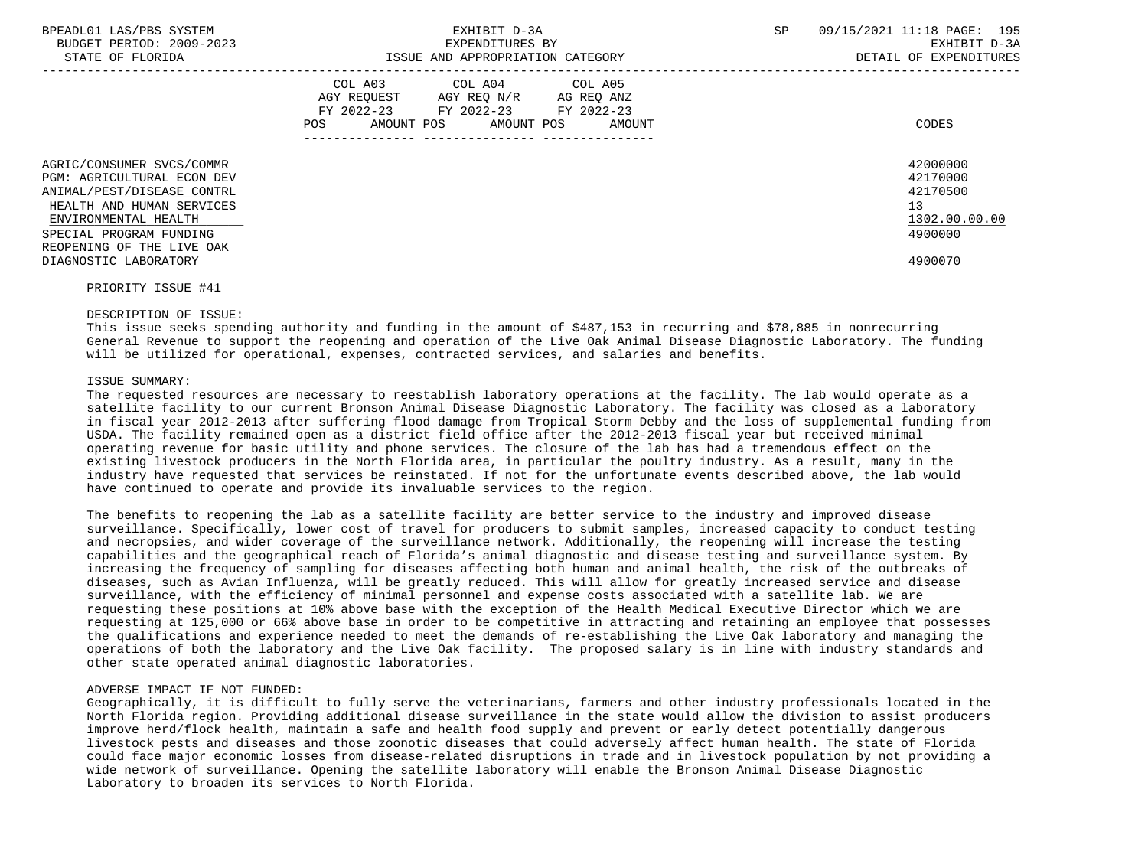BUDGET PERIOD: 2009-2023 EXPENDITURES BY EXHIBIT D-3A

|                                                                                                                                                                                                                             | COL A03<br>COL A04<br>COL A05<br>AGY REOUEST<br>AGY REO N/R<br>AG REQ ANZ<br>FY 2022-23<br>FY 2022-23<br>FY 2022-23<br>AMOUNT POS<br>AMOUNT POS<br>POS<br>AMOUNT | CODES                                                                         |
|-----------------------------------------------------------------------------------------------------------------------------------------------------------------------------------------------------------------------------|------------------------------------------------------------------------------------------------------------------------------------------------------------------|-------------------------------------------------------------------------------|
| AGRIC/CONSUMER SVCS/COMMR<br>PGM: AGRICULTURAL ECON DEV<br>ANIMAL/PEST/DISEASE CONTRL<br>HEALTH AND HUMAN SERVICES<br>ENVIRONMENTAL HEALTH<br>SPECIAL PROGRAM FUNDING<br>REOPENING OF THE LIVE OAK<br>DIAGNOSTIC LABORATORY |                                                                                                                                                                  | 42000000<br>42170000<br>42170500<br>13<br>1302.00.00.00<br>4900000<br>4900070 |

#### PRIORITY ISSUE #41

## DESCRIPTION OF ISSUE:

 This issue seeks spending authority and funding in the amount of \$487,153 in recurring and \$78,885 in nonrecurring General Revenue to support the reopening and operation of the Live Oak Animal Disease Diagnostic Laboratory. The funding will be utilized for operational, expenses, contracted services, and salaries and benefits.

# ISSUE SUMMARY:

 The requested resources are necessary to reestablish laboratory operations at the facility. The lab would operate as a satellite facility to our current Bronson Animal Disease Diagnostic Laboratory. The facility was closed as a laboratory in fiscal year 2012-2013 after suffering flood damage from Tropical Storm Debby and the loss of supplemental funding from USDA. The facility remained open as a district field office after the 2012-2013 fiscal year but received minimal operating revenue for basic utility and phone services. The closure of the lab has had a tremendous effect on the existing livestock producers in the North Florida area, in particular the poultry industry. As a result, many in the industry have requested that services be reinstated. If not for the unfortunate events described above, the lab would have continued to operate and provide its invaluable services to the region.

 The benefits to reopening the lab as a satellite facility are better service to the industry and improved disease surveillance. Specifically, lower cost of travel for producers to submit samples, increased capacity to conduct testing and necropsies, and wider coverage of the surveillance network. Additionally, the reopening will increase the testing capabilities and the geographical reach of Florida's animal diagnostic and disease testing and surveillance system. By increasing the frequency of sampling for diseases affecting both human and animal health, the risk of the outbreaks of diseases, such as Avian Influenza, will be greatly reduced. This will allow for greatly increased service and disease surveillance, with the efficiency of minimal personnel and expense costs associated with a satellite lab. We are requesting these positions at 10% above base with the exception of the Health Medical Executive Director which we are requesting at 125,000 or 66% above base in order to be competitive in attracting and retaining an employee that possesses the qualifications and experience needed to meet the demands of re-establishing the Live Oak laboratory and managing the operations of both the laboratory and the Live Oak facility. The proposed salary is in line with industry standards and other state operated animal diagnostic laboratories.

## ADVERSE IMPACT IF NOT FUNDED:

 Geographically, it is difficult to fully serve the veterinarians, farmers and other industry professionals located in the North Florida region. Providing additional disease surveillance in the state would allow the division to assist producers improve herd/flock health, maintain a safe and health food supply and prevent or early detect potentially dangerous livestock pests and diseases and those zoonotic diseases that could adversely affect human health. The state of Florida could face major economic losses from disease-related disruptions in trade and in livestock population by not providing a wide network of surveillance. Opening the satellite laboratory will enable the Bronson Animal Disease Diagnostic Laboratory to broaden its services to North Florida.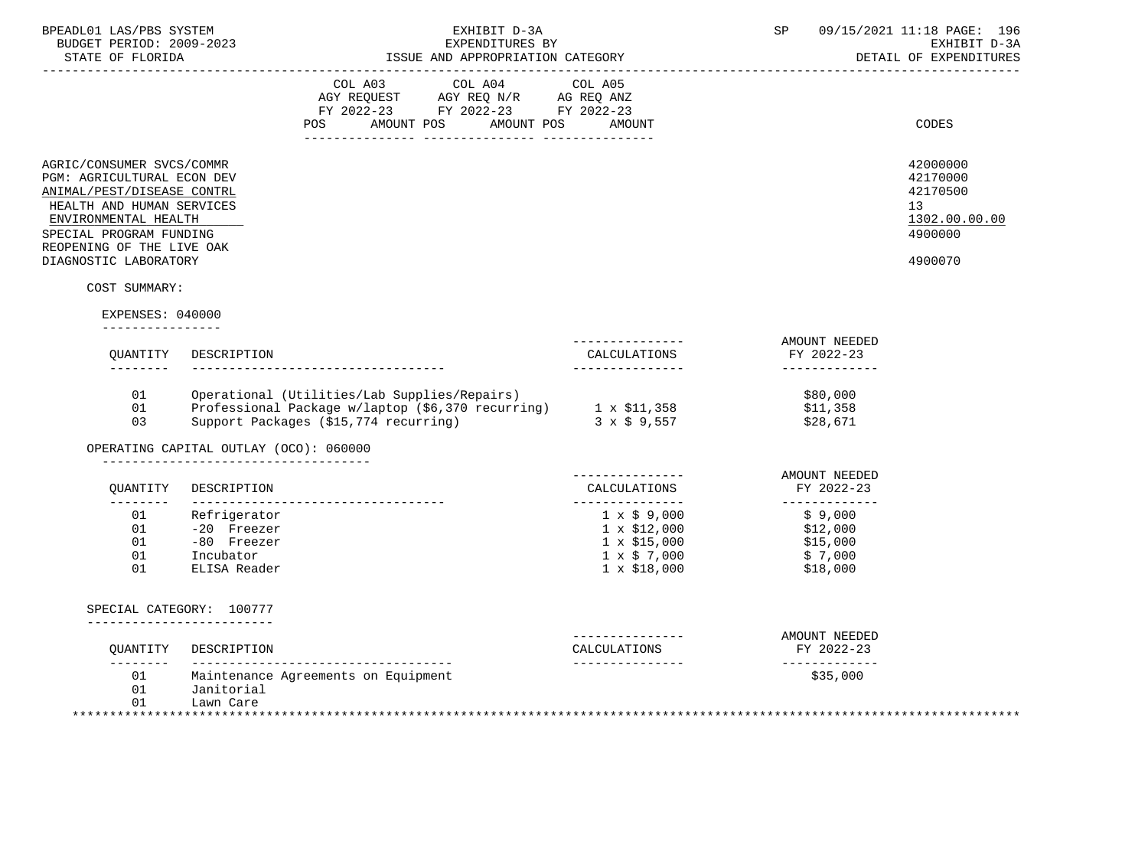| BPEADL01 LAS/PBS SYSTEM |                          |
|-------------------------|--------------------------|
|                         | BUDGET PERIOD: 2009-2023 |

|                                                                                                                                                                                                                             | COL A03<br>COL A04<br>AGY REQUEST AGY REQ N/R AG REQ ANZ<br>FY 2022-23 FY 2022-23 FY 2022-23<br>AMOUNT POS AMOUNT POS<br>POS                                                                      | COL A05<br>AMOUNT                                                                                                             |                                                                         | CODES                                                                         |
|-----------------------------------------------------------------------------------------------------------------------------------------------------------------------------------------------------------------------------|---------------------------------------------------------------------------------------------------------------------------------------------------------------------------------------------------|-------------------------------------------------------------------------------------------------------------------------------|-------------------------------------------------------------------------|-------------------------------------------------------------------------------|
|                                                                                                                                                                                                                             |                                                                                                                                                                                                   |                                                                                                                               |                                                                         |                                                                               |
| AGRIC/CONSUMER SVCS/COMMR<br>PGM: AGRICULTURAL ECON DEV<br>ANIMAL/PEST/DISEASE CONTRL<br>HEALTH AND HUMAN SERVICES<br>ENVIRONMENTAL HEALTH<br>SPECIAL PROGRAM FUNDING<br>REOPENING OF THE LIVE OAK<br>DIAGNOSTIC LABORATORY |                                                                                                                                                                                                   |                                                                                                                               |                                                                         | 42000000<br>42170000<br>42170500<br>13<br>1302.00.00.00<br>4900000<br>4900070 |
| COST SUMMARY:                                                                                                                                                                                                               |                                                                                                                                                                                                   |                                                                                                                               |                                                                         |                                                                               |
| EXPENSES: 040000                                                                                                                                                                                                            |                                                                                                                                                                                                   |                                                                                                                               |                                                                         |                                                                               |
| ----------------<br>OUANTITY                                                                                                                                                                                                | DESCRIPTION<br>----------------------------                                                                                                                                                       | CALCULATIONS                                                                                                                  | AMOUNT NEEDED<br>FY 2022-23<br>-------------                            |                                                                               |
| 01<br>01<br>0.3                                                                                                                                                                                                             | Operational (Utilities/Lab Supplies/Repairs)<br>Professional Package w/laptop (\$6,370 recurring) 1 x \$11,358<br>Support Packages (\$15,774 recurring)<br>OPERATING CAPITAL OUTLAY (OCO): 060000 | $3 \times $9,557$                                                                                                             | \$80,000<br>\$11,358<br>\$28,671                                        |                                                                               |
|                                                                                                                                                                                                                             |                                                                                                                                                                                                   |                                                                                                                               |                                                                         |                                                                               |
| OUANTITY                                                                                                                                                                                                                    | DESCRIPTION                                                                                                                                                                                       | CALCULATIONS                                                                                                                  | AMOUNT NEEDED<br>FY 2022-23                                             |                                                                               |
| ---------<br>$01$<br>$01$<br>01<br>01<br>01<br>01                                                                                                                                                                           | ------------------------------------<br>Refrigerator<br>-20 Freezer<br>-80 Freezer<br>Incubator<br>ELISA Reader                                                                                   | _______________<br>$1 \times \$ 9,000$<br>$1 \times $12,000$<br>$1 \times $15,000$<br>$1 \times $7,000$<br>$1 \times $18,000$ | -------------<br>\$9,000<br>\$12,000<br>\$15,000<br>\$7,000<br>\$18,000 |                                                                               |
|                                                                                                                                                                                                                             |                                                                                                                                                                                                   |                                                                                                                               |                                                                         |                                                                               |
| OUANTITY                                                                                                                                                                                                                    | SPECIAL CATEGORY: 100777<br>DESCRIPTION                                                                                                                                                           | ---------------<br>CALCULATIONS                                                                                               | AMOUNT NEEDED<br>FY 2022-23                                             |                                                                               |
| ---------<br>01<br>01<br>01                                                                                                                                                                                                 | ______________________________________<br>Maintenance Agreements on Equipment<br>Janitorial<br>Lawn Care                                                                                          | ---------------                                                                                                               | _____________<br>\$35,000                                               |                                                                               |

-----------------------------------------------------------------------------------------------------------------------------------

\*\*\*\*\*\*\*\*\*\*\*\*\*\*\*\*\*\*\*\*\*\*\*\*\*\*\*\*\*\*\*\*\*\*\*\*\*\*\*\*\*\*\*\*\*\*\*\*\*\*\*\*\*\*\*\*\*\*\*\*\*\*\*\*\*\*\*\*\*\*\*\*\*\*\*\*\*\*\*\*\*\*\*\*\*\*\*\*\*\*\*\*\*\*\*\*\*\*\*\*\*\*\*\*\*\*\*\*\*\*\*\*\*\*\*\*\*\*\*\*\*\*\*\*\*\*\*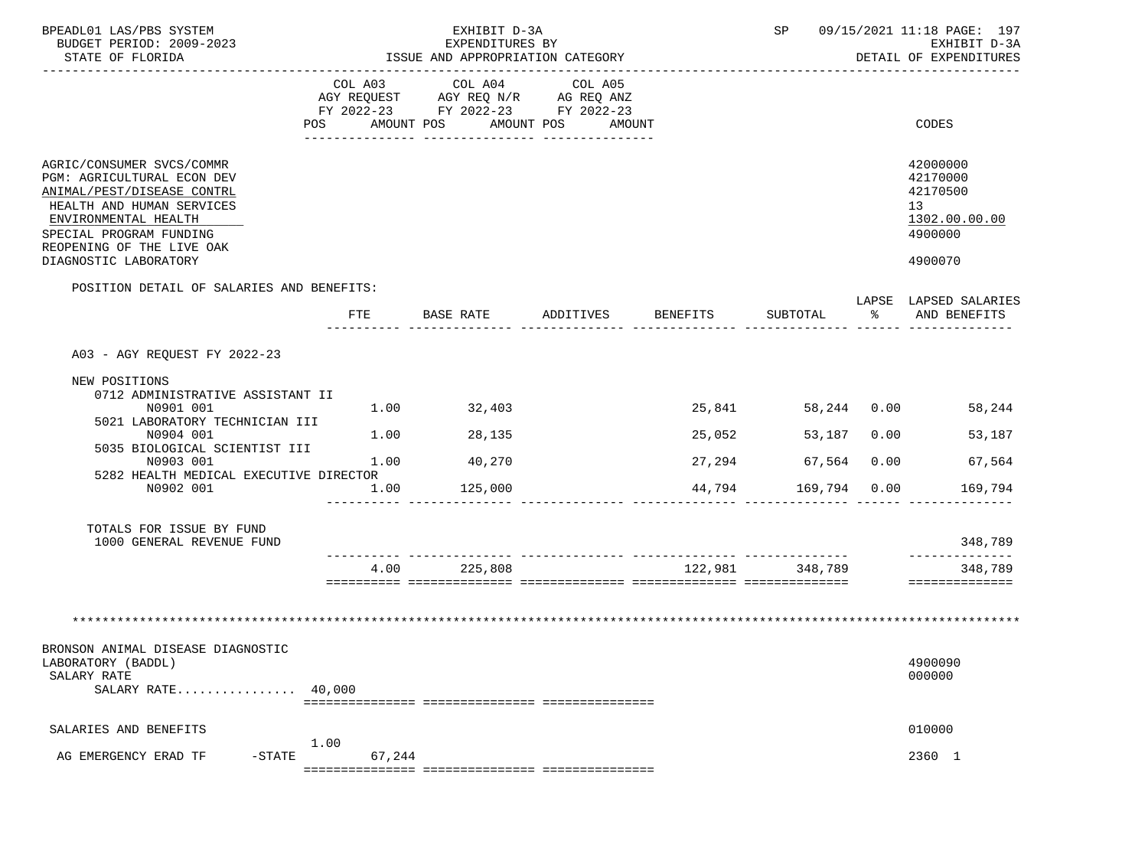| BPEADL01 LAS/PBS SYSTEM<br>BUDGET PERIOD: 2009-2023<br>STATE OF FLORIDA                                                                                                                                                     |                              | EXHIBIT D-3A<br>EXPENDITURES BY<br>ISSUE AND APPROPRIATION CATEGORY               |                              |        |                     |                            | SP 09/15/2021 11:18 PAGE: 197<br>EXHIBIT D-3A<br>DETAIL OF EXPENDITURES       |
|-----------------------------------------------------------------------------------------------------------------------------------------------------------------------------------------------------------------------------|------------------------------|-----------------------------------------------------------------------------------|------------------------------|--------|---------------------|----------------------------|-------------------------------------------------------------------------------|
|                                                                                                                                                                                                                             | COL A03<br>AMOUNT POS<br>POS | COL A04<br>AGY REQUEST AGY REQ N/R AG REQ ANZ<br>FY 2022-23 FY 2022-23 FY 2022-23 | COL A05<br>AMOUNT POS AMOUNT |        |                     |                            | CODES                                                                         |
| AGRIC/CONSUMER SVCS/COMMR<br>PGM: AGRICULTURAL ECON DEV<br>ANIMAL/PEST/DISEASE CONTRL<br>HEALTH AND HUMAN SERVICES<br>ENVIRONMENTAL HEALTH<br>SPECIAL PROGRAM FUNDING<br>REOPENING OF THE LIVE OAK<br>DIAGNOSTIC LABORATORY |                              |                                                                                   |                              |        |                     |                            | 42000000<br>42170000<br>42170500<br>13<br>1302.00.00.00<br>4900000<br>4900070 |
| POSITION DETAIL OF SALARIES AND BENEFITS:                                                                                                                                                                                   |                              |                                                                                   |                              |        |                     |                            |                                                                               |
|                                                                                                                                                                                                                             | $_{\rm FTE}$                 | BASE RATE                                                                         | ADDITIVES BENEFITS           |        | SUBTOTAL            | ွေ<br>_______ ______ _____ | LAPSE LAPSED SALARIES<br>AND BENEFITS                                         |
| A03 - AGY REQUEST FY 2022-23                                                                                                                                                                                                |                              |                                                                                   |                              |        |                     |                            |                                                                               |
| NEW POSITIONS<br>0712 ADMINISTRATIVE ASSISTANT II                                                                                                                                                                           |                              |                                                                                   |                              |        |                     |                            |                                                                               |
| N0901 001<br>5021 LABORATORY TECHNICIAN III                                                                                                                                                                                 |                              | $1.00$ 32,403                                                                     |                              | 25,841 |                     | 58,244 0.00                | 58,244                                                                        |
| N0904 001<br>5035 BIOLOGICAL SCIENTIST III                                                                                                                                                                                  |                              | $1.00$ 28,135                                                                     |                              | 25,052 | 53,187              | 0.00                       | 53,187                                                                        |
| N0903 001                                                                                                                                                                                                                   |                              | 1.00 40,270                                                                       |                              | 27,294 |                     | 67,564 0.00                | 67,564                                                                        |
| 5282 HEALTH MEDICAL EXECUTIVE DIRECTOR<br>N0902 001                                                                                                                                                                         | 1.00                         | 125,000                                                                           |                              |        | 44,794 169,794 0.00 |                            | 169,794                                                                       |
| TOTALS FOR ISSUE BY FUND<br>1000 GENERAL REVENUE FUND                                                                                                                                                                       |                              |                                                                                   |                              |        |                     |                            | 348,789                                                                       |
|                                                                                                                                                                                                                             |                              | 4.00 225.808                                                                      |                              |        | 122,981 348,789     |                            | --------------<br>348,789<br>==============                                   |
| BRONSON ANIMAL DISEASE DIAGNOSTIC                                                                                                                                                                                           |                              |                                                                                   |                              |        |                     |                            |                                                                               |
| LABORATORY (BADDL)<br>SALARY RATE<br>SALARY RATE                                                                                                                                                                            | 40,000                       |                                                                                   |                              |        |                     |                            | 4900090<br>000000                                                             |
| SALARIES AND BENEFITS                                                                                                                                                                                                       |                              |                                                                                   |                              |        |                     |                            | 010000                                                                        |
| AG EMERGENCY ERAD TF<br>$-STATE$                                                                                                                                                                                            | 1.00<br>67,244               |                                                                                   |                              |        |                     |                            | 2360 1                                                                        |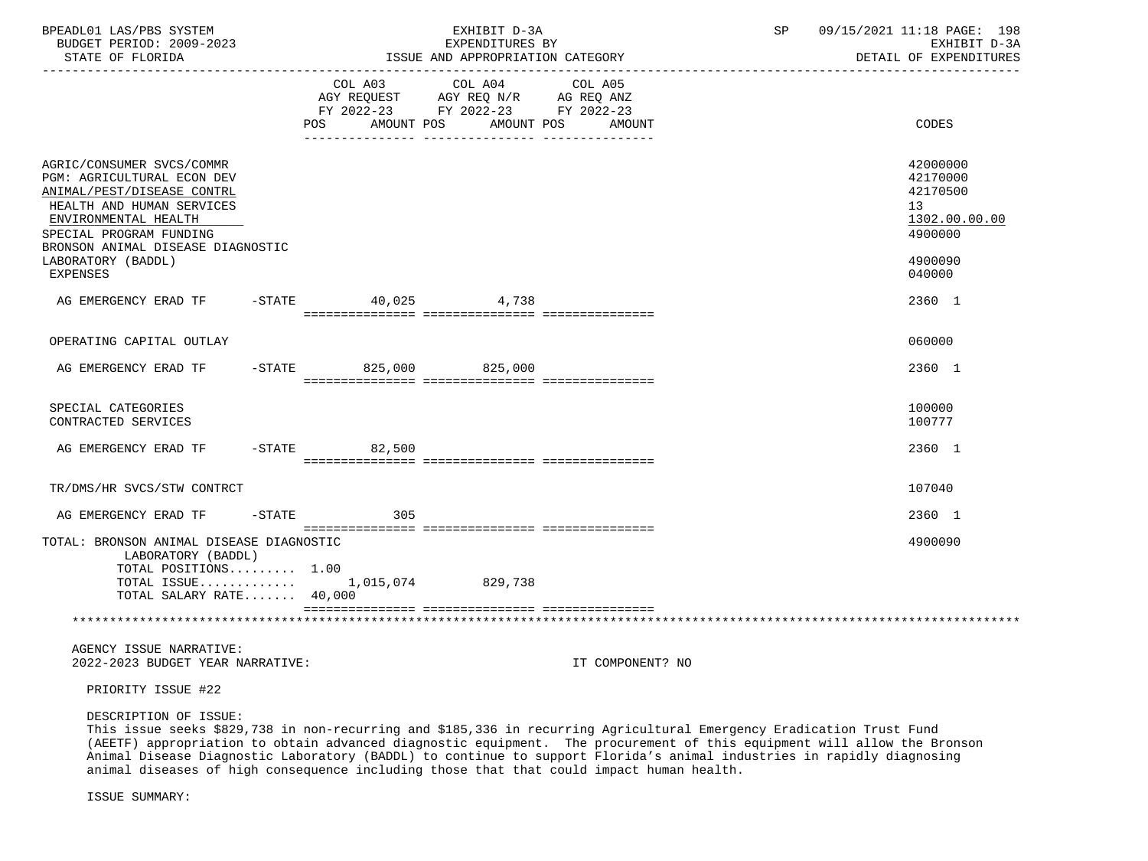| BPEADL01 LAS/PBS SYSTEM<br>BUDGET PERIOD: 2009-2023<br>STATE OF FLORIDA                                                                                                                                    |           |                          | EXHIBIT D-3A<br>EXPENDITURES BY<br>ISSUE AND APPROPRIATION CATEGORY                                                                                                                                                                                                                                                                                                                                                                               |                  | <b>SP</b> SP | 09/15/2021 11:18 PAGE: 198<br>EXHIBIT D-3A<br>DETAIL OF EXPENDITURES          |
|------------------------------------------------------------------------------------------------------------------------------------------------------------------------------------------------------------|-----------|--------------------------|---------------------------------------------------------------------------------------------------------------------------------------------------------------------------------------------------------------------------------------------------------------------------------------------------------------------------------------------------------------------------------------------------------------------------------------------------|------------------|--------------|-------------------------------------------------------------------------------|
|                                                                                                                                                                                                            |           | <b>POS</b><br>AMOUNT POS | $\begin{tabular}{lllllllllllll} &\multicolumn{4}{c }{\text{COL A03}} &\multicolumn{4}{c }{\text{COL A04}} &\multicolumn{4}{c }{\text{COL A05}} \\ \multicolumn{4}{c }{\text{AGY REQUEST}} &\multicolumn{4}{c }{\text{AGY REQ ANZ}} &\multicolumn{4}{c }{\text{AG REQ ANZ}} \\ \multicolumn{4}{c }{\text{FY 2022--23}} &\multicolumn{4}{c }{\text{FY 2022--23}} &\multicolumn{4}{c }{\text{FY 2022--23}} &\multicolumn{4}{c }{\text$<br>AMOUNT POS | AMOUNT           |              | CODES                                                                         |
| AGRIC/CONSUMER SVCS/COMMR<br>PGM: AGRICULTURAL ECON DEV<br>ANIMAL/PEST/DISEASE CONTRL<br>HEALTH AND HUMAN SERVICES<br>ENVIRONMENTAL HEALTH<br>SPECIAL PROGRAM FUNDING<br>BRONSON ANIMAL DISEASE DIAGNOSTIC |           |                          |                                                                                                                                                                                                                                                                                                                                                                                                                                                   |                  |              | 42000000<br>42170000<br>42170500<br>13<br>1302.00.00.00<br>4900000<br>4900090 |
| LABORATORY (BADDL)<br><b>EXPENSES</b>                                                                                                                                                                      |           |                          |                                                                                                                                                                                                                                                                                                                                                                                                                                                   |                  |              | 040000                                                                        |
| AG EMERGENCY ERAD TF - STATE 40,025 4,738                                                                                                                                                                  |           |                          |                                                                                                                                                                                                                                                                                                                                                                                                                                                   |                  |              | 2360 1                                                                        |
| OPERATING CAPITAL OUTLAY                                                                                                                                                                                   |           |                          |                                                                                                                                                                                                                                                                                                                                                                                                                                                   |                  |              | 060000                                                                        |
|                                                                                                                                                                                                            |           |                          |                                                                                                                                                                                                                                                                                                                                                                                                                                                   |                  |              | 2360 1                                                                        |
| SPECIAL CATEGORIES<br>CONTRACTED SERVICES                                                                                                                                                                  |           |                          |                                                                                                                                                                                                                                                                                                                                                                                                                                                   |                  |              | 100000<br>100777                                                              |
| AG EMERGENCY ERAD TF                                                                                                                                                                                       |           | $-$ STATE 82,500         |                                                                                                                                                                                                                                                                                                                                                                                                                                                   |                  |              | 2360 1                                                                        |
| TR/DMS/HR SVCS/STW CONTRCT                                                                                                                                                                                 |           |                          |                                                                                                                                                                                                                                                                                                                                                                                                                                                   |                  |              | 107040                                                                        |
| AG EMERGENCY ERAD TF                                                                                                                                                                                       | $-$ STATE | 305                      |                                                                                                                                                                                                                                                                                                                                                                                                                                                   |                  |              | 2360 1                                                                        |
| TOTAL: BRONSON ANIMAL DISEASE DIAGNOSTIC<br>LABORATORY (BADDL)<br>TOTAL POSITIONS 1.00                                                                                                                     |           |                          |                                                                                                                                                                                                                                                                                                                                                                                                                                                   |                  |              | 4900090                                                                       |
| TOTAL ISSUE 1,015,074 829,738<br>TOTAL SALARY RATE 40,000                                                                                                                                                  |           |                          |                                                                                                                                                                                                                                                                                                                                                                                                                                                   |                  |              |                                                                               |
|                                                                                                                                                                                                            |           |                          |                                                                                                                                                                                                                                                                                                                                                                                                                                                   |                  |              |                                                                               |
| AGENCY ISSUE NARRATIVE:<br>2022-2023 BUDGET YEAR NARRATIVE:                                                                                                                                                |           |                          |                                                                                                                                                                                                                                                                                                                                                                                                                                                   | IT COMPONENT? NO |              |                                                                               |
| PRIORITY ISSUE #22                                                                                                                                                                                         |           |                          |                                                                                                                                                                                                                                                                                                                                                                                                                                                   |                  |              |                                                                               |
| DESCRIPTION OF ISSUE:                                                                                                                                                                                      |           |                          |                                                                                                                                                                                                                                                                                                                                                                                                                                                   |                  |              |                                                                               |

 This issue seeks \$829,738 in non-recurring and \$185,336 in recurring Agricultural Emergency Eradication Trust Fund (AEETF) appropriation to obtain advanced diagnostic equipment. The procurement of this equipment will allow the Bronson Animal Disease Diagnostic Laboratory (BADDL) to continue to support Florida's animal industries in rapidly diagnosing animal diseases of high consequence including those that that could impact human health.

ISSUE SUMMARY: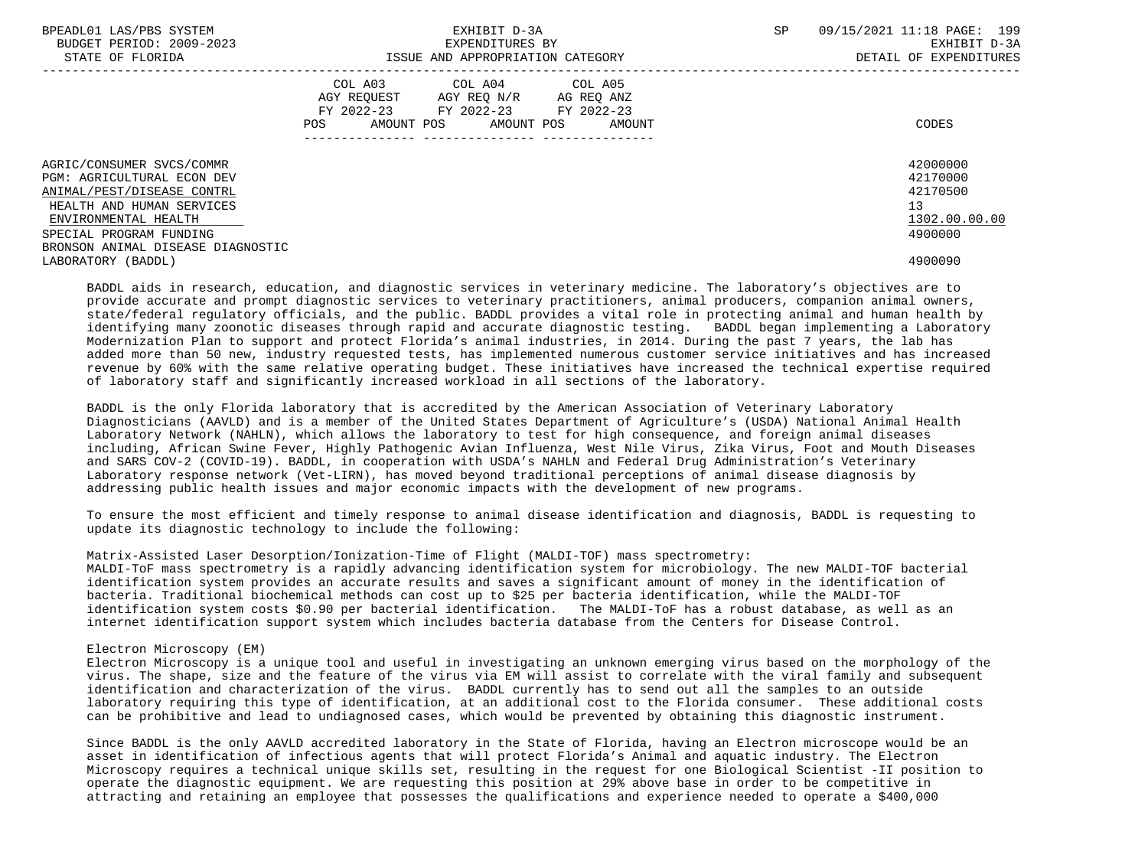| BPEADL01 LAS/PBS SYSTEM<br>BUDGET PERIOD: 2009-2023<br>STATE OF FLORIDA                                                                                                                                           | EXHIBIT D-3A<br>EXPENDITURES BY<br>ISSUE AND APPROPRIATION CATEGORY                                                                         | SP | 09/15/2021 11:18 PAGE: 199<br>EXHIBIT D-3A<br>DETAIL OF EXPENDITURES |
|-------------------------------------------------------------------------------------------------------------------------------------------------------------------------------------------------------------------|---------------------------------------------------------------------------------------------------------------------------------------------|----|----------------------------------------------------------------------|
|                                                                                                                                                                                                                   | COL A03<br>COL A04 COL A05<br>AGY REOUEST AGY REO N/R AG REO ANZ<br>FY 2022-23 FY 2022-23 FY 2022-23<br>AMOUNT POS AMOUNT POS AMOUNT<br>POS |    | CODES                                                                |
| AGRIC/CONSUMER SVCS/COMMR<br><b>PGM: AGRICULTURAL ECON DEV</b><br>ANIMAL/PEST/DISEASE CONTRL<br>HEALTH AND HUMAN SERVICES<br>ENVIRONMENTAL HEALTH<br>SPECIAL PROGRAM FUNDING<br>BRONSON ANIMAL DISEASE DIAGNOSTIC |                                                                                                                                             |    | 42000000<br>42170000<br>42170500<br>13<br>1302.00.00.00<br>4900000   |
| LABORATORY (BADDL)                                                                                                                                                                                                |                                                                                                                                             |    | 4900090                                                              |

 BADDL aids in research, education, and diagnostic services in veterinary medicine. The laboratory's objectives are to provide accurate and prompt diagnostic services to veterinary practitioners, animal producers, companion animal owners, state/federal regulatory officials, and the public. BADDL provides a vital role in protecting animal and human health by identifying many zoonotic diseases through rapid and accurate diagnostic testing. BADDL began implementing a Laboratory Modernization Plan to support and protect Florida's animal industries, in 2014. During the past 7 years, the lab has added more than 50 new, industry requested tests, has implemented numerous customer service initiatives and has increased revenue by 60% with the same relative operating budget. These initiatives have increased the technical expertise required of laboratory staff and significantly increased workload in all sections of the laboratory.

 BADDL is the only Florida laboratory that is accredited by the American Association of Veterinary Laboratory Diagnosticians (AAVLD) and is a member of the United States Department of Agriculture's (USDA) National Animal Health Laboratory Network (NAHLN), which allows the laboratory to test for high consequence, and foreign animal diseases including, African Swine Fever, Highly Pathogenic Avian Influenza, West Nile Virus, Zika Virus, Foot and Mouth Diseases and SARS COV-2 (COVID-19). BADDL, in cooperation with USDA's NAHLN and Federal Drug Administration's Veterinary Laboratory response network (Vet-LIRN), has moved beyond traditional perceptions of animal disease diagnosis by addressing public health issues and major economic impacts with the development of new programs.

 To ensure the most efficient and timely response to animal disease identification and diagnosis, BADDL is requesting to update its diagnostic technology to include the following:

 Matrix-Assisted Laser Desorption/Ionization-Time of Flight (MALDI-TOF) mass spectrometry: MALDI-ToF mass spectrometry is a rapidly advancing identification system for microbiology. The new MALDI-TOF bacterial identification system provides an accurate results and saves a significant amount of money in the identification of bacteria. Traditional biochemical methods can cost up to \$25 per bacteria identification, while the MALDI-TOF identification system costs \$0.90 per bacterial identification. The MALDI-ToF has a robust database, as well as an internet identification support system which includes bacteria database from the Centers for Disease Control.

# Electron Microscopy (EM)

 Electron Microscopy is a unique tool and useful in investigating an unknown emerging virus based on the morphology of the virus. The shape, size and the feature of the virus via EM will assist to correlate with the viral family and subsequent identification and characterization of the virus. BADDL currently has to send out all the samples to an outside laboratory requiring this type of identification, at an additional cost to the Florida consumer. These additional costs can be prohibitive and lead to undiagnosed cases, which would be prevented by obtaining this diagnostic instrument.

 Since BADDL is the only AAVLD accredited laboratory in the State of Florida, having an Electron microscope would be an asset in identification of infectious agents that will protect Florida's Animal and aquatic industry. The Electron Microscopy requires a technical unique skills set, resulting in the request for one Biological Scientist -II position to operate the diagnostic equipment. We are requesting this position at 29% above base in order to be competitive in attracting and retaining an employee that possesses the qualifications and experience needed to operate a \$400,000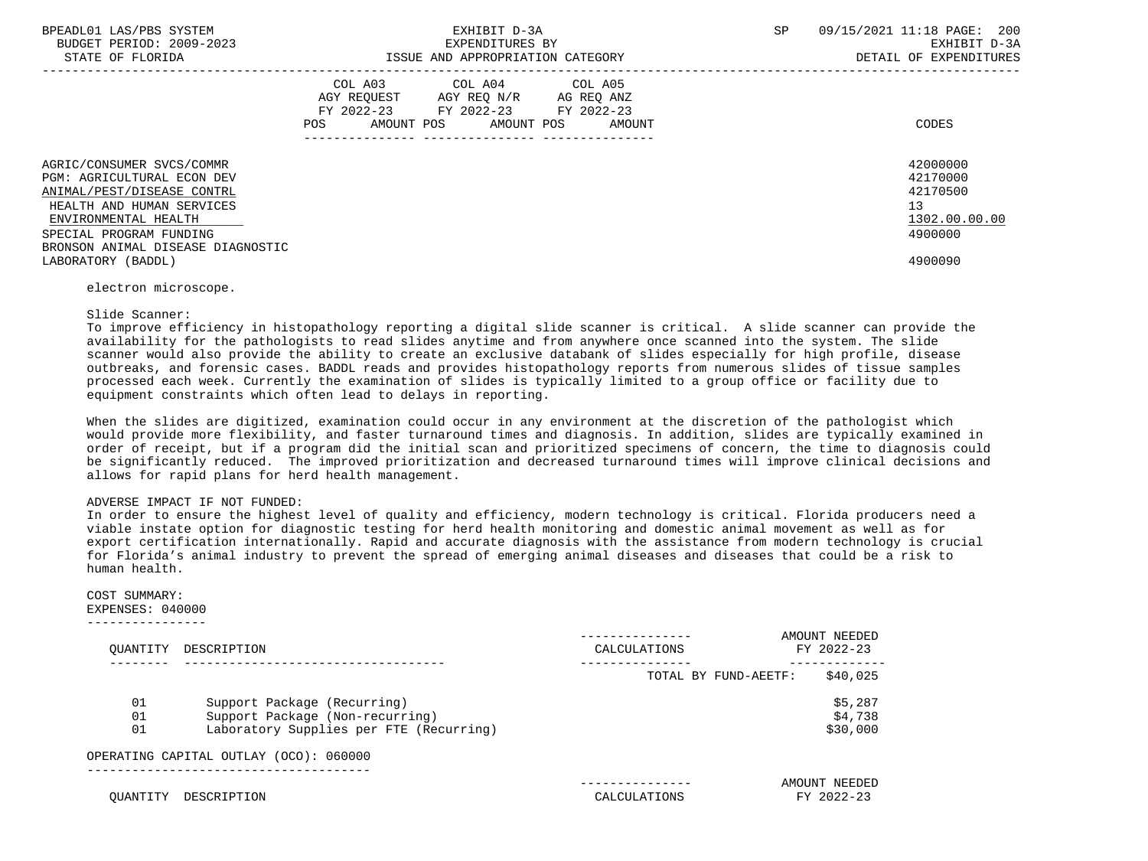| BPEADL01 LAS/PBS SYSTEM |                   |                          |
|-------------------------|-------------------|--------------------------|
|                         |                   | BUDGET PERIOD: 2009-2023 |
|                         | גתדכת זה הם היהיה |                          |

|                                                                                                                                                                                                                                  | COL A03<br>AGY REOUEST<br>FY 2022-23<br>AMOUNT POS<br>POS | COL A04<br>AGY REO N/R<br>FY 2022-23<br>AMOUNT POS | COL A05<br>AG REQ ANZ<br>FY 2022-23<br>AMOUNT | CODES                                                                         |
|----------------------------------------------------------------------------------------------------------------------------------------------------------------------------------------------------------------------------------|-----------------------------------------------------------|----------------------------------------------------|-----------------------------------------------|-------------------------------------------------------------------------------|
| AGRIC/CONSUMER SVCS/COMMR<br>PGM: AGRICULTURAL ECON DEV<br>ANIMAL/PEST/DISEASE CONTRL<br>HEALTH AND HUMAN SERVICES<br>ENVIRONMENTAL HEALTH<br>SPECIAL PROGRAM FUNDING<br>BRONSON ANIMAL DISEASE DIAGNOSTIC<br>LABORATORY (BADDL) |                                                           |                                                    |                                               | 42000000<br>42170000<br>42170500<br>13<br>1302.00.00.00<br>4900000<br>4900090 |

# electron microscope.

Slide Scanner:

 To improve efficiency in histopathology reporting a digital slide scanner is critical. A slide scanner can provide the availability for the pathologists to read slides anytime and from anywhere once scanned into the system. The slide scanner would also provide the ability to create an exclusive databank of slides especially for high profile, disease outbreaks, and forensic cases. BADDL reads and provides histopathology reports from numerous slides of tissue samples processed each week. Currently the examination of slides is typically limited to a group office or facility due to equipment constraints which often lead to delays in reporting.

 When the slides are digitized, examination could occur in any environment at the discretion of the pathologist which would provide more flexibility, and faster turnaround times and diagnosis. In addition, slides are typically examined in order of receipt, but if a program did the initial scan and prioritized specimens of concern, the time to diagnosis could be significantly reduced. The improved prioritization and decreased turnaround times will improve clinical decisions and allows for rapid plans for herd health management.

#### ADVERSE IMPACT IF NOT FUNDED:

 In order to ensure the highest level of quality and efficiency, modern technology is critical. Florida producers need a viable instate option for diagnostic testing for herd health monitoring and domestic animal movement as well as for export certification internationally. Rapid and accurate diagnosis with the assistance from modern technology is crucial for Florida's animal industry to prevent the spread of emerging animal diseases and diseases that could be a risk to human health.

# COST SUMMARY:

 EXPENSES: 040000 ----------------

| OUANTITY       | DESCRIPTION                                                                                                                                         | CALCULATIONS | AMOUNT NEEDED<br>FY 2022-23      |
|----------------|-----------------------------------------------------------------------------------------------------------------------------------------------------|--------------|----------------------------------|
|                |                                                                                                                                                     |              | \$40,025<br>TOTAL BY FUND-AEETF: |
| 01<br>01<br>01 | Support Package (Recurring)<br>Support Package (Non-recurring)<br>Laboratory Supplies per FTE (Recurring)<br>OPERATING CAPITAL OUTLAY (OCO): 060000 |              | \$5,287<br>\$4,738<br>\$30,000   |
| OUANTITY       | DESCRIPTION                                                                                                                                         | CALCULATIONS | AMOUNT NEEDED<br>FY 2022-23      |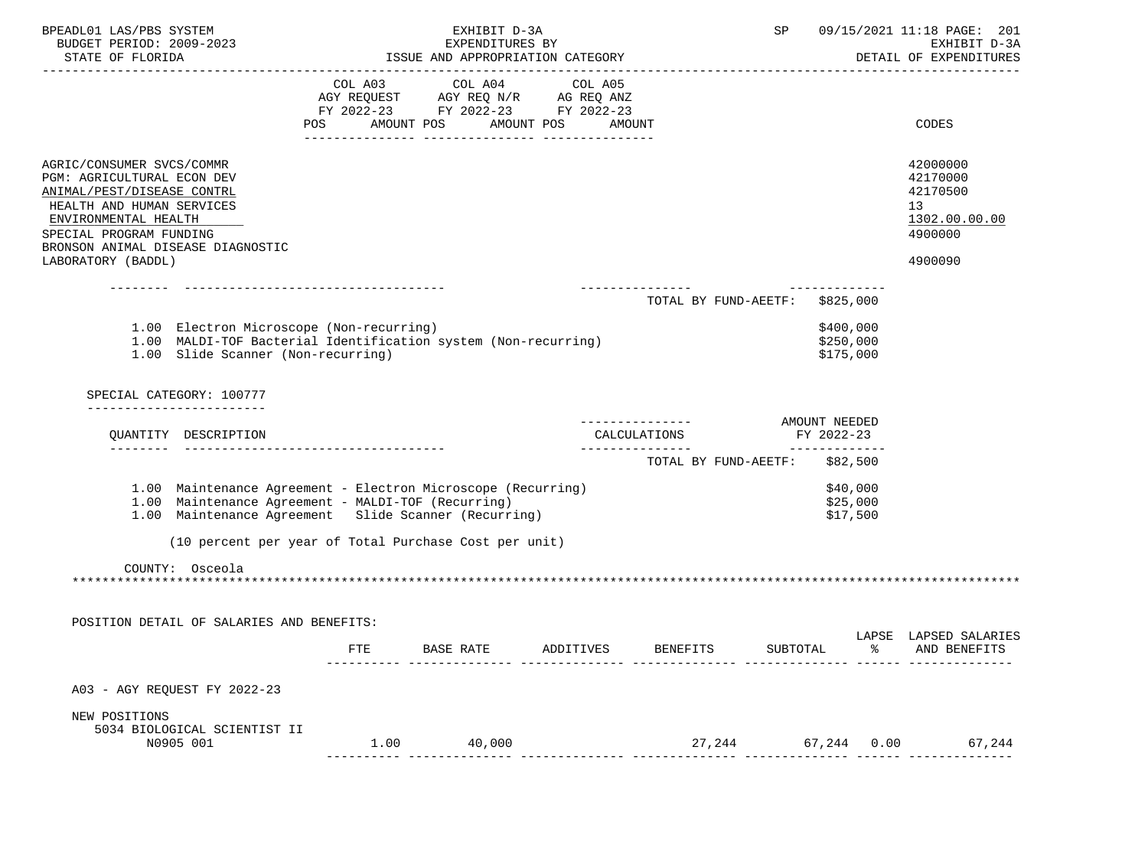| EXHIBIT D-3A<br>DETAIL OF EXPENDITURES<br>42000000<br>42170000<br>42170500<br>1302.00.00.00<br>4900000<br>4900090 |
|-------------------------------------------------------------------------------------------------------------------|
|                                                                                                                   |
|                                                                                                                   |
|                                                                                                                   |
|                                                                                                                   |
|                                                                                                                   |
|                                                                                                                   |
|                                                                                                                   |
|                                                                                                                   |
|                                                                                                                   |
|                                                                                                                   |
|                                                                                                                   |
|                                                                                                                   |
| LAPSE LAPSED SALARIES<br>AND BENEFITS                                                                             |
|                                                                                                                   |
|                                                                                                                   |
|                                                                                                                   |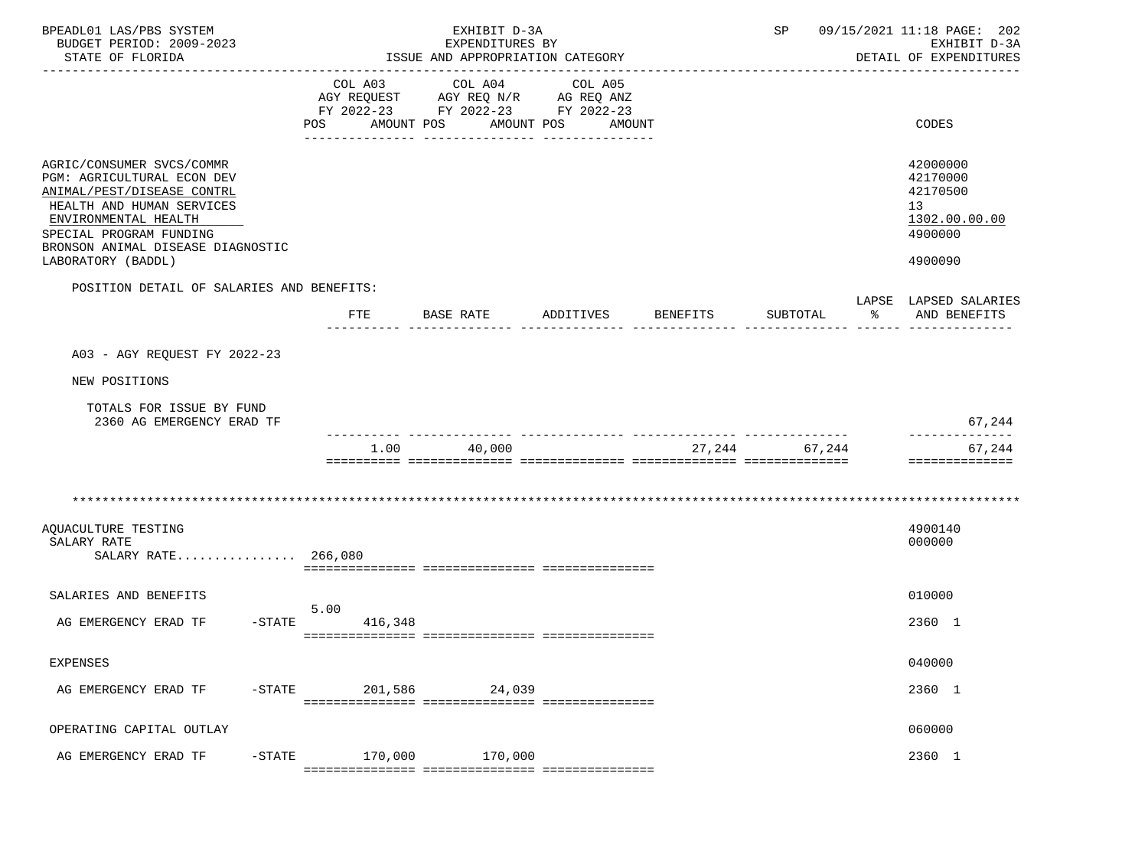| BPEADL01 LAS/PBS SYSTEM<br>BUDGET PERIOD: 2009-2023<br>STATE OF FLORIDA                                                                                                                                    |                   | EXHIBIT D-3A<br>EXPENDITURES BY<br>ISSUE AND APPROPRIATION CATEGORY                                           |                   |                    | SP       |   | 09/15/2021 11:18 PAGE: 202<br>EXHIBIT D-3A<br>DETAIL OF EXPENDITURES |
|------------------------------------------------------------------------------------------------------------------------------------------------------------------------------------------------------------|-------------------|---------------------------------------------------------------------------------------------------------------|-------------------|--------------------|----------|---|----------------------------------------------------------------------|
|                                                                                                                                                                                                            | COL A03<br>POS    | COL A04<br>AGY REQUEST AGY REQ N/R AG REQ ANZ<br>FY 2022-23 FY 2022-23 FY 2022-23<br>AMOUNT POS<br>AMOUNT POS | COL A05<br>AMOUNT |                    |          |   | CODES                                                                |
|                                                                                                                                                                                                            |                   |                                                                                                               |                   |                    |          |   |                                                                      |
| AGRIC/CONSUMER SVCS/COMMR<br>PGM: AGRICULTURAL ECON DEV<br>ANIMAL/PEST/DISEASE CONTRL<br>HEALTH AND HUMAN SERVICES<br>ENVIRONMENTAL HEALTH<br>SPECIAL PROGRAM FUNDING<br>BRONSON ANIMAL DISEASE DIAGNOSTIC |                   |                                                                                                               |                   |                    |          |   | 42000000<br>42170000<br>42170500<br>13<br>1302.00.00.00<br>4900000   |
| LABORATORY (BADDL)                                                                                                                                                                                         |                   |                                                                                                               |                   |                    |          |   | 4900090                                                              |
| POSITION DETAIL OF SALARIES AND BENEFITS:                                                                                                                                                                  |                   |                                                                                                               |                   |                    |          |   |                                                                      |
|                                                                                                                                                                                                            | FTE               | BASE RATE                                                                                                     |                   | ADDITIVES BENEFITS | SUBTOTAL | ႜ | LAPSE LAPSED SALARIES<br>AND BENEFITS                                |
|                                                                                                                                                                                                            |                   |                                                                                                               |                   |                    |          |   |                                                                      |
| A03 - AGY REQUEST FY 2022-23                                                                                                                                                                               |                   |                                                                                                               |                   |                    |          |   |                                                                      |
| NEW POSITIONS                                                                                                                                                                                              |                   |                                                                                                               |                   |                    |          |   |                                                                      |
| TOTALS FOR ISSUE BY FUND<br>2360 AG EMERGENCY ERAD TF                                                                                                                                                      |                   |                                                                                                               |                   |                    |          |   | 67,244<br>--------------                                             |
|                                                                                                                                                                                                            | 1.00              | 40,000                                                                                                        |                   | 27,244             | 67,244   |   | 67,244<br>==============                                             |
|                                                                                                                                                                                                            |                   |                                                                                                               |                   |                    |          |   |                                                                      |
|                                                                                                                                                                                                            |                   |                                                                                                               |                   |                    |          |   |                                                                      |
|                                                                                                                                                                                                            |                   |                                                                                                               |                   |                    |          |   |                                                                      |
| AQUACULTURE TESTING<br>SALARY RATE<br>SALARY RATE 266,080                                                                                                                                                  |                   |                                                                                                               |                   |                    |          |   | 4900140<br>000000                                                    |
|                                                                                                                                                                                                            |                   |                                                                                                               |                   |                    |          |   |                                                                      |
| SALARIES AND BENEFITS                                                                                                                                                                                      | 5.00              |                                                                                                               |                   |                    |          |   | 010000                                                               |
| AG EMERGENCY ERAD TF                                                                                                                                                                                       | $-$ STATE 416,348 |                                                                                                               |                   |                    |          |   | 2360 1                                                               |
| <b>EXPENSES</b>                                                                                                                                                                                            |                   |                                                                                                               |                   |                    |          |   | 040000                                                               |
| AG EMERGENCY ERAD TF<br>$-$ STATE                                                                                                                                                                          | 201,586           | 24,039                                                                                                        |                   |                    |          |   | 2360 1                                                               |
| OPERATING CAPITAL OUTLAY                                                                                                                                                                                   |                   |                                                                                                               |                   |                    |          |   | 060000                                                               |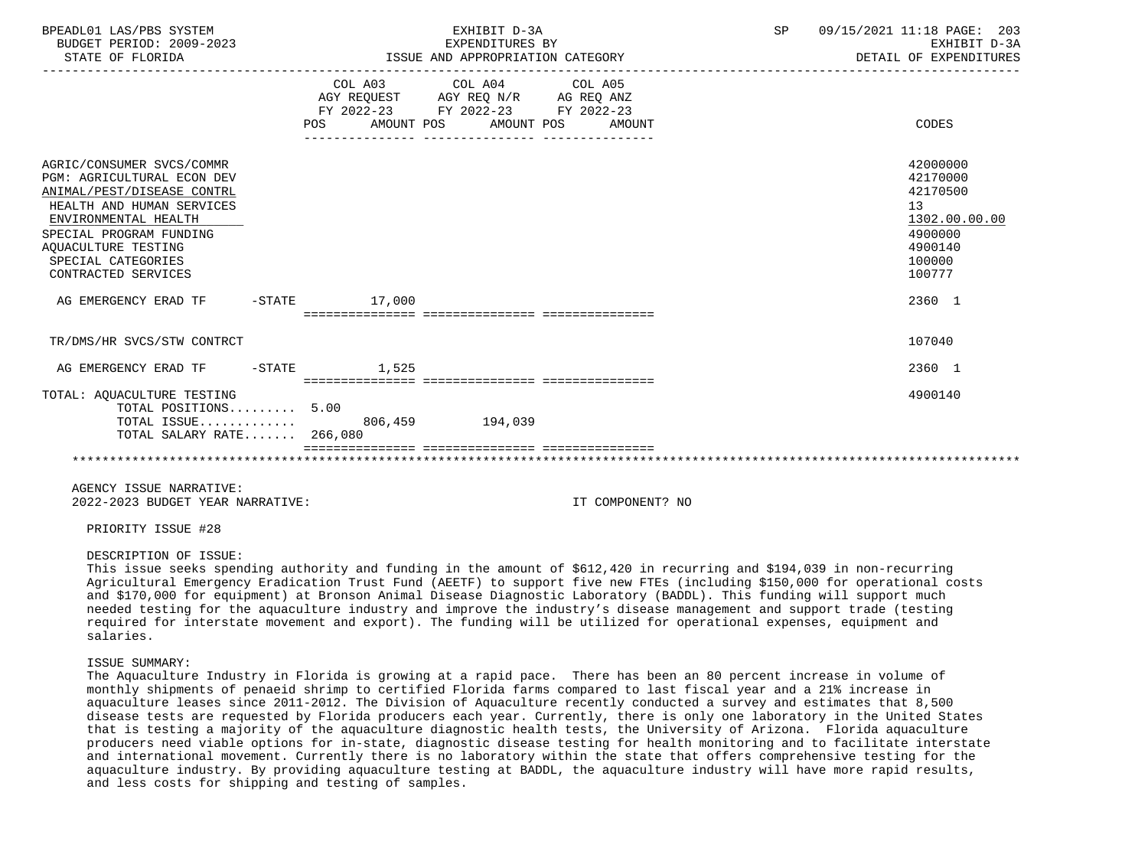| BPEADL01 LAS/PBS SYSTEM<br>BUDGET PERIOD: 2009-2023<br>STATE OF FLORIDA                                                                                                                                                                          |                    | EXHIBIT D-3A<br>EXPENDITURES BY<br>ISSUE AND APPROPRIATION CATEGORY                                                               | SP | 09/15/2021 11:18 PAGE: 203<br>EXHIBIT D-3A<br>DETAIL OF EXPENDITURES                                           |
|--------------------------------------------------------------------------------------------------------------------------------------------------------------------------------------------------------------------------------------------------|--------------------|-----------------------------------------------------------------------------------------------------------------------------------|----|----------------------------------------------------------------------------------------------------------------|
|                                                                                                                                                                                                                                                  | POS                | COL A03 COL A04 COL A05<br>AGY REQUEST AGY REQ N/R AG REQ ANZ<br>FY 2022-23 FY 2022-23 FY 2022-23<br>AMOUNT POS AMOUNT POS AMOUNT |    | CODES                                                                                                          |
| AGRIC/CONSUMER SVCS/COMMR<br>PGM: AGRICULTURAL ECON DEV<br>ANIMAL/PEST/DISEASE CONTRL<br>HEALTH AND HUMAN SERVICES<br>ENVIRONMENTAL HEALTH<br>SPECIAL PROGRAM FUNDING<br><b>AOUACULTURE TESTING</b><br>SPECIAL CATEGORIES<br>CONTRACTED SERVICES |                    |                                                                                                                                   |    | 42000000<br>42170000<br>42170500<br>13 <sup>7</sup><br>1302.00.00.00<br>4900000<br>4900140<br>100000<br>100777 |
| AG EMERGENCY ERAD TF                                                                                                                                                                                                                             | $-$ STATE $17.000$ |                                                                                                                                   |    | 2360 1                                                                                                         |
| TR/DMS/HR SVCS/STW CONTRCT                                                                                                                                                                                                                       |                    |                                                                                                                                   |    | 107040                                                                                                         |
| AG EMERGENCY ERAD TF                                                                                                                                                                                                                             | $-$ STATE $1.525$  |                                                                                                                                   |    | 2360 1                                                                                                         |
| TOTAL: AOUACULTURE TESTING<br>TOTAL POSITIONS 5.00<br>TOTAL ISSUE<br>TOTAL SALARY RATE 266,080                                                                                                                                                   |                    | 806,459 194,039                                                                                                                   |    | 4900140                                                                                                        |
| AGENCY ISSUE NARRATIVE:<br>2022-2023 BUDGET YEAR NARRATIVE:                                                                                                                                                                                      |                    | IT COMPONENT? NO                                                                                                                  |    |                                                                                                                |

PRIORITY ISSUE #28

#### DESCRIPTION OF ISSUE:

 This issue seeks spending authority and funding in the amount of \$612,420 in recurring and \$194,039 in non-recurring Agricultural Emergency Eradication Trust Fund (AEETF) to support five new FTEs (including \$150,000 for operational costs and \$170,000 for equipment) at Bronson Animal Disease Diagnostic Laboratory (BADDL). This funding will support much needed testing for the aquaculture industry and improve the industry's disease management and support trade (testing required for interstate movement and export). The funding will be utilized for operational expenses, equipment and salaries.

#### ISSUE SUMMARY:

 The Aquaculture Industry in Florida is growing at a rapid pace. There has been an 80 percent increase in volume of monthly shipments of penaeid shrimp to certified Florida farms compared to last fiscal year and a 21% increase in aquaculture leases since 2011-2012. The Division of Aquaculture recently conducted a survey and estimates that 8,500 disease tests are requested by Florida producers each year. Currently, there is only one laboratory in the United States that is testing a majority of the aquaculture diagnostic health tests, the University of Arizona. Florida aquaculture producers need viable options for in-state, diagnostic disease testing for health monitoring and to facilitate interstate and international movement. Currently there is no laboratory within the state that offers comprehensive testing for the aquaculture industry. By providing aquaculture testing at BADDL, the aquaculture industry will have more rapid results, and less costs for shipping and testing of samples.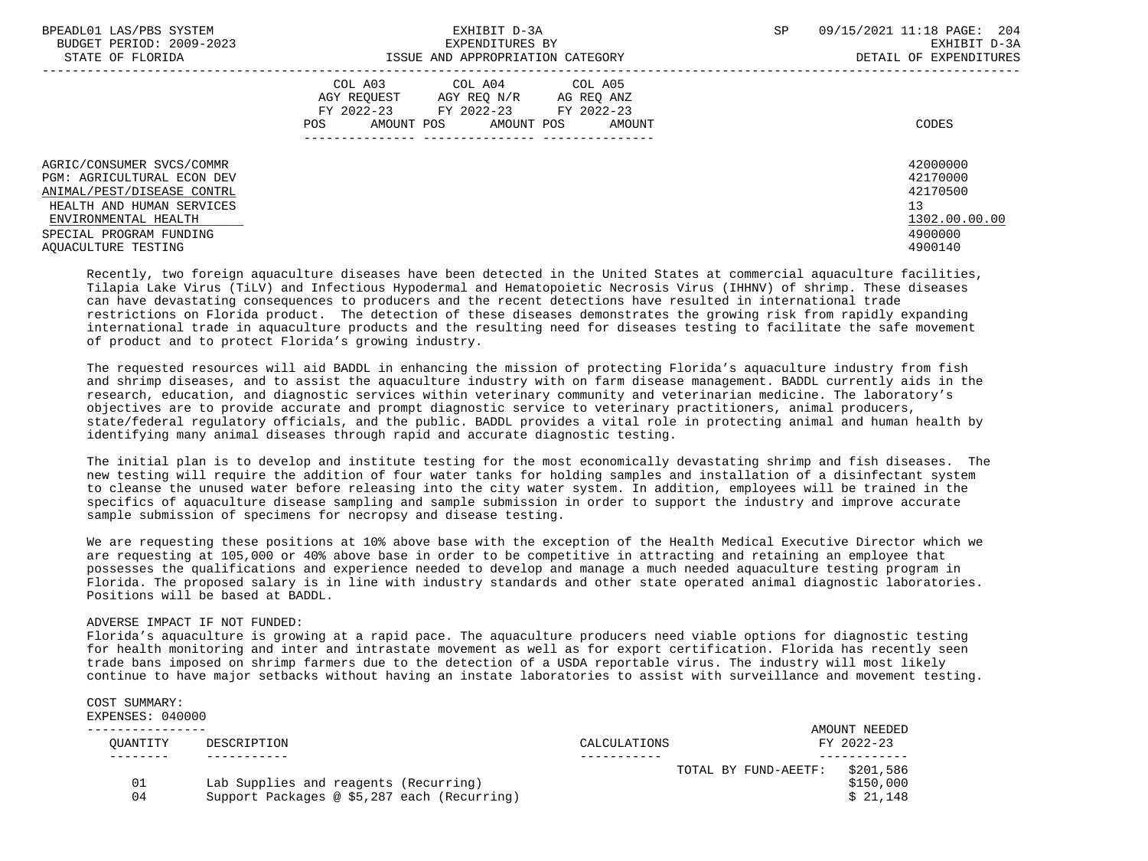| BPEADL01 LAS/PBS SYSTEM<br>BUDGET PERIOD: 2009-2023<br>STATE OF FLORIDA                                                                                                                      | EXHIBIT D-3A<br>EXPENDITURES BY<br>ISSUE AND APPROPRIATION CATEGORY                                                                         | 09/15/2021 11:18 PAGE: 204<br>SP<br>EXHIBIT D-3A<br>DETAIL OF EXPENDITURES    |
|----------------------------------------------------------------------------------------------------------------------------------------------------------------------------------------------|---------------------------------------------------------------------------------------------------------------------------------------------|-------------------------------------------------------------------------------|
|                                                                                                                                                                                              | COL A03 COL A04 COL A05<br>AGY REOUEST AGY REO N/R AG REO ANZ<br>FY 2022-23 FY 2022-23 FY 2022-23<br>AMOUNT POS AMOUNT POS<br>POS<br>AMOUNT | CODES                                                                         |
| AGRIC/CONSUMER SVCS/COMMR<br>PGM: AGRICULTURAL ECON DEV<br>ANIMAL/PEST/DISEASE CONTRL<br>HEALTH AND HUMAN SERVICES<br>ENVIRONMENTAL HEALTH<br>SPECIAL PROGRAM FUNDING<br>AOUACULTURE TESTING |                                                                                                                                             | 42000000<br>42170000<br>42170500<br>13<br>1302.00.00.00<br>4900000<br>4900140 |

 Recently, two foreign aquaculture diseases have been detected in the United States at commercial aquaculture facilities, Tilapia Lake Virus (TiLV) and Infectious Hypodermal and Hematopoietic Necrosis Virus (IHHNV) of shrimp. These diseases can have devastating consequences to producers and the recent detections have resulted in international trade restrictions on Florida product. The detection of these diseases demonstrates the growing risk from rapidly expanding international trade in aquaculture products and the resulting need for diseases testing to facilitate the safe movement of product and to protect Florida's growing industry.

 The requested resources will aid BADDL in enhancing the mission of protecting Florida's aquaculture industry from fish and shrimp diseases, and to assist the aquaculture industry with on farm disease management. BADDL currently aids in the research, education, and diagnostic services within veterinary community and veterinarian medicine. The laboratory's objectives are to provide accurate and prompt diagnostic service to veterinary practitioners, animal producers, state/federal regulatory officials, and the public. BADDL provides a vital role in protecting animal and human health by identifying many animal diseases through rapid and accurate diagnostic testing.

 The initial plan is to develop and institute testing for the most economically devastating shrimp and fish diseases. The new testing will require the addition of four water tanks for holding samples and installation of a disinfectant system to cleanse the unused water before releasing into the city water system. In addition, employees will be trained in the specifics of aquaculture disease sampling and sample submission in order to support the industry and improve accurate sample submission of specimens for necropsy and disease testing.

 We are requesting these positions at 10% above base with the exception of the Health Medical Executive Director which we are requesting at 105,000 or 40% above base in order to be competitive in attracting and retaining an employee that possesses the qualifications and experience needed to develop and manage a much needed aquaculture testing program in Florida. The proposed salary is in line with industry standards and other state operated animal diagnostic laboratories. Positions will be based at BADDL.

## ADVERSE IMPACT IF NOT FUNDED:

 Florida's aquaculture is growing at a rapid pace. The aquaculture producers need viable options for diagnostic testing for health monitoring and inter and intrastate movement as well as for export certification. Florida has recently seen trade bans imposed on shrimp farmers due to the detection of a USDA reportable virus. The industry will most likely continue to have major setbacks without having an instate laboratories to assist with surveillance and movement testing.

# COST SUMMARY:

EXPENSES: 040000

| OUANTITY | DESCRIPTION                                                                          | CALCULATIONS |                      | AMOUNT NEEDED<br>FY 2022-23        |
|----------|--------------------------------------------------------------------------------------|--------------|----------------------|------------------------------------|
| 01<br>04 | Lab Supplies and reagents (Recurring)<br>Support Packages @ \$5,287 each (Recurring) |              | TOTAL BY FUND-AEETF: | \$201,586<br>\$150,000<br>\$21.148 |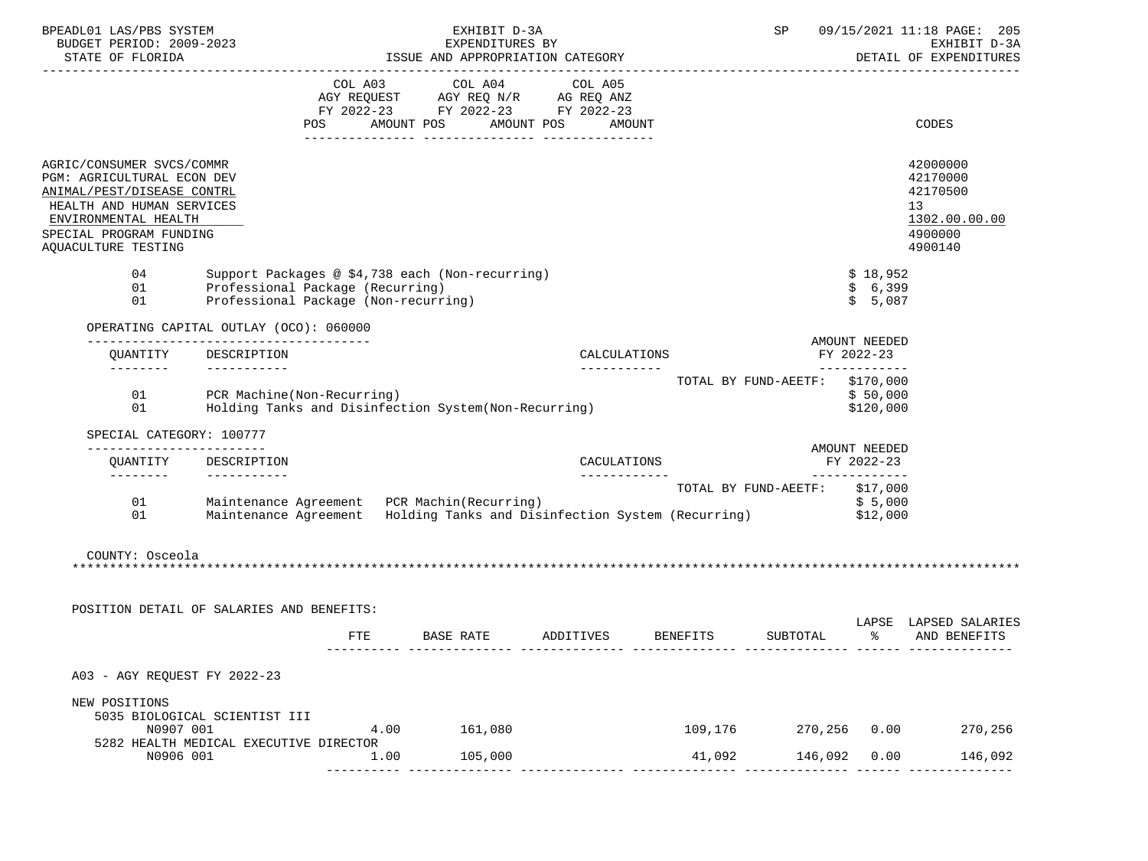| BPEADL01 LAS/PBS SYSTEM<br>BUDGET PERIOD: 2009-2023<br>STATE OF FLORIDA                                                                                                                      |                                                                          | EXHIBIT D-3A<br>EXPENDITURES BY<br>ISSUE AND APPROPRIATION CATEGORY                                                     |                             | SP                             |          |                             | 09/15/2021 11:18 PAGE: 205<br>EXHIBIT D-3A<br>DETAIL OF EXPENDITURES          |
|----------------------------------------------------------------------------------------------------------------------------------------------------------------------------------------------|--------------------------------------------------------------------------|-------------------------------------------------------------------------------------------------------------------------|-----------------------------|--------------------------------|----------|-----------------------------|-------------------------------------------------------------------------------|
|                                                                                                                                                                                              |                                                                          | COL A03 COL A04 COL A05<br>AGY REQUEST AGY REQ N/R AG REQ ANZ<br>FY 2022-23 FY 2022-23 FY 2022-23                       |                             |                                |          |                             |                                                                               |
|                                                                                                                                                                                              |                                                                          | POS AMOUNT POS AMOUNT POS AMOUNT                                                                                        |                             |                                |          |                             | CODES                                                                         |
| AGRIC/CONSUMER SVCS/COMMR<br>PGM: AGRICULTURAL ECON DEV<br>ANIMAL/PEST/DISEASE CONTRL<br>HEALTH AND HUMAN SERVICES<br>ENVIRONMENTAL HEALTH<br>SPECIAL PROGRAM FUNDING<br>AQUACULTURE TESTING |                                                                          |                                                                                                                         |                             |                                |          |                             | 42000000<br>42170000<br>42170500<br>13<br>1302.00.00.00<br>4900000<br>4900140 |
| 04                                                                                                                                                                                           |                                                                          | Support Packages @ \$4,738 each (Non-recurring)                                                                         |                             |                                |          | \$18,952                    |                                                                               |
| 01<br>01                                                                                                                                                                                     | Professional Package (Recurring)<br>Professional Package (Non-recurring) |                                                                                                                         |                             |                                |          | \$6,399<br>\$5,087          |                                                                               |
| OPERATING CAPITAL OUTLAY (OCO): 060000                                                                                                                                                       |                                                                          |                                                                                                                         |                             |                                |          |                             |                                                                               |
| QUANTITY DESCRIPTION                                                                                                                                                                         |                                                                          |                                                                                                                         | CALCULATIONS                |                                |          | AMOUNT NEEDED<br>FY 2022-23 |                                                                               |
|                                                                                                                                                                                              |                                                                          |                                                                                                                         | -----------                 | TOTAL BY FUND-AEETF: \$170,000 |          | ------------                |                                                                               |
| 01 PCR Machine (Non-Recurring)<br>01                                                                                                                                                         |                                                                          | Holding Tanks and Disinfection System (Non-Recurring)                                                                   |                             |                                |          | \$50,000<br>\$120,000       |                                                                               |
| SPECIAL CATEGORY: 100777<br>-------------------------                                                                                                                                        |                                                                          |                                                                                                                         |                             |                                |          | AMOUNT NEEDED               |                                                                               |
| OUANTITY DESCRIPTION<br>---------                                                                                                                                                            |                                                                          |                                                                                                                         | CACULATIONS<br>------------ |                                |          | FY 2022-23<br>------------- |                                                                               |
| 01<br>01                                                                                                                                                                                     |                                                                          | Maintenance Agreement  PCR Machin(Recurring)<br>Maintenance Agreement Holding Tanks and Disinfection System (Recurring) |                             | TOTAL BY FUND-AEETF: \$17,000  |          | \$5,000<br>\$12,000         |                                                                               |
| COUNTY: Osceola                                                                                                                                                                              |                                                                          |                                                                                                                         |                             |                                |          |                             |                                                                               |
|                                                                                                                                                                                              |                                                                          |                                                                                                                         |                             |                                |          |                             |                                                                               |
| POSITION DETAIL OF SALARIES AND BENEFITS:                                                                                                                                                    |                                                                          |                                                                                                                         |                             |                                |          |                             |                                                                               |
|                                                                                                                                                                                              | FTE                                                                      | BASE RATE                                                                                                               | ADDITIVES                   | BENEFITS                       | SUBTOTAL | ော ေ                        | LAPSE LAPSED SALARIES<br>AND BENEFITS                                         |
| A03 - AGY REQUEST FY 2022-23                                                                                                                                                                 |                                                                          |                                                                                                                         |                             |                                |          |                             |                                                                               |
| NEW POSITIONS                                                                                                                                                                                |                                                                          |                                                                                                                         |                             |                                |          |                             |                                                                               |
| 5035 BIOLOGICAL SCIENTIST III<br>N0907 001<br>5282 HEALTH MEDICAL EXECUTIVE DIRECTOR                                                                                                         | 4.00                                                                     | 161,080                                                                                                                 |                             | 109,176 270,256 0.00           |          |                             | 270,256                                                                       |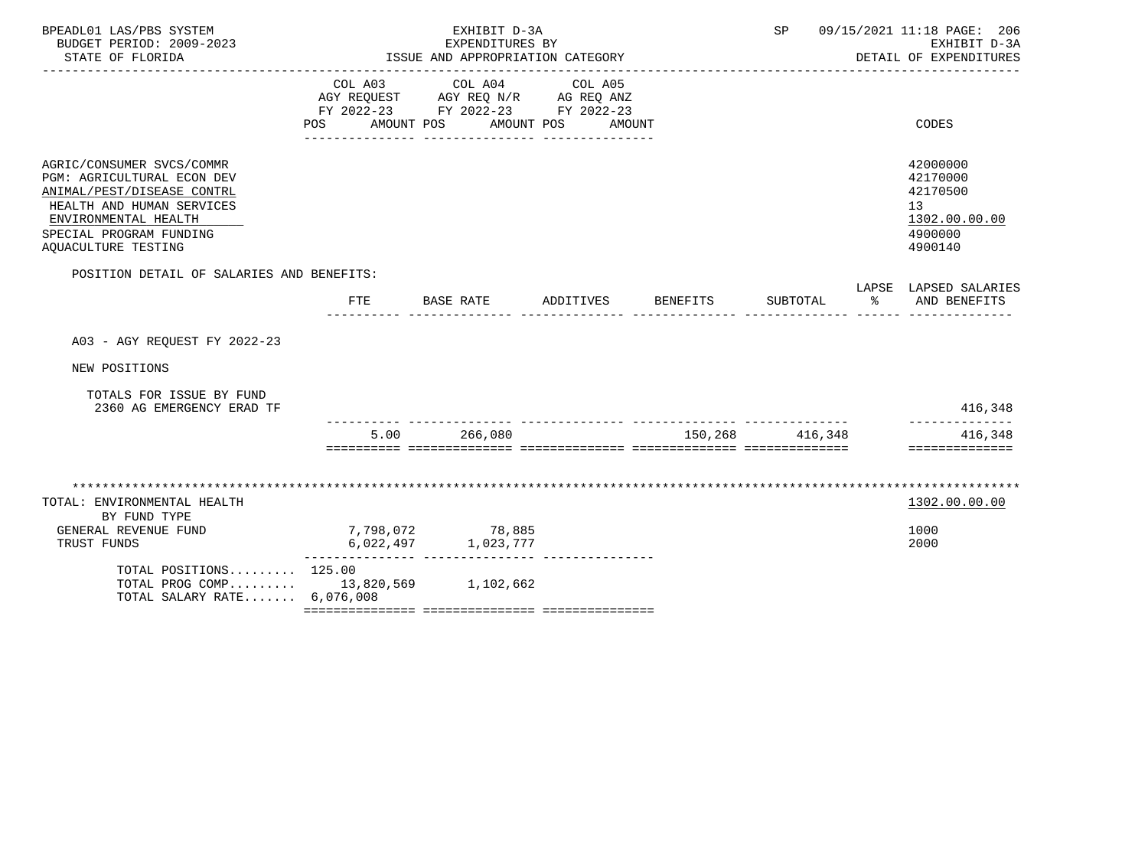| BPEADL01 LAS/PBS SYSTEM<br>BUDGET PERIOD: 2009-2023<br>STATE OF FLORIDA                                                                                                                      | EXHIBIT D-3A<br>EXPENDITURES BY<br>ISSUE AND APPROPRIATION CATEGORY |                                                                                                                        |                                       | SP<br>09/15/2021 11:18 PAGE: 206<br>EXHIBIT D-3A<br>DETAIL OF EXPENDITURES |                 |    |                                                                                            |
|----------------------------------------------------------------------------------------------------------------------------------------------------------------------------------------------|---------------------------------------------------------------------|------------------------------------------------------------------------------------------------------------------------|---------------------------------------|----------------------------------------------------------------------------|-----------------|----|--------------------------------------------------------------------------------------------|
|                                                                                                                                                                                              | COL A03<br>FY 2022-23<br><b>POS</b>                                 | COL A04<br>AGY REQUEST AGY REQ N/R AG REQ ANZ<br>FY 2022-23 FY 2022-23<br>AMOUNT POS<br>AMOUNT POS<br>________________ | COL A05<br>AMOUNT<br>________________ |                                                                            |                 |    | CODES                                                                                      |
| AGRIC/CONSUMER SVCS/COMMR<br>PGM: AGRICULTURAL ECON DEV<br>ANIMAL/PEST/DISEASE CONTRL<br>HEALTH AND HUMAN SERVICES<br>ENVIRONMENTAL HEALTH<br>SPECIAL PROGRAM FUNDING<br>AOUACULTURE TESTING |                                                                     |                                                                                                                        |                                       |                                                                            |                 |    | 42000000<br>42170000<br>42170500<br>13 <sup>°</sup><br>1302.00.00.00<br>4900000<br>4900140 |
| POSITION DETAIL OF SALARIES AND BENEFITS:                                                                                                                                                    | <b>FTE</b>                                                          | BASE RATE                                                                                                              | ADDITIVES                             | BENEFITS                                                                   | SUBTOTAL        | ిన | LAPSE LAPSED SALARIES<br>AND BENEFITS                                                      |
| A03 - AGY REQUEST FY 2022-23<br>NEW POSITIONS                                                                                                                                                |                                                                     |                                                                                                                        |                                       |                                                                            |                 |    |                                                                                            |
| TOTALS FOR ISSUE BY FUND<br>2360 AG EMERGENCY ERAD TF                                                                                                                                        |                                                                     |                                                                                                                        |                                       |                                                                            |                 |    | 416,348                                                                                    |
|                                                                                                                                                                                              | 5.00                                                                | 266,080                                                                                                                |                                       |                                                                            | 150,268 416,348 |    | 416,348<br>==============                                                                  |
| TOTAL: ENVIRONMENTAL HEALTH<br>BY FUND TYPE<br>GENERAL REVENUE FUND<br>TRUST FUNDS                                                                                                           | 6,022,497                                                           | 7,798,072      78,885<br>1,023,777                                                                                     |                                       |                                                                            |                 |    | 1302.00.00.00<br>1000<br>2000                                                              |
| TOTAL POSITIONS 125.00<br>TOTAL PROG COMP 13,820,569 1,102,662<br>TOTAL SALARY RATE 6,076,008                                                                                                |                                                                     |                                                                                                                        |                                       |                                                                            |                 |    |                                                                                            |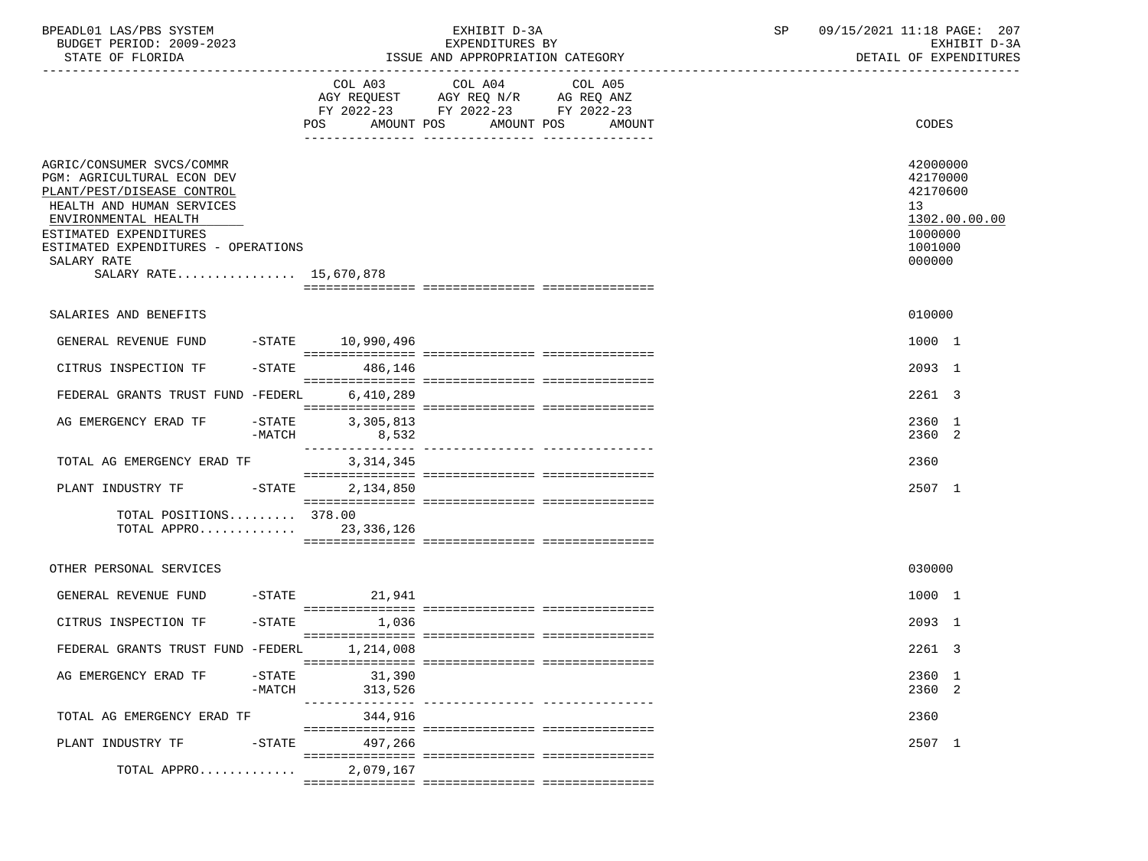| BPEADL01 LAS/PBS SYSTEM  | EXHIBIT D                             | $\cap$ $\Gamma$ | 09/15/2021 11:18 PAGE: :<br>-207 |
|--------------------------|---------------------------------------|-----------------|----------------------------------|
| BUDGET PERIOD: 2009-2023 | EXPENDITURES BY                       |                 | EXHIBIT D-3A                     |
| STATE OF FLORIDA         | : AND APPROPRIATION CATEGORY<br>"SSUE |                 | DETAIL OF EXPENDITURES           |

|                                                                                                                                                                                                                                                      |                     | COL A03<br>POS<br>AMOUNT POS | COL A04<br>AGY REQUEST AGY REQ N/R AG REQ ANZ<br>FY 2022-23 FY 2022-23 FY 2022-23 | COL A05<br>AMOUNT POS AMOUNT | CODES                                                                  |               |
|------------------------------------------------------------------------------------------------------------------------------------------------------------------------------------------------------------------------------------------------------|---------------------|------------------------------|-----------------------------------------------------------------------------------|------------------------------|------------------------------------------------------------------------|---------------|
| AGRIC/CONSUMER SVCS/COMMR<br>PGM: AGRICULTURAL ECON DEV<br>PLANT/PEST/DISEASE CONTROL<br>HEALTH AND HUMAN SERVICES<br>ENVIRONMENTAL HEALTH<br>ESTIMATED EXPENDITURES<br>ESTIMATED EXPENDITURES - OPERATIONS<br>SALARY RATE<br>SALARY RATE 15,670,878 |                     |                              |                                                                                   |                              | 42000000<br>42170000<br>42170600<br>13<br>1000000<br>1001000<br>000000 | 1302.00.00.00 |
| SALARIES AND BENEFITS                                                                                                                                                                                                                                |                     |                              |                                                                                   |                              | 010000                                                                 |               |
| GENERAL REVENUE FUND -STATE 10,990,496                                                                                                                                                                                                               |                     |                              |                                                                                   |                              | 1000 1                                                                 |               |
| CITRUS INSPECTION TF                                                                                                                                                                                                                                 |                     | $-$ STATE 486, 146           |                                                                                   |                              | 2093 1                                                                 |               |
| FEDERAL GRANTS TRUST FUND -FEDERL                                                                                                                                                                                                                    |                     | 6,410,289                    |                                                                                   |                              | 2261 3                                                                 |               |
| AG EMERGENCY ERAD TF                                                                                                                                                                                                                                 | $-$ STATE<br>-MATCH | 3,305,813<br>8,532           |                                                                                   |                              | 2360 1<br>2360 2                                                       |               |
| TOTAL AG EMERGENCY ERAD TF                                                                                                                                                                                                                           |                     | 3, 314, 345                  |                                                                                   |                              | 2360                                                                   |               |
| PLANT INDUSTRY TF                                                                                                                                                                                                                                    | $-$ STATE           | 2,134,850                    |                                                                                   |                              | 2507 1                                                                 |               |
| TOTAL POSITIONS 378.00<br>TOTAL APPRO 23,336,126                                                                                                                                                                                                     |                     |                              |                                                                                   |                              |                                                                        |               |
| OTHER PERSONAL SERVICES                                                                                                                                                                                                                              |                     |                              |                                                                                   |                              | 030000                                                                 |               |
| GENERAL REVENUE FUND                                                                                                                                                                                                                                 |                     | $-STATE$ 21,941              |                                                                                   |                              | 1000 1                                                                 |               |
| CITRUS INSPECTION TF                                                                                                                                                                                                                                 |                     | $-$ STATE $1,036$            |                                                                                   |                              | 2093 1                                                                 |               |
| FEDERAL GRANTS TRUST FUND -FEDERL                                                                                                                                                                                                                    |                     | 1,214,008                    |                                                                                   |                              | 2261 3                                                                 |               |
| AG EMERGENCY ERAD TF                                                                                                                                                                                                                                 | $-$ STATE<br>-MATCH | 31,390<br>313,526            |                                                                                   |                              | 2360 1<br>2360 2                                                       |               |
| TOTAL AG EMERGENCY ERAD TF                                                                                                                                                                                                                           |                     | 344,916                      |                                                                                   |                              | 2360                                                                   |               |
| PLANT INDUSTRY TF -STATE 497,266                                                                                                                                                                                                                     |                     |                              |                                                                                   |                              | 2507 1                                                                 |               |
| TOTAL APPRO                                                                                                                                                                                                                                          |                     | 2,079,167                    |                                                                                   |                              |                                                                        |               |
|                                                                                                                                                                                                                                                      |                     |                              |                                                                                   |                              |                                                                        |               |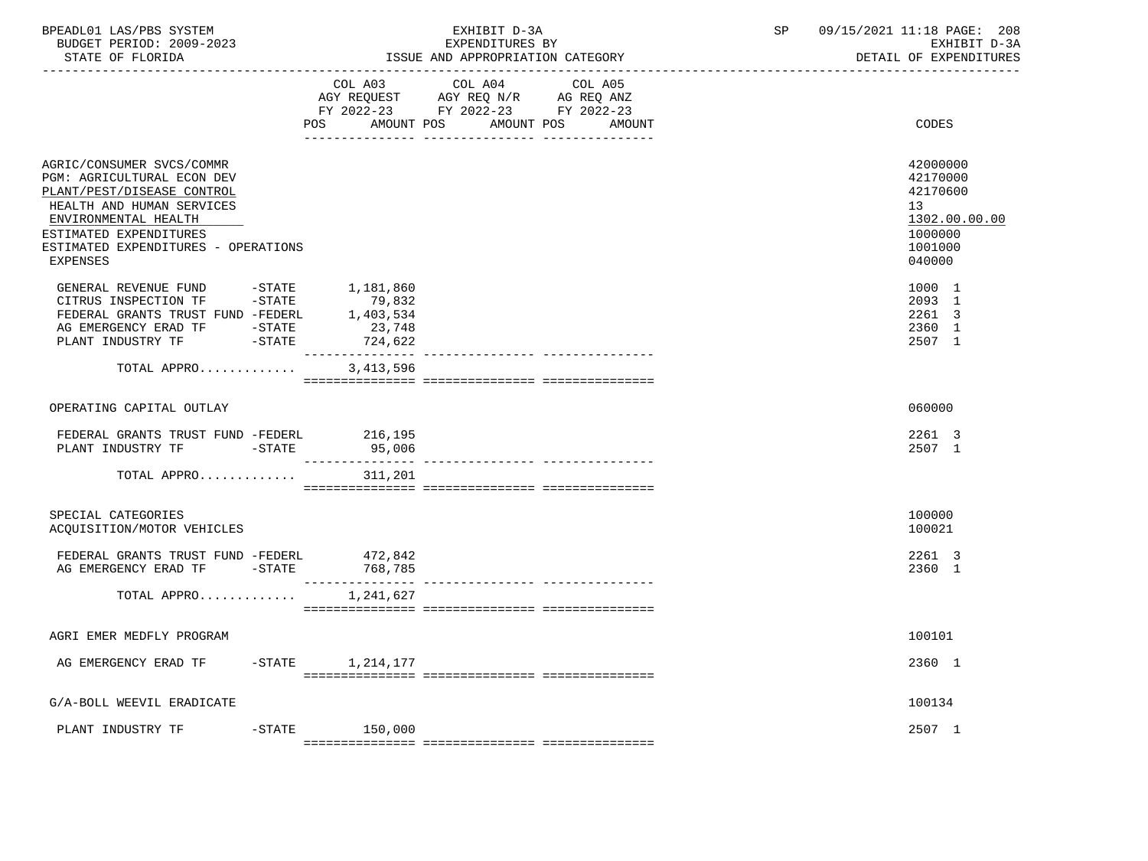| BPEADL01 LAS/PBS SYSTEM<br>BUDGET PERIOD: 2009-2023<br>STATE OF FLORIDA<br>-----------------                                                                                                                                   | EXHIBIT D-3A<br>EXPENDITURES BY<br>ISSUE AND APPROPRIATION CATEGORY |                      |                                                                                                                                                                                                                                               | SP     | 09/15/2021 11:18 PAGE: 208<br>EXHIBIT D-3A<br>DETAIL OF EXPENDITURES |                                                                                                      |
|--------------------------------------------------------------------------------------------------------------------------------------------------------------------------------------------------------------------------------|---------------------------------------------------------------------|----------------------|-----------------------------------------------------------------------------------------------------------------------------------------------------------------------------------------------------------------------------------------------|--------|----------------------------------------------------------------------|------------------------------------------------------------------------------------------------------|
|                                                                                                                                                                                                                                |                                                                     | POS<br>AMOUNT POS    | COL A03 COL A04 COL A05<br>$\begin{tabular}{lllllllll} \bf AGY & \bf REQUEST & \bf AGY & \bf REQ & \bf N/R & \bf AG & \bf REQ & \bf ANZ \\ \bf FY & \tt 2022-23 & \bf FY & \tt 2022-23 & \bf FY & \tt 2022-23 \\ \end{tabular}$<br>AMOUNT POS | AMOUNT |                                                                      | CODES                                                                                                |
| AGRIC/CONSUMER SVCS/COMMR<br>PGM: AGRICULTURAL ECON DEV<br>PLANT/PEST/DISEASE CONTROL<br>HEALTH AND HUMAN SERVICES<br>ENVIRONMENTAL HEALTH<br>ESTIMATED EXPENDITURES<br>ESTIMATED EXPENDITURES - OPERATIONS<br><b>EXPENSES</b> |                                                                     |                      |                                                                                                                                                                                                                                               |        |                                                                      | 42000000<br>42170000<br>42170600<br>13 <sup>°</sup><br>1302.00.00.00<br>1000000<br>1001000<br>040000 |
| GENERAL REVENUE FUND -STATE 1,181,860<br>CITRUS INSPECTION TF -STATE 79,832<br>FEDERAL GRANTS TRUST FUND -FEDERL 1,403,534                                                                                                     |                                                                     | 23,748<br>724,622    |                                                                                                                                                                                                                                               |        |                                                                      | 1000 1<br>2093 1<br>2261 3<br>2360 1<br>2507 1                                                       |
| TOTAL APPRO                                                                                                                                                                                                                    |                                                                     | 3,413,596            |                                                                                                                                                                                                                                               |        |                                                                      |                                                                                                      |
| OPERATING CAPITAL OUTLAY                                                                                                                                                                                                       |                                                                     |                      |                                                                                                                                                                                                                                               |        |                                                                      | 060000                                                                                               |
| FEDERAL GRANTS TRUST FUND -FEDERL 216,195<br>PLANT INDUSTRY TF -STATE                                                                                                                                                          |                                                                     | 95,006               |                                                                                                                                                                                                                                               |        |                                                                      | 2261 3<br>2507 1                                                                                     |
| TOTAL APPRO                                                                                                                                                                                                                    |                                                                     | 311,201              |                                                                                                                                                                                                                                               |        |                                                                      |                                                                                                      |
| SPECIAL CATEGORIES<br>ACQUISITION/MOTOR VEHICLES                                                                                                                                                                               |                                                                     |                      |                                                                                                                                                                                                                                               |        |                                                                      | 100000<br>100021                                                                                     |
| FEDERAL GRANTS TRUST FUND -FEDERL<br>AG EMERGENCY ERAD TF -STATE 768,785                                                                                                                                                       |                                                                     | 472,842              |                                                                                                                                                                                                                                               |        |                                                                      | 2261 3<br>2360 1                                                                                     |
| TOTAL APPRO                                                                                                                                                                                                                    |                                                                     | 1,241,627            |                                                                                                                                                                                                                                               |        |                                                                      |                                                                                                      |
| AGRI EMER MEDFLY PROGRAM                                                                                                                                                                                                       |                                                                     |                      |                                                                                                                                                                                                                                               |        |                                                                      | 100101                                                                                               |
| AG EMERGENCY ERAD TF                                                                                                                                                                                                           |                                                                     | $-STATE$ 1, 214, 177 |                                                                                                                                                                                                                                               |        |                                                                      | 2360 1                                                                                               |
| G/A-BOLL WEEVIL ERADICATE                                                                                                                                                                                                      |                                                                     |                      |                                                                                                                                                                                                                                               |        |                                                                      | 100134                                                                                               |
| PLANT INDUSTRY TF                                                                                                                                                                                                              |                                                                     | $-STATE$ 150,000     |                                                                                                                                                                                                                                               |        |                                                                      | 2507 1                                                                                               |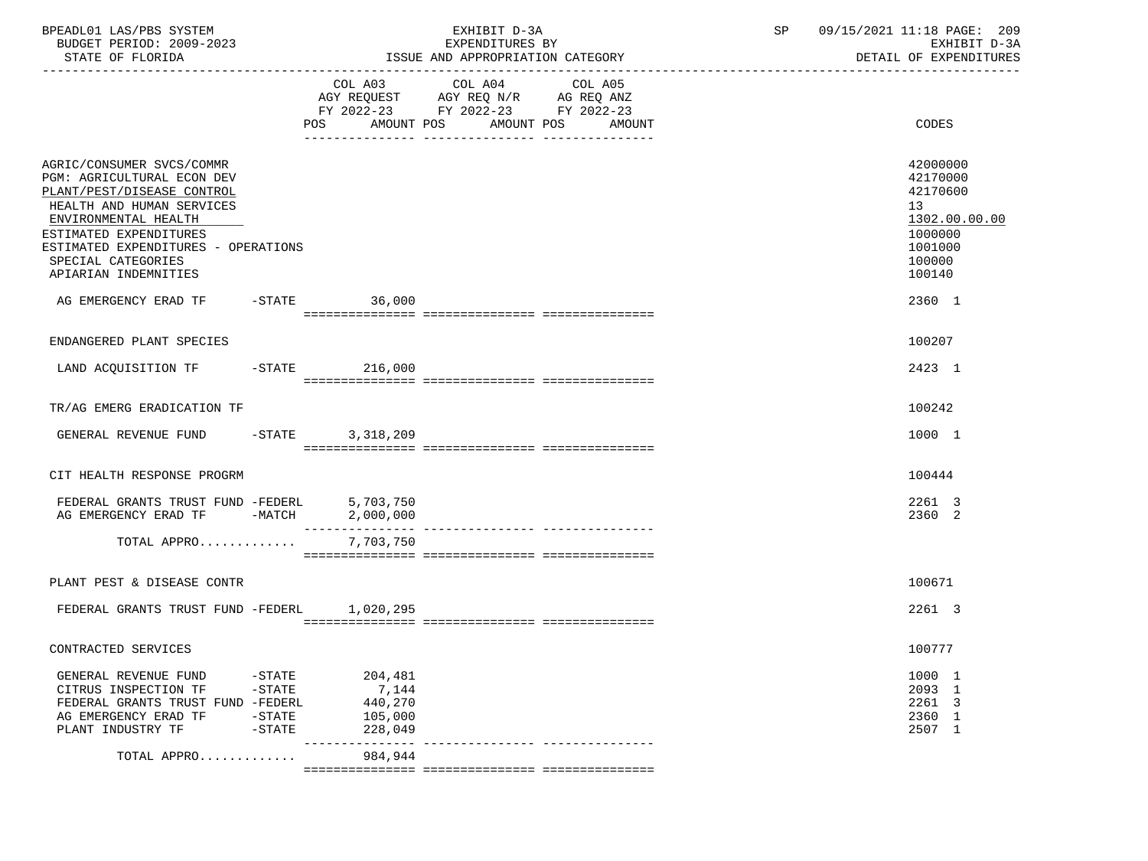| BPEADL01 LAS/PBS SYSTEM<br>BUDGET PERIOD: 2009-2023<br>STATE OF FLORIDA                                                                                                                                                                                   |                                               |                                                   | EXHIBIT D-3A<br>EXPENDITURES BY<br>ISSUE AND APPROPRIATION CATEGORY                                                                         | SP | 09/15/2021 11:18 PAGE: 209<br>EXHIBIT D-3A<br>DETAIL OF EXPENDITURES                                           |
|-----------------------------------------------------------------------------------------------------------------------------------------------------------------------------------------------------------------------------------------------------------|-----------------------------------------------|---------------------------------------------------|---------------------------------------------------------------------------------------------------------------------------------------------|----|----------------------------------------------------------------------------------------------------------------|
|                                                                                                                                                                                                                                                           |                                               |                                                   | COL A03 COL A04<br>COL A05<br>AGY REQUEST AGY REQ N/R AG REQ ANZ<br>FY 2022-23 FY 2022-23 FY 2022-23<br>POS AMOUNT POS AMOUNT POS<br>AMOUNT |    | CODES                                                                                                          |
| AGRIC/CONSUMER SVCS/COMMR<br>PGM: AGRICULTURAL ECON DEV<br>PLANT/PEST/DISEASE CONTROL<br>HEALTH AND HUMAN SERVICES<br>ENVIRONMENTAL HEALTH<br>ESTIMATED EXPENDITURES<br>ESTIMATED EXPENDITURES - OPERATIONS<br>SPECIAL CATEGORIES<br>APIARIAN INDEMNITIES |                                               |                                                   |                                                                                                                                             |    | 42000000<br>42170000<br>42170600<br>13 <sup>7</sup><br>1302.00.00.00<br>1000000<br>1001000<br>100000<br>100140 |
| AG EMERGENCY ERAD TF -STATE 36,000                                                                                                                                                                                                                        |                                               |                                                   |                                                                                                                                             |    | 2360 1                                                                                                         |
| ENDANGERED PLANT SPECIES                                                                                                                                                                                                                                  |                                               |                                                   |                                                                                                                                             |    | 100207                                                                                                         |
| LAND ACQUISITION TF -STATE 216,000                                                                                                                                                                                                                        |                                               |                                                   |                                                                                                                                             |    | 2423 1                                                                                                         |
| TR/AG EMERG ERADICATION TF                                                                                                                                                                                                                                |                                               |                                                   |                                                                                                                                             |    | 100242                                                                                                         |
| GENERAL REVENUE FUND -STATE 3,318,209                                                                                                                                                                                                                     |                                               |                                                   |                                                                                                                                             |    | 1000 1                                                                                                         |
| CIT HEALTH RESPONSE PROGRM                                                                                                                                                                                                                                |                                               |                                                   |                                                                                                                                             |    | 100444                                                                                                         |
| FEDERAL GRANTS TRUST FUND -FEDERL 5,703,750<br>AG EMERGENCY ERAD TF -MATCH 2,000,000                                                                                                                                                                      |                                               |                                                   |                                                                                                                                             |    | 2261 3<br>2360 2                                                                                               |
| TOTAL APPRO                                                                                                                                                                                                                                               |                                               | 7,703,750                                         |                                                                                                                                             |    |                                                                                                                |
| PLANT PEST & DISEASE CONTR                                                                                                                                                                                                                                |                                               |                                                   |                                                                                                                                             |    | 100671                                                                                                         |
| FEDERAL GRANTS TRUST FUND -FEDERL 1,020,295                                                                                                                                                                                                               |                                               |                                                   |                                                                                                                                             |    | 2261 3                                                                                                         |
| CONTRACTED SERVICES                                                                                                                                                                                                                                       |                                               |                                                   |                                                                                                                                             |    | 100777                                                                                                         |
| GENERAL REVENUE FUND<br>CITRUS INSPECTION TF<br>FEDERAL GRANTS TRUST FUND -FEDERL<br>AG EMERGENCY ERAD TF<br>PLANT INDUSTRY TF                                                                                                                            | -STATE<br>$-$ STATE<br>$-$ STATE<br>$-$ STATE | 204,481<br>7,144<br>440,270<br>105,000<br>228,049 |                                                                                                                                             |    | 1000 1<br>2093 1<br>2261 3<br>2360 1<br>2507 1                                                                 |
| TOTAL APPRO                                                                                                                                                                                                                                               |                                               | 984,944                                           |                                                                                                                                             |    |                                                                                                                |
|                                                                                                                                                                                                                                                           |                                               |                                                   |                                                                                                                                             |    |                                                                                                                |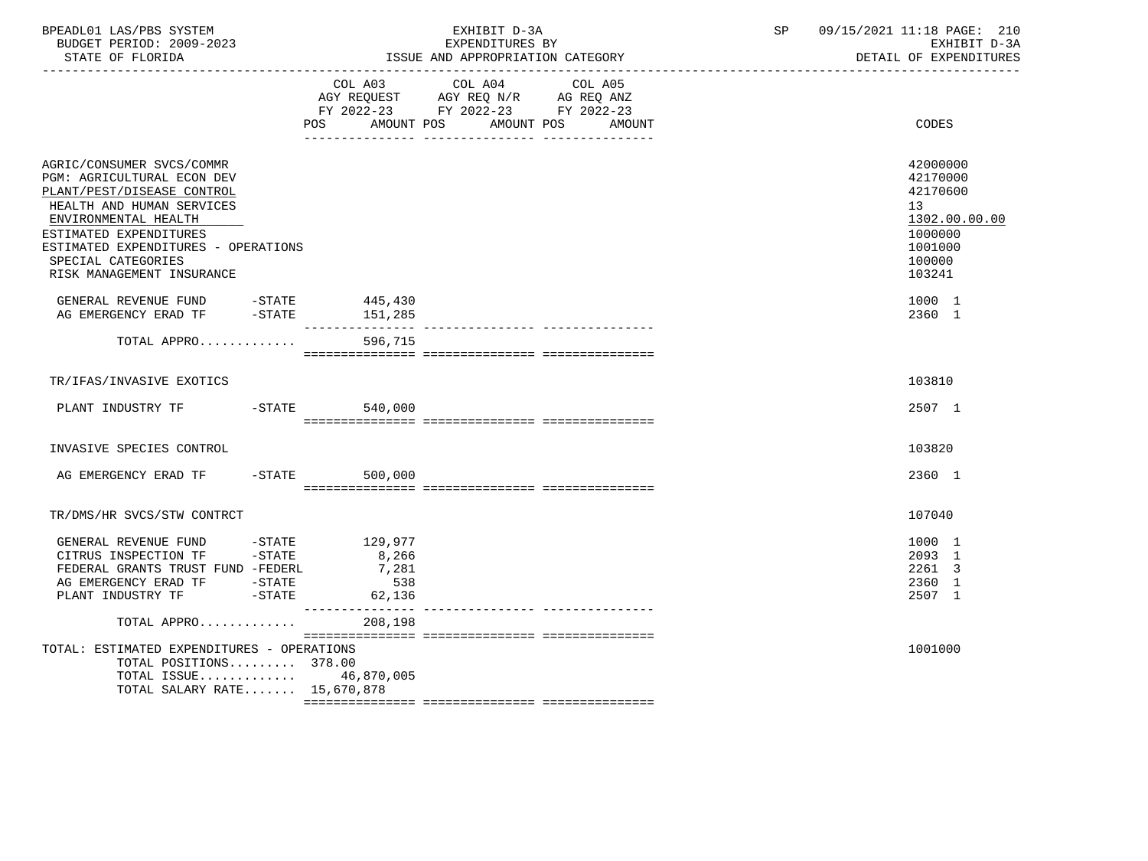| BPEADL01 LAS/PBS SYSTEM<br>BUDGET PERIOD: 2009-2023<br>STATE OF FLORIDA                                                                                                                                                                                        |          |                                                    | EXHIBIT D-3A<br>EXPENDITURES BY<br>ISSUE AND APPROPRIATION CATEGORY | SP | 09/15/2021 11:18 PAGE: 210<br>EXHIBIT D-3A<br>DETAIL OF EXPENDITURES                              |  |
|----------------------------------------------------------------------------------------------------------------------------------------------------------------------------------------------------------------------------------------------------------------|----------|----------------------------------------------------|---------------------------------------------------------------------|----|---------------------------------------------------------------------------------------------------|--|
|                                                                                                                                                                                                                                                                |          |                                                    | COL A03 COL A04 COL A05<br>POS AMOUNT POS AMOUNT POS<br>AMOUNT      |    | CODES                                                                                             |  |
| AGRIC/CONSUMER SVCS/COMMR<br>PGM: AGRICULTURAL ECON DEV<br>PLANT/PEST/DISEASE CONTROL<br>HEALTH AND HUMAN SERVICES<br>ENVIRONMENTAL HEALTH<br>ESTIMATED EXPENDITURES<br>ESTIMATED EXPENDITURES - OPERATIONS<br>SPECIAL CATEGORIES<br>RISK MANAGEMENT INSURANCE |          |                                                    |                                                                     |    | 42000000<br>42170000<br>42170600<br>13<br>1302.00.00.00<br>1000000<br>1001000<br>100000<br>103241 |  |
| GENERAL REVENUE FUND -STATE 445,430<br>AG EMERGENCY ERAD TF                                                                                                                                                                                                    | $-STATE$ | 151,285<br>151,285<br>---------------              |                                                                     |    | 1000 1<br>2360 1                                                                                  |  |
| TOTAL APPRO                                                                                                                                                                                                                                                    |          | 596,715                                            |                                                                     |    |                                                                                                   |  |
| TR/IFAS/INVASIVE EXOTICS                                                                                                                                                                                                                                       |          |                                                    |                                                                     |    | 103810                                                                                            |  |
| PLANT INDUSTRY TF                                                                                                                                                                                                                                              |          | -STATE 540,000                                     |                                                                     |    | 2507 1                                                                                            |  |
| INVASIVE SPECIES CONTROL                                                                                                                                                                                                                                       |          |                                                    |                                                                     |    | 103820                                                                                            |  |
| AG EMERGENCY ERAD TF -STATE 500,000                                                                                                                                                                                                                            |          |                                                    |                                                                     |    | 2360 1                                                                                            |  |
| TR/DMS/HR SVCS/STW CONTRCT                                                                                                                                                                                                                                     |          |                                                    |                                                                     |    | 107040                                                                                            |  |
| GENERAL REVENUE FUND -STATE $129,977$<br>CITRUS INSPECTION TF -STATE $8,266$<br>FEDERAL GRANTS TRUST FUND -FEDERL                                                                                                                                              |          | 8,266<br>7,281<br>538<br>62,136<br>_______________ |                                                                     |    | 1000 1<br>2093 1<br>2261 3<br>2360 1<br>2507 1                                                    |  |
| TOTAL APPRO<br>TOTAL: ESTIMATED EXPENDITURES - OPERATIONS<br>TOTAL POSITIONS 378.00<br>TOTAL ISSUE 46,870,005<br>TOTAL SALARY RATE 15,670,878                                                                                                                  |          | 208,198                                            |                                                                     |    | 1001000                                                                                           |  |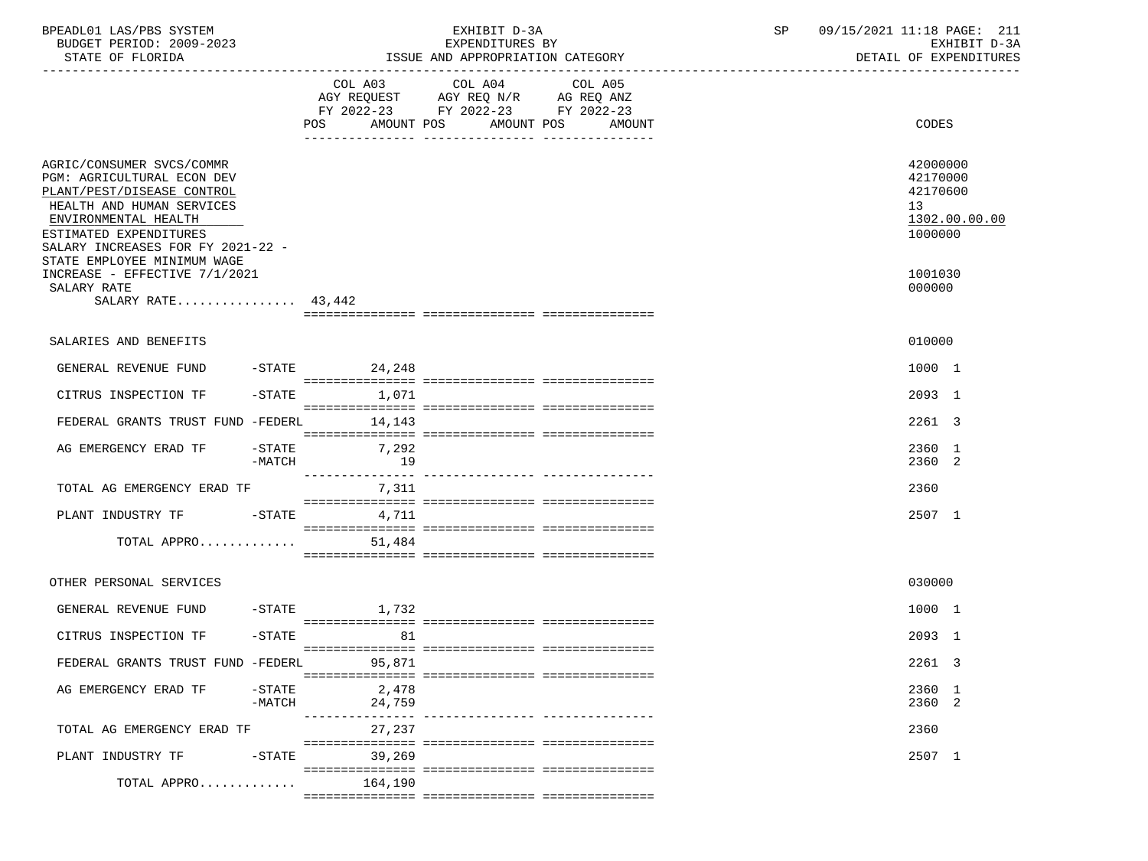| BPEADL01 LAS/PBS SYSTEM<br>BUDGET PERIOD: 2009-2023<br>STATE OF FLORIDA                                                                                                                                                                  |                      |                   | EXHIBIT D-3A<br>EXPENDITURES BY<br>ISSUE AND APPROPRIATION CATEGORY                                                | SP                              | 09/15/2021 11:18 PAGE: 211<br>EXHIBIT D-3A<br>DETAIL OF EXPENDITURES |                                                                    |  |
|------------------------------------------------------------------------------------------------------------------------------------------------------------------------------------------------------------------------------------------|----------------------|-------------------|--------------------------------------------------------------------------------------------------------------------|---------------------------------|----------------------------------------------------------------------|--------------------------------------------------------------------|--|
|                                                                                                                                                                                                                                          |                      | POS               | COL A03 COL A04<br>AGY REQUEST AGY REQ N/R AG REQ ANZ<br>FY 2022-23 FY 2022-23 FY 2022-23<br>AMOUNT POS AMOUNT POS | COL A05<br>AMOUNT               |                                                                      | <b>CODES</b>                                                       |  |
| AGRIC/CONSUMER SVCS/COMMR<br>PGM: AGRICULTURAL ECON DEV<br>PLANT/PEST/DISEASE CONTROL<br>HEALTH AND HUMAN SERVICES<br>ENVIRONMENTAL HEALTH<br>ESTIMATED EXPENDITURES<br>SALARY INCREASES FOR FY 2021-22 -<br>STATE EMPLOYEE MINIMUM WAGE |                      |                   |                                                                                                                    |                                 |                                                                      | 42000000<br>42170000<br>42170600<br>13<br>1302.00.00.00<br>1000000 |  |
| INCREASE - EFFECTIVE 7/1/2021<br>SALARY RATE<br>SALARY RATE $43,442$                                                                                                                                                                     |                      |                   |                                                                                                                    |                                 |                                                                      | 1001030<br>000000                                                  |  |
| SALARIES AND BENEFITS                                                                                                                                                                                                                    |                      |                   |                                                                                                                    |                                 |                                                                      | 010000                                                             |  |
| GENERAL REVENUE FUND                                                                                                                                                                                                                     |                      | -STATE 24,248     |                                                                                                                    |                                 |                                                                      | 1000 1                                                             |  |
| CITRUS INSPECTION TF                                                                                                                                                                                                                     |                      | $-STATE$ 1,071    |                                                                                                                    |                                 |                                                                      | 2093 1                                                             |  |
| FEDERAL GRANTS TRUST FUND -FEDERL                                                                                                                                                                                                        |                      | 14,143            |                                                                                                                    |                                 |                                                                      | 2261 3                                                             |  |
| AG EMERGENCY ERAD TF                                                                                                                                                                                                                     | -STATE<br>-MATCH     | 7,292<br>19       |                                                                                                                    |                                 |                                                                      | 2360 1<br>2360 2                                                   |  |
| TOTAL AG EMERGENCY ERAD TF                                                                                                                                                                                                               |                      | 7,311             |                                                                                                                    |                                 |                                                                      | 2360                                                               |  |
| PLANT INDUSTRY TF -STATE 4,711                                                                                                                                                                                                           |                      |                   |                                                                                                                    |                                 |                                                                      | 2507 1                                                             |  |
| TOTAL APPRO                                                                                                                                                                                                                              |                      | 51,484            |                                                                                                                    |                                 |                                                                      |                                                                    |  |
| OTHER PERSONAL SERVICES                                                                                                                                                                                                                  |                      |                   |                                                                                                                    |                                 |                                                                      | 030000                                                             |  |
| GENERAL REVENUE FUND                                                                                                                                                                                                                     |                      | $-$ STATE $1,732$ |                                                                                                                    |                                 |                                                                      | 1000 1                                                             |  |
| CITRUS INSPECTION TF                                                                                                                                                                                                                     |                      | $-STATE$<br>81    |                                                                                                                    |                                 |                                                                      | 2093 1                                                             |  |
| FEDERAL GRANTS TRUST FUND -FEDERL                                                                                                                                                                                                        |                      | 95,871            |                                                                                                                    |                                 |                                                                      | 2261 3                                                             |  |
| AG EMERGENCY ERAD TF                                                                                                                                                                                                                     | $-STATE$<br>$-MATCH$ | 2,478<br>24,759   |                                                                                                                    | -------------- ---------------- |                                                                      | 2360 1<br>2360 2                                                   |  |
| TOTAL AG EMERGENCY ERAD TF                                                                                                                                                                                                               |                      | 27,237            |                                                                                                                    |                                 |                                                                      | 2360                                                               |  |
| PLANT INDUSTRY TF                                                                                                                                                                                                                        | $-$ STATE            | 39,269            |                                                                                                                    |                                 |                                                                      | 2507 1                                                             |  |
| TOTAL APPRO                                                                                                                                                                                                                              |                      | 164,190           |                                                                                                                    |                                 |                                                                      |                                                                    |  |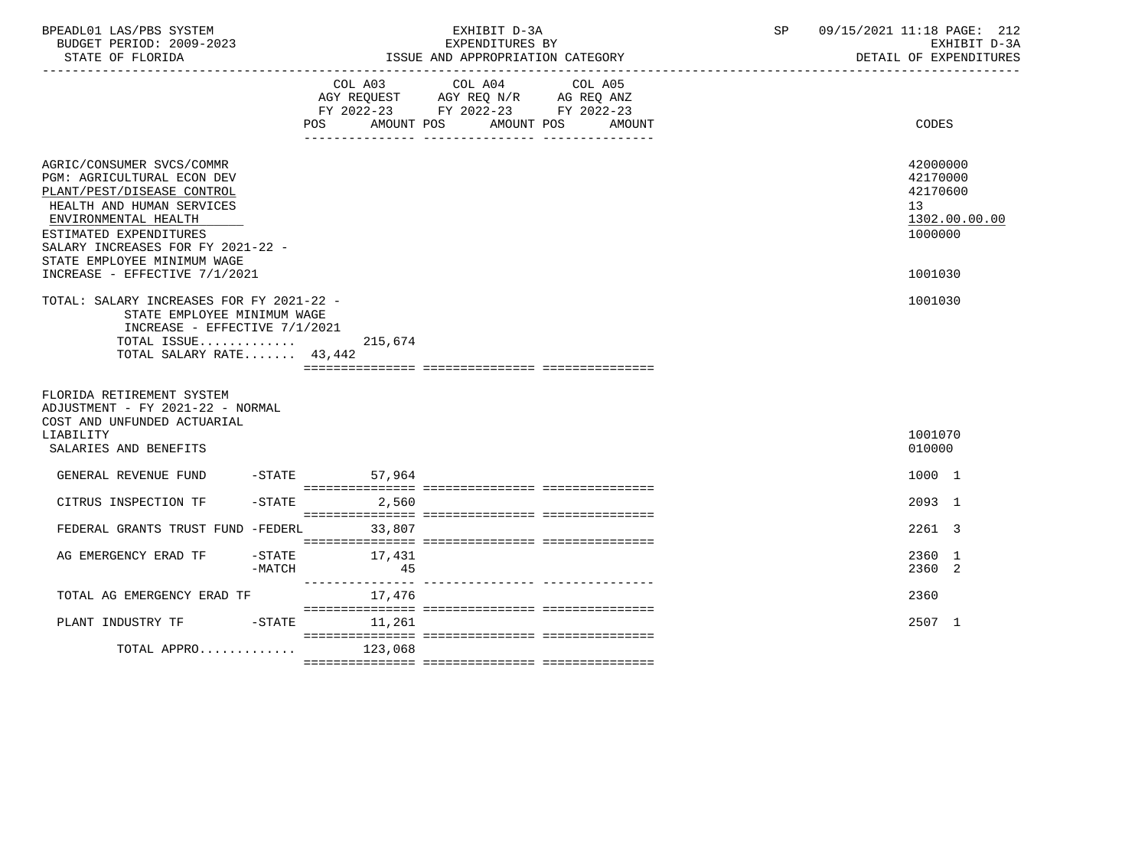| BPEADL01 LAS/PBS SYSTEM<br>BUDGET PERIOD: 2009-2023<br>STATE OF FLORIDA                                                                                                                                                                                                   |          |                       | EXHIBIT D-3A<br>EXPENDITURES BY<br>ISSUE AND APPROPRIATION CATEGORY               |                                 | SP | 09/15/2021 11:18 PAGE: 212<br>EXHIBIT D-3A<br>DETAIL OF EXPENDITURES          |
|---------------------------------------------------------------------------------------------------------------------------------------------------------------------------------------------------------------------------------------------------------------------------|----------|-----------------------|-----------------------------------------------------------------------------------|---------------------------------|----|-------------------------------------------------------------------------------|
|                                                                                                                                                                                                                                                                           | POS      | COL A03<br>AMOUNT POS | COL A04<br>AGY REQUEST AGY REQ N/R AG REQ ANZ<br>FY 2022-23 FY 2022-23 FY 2022-23 | COL A05<br>AMOUNT POS<br>AMOUNT |    | CODES                                                                         |
| AGRIC/CONSUMER SVCS/COMMR<br>PGM: AGRICULTURAL ECON DEV<br>PLANT/PEST/DISEASE CONTROL<br>HEALTH AND HUMAN SERVICES<br>ENVIRONMENTAL HEALTH<br>ESTIMATED EXPENDITURES<br>SALARY INCREASES FOR FY 2021-22 -<br>STATE EMPLOYEE MINIMUM WAGE<br>INCREASE - EFFECTIVE 7/1/2021 |          |                       |                                                                                   |                                 |    | 42000000<br>42170000<br>42170600<br>13<br>1302.00.00.00<br>1000000<br>1001030 |
| TOTAL: SALARY INCREASES FOR FY 2021-22 -<br>STATE EMPLOYEE MINIMUM WAGE<br>INCREASE - EFFECTIVE 7/1/2021<br>TOTAL ISSUE $215,674$<br>TOTAL SALARY RATE 43,442                                                                                                             |          |                       |                                                                                   |                                 |    | 1001030                                                                       |
| FLORIDA RETIREMENT SYSTEM<br>ADJUSTMENT - FY 2021-22 - NORMAL<br>COST AND UNFUNDED ACTUARIAL                                                                                                                                                                              |          |                       |                                                                                   |                                 |    |                                                                               |
| LIABILITY<br>SALARIES AND BENEFITS                                                                                                                                                                                                                                        |          |                       |                                                                                   |                                 |    | 1001070<br>010000                                                             |
| GENERAL REVENUE FUND -STATE 57,964                                                                                                                                                                                                                                        |          |                       |                                                                                   |                                 |    | 1000 1                                                                        |
| CITRUS INSPECTION TF                                                                                                                                                                                                                                                      |          | $-STATE$ 2.560        |                                                                                   |                                 |    | 2093 1                                                                        |
| FEDERAL GRANTS TRUST FUND -FEDERL                                                                                                                                                                                                                                         |          | 33,807                |                                                                                   |                                 |    | 2261 3                                                                        |
| $-$ STATE<br>AG EMERGENCY ERAD TF                                                                                                                                                                                                                                         | $-MATCH$ | 17,431<br>45          |                                                                                   |                                 |    | 2360 1<br>2360 2                                                              |
| TOTAL AG EMERGENCY ERAD TF                                                                                                                                                                                                                                                |          | 17,476                |                                                                                   |                                 |    | 2360                                                                          |
| PLANT INDUSTRY TF -STATE 11,261                                                                                                                                                                                                                                           |          |                       |                                                                                   |                                 |    | 2507 1                                                                        |
| TOTAL APPRO $123,068$                                                                                                                                                                                                                                                     |          |                       |                                                                                   |                                 |    |                                                                               |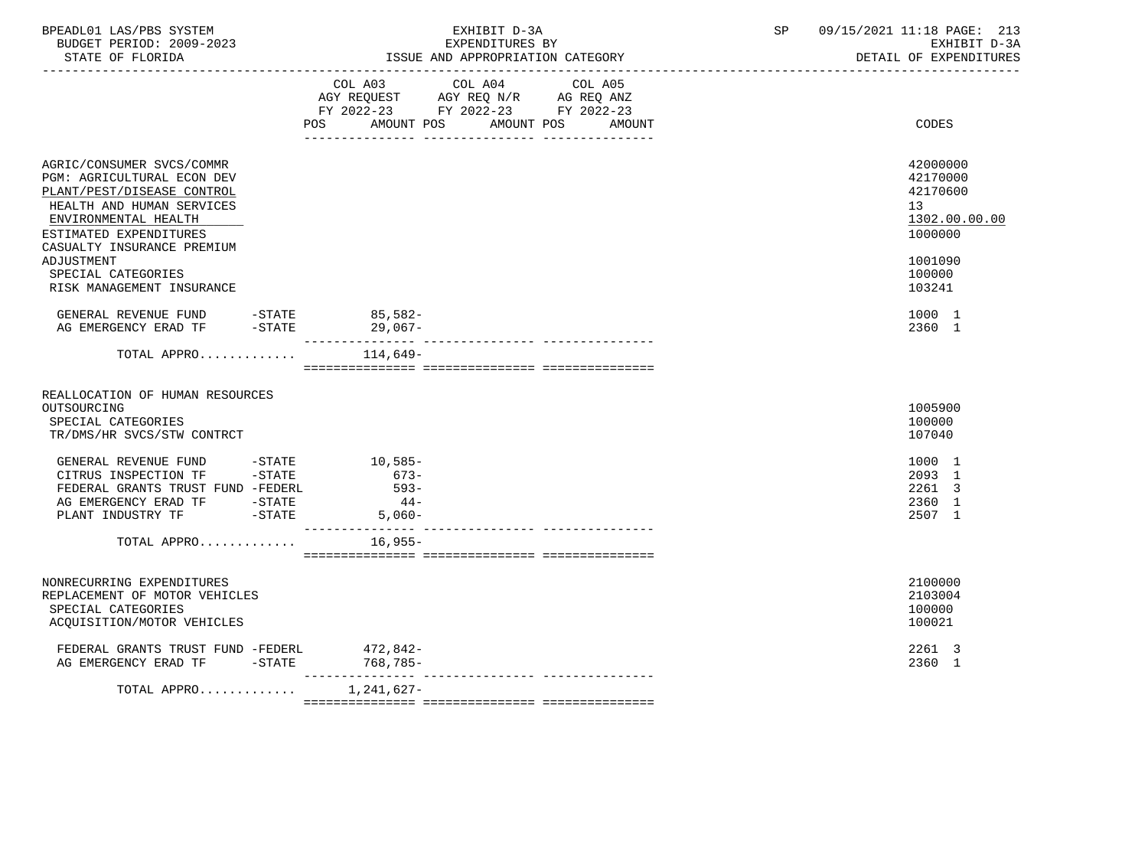| BPEADL01 LAS/PBS SYSTEM |                  |                          | EXHIBIT D-3A                     | 09/15/2021 11:18 PAGE: 213 |              |  |
|-------------------------|------------------|--------------------------|----------------------------------|----------------------------|--------------|--|
|                         |                  | BUDGET PERIOD: 2009-2023 | EXPENDITURES BY                  |                            | EXHIBIT D-3A |  |
|                         | STATE OF FLORIDA |                          | ISSUE AND APPROPRIATION CATEGORY | DETAIL OF EXPENDITURES     |              |  |

|                                                                                                                                                                             |            |                                                | COL A03 COL A04 COL A05<br>AGY REQUEST AGY REQ N/R AG REQ ANZ<br>FY 2022-23 FY 2022-23 FY 2022-23 |            |        |                                                                    |
|-----------------------------------------------------------------------------------------------------------------------------------------------------------------------------|------------|------------------------------------------------|---------------------------------------------------------------------------------------------------|------------|--------|--------------------------------------------------------------------|
|                                                                                                                                                                             | <b>POS</b> | AMOUNT POS                                     |                                                                                                   | AMOUNT POS | AMOUNT | CODES                                                              |
| AGRIC/CONSUMER SVCS/COMMR<br>PGM: AGRICULTURAL ECON DEV<br>PLANT/PEST/DISEASE CONTROL<br>HEALTH AND HUMAN SERVICES<br>ENVIRONMENTAL HEALTH<br>ESTIMATED EXPENDITURES        |            |                                                |                                                                                                   |            |        | 42000000<br>42170000<br>42170600<br>13<br>1302.00.00.00<br>1000000 |
| CASUALTY INSURANCE PREMIUM<br>ADJUSTMENT<br>SPECIAL CATEGORIES<br>RISK MANAGEMENT INSURANCE                                                                                 |            |                                                |                                                                                                   |            |        | 1001090<br>100000<br>103241                                        |
| GENERAL REVENUE FUND -STATE<br>$-STATE$<br>AG EMERGENCY ERAD TF                                                                                                             | $85,582-$  | 29,067-                                        |                                                                                                   |            |        | 1000 1<br>2360 1                                                   |
| TOTAL APPRO                                                                                                                                                                 |            | 114,649-                                       |                                                                                                   |            |        |                                                                    |
| REALLOCATION OF HUMAN RESOURCES<br>OUTSOURCING<br>SPECIAL CATEGORIES<br>TR/DMS/HR SVCS/STW CONTRCT                                                                          |            |                                                |                                                                                                   |            |        | 1005900<br>100000<br>107040                                        |
| GENERAL REVENUE FUND<br>$-$ STATE<br>$-$ STATE<br>CITRUS INSPECTION TF<br>FEDERAL GRANTS TRUST FUND -FEDERL<br>AG EMERGENCY ERAD TF -STATE<br>$-STATE$<br>PLANT INDUSTRY TF |            | 10,585-<br>673-<br>$593-$<br>$44-$<br>$5,060-$ |                                                                                                   |            |        | 1000 1<br>2093 1<br>2261 3<br>2360 1<br>2507 1                     |
| TOTAL APPRO                                                                                                                                                                 |            | $16,955-$                                      |                                                                                                   |            |        |                                                                    |
| NONRECURRING EXPENDITURES<br>REPLACEMENT OF MOTOR VEHICLES<br>SPECIAL CATEGORIES<br>ACQUISITION/MOTOR VEHICLES                                                              |            |                                                |                                                                                                   |            |        | 2100000<br>2103004<br>100000<br>100021                             |
| FEDERAL GRANTS TRUST FUND -FEDERL<br>AG EMERGENCY ERAD TF<br>$-STATE$                                                                                                       | 472,842-   | 768,785-                                       |                                                                                                   |            |        | 2261 3<br>2360 1                                                   |
| TOTAL APPRO                                                                                                                                                                 | 1,241,627- |                                                |                                                                                                   |            |        |                                                                    |

=============== =============== ===============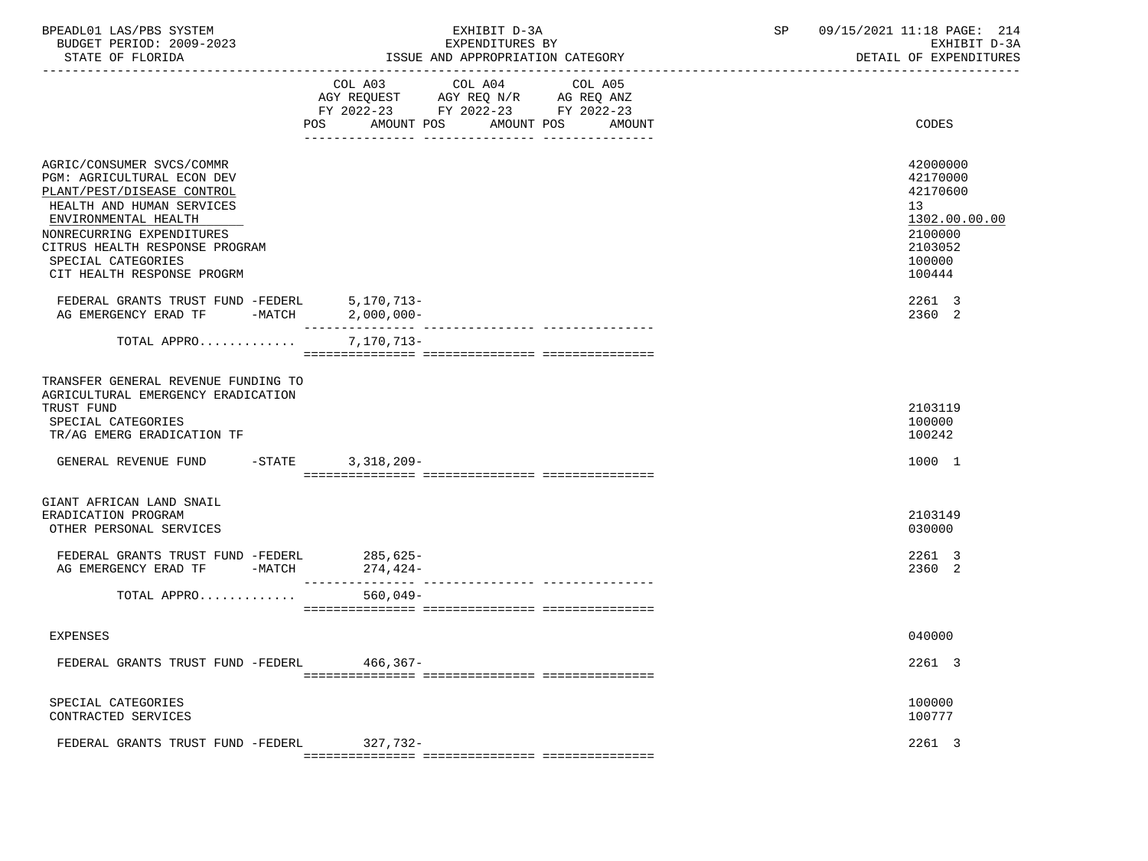| BPEADL01 LAS/PBS SYSTEM |                          |
|-------------------------|--------------------------|
|                         | BUDGET PERIOD: 2009-2023 |

 BUDGET PERIOD: 2009-2023 EXPENDITURES BY EXHIBIT D-3A STATE OF FLORIDA **ISSUE AND APPROPRIATION CATEGORY STATE OF FLORIDA CATEGORY DETAIL OF EXPENDITURES**  ----------------------------------------------------------------------------------------------------------------------------------- COL A03 COL A04 COL A05 AGY REQUEST AGY REQ N/R AG REQ ANZ FY 2022-23 FY 2022-23 FY 2022-23 POS AMOUNT POS AMOUNT POS AMOUNT CODES --------------- --------------- --------------- AGRIC/CONSUMER SVCS/COMMR<br>PGM: AGRICULTURAL ECON DEV 42170000 PGM: AGRICULTURAL ECON DEV 42170000<br>PLANT/PEST/DISEASE CONTROL 42170600 PLANT/PEST/DISEASE CONTROL HEALTH AND HUMAN SERVICES (1999) 13 EXPLORE THE SERVICES (1999) 13 ENVIRONMENTAL HEALTH AND HUMAN SERVICES (199  $\frac{\rm{ENVIROMMENTAL}\quad \rm{HEALTH}}{2100000} \qquad \qquad \\ \text{I.302.00}\qquad \qquad \\ \text{I.302.00}\qquad \qquad \\ \text{I.302.00}\qquad \qquad \\ \text{I.302.00}\qquad \qquad \\ \text{I.302.00}\qquad \qquad \\ \text{I.302.00}\qquad \qquad \\ \text{I.303.00}\qquad \qquad \\ \text{I.304.00}\qquad \qquad \\ \text{I.304.00}\qquad \qquad \\ \text{I.305.00}\qquad \qquad \\ \text{I.3$ NONRECURRING EXPENDITURES CITRUS HEALTH RESPONSE PROGRAM 20052<br>
SPECIAL CATEGORIES 100000 SPECIAL CATEGORIES 100000 PROGRM 200000 PROGRAM AND SERVICE SUPERVICE SUPERVICE SUPERVICE SUPERVICE SUPERVICE S<br>THE THEALTH RESPONSE PROGRM CIT HEALTH RESPONSE PROGRM FEDERAL GRANTS TRUST FUND -FEDERL 5,170,713- 2261 3 AG EMERGENCY ERAD TF -MATCH 2,000,000- --------------- --------------- --------------- TOTAL APPRO............. 7,170,713- =============== =============== =============== TRANSFER GENERAL REVENUE FUNDING TO AGRICULTURAL EMERGENCY ERADICATION TRUST FUND 2103119 SPECIAL CATEGORIES 100000 100000 100000 100000 100000 100000 100000 100000 100000 100000 100000 100000 100000 1 TR/AG EMERG ERADICATION TF GENERAL REVENUE FUND -STATE 3,318,209- 1000 1 and 200 1 and 200 1 and 200 1 and 200 1 and 200 1000 1 =============== =============== =============== GIANT AFRICAN LAND SNAIL ERADICATION PROGRAM 2103149 OTHER PERSONAL SERVICES ON A SERVICES ON A SERVICE OF SERVICES ON A SERVICE OF SERVICES ON A SERVICE OF SERVICES FEDERAL GRANTS TRUST FUND -FEDERL 285,625- 2261 3 AG EMERGENCY ERAD TF -MATCH --------------- --------------- --------------- TOTAL APPRO............. =============== =============== =============== EXPENSES 040000

| FEDERAL GRANTS TRUST FUND -FEDERL         | $466, 367 -$ | 2261 3           |  |  |
|-------------------------------------------|--------------|------------------|--|--|
| SPECIAL CATEGORIES<br>CONTRACTED SERVICES |              | 100000<br>100777 |  |  |
| FEDERAL GRANTS TRUST FUND -FEDERL         | 327,732-     | 2261 3           |  |  |
|                                           |              |                  |  |  |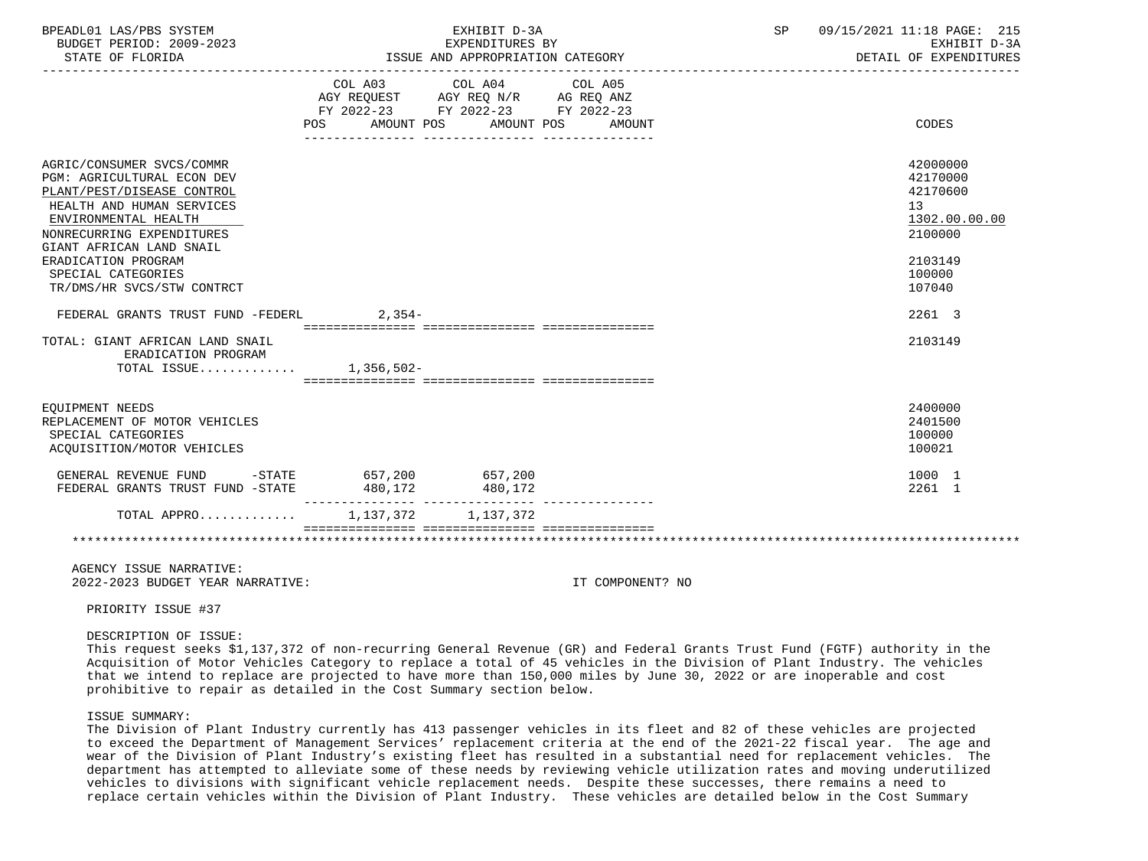| BPEADL01 LAS/PBS SYSTEM<br>BUDGET PERIOD: 2009-2023<br>STATE OF FLORIDA                                                                                                                                                                                                                                                                                                                                                                                                        | 9-2023<br>ISSUE AND APPROPRIATION CATEGORY ISSUE AND APPROPRIATION CATEGORY | EXHIBIT D-3A<br>EXPENDITURES BY                                                                                                                                                                                                                                                                                                                                             |                  | SP | 09/15/2021 11:18 PAGE: 215<br>DETAIL OF EXPENDITURES | EXHIBIT D-3A  |
|--------------------------------------------------------------------------------------------------------------------------------------------------------------------------------------------------------------------------------------------------------------------------------------------------------------------------------------------------------------------------------------------------------------------------------------------------------------------------------|-----------------------------------------------------------------------------|-----------------------------------------------------------------------------------------------------------------------------------------------------------------------------------------------------------------------------------------------------------------------------------------------------------------------------------------------------------------------------|------------------|----|------------------------------------------------------|---------------|
|                                                                                                                                                                                                                                                                                                                                                                                                                                                                                | POS                                                                         | $\begin{tabular}{lllllllllll} &\multicolumn{4}{c }{COL A03} &\multicolumn{4}{c }{COL A04} &\multicolumn{4}{c }{COL A05} \\ \multicolumn{4}{c }{AGY REQUEST} &\multicolumn{4}{c }{AGY REQ N/R} &\multicolumn{4}{c }{AG REQ ANZ} \\ \multicolumn{4}{c }{FY 2022-23} &\multicolumn{4}{c }{FY 2022-23} &\multicolumn{4}{c }{FY 2022-23} \end{tabular}$<br>AMOUNT POS AMOUNT POS | AMOUNT           |    | CODES                                                |               |
| AGRIC/CONSUMER SVCS/COMMR<br>PGM: AGRICULTURAL ECON DEV<br>PLANT/PEST/DISEASE CONTROL<br>HEALTH AND HUMAN SERVICES<br>ENVIRONMENTAL HEALTH<br>NONRECURRING EXPENDITURES<br>GIANT AFRICAN LAND SNAIL                                                                                                                                                                                                                                                                            |                                                                             |                                                                                                                                                                                                                                                                                                                                                                             |                  |    | 42000000<br>42170000<br>42170600<br>13<br>2100000    | 1302.00.00.00 |
| ERADICATION PROGRAM<br>SPECIAL CATEGORIES<br>TR/DMS/HR SVCS/STW CONTRCT                                                                                                                                                                                                                                                                                                                                                                                                        |                                                                             |                                                                                                                                                                                                                                                                                                                                                                             |                  |    | 2103149<br>100000<br>107040                          |               |
| FEDERAL GRANTS TRUST FUND -FEDERL 2,354-                                                                                                                                                                                                                                                                                                                                                                                                                                       |                                                                             |                                                                                                                                                                                                                                                                                                                                                                             |                  |    | 2261 3                                               |               |
| TOTAL: GIANT AFRICAN LAND SNAIL<br>ERADICATION PROGRAM<br>TOTAL ISSUE 1,356,502-                                                                                                                                                                                                                                                                                                                                                                                               |                                                                             |                                                                                                                                                                                                                                                                                                                                                                             |                  |    | 2103149                                              |               |
|                                                                                                                                                                                                                                                                                                                                                                                                                                                                                |                                                                             |                                                                                                                                                                                                                                                                                                                                                                             |                  |    |                                                      |               |
| EQUIPMENT NEEDS<br>REPLACEMENT OF MOTOR VEHICLES<br>SPECIAL CATEGORIES<br>ACQUISITION/MOTOR VEHICLES                                                                                                                                                                                                                                                                                                                                                                           |                                                                             |                                                                                                                                                                                                                                                                                                                                                                             |                  |    | 2400000<br>2401500<br>100000<br>100021               |               |
|                                                                                                                                                                                                                                                                                                                                                                                                                                                                                |                                                                             |                                                                                                                                                                                                                                                                                                                                                                             |                  |    | 1000 1<br>2261 1                                     |               |
| TOTAL APPRO 1,137,372 1,137,372                                                                                                                                                                                                                                                                                                                                                                                                                                                |                                                                             |                                                                                                                                                                                                                                                                                                                                                                             |                  |    |                                                      |               |
|                                                                                                                                                                                                                                                                                                                                                                                                                                                                                |                                                                             |                                                                                                                                                                                                                                                                                                                                                                             |                  |    |                                                      |               |
| AGENCY ISSUE NARRATIVE:<br>2022-2023 BUDGET YEAR NARRATIVE:                                                                                                                                                                                                                                                                                                                                                                                                                    |                                                                             |                                                                                                                                                                                                                                                                                                                                                                             | IT COMPONENT? NO |    |                                                      |               |
| PRIORITY ISSUE #37                                                                                                                                                                                                                                                                                                                                                                                                                                                             |                                                                             |                                                                                                                                                                                                                                                                                                                                                                             |                  |    |                                                      |               |
| DESCRIPTION OF ISSUE:<br>This request seeks \$1,137,372 of non-recurring General Revenue (GR) and Federal Grants Trust Fund (FGTF) authority in the<br>Acquisition of Motor Vehicles Category to replace a total of 45 vehicles in the Division of Plant Industry. The vehicles<br>that we intend to replace are projected to have more than 150,000 miles by June 30, 2022 or are inoperable and cost<br>prohibitive to repair as detailed in the Cost Summary section below. |                                                                             |                                                                                                                                                                                                                                                                                                                                                                             |                  |    |                                                      |               |
| ISSUE SUMMARY:<br>The Division of Plant Industry currently has 413 passenger vehicles in its fleet and 82 of these vehicles are projected                                                                                                                                                                                                                                                                                                                                      |                                                                             |                                                                                                                                                                                                                                                                                                                                                                             |                  |    |                                                      |               |

 to exceed the Department of Management Services' replacement criteria at the end of the 2021-22 fiscal year. The age and wear of the Division of Plant Industry's existing fleet has resulted in a substantial need for replacement vehicles. The department has attempted to alleviate some of these needs by reviewing vehicle utilization rates and moving underutilized vehicles to divisions with significant vehicle replacement needs. Despite these successes, there remains a need to replace certain vehicles within the Division of Plant Industry. These vehicles are detailed below in the Cost Summary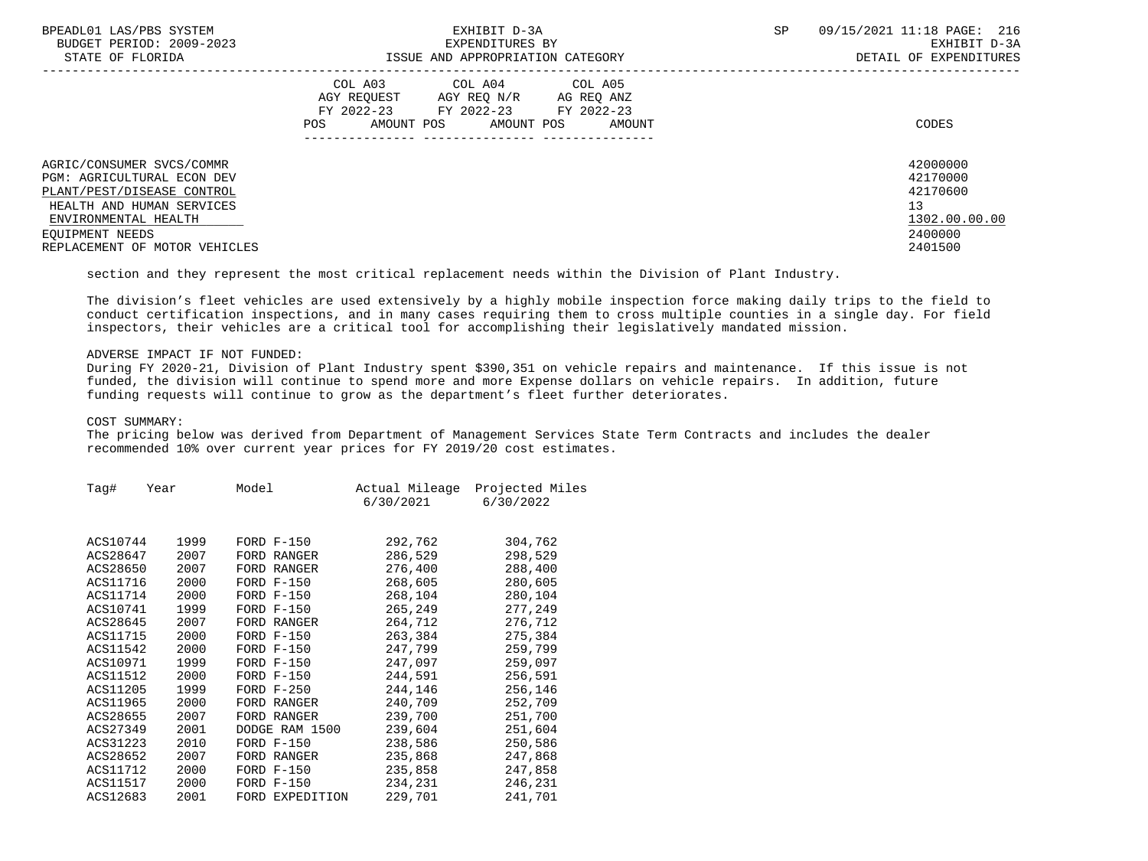| BPEADL01 LAS/PBS SYSTEM<br>BUDGET PERIOD: 2009-2023<br>STATE OF FLORIDA                                                                           | EXHIBIT D-3A<br>EXPENDITURES BY<br>ISSUE AND APPROPRIATION CATEGORY                                                                               | 09/15/2021 11:18 PAGE: 216<br><b>SP</b><br>EXHIBIT D-3A<br>DETAIL OF EXPENDITURES |  |
|---------------------------------------------------------------------------------------------------------------------------------------------------|---------------------------------------------------------------------------------------------------------------------------------------------------|-----------------------------------------------------------------------------------|--|
|                                                                                                                                                   | COL A03 COL A04 COL A05<br>AGY REOUEST<br>AGY REO N/R<br>AG REQ ANZ<br>FY 2022-23 FY 2022-23 FY 2022-23<br>AMOUNT POS AMOUNT POS<br>POS<br>AMOUNT | CODES                                                                             |  |
| AGRIC/CONSUMER SVCS/COMMR<br><b>PGM: AGRICULTURAL ECON DEV</b><br>PLANT/PEST/DISEASE CONTROL<br>HEALTH AND HUMAN SERVICES<br>ENVIRONMENTAL HEALTH |                                                                                                                                                   | 42000000<br>42170000<br>42170600<br>13<br>1302.00.00.00                           |  |
| EOUIPMENT NEEDS<br>REPLACEMENT OF MOTOR VEHICLES                                                                                                  |                                                                                                                                                   | 2400000<br>2401500                                                                |  |

section and they represent the most critical replacement needs within the Division of Plant Industry.

 The division's fleet vehicles are used extensively by a highly mobile inspection force making daily trips to the field to conduct certification inspections, and in many cases requiring them to cross multiple counties in a single day. For field inspectors, their vehicles are a critical tool for accomplishing their legislatively mandated mission.

# ADVERSE IMPACT IF NOT FUNDED:

 During FY 2020-21, Division of Plant Industry spent \$390,351 on vehicle repairs and maintenance. If this issue is not funded, the division will continue to spend more and more Expense dollars on vehicle repairs. In addition, future funding requests will continue to grow as the department's fleet further deteriorates.

# COST SUMMARY:

 The pricing below was derived from Department of Management Services State Term Contracts and includes the dealer recommended 10% over current year prices for FY 2019/20 cost estimates.

| Taq#     | Year | Model           | Actual Mileage<br>6/30/2021 | Projected Miles<br>6/30/2022 |
|----------|------|-----------------|-----------------------------|------------------------------|
| ACS10744 | 1999 | $FORD F-150$    | 292,762                     | 304,762                      |
| ACS28647 | 2007 | FORD RANGER     | 286,529                     | 298,529                      |
| ACS28650 | 2007 | FORD RANGER     | 276,400                     | 288,400                      |
| ACS11716 | 2000 | $FORD F-150$    | 268,605                     | 280,605                      |
| ACS11714 | 2000 | $FORD F-150$    | 268,104                     | 280,104                      |
| ACS10741 | 1999 | $FORD F-150$    | 265,249                     | 277,249                      |
| ACS28645 | 2007 | FORD RANGER     | 264,712                     | 276,712                      |
| ACS11715 | 2000 | $FORD F-150$    | 263,384                     | 275,384                      |
| ACS11542 | 2000 | $FORD F-150$    | 247,799                     | 259,799                      |
| ACS10971 | 1999 | $FORD F-150$    | 247,097                     | 259,097                      |
| ACS11512 | 2000 | $FORD F-150$    | 244,591                     | 256,591                      |
| ACS11205 | 1999 | $FORD F-250$    | 244,146                     | 256,146                      |
| ACS11965 | 2000 | FORD RANGER     | 240,709                     | 252,709                      |
| ACS28655 | 2007 | FORD RANGER     | 239,700                     | 251,700                      |
| ACS27349 | 2001 | DODGE RAM 1500  | 239,604                     | 251,604                      |
| ACS31223 | 2010 | $FORD F-150$    | 238,586                     | 250,586                      |
| ACS28652 | 2007 | FORD RANGER     | 235,868                     | 247,868                      |
| ACS11712 | 2000 | $FORD F-150$    | 235,858                     | 247,858                      |
| ACS11517 | 2000 | $FORD F-150$    | 234,231                     | 246,231                      |
| ACS12683 | 2001 | FORD EXPEDITION | 229,701                     | 241,701                      |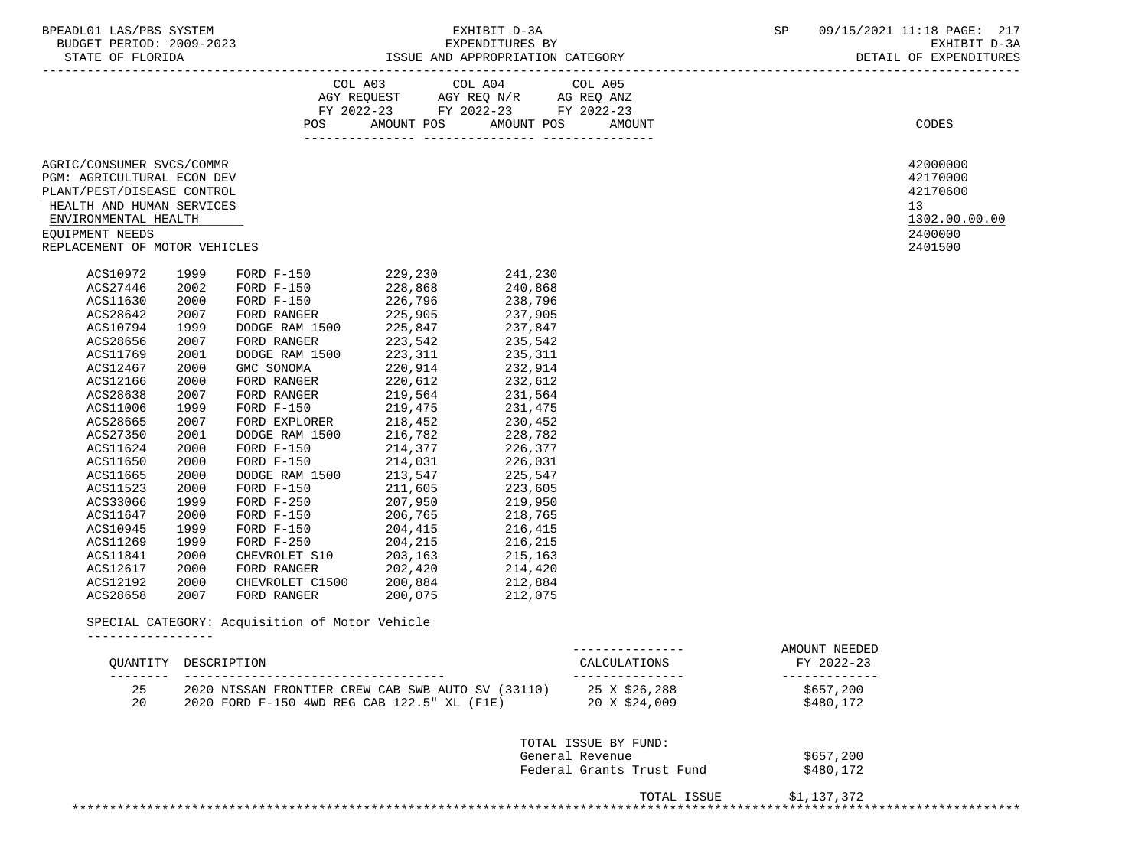BUDGET PERIOD: 2009-2023<br>STATE OF FLORIDA

-----------------------------------------------------------------------------------------------------------------------------------

|                                                                                                                                                               |      | COL A03<br>AGY REQUEST | FY 2022-23         | COL A04<br>AGY REQ N/R<br>AG REQ ANZ<br>FY 2022-23 | COL A05              |                                                                    |
|---------------------------------------------------------------------------------------------------------------------------------------------------------------|------|------------------------|--------------------|----------------------------------------------------|----------------------|--------------------------------------------------------------------|
|                                                                                                                                                               |      | POS                    | AMOUNT POS         | AMOUNT POS                                         | FY 2022-23<br>AMOUNT | CODES                                                              |
| AGRIC/CONSUMER SVCS/COMMR<br>PGM: AGRICULTURAL ECON DEV<br>PLANT/PEST/DISEASE CONTROL<br>HEALTH AND HUMAN SERVICES<br>ENVIRONMENTAL HEALTH<br>EOUIPMENT NEEDS |      |                        |                    |                                                    |                      | 42000000<br>42170000<br>42170600<br>13<br>1302.00.00.00<br>2400000 |
| REPLACEMENT OF MOTOR VEHICLES                                                                                                                                 |      |                        |                    |                                                    |                      | 2401500                                                            |
| ACS10972                                                                                                                                                      | 1999 | FORD $F-150$           | 229,230            | 241,230                                            |                      |                                                                    |
| ACS27446                                                                                                                                                      | 2002 | $FORD$ $F-150$         | 228,868            | 240,868                                            |                      |                                                                    |
| ACS11630                                                                                                                                                      | 2000 | $FORD F-150$           | 226,796            | 238,796                                            |                      |                                                                    |
| ACS28642                                                                                                                                                      | 2007 | FORD RANGER            | 225,905            | 237,905                                            |                      |                                                                    |
| ACS10794                                                                                                                                                      | 1999 | DODGE RAM 1500         | 225,847            | 237,847                                            |                      |                                                                    |
| ACS28656                                                                                                                                                      | 2007 | FORD RANGER            |                    | 235,542                                            |                      |                                                                    |
| ACS11769                                                                                                                                                      | 2001 | DODGE RAM 1500         | 223,542<br>223,311 | 235,311                                            |                      |                                                                    |
| ACS12467                                                                                                                                                      | 2000 | GMC SONOMA             | 220,914            | 232,914                                            |                      |                                                                    |
| ACS12166                                                                                                                                                      | 2000 | FORD RANGER            | 220,612            | 232,612                                            |                      |                                                                    |
| ACS28638                                                                                                                                                      | 2007 | FORD RANGER            | 219,564            | 231,564                                            |                      |                                                                    |
| ACS11006                                                                                                                                                      | 1999 | $FORD F-150$           | 219,475            | 231,475                                            |                      |                                                                    |
| ACS28665                                                                                                                                                      | 2007 | FORD EXPLORER          | 218,452            | 230,452                                            |                      |                                                                    |
| ACS27350                                                                                                                                                      | 2001 | DODGE RAM 1500         | 216,782            | 228,782                                            |                      |                                                                    |
| ACS11624                                                                                                                                                      | 2000 | $FORD F-150$           | 214,377            | 226,377                                            |                      |                                                                    |
| ACS11650                                                                                                                                                      | 2000 | $FORD F-150$           | 214,031            | 226,031                                            |                      |                                                                    |
| ACS11665                                                                                                                                                      | 2000 | DODGE RAM 1500         | 213,547            | 225,547                                            |                      |                                                                    |
| ACS11523                                                                                                                                                      | 2000 | $FORD F-150$           | 211,605            | 223,605                                            |                      |                                                                    |
| ACS33066                                                                                                                                                      | 1999 | $FORD F-250$           | 207,950            | 219,950                                            |                      |                                                                    |
| ACS11647                                                                                                                                                      | 2000 | $FORD F-150$           | 206,765            | 218,765                                            |                      |                                                                    |
| ACS10945                                                                                                                                                      | 1999 | $FORD F-150$           | 204,415            | 216,415                                            |                      |                                                                    |
| ACS11269                                                                                                                                                      | 1999 | $FORD F-250$           | 204,215            | 216,215                                            |                      |                                                                    |
| ACS11841                                                                                                                                                      | 2000 | CHEVROLET S10          | 203,163            | 215,163                                            |                      |                                                                    |
| ACS12617                                                                                                                                                      | 2000 | FORD RANGER            | 202,420            | 214,420                                            |                      |                                                                    |
| ACS12192                                                                                                                                                      | 2000 | CHEVROLET C1500        | 200,884            | 212,884                                            |                      |                                                                    |
| ACS28658                                                                                                                                                      | 2007 | FORD RANGER            | 200,075            | 212,075                                            |                      |                                                                    |

-----------------

|    | OUANTITY DESCRIPTION                              | CALCULATIONS  | AMOUNT NEEDED<br>FY 2022-23 |
|----|---------------------------------------------------|---------------|-----------------------------|
|    |                                                   |               |                             |
| 25 | 2020 NISSAN FRONTIER CREW CAB SWB AUTO SV (33110) | 25 X \$26,288 | \$657,200                   |
| 20 | 2020 FORD F-150 4WD REG CAB 122.5" XL (F1E)       | 20 X \$24,009 | \$480,172                   |

# TOTAL ISSUE BY FUND: General Revenue \$657,200<br>Federal Grants Trust Fund \$480,172 Federal Grants Trust Fund

TOTAL ISSUE \$1,137,372

\*\*\*\*\*\*\*\*\*\*\*\*\*\*\*\*\*\*\*\*\*\*\*\*\*\*\*\*\*\*\*\*\*\*\*\*\*\*\*\*\*\*\*\*\*\*\*\*\*\*\*\*\*\*\*\*\*\*\*\*\*\*\*\*\*\*\*\*\*\*\*\*\*\*\*\*\*\*\*\*\*\*\*\*\*\*\*\*\*\*\*\*\*\*\*\*\*\*\*\*\*\*\*\*\*\*\*\*\*\*\*\*\*\*\*\*\*\*\*\*\*\*\*\*\*\*\*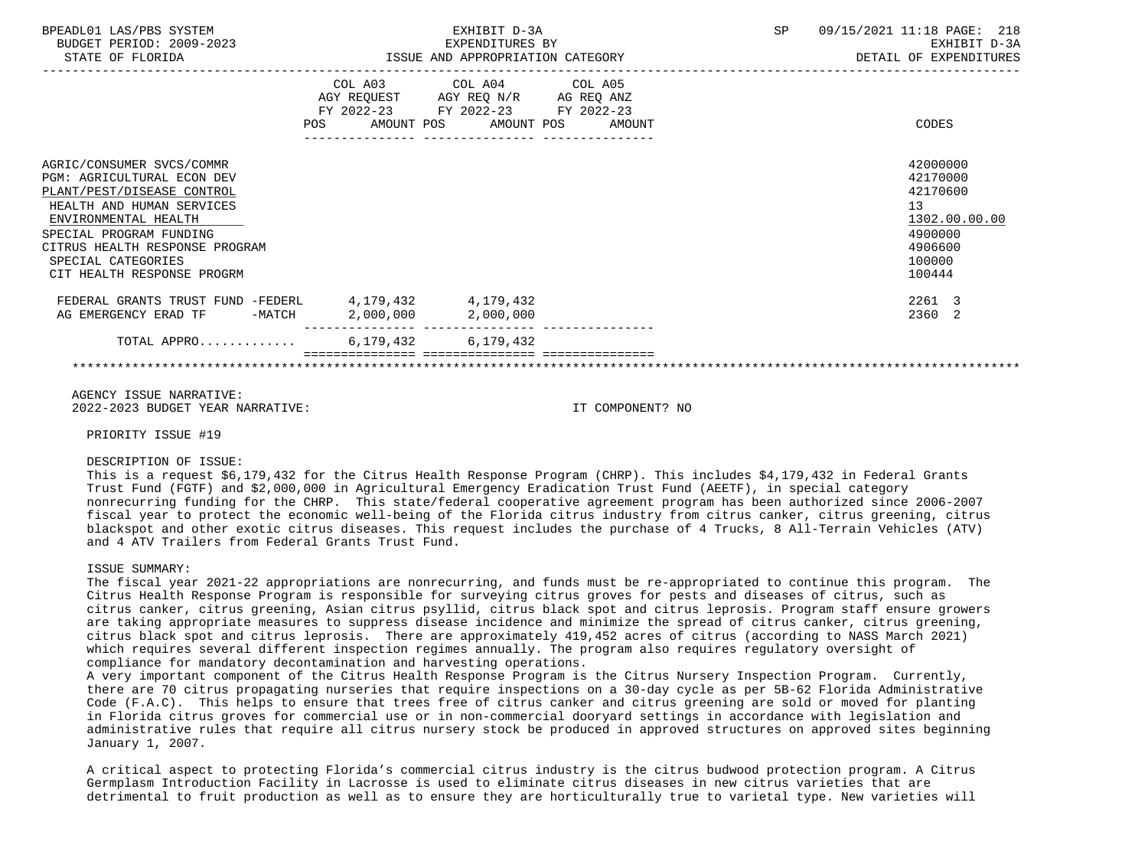| BPEADL01 LAS/PBS SYSTEM<br>BUDGET PERIOD: 2009-2023<br>STATE OF FLORIDA                                                                                                                                                                                            | EXHIBIT D-3A<br>EXPENDITURES BY<br>ISSUE AND APPROPRIATION CATEGORY                                                                   | SP 09/15/2021 11:18 PAGE: 218<br>EXHIBIT D-3A<br>DETAIL OF EXPENDITURES                           |
|--------------------------------------------------------------------------------------------------------------------------------------------------------------------------------------------------------------------------------------------------------------------|---------------------------------------------------------------------------------------------------------------------------------------|---------------------------------------------------------------------------------------------------|
|                                                                                                                                                                                                                                                                    | COL A03 COL A04 COL A05<br>AGY REQUEST AGY REQ N/R AG REQ ANZ<br>FY 2022-23 FY 2022-23 FY 2022-23<br>POS AMOUNT POS AMOUNT POS AMOUNT | CODES                                                                                             |
| AGRIC/CONSUMER SVCS/COMMR<br><b>PGM: AGRICULTURAL ECON DEV</b><br>PLANT/PEST/DISEASE CONTROL<br>HEALTH AND HUMAN SERVICES<br>ENVIRONMENTAL HEALTH<br>SPECIAL PROGRAM FUNDING<br>CITRUS HEALTH RESPONSE PROGRAM<br>SPECIAL CATEGORIES<br>CIT HEALTH RESPONSE PROGRM |                                                                                                                                       | 42000000<br>42170000<br>42170600<br>13<br>1302.00.00.00<br>4900000<br>4906600<br>100000<br>100444 |
| FEDERAL GRANTS TRUST FUND -FEDERL 4, 179, 432 4, 179, 432<br>AG EMERGENCY ERAD TF -MATCH 2,000,000 2,000,000                                                                                                                                                       |                                                                                                                                       | 2261 3<br>2360 2                                                                                  |
| TOTAL APPRO 6,179,432 6,179,432                                                                                                                                                                                                                                    |                                                                                                                                       |                                                                                                   |
|                                                                                                                                                                                                                                                                    |                                                                                                                                       |                                                                                                   |

 AGENCY ISSUE NARRATIVE: 2022-2023 BUDGET YEAR NARRATIVE: IT COMPONENT? NO

PRIORITY ISSUE #19

## DESCRIPTION OF ISSUE:

 This is a request \$6,179,432 for the Citrus Health Response Program (CHRP). This includes \$4,179,432 in Federal Grants Trust Fund (FGTF) and \$2,000,000 in Agricultural Emergency Eradication Trust Fund (AEETF), in special category nonrecurring funding for the CHRP. This state/federal cooperative agreement program has been authorized since 2006-2007 fiscal year to protect the economic well-being of the Florida citrus industry from citrus canker, citrus greening, citrus blackspot and other exotic citrus diseases. This request includes the purchase of 4 Trucks, 8 All-Terrain Vehicles (ATV) and 4 ATV Trailers from Federal Grants Trust Fund.

## ISSUE SUMMARY:

 The fiscal year 2021-22 appropriations are nonrecurring, and funds must be re-appropriated to continue this program. The Citrus Health Response Program is responsible for surveying citrus groves for pests and diseases of citrus, such as citrus canker, citrus greening, Asian citrus psyllid, citrus black spot and citrus leprosis. Program staff ensure growers are taking appropriate measures to suppress disease incidence and minimize the spread of citrus canker, citrus greening, citrus black spot and citrus leprosis. There are approximately 419,452 acres of citrus (according to NASS March 2021) which requires several different inspection regimes annually. The program also requires regulatory oversight of compliance for mandatory decontamination and harvesting operations.

 A very important component of the Citrus Health Response Program is the Citrus Nursery Inspection Program. Currently, there are 70 citrus propagating nurseries that require inspections on a 30-day cycle as per 5B-62 Florida Administrative Code (F.A.C). This helps to ensure that trees free of citrus canker and citrus greening are sold or moved for planting in Florida citrus groves for commercial use or in non-commercial dooryard settings in accordance with legislation and administrative rules that require all citrus nursery stock be produced in approved structures on approved sites beginning January 1, 2007.

 A critical aspect to protecting Florida's commercial citrus industry is the citrus budwood protection program. A Citrus Germplasm Introduction Facility in Lacrosse is used to eliminate citrus diseases in new citrus varieties that are detrimental to fruit production as well as to ensure they are horticulturally true to varietal type. New varieties will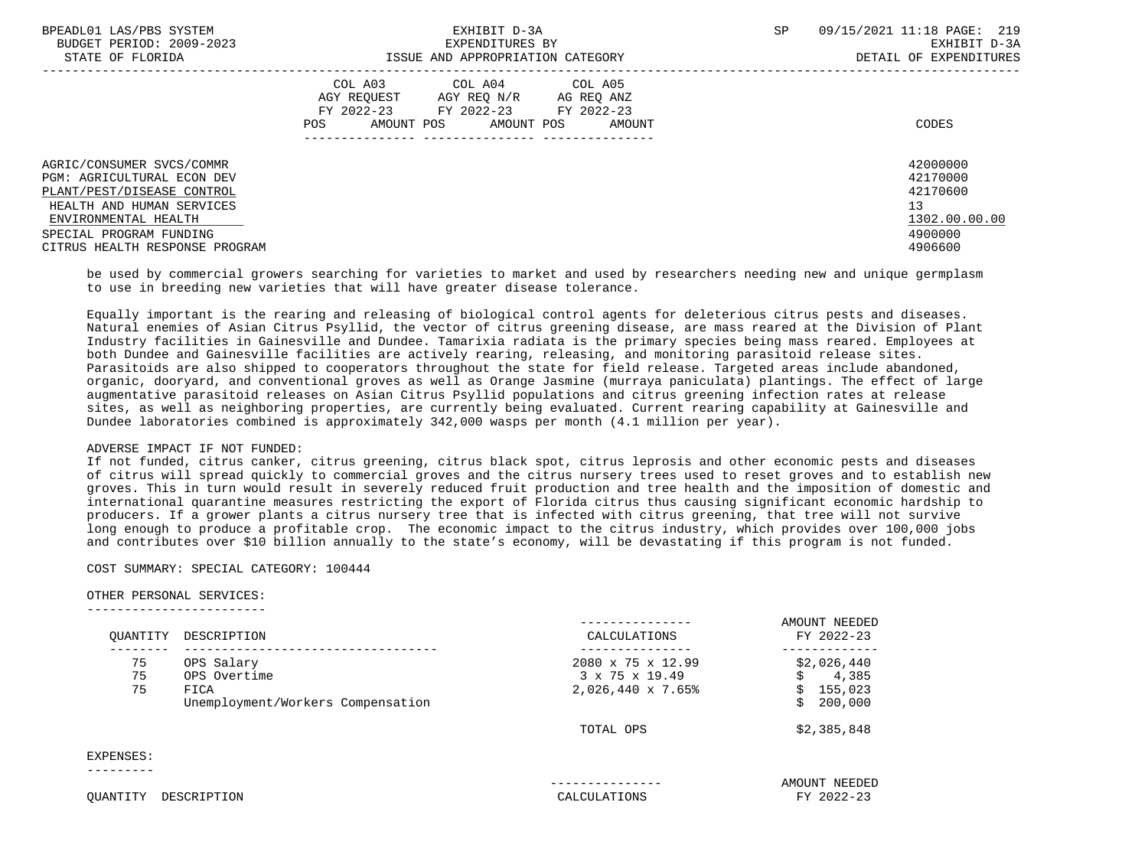| BPEADL01 LAS/PBS SYSTEM           | EXHIBIT D-3A                           | 09/15/2021 11:18 PAGE: 219<br><b>SP</b> |
|-----------------------------------|----------------------------------------|-----------------------------------------|
| BUDGET PERIOD: 2009-2023          | EXPENDITURES BY                        | EXHIBIT D-3A                            |
| STATE OF FLORIDA                  | ISSUE AND APPROPRIATION CATEGORY       | DETAIL OF EXPENDITURES                  |
|                                   | COL A03 COL A04 COL A05                |                                         |
|                                   | AGY REOUEST AGY REO N/R AG REO ANZ     |                                         |
|                                   | FY 2022-23 FY 2022-23 FY 2022-23       |                                         |
|                                   | AMOUNT POS AMOUNT POS<br>POS<br>AMOUNT | CODES                                   |
|                                   |                                        |                                         |
| AGRIC/CONSUMER SVCS/COMMR         |                                        | 42000000                                |
| <b>PGM: AGRICULTURAL ECON DEV</b> |                                        | 42170000                                |
| PLANT/PEST/DISEASE CONTROL        |                                        | 42170600                                |
| HEALTH AND HUMAN SERVICES         |                                        | 13                                      |
| ENVIRONMENTAL HEALTH              |                                        | 1302.00.00.00                           |
| SPECIAL PROGRAM FUNDING           |                                        | 4900000                                 |
| CITRUS HEALTH RESPONSE PROGRAM    |                                        | 4906600                                 |
|                                   |                                        |                                         |

 be used by commercial growers searching for varieties to market and used by researchers needing new and unique germplasm to use in breeding new varieties that will have greater disease tolerance.

 Equally important is the rearing and releasing of biological control agents for deleterious citrus pests and diseases. Natural enemies of Asian Citrus Psyllid, the vector of citrus greening disease, are mass reared at the Division of Plant Industry facilities in Gainesville and Dundee. Tamarixia radiata is the primary species being mass reared. Employees at both Dundee and Gainesville facilities are actively rearing, releasing, and monitoring parasitoid release sites. Parasitoids are also shipped to cooperators throughout the state for field release. Targeted areas include abandoned, organic, dooryard, and conventional groves as well as Orange Jasmine (murraya paniculata) plantings. The effect of large augmentative parasitoid releases on Asian Citrus Psyllid populations and citrus greening infection rates at release sites, as well as neighboring properties, are currently being evaluated. Current rearing capability at Gainesville and Dundee laboratories combined is approximately 342,000 wasps per month (4.1 million per year).

## ADVERSE IMPACT IF NOT FUNDED:

 If not funded, citrus canker, citrus greening, citrus black spot, citrus leprosis and other economic pests and diseases of citrus will spread quickly to commercial groves and the citrus nursery trees used to reset groves and to establish new groves. This in turn would result in severely reduced fruit production and tree health and the imposition of domestic and international quarantine measures restricting the export of Florida citrus thus causing significant economic hardship to producers. If a grower plants a citrus nursery tree that is infected with citrus greening, that tree will not survive long enough to produce a profitable crop. The economic impact to the citrus industry, which provides over 100,000 jobs and contributes over \$10 billion annually to the state's economy, will be devastating if this program is not funded.

## COST SUMMARY: SPECIAL CATEGORY: 100444

### OTHER PERSONAL SERVICES: ------------------------

| OUANTITY  | DESCRIPTION                       | CALCULATIONS               | AMOUNT NEEDED<br>FY 2022-23 |
|-----------|-----------------------------------|----------------------------|-----------------------------|
| 75        | OPS Salary                        | 2080 x 75 x 12.99          | \$2,026,440                 |
| 75        | OPS Overtime                      | $3 \times 75 \times 19.49$ | 4,385                       |
| 75        | FICA                              | 2,026,440 x 7.65%          | 155,023                     |
|           | Unemployment/Workers Compensation |                            | 200,000                     |
|           |                                   | TOTAL OPS                  | \$2,385,848                 |
| EXPENSES: |                                   |                            |                             |
|           |                                   |                            | AMOUNT NEEDED               |
| OUANTITY  | DESCRIPTION                       | CALCULATIONS               | FY 2022-23                  |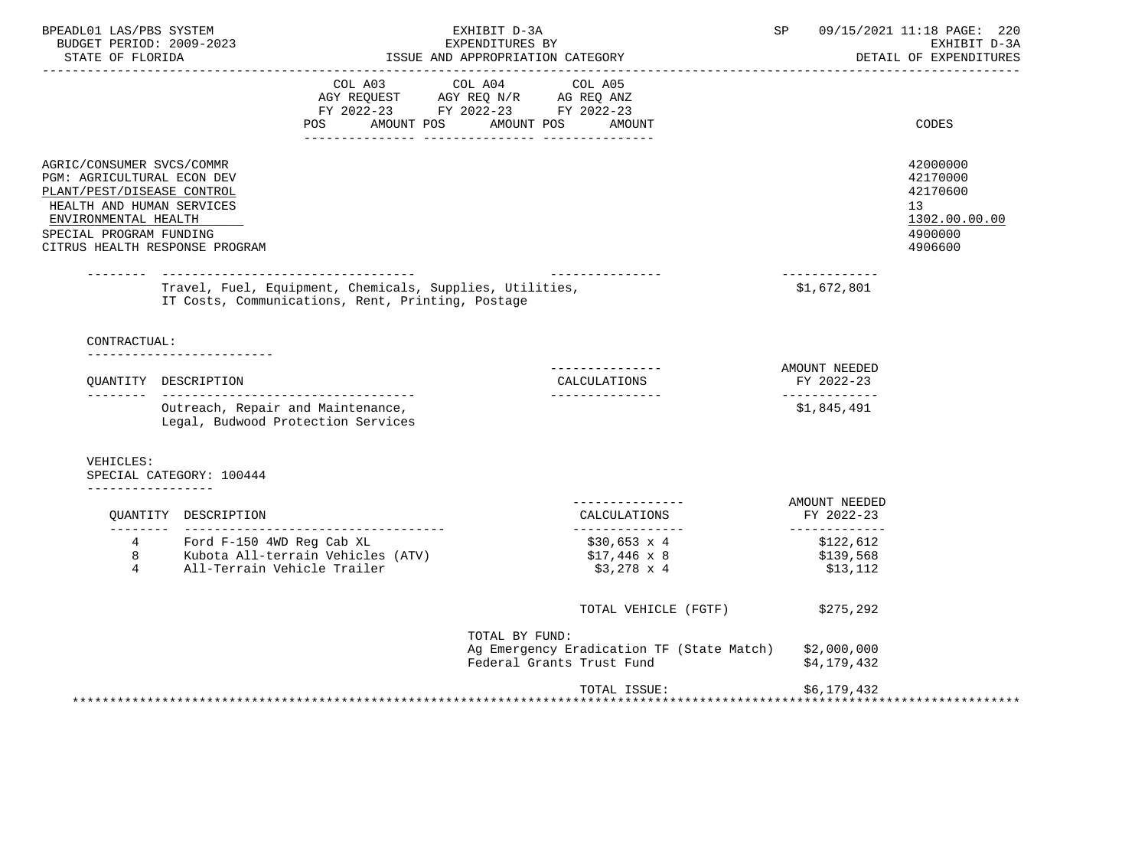| BPEADL01 LAS/PBS SYSTEM<br>BUDGET PERIOD: 2009-2023<br>STATE OF FLORIDA                                                                                                                                 |                                                                                                               | EXHIBIT D-3A<br>EXPENDITURES BY<br>ISSUE AND APPROPRIATION CATEGORY                                                       | SP                                           | 09/15/2021 11:18 PAGE: 220<br>EXHIBIT D-3A<br>DETAIL OF EXPENDITURES          |
|---------------------------------------------------------------------------------------------------------------------------------------------------------------------------------------------------------|---------------------------------------------------------------------------------------------------------------|---------------------------------------------------------------------------------------------------------------------------|----------------------------------------------|-------------------------------------------------------------------------------|
|                                                                                                                                                                                                         | AMOUNT POS<br>POS                                                                                             | COL A03 COL A04 COL A05<br>AGY REQUEST AGY REQ N/R AG REQ ANZ<br>FY 2022-23 FY 2022-23 FY 2022-23<br>AMOUNT POS<br>AMOUNT |                                              | CODES                                                                         |
| AGRIC/CONSUMER SVCS/COMMR<br>PGM: AGRICULTURAL ECON DEV<br>PLANT/PEST/DISEASE CONTROL<br>HEALTH AND HUMAN SERVICES<br>ENVIRONMENTAL HEALTH<br>SPECIAL PROGRAM FUNDING<br>CITRUS HEALTH RESPONSE PROGRAM |                                                                                                               |                                                                                                                           |                                              | 42000000<br>42170000<br>42170600<br>13<br>1302.00.00.00<br>4900000<br>4906600 |
|                                                                                                                                                                                                         | Travel, Fuel, Equipment, Chemicals, Supplies, Utilities,<br>IT Costs, Communications, Rent, Printing, Postage |                                                                                                                           | -------------<br>\$1,672,801                 |                                                                               |
| CONTRACTUAL:                                                                                                                                                                                            |                                                                                                               |                                                                                                                           |                                              |                                                                               |
| QUANTITY DESCRIPTION                                                                                                                                                                                    | -----------------------------------                                                                           | ---------------<br>CALCULATIONS                                                                                           | AMOUNT NEEDED<br>FY 2022-23<br>------------- |                                                                               |
|                                                                                                                                                                                                         | Outreach, Repair and Maintenance,<br>Legal, Budwood Protection Services                                       |                                                                                                                           | \$1,845,491                                  |                                                                               |
| VEHICLES:<br>-----------------                                                                                                                                                                          | SPECIAL CATEGORY: 100444                                                                                      |                                                                                                                           |                                              |                                                                               |
| ---------                                                                                                                                                                                               | OUANTITY DESCRIPTION<br>______________________________________                                                | ---------------<br>CALCULATIONS<br>_______________                                                                        | AMOUNT NEEDED<br>FY 2022-23<br>_____________ |                                                                               |
| $\overline{4}$<br>8<br>$\overline{4}$                                                                                                                                                                   | Ford F-150 4WD Reg Cab XL<br>Kubota All-terrain Vehicles (ATV)<br>All-Terrain Vehicle Trailer                 | \$30,653 x 4<br>$$17,446 \times 8$<br>\$3,278 x 4                                                                         | \$122,612<br>\$139,568<br>\$13,112           |                                                                               |
|                                                                                                                                                                                                         |                                                                                                               | TOTAL VEHICLE (FGTF)                                                                                                      | \$275,292                                    |                                                                               |
|                                                                                                                                                                                                         |                                                                                                               | TOTAL BY FUND:<br>Ag Emergency Eradication TF (State Match) \$2,000,000<br>Federal Grants Trust Fund                      | \$4,179,432                                  |                                                                               |
|                                                                                                                                                                                                         |                                                                                                               | TOTAL ISSUE:                                                                                                              | \$6,179,432                                  |                                                                               |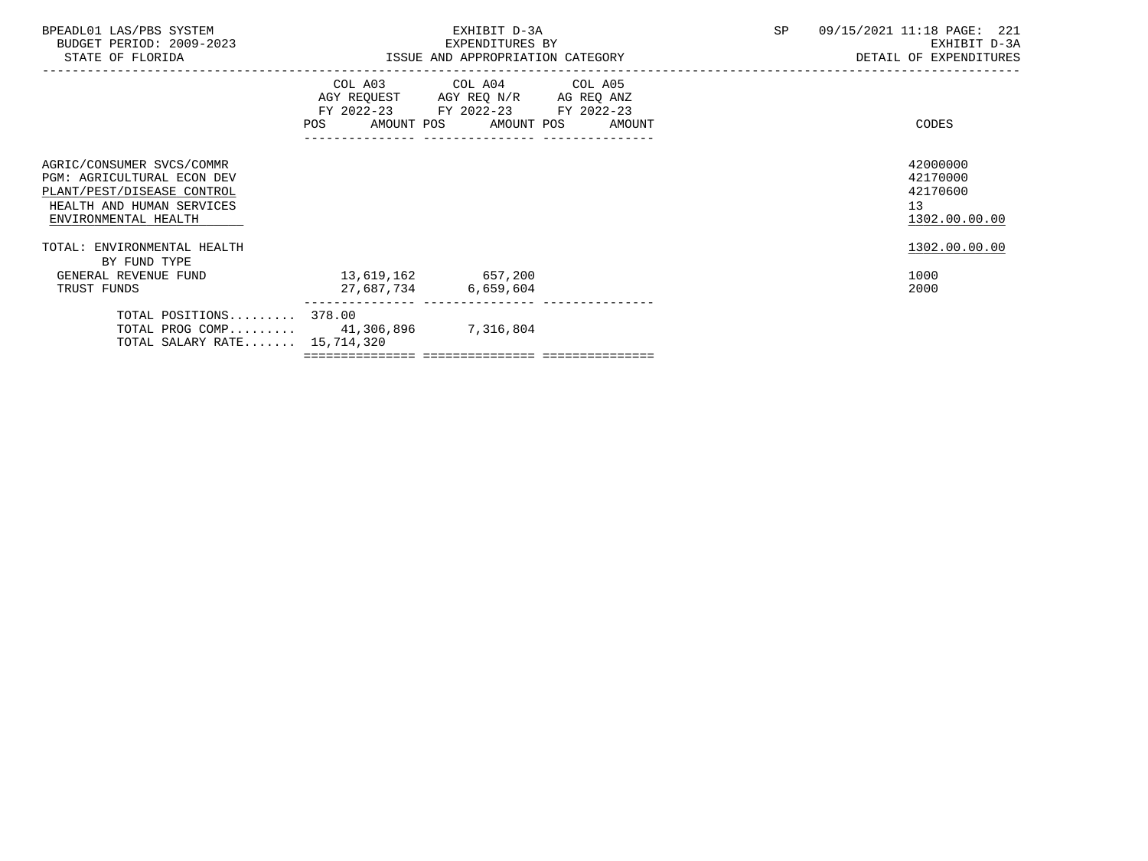| BPEADL01 LAS/PBS SYSTEM<br>BUDGET PERIOD: 2009-2023<br>STATE OF FLORIDA                                                                    |                                            | EXHIBIT D-3A<br>EXPENDITURES BY                                                                   |        | 09/15/2021 11:18 PAGE: 221<br>SP<br>EXHIBIT D-3A<br>DETAIL OF EXPENDITURES |                                                         |  |
|--------------------------------------------------------------------------------------------------------------------------------------------|--------------------------------------------|---------------------------------------------------------------------------------------------------|--------|----------------------------------------------------------------------------|---------------------------------------------------------|--|
|                                                                                                                                            | POS AMOUNT POS AMOUNT POS                  | COL A03 COL A04 COL A05<br>AGY REQUEST AGY REQ N/R AG REQ ANZ<br>FY 2022-23 FY 2022-23 FY 2022-23 | AMOUNT |                                                                            | CODES                                                   |  |
| AGRIC/CONSUMER SVCS/COMMR<br>PGM: AGRICULTURAL ECON DEV<br>PLANT/PEST/DISEASE CONTROL<br>HEALTH AND HUMAN SERVICES<br>ENVIRONMENTAL HEALTH |                                            |                                                                                                   |        |                                                                            | 42000000<br>42170000<br>42170600<br>13<br>1302.00.00.00 |  |
| TOTAL: ENVIRONMENTAL HEALTH<br>BY FUND TYPE<br>GENERAL REVENUE FUND<br>TRUST FUNDS                                                         | 13,619,162 657,200<br>27,687,734 6,659,604 |                                                                                                   |        |                                                                            | 1302.00.00.00<br>1000<br>2000                           |  |
| TOTAL POSITIONS 378.00<br>TOTAL PROG COMP 41,306,896 7,316,804<br>TOTAL SALARY RATE $15,714,320$                                           |                                            |                                                                                                   |        |                                                                            |                                                         |  |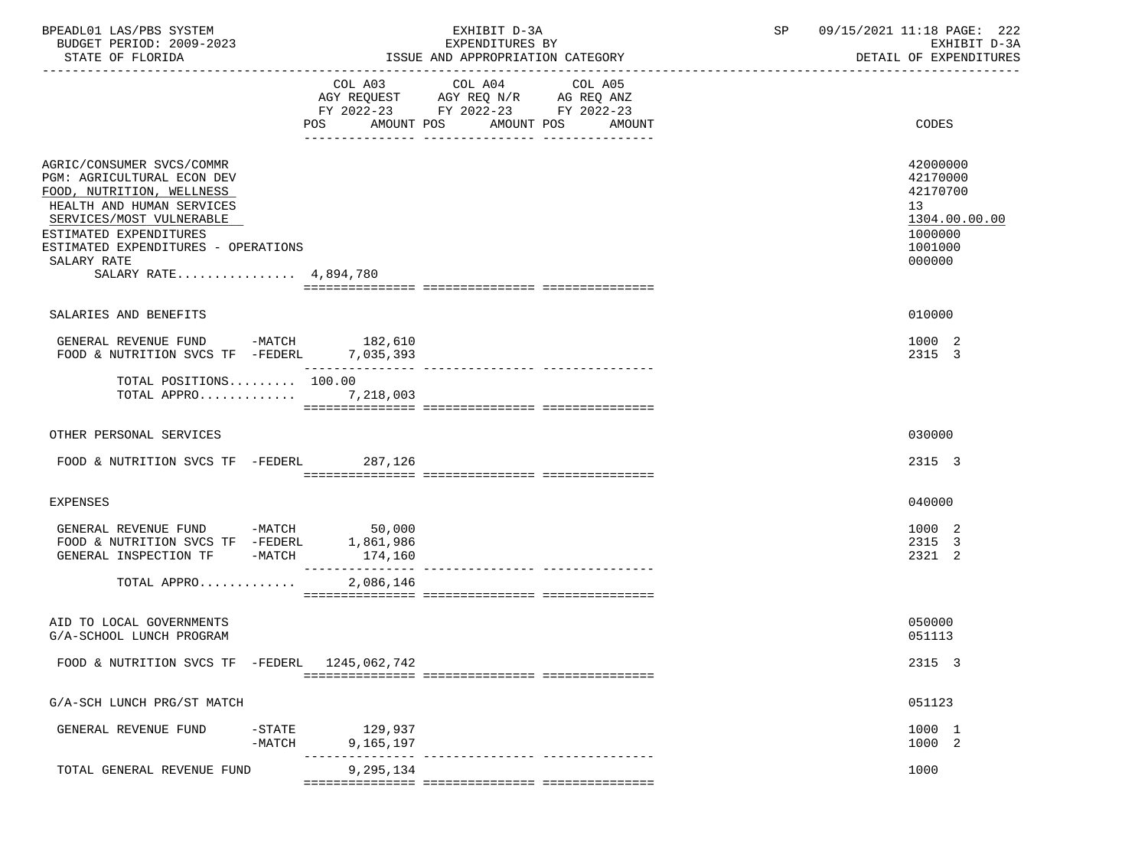| BPEADL01 LAS/PBS SYSTEM<br>BUDGET PERIOD: 2009-2023<br>STATE OF FLORIDA                                                                                                                                                                                |                      | EXHIBIT D-3A<br>EXPENDITURES BY<br>ISSUE AND APPROPRIATION CATEGORY                                                                   | SP | 09/15/2021 11:18 PAGE: 222<br>EXHIBIT D-3A<br>DETAIL OF EXPENDITURES                    |  |
|--------------------------------------------------------------------------------------------------------------------------------------------------------------------------------------------------------------------------------------------------------|----------------------|---------------------------------------------------------------------------------------------------------------------------------------|----|-----------------------------------------------------------------------------------------|--|
|                                                                                                                                                                                                                                                        |                      | COL A03 COL A04 COL A05<br>AGY REQUEST AGY REQ N/R AG REQ ANZ<br>FY 2022-23 FY 2022-23 FY 2022-23<br>POS AMOUNT POS AMOUNT POS AMOUNT |    | CODES                                                                                   |  |
| AGRIC/CONSUMER SVCS/COMMR<br>PGM: AGRICULTURAL ECON DEV<br>FOOD, NUTRITION, WELLNESS<br>HEALTH AND HUMAN SERVICES<br>SERVICES/MOST VULNERABLE<br>ESTIMATED EXPENDITURES<br>ESTIMATED EXPENDITURES - OPERATIONS<br>SALARY RATE<br>SALARY RATE 4,894,780 |                      |                                                                                                                                       |    | 42000000<br>42170000<br>42170700<br>13<br>1304.00.00.00<br>1000000<br>1001000<br>000000 |  |
| SALARIES AND BENEFITS                                                                                                                                                                                                                                  |                      |                                                                                                                                       |    | 010000                                                                                  |  |
| GENERAL REVENUE FUND -MATCH 182,610<br>FOOD & NUTRITION SVCS TF -FEDERL 7,035,393                                                                                                                                                                      |                      |                                                                                                                                       |    | 1000 2<br>2315 3                                                                        |  |
| TOTAL POSITIONS 100.00<br>TOTAL APPRO 7,218,003                                                                                                                                                                                                        |                      |                                                                                                                                       |    |                                                                                         |  |
| OTHER PERSONAL SERVICES                                                                                                                                                                                                                                |                      |                                                                                                                                       |    | 030000                                                                                  |  |
| FOOD & NUTRITION SVCS TF -FEDERL 287,126                                                                                                                                                                                                               |                      |                                                                                                                                       |    | 2315 3                                                                                  |  |
| EXPENSES                                                                                                                                                                                                                                               |                      |                                                                                                                                       |    | 040000                                                                                  |  |
| GENERAL REVENUE FUND -MATCH 50,000<br>FOOD & NUTRITION SVCS TF $-FEDERL$ 1,861,986<br>GENERAL INSPECTION TF -MATCH                                                                                                                                     | 174,160              |                                                                                                                                       |    | 1000 2<br>2315 3<br>2321 2                                                              |  |
| TOTAL APPRO                                                                                                                                                                                                                                            | 2,086,146            |                                                                                                                                       |    |                                                                                         |  |
| AID TO LOCAL GOVERNMENTS<br>G/A-SCHOOL LUNCH PROGRAM                                                                                                                                                                                                   |                      |                                                                                                                                       |    | 050000<br>051113                                                                        |  |
| FOOD & NUTRITION SVCS TF -FEDERL 1245,062,742                                                                                                                                                                                                          |                      |                                                                                                                                       |    | 2315 3                                                                                  |  |
| G/A-SCH LUNCH PRG/ST MATCH                                                                                                                                                                                                                             |                      |                                                                                                                                       |    | 051123                                                                                  |  |
| $-$ STATE<br>GENERAL REVENUE FUND<br>$-MATCH$                                                                                                                                                                                                          | 129,937<br>9,165,197 |                                                                                                                                       |    | 1000 1<br>1000 2                                                                        |  |
| TOTAL GENERAL REVENUE FUND                                                                                                                                                                                                                             | 9,295,134            |                                                                                                                                       |    | 1000                                                                                    |  |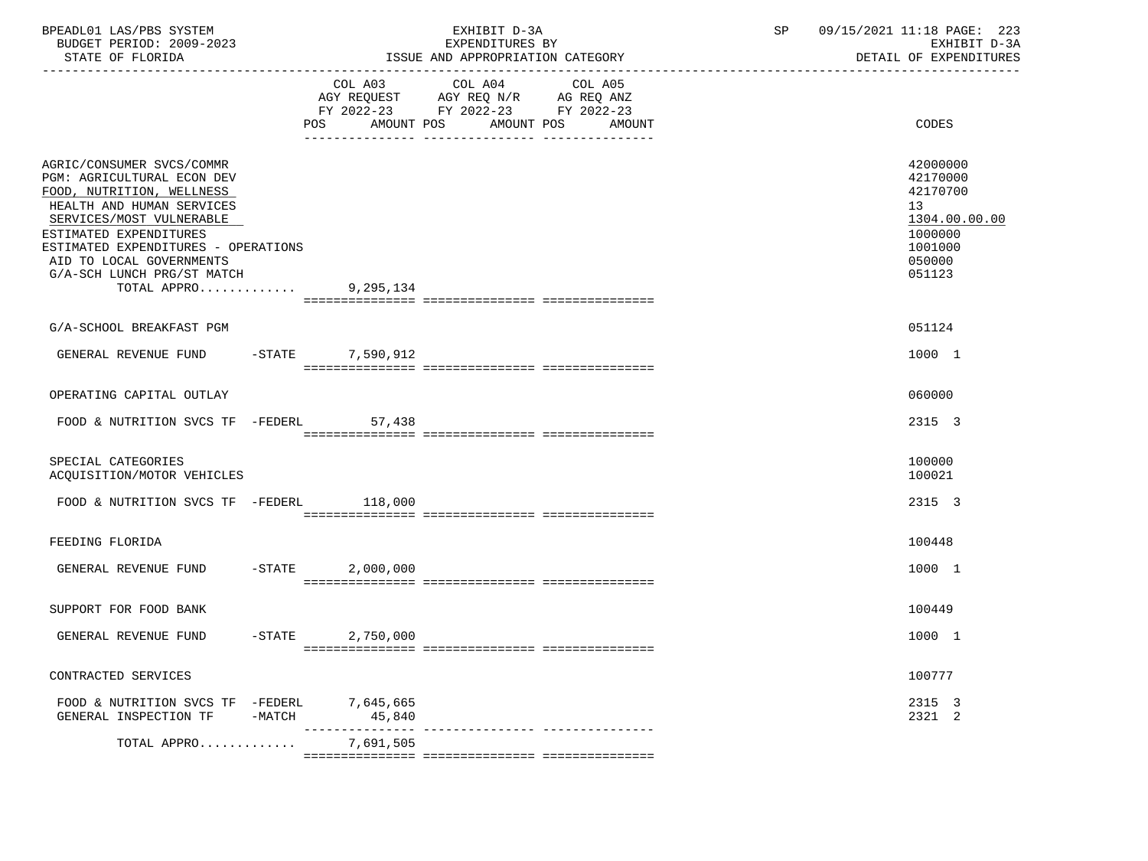| BPEADL01 LAS/PBS SYSTEM<br>BUDGET PERIOD: 2009-2023<br>STATE OF FLORIDA                                                                                                                                                                                                                 |           | EXHIBIT D-3A<br>EXPENDITURES BY<br>ISSUE AND APPROPRIATION CATEGORY                                                                         | SP | 09/15/2021 11:18 PAGE: 223<br>EXHIBIT D-3A<br>DETAIL OF EXPENDITURES                              |  |
|-----------------------------------------------------------------------------------------------------------------------------------------------------------------------------------------------------------------------------------------------------------------------------------------|-----------|---------------------------------------------------------------------------------------------------------------------------------------------|----|---------------------------------------------------------------------------------------------------|--|
|                                                                                                                                                                                                                                                                                         |           | COL A03 COL A04<br>COL A05<br>AGY REQUEST AGY REQ N/R AG REQ ANZ<br>FY 2022-23 FY 2022-23 FY 2022-23<br>POS AMOUNT POS AMOUNT POS<br>AMOUNT |    | CODES                                                                                             |  |
| AGRIC/CONSUMER SVCS/COMMR<br>PGM: AGRICULTURAL ECON DEV<br>FOOD, NUTRITION, WELLNESS<br>HEALTH AND HUMAN SERVICES<br>SERVICES/MOST VULNERABLE<br>ESTIMATED EXPENDITURES<br>ESTIMATED EXPENDITURES - OPERATIONS<br>AID TO LOCAL GOVERNMENTS<br>G/A-SCH LUNCH PRG/ST MATCH<br>TOTAL APPRO | 9,295,134 |                                                                                                                                             |    | 42000000<br>42170000<br>42170700<br>13<br>1304.00.00.00<br>1000000<br>1001000<br>050000<br>051123 |  |
| G/A-SCHOOL BREAKFAST PGM                                                                                                                                                                                                                                                                |           |                                                                                                                                             |    | 051124                                                                                            |  |
| GENERAL REVENUE FUND -STATE                                                                                                                                                                                                                                                             | 7,590,912 |                                                                                                                                             |    | 1000 1                                                                                            |  |
| OPERATING CAPITAL OUTLAY                                                                                                                                                                                                                                                                |           |                                                                                                                                             |    | 060000                                                                                            |  |
| FOOD & NUTRITION SVCS TF -FEDERL                                                                                                                                                                                                                                                        | 57,438    |                                                                                                                                             |    | 2315 3                                                                                            |  |
| SPECIAL CATEGORIES<br>ACQUISITION/MOTOR VEHICLES                                                                                                                                                                                                                                        |           |                                                                                                                                             |    | 100000<br>100021                                                                                  |  |
| FOOD & NUTRITION SVCS TF -FEDERL 118,000                                                                                                                                                                                                                                                |           |                                                                                                                                             |    | 2315 3                                                                                            |  |
| FEEDING FLORIDA                                                                                                                                                                                                                                                                         |           |                                                                                                                                             |    | 100448                                                                                            |  |
| GENERAL REVENUE FUND -STATE                                                                                                                                                                                                                                                             | 2,000,000 |                                                                                                                                             |    | 1000 1                                                                                            |  |
| SUPPORT FOR FOOD BANK                                                                                                                                                                                                                                                                   |           |                                                                                                                                             |    | 100449                                                                                            |  |
| GENERAL REVENUE FUND -STATE 2,750,000                                                                                                                                                                                                                                                   |           |                                                                                                                                             |    | 1000 1                                                                                            |  |
| CONTRACTED SERVICES                                                                                                                                                                                                                                                                     |           |                                                                                                                                             |    | 100777                                                                                            |  |
| FOOD & NUTRITION SVCS TF -FEDERL 7,645,665<br>GENERAL INSPECTION TF<br>-MATCH                                                                                                                                                                                                           | 45,840    |                                                                                                                                             |    | 2315 3<br>2321 2                                                                                  |  |
| TOTAL APPRO                                                                                                                                                                                                                                                                             | 7,691,505 |                                                                                                                                             |    |                                                                                                   |  |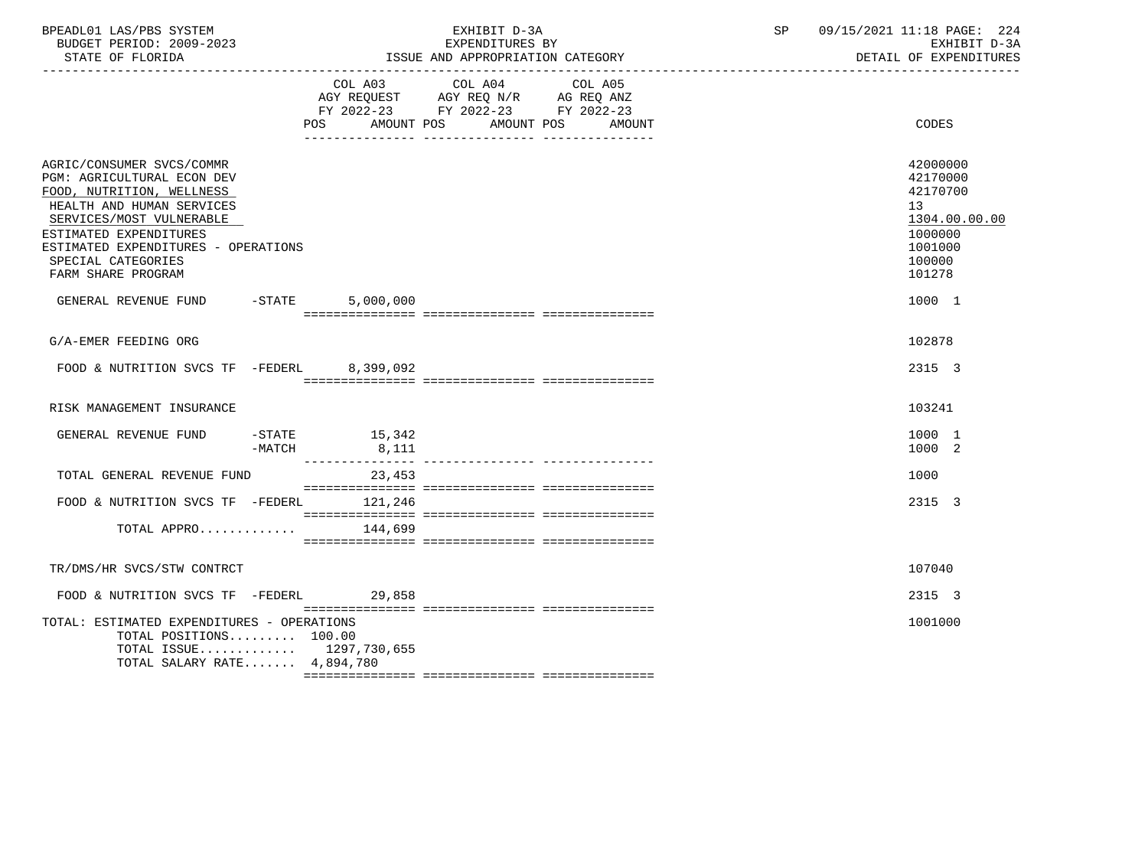| BPEADL01 LAS/PBS SYSTEM<br>BUDGET PERIOD: 2009-2023<br>STATE OF FLORIDA                                                                                                                                                                                    |                          | EXHIBIT D-3A<br>EXPENDITURES BY<br>ISSUE AND APPROPRIATION CATEGORY                                                                                                                                                                                                                                                                                                                                                                 | 09/15/2021 11:18 PAGE: 224<br>SP<br>EXHIBIT D-3A<br>DETAIL OF EXPENDITURES                        |
|------------------------------------------------------------------------------------------------------------------------------------------------------------------------------------------------------------------------------------------------------------|--------------------------|-------------------------------------------------------------------------------------------------------------------------------------------------------------------------------------------------------------------------------------------------------------------------------------------------------------------------------------------------------------------------------------------------------------------------------------|---------------------------------------------------------------------------------------------------|
|                                                                                                                                                                                                                                                            | AMOUNT POS<br>POS        | COL A03 COL A04 COL A05<br>AGY REQUEST AGY REQ N/R AG REQ ANZ<br>FY 2022-23 FY 2022-23 FY 2022-23<br>AMOUNT POS<br>AMOUNT                                                                                                                                                                                                                                                                                                           | CODES                                                                                             |
| AGRIC/CONSUMER SVCS/COMMR<br>PGM: AGRICULTURAL ECON DEV<br>FOOD, NUTRITION, WELLNESS<br>HEALTH AND HUMAN SERVICES<br>SERVICES/MOST VULNERABLE<br>ESTIMATED EXPENDITURES<br>ESTIMATED EXPENDITURES - OPERATIONS<br>SPECIAL CATEGORIES<br>FARM SHARE PROGRAM |                          |                                                                                                                                                                                                                                                                                                                                                                                                                                     | 42000000<br>42170000<br>42170700<br>13<br>1304.00.00.00<br>1000000<br>1001000<br>100000<br>101278 |
| GENERAL REVENUE FUND -STATE                                                                                                                                                                                                                                | 5,000,000                |                                                                                                                                                                                                                                                                                                                                                                                                                                     | 1000 1                                                                                            |
| G/A-EMER FEEDING ORG                                                                                                                                                                                                                                       |                          |                                                                                                                                                                                                                                                                                                                                                                                                                                     | 102878                                                                                            |
| FOOD & NUTRITION SVCS TF $-FEDERL$ 8,399,092                                                                                                                                                                                                               |                          |                                                                                                                                                                                                                                                                                                                                                                                                                                     | 2315 3                                                                                            |
| RISK MANAGEMENT INSURANCE                                                                                                                                                                                                                                  |                          |                                                                                                                                                                                                                                                                                                                                                                                                                                     | 103241                                                                                            |
| GENERAL REVENUE FUND<br>-MATCH                                                                                                                                                                                                                             | $-STATE$ 15,342<br>8,111 |                                                                                                                                                                                                                                                                                                                                                                                                                                     | 1000 1<br>1000 2                                                                                  |
| TOTAL GENERAL REVENUE FUND                                                                                                                                                                                                                                 | 23,453                   |                                                                                                                                                                                                                                                                                                                                                                                                                                     | 1000                                                                                              |
| FOOD & NUTRITION SVCS TF -FEDERL 121,246                                                                                                                                                                                                                   |                          | $\begin{minipage}{0.03\textwidth} \begin{tabular}{l} \textbf{1} & \textbf{2} & \textbf{3} & \textbf{5} & \textbf{5} & \textbf{6} & \textbf{6} & \textbf{7} & \textbf{8} & \textbf{8} & \textbf{9} & \textbf{9} & \textbf{9} & \textbf{9} & \textbf{9} & \textbf{9} & \textbf{9} & \textbf{9} & \textbf{9} & \textbf{9} & \textbf{9} & \textbf{9} & \textbf{9} & \textbf{9} & \textbf{9} & \textbf{9} & \textbf{9} & \textbf{9} & \$ | 2315 3                                                                                            |
| TOTAL APPRO                                                                                                                                                                                                                                                | 144,699                  |                                                                                                                                                                                                                                                                                                                                                                                                                                     |                                                                                                   |
| TR/DMS/HR SVCS/STW CONTRCT                                                                                                                                                                                                                                 |                          |                                                                                                                                                                                                                                                                                                                                                                                                                                     | 107040                                                                                            |
| FOOD & NUTRITION SVCS TF $-FEDERL$ 29,858                                                                                                                                                                                                                  |                          |                                                                                                                                                                                                                                                                                                                                                                                                                                     | 2315 3                                                                                            |
| TOTAL: ESTIMATED EXPENDITURES - OPERATIONS<br>TOTAL POSITIONS 100.00<br>TOTAL ISSUE $1297,730,655$<br>TOTAL SALARY RATE 4,894,780                                                                                                                          |                          |                                                                                                                                                                                                                                                                                                                                                                                                                                     | 1001000                                                                                           |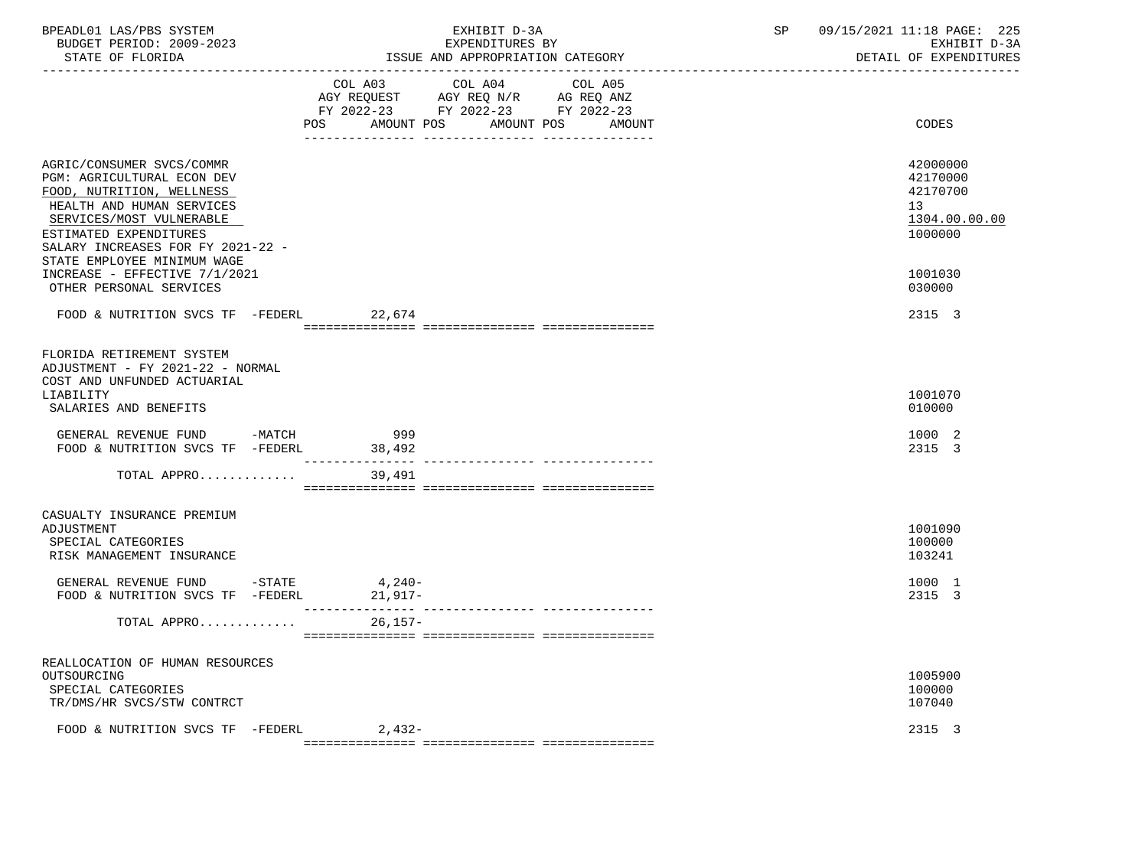| BPEADL01 LAS/PBS SYSTEM<br>BUDGET PERIOD: 2009-2023                                                                                                                                                                                                                          |                                  | EXHIBIT D-3A<br>EXPENDITURES BY                                                                                                      | SP | 09/15/2021 11:18 PAGE: 225<br>EXHIBIT D-3A<br>DETAIL OF EXPENDITURES          |
|------------------------------------------------------------------------------------------------------------------------------------------------------------------------------------------------------------------------------------------------------------------------------|----------------------------------|--------------------------------------------------------------------------------------------------------------------------------------|----|-------------------------------------------------------------------------------|
|                                                                                                                                                                                                                                                                              | POS                              | COL A03 COL A04 COL A05<br>AGY REQUEST AGY REQ N/R AG REQ ANZ<br>FY 2022-23 FY 2022-23 FY 2022-23<br>AMOUNT POS AMOUNT POS<br>AMOUNT |    | CODES                                                                         |
| AGRIC/CONSUMER SVCS/COMMR<br>PGM: AGRICULTURAL ECON DEV<br>FOOD, NUTRITION, WELLNESS<br>HEALTH AND HUMAN SERVICES<br>SERVICES/MOST VULNERABLE<br>ESTIMATED EXPENDITURES<br>SALARY INCREASES FOR FY 2021-22 -<br>STATE EMPLOYEE MINIMUM WAGE<br>INCREASE - EFFECTIVE 7/1/2021 |                                  |                                                                                                                                      |    | 42000000<br>42170000<br>42170700<br>13<br>1304.00.00.00<br>1000000<br>1001030 |
| OTHER PERSONAL SERVICES<br>FOOD & NUTRITION SVCS TF -FEDERL 22,674                                                                                                                                                                                                           |                                  |                                                                                                                                      |    | 030000<br>2315 3                                                              |
| FLORIDA RETIREMENT SYSTEM<br>ADJUSTMENT - FY 2021-22 - NORMAL<br>COST AND UNFUNDED ACTUARIAL<br>LIABILITY<br>SALARIES AND BENEFITS                                                                                                                                           |                                  |                                                                                                                                      |    | 1001070<br>010000                                                             |
| GENERAL REVENUE FUND -MATCH<br>FOOD & NUTRITION SVCS TF -FEDERL                                                                                                                                                                                                              | 999<br>38,492<br>_______________ |                                                                                                                                      |    | 1000 2<br>2315 3                                                              |
| TOTAL APPRO                                                                                                                                                                                                                                                                  | 39,491                           |                                                                                                                                      |    |                                                                               |
| CASUALTY INSURANCE PREMIUM<br>ADJUSTMENT<br>SPECIAL CATEGORIES<br>RISK MANAGEMENT INSURANCE                                                                                                                                                                                  |                                  |                                                                                                                                      |    | 1001090<br>100000<br>103241                                                   |
| GENERAL REVENUE FUND -STATE 4,240-<br>FOOD & NUTRITION SVCS TF -FEDERL                                                                                                                                                                                                       | $21,917-$                        |                                                                                                                                      |    | 1000 1<br>2315 3                                                              |
| TOTAL APPRO                                                                                                                                                                                                                                                                  | 26,157-                          |                                                                                                                                      |    |                                                                               |
| REALLOCATION OF HUMAN RESOURCES<br>OUTSOURCING<br>SPECIAL CATEGORIES<br>TR/DMS/HR SVCS/STW CONTRCT                                                                                                                                                                           |                                  |                                                                                                                                      |    | 1005900<br>100000<br>107040                                                   |
| FOOD & NUTRITION SVCS TF -FEDERL                                                                                                                                                                                                                                             | $2,432-$                         |                                                                                                                                      |    | 2315 3                                                                        |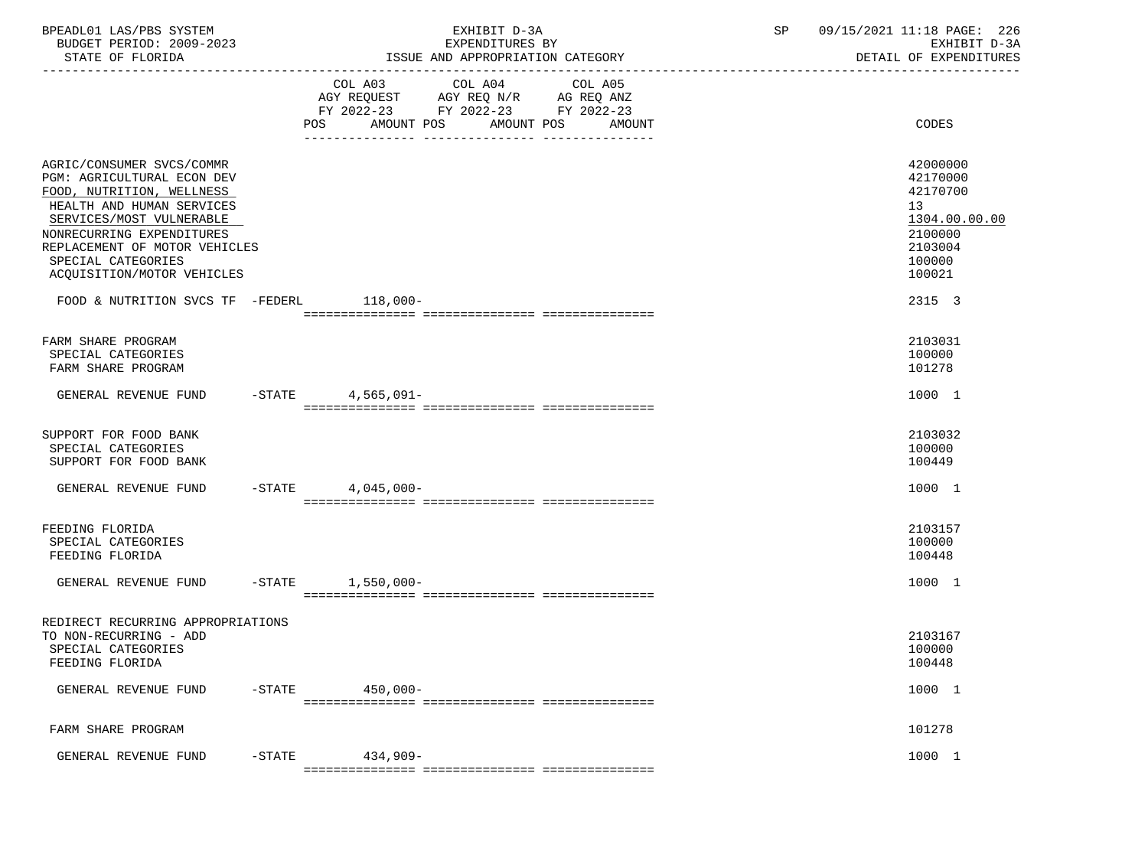| BPEADL01 LAS/PBS SYSTEM<br>BUDGET PERIOD: 2009-2023<br>STATE OF FLORIDA                                                                                                                                                                                         | EXHIBIT D-3A<br>EXPENDITURES BY<br>ISSUE AND APPROPRIATION CATEGORY |                                                                                                                               |  |         | 09/15/2021 11:18 PAGE: 226<br>SP<br>EXHIBIT D-3A<br>DETAIL OF EXPENDITURES |  |                                                                                                   |
|-----------------------------------------------------------------------------------------------------------------------------------------------------------------------------------------------------------------------------------------------------------------|---------------------------------------------------------------------|-------------------------------------------------------------------------------------------------------------------------------|--|---------|----------------------------------------------------------------------------|--|---------------------------------------------------------------------------------------------------|
|                                                                                                                                                                                                                                                                 |                                                                     | COL A03 COL A04<br>AGY REQUEST AGY REQ N/R AG REQ ANZ<br>FY 2022-23 FY 2022-23 FY 2022-23<br>POS AMOUNT POS AMOUNT POS AMOUNT |  | COL A05 |                                                                            |  | CODES                                                                                             |
| AGRIC/CONSUMER SVCS/COMMR<br>PGM: AGRICULTURAL ECON DEV<br>FOOD, NUTRITION, WELLNESS<br>HEALTH AND HUMAN SERVICES<br>SERVICES/MOST VULNERABLE<br>NONRECURRING EXPENDITURES<br>REPLACEMENT OF MOTOR VEHICLES<br>SPECIAL CATEGORIES<br>ACQUISITION/MOTOR VEHICLES |                                                                     |                                                                                                                               |  |         |                                                                            |  | 42000000<br>42170000<br>42170700<br>13<br>1304.00.00.00<br>2100000<br>2103004<br>100000<br>100021 |
| FOOD & NUTRITION SVCS TF -FEDERL 118,000-                                                                                                                                                                                                                       |                                                                     |                                                                                                                               |  |         |                                                                            |  | 2315 3                                                                                            |
| FARM SHARE PROGRAM<br>SPECIAL CATEGORIES<br>FARM SHARE PROGRAM<br>GENERAL REVENUE FUND -STATE 4,565,091-                                                                                                                                                        |                                                                     |                                                                                                                               |  |         |                                                                            |  | 2103031<br>100000<br>101278<br>1000 1                                                             |
|                                                                                                                                                                                                                                                                 |                                                                     |                                                                                                                               |  |         |                                                                            |  |                                                                                                   |
| SUPPORT FOR FOOD BANK<br>SPECIAL CATEGORIES<br>SUPPORT FOR FOOD BANK                                                                                                                                                                                            |                                                                     |                                                                                                                               |  |         |                                                                            |  | 2103032<br>100000<br>100449                                                                       |
| GENERAL REVENUE FUND                                                                                                                                                                                                                                            | $-STATE$                                                            | $4,045,000-$                                                                                                                  |  |         |                                                                            |  | 1000 1                                                                                            |
| FEEDING FLORIDA<br>SPECIAL CATEGORIES<br>FEEDING FLORIDA                                                                                                                                                                                                        |                                                                     |                                                                                                                               |  |         |                                                                            |  | 2103157<br>100000<br>100448                                                                       |
| GENERAL REVENUE FUND -STATE 1,550,000-                                                                                                                                                                                                                          |                                                                     |                                                                                                                               |  |         |                                                                            |  | 1000 1                                                                                            |
| REDIRECT RECURRING APPROPRIATIONS<br>TO NON-RECURRING - ADD<br>SPECIAL CATEGORIES<br>FEEDING FLORIDA                                                                                                                                                            |                                                                     |                                                                                                                               |  |         |                                                                            |  | 2103167<br>100000<br>100448                                                                       |
| GENERAL REVENUE FUND                                                                                                                                                                                                                                            | $-$ STATE                                                           | $450,000 -$                                                                                                                   |  |         |                                                                            |  | 1000 1                                                                                            |
| FARM SHARE PROGRAM                                                                                                                                                                                                                                              |                                                                     |                                                                                                                               |  |         |                                                                            |  | 101278                                                                                            |
| GENERAL REVENUE FUND                                                                                                                                                                                                                                            | $-STATE$                                                            | 434,909-                                                                                                                      |  |         |                                                                            |  | 1000 1                                                                                            |
|                                                                                                                                                                                                                                                                 |                                                                     |                                                                                                                               |  |         |                                                                            |  |                                                                                                   |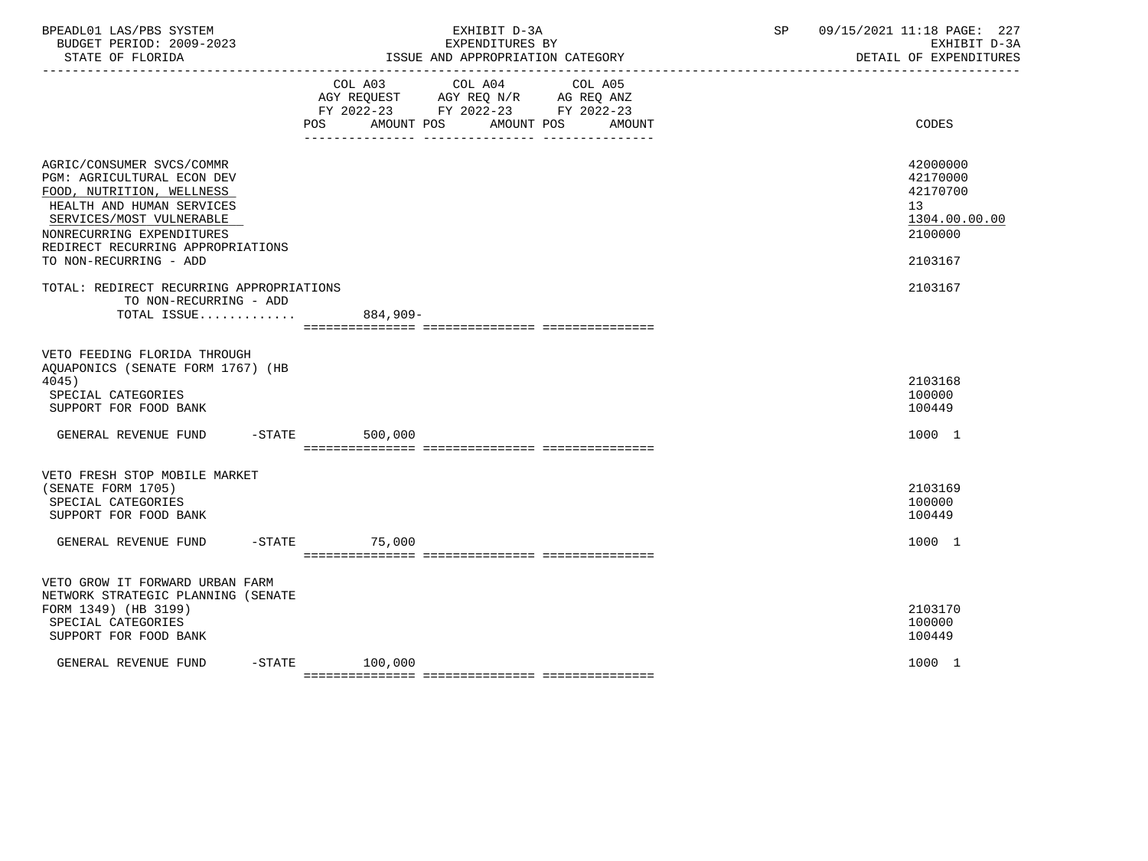| BPEADL01 LAS/PBS SYSTEM<br>BUDGET PERIOD: 2009-2023<br>STATE OF FLORIDA                                                                                                                                                                   | EXHIBIT D-3A<br>EXPENDITURES BY<br>ISSUE AND APPROPRIATION CATEGORY                                                                      | 09/15/2021 11:18 PAGE: 227<br>SP and the set of the set of the set of the set of the set of the set of the set of the set of the set of the s<br>EXHIBIT D-3A<br>DETAIL OF EXPENDITURES |
|-------------------------------------------------------------------------------------------------------------------------------------------------------------------------------------------------------------------------------------------|------------------------------------------------------------------------------------------------------------------------------------------|-----------------------------------------------------------------------------------------------------------------------------------------------------------------------------------------|
|                                                                                                                                                                                                                                           | COL A03 COL A04<br>COL A05<br>AGY REQUEST AGY REQ N/R AG REQ ANZ<br>FY 2022-23 FY 2022-23 FY 2022-23<br>POS AMOUNT POS AMOUNT POS AMOUNT | CODES                                                                                                                                                                                   |
| AGRIC/CONSUMER SVCS/COMMR<br>PGM: AGRICULTURAL ECON DEV<br>FOOD, NUTRITION, WELLNESS<br>HEALTH AND HUMAN SERVICES<br>SERVICES/MOST VULNERABLE<br>NONRECURRING EXPENDITURES<br>REDIRECT RECURRING APPROPRIATIONS<br>TO NON-RECURRING - ADD |                                                                                                                                          | 42000000<br>42170000<br>42170700<br>13<br>1304.00.00.00<br>2100000<br>2103167                                                                                                           |
| TOTAL: REDIRECT RECURRING APPROPRIATIONS<br>TO NON-RECURRING - ADD<br>TOTAL ISSUE                                                                                                                                                         | 884,909-                                                                                                                                 | 2103167                                                                                                                                                                                 |
| VETO FEEDING FLORIDA THROUGH<br>AQUAPONICS (SENATE FORM 1767) (HB<br>4045)<br>SPECIAL CATEGORIES<br>SUPPORT FOR FOOD BANK                                                                                                                 |                                                                                                                                          | 2103168<br>100000<br>100449                                                                                                                                                             |
| GENERAL REVENUE FUND -STATE                                                                                                                                                                                                               | 500,000                                                                                                                                  | 1000 1                                                                                                                                                                                  |
| VETO FRESH STOP MOBILE MARKET<br>(SENATE FORM 1705)<br>SPECIAL CATEGORIES<br>SUPPORT FOR FOOD BANK                                                                                                                                        |                                                                                                                                          | 2103169<br>100000<br>100449                                                                                                                                                             |
| GENERAL REVENUE FUND                                                                                                                                                                                                                      | $-STATE$ 75,000                                                                                                                          | 1000 1                                                                                                                                                                                  |
| VETO GROW IT FORWARD URBAN FARM<br>NETWORK STRATEGIC PLANNING (SENATE<br>FORM 1349) (HB 3199)<br>SPECIAL CATEGORIES<br>SUPPORT FOR FOOD BANK                                                                                              |                                                                                                                                          | 2103170<br>100000<br>100449                                                                                                                                                             |
| $-$ STATE<br>GENERAL REVENUE FUND                                                                                                                                                                                                         | 100,000                                                                                                                                  | 1000 1                                                                                                                                                                                  |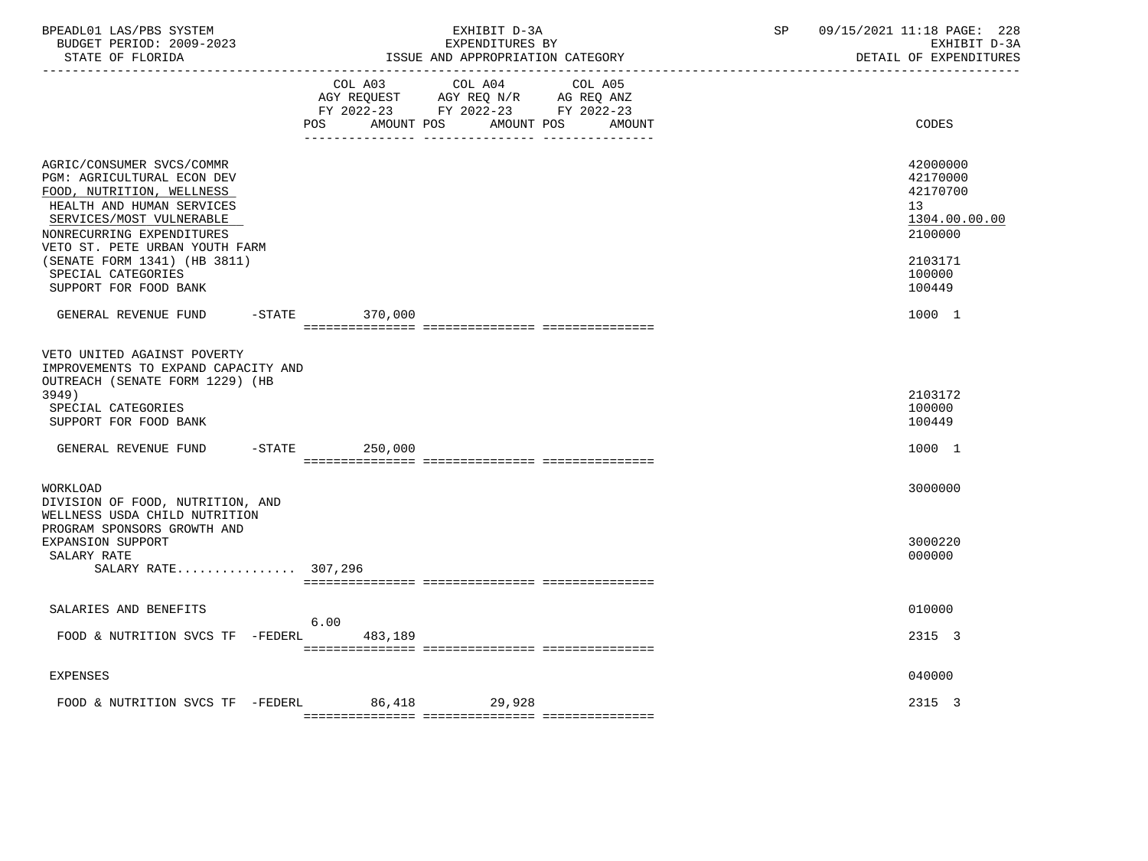| BPEADL01 LAS/PBS SYSTEM<br>BUDGET PERIOD: 2009-2023<br>STATE OF FLORIDA                                                                                                                                                                                                                     | EXHIBIT D-3A<br>EXPENDITURES BY<br>ISSUE AND APPROPRIATION CATEGORY                                                                   | 09/15/2021 11:18 PAGE: 228<br>SP<br>EXHIBIT D-3A<br>DETAIL OF EXPENDITURES                        |
|---------------------------------------------------------------------------------------------------------------------------------------------------------------------------------------------------------------------------------------------------------------------------------------------|---------------------------------------------------------------------------------------------------------------------------------------|---------------------------------------------------------------------------------------------------|
|                                                                                                                                                                                                                                                                                             | COL A03 COL A04 COL A05<br>AGY REQUEST AGY REQ N/R AG REQ ANZ<br>FY 2022-23 FY 2022-23 FY 2022-23<br>POS AMOUNT POS AMOUNT POS AMOUNT | CODES                                                                                             |
| AGRIC/CONSUMER SVCS/COMMR<br>PGM: AGRICULTURAL ECON DEV<br>FOOD, NUTRITION, WELLNESS<br>HEALTH AND HUMAN SERVICES<br>SERVICES/MOST VULNERABLE<br>NONRECURRING EXPENDITURES<br>VETO ST. PETE URBAN YOUTH FARM<br>(SENATE FORM 1341) (HB 3811)<br>SPECIAL CATEGORIES<br>SUPPORT FOR FOOD BANK |                                                                                                                                       | 42000000<br>42170000<br>42170700<br>13<br>1304.00.00.00<br>2100000<br>2103171<br>100000<br>100449 |
| GENERAL REVENUE FUND                                                                                                                                                                                                                                                                        | $-STATE$ 370,000                                                                                                                      | 1000 1                                                                                            |
| VETO UNITED AGAINST POVERTY<br>IMPROVEMENTS TO EXPAND CAPACITY AND<br>OUTREACH (SENATE FORM 1229) (HB<br>3949)<br>SPECIAL CATEGORIES<br>SUPPORT FOR FOOD BANK                                                                                                                               |                                                                                                                                       | 2103172<br>100000<br>100449                                                                       |
| GENERAL REVENUE FUND                                                                                                                                                                                                                                                                        | $-STATE$<br>250,000                                                                                                                   | 1000 1                                                                                            |
| WORKLOAD<br>DIVISION OF FOOD, NUTRITION, AND<br>WELLNESS USDA CHILD NUTRITION<br>PROGRAM SPONSORS GROWTH AND                                                                                                                                                                                |                                                                                                                                       | 3000000                                                                                           |
| EXPANSION SUPPORT<br>SALARY RATE<br>SALARY RATE 307,296                                                                                                                                                                                                                                     |                                                                                                                                       | 3000220<br>000000                                                                                 |
| SALARIES AND BENEFITS                                                                                                                                                                                                                                                                       |                                                                                                                                       | 010000                                                                                            |
| FOOD & NUTRITION SVCS TF -FEDERL                                                                                                                                                                                                                                                            | 6.00<br>483,189                                                                                                                       | 2315 3                                                                                            |
| <b>EXPENSES</b>                                                                                                                                                                                                                                                                             |                                                                                                                                       | 040000                                                                                            |
| FOOD & NUTRITION SVCS TF -FEDERL                                                                                                                                                                                                                                                            | 86,418 29,928                                                                                                                         | 2315 3                                                                                            |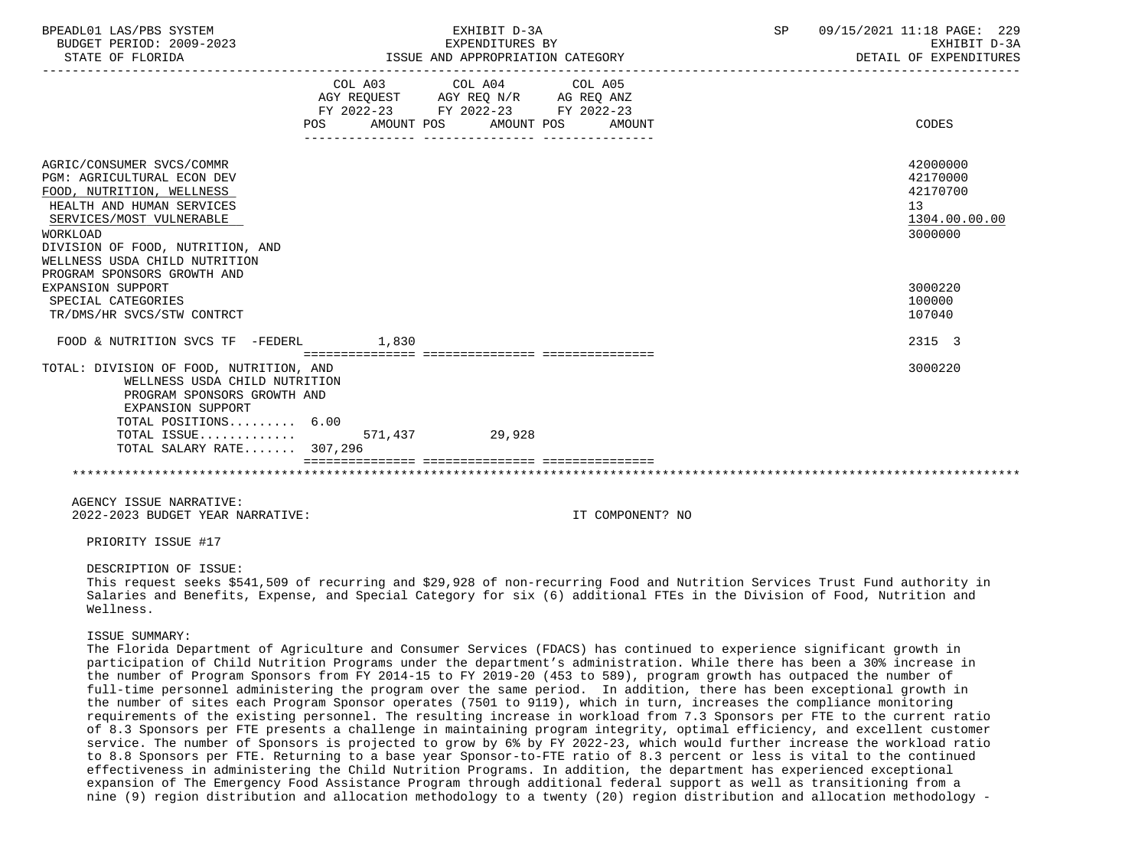| BUDGET PERIOD: 2009-2023<br>EXPENDITURES BY<br>ISSUE AND APPROPRIATION CATEGORY<br>STATE OF FLORIDA<br>COL A03 COL A04 COL A05<br>AGY REQUEST AGY REQ N/R AG REQ ANZ<br>FY 2022-23 FY 2022-23 FY 2022-23<br>AMOUNT POS AMOUNT POS<br>POS<br>AMOUNT<br>AGRIC/CONSUMER SVCS/COMMR<br>PGM: AGRICULTURAL ECON DEV<br>FOOD, NUTRITION, WELLNESS<br>HEALTH AND HUMAN SERVICES<br>SERVICES/MOST VULNERABLE<br>WORKLOAD<br>DIVISION OF FOOD, NUTRITION, AND<br>WELLNESS USDA CHILD NUTRITION | 09/15/2021 11:18 PAGE: 229<br>EXHIBIT D-3A                         |
|--------------------------------------------------------------------------------------------------------------------------------------------------------------------------------------------------------------------------------------------------------------------------------------------------------------------------------------------------------------------------------------------------------------------------------------------------------------------------------------|--------------------------------------------------------------------|
|                                                                                                                                                                                                                                                                                                                                                                                                                                                                                      | DETAIL OF EXPENDITURES                                             |
|                                                                                                                                                                                                                                                                                                                                                                                                                                                                                      | <b>CODES</b>                                                       |
|                                                                                                                                                                                                                                                                                                                                                                                                                                                                                      | 42000000<br>42170000<br>42170700<br>13<br>1304.00.00.00<br>3000000 |
| PROGRAM SPONSORS GROWTH AND<br>EXPANSION SUPPORT<br>SPECIAL CATEGORIES<br>TR/DMS/HR SVCS/STW CONTRCT                                                                                                                                                                                                                                                                                                                                                                                 | 3000220<br>100000<br>107040                                        |
| FOOD & NUTRITION SVCS TF $-FEDERL$ 1.830                                                                                                                                                                                                                                                                                                                                                                                                                                             | 2315 3                                                             |
| TOTAL: DIVISION OF FOOD, NUTRITION, AND<br>WELLNESS USDA CHILD NUTRITION<br>PROGRAM SPONSORS GROWTH AND<br><b>EXPANSION SUPPORT</b><br>TOTAL POSITIONS 6.00<br>571,437 29,928<br>TOTAL ISSUE<br>TOTAL SALARY RATE 307,296                                                                                                                                                                                                                                                            | 3000220                                                            |
|                                                                                                                                                                                                                                                                                                                                                                                                                                                                                      |                                                                    |
| AGENCY ISSUE NARRATIVE:<br>2022-2023 BUDGET YEAR NARRATIVE:<br>IT COMPONENT? NO                                                                                                                                                                                                                                                                                                                                                                                                      |                                                                    |
| PRIORITY ISSUE #17                                                                                                                                                                                                                                                                                                                                                                                                                                                                   |                                                                    |
| DESCRIPTION OF ISSUE:<br>This request seeks \$541,509 of recurring and \$29,928 of non-recurring Food and Nutrition Services Trust Fund authority in<br>Salaries and Benefits, Expense, and Special Category for six (6) additional FTEs in the Division of Food, Nutrition and<br>Wellness.<br>ISSUE SUMMARY:                                                                                                                                                                       |                                                                    |

 The Florida Department of Agriculture and Consumer Services (FDACS) has continued to experience significant growth in participation of Child Nutrition Programs under the department's administration. While there has been a 30% increase in the number of Program Sponsors from FY 2014-15 to FY 2019-20 (453 to 589), program growth has outpaced the number of full-time personnel administering the program over the same period. In addition, there has been exceptional growth in the number of sites each Program Sponsor operates (7501 to 9119), which in turn, increases the compliance monitoring requirements of the existing personnel. The resulting increase in workload from 7.3 Sponsors per FTE to the current ratio of 8.3 Sponsors per FTE presents a challenge in maintaining program integrity, optimal efficiency, and excellent customer service. The number of Sponsors is projected to grow by 6% by FY 2022-23, which would further increase the workload ratio to 8.8 Sponsors per FTE. Returning to a base year Sponsor-to-FTE ratio of 8.3 percent or less is vital to the continued effectiveness in administering the Child Nutrition Programs. In addition, the department has experienced exceptional expansion of The Emergency Food Assistance Program through additional federal support as well as transitioning from a nine (9) region distribution and allocation methodology to a twenty (20) region distribution and allocation methodology -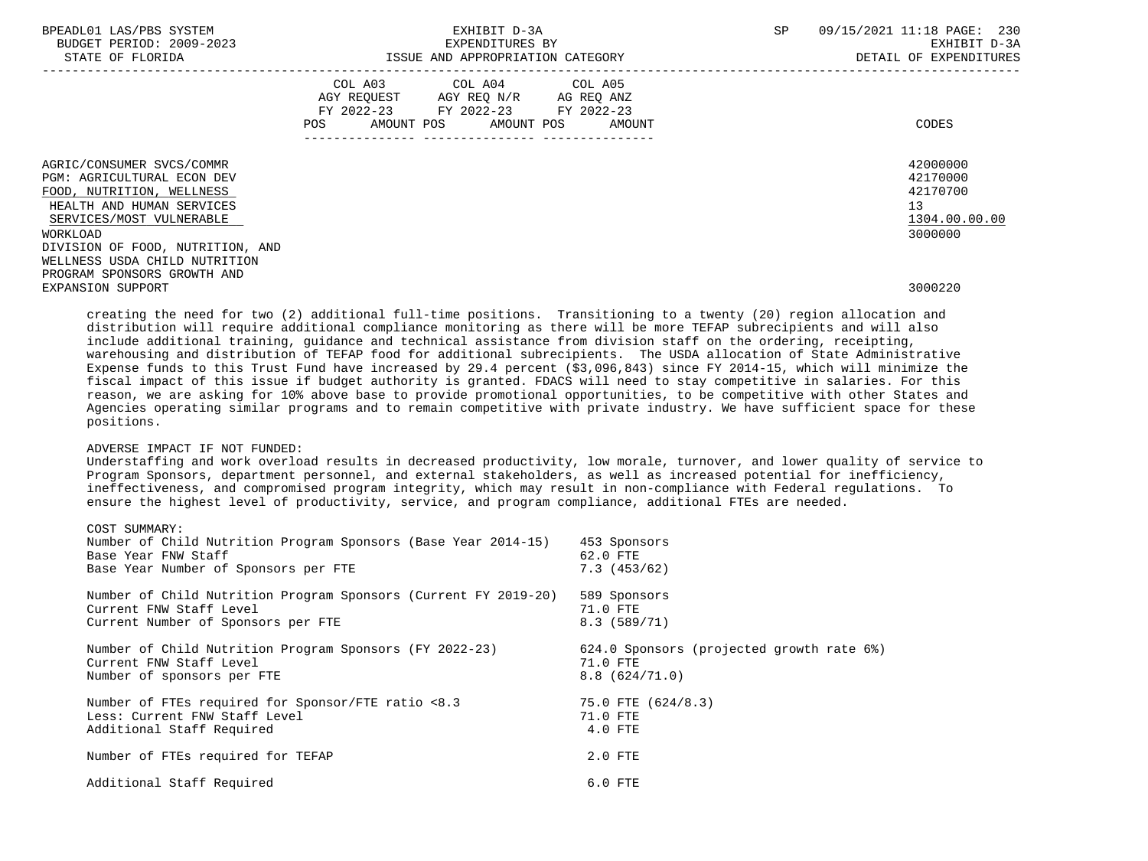| BPEADL01 LAS/PBS SYSTEM<br>BUDGET PERIOD: 2009-2023<br>STATE OF FLORIDA                                                                                                                              | EXHIBIT D-3A<br>EXPENDITURES BY<br>ISSUE AND APPROPRIATION CATEGORY                                                                      | 09/15/2021 11:18 PAGE: 230<br><b>SP</b><br>EXHIBIT D-3A<br>DETAIL OF EXPENDITURES |
|------------------------------------------------------------------------------------------------------------------------------------------------------------------------------------------------------|------------------------------------------------------------------------------------------------------------------------------------------|-----------------------------------------------------------------------------------|
|                                                                                                                                                                                                      | COL A03 COL A04 COL A05<br>AGY REQUEST AGY REQ N/R AG REQ ANZ<br>FY 2022-23 FY 2022-23 FY 2022-23<br>POS<br>AMOUNT POS AMOUNT POS AMOUNT | CODES                                                                             |
| AGRIC/CONSUMER SVCS/COMMR<br><b>PGM: AGRICULTURAL ECON DEV</b><br>FOOD, NUTRITION, WELLNESS<br>HEALTH AND HUMAN SERVICES<br>SERVICES/MOST VULNERABLE<br>WORKLOAD<br>DIVISION OF FOOD, NUTRITION, AND |                                                                                                                                          | 42000000<br>42170000<br>42170700<br>13 <sup>°</sup><br>1304.00.00.00<br>3000000   |
| WELLNESS USDA CHILD NUTRITION<br>PROGRAM SPONSORS GROWTH AND<br><b>EXPANSION SUPPORT</b>                                                                                                             |                                                                                                                                          | 3000220                                                                           |

 creating the need for two (2) additional full-time positions. Transitioning to a twenty (20) region allocation and distribution will require additional compliance monitoring as there will be more TEFAP subrecipients and will also include additional training, guidance and technical assistance from division staff on the ordering, receipting, warehousing and distribution of TEFAP food for additional subrecipients. The USDA allocation of State Administrative Expense funds to this Trust Fund have increased by 29.4 percent (\$3,096,843) since FY 2014-15, which will minimize the fiscal impact of this issue if budget authority is granted. FDACS will need to stay competitive in salaries. For this reason, we are asking for 10% above base to provide promotional opportunities, to be competitive with other States and Agencies operating similar programs and to remain competitive with private industry. We have sufficient space for these positions.

# ADVERSE IMPACT IF NOT FUNDED:

 Understaffing and work overload results in decreased productivity, low morale, turnover, and lower quality of service to Program Sponsors, department personnel, and external stakeholders, as well as increased potential for inefficiency, ineffectiveness, and compromised program integrity, which may result in non-compliance with Federal regulations. To ensure the highest level of productivity, service, and program compliance, additional FTEs are needed.

| Number of Child Nutrition Program Sponsors (Base Year 2014-15)<br>Base Year FNW Staff | 453 Sponsors<br>62.0 FTE                  |
|---------------------------------------------------------------------------------------|-------------------------------------------|
| Base Year Number of Sponsors per FTE                                                  | 7.3(453/62)                               |
| Number of Child Nutrition Program Sponsors (Current FY 2019-20)                       | 589 Sponsors                              |
| Current FNW Staff Level                                                               | 71.0 FTE                                  |
| Current Number of Sponsors per FTE                                                    | 8.3(589/71)                               |
| Number of Child Nutrition Program Sponsors (FY 2022-23)                               | 624.0 Sponsors (projected growth rate 6%) |
| Current FNW Staff Level                                                               | 71.0 FTE                                  |
| Number of sponsors per FTE                                                            | 8.8(624/71.0)                             |
| Number of FTEs required for Sponsor/FTE ratio <8.3                                    | 75.0 FTE (624/8.3)                        |
| Less: Current FNW Staff Level                                                         | 71.0 FTE                                  |
| Additional Staff Required                                                             | 4.0 FTE                                   |
| Number of FTEs required for TEFAP                                                     | $2.0$ FTE                                 |
| Additional Staff Required                                                             | $6.0$ FTE                                 |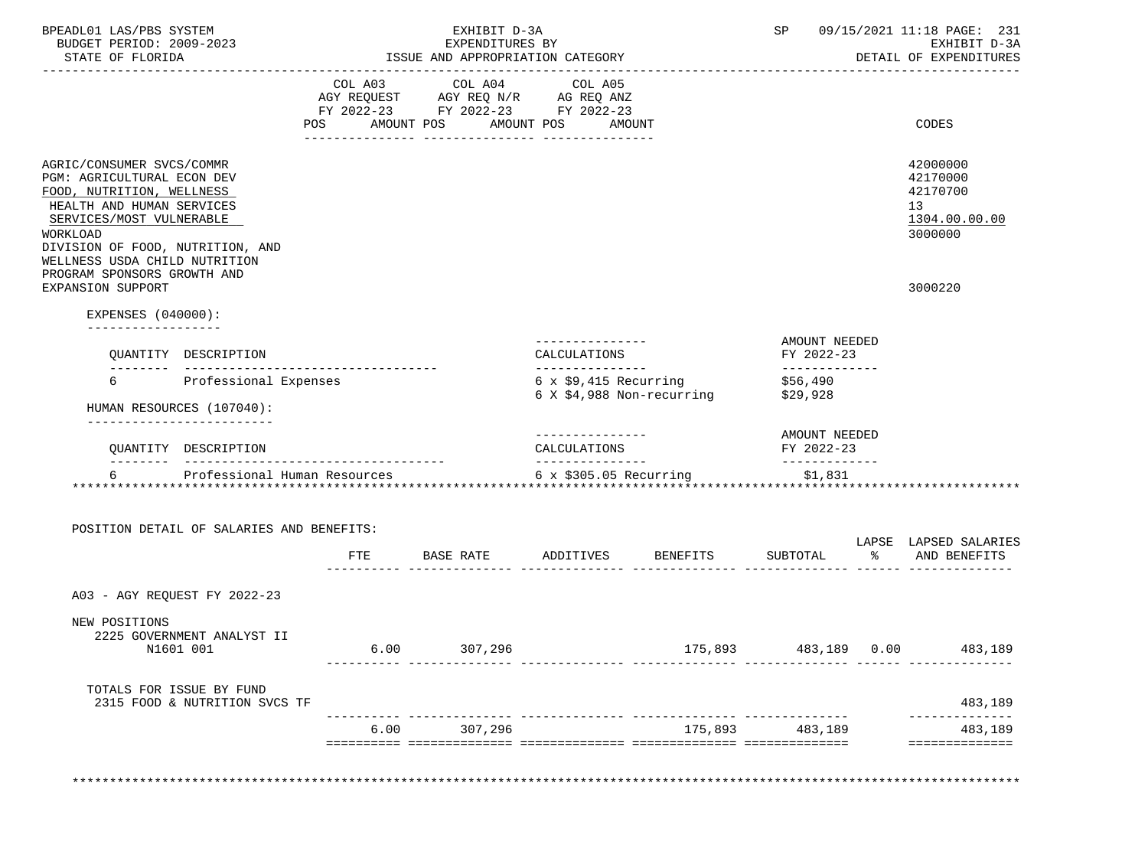| BPEADL01 LAS/PBS SYSTEM<br>BUDGET PERIOD: 2009-2023<br>STATE OF FLORIDA                                                                                                                       | ISSUE AND APPROPRIATION CATEGORY |                                                               | SP 09/15/2021 11:18 PAGE: 231<br>EXHIBIT D-3A<br>DETAIL OF EXPENDITURES |                                                                   |                                              |                                                                    |
|-----------------------------------------------------------------------------------------------------------------------------------------------------------------------------------------------|----------------------------------|---------------------------------------------------------------|-------------------------------------------------------------------------|-------------------------------------------------------------------|----------------------------------------------|--------------------------------------------------------------------|
|                                                                                                                                                                                               |                                  |                                                               |                                                                         |                                                                   |                                              |                                                                    |
|                                                                                                                                                                                               |                                  | COL A03 COL A04 COL A05<br>AGY REQUEST AGY REQ N/R AG REQ ANZ |                                                                         |                                                                   |                                              |                                                                    |
|                                                                                                                                                                                               |                                  | FY 2022-23 FY 2022-23 FY 2022-23                              |                                                                         |                                                                   |                                              |                                                                    |
|                                                                                                                                                                                               |                                  | POS AMOUNT POS AMOUNT POS AMOUNT                              |                                                                         |                                                                   |                                              | CODES                                                              |
| AGRIC/CONSUMER SVCS/COMMR<br>PGM: AGRICULTURAL ECON DEV<br>FOOD, NUTRITION, WELLNESS<br>HEALTH AND HUMAN SERVICES<br>SERVICES/MOST VULNERABLE<br>WORKLOAD<br>DIVISION OF FOOD, NUTRITION, AND |                                  |                                                               |                                                                         |                                                                   |                                              | 42000000<br>42170000<br>42170700<br>13<br>1304.00.00.00<br>3000000 |
| WELLNESS USDA CHILD NUTRITION<br>PROGRAM SPONSORS GROWTH AND<br><b>EXPANSION SUPPORT</b>                                                                                                      |                                  |                                                               |                                                                         |                                                                   |                                              | 3000220                                                            |
| EXPENSES (040000):                                                                                                                                                                            |                                  |                                                               |                                                                         |                                                                   |                                              |                                                                    |
|                                                                                                                                                                                               |                                  |                                                               | ________________                                                        |                                                                   |                                              |                                                                    |
| QUANTITY DESCRIPTION                                                                                                                                                                          |                                  |                                                               | CALCULATIONS<br>________________                                        |                                                                   | AMOUNT NEEDED<br>FY 2022-23<br>------------- |                                                                    |
| 6 Professional Expenses                                                                                                                                                                       |                                  |                                                               |                                                                         | $6 \times $9,415$ Recurring<br>6 X \$4,988 Non-recurring \$29,928 | \$56,490                                     |                                                                    |
| HUMAN RESOURCES (107040):<br>---------------------------                                                                                                                                      |                                  |                                                               |                                                                         |                                                                   |                                              |                                                                    |
| QUANTITY DESCRIPTION                                                                                                                                                                          |                                  |                                                               | ---------------<br>CALCULATIONS<br>---------------                      |                                                                   | AMOUNT NEEDED<br>FY 2022-23                  |                                                                    |
| 6 Trofessional Human Resources 6 x \$305.05 Recurring \$1,831                                                                                                                                 |                                  |                                                               |                                                                         |                                                                   | -------------                                |                                                                    |
| POSITION DETAIL OF SALARIES AND BENEFITS:                                                                                                                                                     |                                  |                                                               |                                                                         |                                                                   |                                              |                                                                    |
|                                                                                                                                                                                               |                                  |                                                               |                                                                         | FTE BASE RATE ADDITIVES BENEFITS                                  |                                              | LAPSE LAPSED SALARIES<br>SUBTOTAL % AND BENEFITS                   |
| A03 - AGY REOUEST FY 2022-23                                                                                                                                                                  |                                  |                                                               |                                                                         |                                                                   |                                              |                                                                    |
| NEW POSITIONS<br>2225 GOVERNMENT ANALYST II<br>N1601 001                                                                                                                                      | 6.00                             | 307,296                                                       |                                                                         | 175,893                                                           | 483,189 0.00                                 | 483,189                                                            |
| TOTALS FOR ISSUE BY FUND<br>2315 FOOD & NUTRITION SVCS TF                                                                                                                                     |                                  |                                                               |                                                                         |                                                                   |                                              | 483,189                                                            |
|                                                                                                                                                                                               |                                  | 6.00 307,296                                                  |                                                                         |                                                                   | 175,893 483,189                              | 483,189                                                            |
|                                                                                                                                                                                               |                                  |                                                               |                                                                         |                                                                   |                                              | ==============                                                     |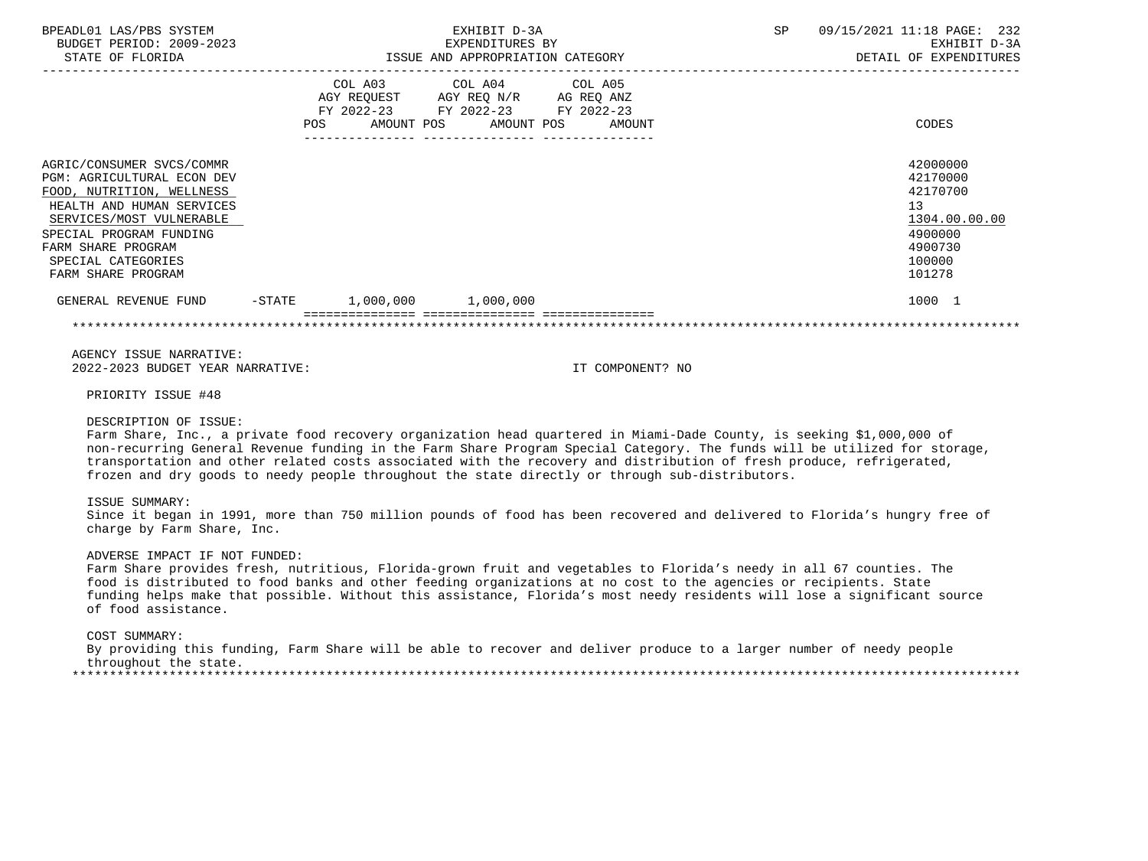| BPEADL01 LAS/PBS SYSTEM<br>BUDGET PERIOD: 2009-2023<br>STATE OF FLORIDA                                                                                                                                                                    |           |                                                                                                      | EXHIBIT D-3A<br>EXPENDITURES BY<br>ISSUE AND APPROPRIATION CATEGORY | <b>SP</b>            | 09/15/2021 11:18 PAGE: 232<br>EXHIBIT D-3A<br>DETAIL OF EXPENDITURES |                                                                                                   |
|--------------------------------------------------------------------------------------------------------------------------------------------------------------------------------------------------------------------------------------------|-----------|------------------------------------------------------------------------------------------------------|---------------------------------------------------------------------|----------------------|----------------------------------------------------------------------|---------------------------------------------------------------------------------------------------|
|                                                                                                                                                                                                                                            | POS       | COL A03 COL A04 COL A05<br>AGY REQUEST AGY REQ N/R<br>FY 2022-23 FY 2022-23 FY 2022-23<br>AMOUNT POS | AMOUNT POS<br>---- ---------------                                  | AG REQ ANZ<br>AMOUNT |                                                                      | CODES                                                                                             |
| AGRIC/CONSUMER SVCS/COMMR<br>PGM: AGRICULTURAL ECON DEV<br>FOOD, NUTRITION, WELLNESS<br>HEALTH AND HUMAN SERVICES<br>SERVICES/MOST VULNERABLE<br>SPECIAL PROGRAM FUNDING<br>FARM SHARE PROGRAM<br>SPECIAL CATEGORIES<br>FARM SHARE PROGRAM |           |                                                                                                      |                                                                     |                      |                                                                      | 42000000<br>42170000<br>42170700<br>13<br>1304.00.00.00<br>4900000<br>4900730<br>100000<br>101278 |
| GENERAL REVENUE FUND                                                                                                                                                                                                                       | $-$ STATE | $1,000,000$ $1,000,000$                                                                              |                                                                     |                      |                                                                      | 1000 1                                                                                            |
|                                                                                                                                                                                                                                            |           |                                                                                                      |                                                                     |                      |                                                                      |                                                                                                   |

 AGENCY ISSUE NARRATIVE: 2022-2023 BUDGET YEAR NARRATIVE: IT COMPONENT? NO

PRIORITY ISSUE #48

DESCRIPTION OF ISSUE:

 Farm Share, Inc., a private food recovery organization head quartered in Miami-Dade County, is seeking \$1,000,000 of non-recurring General Revenue funding in the Farm Share Program Special Category. The funds will be utilized for storage, transportation and other related costs associated with the recovery and distribution of fresh produce, refrigerated, frozen and dry goods to needy people throughout the state directly or through sub-distributors.

ISSUE SUMMARY:

 Since it began in 1991, more than 750 million pounds of food has been recovered and delivered to Florida's hungry free of charge by Farm Share, Inc.

ADVERSE IMPACT IF NOT FUNDED:

 Farm Share provides fresh, nutritious, Florida-grown fruit and vegetables to Florida's needy in all 67 counties. The food is distributed to food banks and other feeding organizations at no cost to the agencies or recipients. State funding helps make that possible. Without this assistance, Florida's most needy residents will lose a significant source of food assistance.

COST SUMMARY:

 By providing this funding, Farm Share will be able to recover and deliver produce to a larger number of needy people throughout the state. \*\*\*\*\*\*\*\*\*\*\*\*\*\*\*\*\*\*\*\*\*\*\*\*\*\*\*\*\*\*\*\*\*\*\*\*\*\*\*\*\*\*\*\*\*\*\*\*\*\*\*\*\*\*\*\*\*\*\*\*\*\*\*\*\*\*\*\*\*\*\*\*\*\*\*\*\*\*\*\*\*\*\*\*\*\*\*\*\*\*\*\*\*\*\*\*\*\*\*\*\*\*\*\*\*\*\*\*\*\*\*\*\*\*\*\*\*\*\*\*\*\*\*\*\*\*\*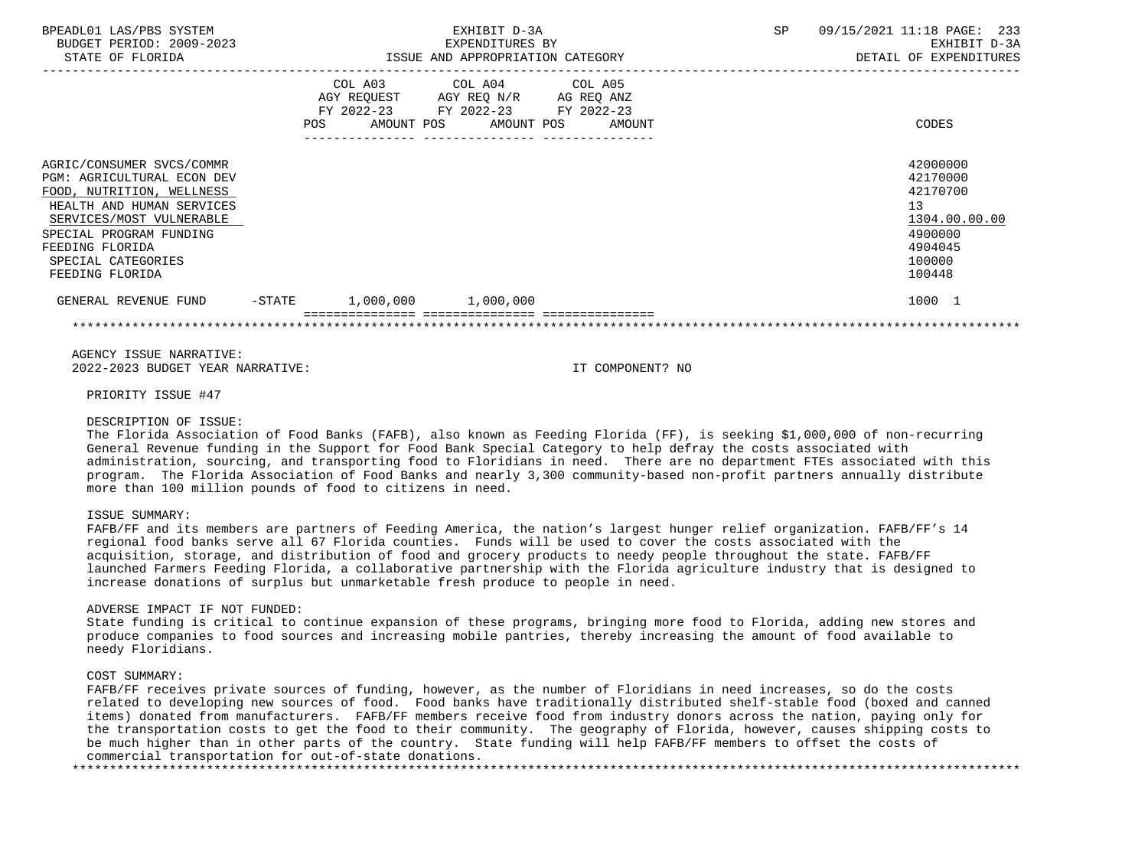| BPEADL01 LAS/PBS SYSTEM<br>BUDGET PERIOD: 2009-2023<br>STATE OF FLORIDA                                                                                                                                                              |           | EXHIBIT D-3A<br>EXPENDITURES BY<br>ISSUE AND APPROPRIATION CATEGORY |                                                                                                       |                      |  | 09/15/2021 11:18 PAGE: 233<br>EXHIBIT D-3A<br>DETAIL OF EXPENDITURES                              |
|--------------------------------------------------------------------------------------------------------------------------------------------------------------------------------------------------------------------------------------|-----------|---------------------------------------------------------------------|-------------------------------------------------------------------------------------------------------|----------------------|--|---------------------------------------------------------------------------------------------------|
|                                                                                                                                                                                                                                      | POS       | AGY REQUEST AGY REQ N/R                                             | COL A03 COL A04 COL A05<br>FY 2022-23 FY 2022-23 FY 2022-23<br>AMOUNT POS AMOUNT POS<br>------------- | AG REQ ANZ<br>AMOUNT |  | CODES                                                                                             |
| AGRIC/CONSUMER SVCS/COMMR<br>PGM: AGRICULTURAL ECON DEV<br>FOOD, NUTRITION, WELLNESS<br>HEALTH AND HUMAN SERVICES<br>SERVICES/MOST VULNERABLE<br>SPECIAL PROGRAM FUNDING<br>FEEDING FLORIDA<br>SPECIAL CATEGORIES<br>FEEDING FLORIDA |           |                                                                     |                                                                                                       |                      |  | 42000000<br>42170000<br>42170700<br>13<br>1304.00.00.00<br>4900000<br>4904045<br>100000<br>100448 |
| GENERAL REVENUE FUND                                                                                                                                                                                                                 | $-$ STATE |                                                                     | $1,000,000$ $1,000,000$                                                                               |                      |  | 1000 1                                                                                            |
|                                                                                                                                                                                                                                      |           |                                                                     |                                                                                                       |                      |  |                                                                                                   |

 AGENCY ISSUE NARRATIVE: 2022-2023 BUDGET YEAR NARRATIVE: IT COMPONENT? NO

PRIORITY ISSUE #47

## DESCRIPTION OF ISSUE:

 The Florida Association of Food Banks (FAFB), also known as Feeding Florida (FF), is seeking \$1,000,000 of non-recurring General Revenue funding in the Support for Food Bank Special Category to help defray the costs associated with administration, sourcing, and transporting food to Floridians in need. There are no department FTEs associated with this program. The Florida Association of Food Banks and nearly 3,300 community-based non-profit partners annually distribute more than 100 million pounds of food to citizens in need.

## ISSUE SUMMARY:

 FAFB/FF and its members are partners of Feeding America, the nation's largest hunger relief organization. FAFB/FF's 14 regional food banks serve all 67 Florida counties. Funds will be used to cover the costs associated with the acquisition, storage, and distribution of food and grocery products to needy people throughout the state. FAFB/FF launched Farmers Feeding Florida, a collaborative partnership with the Florida agriculture industry that is designed to increase donations of surplus but unmarketable fresh produce to people in need.

## ADVERSE IMPACT IF NOT FUNDED:

 State funding is critical to continue expansion of these programs, bringing more food to Florida, adding new stores and produce companies to food sources and increasing mobile pantries, thereby increasing the amount of food available to needy Floridians.

## COST SUMMARY:

 FAFB/FF receives private sources of funding, however, as the number of Floridians in need increases, so do the costs related to developing new sources of food. Food banks have traditionally distributed shelf-stable food (boxed and canned items) donated from manufacturers. FAFB/FF members receive food from industry donors across the nation, paying only for the transportation costs to get the food to their community. The geography of Florida, however, causes shipping costs to be much higher than in other parts of the country. State funding will help FAFB/FF members to offset the costs of commercial transportation for out-of-state donations. \*\*\*\*\*\*\*\*\*\*\*\*\*\*\*\*\*\*\*\*\*\*\*\*\*\*\*\*\*\*\*\*\*\*\*\*\*\*\*\*\*\*\*\*\*\*\*\*\*\*\*\*\*\*\*\*\*\*\*\*\*\*\*\*\*\*\*\*\*\*\*\*\*\*\*\*\*\*\*\*\*\*\*\*\*\*\*\*\*\*\*\*\*\*\*\*\*\*\*\*\*\*\*\*\*\*\*\*\*\*\*\*\*\*\*\*\*\*\*\*\*\*\*\*\*\*\*